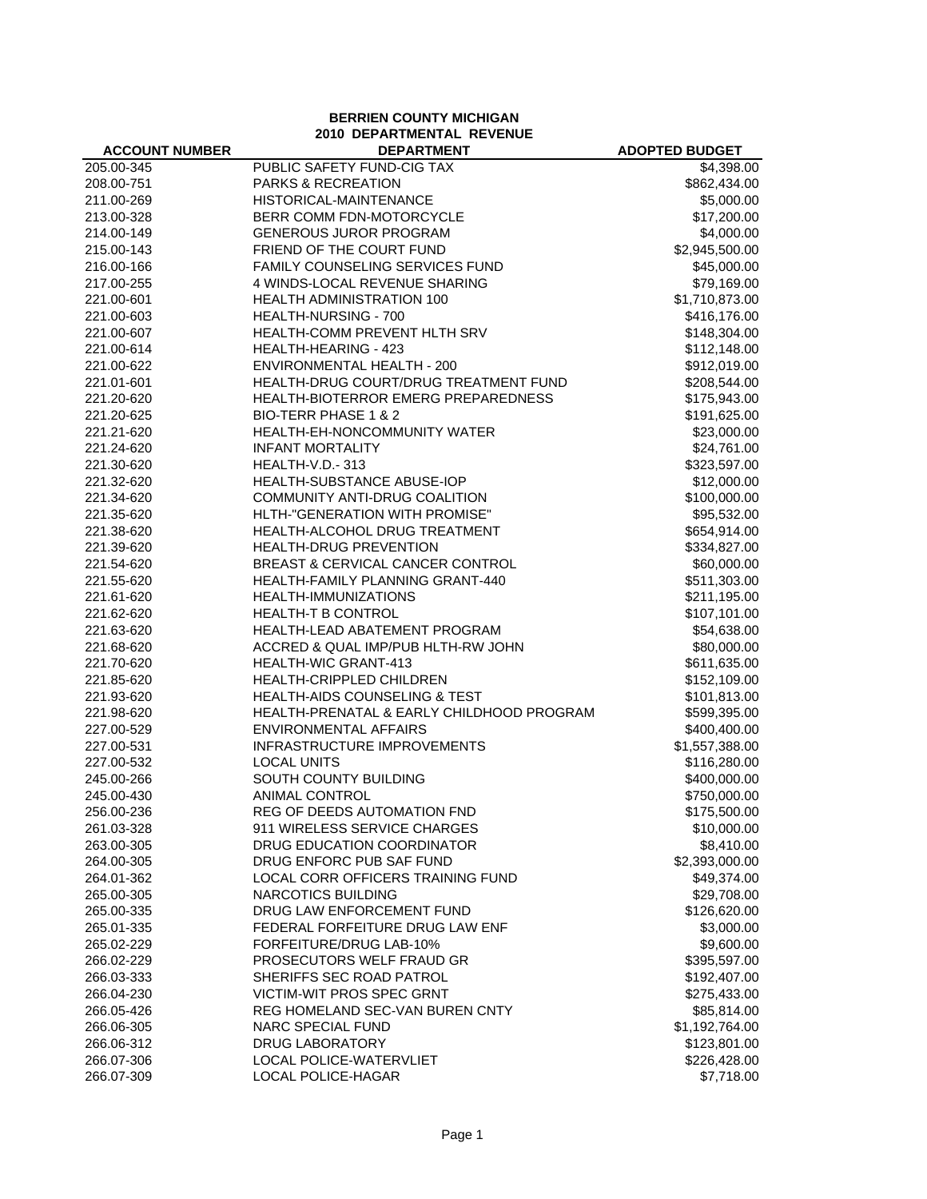**BERRIEN COUNTY MICHIGAN 2010 DEPARTMENTAL REVENUE**

| <b>ACCOUNT NUMBER</b> | <b>DEPARTMENT</b>                         | <b>ADOPTED BUDGET</b> |
|-----------------------|-------------------------------------------|-----------------------|
| 205.00-345            | PUBLIC SAFETY FUND-CIG TAX                | \$4,398.00            |
| 208.00-751            | <b>PARKS &amp; RECREATION</b>             | \$862,434.00          |
| 211.00-269            | HISTORICAL-MAINTENANCE                    | \$5,000.00            |
| 213.00-328            | BERR COMM FDN-MOTORCYCLE                  | \$17,200.00           |
| 214.00-149            | <b>GENEROUS JUROR PROGRAM</b>             | \$4,000.00            |
| 215.00-143            | FRIEND OF THE COURT FUND                  | \$2,945,500.00        |
| 216.00-166            | FAMILY COUNSELING SERVICES FUND           | \$45,000.00           |
| 217.00-255            | 4 WINDS-LOCAL REVENUE SHARING             | \$79,169.00           |
| 221.00-601            | <b>HEALTH ADMINISTRATION 100</b>          | \$1,710,873.00        |
| 221.00-603            | HEALTH-NURSING - 700                      | \$416,176.00          |
| 221.00-607            | HEALTH-COMM PREVENT HLTH SRV              | \$148,304.00          |
| 221.00-614            | HEALTH-HEARING - 423                      | \$112,148.00          |
| 221.00-622            | <b>ENVIRONMENTAL HEALTH - 200</b>         | \$912,019.00          |
| 221.01-601            | HEALTH-DRUG COURT/DRUG TREATMENT FUND     | \$208,544.00          |
| 221.20-620            | HEALTH-BIOTERROR EMERG PREPAREDNESS       | \$175,943.00          |
| 221.20-625            | BIO-TERR PHASE 1 & 2                      | \$191,625.00          |
| 221.21-620            | HEALTH-EH-NONCOMMUNITY WATER              | \$23,000.00           |
| 221.24-620            | <b>INFANT MORTALITY</b>                   | \$24,761.00           |
| 221.30-620            | HEALTH-V.D.-313                           | \$323,597.00          |
| 221.32-620            | <b>HEALTH-SUBSTANCE ABUSE-IOP</b>         | \$12,000.00           |
| 221.34-620            | COMMUNITY ANTI-DRUG COALITION             | \$100,000.00          |
| 221.35-620            | HLTH-"GENERATION WITH PROMISE"            | \$95,532.00           |
| 221.38-620            | HEALTH-ALCOHOL DRUG TREATMENT             | \$654,914.00          |
| 221.39-620            | HEALTH-DRUG PREVENTION                    | \$334,827.00          |
| 221.54-620            | BREAST & CERVICAL CANCER CONTROL          | \$60,000.00           |
| 221.55-620            | HEALTH-FAMILY PLANNING GRANT-440          | \$511,303.00          |
| 221.61-620            | HEALTH-IMMUNIZATIONS                      | \$211,195.00          |
| 221.62-620            | <b>HEALTH-T B CONTROL</b>                 | \$107,101.00          |
| 221.63-620            | HEALTH-LEAD ABATEMENT PROGRAM             | \$54,638.00           |
| 221.68-620            | ACCRED & QUAL IMP/PUB HLTH-RW JOHN        | \$80,000.00           |
| 221.70-620            | HEALTH-WIC GRANT-413                      | \$611,635.00          |
| 221.85-620            | HEALTH-CRIPPLED CHILDREN                  | \$152,109.00          |
| 221.93-620            | <b>HEALTH-AIDS COUNSELING &amp; TEST</b>  | \$101,813.00          |
| 221.98-620            | HEALTH-PRENATAL & EARLY CHILDHOOD PROGRAM | \$599,395.00          |
| 227.00-529            | <b>ENVIRONMENTAL AFFAIRS</b>              | \$400,400.00          |
| 227.00-531            | <b>INFRASTRUCTURE IMPROVEMENTS</b>        | \$1,557,388.00        |
| 227.00-532            | <b>LOCAL UNITS</b>                        | \$116,280.00          |
| 245.00-266            | SOUTH COUNTY BUILDING                     | \$400,000.00          |
| 245.00-430            | <b>ANIMAL CONTROL</b>                     | \$750,000.00          |
| 256.00-236            | REG OF DEEDS AUTOMATION FND               | \$175,500.00          |
| 261.03-328            | 911 WIRELESS SERVICE CHARGES              | \$10,000.00           |
| 263.00-305            | DRUG EDUCATION COORDINATOR                | \$8,410.00            |
| 264.00-305            | DRUG ENFORC PUB SAF FUND                  | \$2,393,000.00        |
| 264.01-362            | LOCAL CORR OFFICERS TRAINING FUND         | \$49,374.00           |
| 265.00-305            | <b>NARCOTICS BUILDING</b>                 | \$29,708.00           |
| 265.00-335            | DRUG LAW ENFORCEMENT FUND                 | \$126,620.00          |
| 265.01-335            | FEDERAL FORFEITURE DRUG LAW ENF           | \$3,000.00            |
| 265.02-229            | FORFEITURE/DRUG LAB-10%                   | \$9,600.00            |
| 266.02-229            | PROSECUTORS WELF FRAUD GR                 | \$395,597.00          |
| 266.03-333            | SHERIFFS SEC ROAD PATROL                  | \$192,407.00          |
| 266.04-230            | <b>VICTIM-WIT PROS SPEC GRNT</b>          | \$275,433.00          |
| 266.05-426            | REG HOMELAND SEC-VAN BUREN CNTY           | \$85,814.00           |
| 266.06-305            | <b>NARC SPECIAL FUND</b>                  | \$1,192,764.00        |
| 266.06-312            | DRUG LABORATORY                           | \$123,801.00          |
| 266.07-306            | <b>LOCAL POLICE-WATERVLIET</b>            | \$226,428.00          |
| 266.07-309            | LOCAL POLICE-HAGAR                        | \$7,718.00            |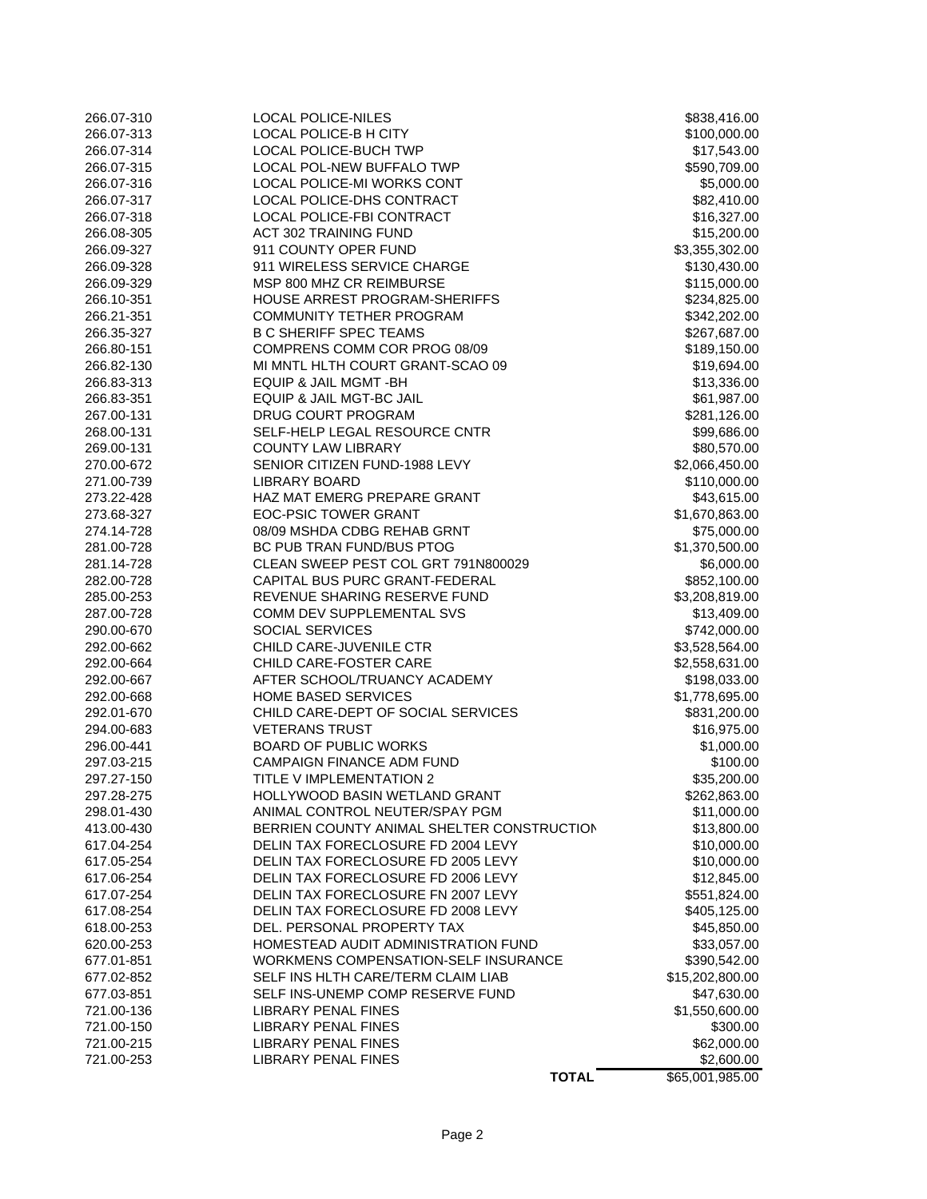| 266.07-310 | <b>LOCAL POLICE-NILES</b>                  | \$838,416.00    |
|------------|--------------------------------------------|-----------------|
| 266.07-313 | LOCAL POLICE-B H CITY                      | \$100,000.00    |
| 266.07-314 | LOCAL POLICE-BUCH TWP                      | \$17,543.00     |
| 266.07-315 | <b>LOCAL POL-NEW BUFFALO TWP</b>           | \$590,709.00    |
| 266.07-316 | LOCAL POLICE-MI WORKS CONT                 | \$5,000.00      |
| 266.07-317 | LOCAL POLICE-DHS CONTRACT                  | \$82,410.00     |
| 266.07-318 | <b>LOCAL POLICE-FBI CONTRACT</b>           | \$16,327.00     |
| 266.08-305 | <b>ACT 302 TRAINING FUND</b>               | \$15,200.00     |
| 266.09-327 | 911 COUNTY OPER FUND                       | \$3,355,302.00  |
| 266.09-328 | 911 WIRELESS SERVICE CHARGE                | \$130,430.00    |
| 266.09-329 | MSP 800 MHZ CR REIMBURSE                   | \$115,000.00    |
| 266.10-351 | HOUSE ARREST PROGRAM-SHERIFFS              | \$234,825.00    |
| 266.21-351 | <b>COMMUNITY TETHER PROGRAM</b>            | \$342,202.00    |
| 266.35-327 | <b>B C SHERIFF SPEC TEAMS</b>              | \$267,687.00    |
| 266.80-151 | COMPRENS COMM COR PROG 08/09               | \$189,150.00    |
| 266.82-130 | MI MNTL HLTH COURT GRANT-SCAO 09           | \$19,694.00     |
| 266.83-313 | EQUIP & JAIL MGMT - BH                     | \$13,336.00     |
| 266.83-351 | EQUIP & JAIL MGT-BC JAIL                   | \$61,987.00     |
| 267.00-131 | DRUG COURT PROGRAM                         | \$281,126.00    |
| 268.00-131 | SELF-HELP LEGAL RESOURCE CNTR              | \$99,686.00     |
| 269.00-131 | <b>COUNTY LAW LIBRARY</b>                  | \$80,570.00     |
| 270.00-672 | SENIOR CITIZEN FUND-1988 LEVY              | \$2,066,450.00  |
| 271.00-739 | <b>LIBRARY BOARD</b>                       | \$110,000.00    |
| 273.22-428 | HAZ MAT EMERG PREPARE GRANT                | \$43,615.00     |
| 273.68-327 | <b>EOC-PSIC TOWER GRANT</b>                | \$1,670,863.00  |
| 274.14-728 | 08/09 MSHDA CDBG REHAB GRNT                | \$75,000.00     |
| 281.00-728 | BC PUB TRAN FUND/BUS PTOG                  | \$1,370,500.00  |
| 281.14-728 | CLEAN SWEEP PEST COL GRT 791N800029        | \$6,000.00      |
| 282.00-728 | CAPITAL BUS PURC GRANT-FEDERAL             | \$852,100.00    |
| 285.00-253 | REVENUE SHARING RESERVE FUND               | \$3,208,819.00  |
| 287.00-728 | COMM DEV SUPPLEMENTAL SVS                  | \$13,409.00     |
| 290.00-670 | SOCIAL SERVICES                            | \$742,000.00    |
| 292.00-662 | CHILD CARE-JUVENILE CTR                    | \$3,528,564.00  |
| 292.00-664 | CHILD CARE-FOSTER CARE                     | \$2,558,631.00  |
| 292.00-667 | AFTER SCHOOL/TRUANCY ACADEMY               | \$198,033.00    |
| 292.00-668 | <b>HOME BASED SERVICES</b>                 | \$1,778,695.00  |
| 292.01-670 | CHILD CARE-DEPT OF SOCIAL SERVICES         | \$831,200.00    |
| 294.00-683 | <b>VETERANS TRUST</b>                      | \$16,975.00     |
| 296.00-441 | <b>BOARD OF PUBLIC WORKS</b>               | \$1,000.00      |
| 297.03-215 | <b>CAMPAIGN FINANCE ADM FUND</b>           | \$100.00        |
| 297.27-150 | TITLE V IMPLEMENTATION 2                   | \$35,200.00     |
| 297.28-275 | HOLLYWOOD BASIN WETLAND GRANT              | \$262,863.00    |
| 298.01-430 | ANIMAL CONTROL NEUTER/SPAY PGM             | \$11,000.00     |
| 413.00-430 | BERRIEN COUNTY ANIMAL SHELTER CONSTRUCTION | \$13,800.00     |
| 617.04-254 | DELIN TAX FORECLOSURE FD 2004 LEVY         | \$10,000.00     |
| 617.05-254 | DELIN TAX FORECLOSURE FD 2005 LEVY         | \$10,000.00     |
| 617.06-254 | DELIN TAX FORECLOSURE FD 2006 LEVY         | \$12,845.00     |
| 617.07-254 | DELIN TAX FORECLOSURE FN 2007 LEVY         | \$551,824.00    |
| 617.08-254 | DELIN TAX FORECLOSURE FD 2008 LEVY         | \$405,125.00    |
| 618.00-253 | DEL. PERSONAL PROPERTY TAX                 | \$45,850.00     |
| 620.00-253 | HOMESTEAD AUDIT ADMINISTRATION FUND        | \$33,057.00     |
| 677.01-851 | WORKMENS COMPENSATION-SELF INSURANCE       | \$390,542.00    |
| 677.02-852 | SELF INS HLTH CARE/TERM CLAIM LIAB         | \$15,202,800.00 |
| 677.03-851 | SELF INS-UNEMP COMP RESERVE FUND           | \$47,630.00     |
| 721.00-136 | <b>LIBRARY PENAL FINES</b>                 | \$1,550,600.00  |
| 721.00-150 | <b>LIBRARY PENAL FINES</b>                 | \$300.00        |
| 721.00-215 | <b>LIBRARY PENAL FINES</b>                 | \$62,000.00     |
| 721.00-253 | <b>LIBRARY PENAL FINES</b>                 | \$2,600.00      |
|            | <b>TOTAL</b>                               | \$65,001,985.00 |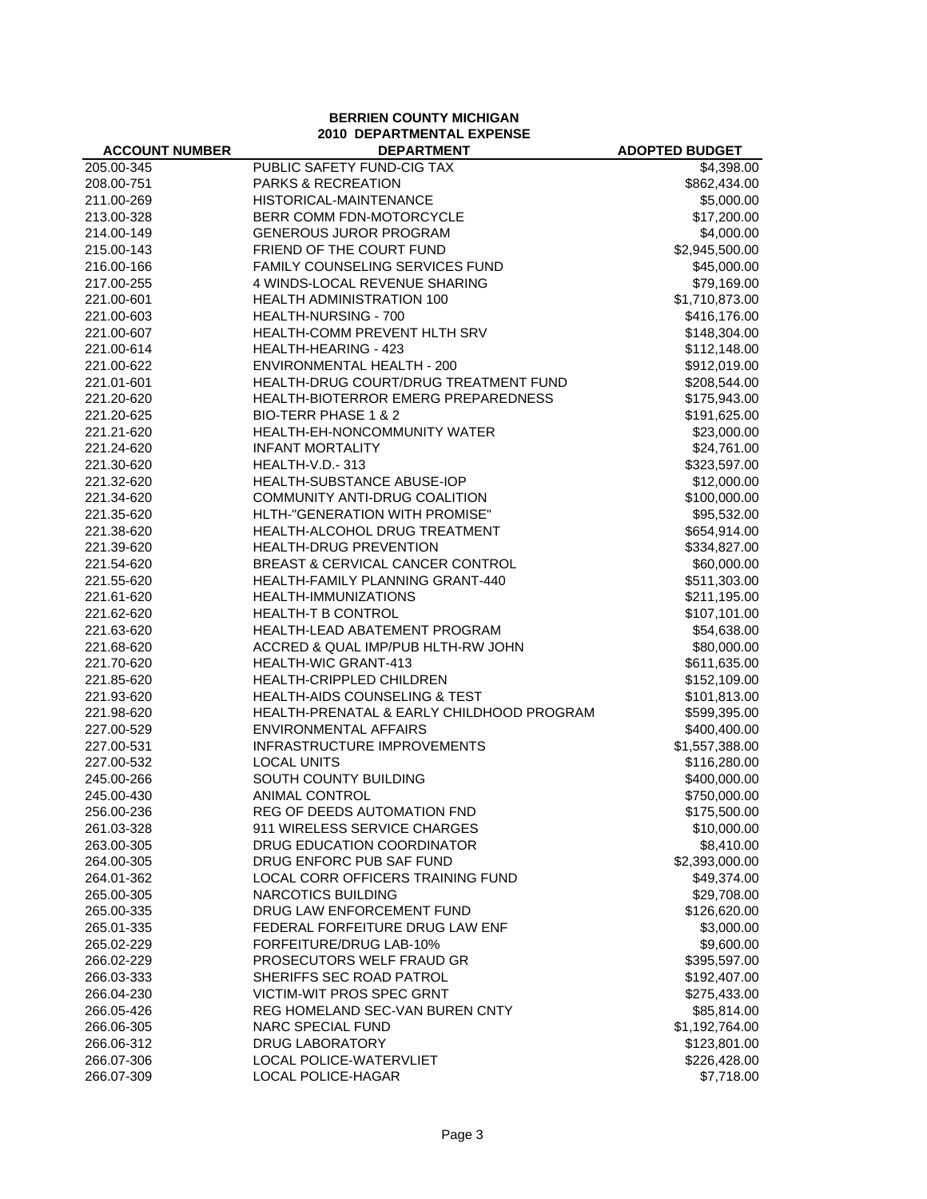**BERRIEN COUNTY MICHIGAN 2010 DEPARTMENTAL EXPENSE**

| <b>ACCOUNT NUMBER</b> | <b>DEPARTMENT</b>                         | <b>ADOPTED BUDGET</b> |
|-----------------------|-------------------------------------------|-----------------------|
| 205.00-345            | PUBLIC SAFETY FUND-CIG TAX                | \$4,398.00            |
| 208.00-751            | <b>PARKS &amp; RECREATION</b>             | \$862,434.00          |
| 211.00-269            | HISTORICAL-MAINTENANCE                    | \$5,000.00            |
| 213.00-328            | BERR COMM FDN-MOTORCYCLE                  | \$17,200.00           |
| 214.00-149            | <b>GENEROUS JUROR PROGRAM</b>             | \$4,000.00            |
| 215.00-143            | FRIEND OF THE COURT FUND                  | \$2,945,500.00        |
| 216.00-166            | FAMILY COUNSELING SERVICES FUND           | \$45,000.00           |
| 217.00-255            | 4 WINDS-LOCAL REVENUE SHARING             | \$79,169.00           |
| 221.00-601            | <b>HEALTH ADMINISTRATION 100</b>          | \$1,710,873.00        |
| 221.00-603            | HEALTH-NURSING - 700                      | \$416,176.00          |
| 221.00-607            | HEALTH-COMM PREVENT HLTH SRV              | \$148,304.00          |
| 221.00-614            | HEALTH-HEARING - 423                      | \$112,148.00          |
| 221.00-622            | <b>ENVIRONMENTAL HEALTH - 200</b>         | \$912,019.00          |
| 221.01-601            | HEALTH-DRUG COURT/DRUG TREATMENT FUND     | \$208,544.00          |
| 221.20-620            | HEALTH-BIOTERROR EMERG PREPAREDNESS       | \$175,943.00          |
| 221.20-625            | BIO-TERR PHASE 1 & 2                      | \$191,625.00          |
| 221.21-620            | HEALTH-EH-NONCOMMUNITY WATER              | \$23,000.00           |
| 221.24-620            | <b>INFANT MORTALITY</b>                   | \$24,761.00           |
| 221.30-620            | HEALTH-V.D.-313                           | \$323,597.00          |
| 221.32-620            | <b>HEALTH-SUBSTANCE ABUSE-IOP</b>         | \$12,000.00           |
| 221.34-620            | COMMUNITY ANTI-DRUG COALITION             | \$100,000.00          |
| 221.35-620            | HLTH-"GENERATION WITH PROMISE"            | \$95,532.00           |
| 221.38-620            | HEALTH-ALCOHOL DRUG TREATMENT             | \$654,914.00          |
| 221.39-620            | HEALTH-DRUG PREVENTION                    | \$334,827.00          |
| 221.54-620            | BREAST & CERVICAL CANCER CONTROL          | \$60,000.00           |
| 221.55-620            | HEALTH-FAMILY PLANNING GRANT-440          | \$511,303.00          |
| 221.61-620            | HEALTH-IMMUNIZATIONS                      | \$211,195.00          |
| 221.62-620            | <b>HEALTH-T B CONTROL</b>                 | \$107,101.00          |
| 221.63-620            | HEALTH-LEAD ABATEMENT PROGRAM             | \$54,638.00           |
| 221.68-620            | ACCRED & QUAL IMP/PUB HLTH-RW JOHN        | \$80,000.00           |
| 221.70-620            | HEALTH-WIC GRANT-413                      | \$611,635.00          |
| 221.85-620            | HEALTH-CRIPPLED CHILDREN                  | \$152,109.00          |
| 221.93-620            | <b>HEALTH-AIDS COUNSELING &amp; TEST</b>  | \$101,813.00          |
| 221.98-620            | HEALTH-PRENATAL & EARLY CHILDHOOD PROGRAM | \$599,395.00          |
| 227.00-529            | <b>ENVIRONMENTAL AFFAIRS</b>              | \$400,400.00          |
| 227.00-531            | <b>INFRASTRUCTURE IMPROVEMENTS</b>        | \$1,557,388.00        |
| 227.00-532            | <b>LOCAL UNITS</b>                        | \$116,280.00          |
| 245.00-266            | SOUTH COUNTY BUILDING                     | \$400,000.00          |
| 245.00-430            | <b>ANIMAL CONTROL</b>                     | \$750,000.00          |
| 256.00-236            | REG OF DEEDS AUTOMATION FND               | \$175,500.00          |
| 261.03-328            | 911 WIRELESS SERVICE CHARGES              | \$10,000.00           |
| 263.00-305            | DRUG EDUCATION COORDINATOR                | \$8,410.00            |
| 264.00-305            | DRUG ENFORC PUB SAF FUND                  | \$2,393,000.00        |
| 264.01-362            | LOCAL CORR OFFICERS TRAINING FUND         | \$49,374.00           |
| 265.00-305            | <b>NARCOTICS BUILDING</b>                 | \$29,708.00           |
| 265.00-335            | DRUG LAW ENFORCEMENT FUND                 | \$126,620.00          |
| 265.01-335            | FEDERAL FORFEITURE DRUG LAW ENF           | \$3,000.00            |
| 265.02-229            | FORFEITURE/DRUG LAB-10%                   | \$9,600.00            |
| 266.02-229            | PROSECUTORS WELF FRAUD GR                 | \$395,597.00          |
| 266.03-333            | SHERIFFS SEC ROAD PATROL                  | \$192,407.00          |
| 266.04-230            | <b>VICTIM-WIT PROS SPEC GRNT</b>          | \$275,433.00          |
| 266.05-426            | REG HOMELAND SEC-VAN BUREN CNTY           | \$85,814.00           |
| 266.06-305            | <b>NARC SPECIAL FUND</b>                  | \$1,192,764.00        |
| 266.06-312            | DRUG LABORATORY                           | \$123,801.00          |
| 266.07-306            | <b>LOCAL POLICE-WATERVLIET</b>            | \$226,428.00          |
| 266.07-309            | LOCAL POLICE-HAGAR                        | \$7,718.00            |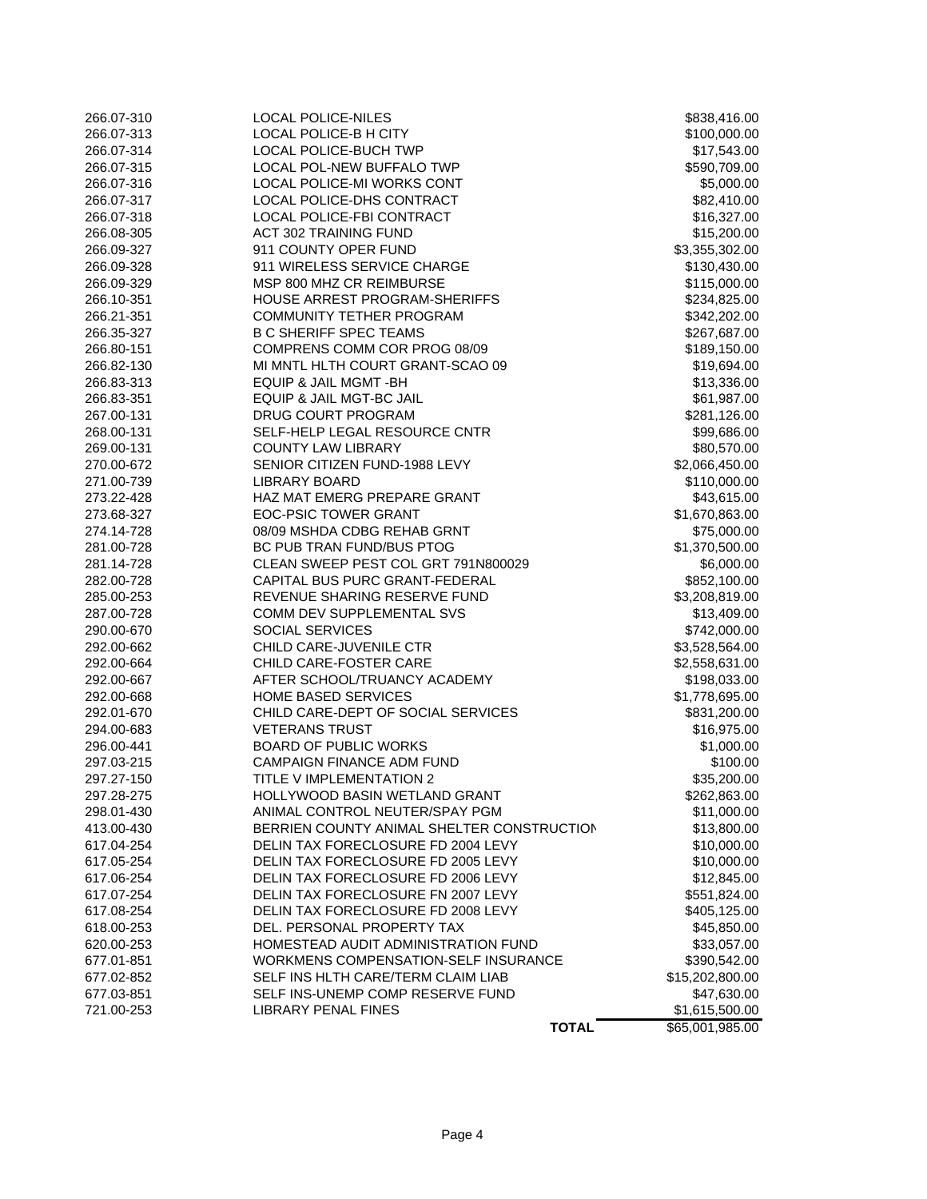| 266.07-310 | <b>LOCAL POLICE-NILES</b>                  | \$838,416.00    |
|------------|--------------------------------------------|-----------------|
| 266.07-313 | LOCAL POLICE-B H CITY                      | \$100,000.00    |
| 266.07-314 | <b>LOCAL POLICE-BUCH TWP</b>               | \$17,543.00     |
| 266.07-315 | LOCAL POL-NEW BUFFALO TWP                  | \$590,709.00    |
| 266.07-316 | LOCAL POLICE-MI WORKS CONT                 | \$5,000.00      |
| 266.07-317 | <b>LOCAL POLICE-DHS CONTRACT</b>           | \$82,410.00     |
| 266.07-318 | LOCAL POLICE-FBI CONTRACT                  | \$16,327.00     |
| 266.08-305 | <b>ACT 302 TRAINING FUND</b>               | \$15,200.00     |
| 266.09-327 | 911 COUNTY OPER FUND                       | \$3,355,302.00  |
| 266.09-328 | 911 WIRELESS SERVICE CHARGE                | \$130,430.00    |
| 266.09-329 | MSP 800 MHZ CR REIMBURSE                   | \$115,000.00    |
| 266.10-351 | HOUSE ARREST PROGRAM-SHERIFFS              | \$234,825.00    |
| 266.21-351 | COMMUNITY TETHER PROGRAM                   | \$342,202.00    |
| 266.35-327 | <b>B C SHERIFF SPEC TEAMS</b>              | \$267,687.00    |
| 266.80-151 | COMPRENS COMM COR PROG 08/09               | \$189,150.00    |
| 266.82-130 | MI MNTL HLTH COURT GRANT-SCAO 09           | \$19,694.00     |
| 266.83-313 | EQUIP & JAIL MGMT -BH                      | \$13,336.00     |
| 266.83-351 | EQUIP & JAIL MGT-BC JAIL                   | \$61,987.00     |
| 267.00-131 | DRUG COURT PROGRAM                         | \$281,126.00    |
| 268.00-131 | SELF-HELP LEGAL RESOURCE CNTR              | \$99,686.00     |
| 269.00-131 | <b>COUNTY LAW LIBRARY</b>                  | \$80,570.00     |
| 270.00-672 | SENIOR CITIZEN FUND-1988 LEVY              | \$2,066,450.00  |
| 271.00-739 | <b>LIBRARY BOARD</b>                       | \$110,000.00    |
| 273.22-428 | HAZ MAT EMERG PREPARE GRANT                | \$43,615.00     |
| 273.68-327 | <b>EOC-PSIC TOWER GRANT</b>                | \$1,670,863.00  |
| 274.14-728 | 08/09 MSHDA CDBG REHAB GRNT                | \$75,000.00     |
| 281.00-728 | BC PUB TRAN FUND/BUS PTOG                  | \$1,370,500.00  |
| 281.14-728 | CLEAN SWEEP PEST COL GRT 791N800029        | \$6,000.00      |
| 282.00-728 | CAPITAL BUS PURC GRANT-FEDERAL             | \$852,100.00    |
| 285.00-253 | REVENUE SHARING RESERVE FUND               | \$3,208,819.00  |
| 287.00-728 | COMM DEV SUPPLEMENTAL SVS                  | \$13,409.00     |
| 290.00-670 | SOCIAL SERVICES                            | \$742,000.00    |
| 292.00-662 | CHILD CARE-JUVENILE CTR                    | \$3,528,564.00  |
| 292.00-664 | CHILD CARE-FOSTER CARE                     | \$2,558,631.00  |
| 292.00-667 | AFTER SCHOOL/TRUANCY ACADEMY               | \$198,033.00    |
| 292.00-668 | HOME BASED SERVICES                        | \$1,778,695.00  |
| 292.01-670 | CHILD CARE-DEPT OF SOCIAL SERVICES         | \$831,200.00    |
| 294.00-683 | <b>VETERANS TRUST</b>                      | \$16,975.00     |
| 296.00-441 | <b>BOARD OF PUBLIC WORKS</b>               | \$1,000.00      |
| 297.03-215 | <b>CAMPAIGN FINANCE ADM FUND</b>           | \$100.00        |
| 297.27-150 | <b>TITLE V IMPLEMENTATION 2</b>            | \$35,200.00     |
| 297.28-275 | HOLLYWOOD BASIN WETLAND GRANT              | \$262,863.00    |
| 298.01-430 | ANIMAL CONTROL NEUTER/SPAY PGM             | \$11,000.00     |
| 413.00-430 | BERRIEN COUNTY ANIMAL SHELTER CONSTRUCTION | \$13,800.00     |
| 617.04-254 | DELIN TAX FORECLOSURE FD 2004 LEVY         | \$10,000.00     |
| 617.05-254 | DELIN TAX FORECLOSURE FD 2005 LEVY         | \$10,000.00     |
| 617.06-254 | DELIN TAX FORECLOSURE FD 2006 LEVY         | \$12,845.00     |
| 617.07-254 | DELIN TAX FORECLOSURE FN 2007 LEVY         | \$551,824.00    |
| 617.08-254 | DELIN TAX FORECLOSURE FD 2008 LEVY         | \$405,125.00    |
| 618.00-253 | DEL. PERSONAL PROPERTY TAX                 | \$45,850.00     |
| 620.00-253 | HOMESTEAD AUDIT ADMINISTRATION FUND        | \$33,057.00     |
| 677.01-851 | WORKMENS COMPENSATION-SELF INSURANCE       | \$390,542.00    |
| 677.02-852 | SELF INS HLTH CARE/TERM CLAIM LIAB         | \$15,202,800.00 |
| 677.03-851 | SELF INS-UNEMP COMP RESERVE FUND           | \$47,630.00     |
| 721.00-253 | <b>LIBRARY PENAL FINES</b>                 | \$1,615,500.00  |
|            | <b>TOTAL</b>                               | \$65,001,985.00 |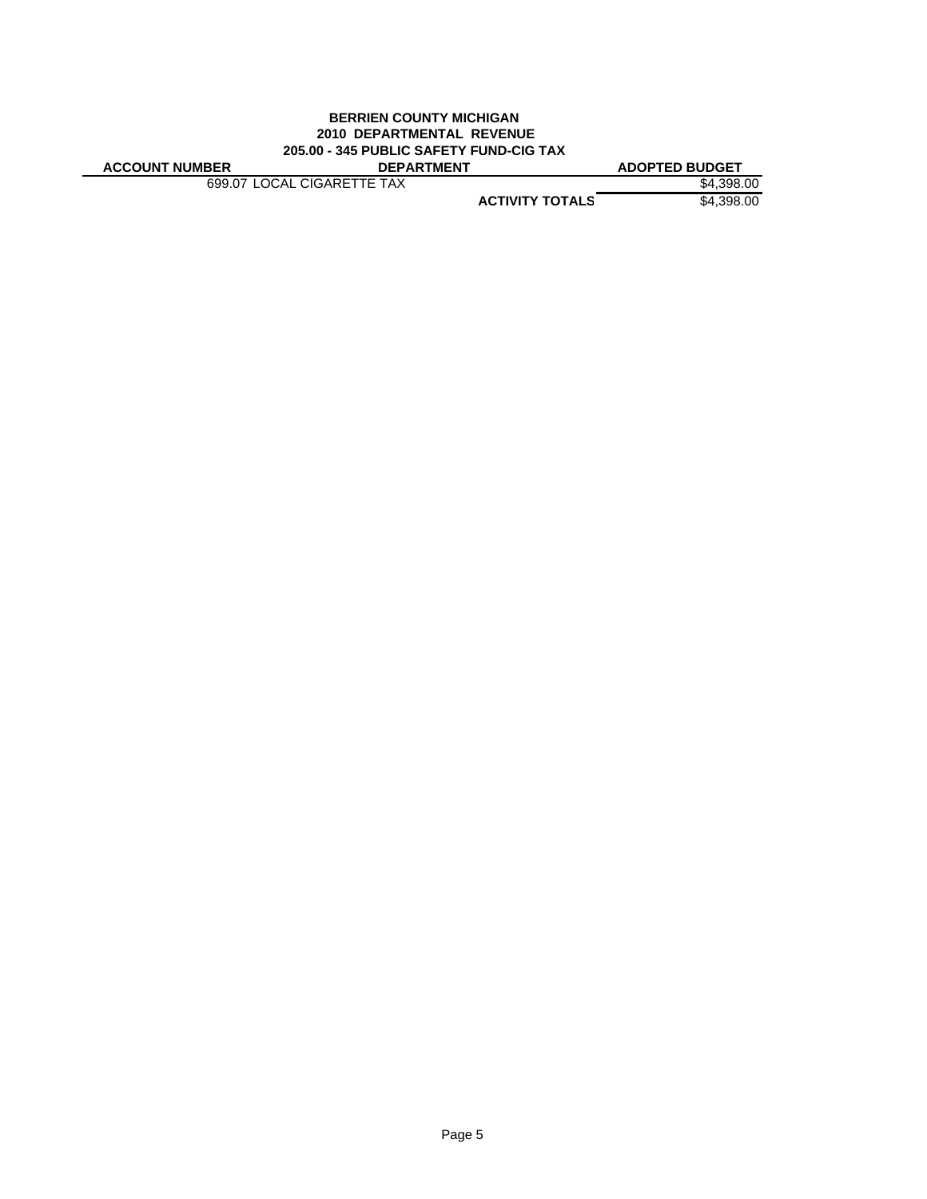#### **BERRIEN COUNTY MICHIGAN 2010 DEPARTMENTAL REVENUE 205.00 - 345 PUBLIC SAFETY FUND-CIG TAX ACCOUNT NUMBER DEPARTMENT ADOPTED BUDGET**

699.07 LOCAL CIGARETTE TAX \$4,398.00

**ACTIVITY TOTALS** \$4,398.00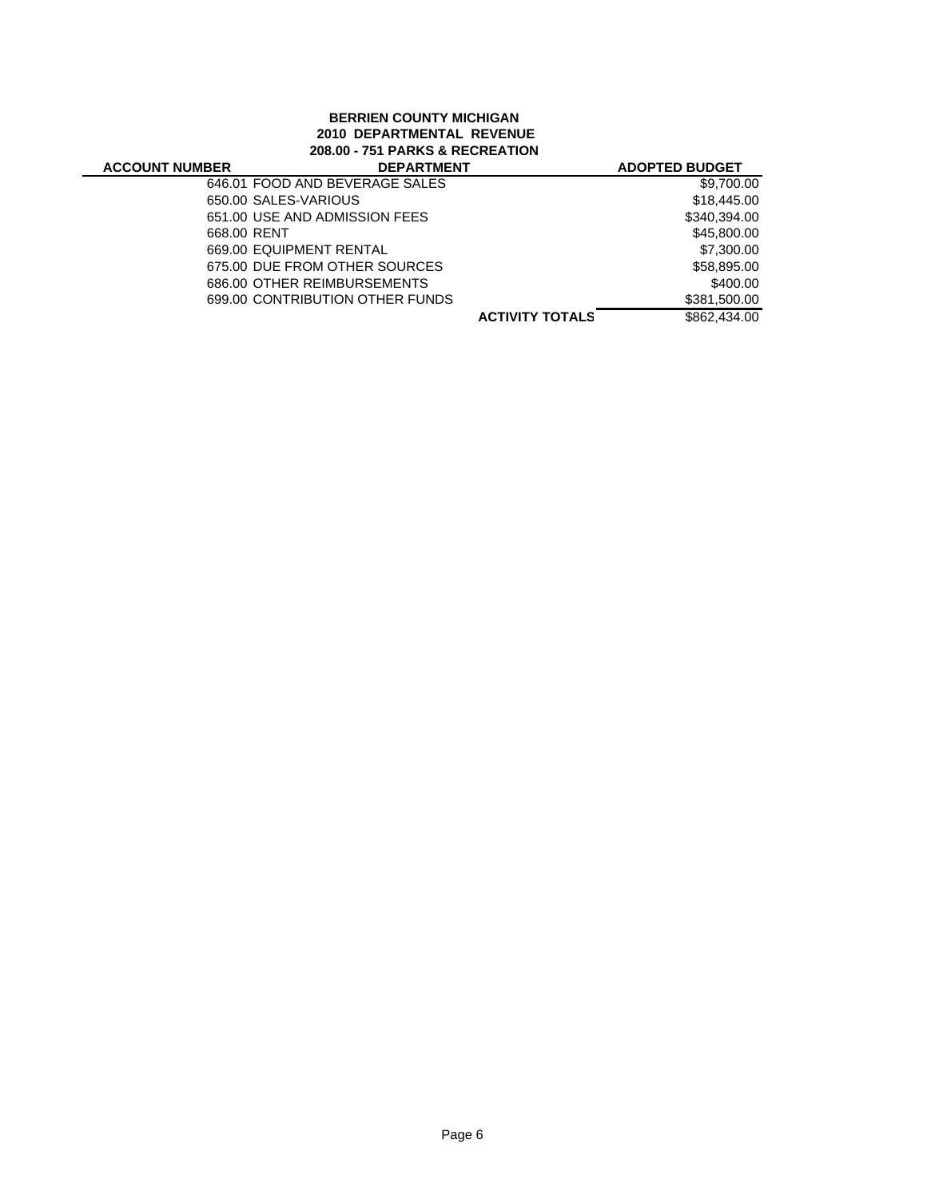# **BERRIEN COUNTY MICHIGAN 2010 DEPARTMENTAL REVENUE 208.00 - 751 PARKS & RECREATION**

| <b>ACCOUNT NUMBER</b> | <b>DEPARTMENT</b>               |                        | <b>ADOPTED BUDGET</b> |
|-----------------------|---------------------------------|------------------------|-----------------------|
|                       | 646.01 FOOD AND BEVERAGE SALES  |                        | \$9,700.00            |
|                       | 650.00 SALES-VARIOUS            |                        | \$18,445,00           |
|                       | 651.00 USE AND ADMISSION FEES   |                        | \$340,394.00          |
| 668.00 RENT           |                                 |                        | \$45,800.00           |
|                       | 669.00 EQUIPMENT RENTAL         |                        | \$7,300.00            |
|                       | 675.00 DUE FROM OTHER SOURCES   |                        | \$58,895.00           |
|                       | 686.00 OTHER REIMBURSEMENTS     |                        | \$400.00              |
|                       | 699.00 CONTRIBUTION OTHER FUNDS |                        | \$381,500.00          |
|                       |                                 | <b>ACTIVITY TOTALS</b> | \$862,434.00          |
|                       |                                 |                        |                       |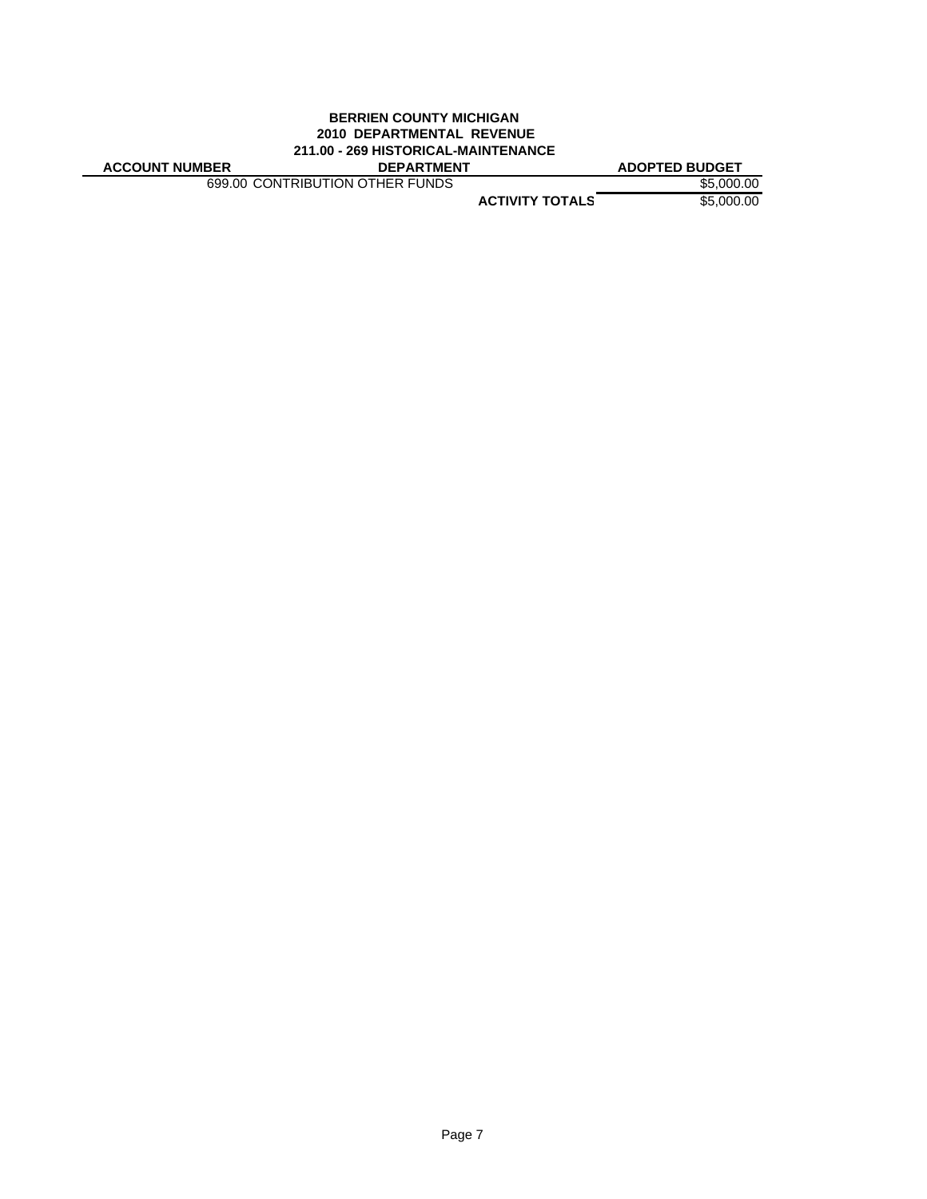# **BERRIEN COUNTY MICHIGAN 2010 DEPARTMENTAL REVENUE 211.00 - 269 HISTORICAL-MAINTENANCE**

**ACCOUNT NUMBER DEPARTMENT ADOPTED BUDGET**

699.00 CONTRIBUTION OTHER FUNDS \$5,000.00

**ACTIVITY TOTALS** \$5,000.00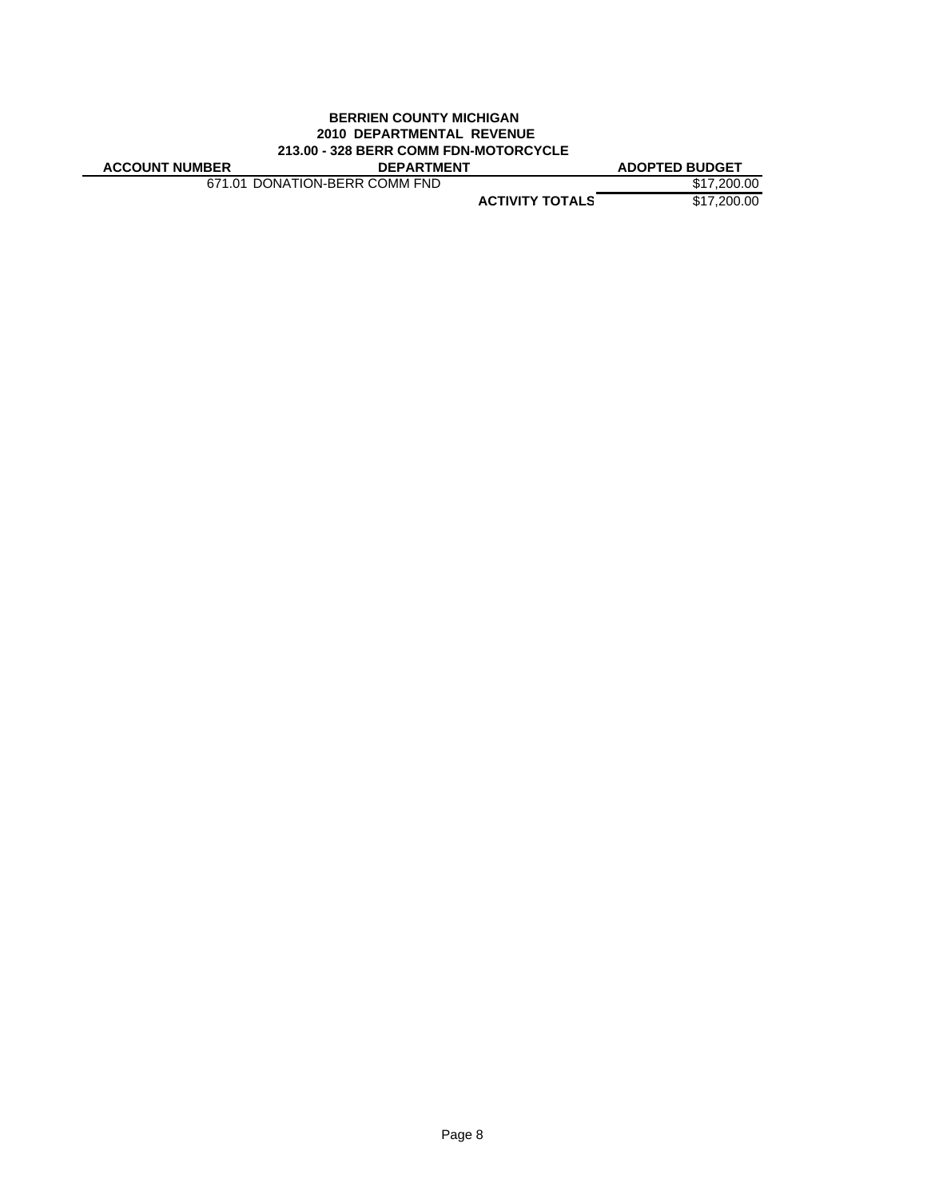# **BERRIEN COUNTY MICHIGAN 2010 DEPARTMENTAL REVENUE 213.00 - 328 BERR COMM FDN-MOTORCYCLE**

|  | <b>ACCOUNT NUMBER</b> |  |
|--|-----------------------|--|
|  |                       |  |

671.01 DONATION-BERR COMM FND \$17,200.00

**ADOPTED BUDGET** 

**ACTIVITY TOTALS** \$17,200.00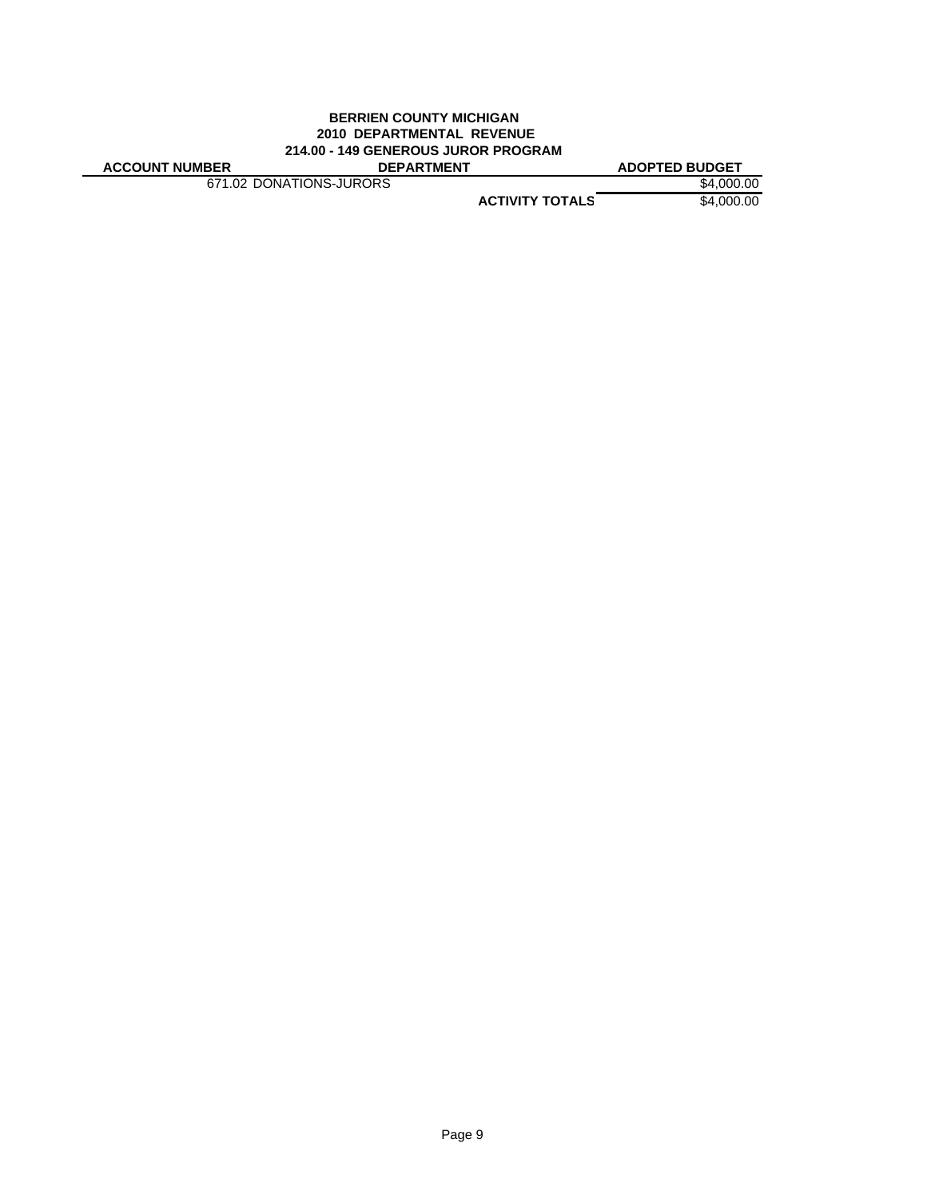### **BERRIEN COUNTY MICHIGAN 2010 DEPARTMENTAL REVENUE 214.00 - 149 GENEROUS JUROR PROGRAM**

671.02 DONATIONS-JURORS \$4,000.00

**ACCOUNT NUMBER DEPARTMENT ADOPTED BUDGET**

**ACTIVITY TOTALS** \$4,000.00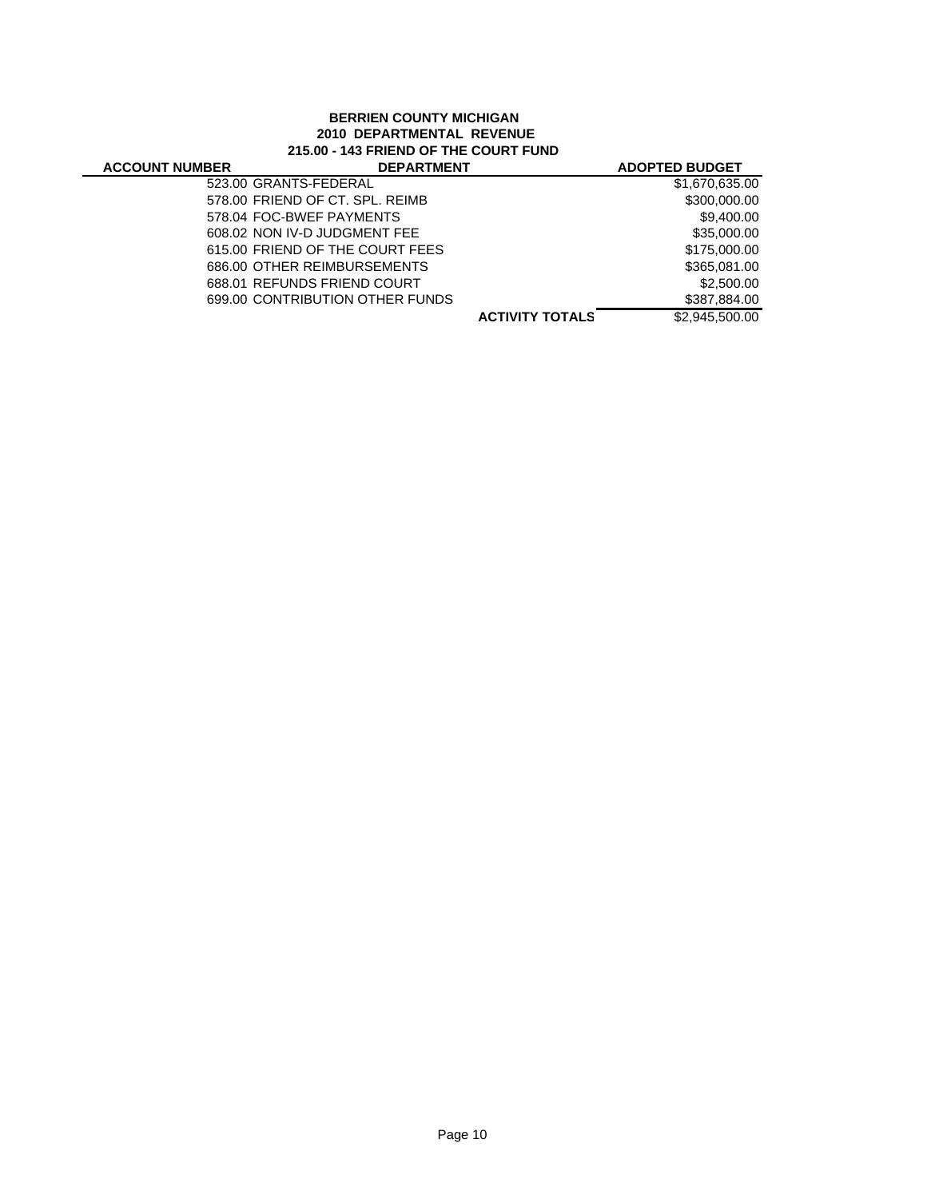# **BERRIEN COUNTY MICHIGAN 2010 DEPARTMENTAL REVENUE 215.00 - 143 FRIEND OF THE COURT FUND**

| <b>ACCOUNT NUMBER</b> | <b>DEPARTMENT</b>               |                        | <b>ADOPTED BUDGET</b> |
|-----------------------|---------------------------------|------------------------|-----------------------|
|                       | 523.00 GRANTS-FEDERAL           |                        | \$1,670,635.00        |
|                       | 578.00 FRIEND OF CT. SPL. REIMB |                        | \$300,000.00          |
|                       | 578.04 FOC-BWEF PAYMENTS        |                        | \$9,400.00            |
|                       | 608.02 NON IV-D JUDGMENT FEE    |                        | \$35,000,00           |
|                       | 615.00 FRIEND OF THE COURT FEES |                        | \$175,000.00          |
|                       | 686.00 OTHER REIMBURSEMENTS     |                        | \$365,081.00          |
|                       | 688.01 REFUNDS FRIEND COURT     |                        | \$2,500.00            |
|                       | 699.00 CONTRIBUTION OTHER FUNDS |                        | \$387,884.00          |
|                       |                                 | <b>ACTIVITY TOTALS</b> | \$2,945,500.00        |
|                       |                                 |                        |                       |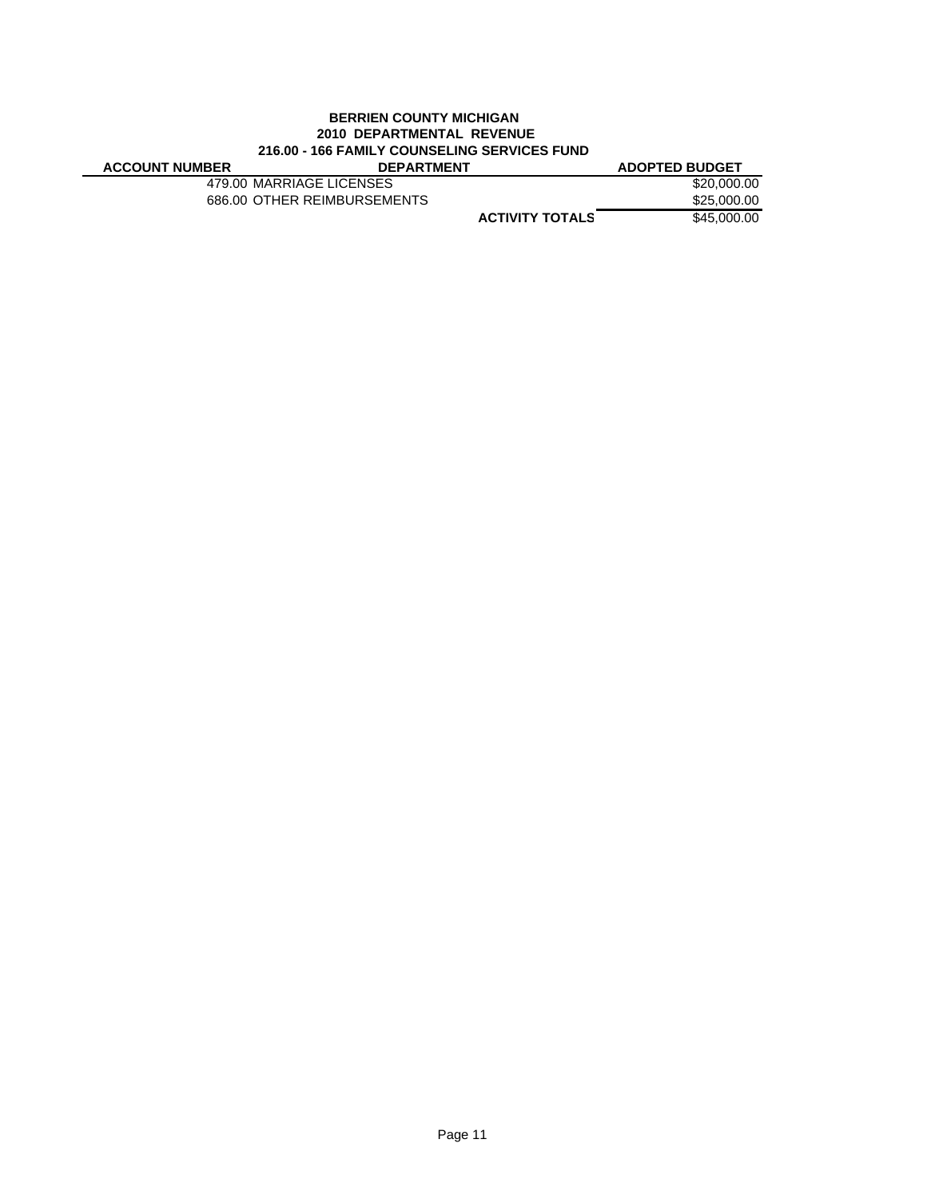## **BERRIEN COUNTY MICHIGAN 2010 DEPARTMENTAL REVENUE 216.00 - 166 FAMILY COUNSELING SERVICES FUND**

| <b>ACCOUNT NUMBER</b> | <b>DEPARTMENT</b>           | <b>ADOPTED BUDGET</b> |
|-----------------------|-----------------------------|-----------------------|
|                       | 479.00 MARRIAGE LICENSES    | \$20,000,00           |
|                       | 686.00 OTHER REIMBURSEMENTS | \$25,000,00           |
|                       | <b>ACTIVITY TOTALS</b>      | \$45,000,00           |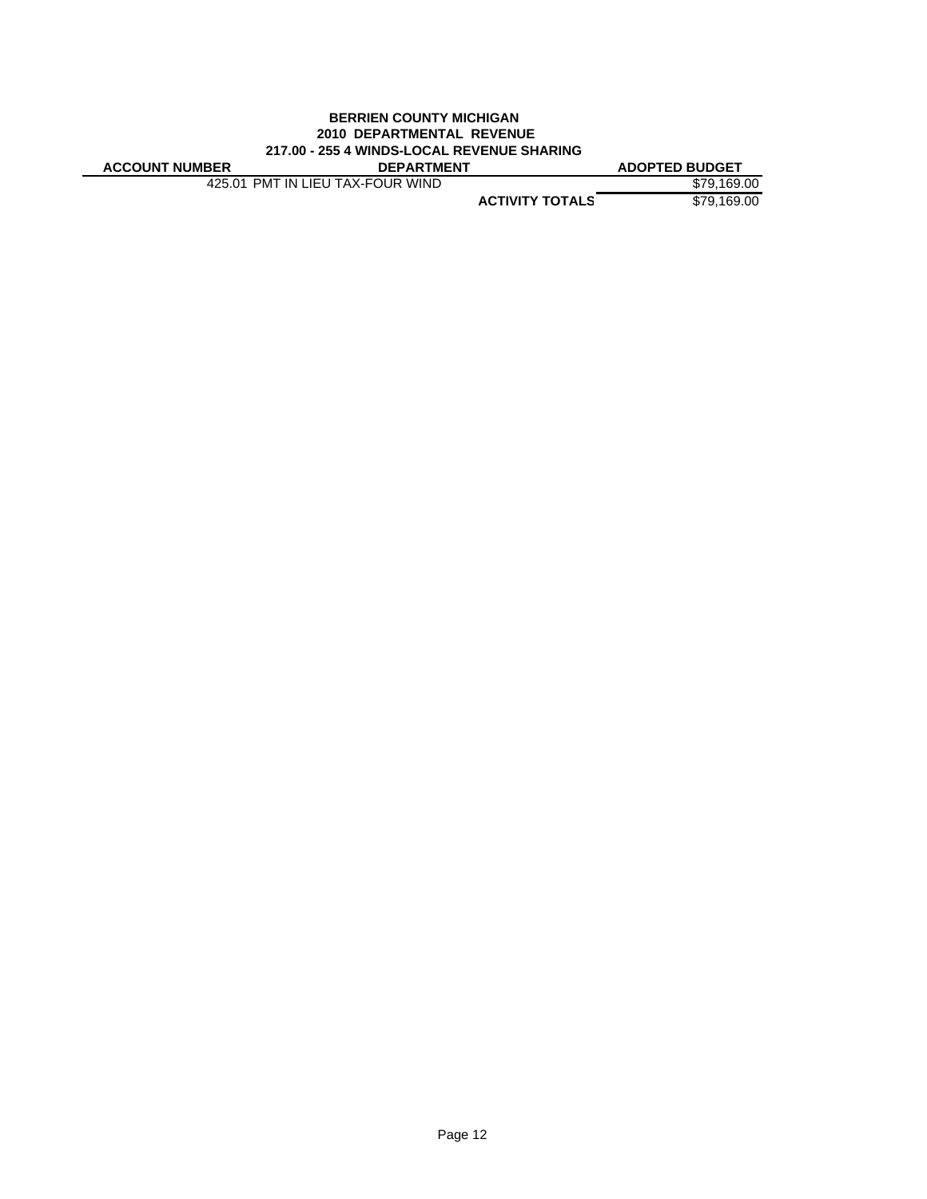#### **BERRIEN COUNTY MICHIGAN 2010 DEPARTMENTAL REVENUE 217.00 - 255 4 WINDS-LOCAL REVENUE SHARING**

| <b>ACCOUNT NUMBER</b> | <b>DEPARTMENT</b>                | <b>ADOPTED BUDGET</b> |
|-----------------------|----------------------------------|-----------------------|
|                       | 425.01 PMT IN LIEU TAX-FOUR WIND | \$79.169.00           |

**ACTIVITY TOTALS** \$79,169.00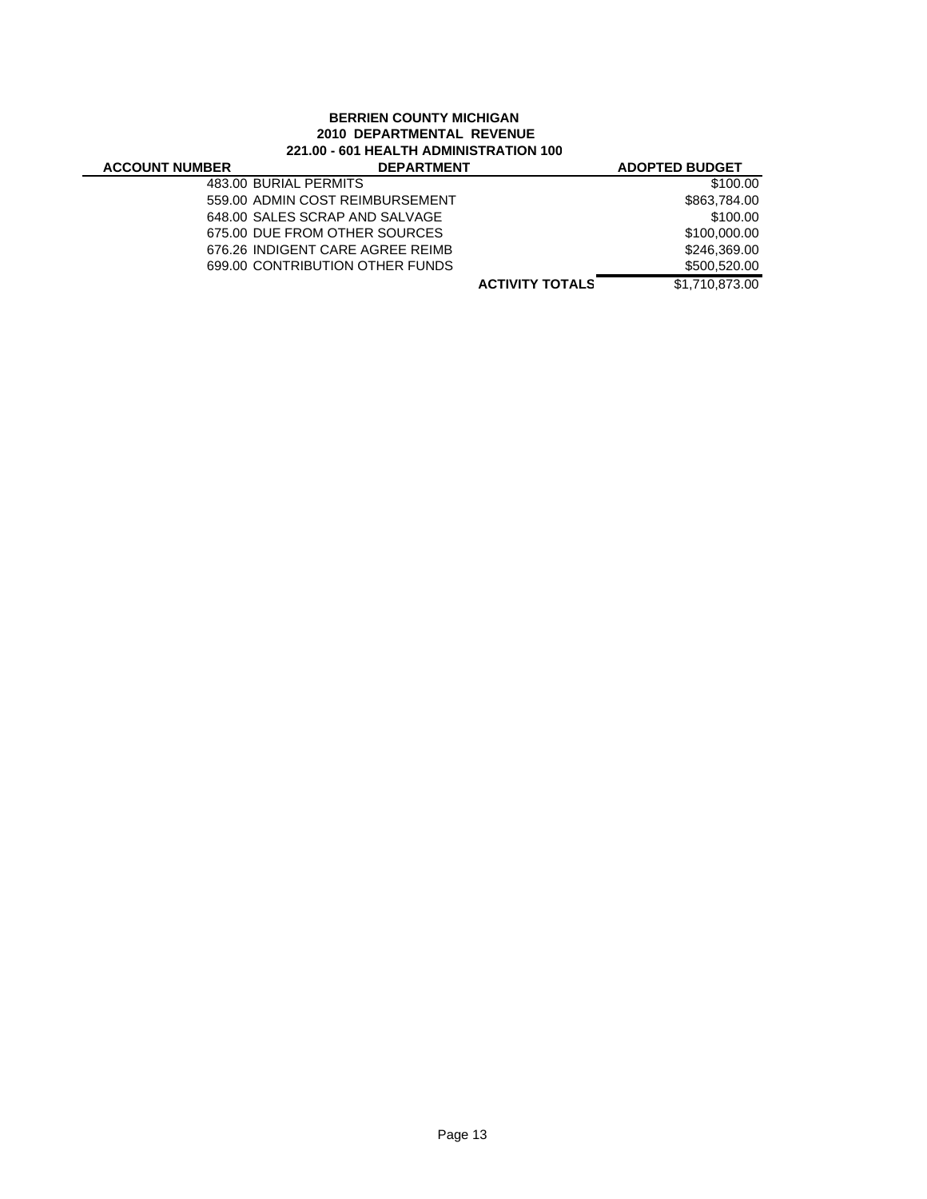# **BERRIEN COUNTY MICHIGAN 2010 DEPARTMENTAL REVENUE 221.00 - 601 HEALTH ADMINISTRATION 100**

| 221.00 - 601 HEALTH ADMINISTRATION 100 |                                  |                        |                       |
|----------------------------------------|----------------------------------|------------------------|-----------------------|
| <b>ACCOUNT NUMBER</b>                  | <b>DEPARTMENT</b>                |                        | <b>ADOPTED BUDGET</b> |
|                                        | 483.00 BURIAL PERMITS            |                        | \$100.00              |
|                                        | 559.00 ADMIN COST REIMBURSEMENT  |                        | \$863,784.00          |
|                                        | 648.00 SALES SCRAP AND SALVAGE   |                        | \$100.00              |
|                                        | 675.00 DUE FROM OTHER SOURCES    |                        | \$100,000,00          |
|                                        | 676.26 INDIGENT CARE AGREE REIMB |                        | \$246,369,00          |
|                                        | 699.00 CONTRIBUTION OTHER FUNDS  |                        | \$500,520.00          |
|                                        |                                  | <b>ACTIVITY TOTALS</b> | \$1,710,873.00        |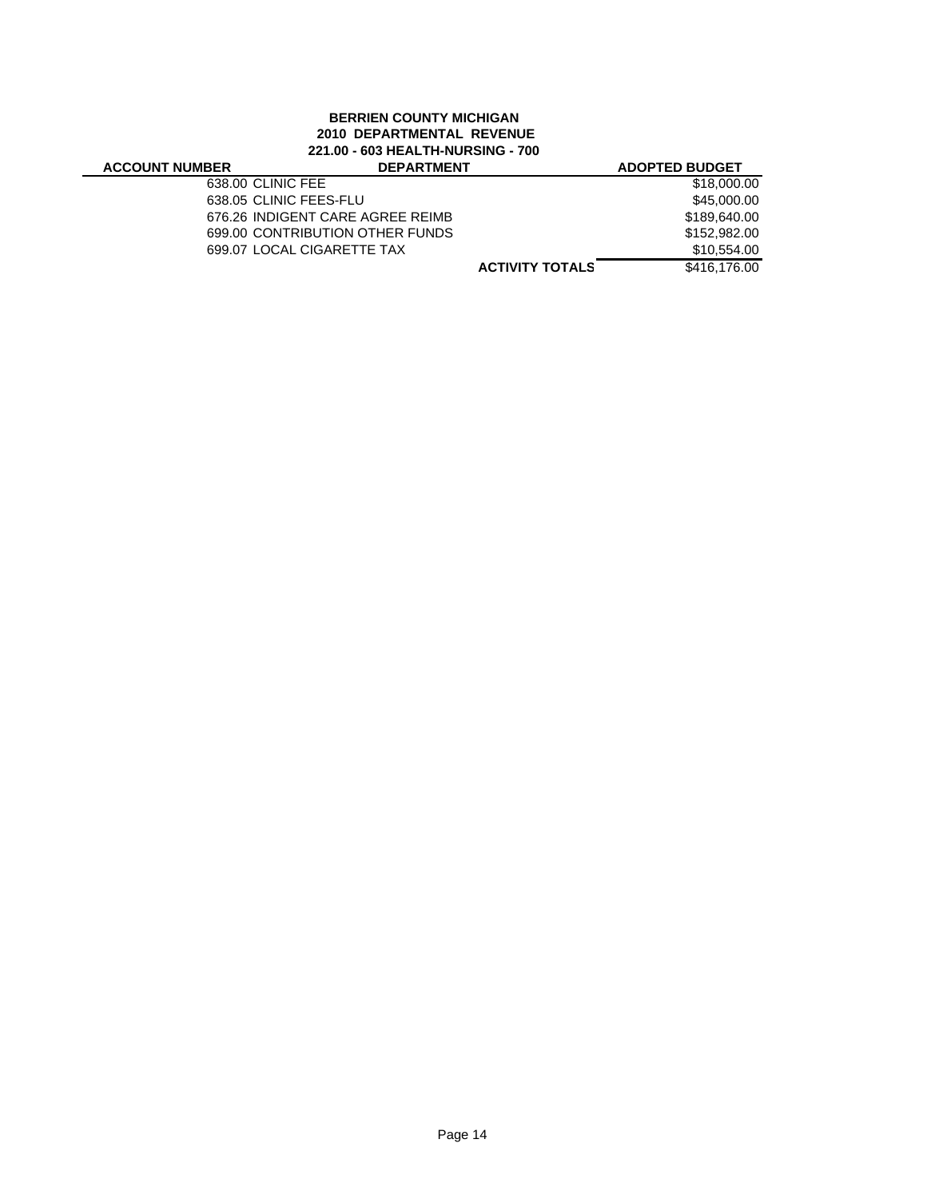## **BERRIEN COUNTY MICHIGAN 2010 DEPARTMENTAL REVENUE 221.00 - 603 HEALTH-NURSING - 700**

### **ACCOUNT NUM**

| BER | <b>DEPARTMENT</b>                | <b>ADOPTED BUDGET</b> |
|-----|----------------------------------|-----------------------|
|     | 638.00 CLINIC FEE                | \$18,000.00           |
|     | 638.05 CLINIC FEES-FLU           | \$45,000,00           |
|     | 676.26 INDIGENT CARE AGREE REIMB | \$189,640.00          |
|     | 699.00 CONTRIBUTION OTHER FUNDS  | \$152,982,00          |
|     | 699.07 LOCAL CIGARETTE TAX       | \$10,554.00           |
|     | <b>ACTIVITY TOTALS</b>           | \$416,176,00          |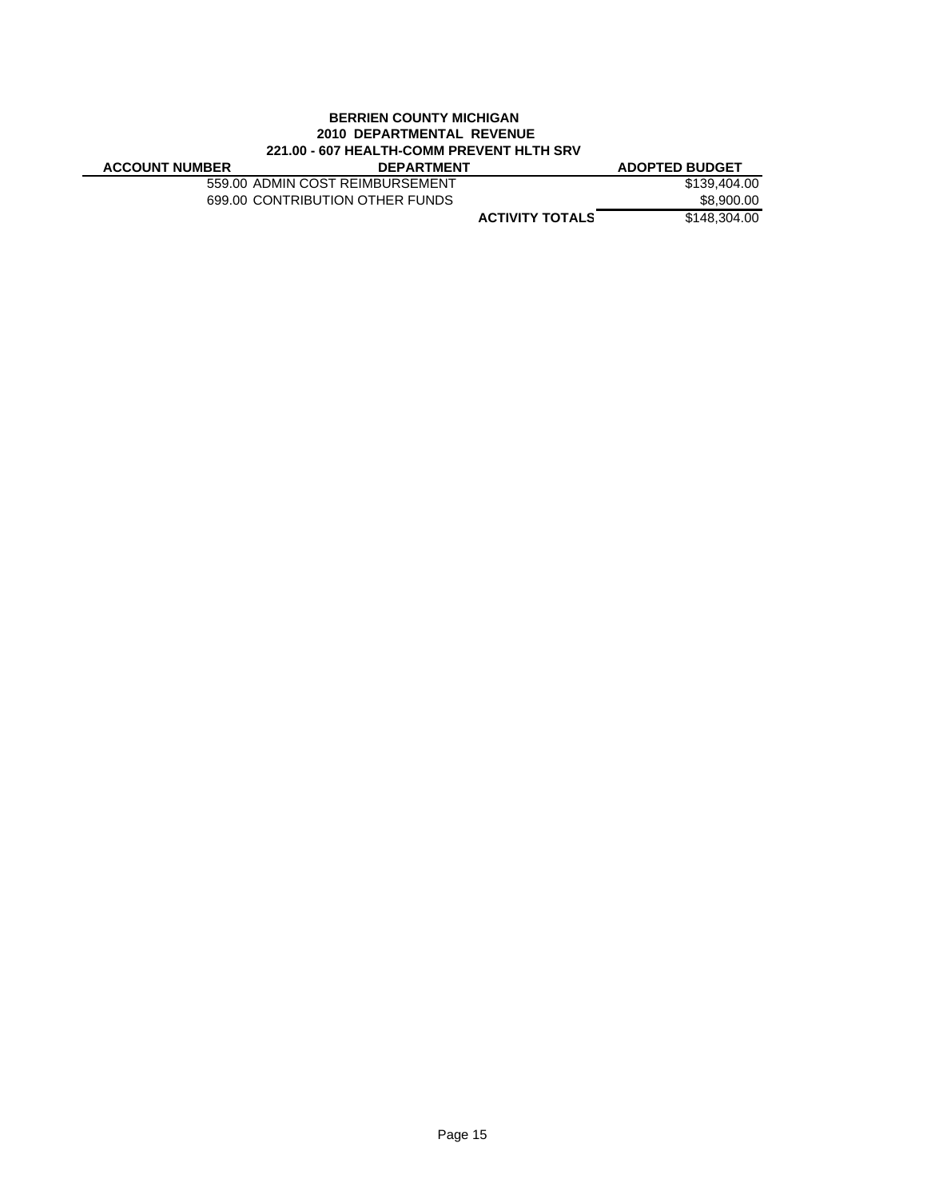### **BERRIEN COUNTY MICHIGAN 2010 DEPARTMENTAL REVENUE 221.00 - 607 HEALTH-COMM PREVENT HLTH SRV**

| <b>ACCOUNT NUMBER</b> | <b>DEPARTMENT</b>               |                        | <b>ADOPTED BUDGET</b> |
|-----------------------|---------------------------------|------------------------|-----------------------|
|                       | 559.00 ADMIN COST REIMBURSEMENT |                        | \$139,404.00          |
|                       | 699.00 CONTRIBUTION OTHER FUNDS |                        | \$8,900.00            |
|                       |                                 | <b>ACTIVITY TOTALS</b> | \$148,304.00          |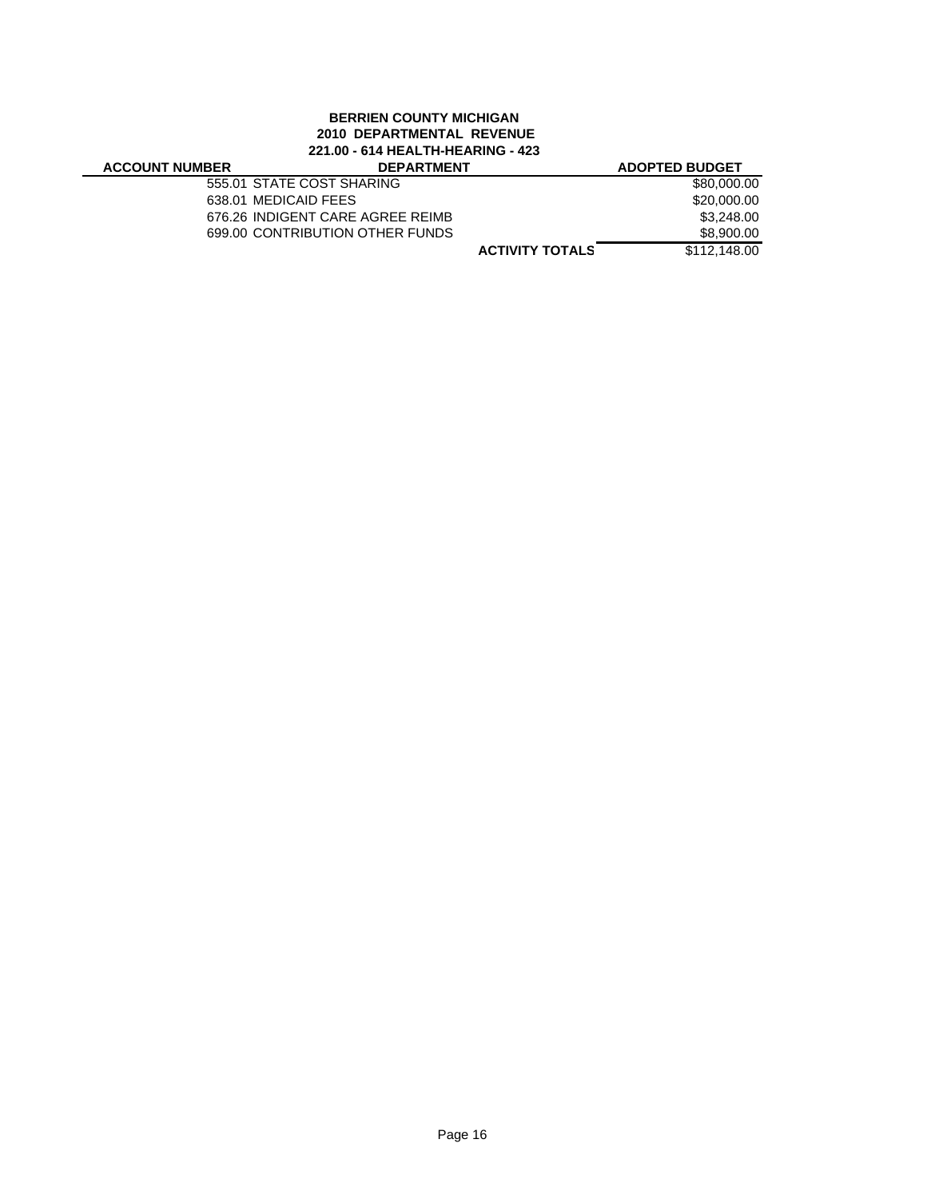# **BERRIEN COUNTY MICHIGAN 2010 DEPARTMENTAL REVENUE 221.00 - 614 HEALTH-HEARING - 423**

# **ACCOUNT NUME**

| BER | <b>DEPARTMENT</b>                |                        | <b>ADOPTED BUDGET</b> |
|-----|----------------------------------|------------------------|-----------------------|
|     | 555.01 STATE COST SHARING        |                        | \$80,000.00           |
|     | 638.01 MEDICAID FEES             |                        | \$20,000.00           |
|     | 676.26 INDIGENT CARE AGREE REIMB |                        | \$3,248.00            |
|     | 699.00 CONTRIBUTION OTHER FUNDS  |                        | \$8,900.00            |
|     |                                  | <b>ACTIVITY TOTALS</b> | \$112,148,00          |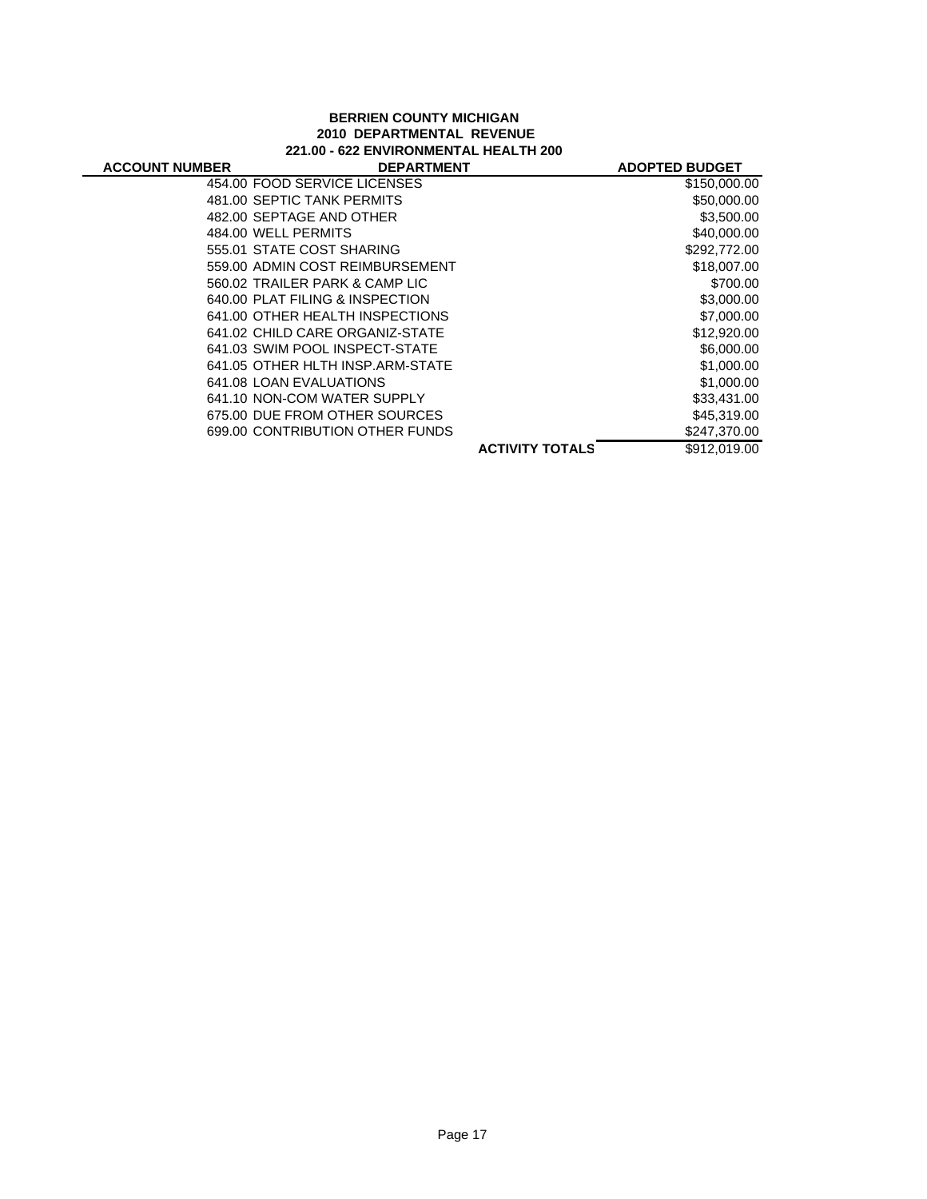### **BERRIEN COUNTY MICHIGAN 2010 DEPARTMENTAL REVENUE 221.00 - 622 ENVIRONMENTAL HEALTH 200**

| <b>ACCOUNT NUMBER</b> | <b>DEPARTMENT</b>                |                        | <b>ADOPTED BUDGET</b> |
|-----------------------|----------------------------------|------------------------|-----------------------|
|                       | 454.00 FOOD SERVICE LICENSES     |                        | \$150,000.00          |
|                       | 481.00 SEPTIC TANK PERMITS       |                        | \$50,000.00           |
|                       | 482.00 SEPTAGE AND OTHER         |                        | \$3,500.00            |
|                       | 484.00 WELL PERMITS              |                        | \$40,000.00           |
|                       | 555.01 STATE COST SHARING        |                        | \$292,772.00          |
|                       | 559.00 ADMIN COST REIMBURSEMENT  |                        | \$18,007.00           |
|                       | 560.02 TRAILER PARK & CAMP LIC   |                        | \$700.00              |
|                       | 640.00 PLAT FILING & INSPECTION  |                        | \$3,000.00            |
|                       | 641.00 OTHER HEALTH INSPECTIONS  |                        | \$7,000.00            |
|                       | 641.02 CHILD CARE ORGANIZ-STATE  |                        | \$12,920.00           |
|                       | 641.03 SWIM POOL INSPECT-STATE   |                        | \$6,000.00            |
|                       | 641.05 OTHER HLTH INSP.ARM-STATE |                        | \$1,000.00            |
|                       | 641.08 LOAN EVALUATIONS          |                        | \$1,000.00            |
|                       | 641.10 NON-COM WATER SUPPLY      |                        | \$33,431.00           |
|                       | 675.00 DUE FROM OTHER SOURCES    |                        | \$45,319.00           |
|                       | 699.00 CONTRIBUTION OTHER FUNDS  |                        | \$247,370.00          |
|                       |                                  | <b>ACTIVITY TOTALS</b> | \$912.019.00          |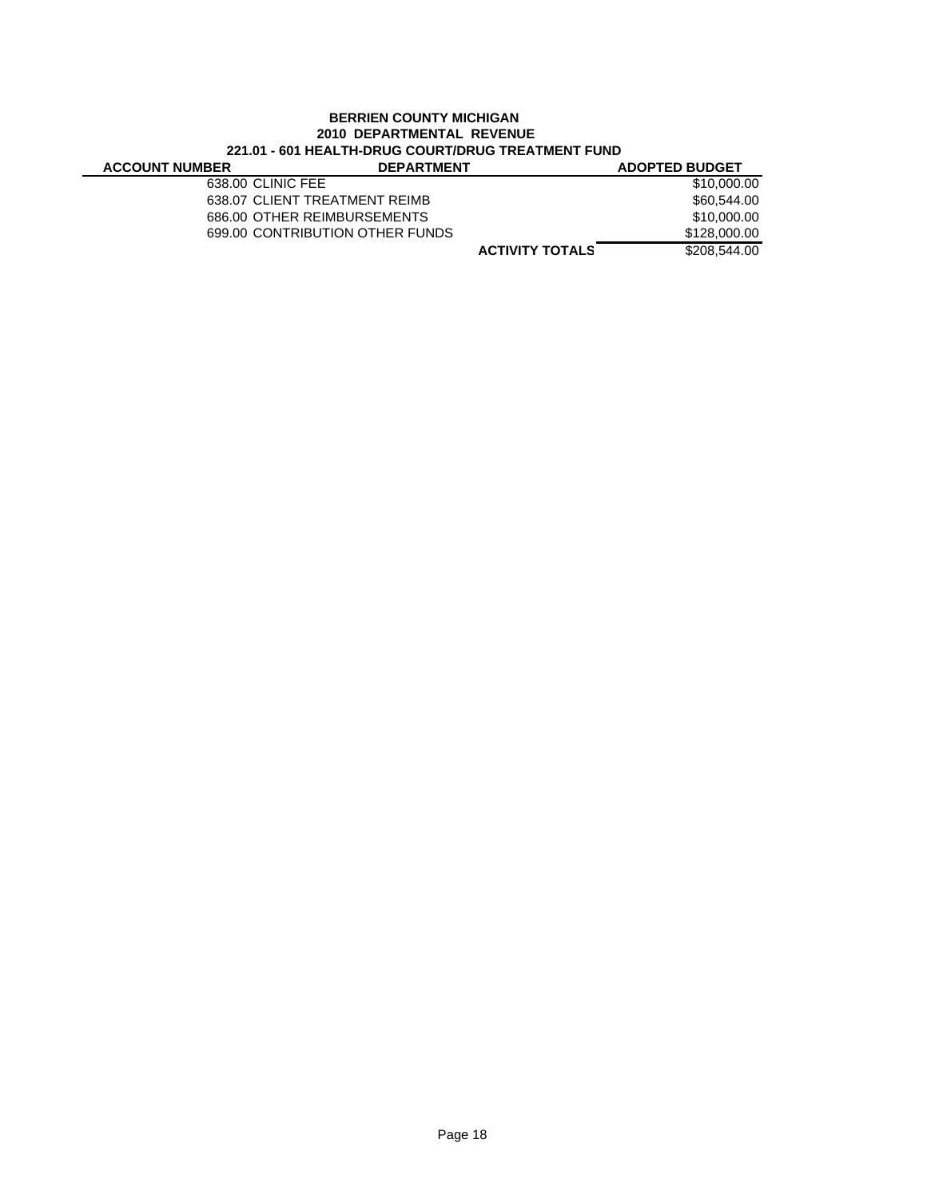## **BERRIEN COUNTY MICHIGAN 2010 DEPARTMENTAL REVENUE 221.01 - 601 HEALTH-DRUG COURT/DRUG TREATMENT FUND**

| <b>ACCOUNT NUMBER</b> | <b>DEPARTMENT</b>               |                        | <b>ADOPTED BUDGET</b> |
|-----------------------|---------------------------------|------------------------|-----------------------|
|                       | 638.00 CLINIC FEE               |                        | \$10,000.00           |
|                       | 638.07 CLIENT TREATMENT REIMB   |                        | \$60,544,00           |
|                       | 686.00 OTHER REIMBURSEMENTS     |                        | \$10,000,00           |
|                       | 699.00 CONTRIBUTION OTHER FUNDS |                        | \$128,000.00          |
|                       |                                 | <b>ACTIVITY TOTALS</b> | \$208,544,00          |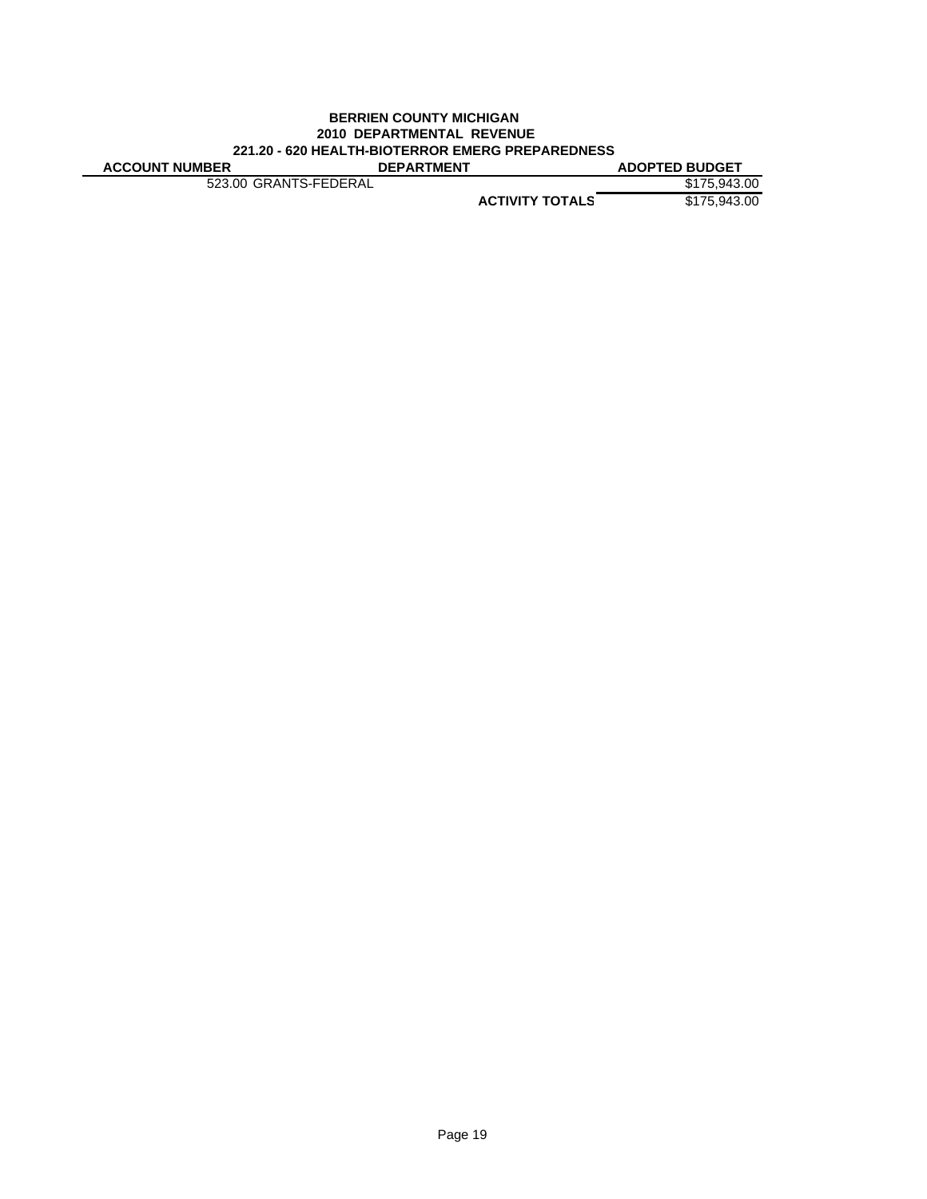# **BERRIEN COUNTY MICHIGAN 2010 DEPARTMENTAL REVENUE 221.20 - 620 HEALTH-BIOTERROR EMERG PREPAREDNESS**

**ACTIVITY TOTALS** \$175,943.00 **ACCOUNT NUMBER DEPARTMENT** 523.00 GRANTS-FEDERAL \$175,943.00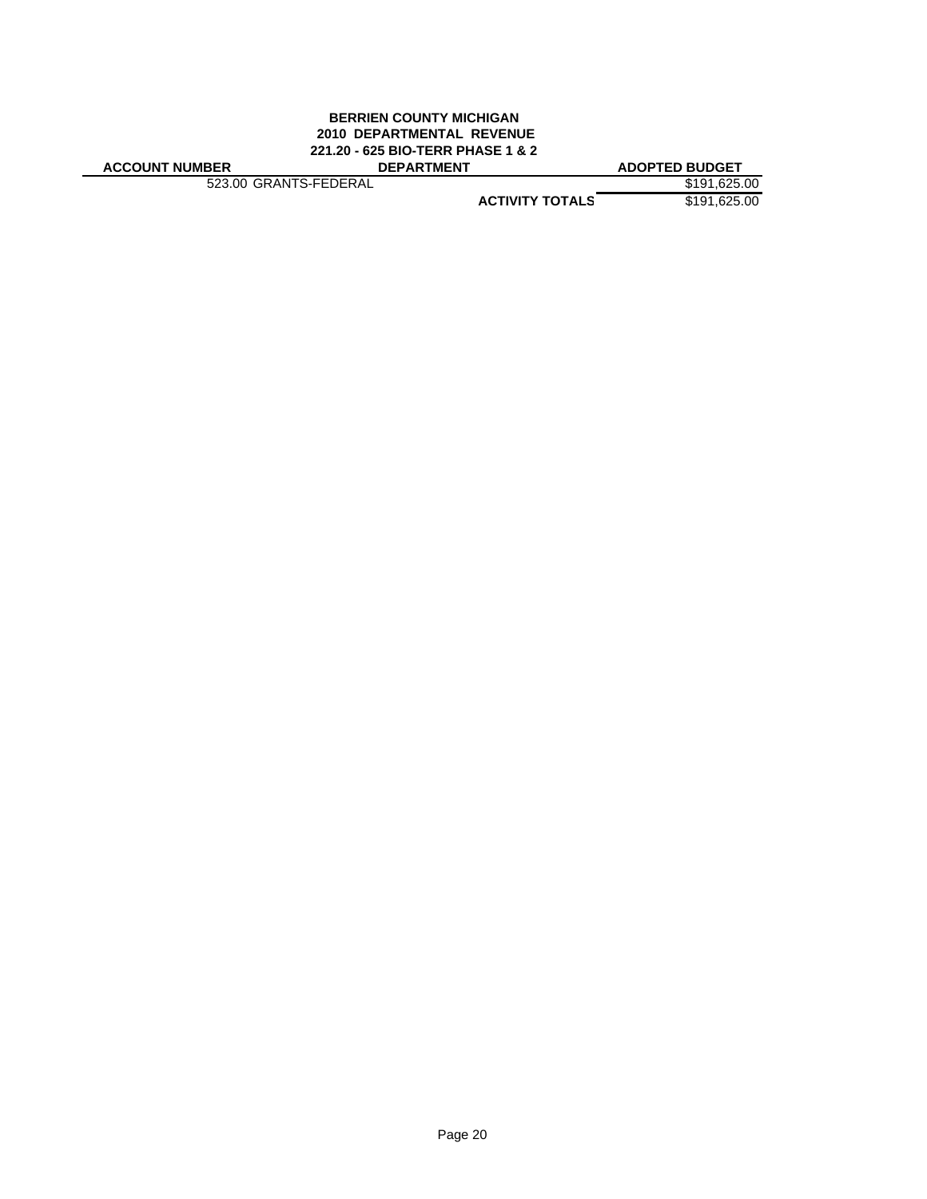#### **BERRIEN COUNTY MICHIGAN 2010 DEPARTMENTAL REVENUE 221.20 - 625 BIO-TERR PHASE 1 & 2 ACCOUNT NUMBER DEPARTMENT ADOPTED BUDGET**

523.00 GRANTS-FEDERAL \$191,625.00

**ACTIVITY TOTALS** \$191,625.00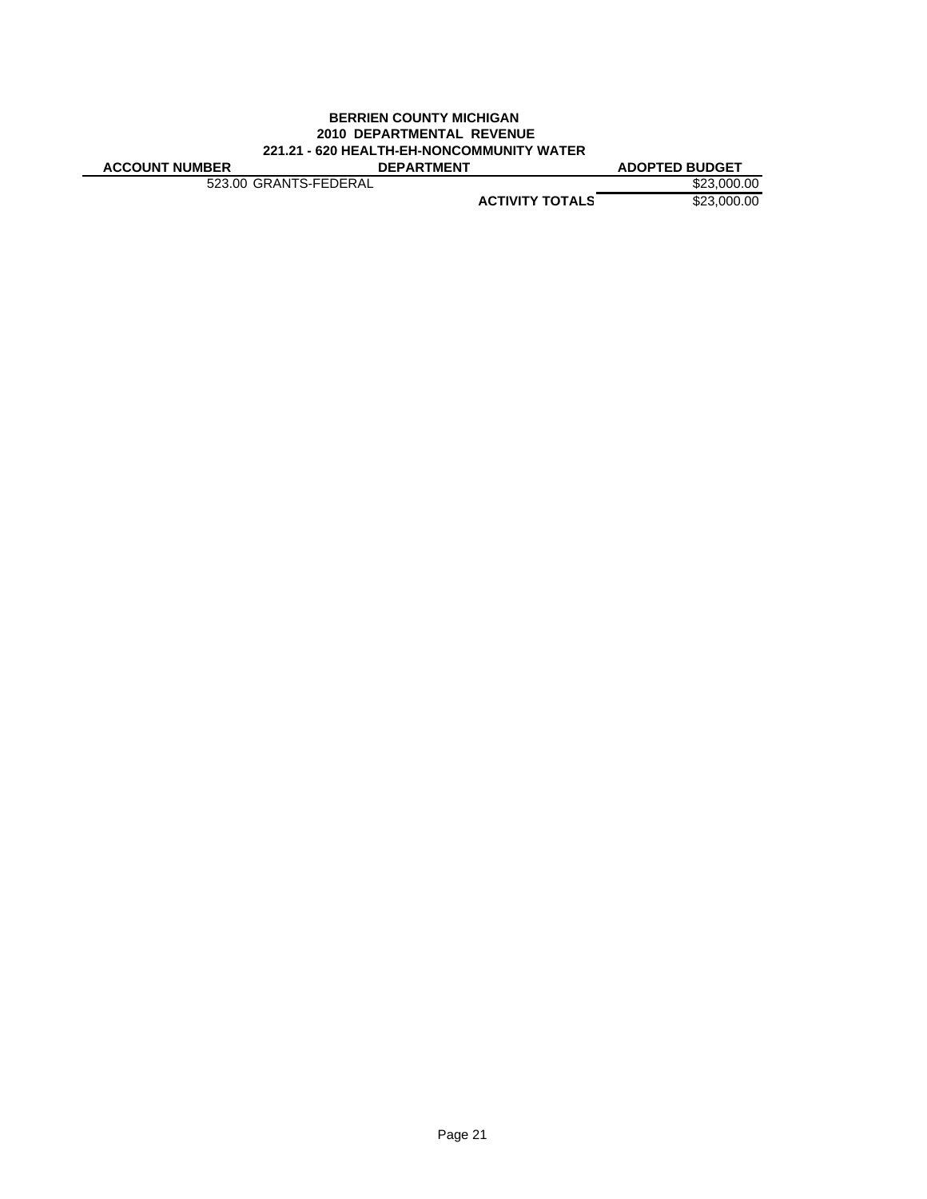#### **BERRIEN COUNTY MICHIGAN 2010 DEPARTMENTAL REVENUE 221.21 - 620 HEALTH-EH-NONCOMMUNITY WATER ACCOUNT NUMBER DEPARTMENT ADOPTED BUDGET**

523.00 GRANTS-FEDERAL \$23,000.00

**ACTIVITY TOTALS** \$23,000.00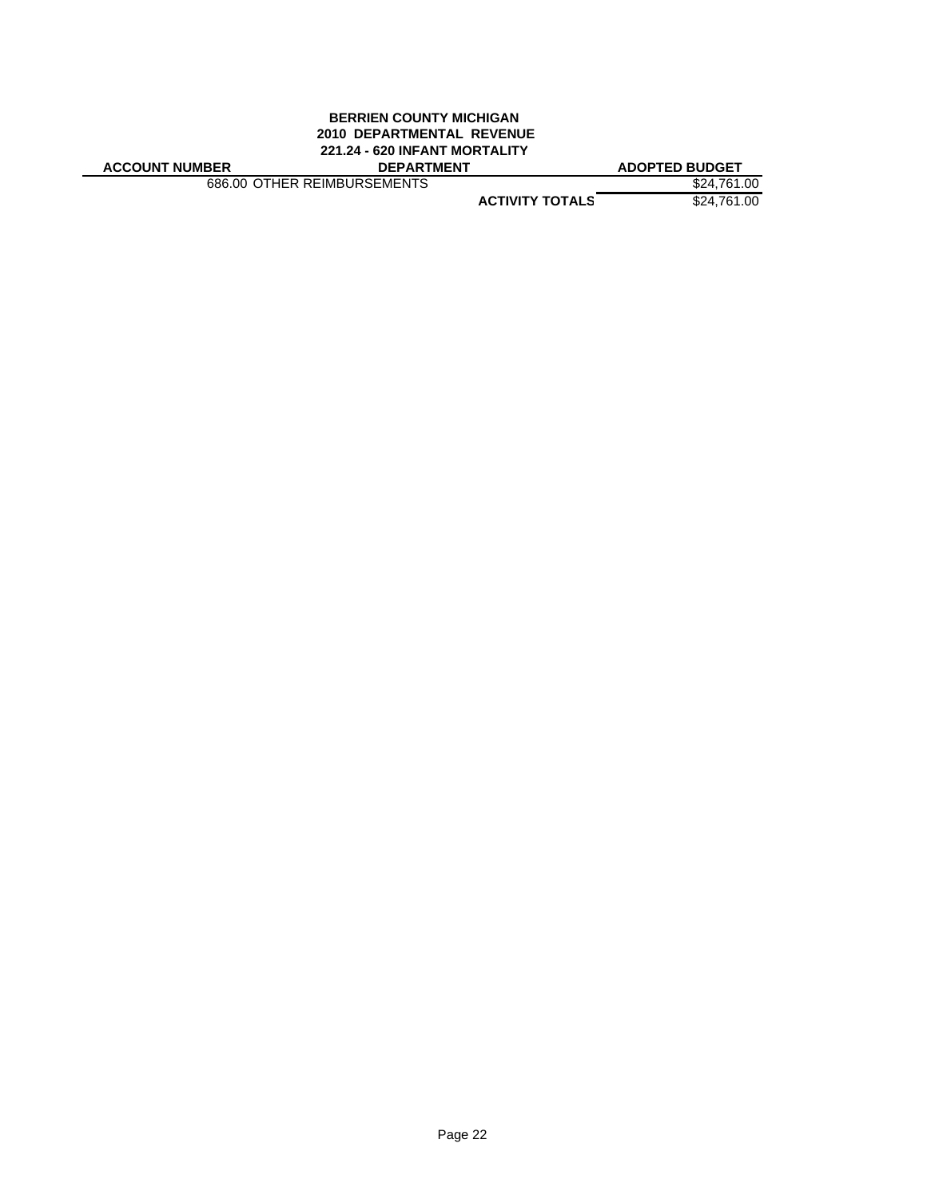# **BERRIEN COUNTY MICHIGAN 2010 DEPARTMENTAL REVENUE 221.24 - 620 INFANT MORTALITY**

| <b>ACCOUNT NUMBER</b> |
|-----------------------|
|-----------------------|

686.00 OTHER REIMBURSEMENTS

**ADOPTED BUDGET**<br>
\$24,761.00<br>
\$24,761.00

**ACTIVITY TOTALS** \$24,761.00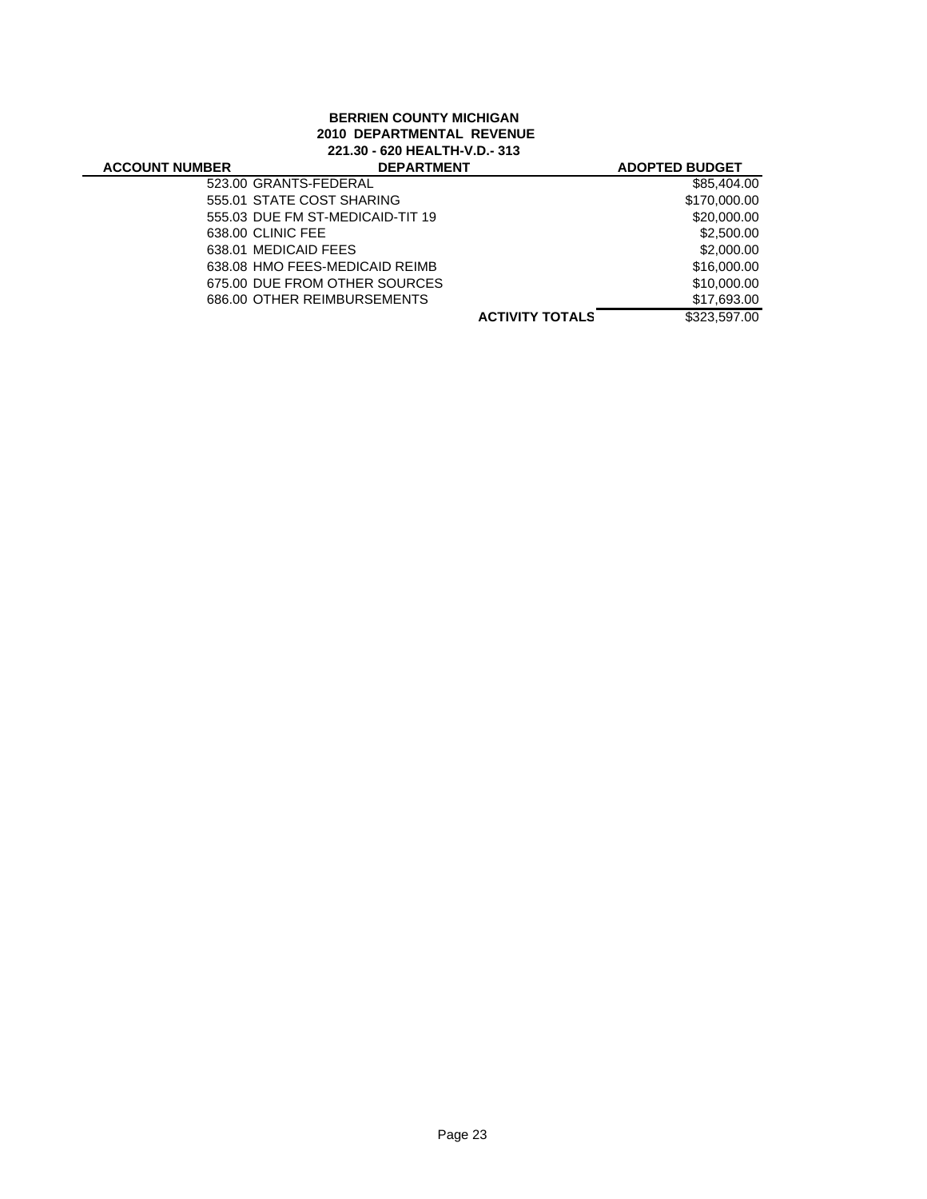# **BERRIEN COUNTY MICHIGAN 2010 DEPARTMENTAL REVENUE 221.30 - 620 HEALTH-V.D.- 313**

| <b>ACCOUNT NUMBER</b> | <b>DEPARTMENT</b>                |                        | <b>ADOPTED BUDGET</b> |
|-----------------------|----------------------------------|------------------------|-----------------------|
|                       | 523.00 GRANTS-FEDERAL            |                        | \$85,404.00           |
|                       | 555.01 STATE COST SHARING        |                        | \$170,000.00          |
|                       | 555.03 DUE FM ST-MEDICAID-TIT 19 |                        | \$20,000.00           |
|                       | 638.00 CLINIC FEE                |                        | \$2,500.00            |
|                       | 638.01 MEDICAID FEES             |                        | \$2,000.00            |
|                       | 638.08 HMO FEES-MEDICAID REIMB   |                        | \$16,000.00           |
|                       | 675.00 DUE FROM OTHER SOURCES    |                        | \$10,000.00           |
|                       | 686.00 OTHER REIMBURSEMENTS      |                        | \$17,693.00           |
|                       |                                  | <b>ACTIVITY TOTALS</b> | \$323,597.00          |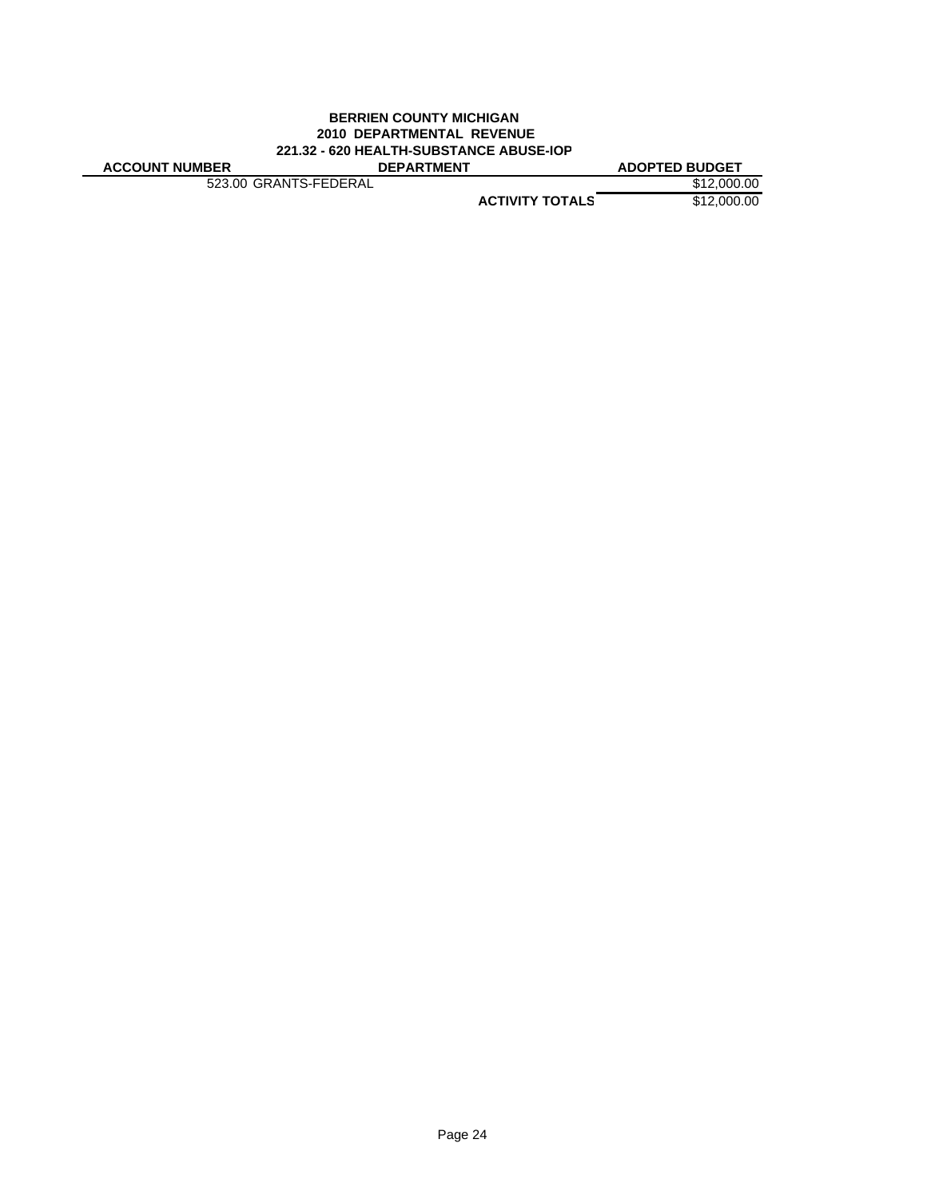#### **BERRIEN COUNTY MICHIGAN 2010 DEPARTMENTAL REVENUE 221.32 - 620 HEALTH-SUBSTANCE ABUSE-IOP ACCOUNT NUMBER DEPARTMENT ADOPTED BUDGET**

523.00 GRANTS-FEDERAL \$12,000.00

**ACTIVITY TOTALS** \$12,000.00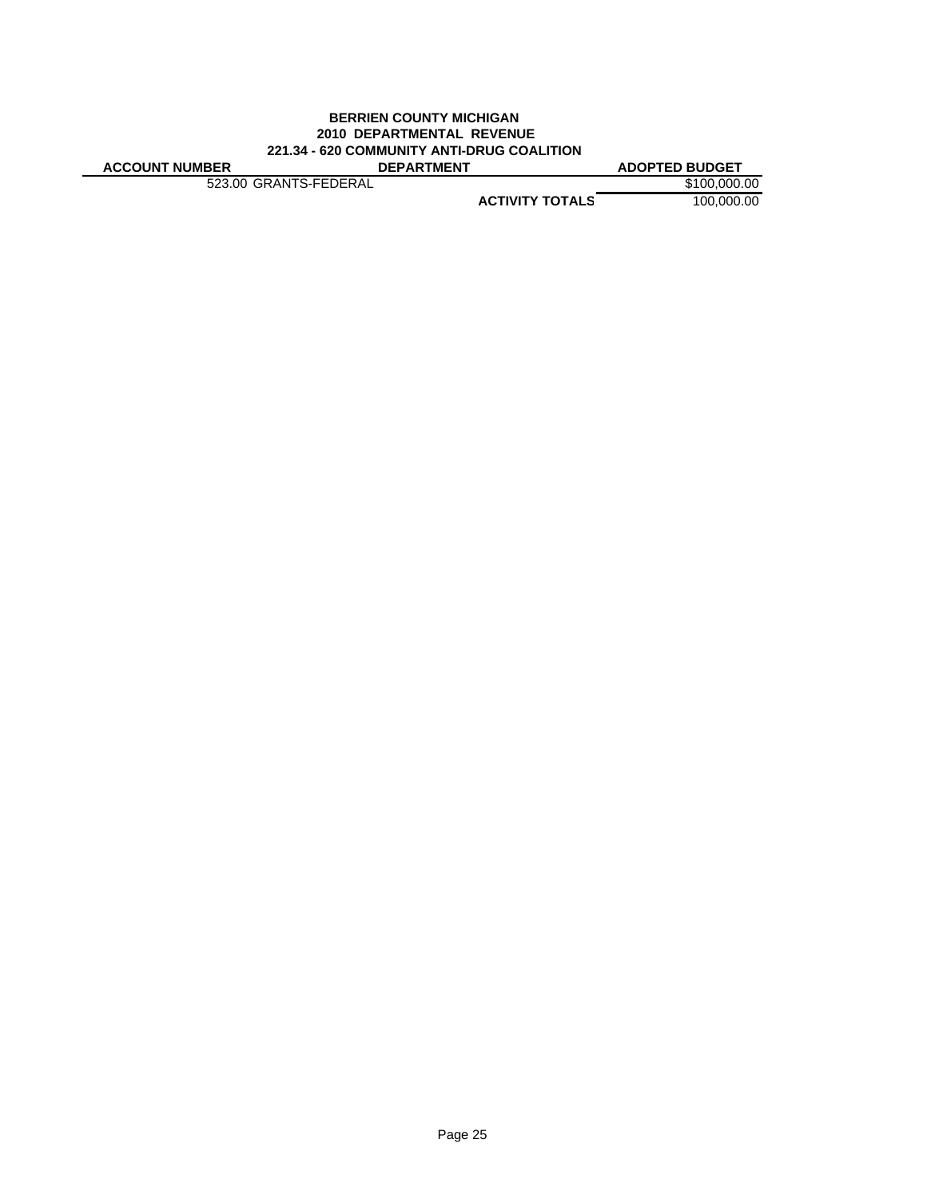#### **BERRIEN COUNTY MICHIGAN 2010 DEPARTMENTAL REVENUE 221.34 - 620 COMMUNITY ANTI-DRUG COALITION ACCOUNT NUMBER DEPARTMENT ADOPTED BUDGET**

523.00 GRANTS-FEDERAL \$100,000.00

**ACTIVITY TOTALS** 100,000.00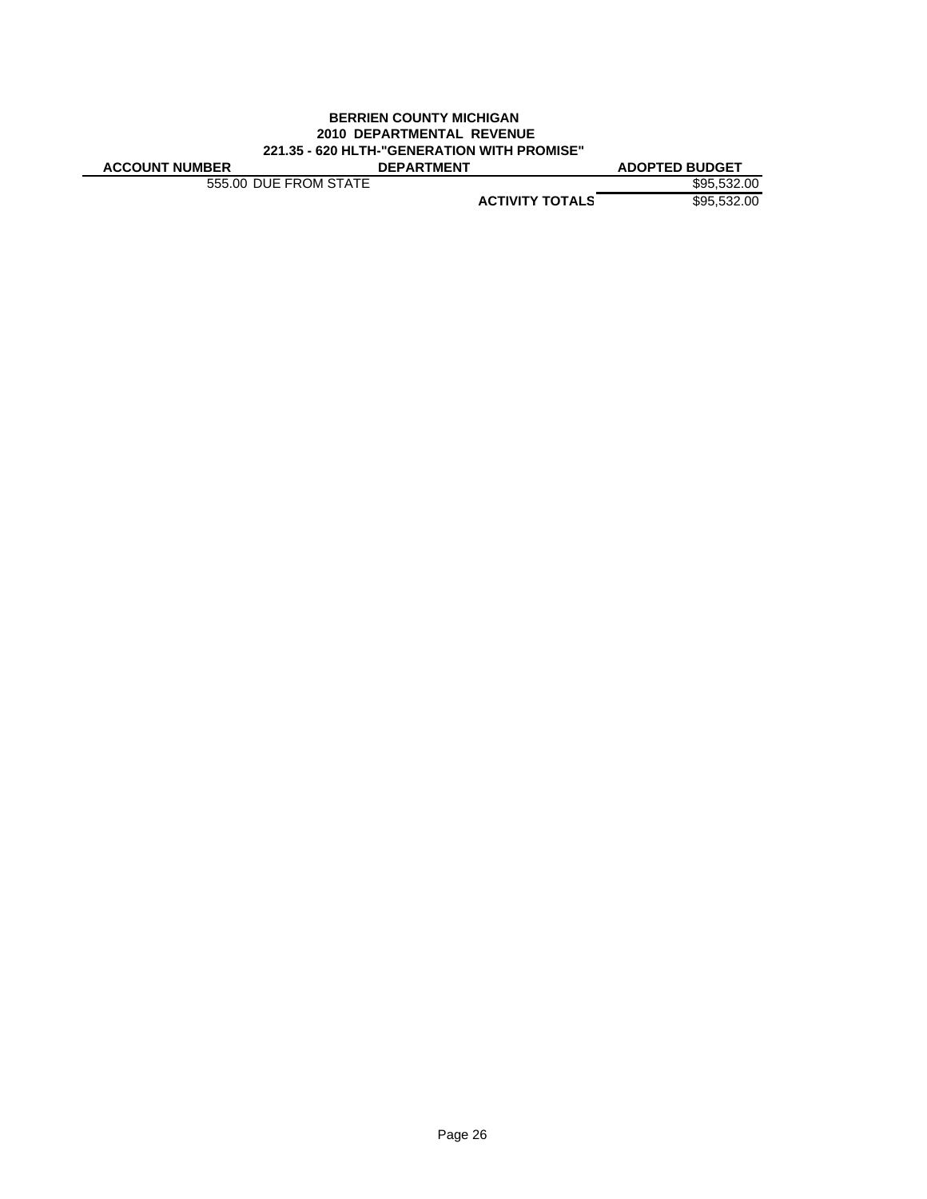#### **BERRIEN COUNTY MICHIGAN 2010 DEPARTMENTAL REVENUE 221.35 - 620 HLTH-"GENERATION WITH PROMISE" ACCOUNT NUMBER DEPARTMENT ADOPTED BUDGET**

555.00 DUE FROM STATE \$95,532.00

**ACTIVITY TOTALS** \$95,532.00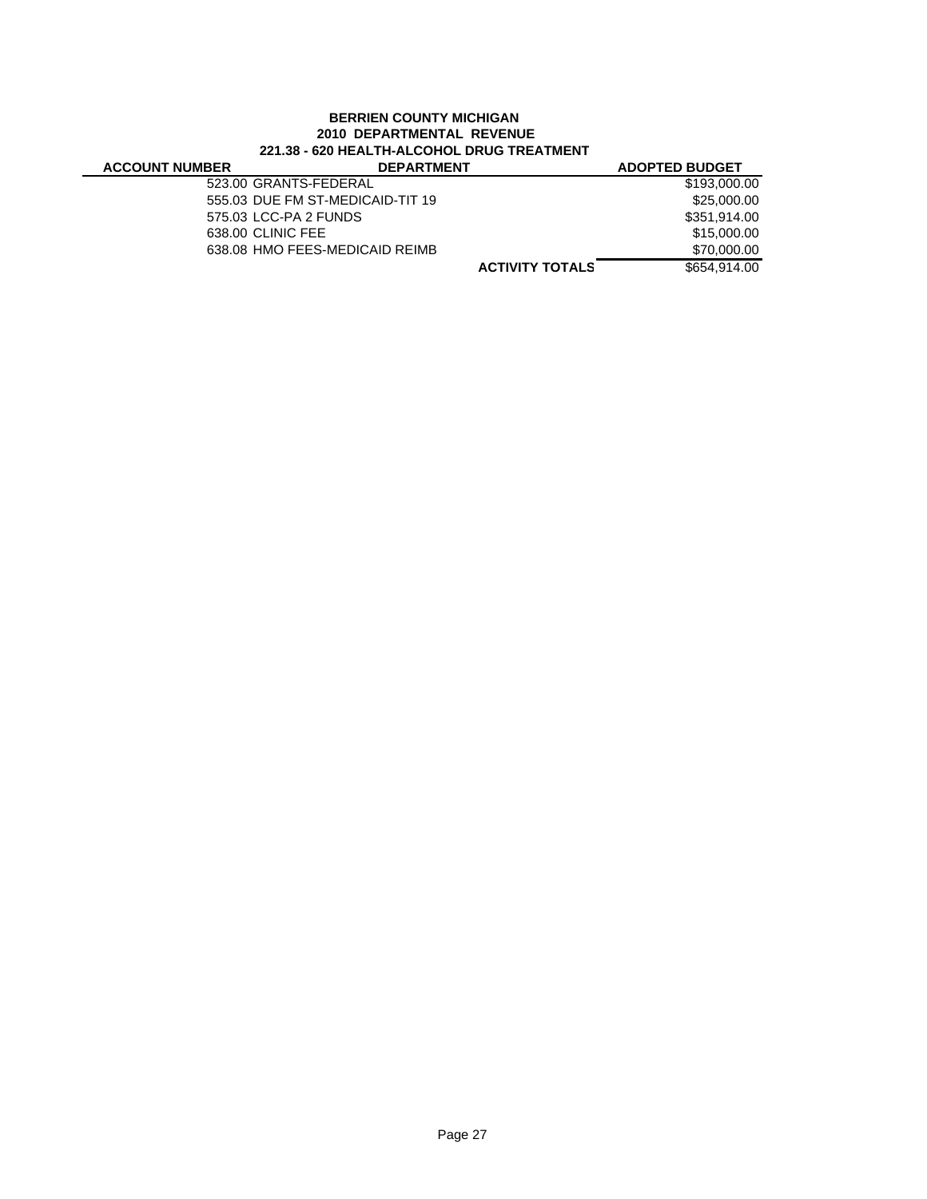## **BERRIEN COUNTY MICHIGAN 2010 DEPARTMENTAL REVENUE 221.38 - 620 HEALTH-ALCOHOL DRUG TREATMENT**

| <b>ACCOUNT NUMBER</b> | <b>DEPARTMENT</b>                | <b>ADOPTED BUDGET</b> |
|-----------------------|----------------------------------|-----------------------|
|                       | 523.00 GRANTS-FEDERAL            | \$193,000.00          |
|                       | 555.03 DUE FM ST-MEDICAID-TIT 19 | \$25,000.00           |
|                       | 575.03 LCC-PA 2 FUNDS            | \$351.914.00          |
|                       | 638.00 CLINIC FEE                | \$15,000.00           |
|                       | 638.08 HMO FEES-MEDICAID REIMB   | \$70,000.00           |
|                       | <b>ACTIVITY TOTALS</b>           | \$654.914.00          |
|                       |                                  |                       |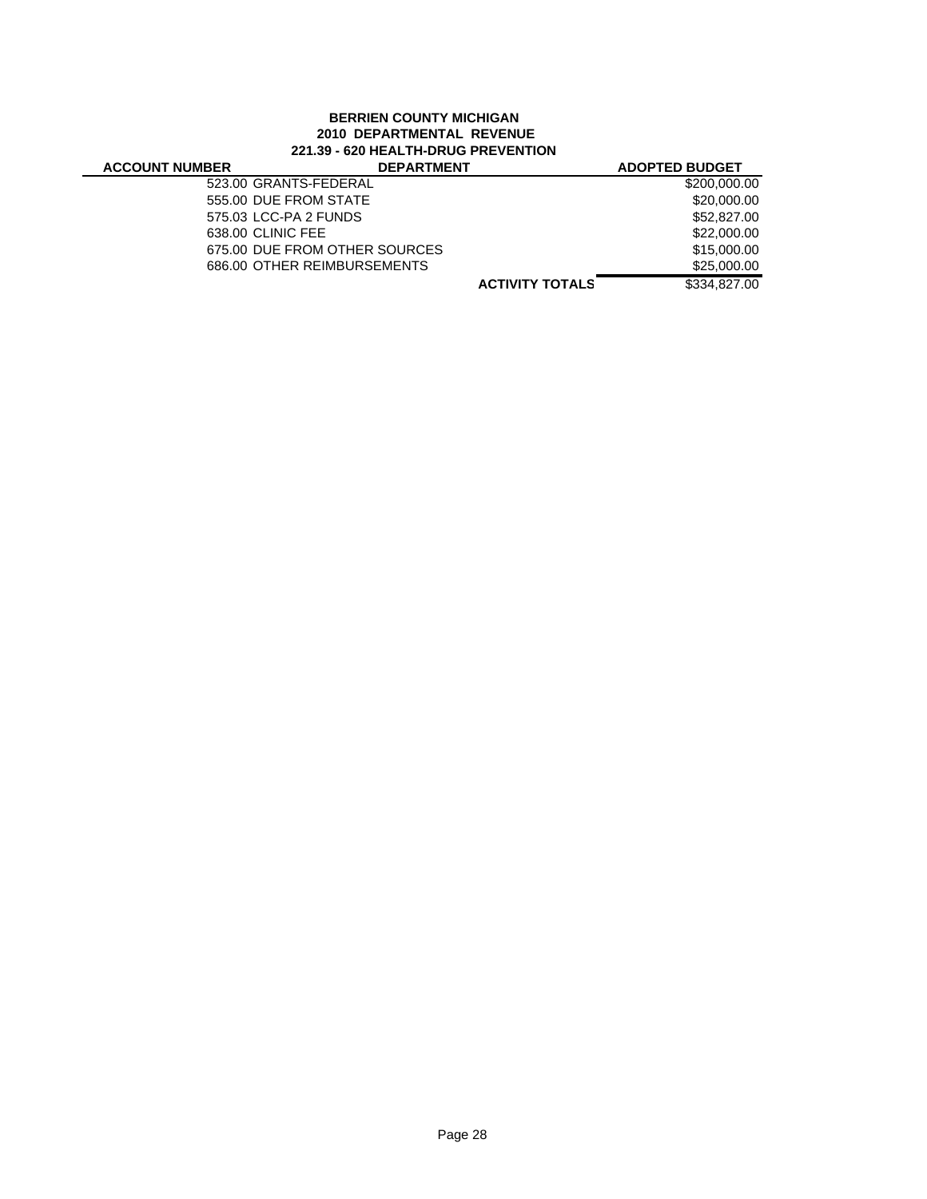## **BERRIEN COUNTY MICHIGAN 2010 DEPARTMENTAL REVENUE 221.39 - 620 HEALTH-DRUG PREVENTION**

#### **ACTIVITY TOTALS** \$334,827.00 **ACCOUNT NUMBER DEPARTMENT ADOPTED BUDGET** 523.00 GRANTS-FEDERAL \$200,000.00 555.00 DUE FROM STATE \$20,000.00 575.03 LCC-PA 2 FUNDS \$52,827.00 638.00 CLINIC FEE \$22,000.00 675.00 DUE FROM OTHER SOURCES<br>686.00 OTHER REIMBURSEMENTS 686.00 \$25,000.00 686.00 OTHER REIMBURSEMENTS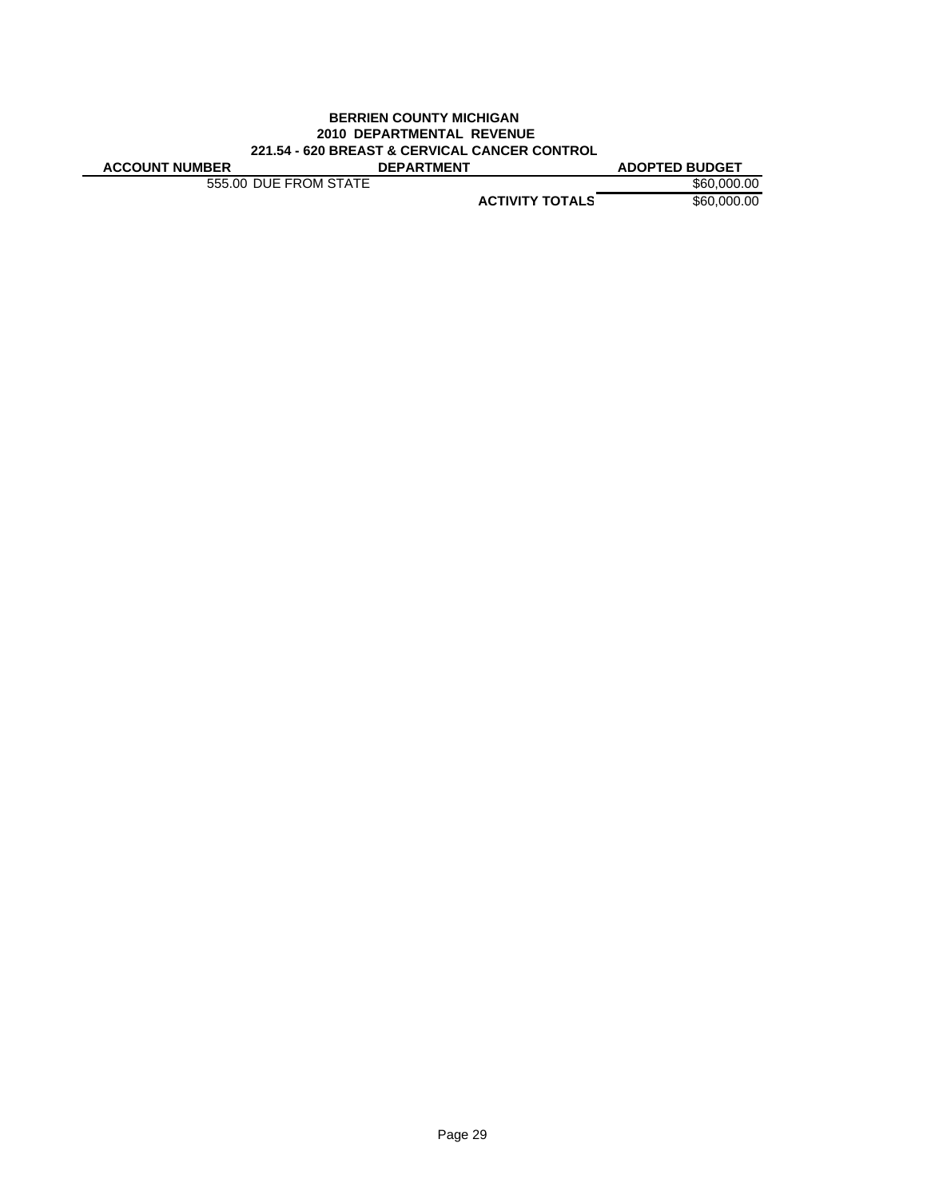#### **BERRIEN COUNTY MICHIGAN 2010 DEPARTMENTAL REVENUE 221.54 - 620 BREAST & CERVICAL CANCER CONTROL ACCOUNT NUMBER DEPARTMENT ADOPTED BUDGET**

555.00 DUE FROM STATE \$60,000.00

**ACTIVITY TOTALS** \$60,000.00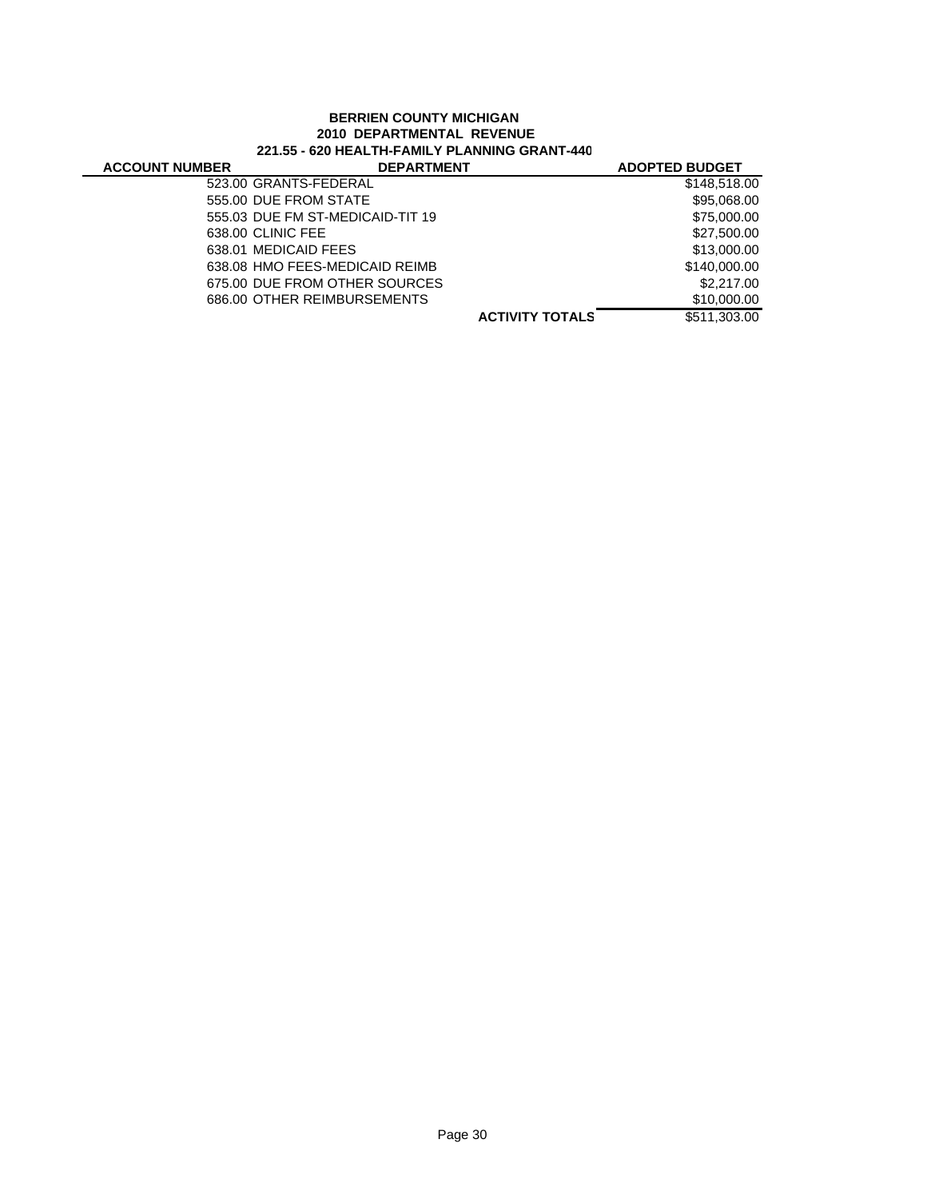### **BERRIEN COUNTY MICHIGAN 2010 DEPARTMENTAL REVENUE 221.55 - 620 HEALTH-FAMILY PLANNING GRANT-440**

| <b>ACCOUNT NUMBER</b> | <b>DEPARTMENT</b>                |                        | <b>ADOPTED BUDGET</b> |
|-----------------------|----------------------------------|------------------------|-----------------------|
|                       | 523.00 GRANTS-FEDERAL            |                        | \$148,518.00          |
|                       | 555.00 DUE FROM STATE            |                        | \$95,068.00           |
|                       | 555.03 DUE FM ST-MEDICAID-TIT 19 |                        | \$75,000.00           |
|                       | 638.00 CLINIC FEE                |                        | \$27,500.00           |
|                       | 638.01 MEDICAID FEES             |                        | \$13,000.00           |
|                       | 638.08 HMO FEES-MEDICAID REIMB   |                        | \$140,000,00          |
|                       | 675.00 DUE FROM OTHER SOURCES    |                        | \$2,217.00            |
|                       | 686.00 OTHER REIMBURSEMENTS      |                        | \$10,000.00           |
|                       |                                  | <b>ACTIVITY TOTALS</b> | \$511,303,00          |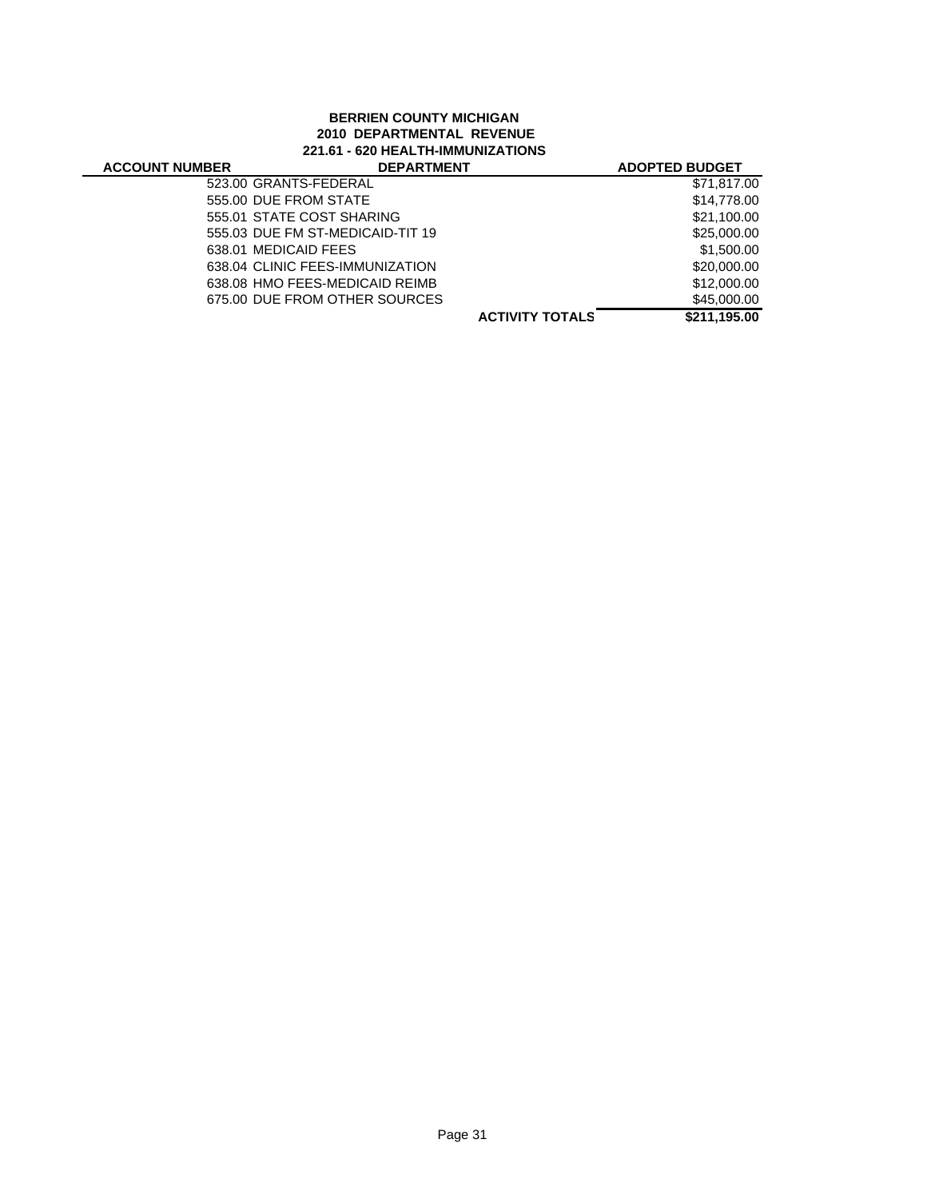## **BERRIEN COUNTY MICHIGAN 2010 DEPARTMENTAL REVENUE 221.61 - 620 HEALTH-IMMUNIZATIONS**

| <b>ACCOUNT NUMBER</b> | <b>DEPARTMENT</b>                |                        | <b>ADOPTED BUDGET</b> |
|-----------------------|----------------------------------|------------------------|-----------------------|
|                       | 523.00 GRANTS-FEDERAL            |                        | \$71,817.00           |
|                       | 555.00 DUE FROM STATE            |                        | \$14,778.00           |
|                       | 555.01 STATE COST SHARING        |                        | \$21,100.00           |
|                       | 555.03 DUE FM ST-MEDICAID-TIT 19 |                        | \$25,000.00           |
|                       | 638.01 MEDICAID FEES             |                        | \$1,500.00            |
|                       | 638.04 CLINIC FEES-IMMUNIZATION  |                        | \$20,000.00           |
|                       | 638.08 HMO FEES-MEDICAID REIMB   |                        | \$12,000.00           |
|                       | 675.00 DUE FROM OTHER SOURCES    |                        | \$45,000.00           |
|                       |                                  | <b>ACTIVITY TOTALS</b> | \$211.195.00          |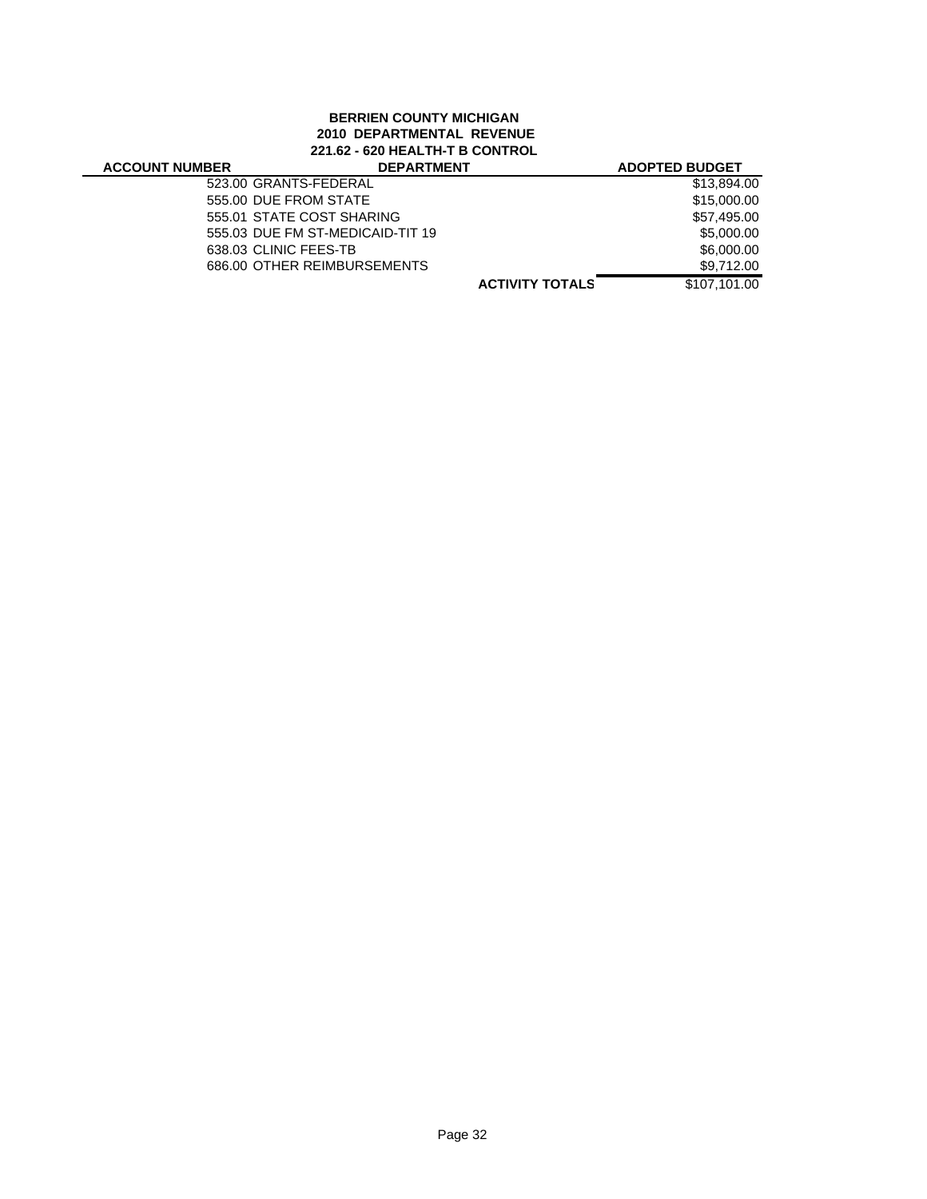# **BERRIEN COUNTY MICHIGAN 2010 DEPARTMENTAL REVENUE 221.62 - 620 HEALTH-T B CONTROL**

# **ACCOUNT NU**

| <b>JMBER</b> | <b>DEPARTMENT</b>                | <b>ADOPTED BUDGET</b> |
|--------------|----------------------------------|-----------------------|
|              | 523.00 GRANTS-FEDERAL            | \$13,894.00           |
|              | 555.00 DUE FROM STATE            | \$15,000.00           |
|              | 555.01 STATE COST SHARING        | \$57,495.00           |
|              | 555.03 DUE FM ST-MEDICAID-TIT 19 | \$5,000.00            |
|              | 638.03 CLINIC FEES-TB            | \$6,000.00            |
|              | 686.00 OTHER REIMBURSEMENTS      | \$9,712.00            |
|              | <b>ACTIVITY TOTALS</b>           | \$107.101.00          |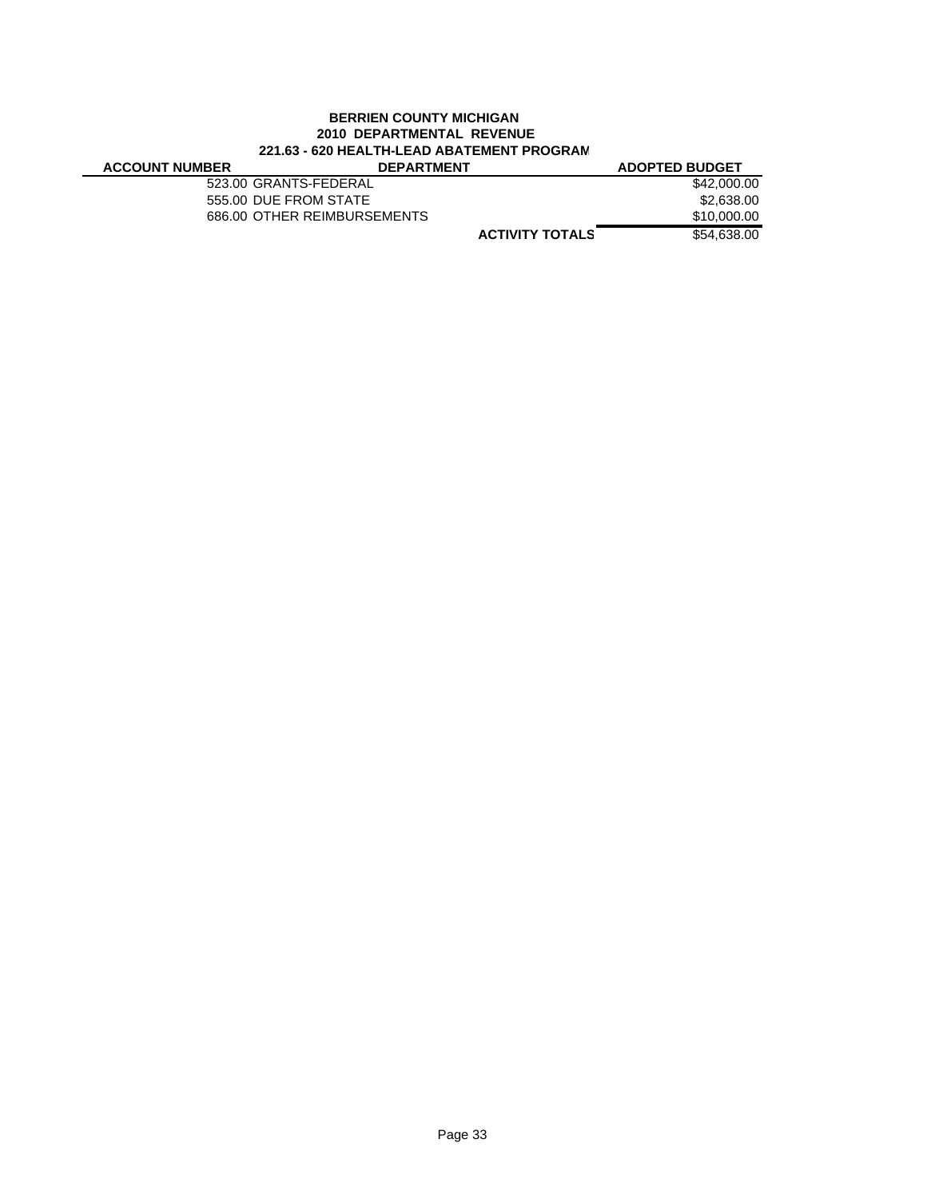### **BERRIEN COUNTY MICHIGAN 2010 DEPARTMENTAL REVENUE 221.63 - 620 HEALTH-LEAD ABATEMENT PROGRAM**

| <b>ACCOUNT NUMBER</b> |  |
|-----------------------|--|
|                       |  |

**ACCOUNT NUMBER DEPARTMENT ADOPTED BUDGET** 523.00 GRANTS-FEDERAL \$42,000.00

555.00 DUE FROM STATE \$2,638.00 686.00 OTHER REIMBURSEMENTS \$10,000.00

**ACTIVITY TOTALS** \$54,638.00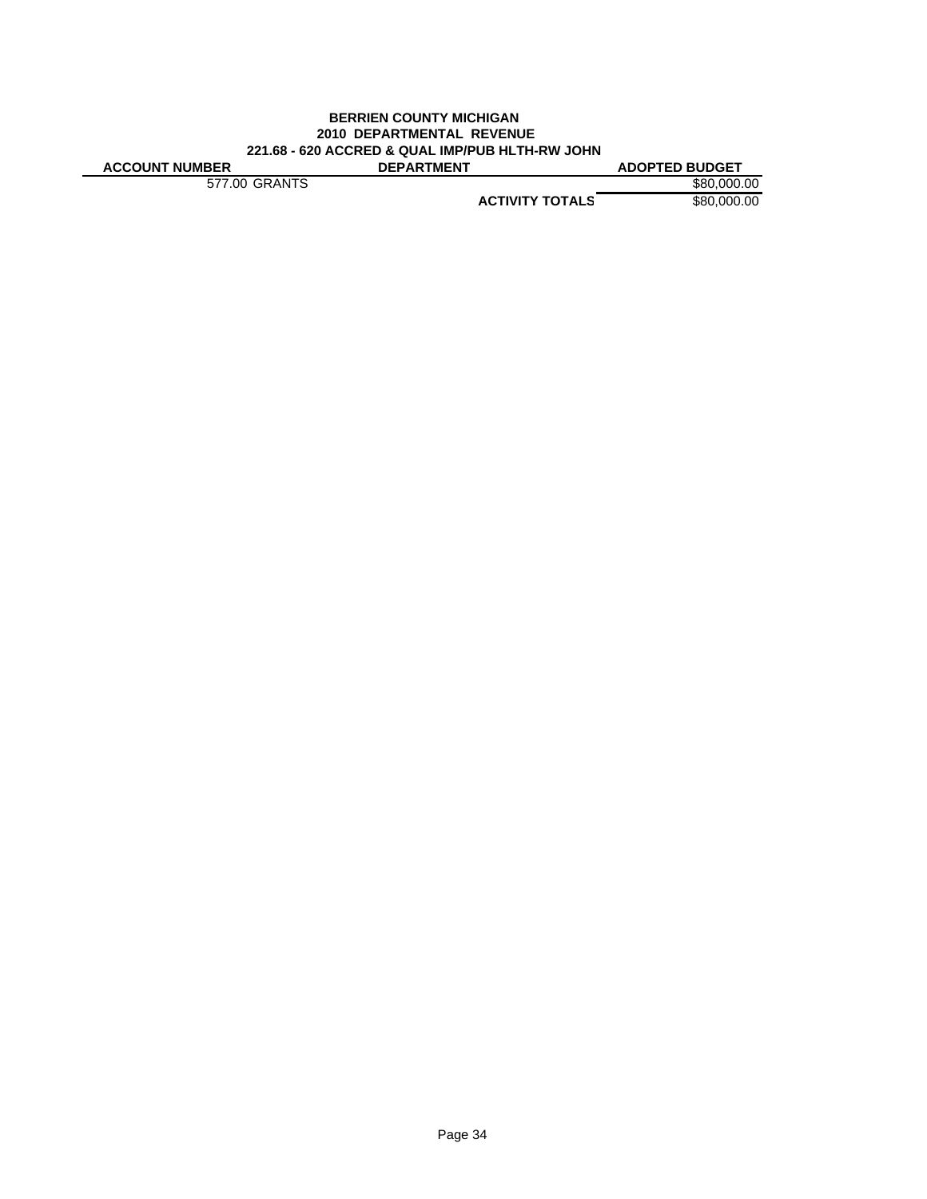#### **BERRIEN COUNTY MICHIGAN 2010 DEPARTMENTAL REVENUE 221.68 - 620 ACCRED & QUAL IMP/PUB HLTH-RW JOHN ACCOUNT NUMBER DEPARTMENT ADOPTED BUDGET**

577.00 GRANTS \$80,000.00

**ACTIVITY TOTALS** \$80,000.00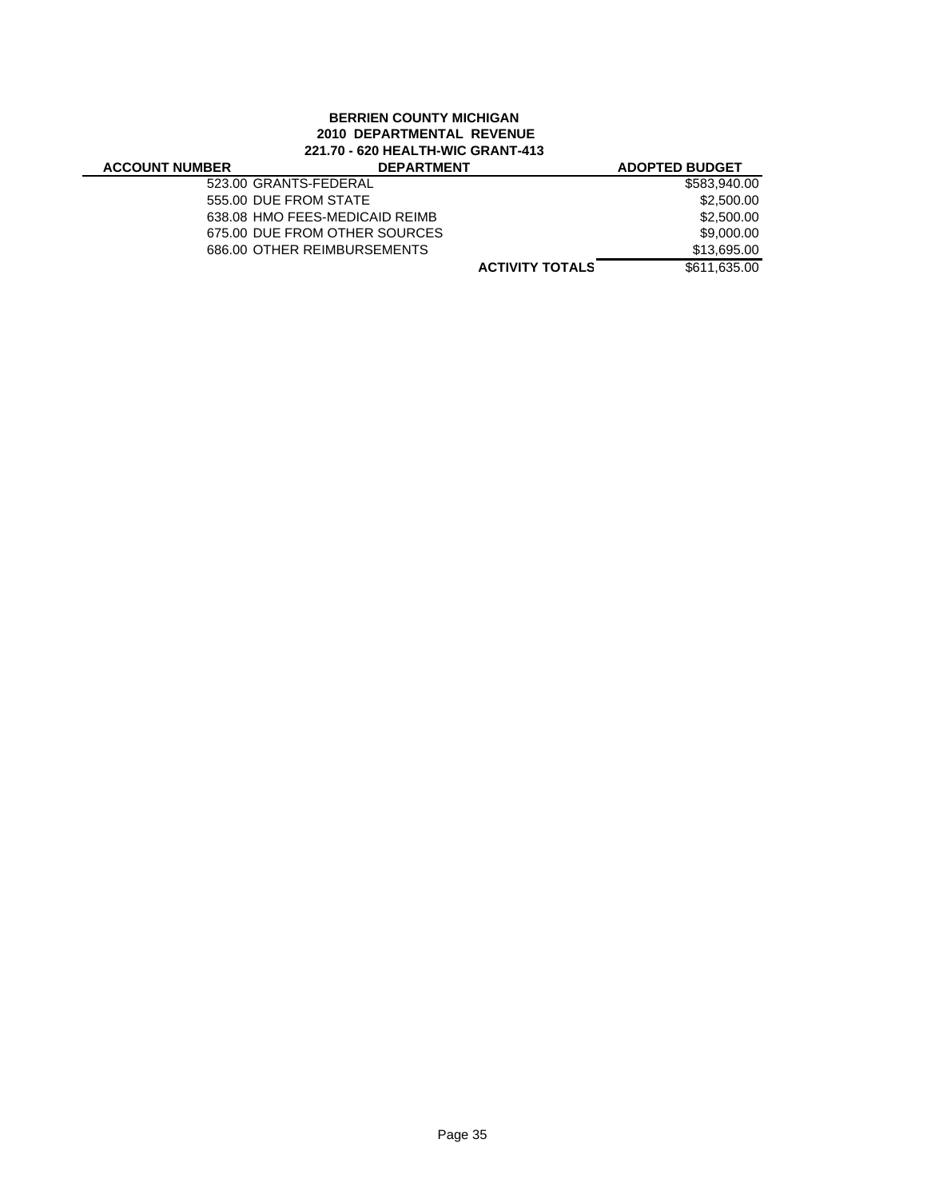# **BERRIEN COUNTY MICHIGAN 2010 DEPARTMENTAL REVENUE 221.70 - 620 HEALTH-WIC GRANT-413**

### **ACCOUNT NUM**

| <b>/BER</b> | <b>DEPARTMENT</b>              | <b>ADOPTED BUDGET</b> |
|-------------|--------------------------------|-----------------------|
|             | 523.00 GRANTS-FEDERAL          | \$583,940,00          |
|             | 555.00 DUE FROM STATE          | \$2,500.00            |
|             | 638.08 HMO FEES-MEDICAID REIMB | \$2,500.00            |
|             | 675.00 DUE FROM OTHER SOURCES  | \$9,000.00            |
|             | 686.00 OTHER REIMBURSEMENTS    | \$13.695.00           |
|             | <b>ACTIVITY TOTALS</b>         | \$611,635.00          |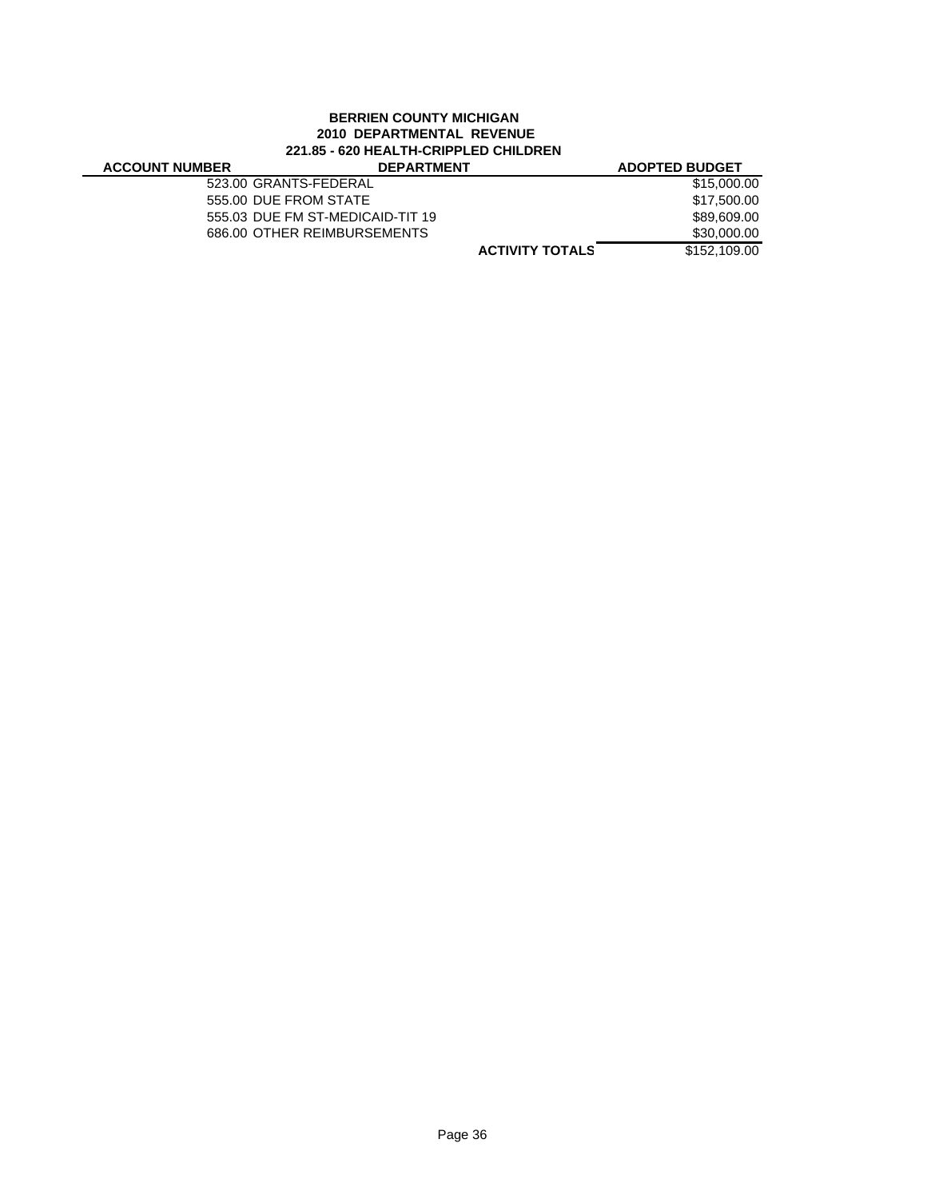## **BERRIEN COUNTY MICHIGAN 2010 DEPARTMENTAL REVENUE 221.85 - 620 HEALTH-CRIPPLED CHILDREN**

### **ACCOUNT NUM**

| IBER | <b>DEPARTMENT</b>                | <b>ADOPTED BUDGET</b> |
|------|----------------------------------|-----------------------|
|      | 523.00 GRANTS-FEDERAL            | \$15,000.00           |
|      | 555.00 DUE FROM STATE            | \$17,500.00           |
|      | 555.03 DUE FM ST-MEDICAID-TIT 19 | \$89,609.00           |
|      | 686.00 OTHER REIMBURSEMENTS      | \$30,000.00           |
|      | <b>ACTIVITY TOTALS</b>           | \$152,109.00          |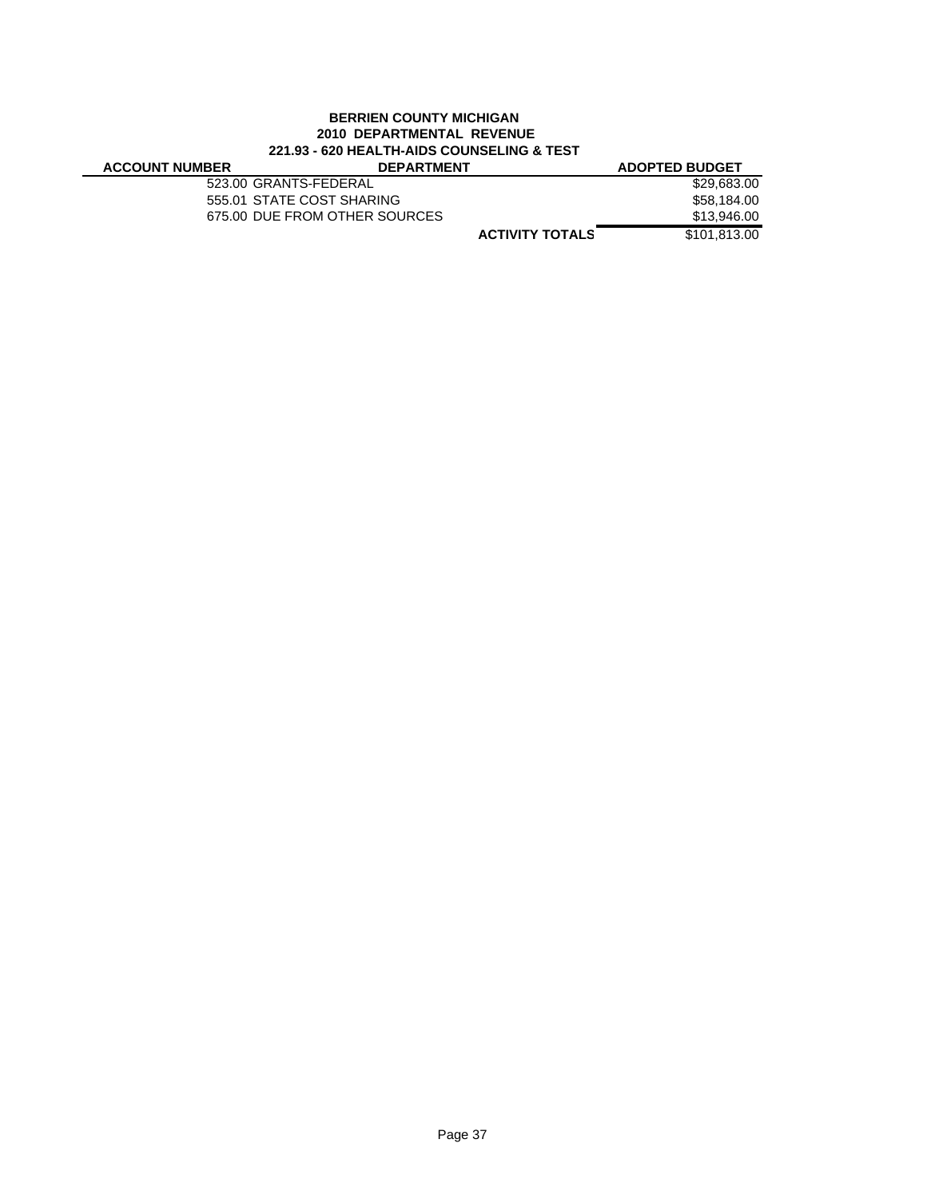### **BERRIEN COUNTY MICHIGAN 2010 DEPARTMENTAL REVENUE 221.93 - 620 HEALTH-AIDS COUNSELING & TEST**

| <b>ACCOUNT NUMBER</b> |  |
|-----------------------|--|
|-----------------------|--|

| <b>ACCOUNT NUMBER</b> | <b>DEPARTMENT</b>             | <b>ADOPTED BUDGET</b> |
|-----------------------|-------------------------------|-----------------------|
|                       | 523.00 GRANTS-FEDERAL         | \$29,683.00           |
|                       | 555.01 STATE COST SHARING     | \$58.184.00           |
|                       | 675.00 DUE FROM OTHER SOURCES | \$13,946.00           |
|                       | <b>ACTIVITY TOTALS</b>        | \$101.813.00          |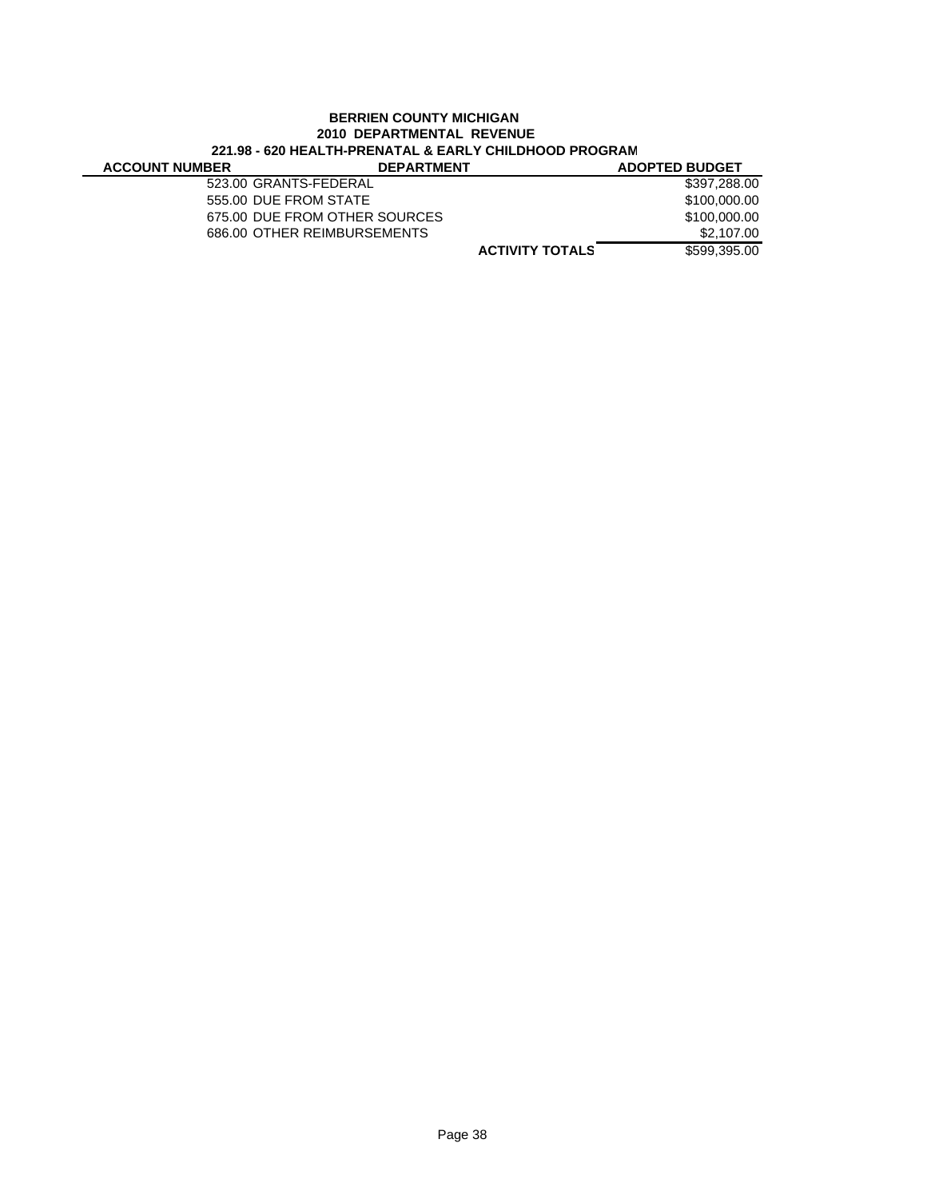### **BERRIEN COUNTY MICHIGAN 2010 DEPARTMENTAL REVENUE 221.98 - 620 HEALTH-PRENATAL & EARLY CHILDHOOD PROGRAM**

| <b>ACCOUNT NUMBER</b> | <b>DEPARTMENT</b>             | <b>ADOPTED BUDGET</b> |
|-----------------------|-------------------------------|-----------------------|
| 523.00 GRANTS-FEDERAL |                               | \$397,288.00          |
| 555.00 DUE FROM STATE |                               | \$100,000,00          |
|                       | 675.00 DUE FROM OTHER SOURCES | \$100,000.00          |
|                       | 686.00 OTHER REIMBURSEMENTS   | \$2.107.00            |
|                       | <b>ACTIVITY TOTALS</b>        | \$599,395,00          |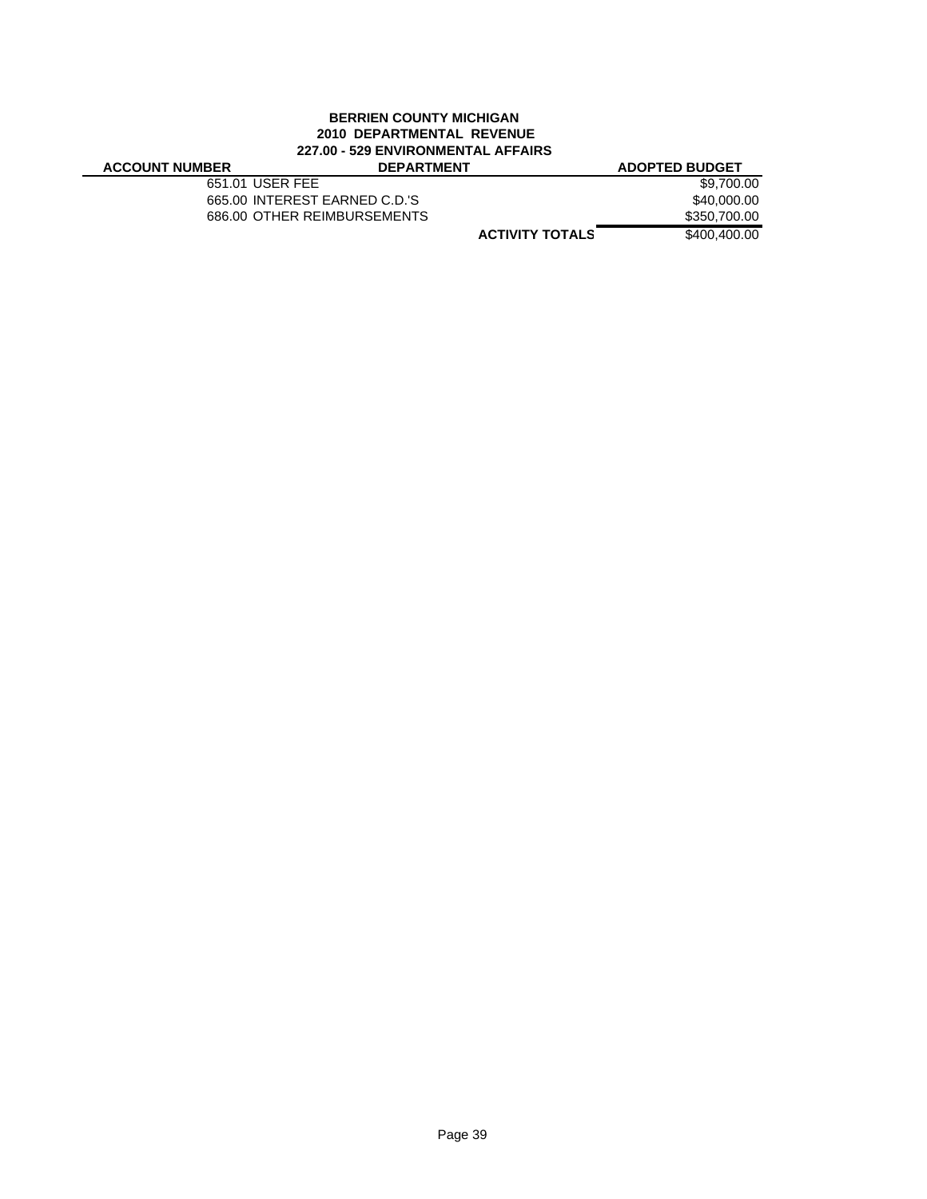#### **BERRIEN COUNTY MICHIGAN 2010 DEPARTMENTAL REVENUE 227.00 - 529 ENVIRONMENTAL AFFAIRS ACCOUNT NUMBER DEPARTMENT ADOPTED BUDGET**

651.01 USER FEE \$9,700.00 665.00 INTEREST EARNED C.D.'S \$40,000.00 686.00 OTHER REIMBURSEMENTS \$350,700.00

**ACTIVITY TOTALS** \$400,400.00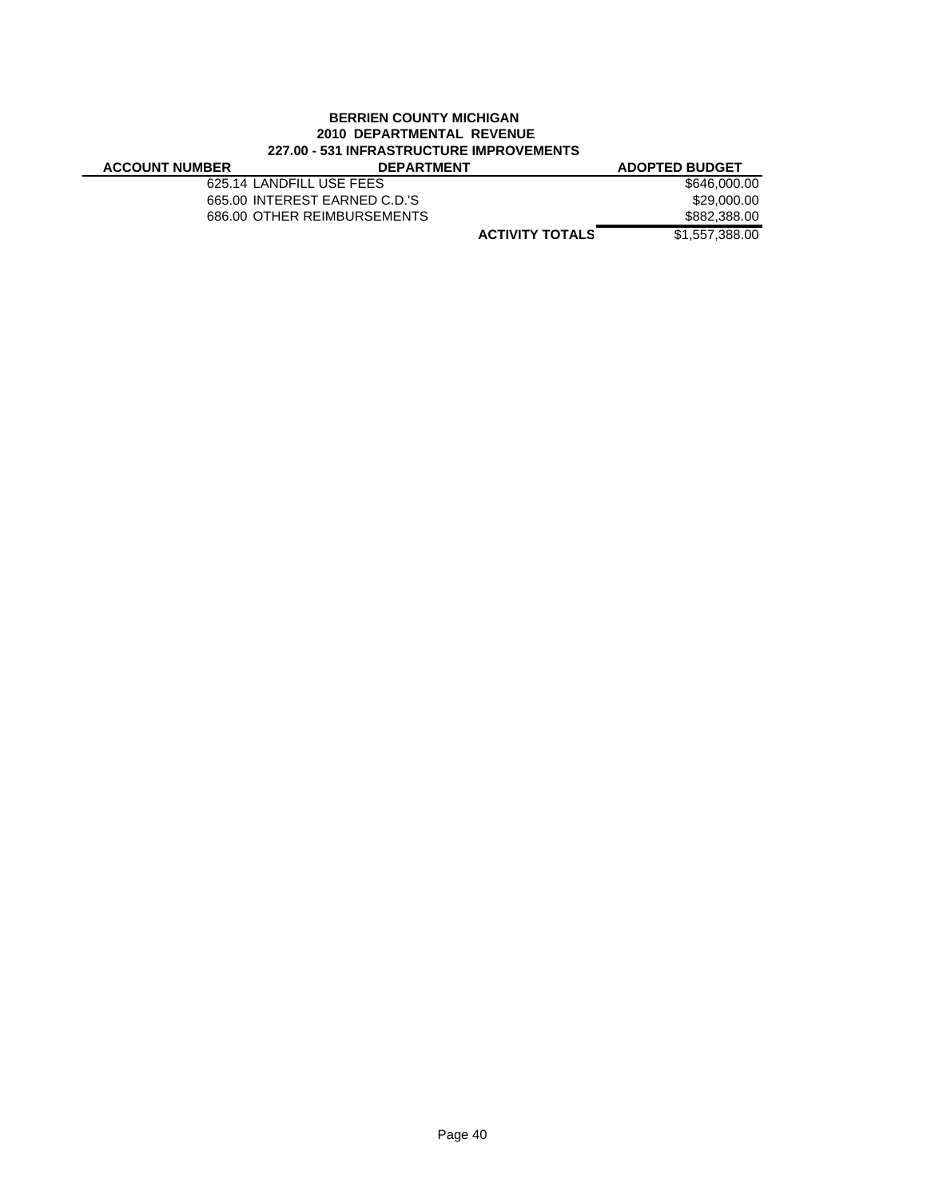### **BERRIEN COUNTY MICHIGAN 2010 DEPARTMENTAL REVENUE 227.00 - 531 INFRASTRUCTURE IMPROVEMENTS**

| <i>LLIG</i> WITH BAULING IN THE INTERIOR |                               |                       |
|------------------------------------------|-------------------------------|-----------------------|
| <b>ACCOUNT NUMBER</b>                    | <b>DEPARTMENT</b>             | <b>ADOPTED BUDGET</b> |
|                                          | 625.14 LANDFILL USE FEES      | \$646,000.00          |
|                                          | 665.00 INTEREST EARNED C.D.'S | \$29,000,00           |
|                                          | 686.00 OTHER REIMBURSEMENTS   | \$882,388.00          |
|                                          | <b>ACTIVITY TOTALS</b>        | \$1,557,388,00        |
|                                          |                               |                       |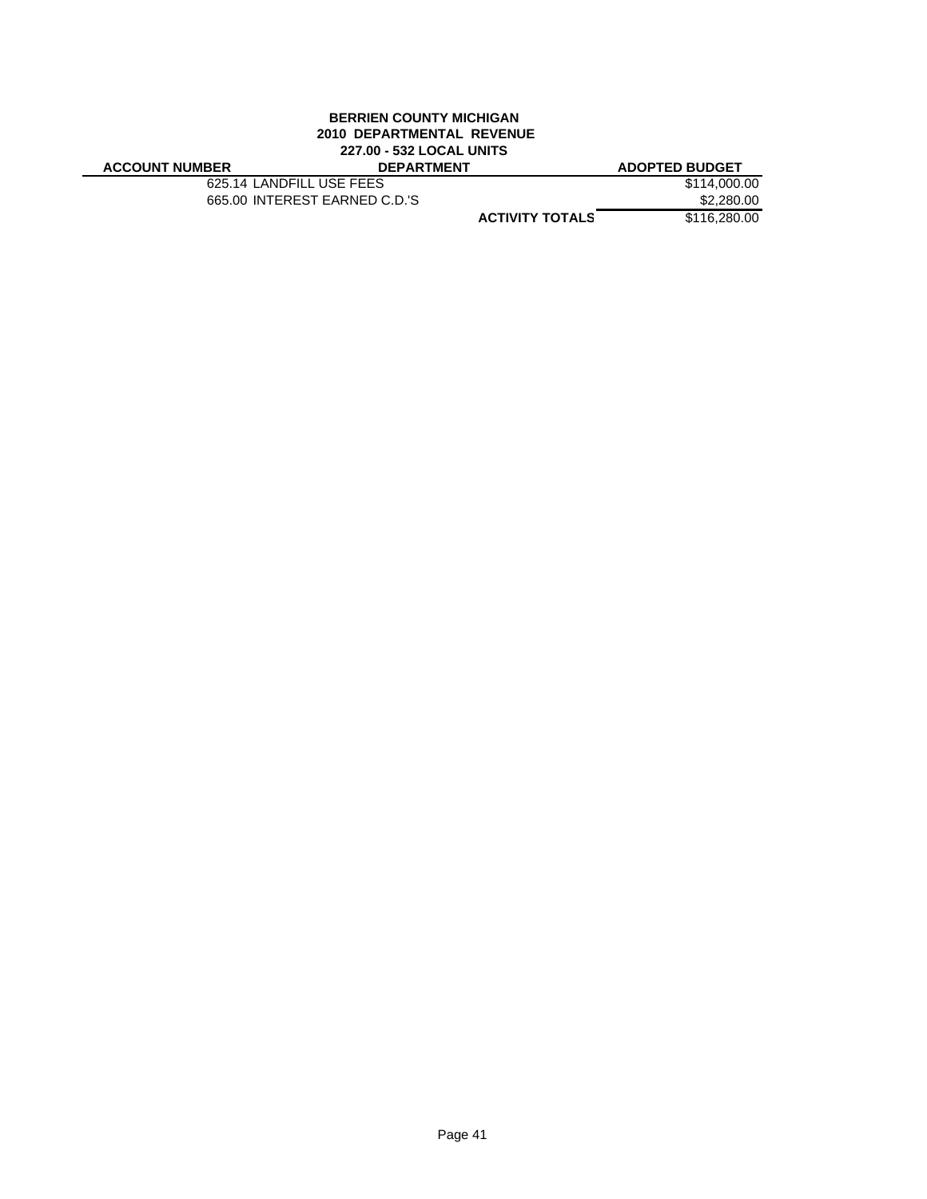#### **BERRIEN COUNTY MICHIGAN 2010 DEPARTMENTAL REVENUE 227.00 - 532 LOCAL UNITS ACCOUNT NUMBER DEPARTMENT ADOPTED BUDGET**

| <b>ACCOUNT NUMBER</b> |  |
|-----------------------|--|
|-----------------------|--|

625.14 LANDFILL USE FEES \$114,000.00<br>665.00 INTEREST EARNED C.D.'S \$2,280.00 665.00 INTEREST EARNED C.D.'S

**ACTIVITY TOTALS** \$116,280.00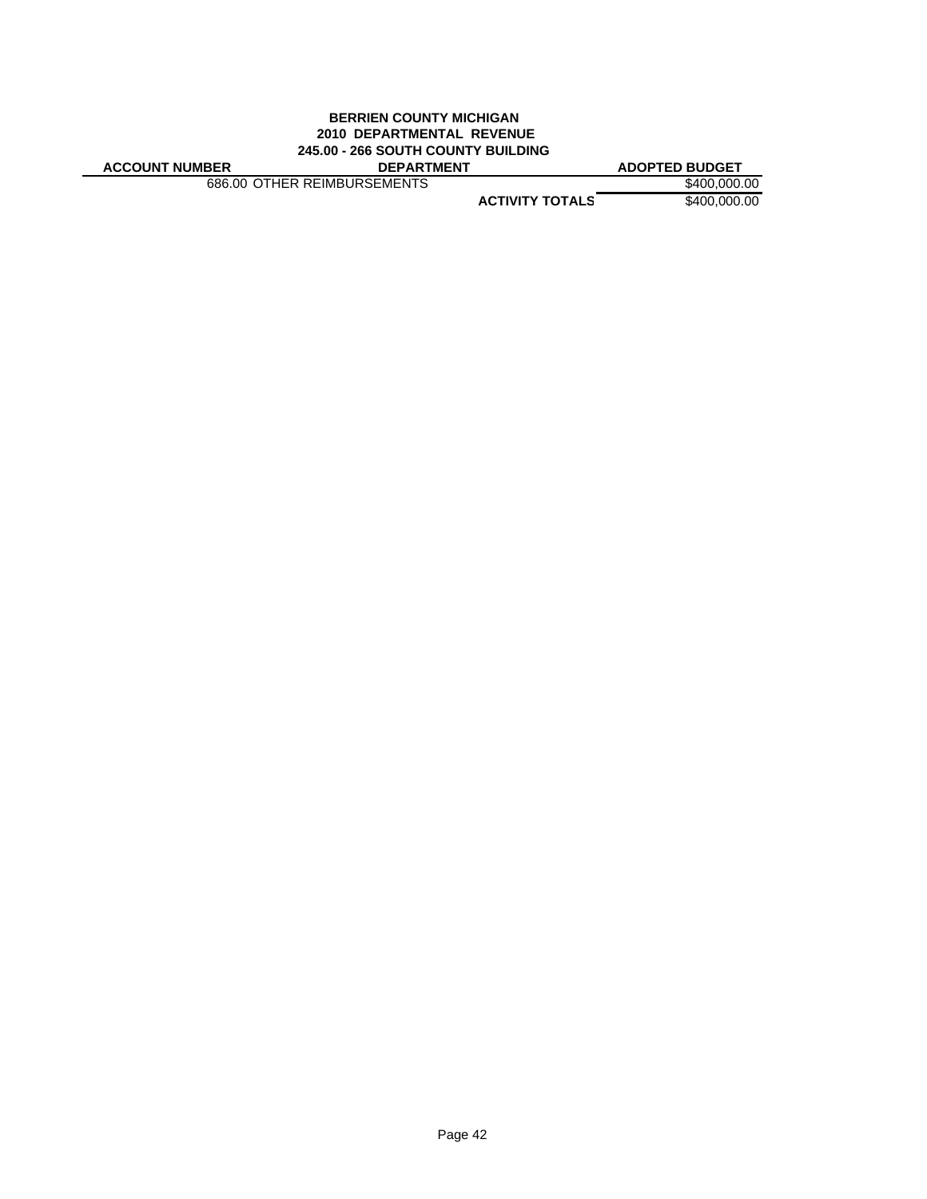#### **BERRIEN COUNTY MICHIGAN 2010 DEPARTMENTAL REVENUE 245.00 - 266 SOUTH COUNTY BUILDING ACCOUNT NUMBER DEPARTMENT ADOPTED BUDGET**

686.00 OTHER REIMBURSEMENTS \$400,000.00

**ACTIVITY TOTALS** \$400,000.00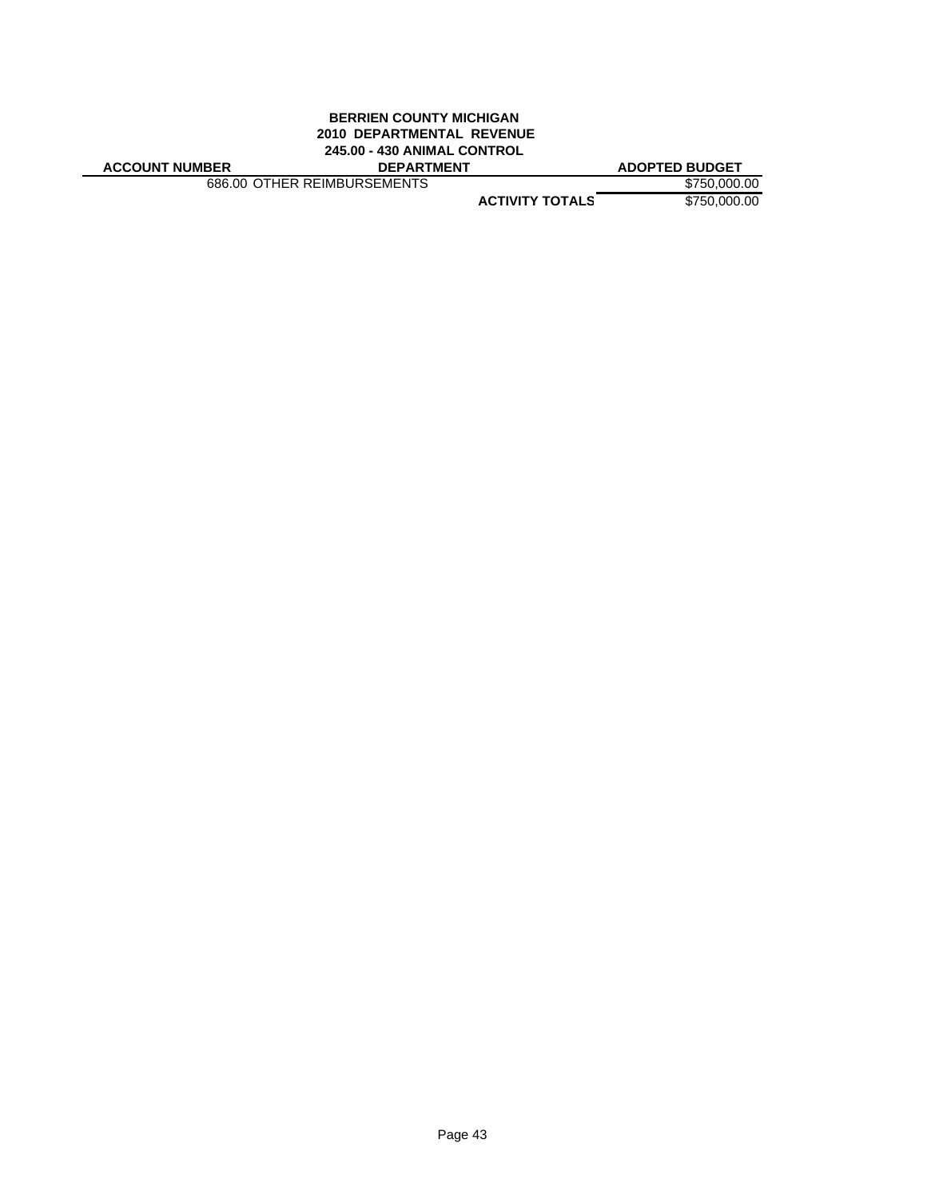### **BERRIEN COUNTY MICHIGAN 2010 DEPARTMENTAL REVENUE 245.00 - 430 ANIMAL CONTROL**

**ACCOUNT NUMBER DEPARTMENT ADOPTED BUDGET**

686.00 OTHER REIMBURSEMENTS \$750,000.00

**ACTIVITY TOTALS** \$750,000.00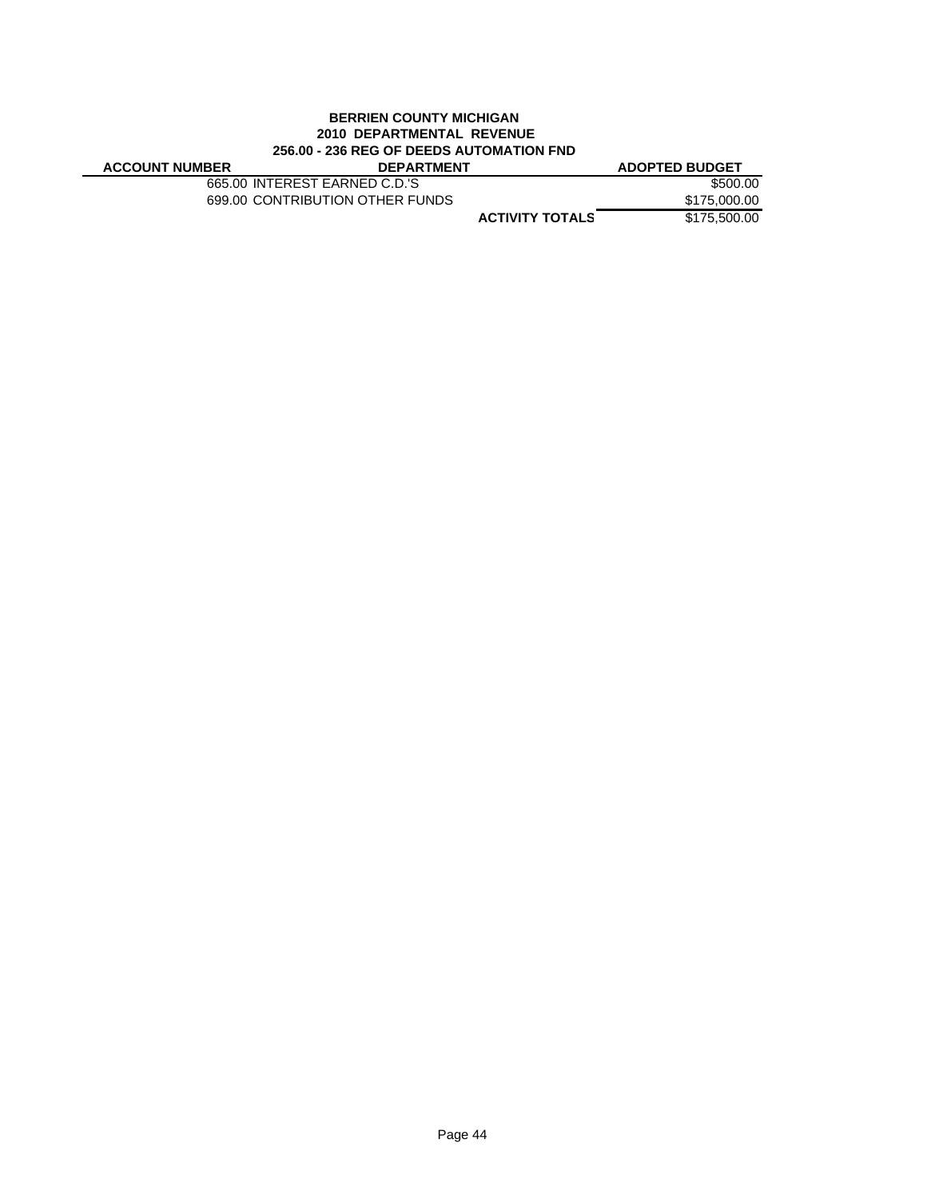### **BERRIEN COUNTY MICHIGAN 2010 DEPARTMENTAL REVENUE 256.00 - 236 REG OF DEEDS AUTOMATION FND**

| <b>ACCOUNT NUMBER</b> | <b>DEPARTMENT</b>               | <b>ADOPTED BUDGET</b>                  |
|-----------------------|---------------------------------|----------------------------------------|
|                       | 665.00 INTEREST EARNED C.D.'S   | \$500.00                               |
|                       | 699.00 CONTRIBUTION OTHER FUNDS | \$175,000.00                           |
|                       |                                 | \$175,500.00<br><b>ACTIVITY TOTALS</b> |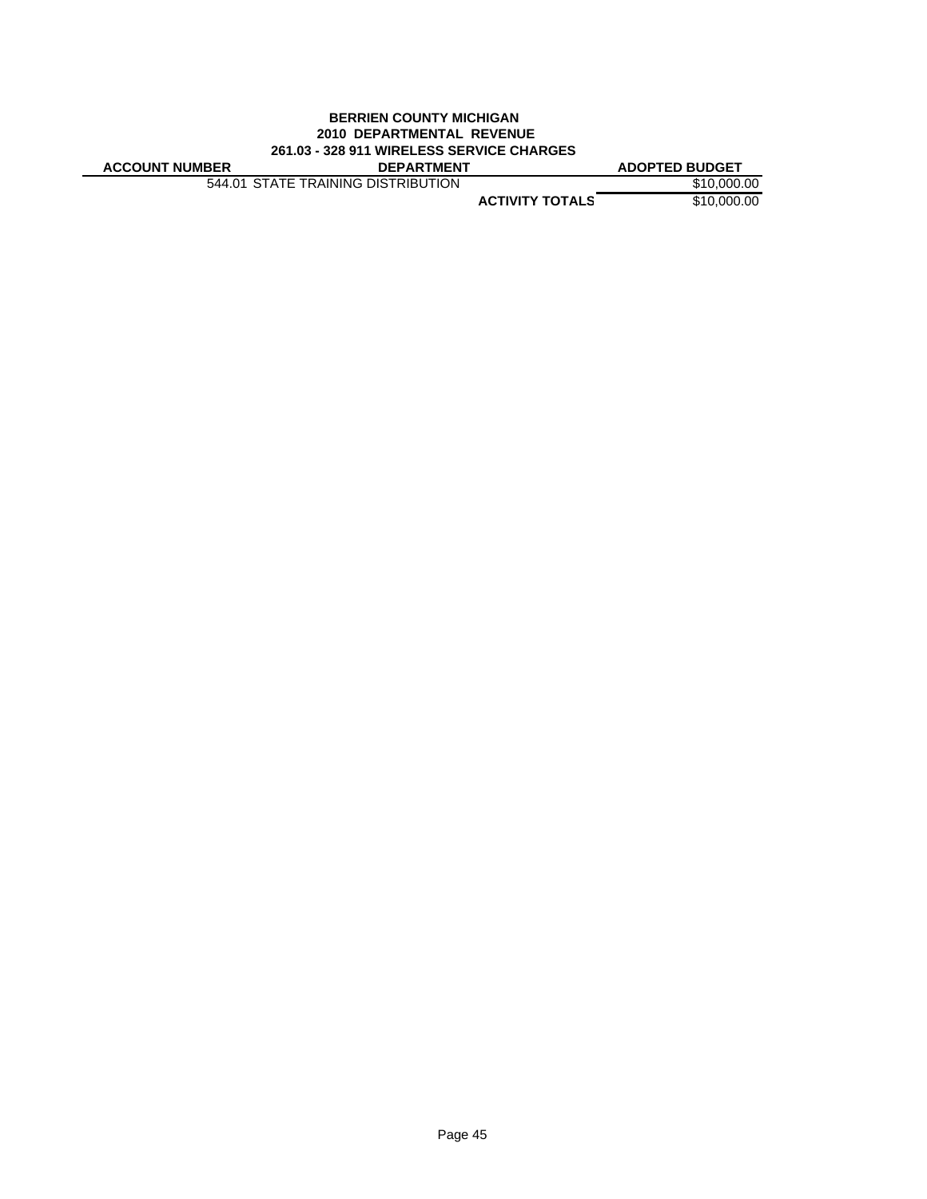### **BERRIEN COUNTY MICHIGAN 2010 DEPARTMENTAL REVENUE 261.03 - 328 911 WIRELESS SERVICE CHARGES**

**ACCOUNT NUMBER DEPARTMENT ADOPTED BUDGET**

544.01 STATE TRAINING DISTRIBUTION \$10,000.00

**ACTIVITY TOTALS** \$10,000.00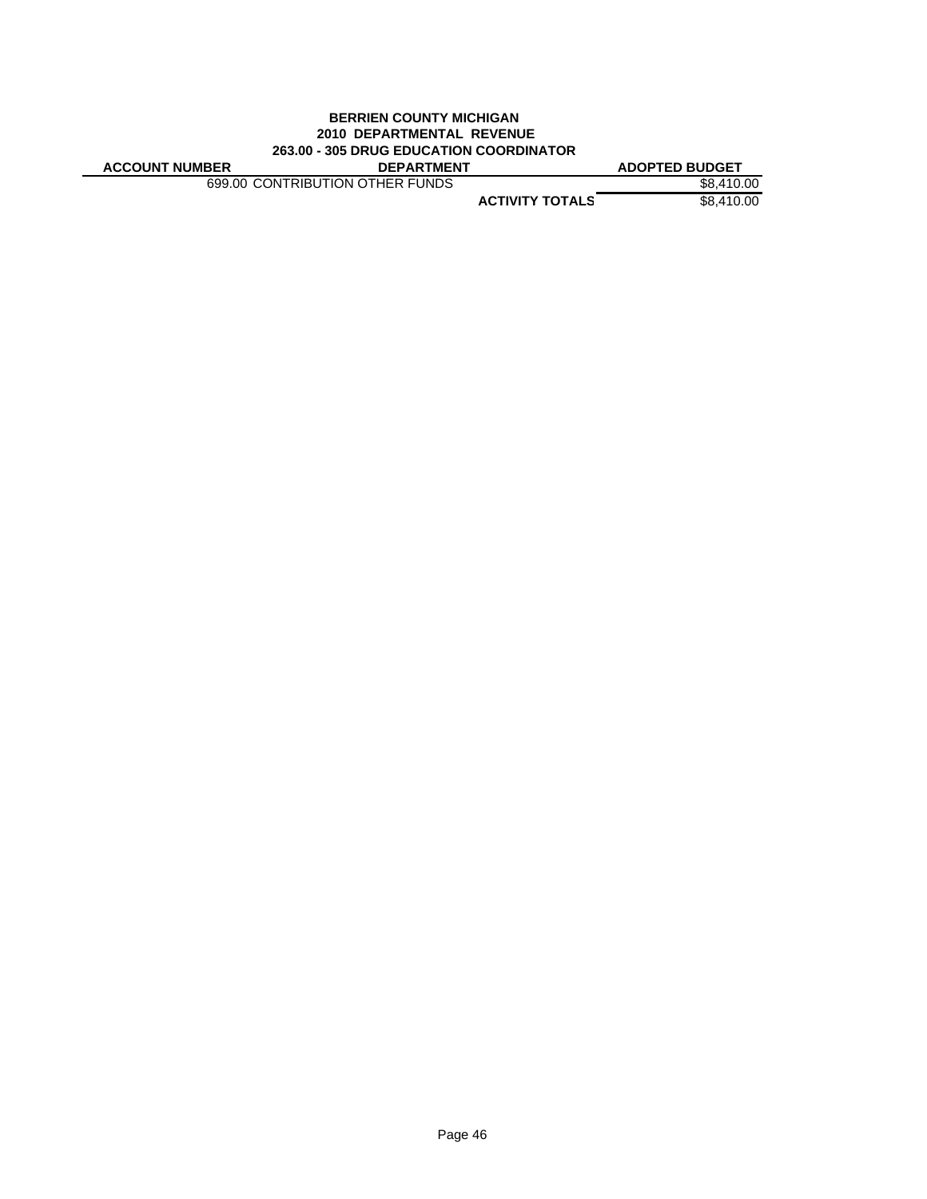### **BERRIEN COUNTY MICHIGAN 2010 DEPARTMENTAL REVENUE 263.00 - 305 DRUG EDUCATION COORDINATOR**

**ACCOUNT NUMBER DEPARTMENT ADOPTED BUDGET**

699.00 CONTRIBUTION OTHER FUNDS \$8,410.00

**ACTIVITY TOTALS** \$8,410.00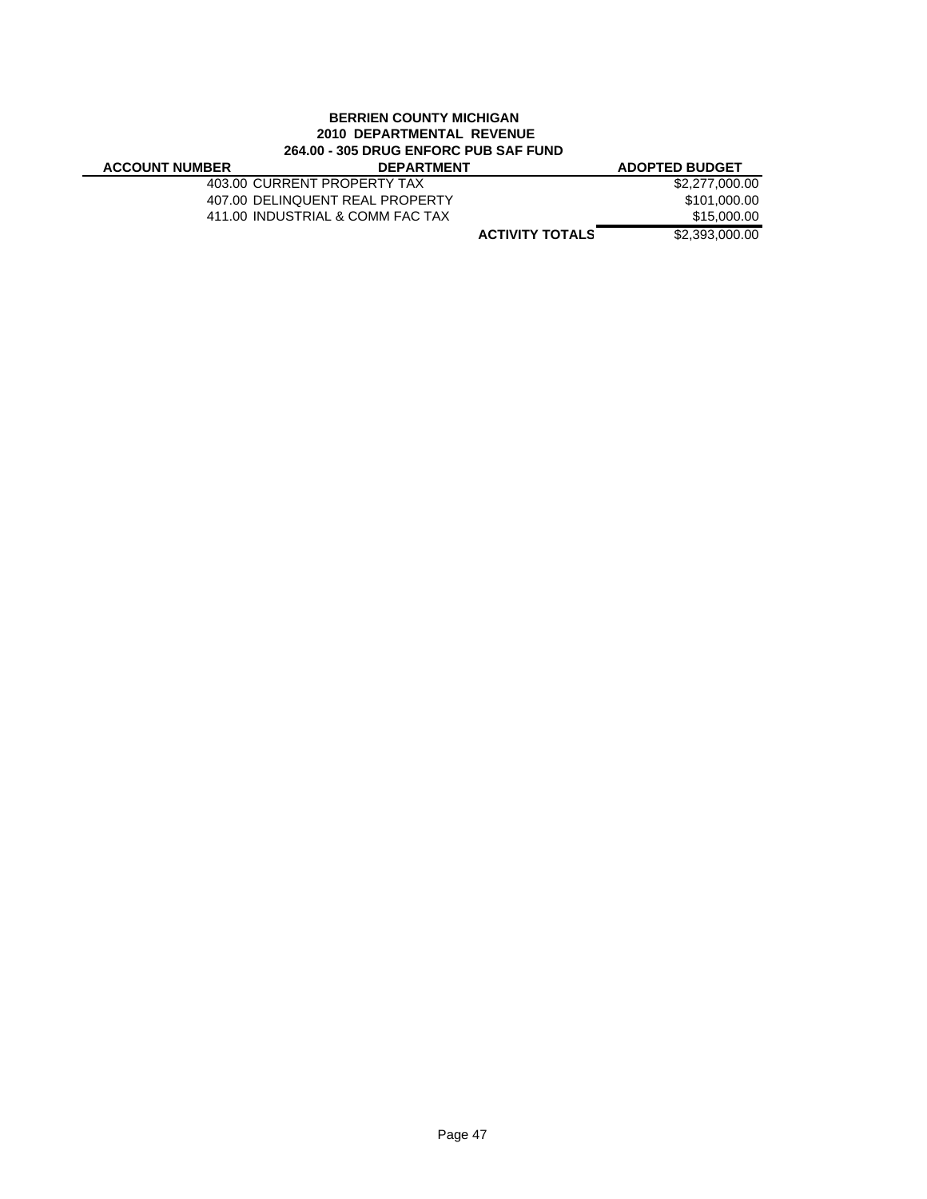### **BERRIEN COUNTY MICHIGAN 2010 DEPARTMENTAL REVENUE 264.00 - 305 DRUG ENFORC PUB SAF FUND**

| <b>ACCOUNT NUMBER</b> | <b>DEPARTMENT</b>                |                        | <b>ADOPTED BUDGET</b> |
|-----------------------|----------------------------------|------------------------|-----------------------|
|                       | 403.00 CURRENT PROPERTY TAX      |                        | \$2,277,000,00        |
|                       | 407.00 DELINQUENT REAL PROPERTY  |                        | \$101.000.00          |
|                       | 411.00 INDUSTRIAL & COMM FAC TAX |                        | \$15,000.00           |
|                       |                                  | <b>ACTIVITY TOTALS</b> | \$2,393,000.00        |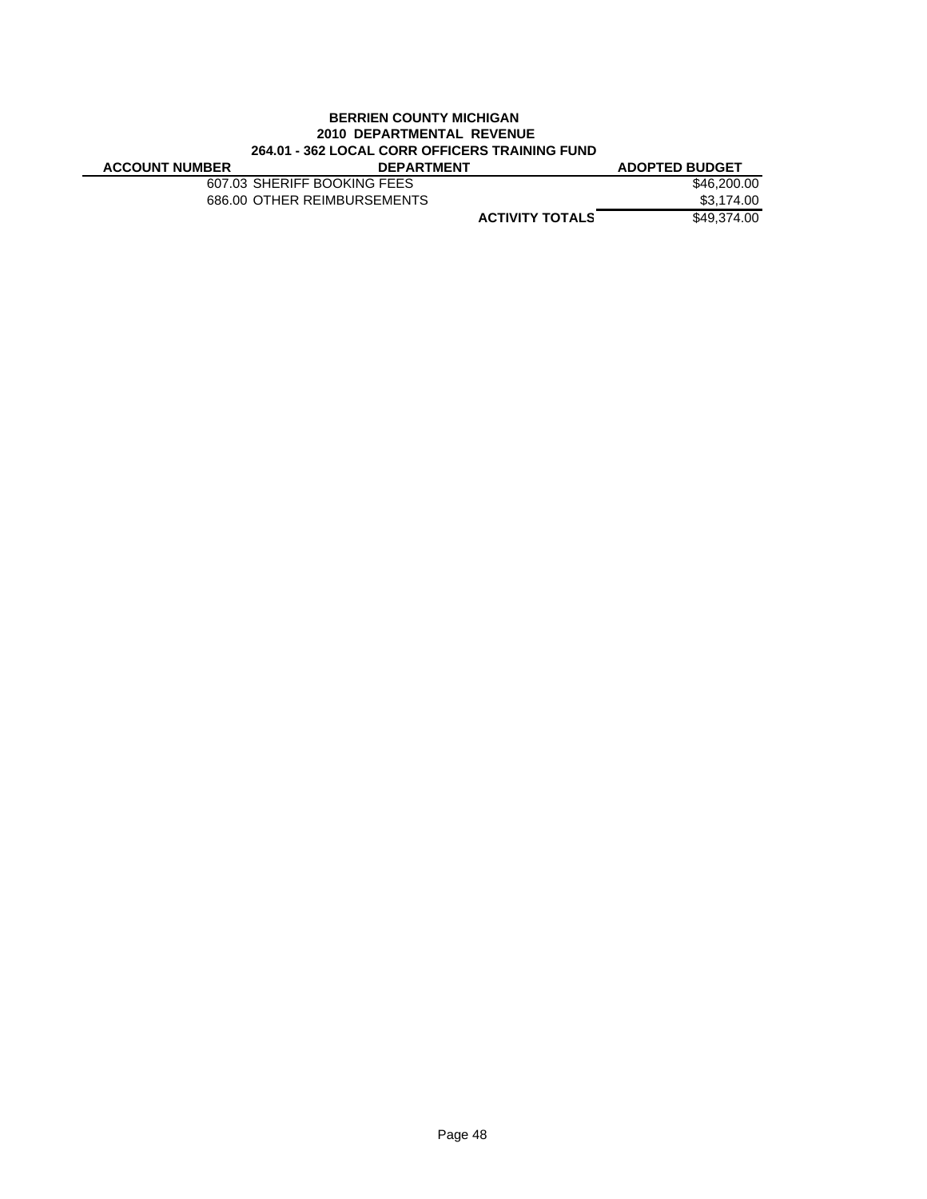### **BERRIEN COUNTY MICHIGAN 2010 DEPARTMENTAL REVENUE 264.01 - 362 LOCAL CORR OFFICERS TRAINING FUND**

| <b>ACCOUNT NUMBER</b> | <b>DEPARTMENT</b>           |                        | <b>ADOPTED BUDGET</b> |
|-----------------------|-----------------------------|------------------------|-----------------------|
|                       | 607.03 SHERIFF BOOKING FEES |                        | \$46,200,00           |
|                       | 686.00 OTHER REIMBURSEMENTS |                        | \$3.174.00            |
|                       |                             | <b>ACTIVITY TOTALS</b> | \$49.374.00           |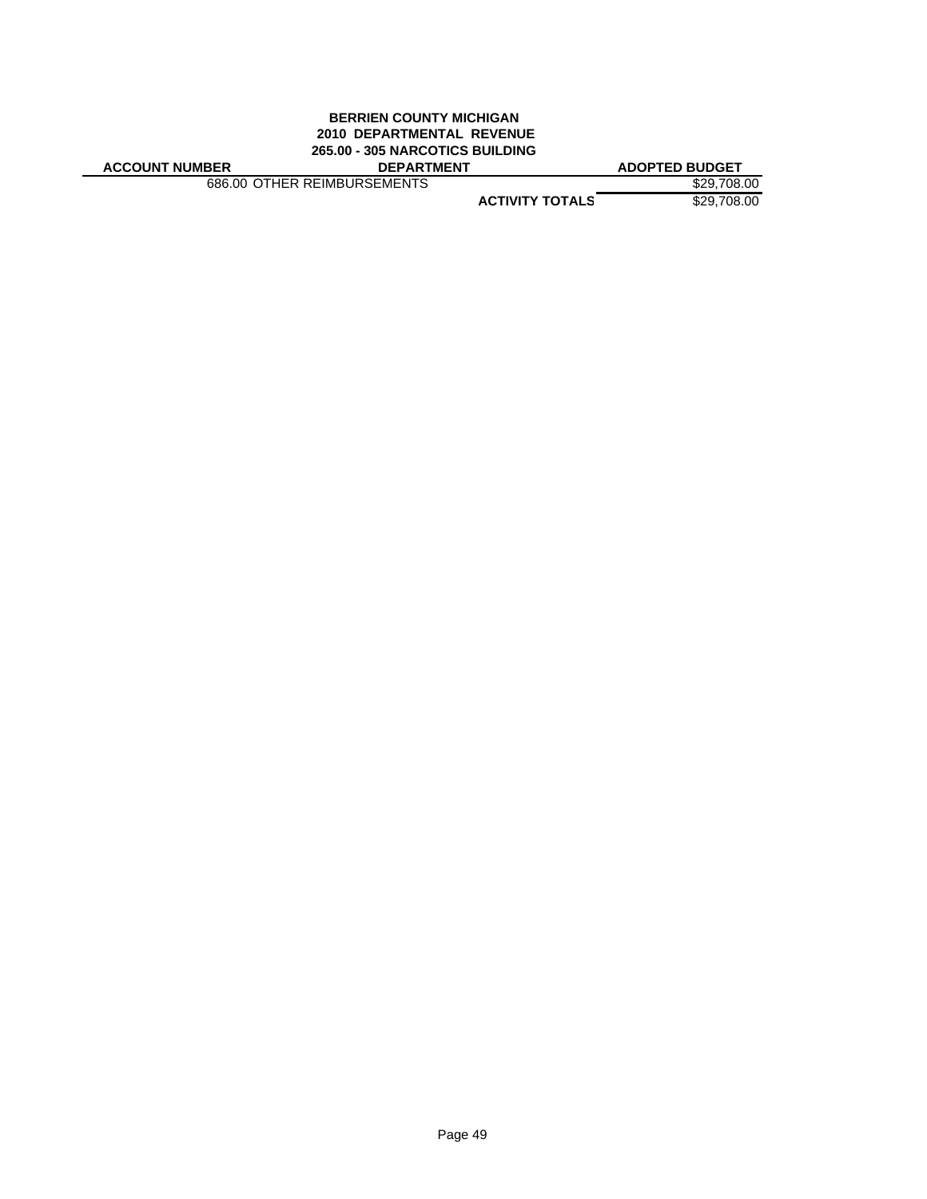#### **BERRIEN COUNTY MICHIGAN 2010 DEPARTMENTAL REVENUE 265.00 - 305 NARCOTICS BUILDING ACCOUNT NUMBER DEPARTMENT ADOPTED BUDGET**

686.00 OTHER REIMBURSEMENTS \$29,708.00

**ACTIVITY TOTALS** \$29,708.00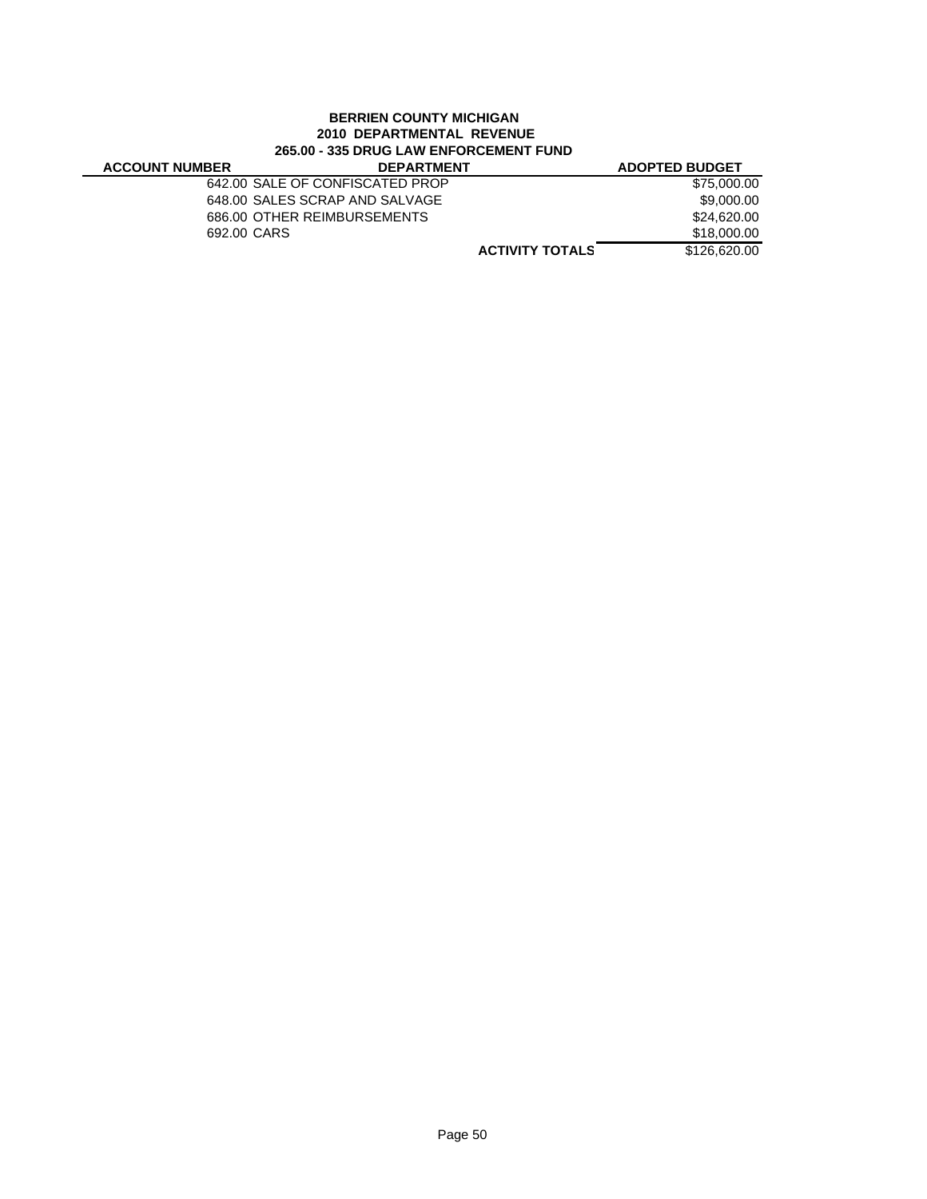### **BERRIEN COUNTY MICHIGAN 2010 DEPARTMENTAL REVENUE 265.00 - 335 DRUG LAW ENFORCEMENT FUND**

| <b>ACCOUNT NUMBER</b> | <b>DEPARTMENT</b>               |                        | <b>ADOPTED BUDGET</b> |
|-----------------------|---------------------------------|------------------------|-----------------------|
|                       | 642.00 SALE OF CONFISCATED PROP |                        | \$75,000,00           |
|                       | 648.00 SALES SCRAP AND SALVAGE  |                        | \$9.000.00            |
|                       | 686.00 OTHER REIMBURSEMENTS     |                        | \$24,620,00           |
| 692.00 CARS           |                                 |                        | \$18,000,00           |
|                       |                                 | <b>ACTIVITY TOTALS</b> | \$126,620,00          |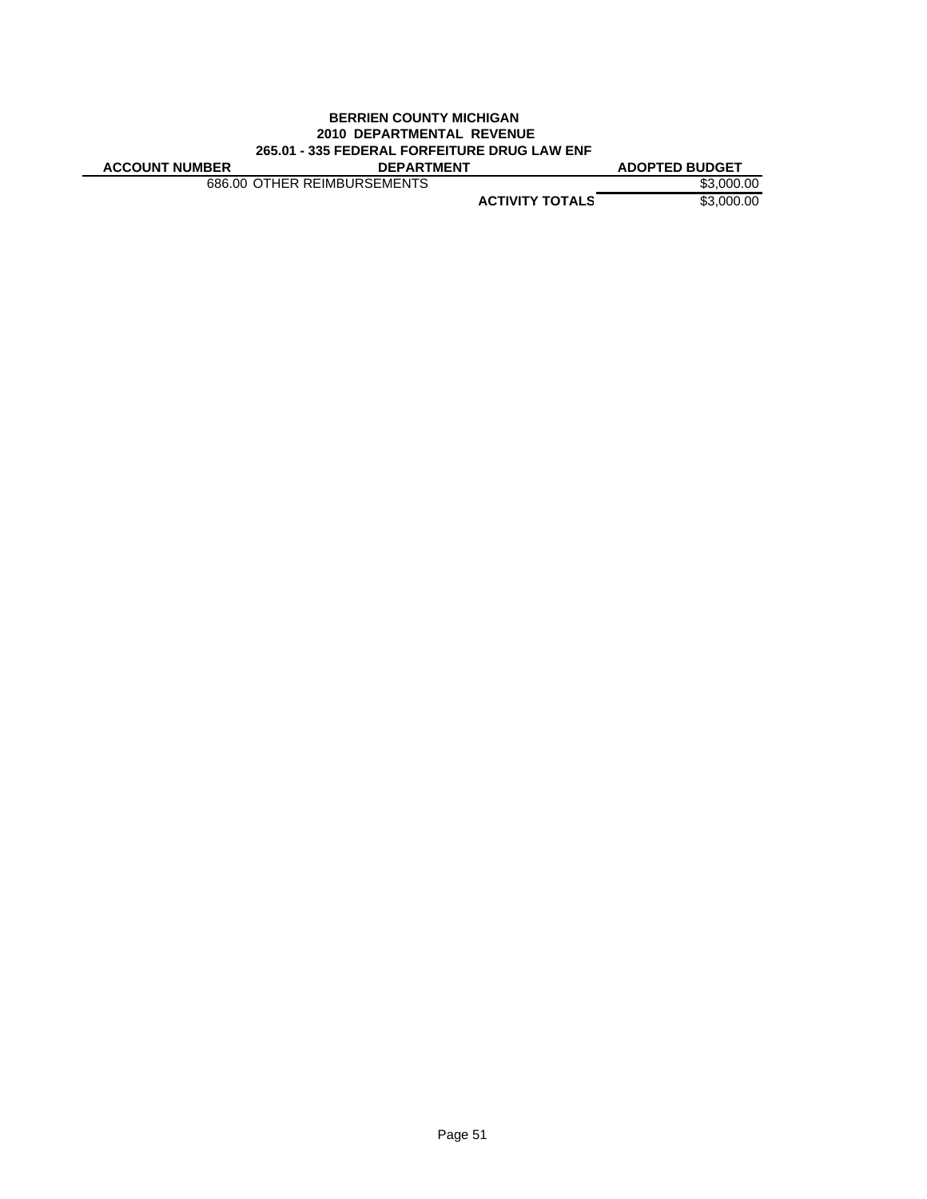#### **BERRIEN COUNTY MICHIGAN 2010 DEPARTMENTAL REVENUE 265.01 - 335 FEDERAL FORFEITURE DRUG LAW ENF ACCOUNT NUMBER DEPARTMENT ADOPTED BUDGET**

686.00 OTHER REIMBURSEMENTS \$3,000.00

**ACTIVITY TOTALS** \$3,000.00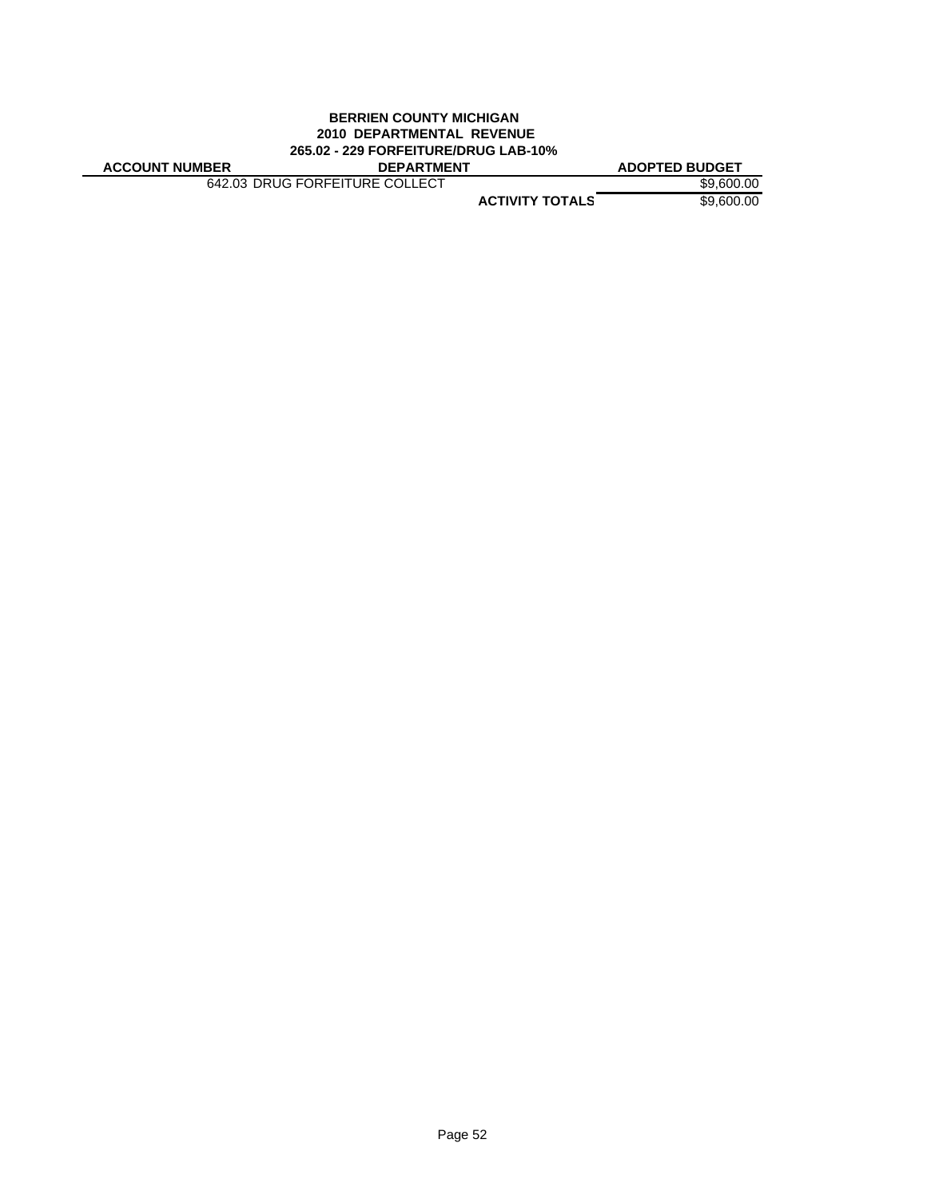### **BERRIEN COUNTY MICHIGAN 2010 DEPARTMENTAL REVENUE 265.02 - 229 FORFEITURE/DRUG LAB-10%**

642.03 DRUG FORFEITURE COLLECT \$9,600.00

**ACCOUNT NUMBER DEPARTMENT ADOPTED BUDGET**

**ACTIVITY TOTALS** \$9,600.00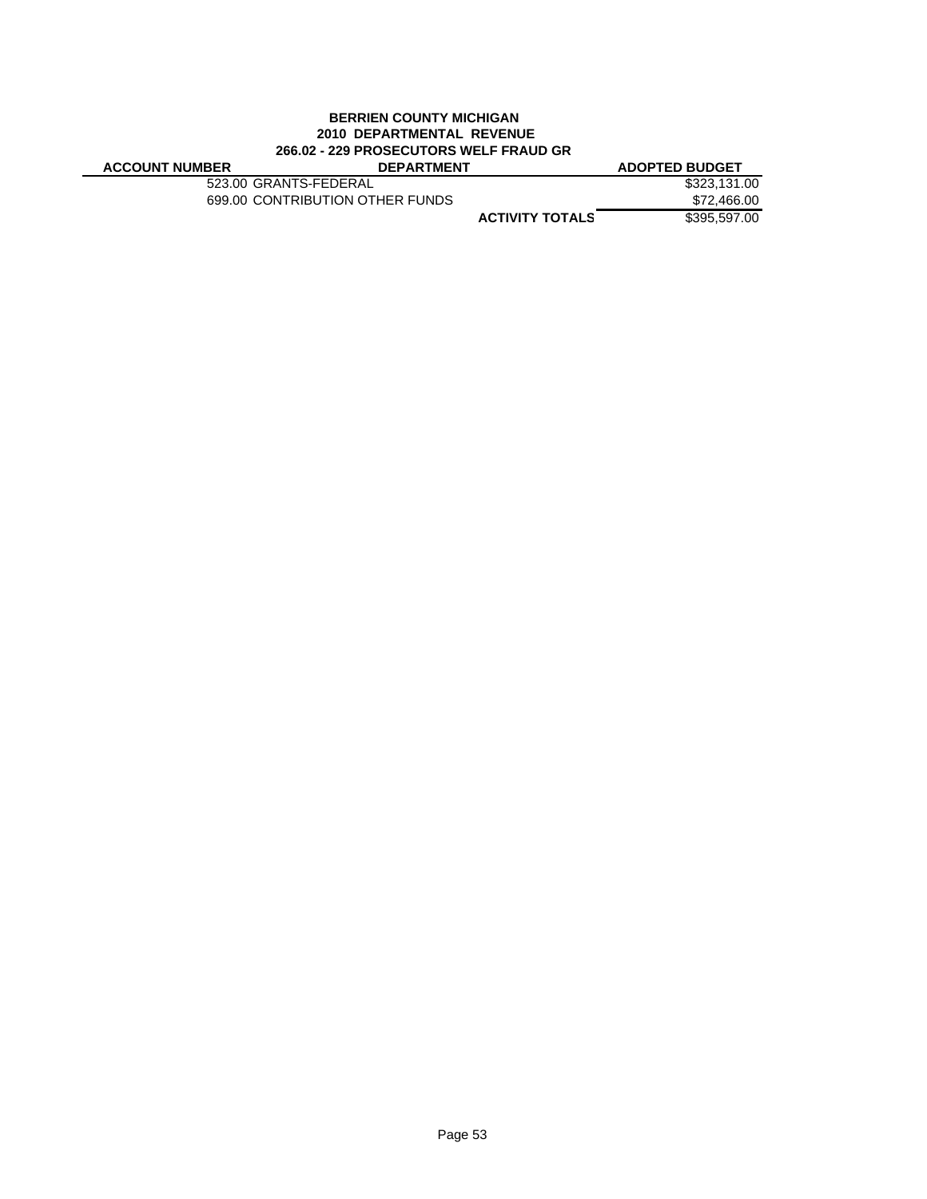### **BERRIEN COUNTY MICHIGAN 2010 DEPARTMENTAL REVENUE 266.02 - 229 PROSECUTORS WELF FRAUD GR**

| <b>ACCOUNT NUMBER</b> | <b>DEPARTMENT</b>               |                        | <b>ADOPTED BUDGET</b> |
|-----------------------|---------------------------------|------------------------|-----------------------|
|                       | 523.00 GRANTS-FEDERAL           |                        | \$323,131,00          |
|                       | 699.00 CONTRIBUTION OTHER FUNDS |                        | \$72,466.00           |
|                       |                                 | <b>ACTIVITY TOTALS</b> | \$395,597.00          |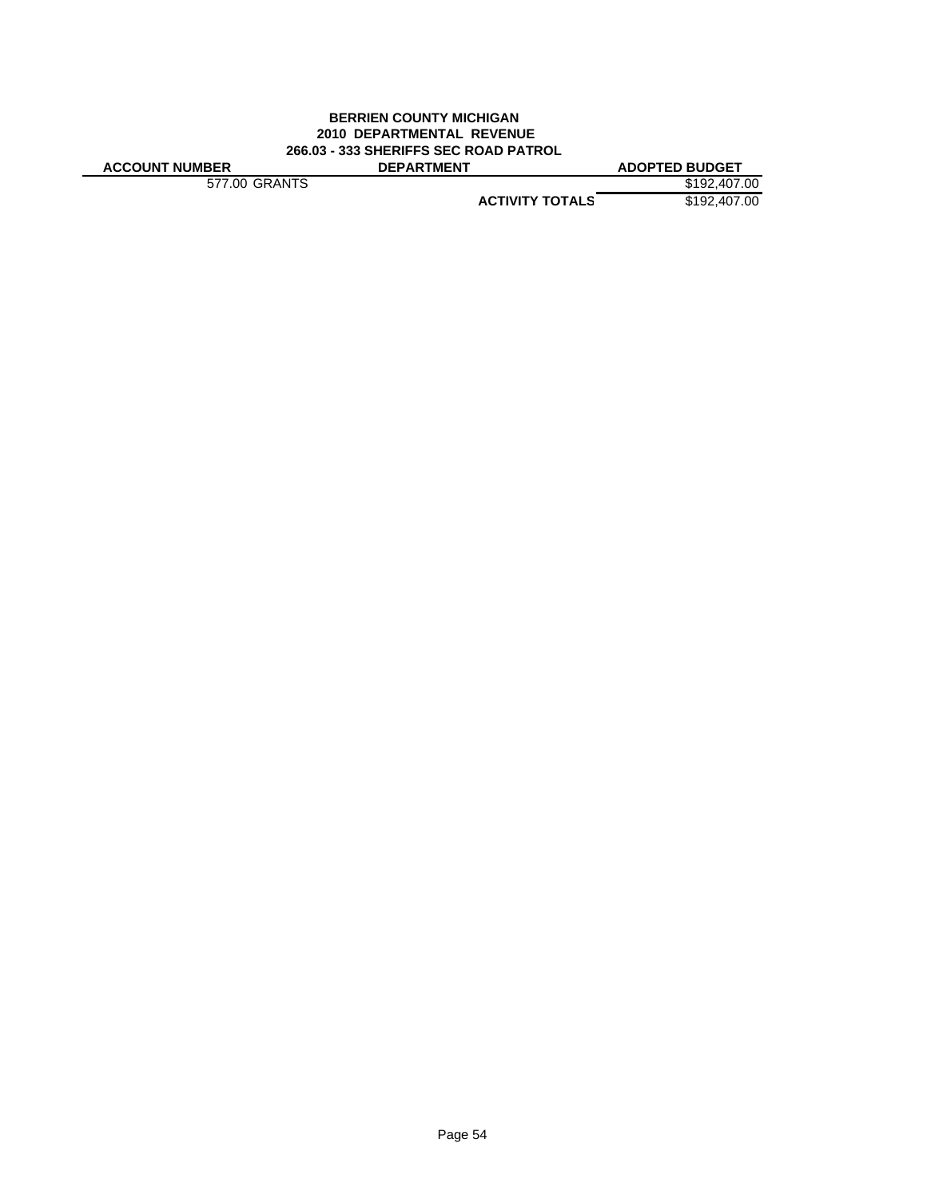### **BERRIEN COUNTY MICHIGAN 2010 DEPARTMENTAL REVENUE 266.03 - 333 SHERIFFS SEC ROAD PATROL ACCOUNT NUMBER DEPARTMENT ADOPTED BUDGET**

577.00 GRANTS \$192,407.00

**ACTIVITY TOTALS** \$192,407.00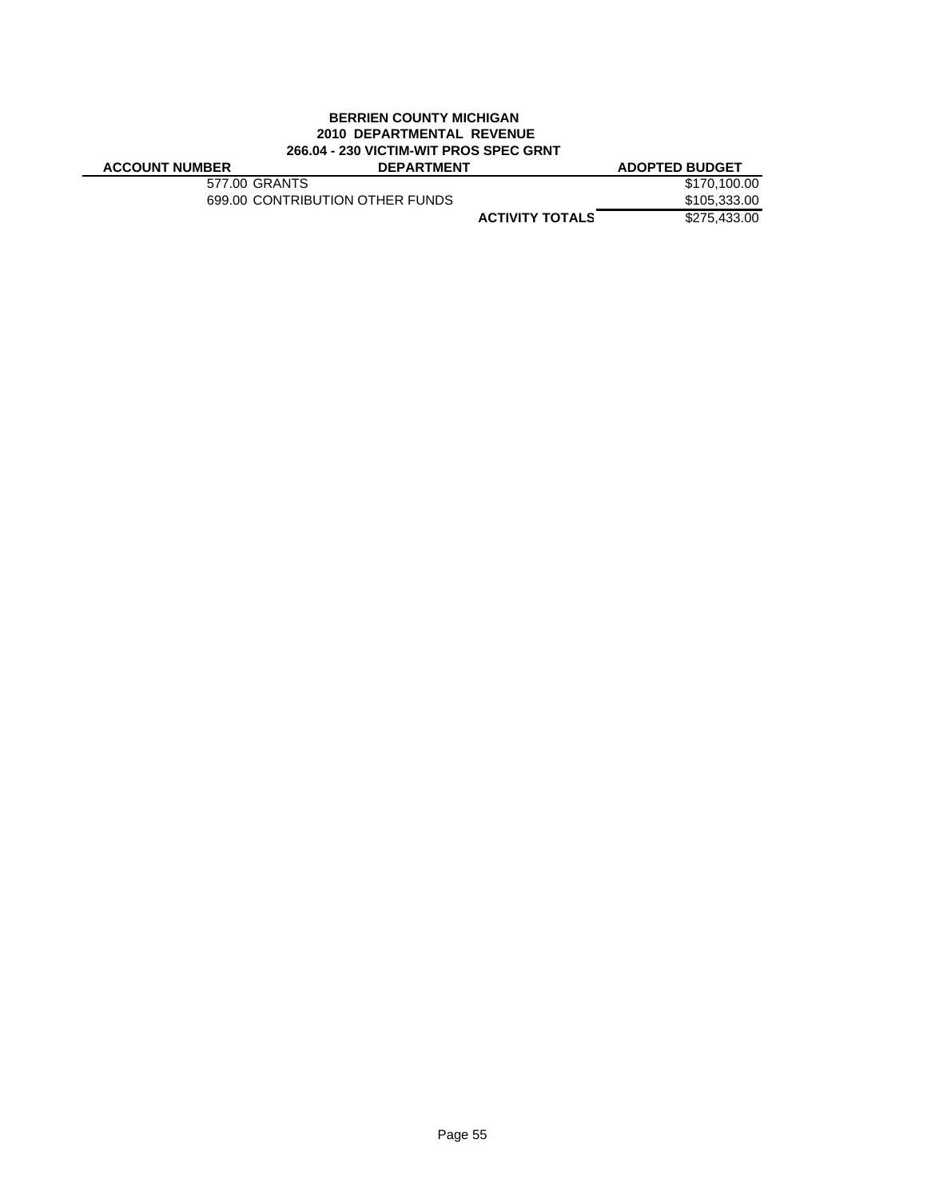### **BERRIEN COUNTY MICHIGAN 2010 DEPARTMENTAL REVENUE 266.04 - 230 VICTIM-WIT PROS SPEC GRNT**

| <b>ACCOUNT NUMBER</b> | <b>DEPARTMENT</b>               |                        | <b>ADOPTED BUDGET</b> |
|-----------------------|---------------------------------|------------------------|-----------------------|
|                       | 577.00 GRANTS                   |                        | \$170,100.00          |
|                       | 699.00 CONTRIBUTION OTHER FUNDS |                        | \$105,333.00          |
|                       |                                 | <b>ACTIVITY TOTALS</b> | \$275,433,00          |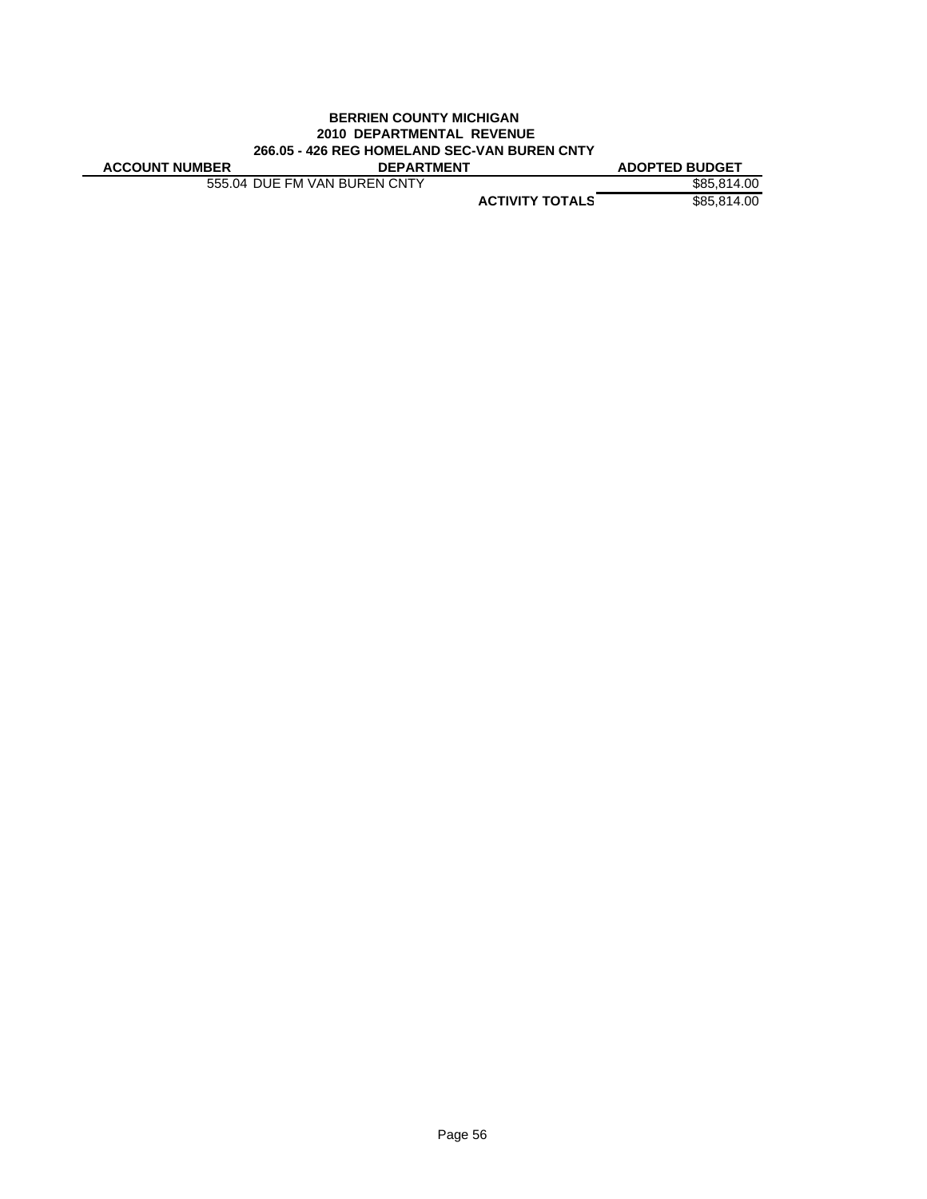#### **BERRIEN COUNTY MICHIGAN 2010 DEPARTMENTAL REVENUE 266.05 - 426 REG HOMELAND SEC-VAN BUREN CNTY ACCOUNT NUMBER DEPARTMENT ADOPTED BUDGET**

555.04 DUE FM VAN BUREN CNTY \$85,814.00

**ACTIVITY TOTALS** \$85,814.00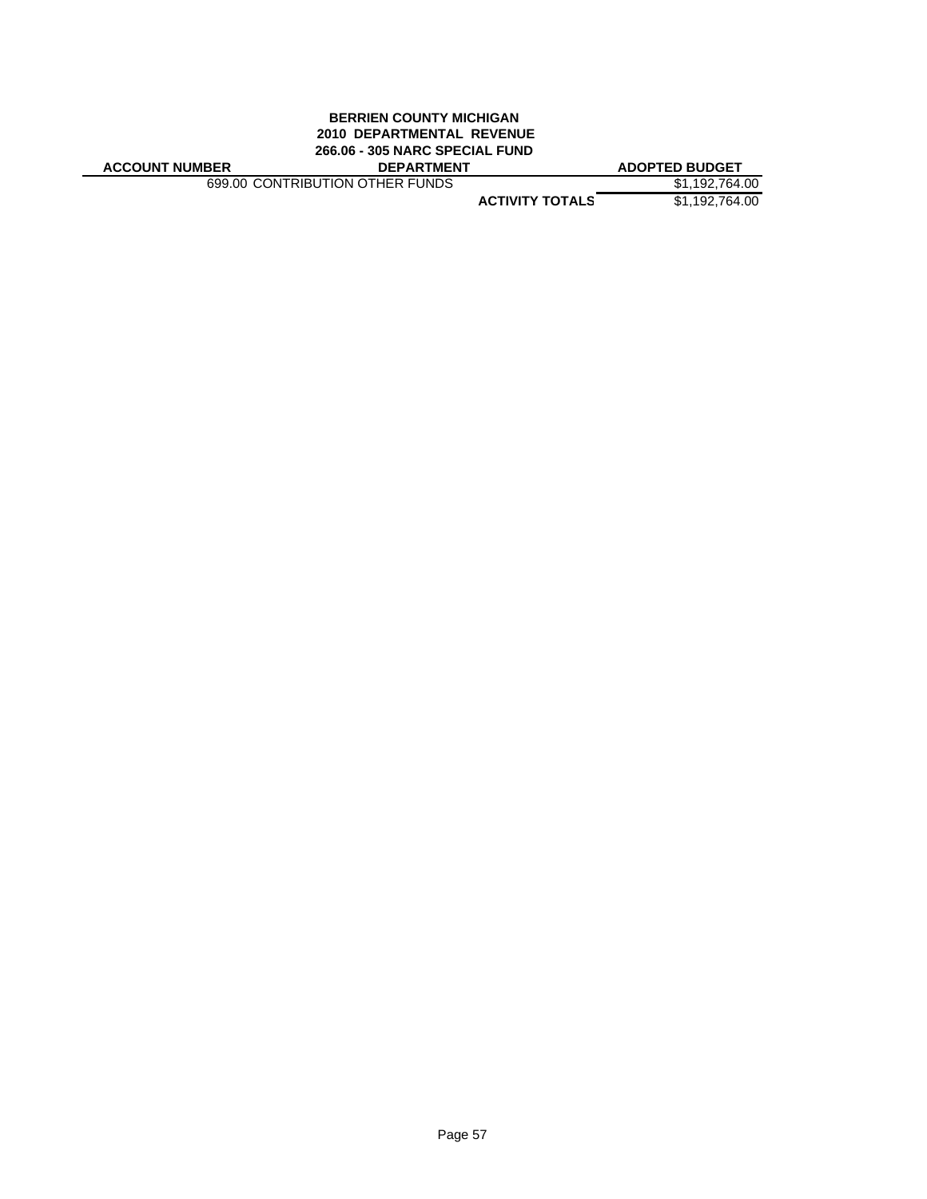### **BERRIEN COUNTY MICHIGAN 2010 DEPARTMENTAL REVENUE 266.06 - 305 NARC SPECIAL FUND**

| <b>ACCOUNT NUMBER</b><br><b>DEPARTMENT</b> | <b>ADOPTED BUDGET</b> |
|--------------------------------------------|-----------------------|
|--------------------------------------------|-----------------------|

699.00 CONTRIBUTION OTHER FUNDS \$1,192,764.00

**ACTIVITY TOTALS** \$1,192,764.00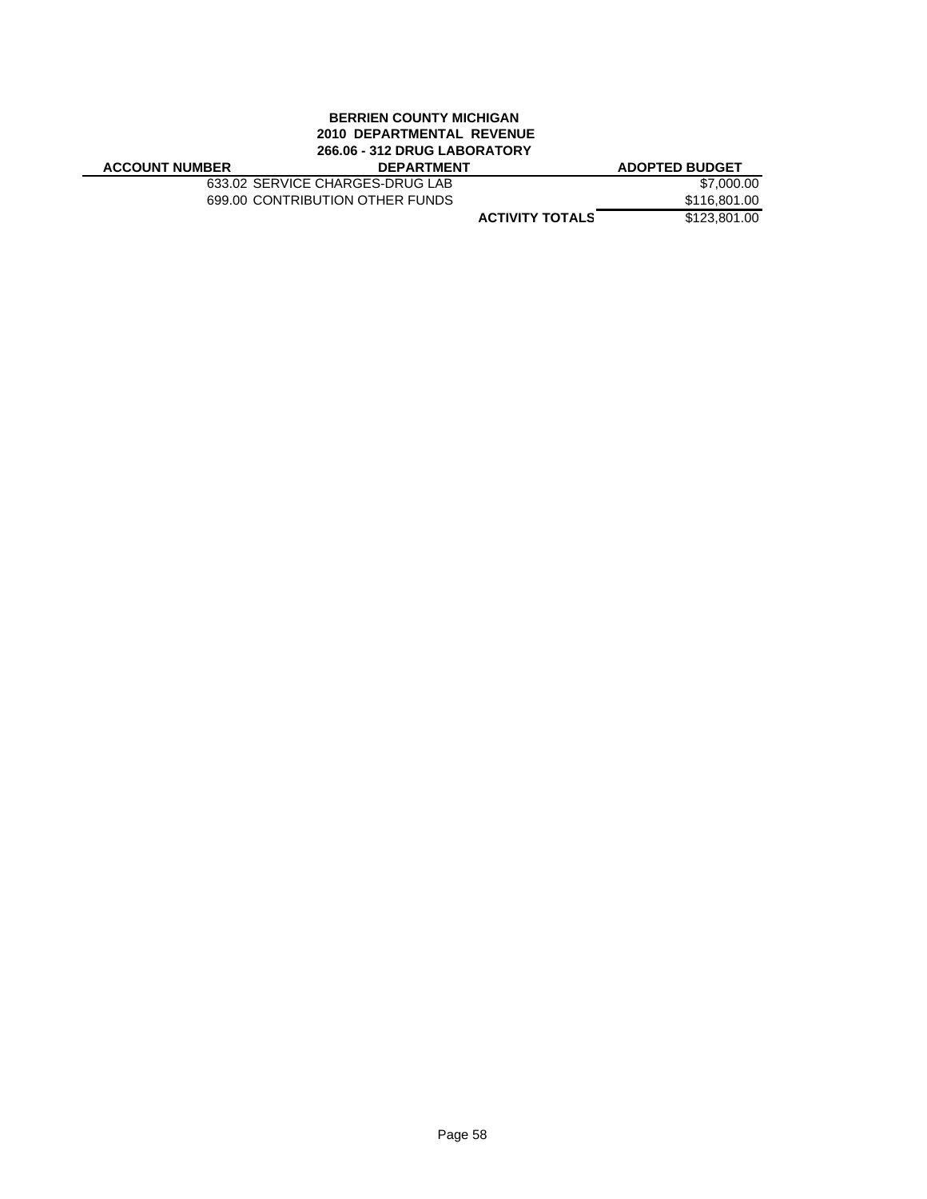### **BERRIEN COUNTY MICHIGAN 2010 DEPARTMENTAL REVENUE 266.06 - 312 DRUG LABORATORY**

| <b>ACCOUNT NUMBER</b> |  |
|-----------------------|--|
|-----------------------|--|

633.02 SERVICE CHARGES-DRUG LAB \$7,000.00<br>699.00 CONTRIBUTION OTHER FUNDS \$116,801.00 699.00 CONTRIBUTION OTHER FUNDS

**ACCOUNT NUMBER DEPARTMENT ADOPTED BUDGET**

**ACTIVITY TOTALS** \$123,801.00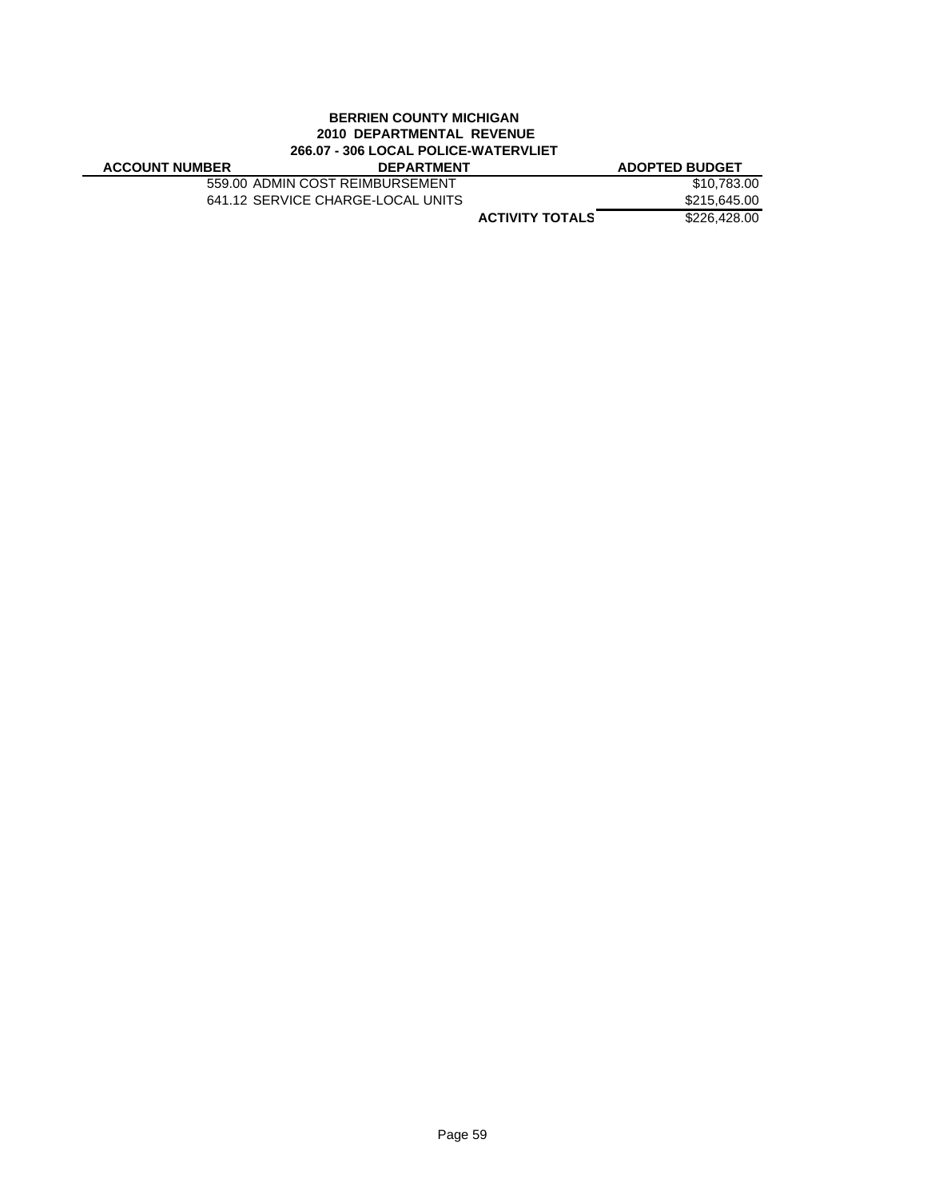### **BERRIEN COUNTY MICHIGAN 2010 DEPARTMENTAL REVENUE 266.07 - 306 LOCAL POLICE-WATERVLIET**

| <b>ACCOUNT NUMBER</b> | <b>DEPARTMENT</b>                 |                        | <b>ADOPTED BUDGET</b> |
|-----------------------|-----------------------------------|------------------------|-----------------------|
|                       | 559.00 ADMIN COST REIMBURSEMENT   |                        | \$10.783.00           |
|                       | 641.12 SERVICE CHARGE-LOCAL UNITS |                        | \$215,645.00          |
|                       |                                   | <b>ACTIVITY TOTALS</b> | \$226,428,00          |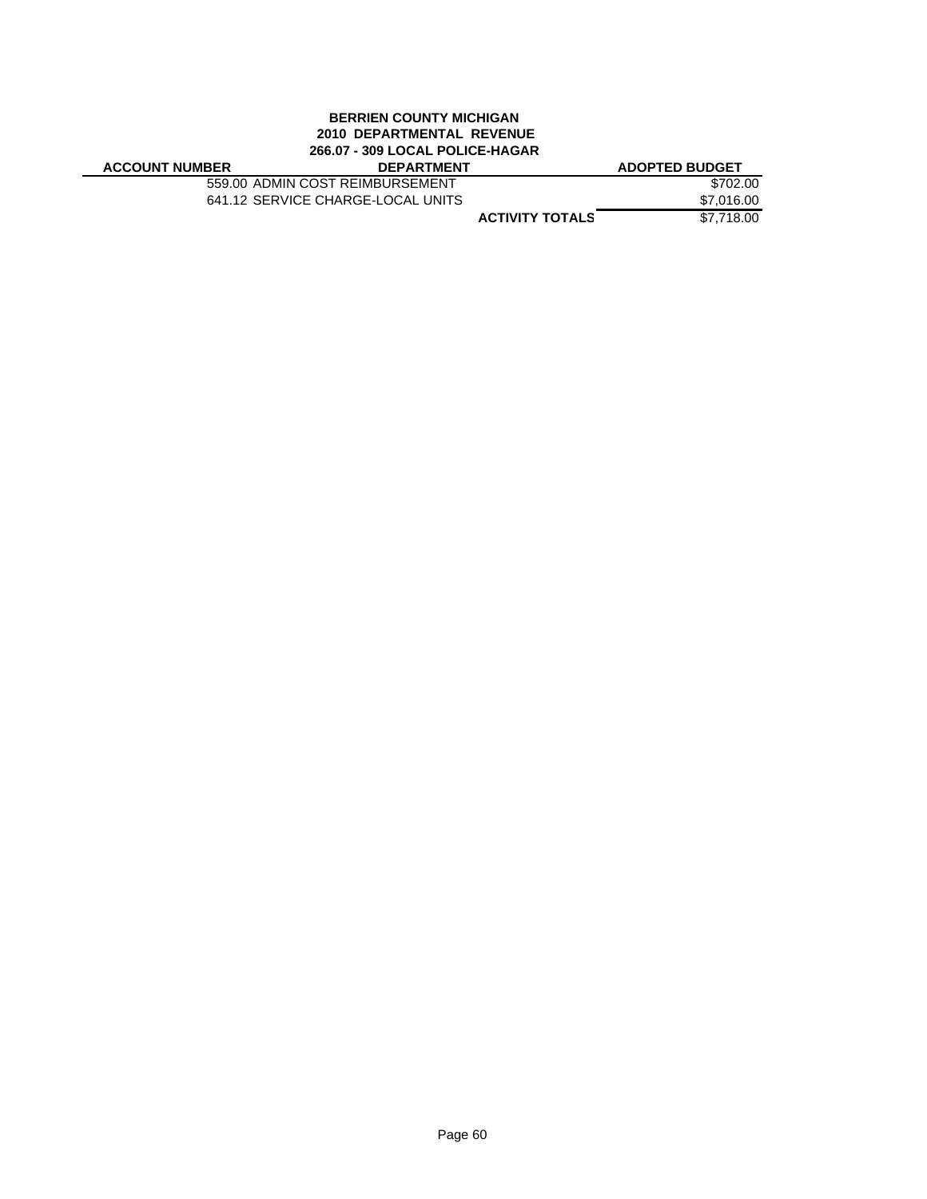# **BERRIEN COUNTY MICHIGAN 2010 DEPARTMENTAL REVENUE 266.07 - 309 LOCAL POLICE-HAGAR**

| <b>ACCOUNT NUMBER</b> |  |
|-----------------------|--|
|-----------------------|--|

| ---- | _ _                               | .          |
|------|-----------------------------------|------------|
|      | 559.00 ADMIN COST REIMBURSEMENT   | \$702.00   |
|      | 641.12 SERVICE CHARGE-LOCAL UNITS | \$7,016,00 |

|                 | <b>ADOPTED BUDGET</b> |
|-----------------|-----------------------|
|                 | \$702.00              |
|                 | \$7,016.00            |
| ACTIVITY TOTALS | \$7,718.00            |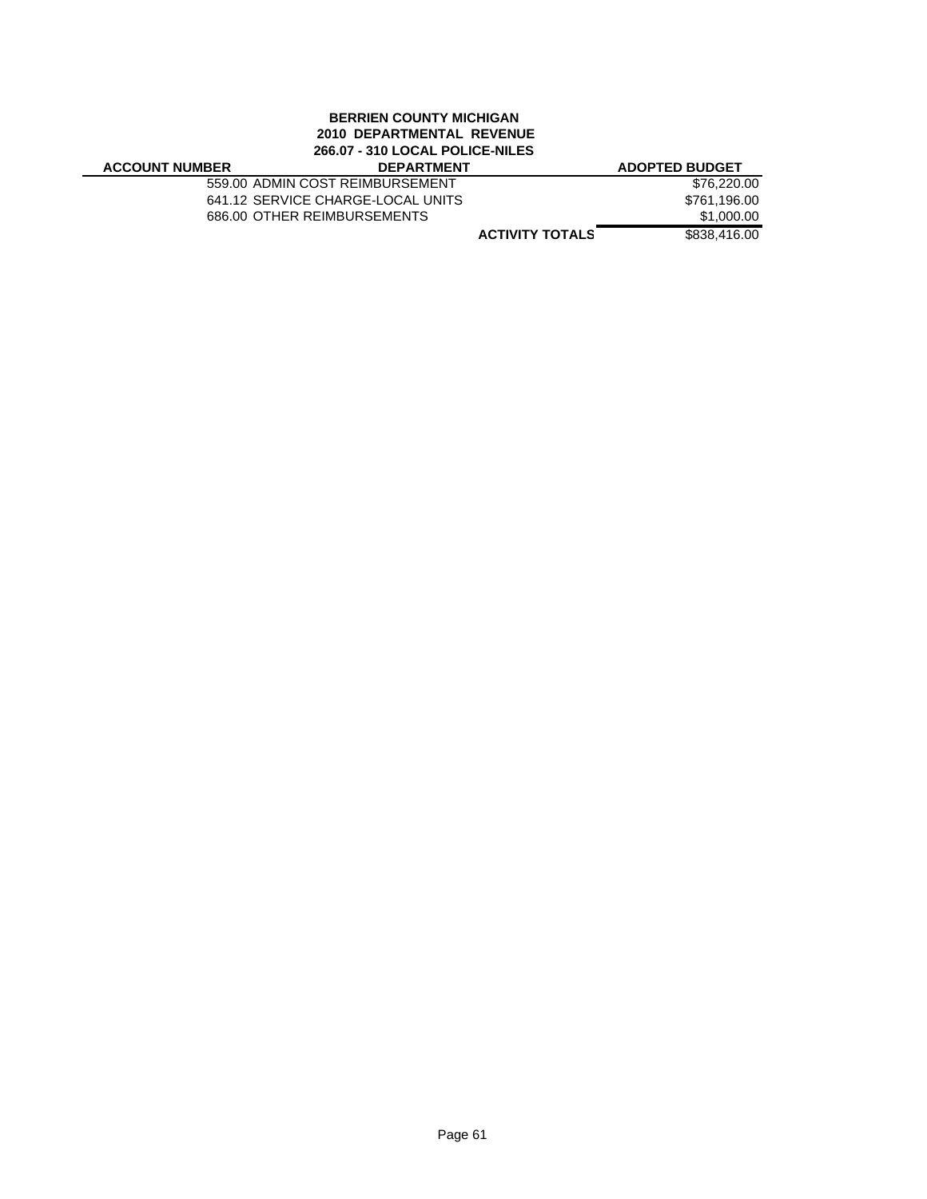### **BERRIEN COUNTY MICHIGAN 2010 DEPARTMENTAL REVENUE 266.07 - 310 LOCAL POLICE-NILES**

| <b>ACCOUNT NUMBER</b> |  |
|-----------------------|--|
|-----------------------|--|

| <b>ACCOUNT NUMBER</b> | <b>DEPARTMENT</b>                 | <b>ADOPTED BUDGET</b> |
|-----------------------|-----------------------------------|-----------------------|
|                       | 559.00 ADMIN COST REIMBURSEMENT   | \$76,220.00           |
|                       | 641.12 SERVICE CHARGE-LOCAL UNITS | \$761,196.00          |
|                       | 686.00 OTHER REIMBURSEMENTS       | \$1,000.00            |
|                       |                                   |                       |

**ACTIVITY TOTALS** \$838,416.00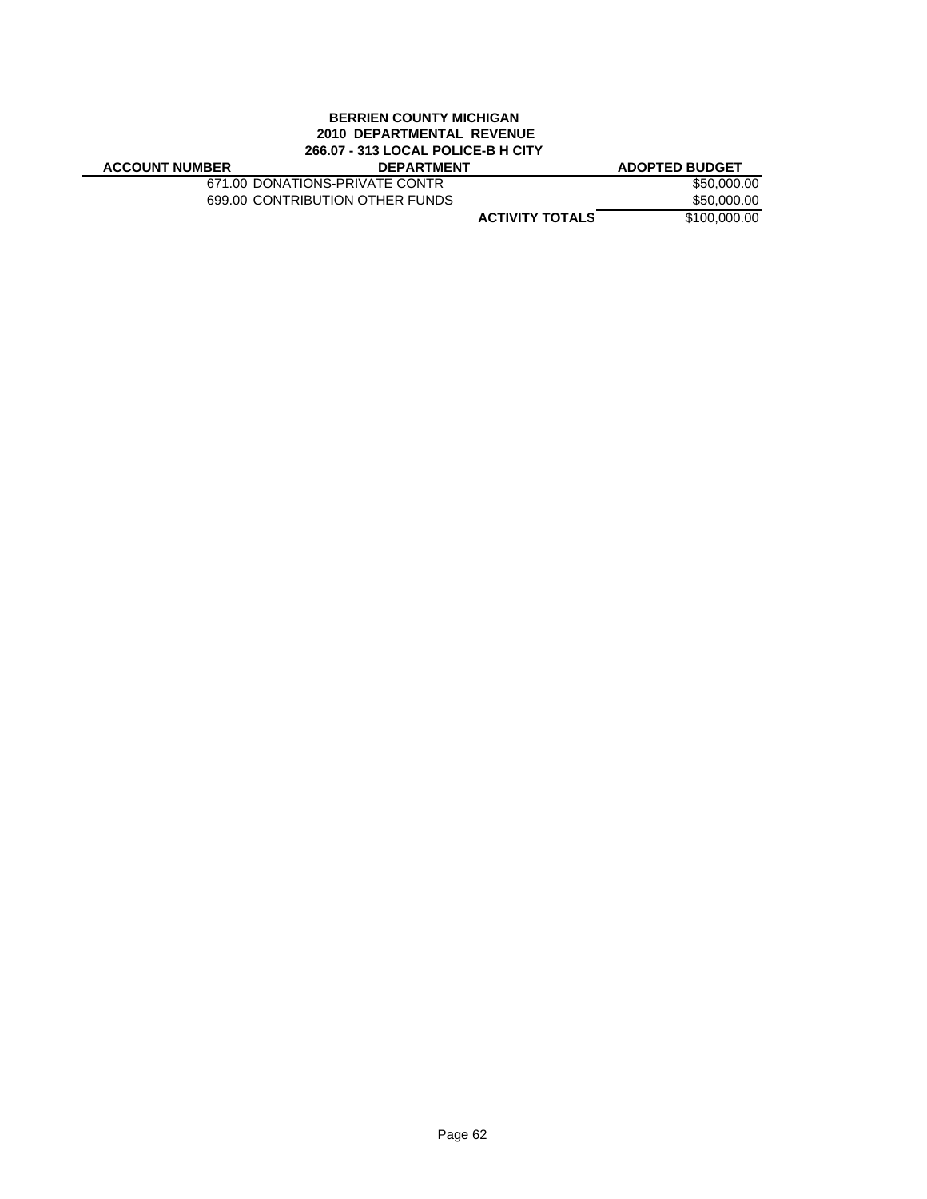### **BERRIEN COUNTY MICHIGAN 2010 DEPARTMENTAL REVENUE 266.07 - 313 LOCAL POLICE-B H CITY**

| <b>ACCOUNT NUMBER</b> | <b>DEPARTMENT</b> | <b>ADOPTED BUDGET</b> |
|-----------------------|-------------------|-----------------------|
|-----------------------|-------------------|-----------------------|

671.00 DONATIONS-PRIVATE CONTR \$50,000.00 699.00 CONTRIBUTION OTHER FUNDS \$50,000.00

**ACTIVITY TOTALS** \$100,000.00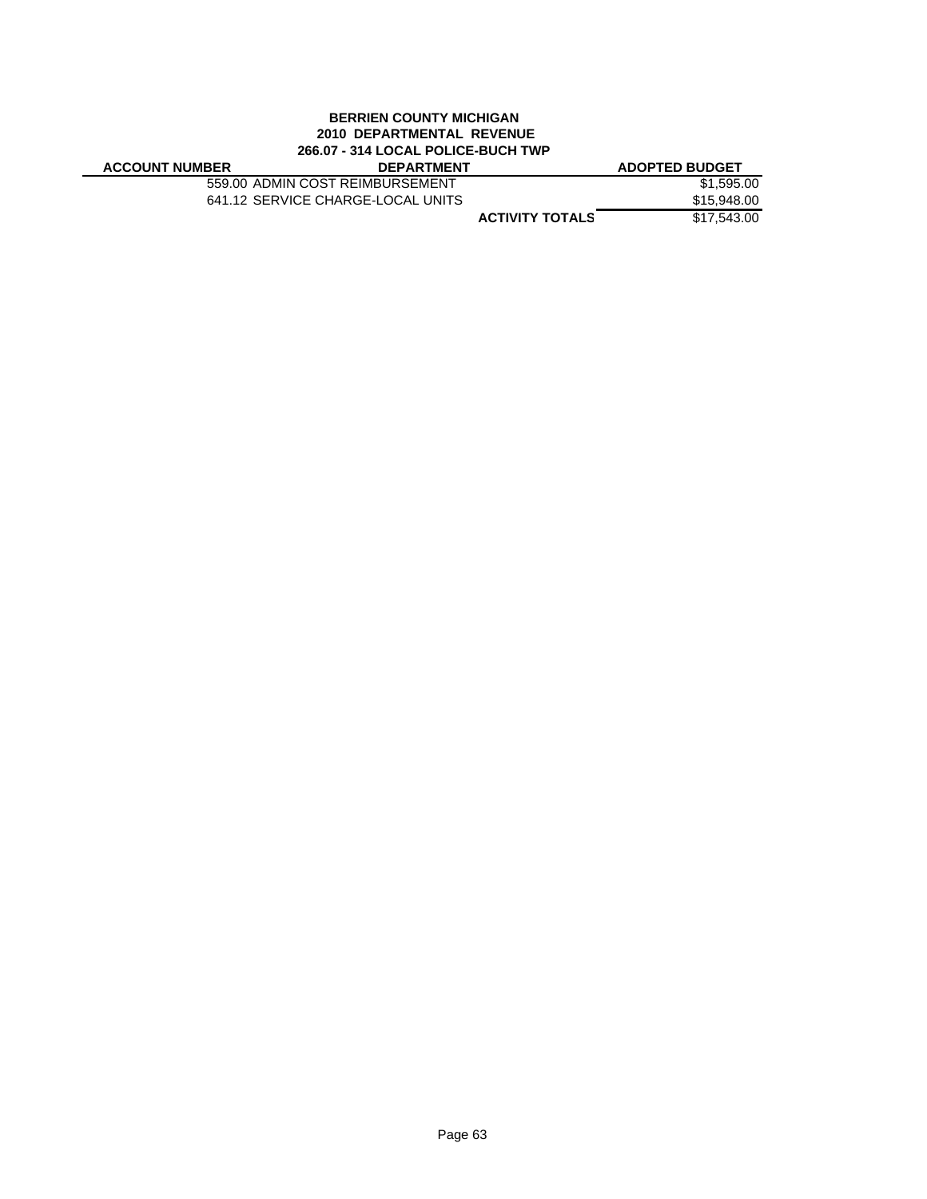### **BERRIEN COUNTY MICHIGAN 2010 DEPARTMENTAL REVENUE 266.07 - 314 LOCAL POLICE-BUCH TWP**

| <b>ACCOUNT NUMBER</b> | <b>DEPARTMENT</b>                 |                        | <b>ADOPTED BUDGET</b> |
|-----------------------|-----------------------------------|------------------------|-----------------------|
|                       | 559.00 ADMIN COST REIMBURSEMENT   |                        | \$1,595.00            |
|                       | 641.12 SERVICE CHARGE-LOCAL UNITS |                        | \$15,948.00           |
|                       |                                   | <b>ACTIVITY TOTALS</b> | \$17.543.00           |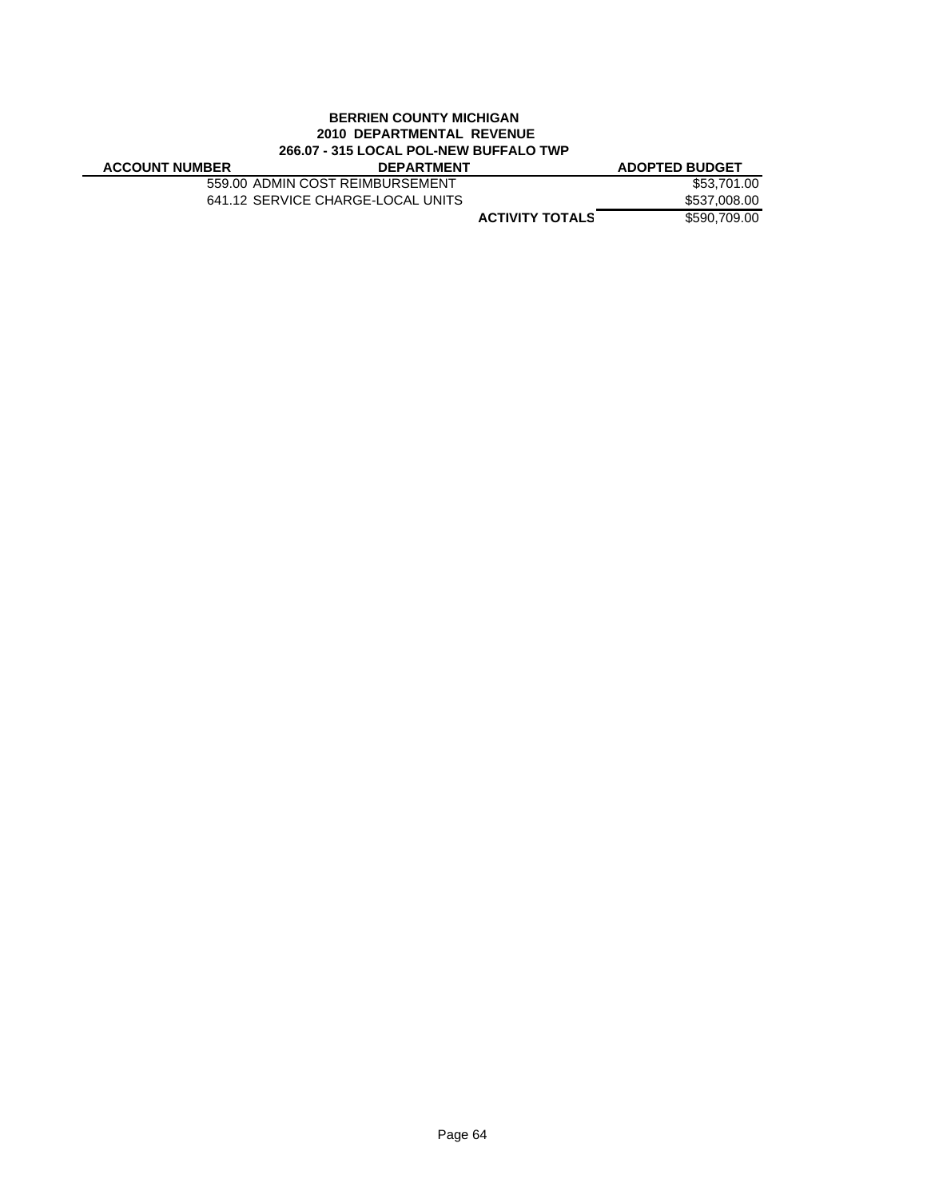### **BERRIEN COUNTY MICHIGAN 2010 DEPARTMENTAL REVENUE 266.07 - 315 LOCAL POL-NEW BUFFALO TWP**

| <b>ACCOUNT NUMBER</b> | <b>DEPARTMENT</b>                 |                        | <b>ADOPTED BUDGET</b> |
|-----------------------|-----------------------------------|------------------------|-----------------------|
|                       | 559.00 ADMIN COST REIMBURSEMENT   |                        | \$53,701.00           |
|                       | 641.12 SERVICE CHARGE-LOCAL UNITS |                        | \$537,008.00          |
|                       |                                   | <b>ACTIVITY TOTALS</b> | \$590,709.00          |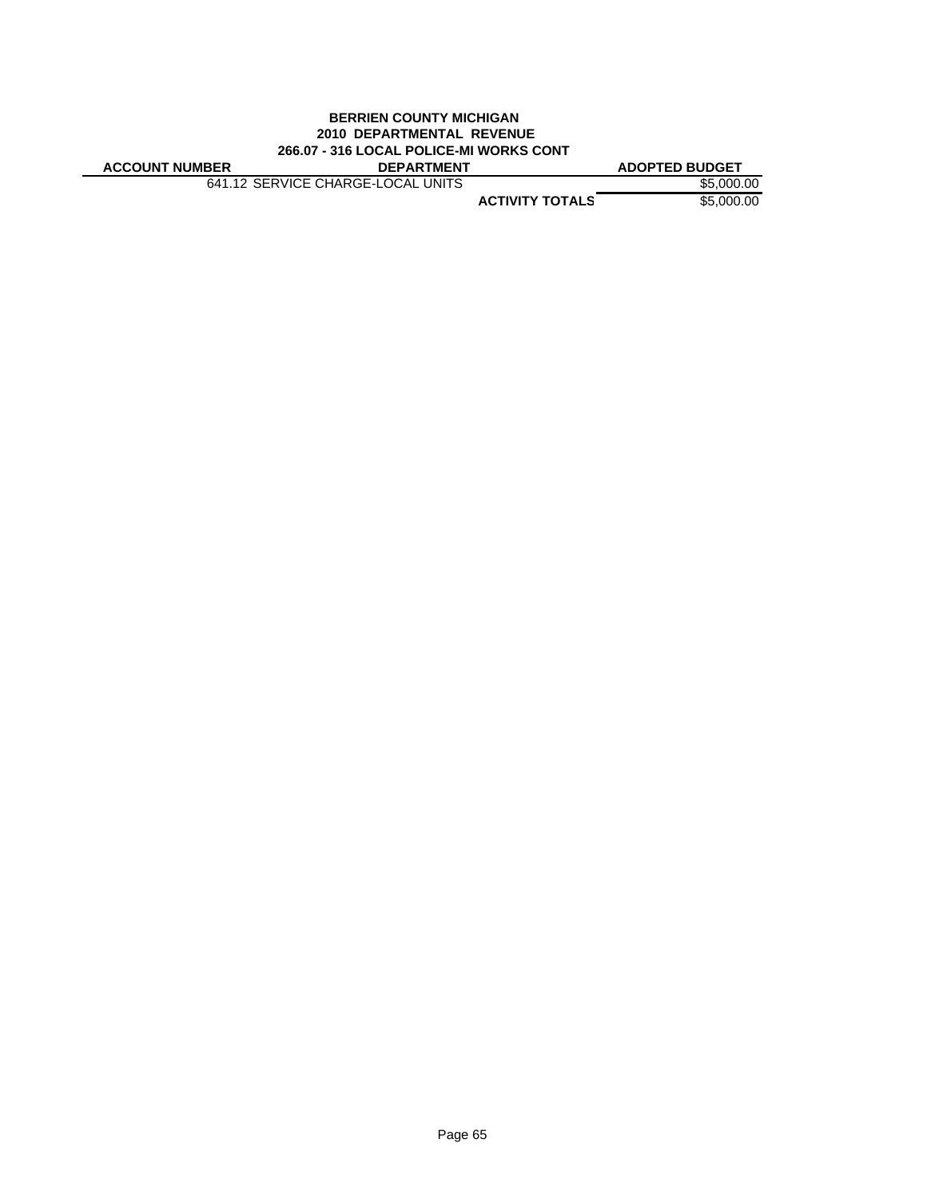### **BERRIEN COUNTY MICHIGAN 2010 DEPARTMENTAL REVENUE 266.07 - 316 LOCAL POLICE-MI WORKS CONT**

**ACCOUNT NUMBER DEPARTMENT ADOPTED BUDGET**

641.12 SERVICE CHARGE-LOCAL UNITS \$5,000.00

**ACTIVITY TOTALS** \$5,000.00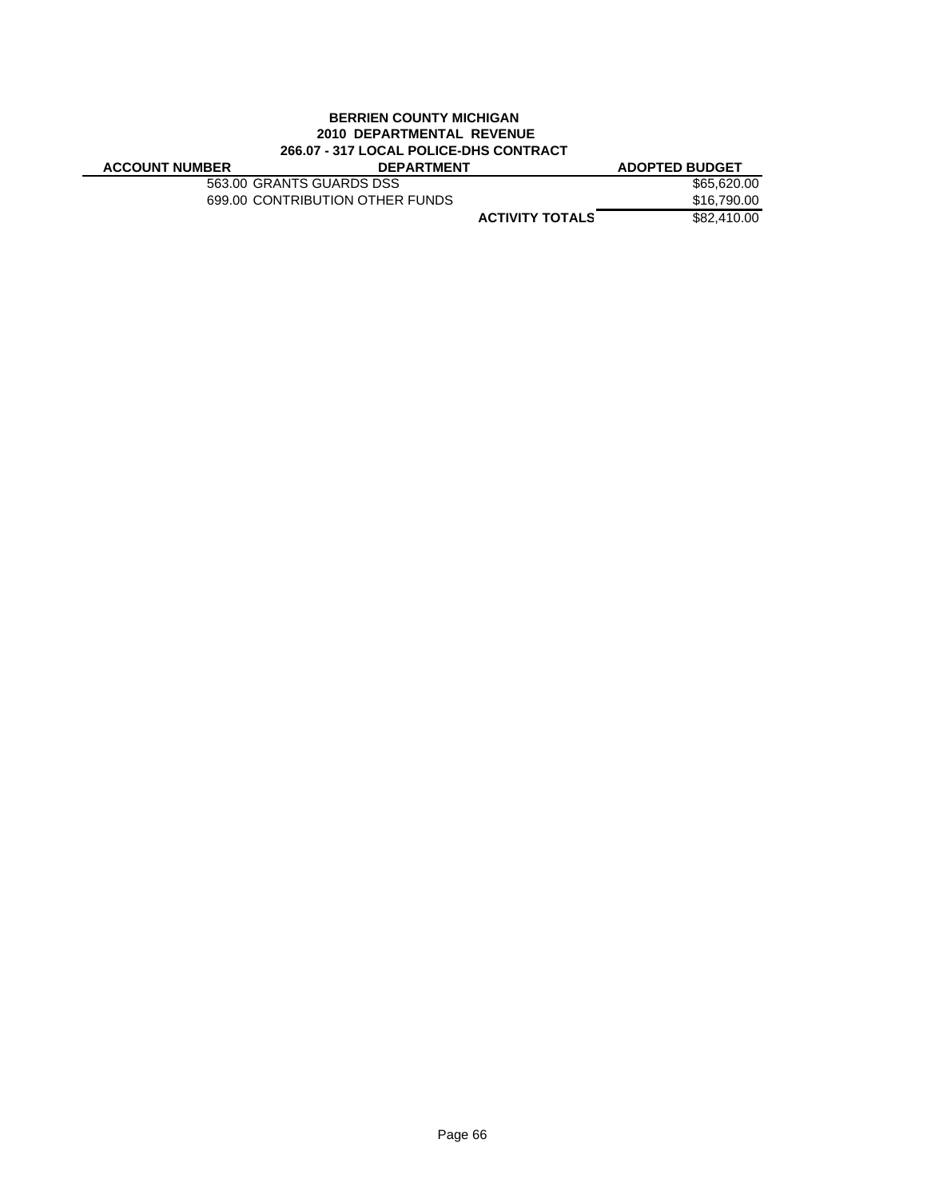### **BERRIEN COUNTY MICHIGAN 2010 DEPARTMENTAL REVENUE 266.07 - 317 LOCAL POLICE-DHS CONTRACT**

| <b>ACCOUNT NUMBER</b> | <b>DEPARTMENT</b>               |                        | <b>ADOPTED BUDGET</b> |
|-----------------------|---------------------------------|------------------------|-----------------------|
|                       | 563.00 GRANTS GUARDS DSS        |                        | \$65,620,00           |
|                       | 699.00 CONTRIBUTION OTHER FUNDS |                        | \$16,790.00           |
|                       |                                 | <b>ACTIVITY TOTALS</b> | \$82,410,00           |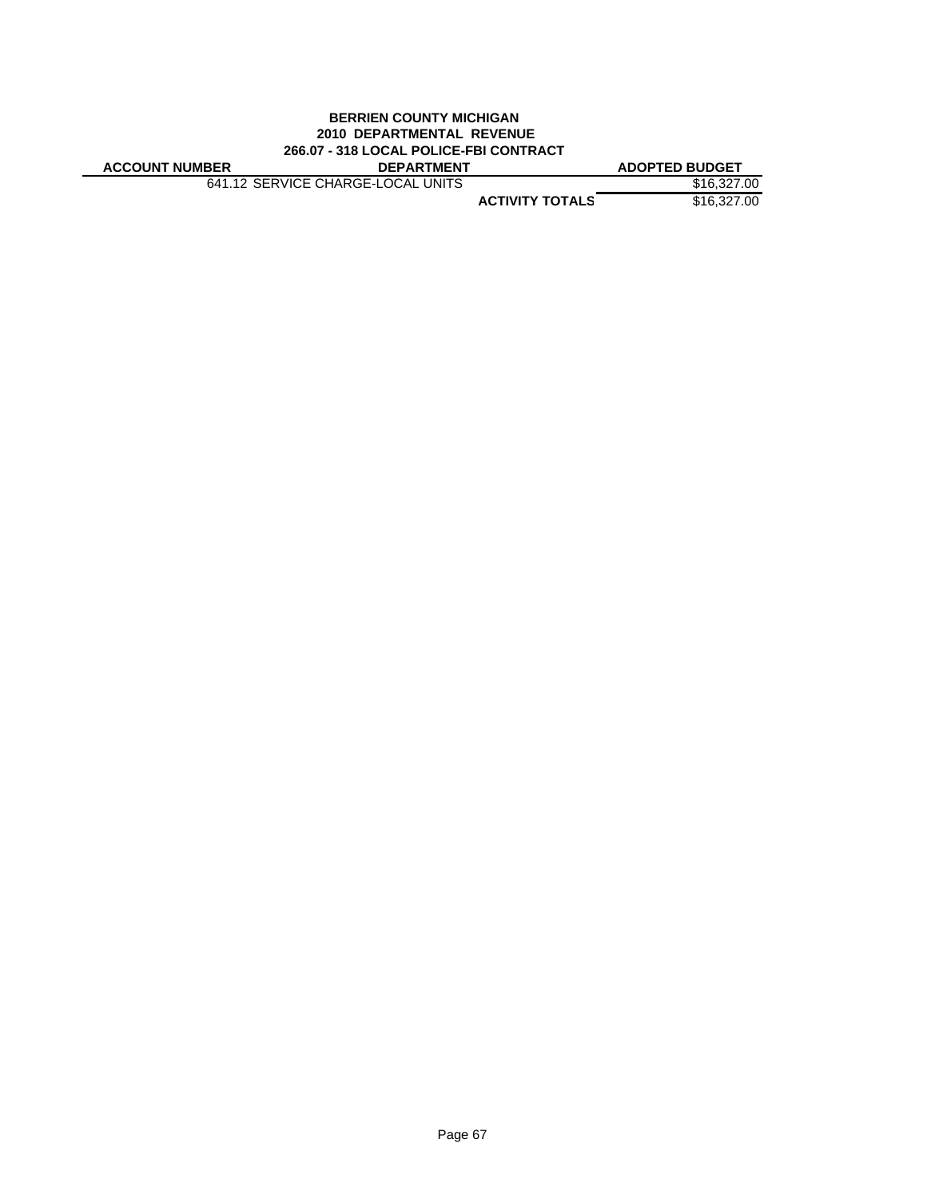# **BERRIEN COUNTY MICHIGAN 2010 DEPARTMENTAL REVENUE 266.07 - 318 LOCAL POLICE-FBI CONTRACT**

| <b>ACCOUNT NUMBER</b> |
|-----------------------|
|-----------------------|

**ACCOUNT NUMBER DEPARTMENT ADOPTED BUDGET** 641.12 SERVICE CHARGE-LOCAL UNITS \$16,327.00

**ACTIVITY TOTALS** \$16,327.00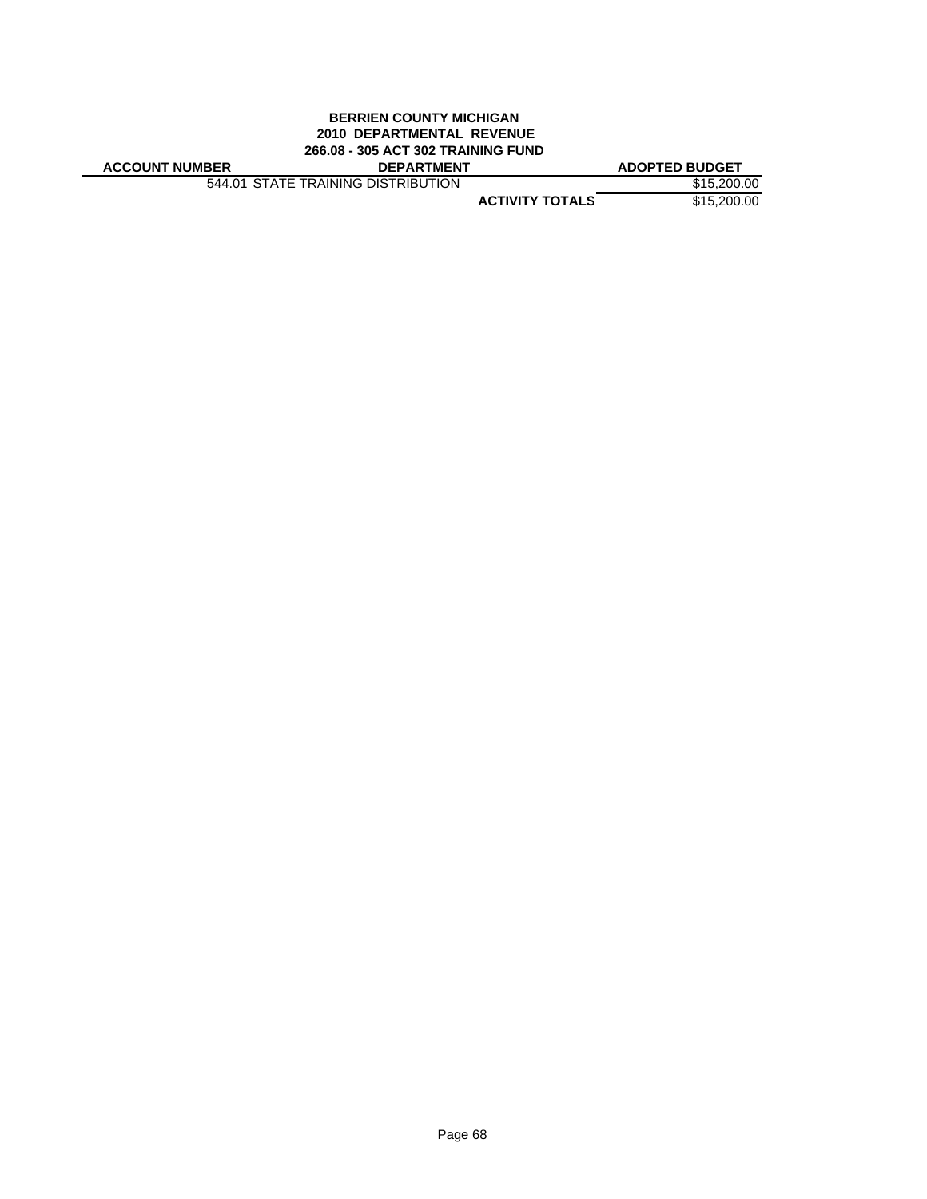# **BERRIEN COUNTY MICHIGAN 2010 DEPARTMENTAL REVENUE 266.08 - 305 ACT 302 TRAINING FUND**

| <b>ACCOUNT NUMBER</b> |  |
|-----------------------|--|
|-----------------------|--|

544.01 STATE TRAINING DISTRIBUTION \$15,200.00

**ADOPTED BUDGET** 

**ACTIVITY TOTALS** \$15,200.00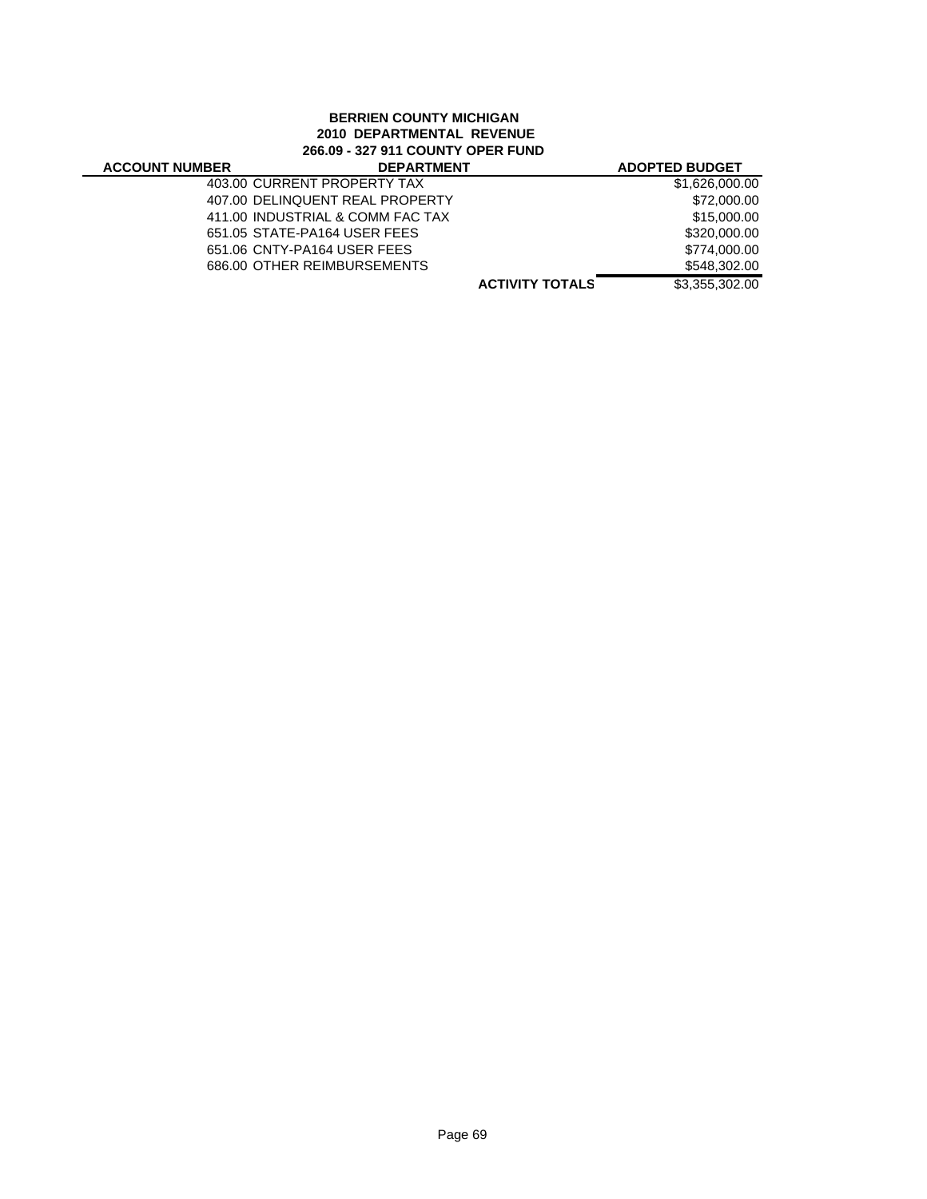## **BERRIEN COUNTY MICHIGAN 2010 DEPARTMENTAL REVENUE 266.09 - 327 911 COUNTY OPER FUND**

| <b>ACCOUNT NUMBER</b> | <b>DEPARTMENT</b>                |                        | <b>ADOPTED BUDGET</b> |
|-----------------------|----------------------------------|------------------------|-----------------------|
|                       | 403.00 CURRENT PROPERTY TAX      |                        | \$1,626,000.00        |
|                       | 407.00 DELINQUENT REAL PROPERTY  |                        | \$72,000.00           |
|                       | 411.00 INDUSTRIAL & COMM FAC TAX |                        | \$15,000.00           |
|                       | 651.05 STATE-PA164 USER FEES     |                        | \$320,000.00          |
|                       | 651.06 CNTY-PA164 USER FEES      |                        | \$774,000.00          |
|                       | 686.00 OTHER REIMBURSEMENTS      |                        | \$548,302.00          |
|                       |                                  | <b>ACTIVITY TOTALS</b> | \$3,355,302.00        |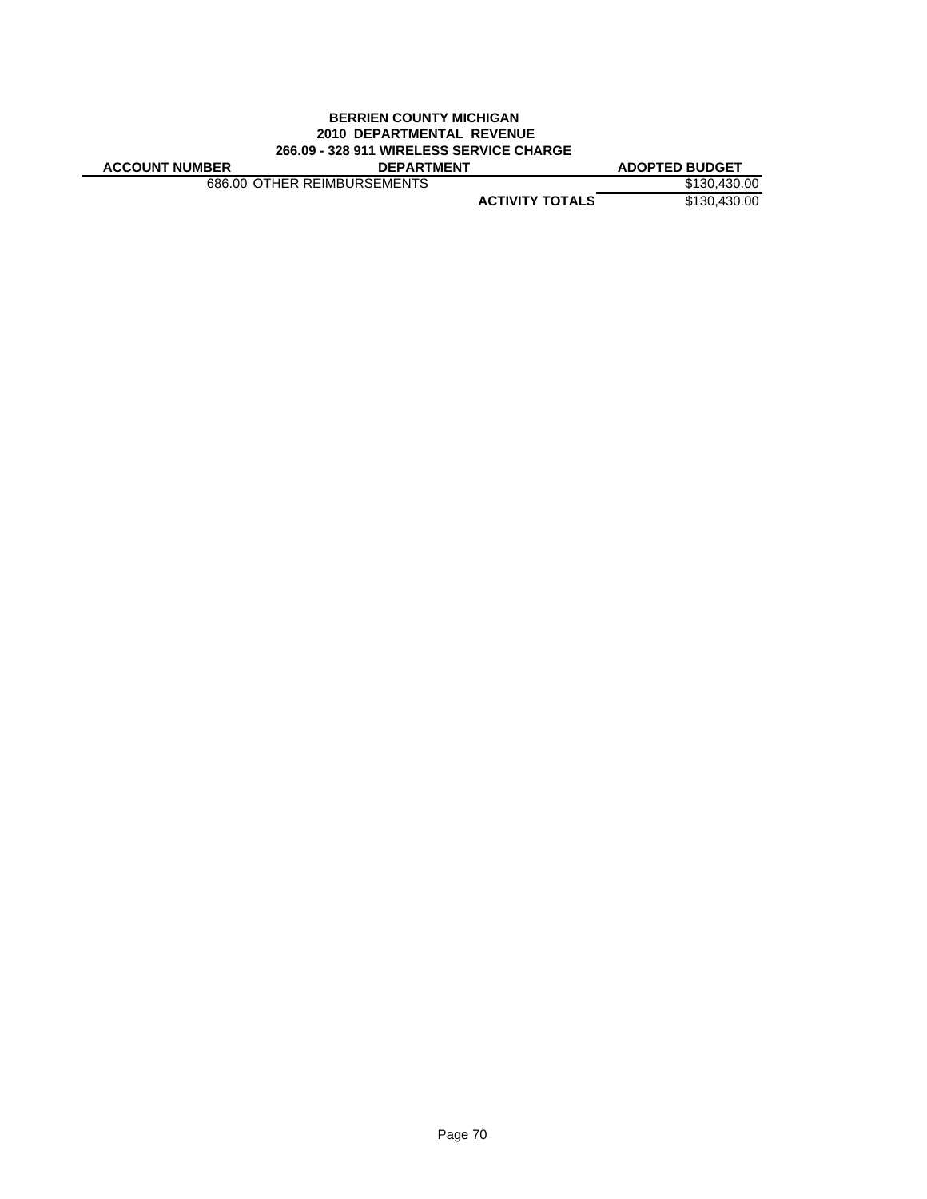# **BERRIEN COUNTY MICHIGAN 2010 DEPARTMENTAL REVENUE 266.09 - 328 911 WIRELESS SERVICE CHARGE**

|  | <b>ACCOUNT NUMBER</b> |
|--|-----------------------|
|  |                       |

**ACCOUNT NUMBER DEPARTMENT ADOPTED BUDGET** 686.00 OTHER REIMBURSEMENTS \$130,430.00

**ACTIVITY TOTALS** \$130,430.00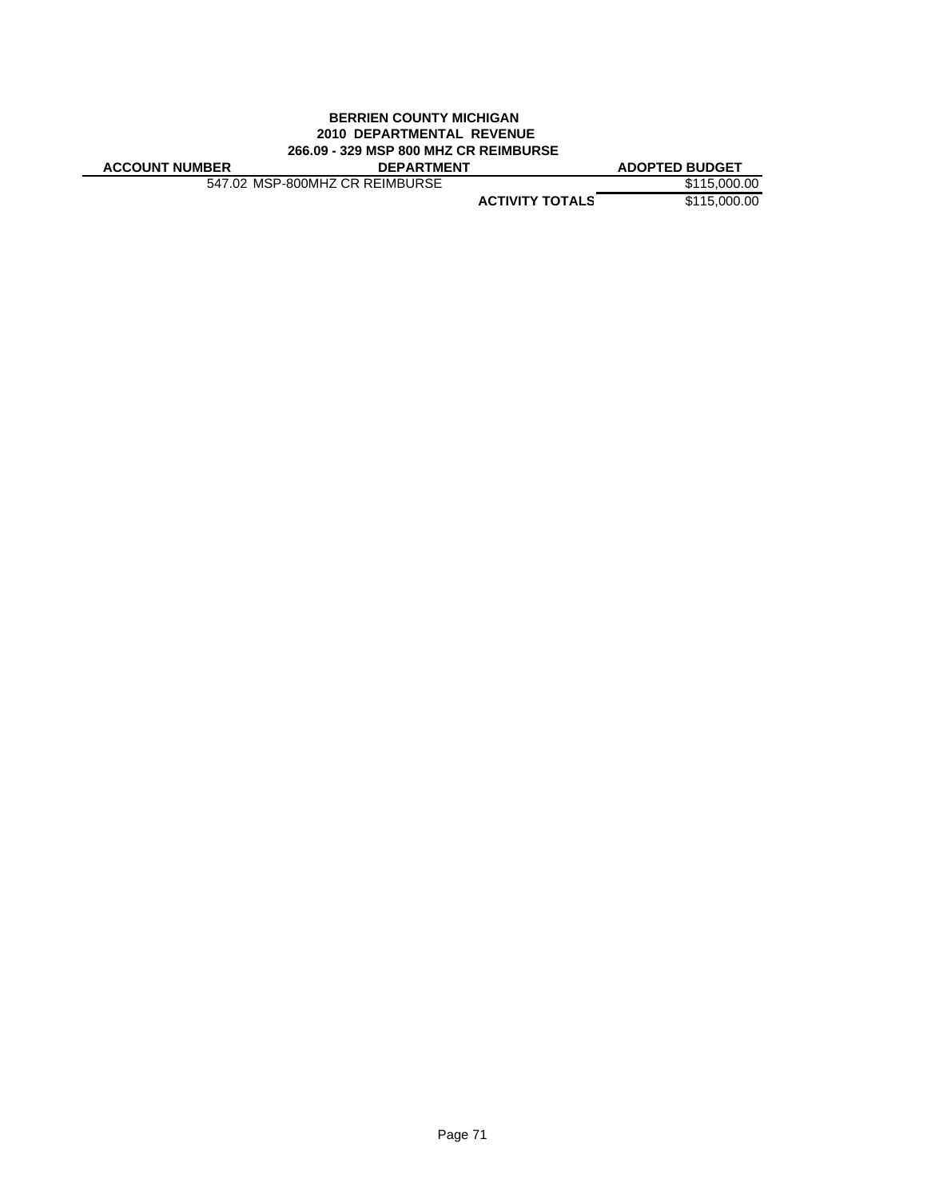# **BERRIEN COUNTY MICHIGAN 2010 DEPARTMENTAL REVENUE 266.09 - 329 MSP 800 MHZ CR REIMBURSE**

| <b>ACCOUNT NUMBER</b> |
|-----------------------|
|-----------------------|

547.02 MSP-800MHZ CR REIMBURSE \$115,000.00

**ACCOUNT NUMBER DEPARTMENT ADOPTED BUDGET**

**ACTIVITY TOTALS** \$115,000.00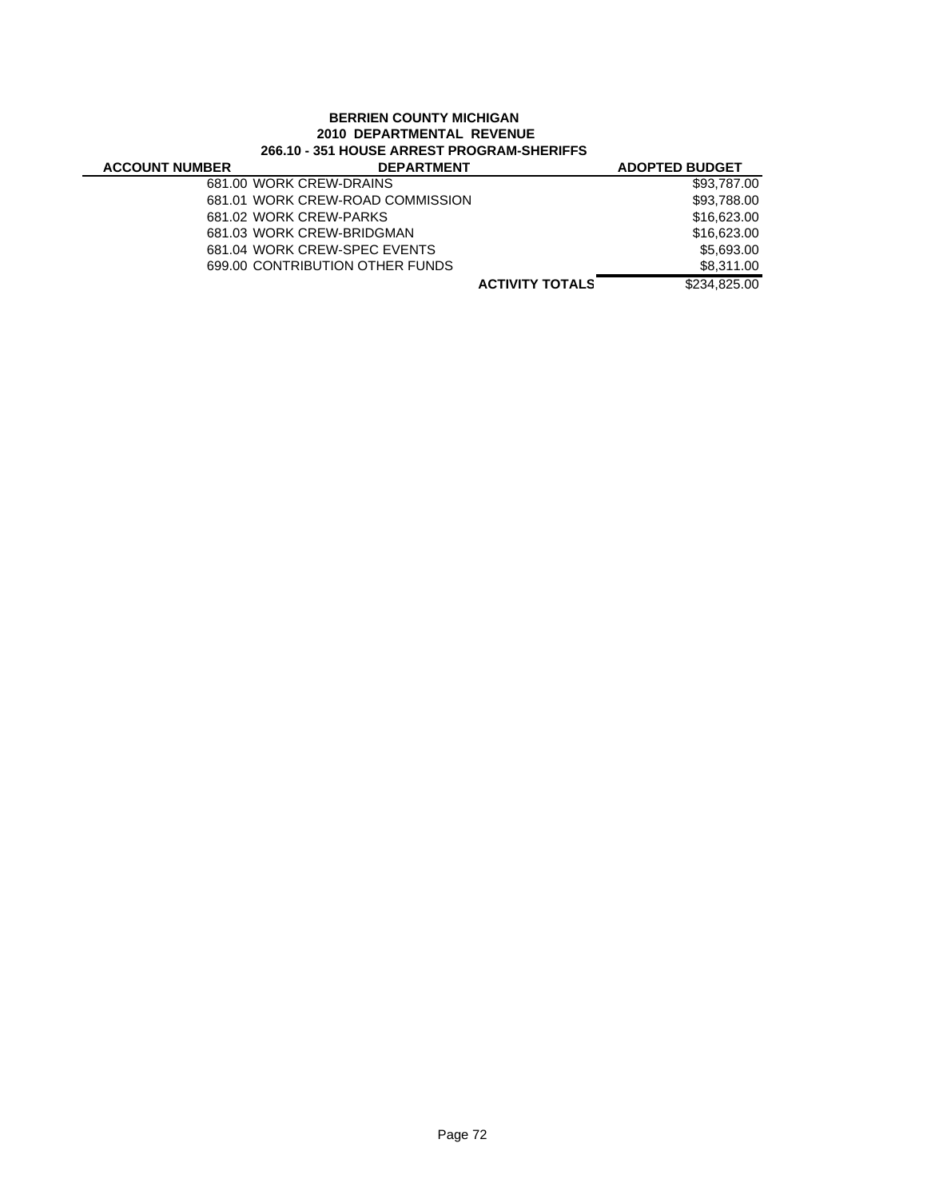### **BERRIEN COUNTY MICHIGAN 2010 DEPARTMENTAL REVENUE 266.10 - 351 HOUSE ARREST PROGRAM-SHERIFFS**

| <b>ACCOUNT NUMBER</b> | <b>DEPARTMENT</b>                |                        | <b>ADOPTED BUDGET</b> |
|-----------------------|----------------------------------|------------------------|-----------------------|
|                       | 681.00 WORK CREW-DRAINS          |                        | \$93,787.00           |
|                       | 681.01 WORK CREW-ROAD COMMISSION |                        | \$93,788.00           |
|                       | 681.02 WORK CREW-PARKS           |                        | \$16,623.00           |
|                       | 681.03 WORK CREW-BRIDGMAN        |                        | \$16,623,00           |
|                       | 681.04 WORK CREW-SPEC EVENTS     |                        | \$5.693.00            |
|                       | 699.00 CONTRIBUTION OTHER FUNDS  |                        | \$8.311.00            |
|                       |                                  | <b>ACTIVITY TOTALS</b> | \$234.825.00          |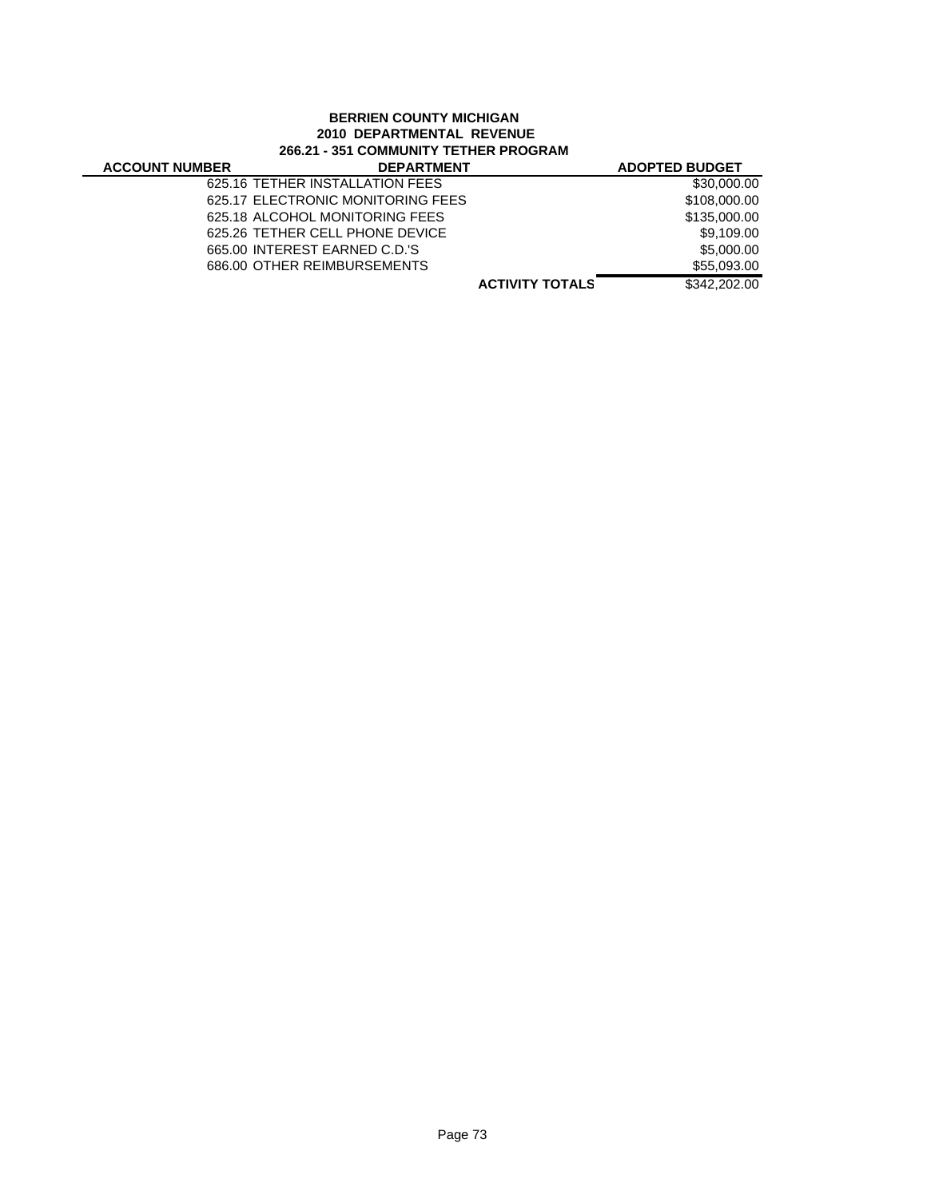# **BERRIEN COUNTY MICHIGAN 2010 DEPARTMENTAL REVENUE 266.21 - 351 COMMUNITY TETHER PROGRAM**

| <b>ACCOUNT NUMBER</b> | <b>DEPARTMENT</b>                 |                        | <b>ADOPTED BUDGET</b> |
|-----------------------|-----------------------------------|------------------------|-----------------------|
|                       | 625.16 TETHER INSTALLATION FEES   |                        | \$30,000.00           |
|                       | 625.17 ELECTRONIC MONITORING FEES |                        | \$108,000.00          |
|                       | 625.18 ALCOHOL MONITORING FEES    |                        | \$135,000.00          |
|                       | 625.26 TETHER CELL PHONE DEVICE   |                        | \$9.109.00            |
|                       | 665.00 INTEREST EARNED C.D.'S     |                        | \$5,000.00            |
|                       | 686.00 OTHER REIMBURSEMENTS       |                        | \$55,093,00           |
|                       |                                   | <b>ACTIVITY TOTALS</b> | \$342,202.00          |
|                       |                                   |                        |                       |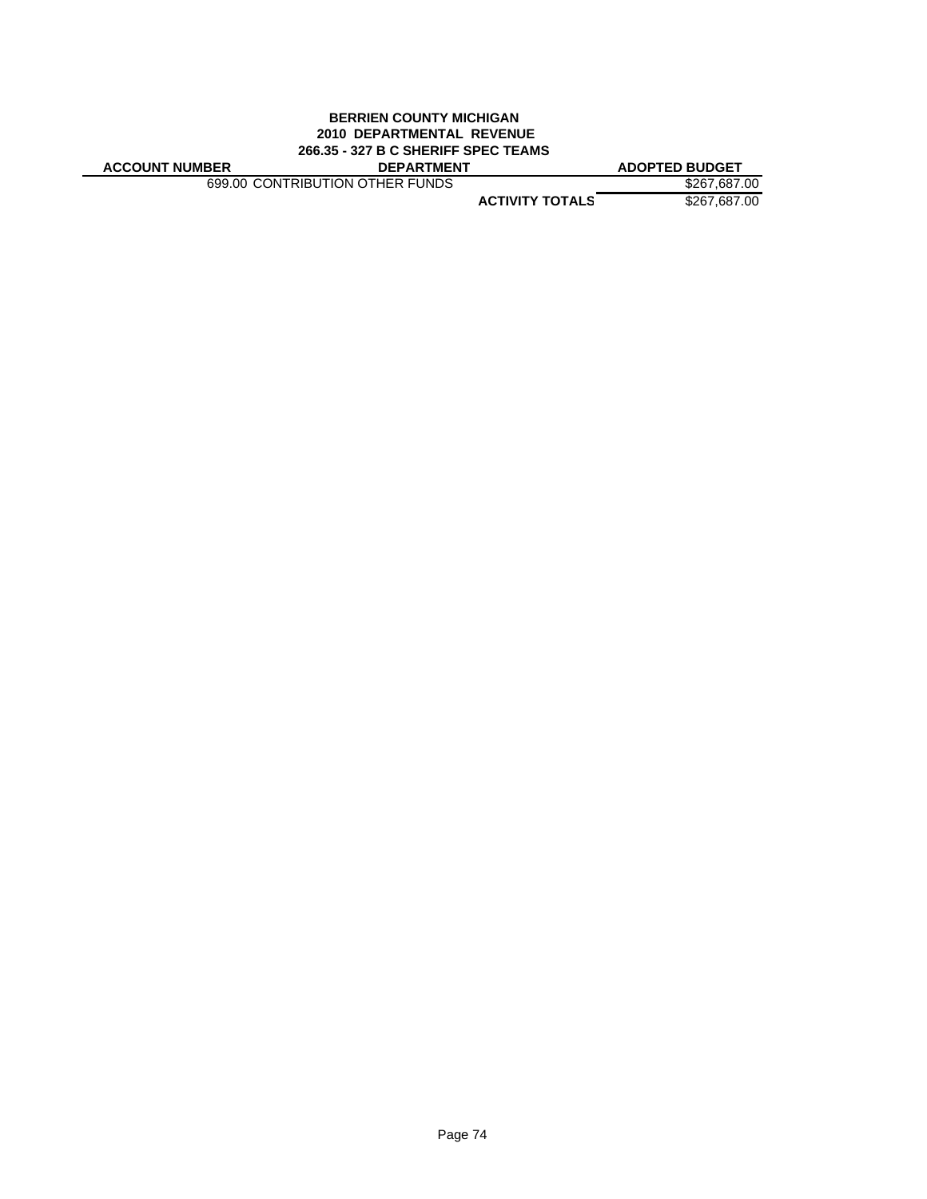### **BERRIEN COUNTY MICHIGAN 2010 DEPARTMENTAL REVENUE 266.35 - 327 B C SHERIFF SPEC TEAMS**

**ACCOUNT NUMBER DEPARTMENT ADOPTED BUDGET**

699.00 CONTRIBUTION OTHER FUNDS \$267,687.00

**ACTIVITY TOTALS** \$267,687.00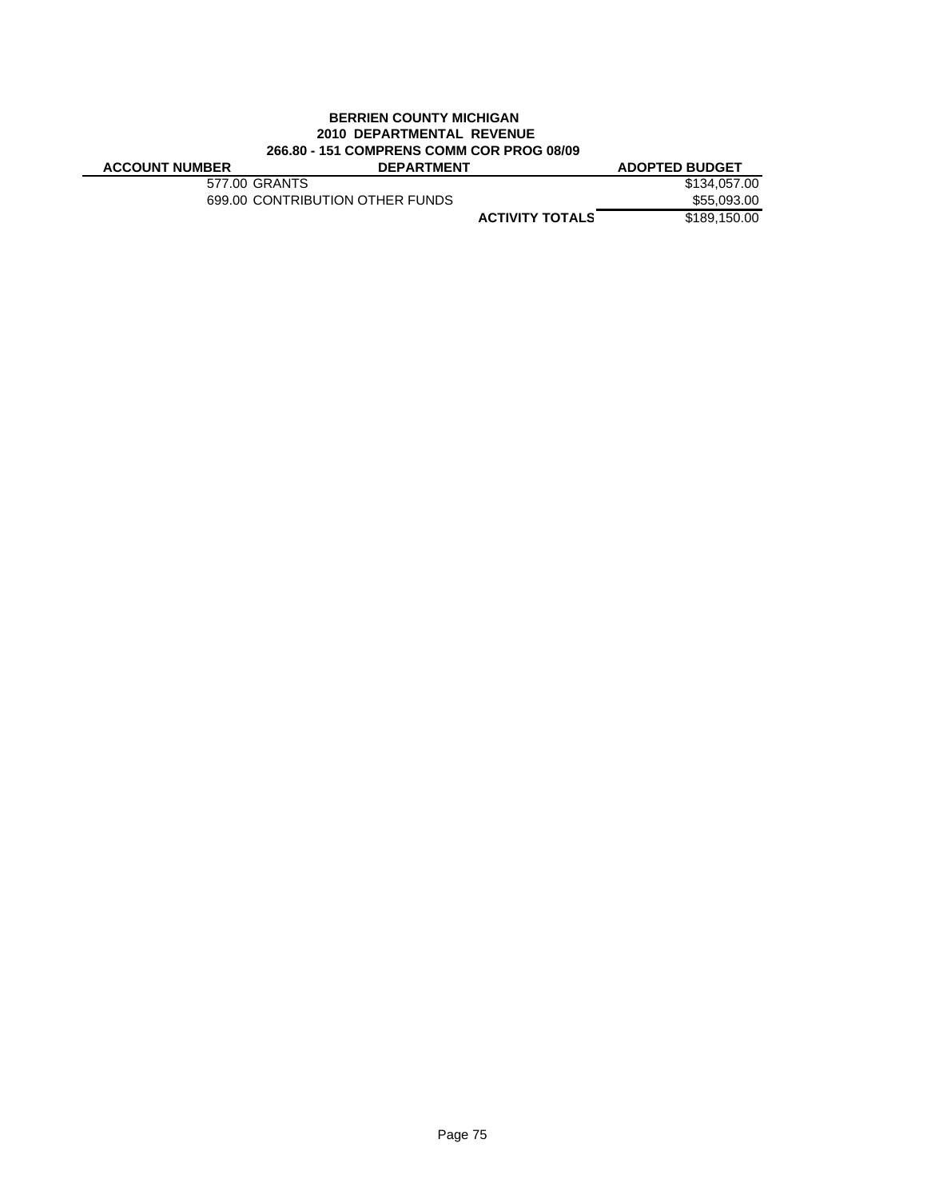# **BERRIEN COUNTY MICHIGAN 2010 DEPARTMENTAL REVENUE 266.80 - 151 COMPRENS COMM COR PROG 08/09**

J.

| <b>ACCOUNT NUMBER</b> | <b>DEPARTMENT</b>               |                        | <b>ADOPTED BUDGET</b> |
|-----------------------|---------------------------------|------------------------|-----------------------|
|                       | 577.00 GRANTS                   |                        | \$134,057,00          |
|                       | 699.00 CONTRIBUTION OTHER FUNDS |                        | \$55,093.00           |
|                       |                                 | <b>ACTIVITY TOTALS</b> | \$189,150,00          |
|                       |                                 |                        |                       |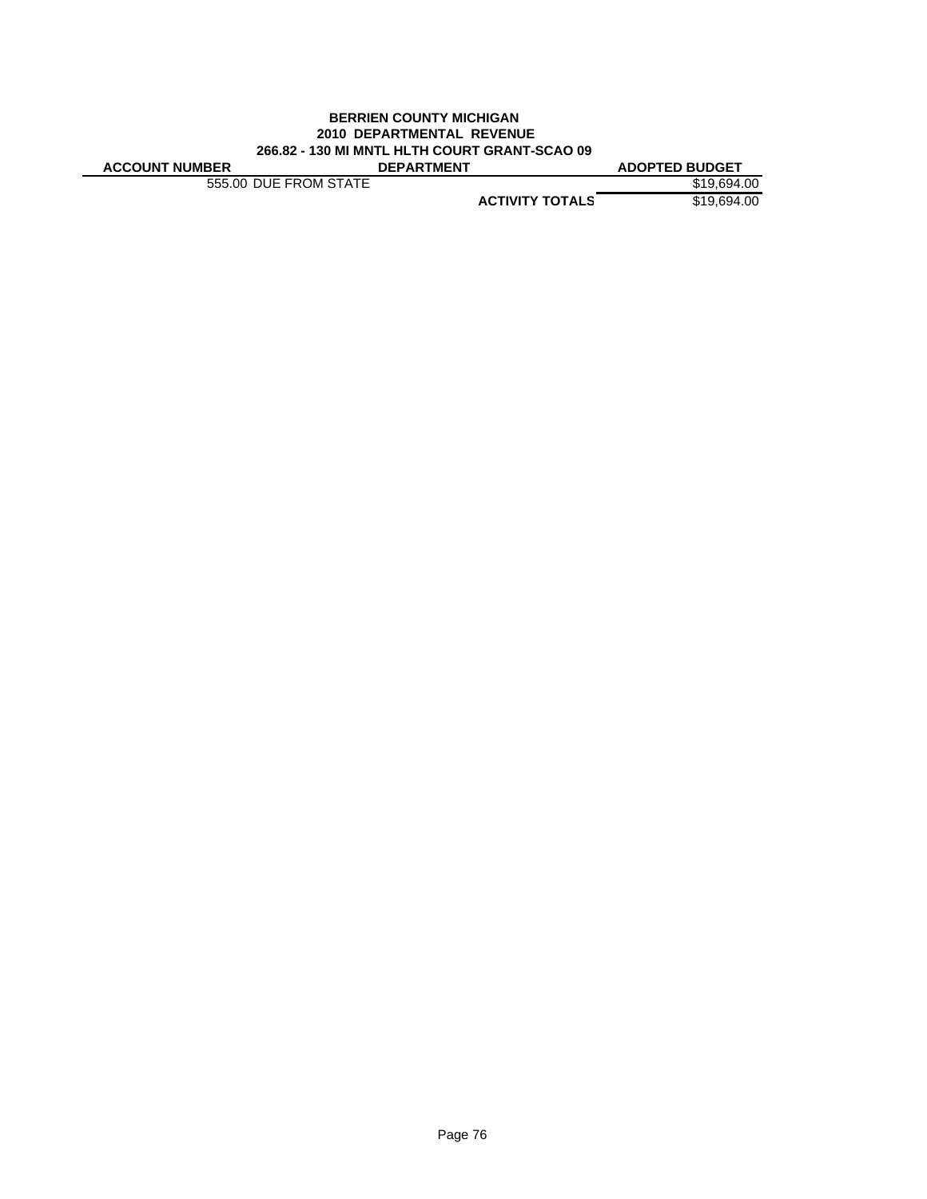### **BERRIEN COUNTY MICHIGAN 2010 DEPARTMENTAL REVENUE 266.82 - 130 MI MNTL HLTH COURT GRANT-SCAO 09 ACCOUNT NUMBER DEPARTMENT ADOPTED BUDGET**

555.00 DUE FROM STATE \$19,694.00

**ACTIVITY TOTALS** \$19,694.00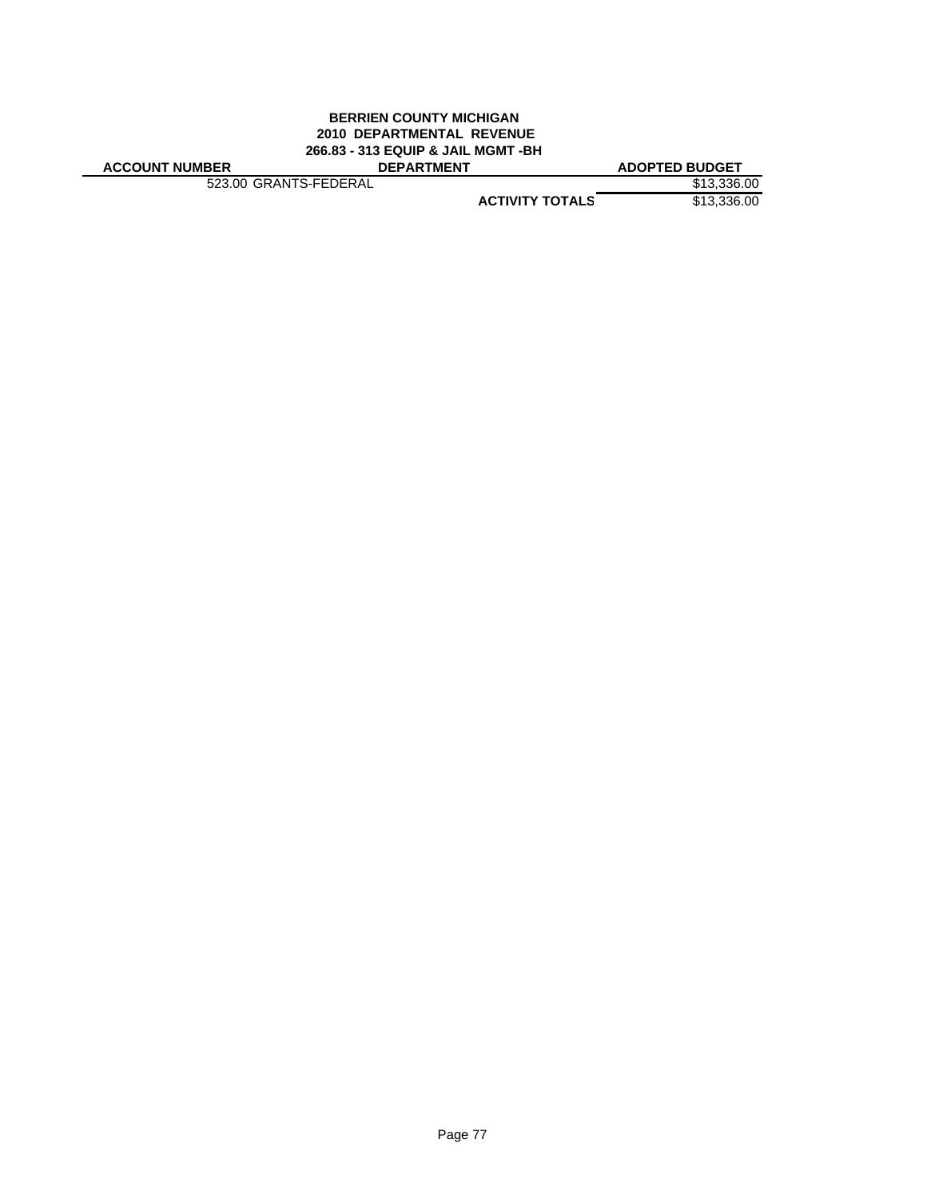### **BERRIEN COUNTY MICHIGAN 2010 DEPARTMENTAL REVENUE 266.83 - 313 EQUIP & JAIL MGMT -BH ACCOUNT NUMBER DEPARTMENT ADOPTED BUDGET**

523.00 GRANTS-FEDERAL \$13,336.00

**ACTIVITY TOTALS** \$13,336.00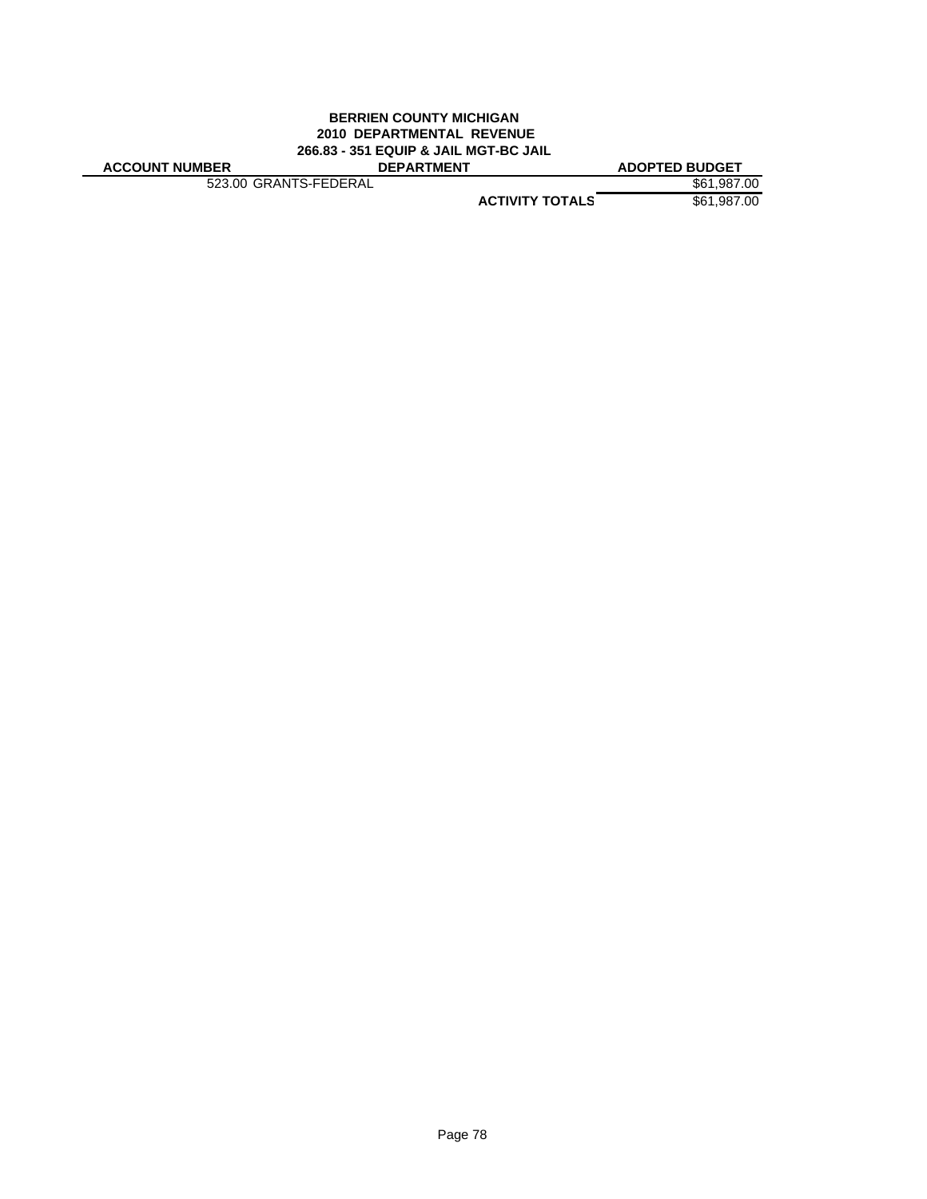### **BERRIEN COUNTY MICHIGAN 2010 DEPARTMENTAL REVENUE 266.83 - 351 EQUIP & JAIL MGT-BC JAIL ACCOUNT NUMBER DEPARTMENT ADOPTED BUDGET**

523.00 GRANTS-FEDERAL \$61,987.00

**ACTIVITY TOTALS** \$61,987.00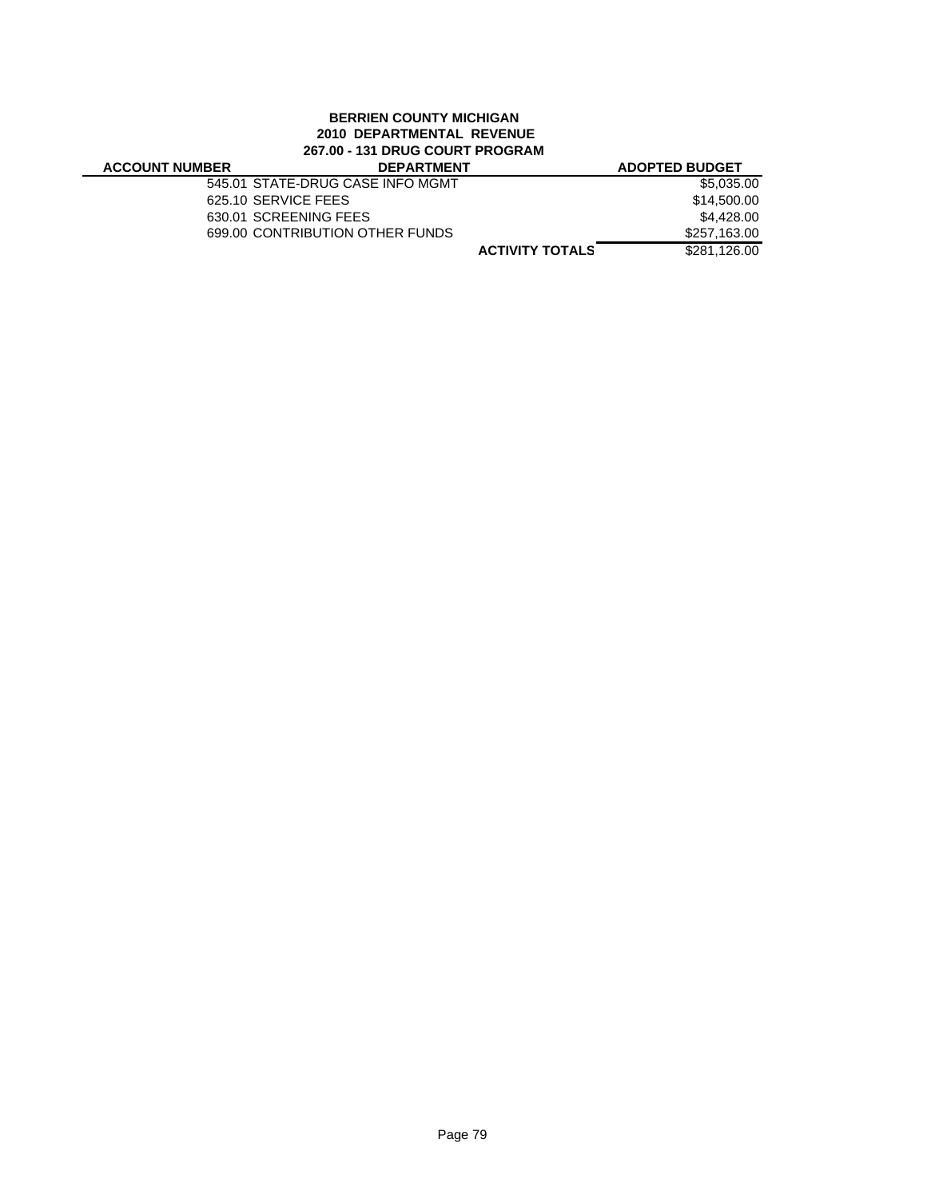# **BERRIEN COUNTY MICHIGAN 2010 DEPARTMENTAL REVENUE 267.00 - 131 DRUG COURT PROGRAM**

### **ACCOUNT NUMBER DEPARTMENT ADOPTED BUDGET** 545.01 STATE-DRUG CASE INFO MGMT \$5,035.00 625.10 SERVICE FEES \$14,500.00 630.01 SCREENING FEES \$4,428.00<br>699.00 CONTRIBUTION OTHER FUNDS \$257,163.00 699.00 CONTRIBUTION OTHER FUNDS

**ACTIVITY TOTALS** \$281,126.00

Page 79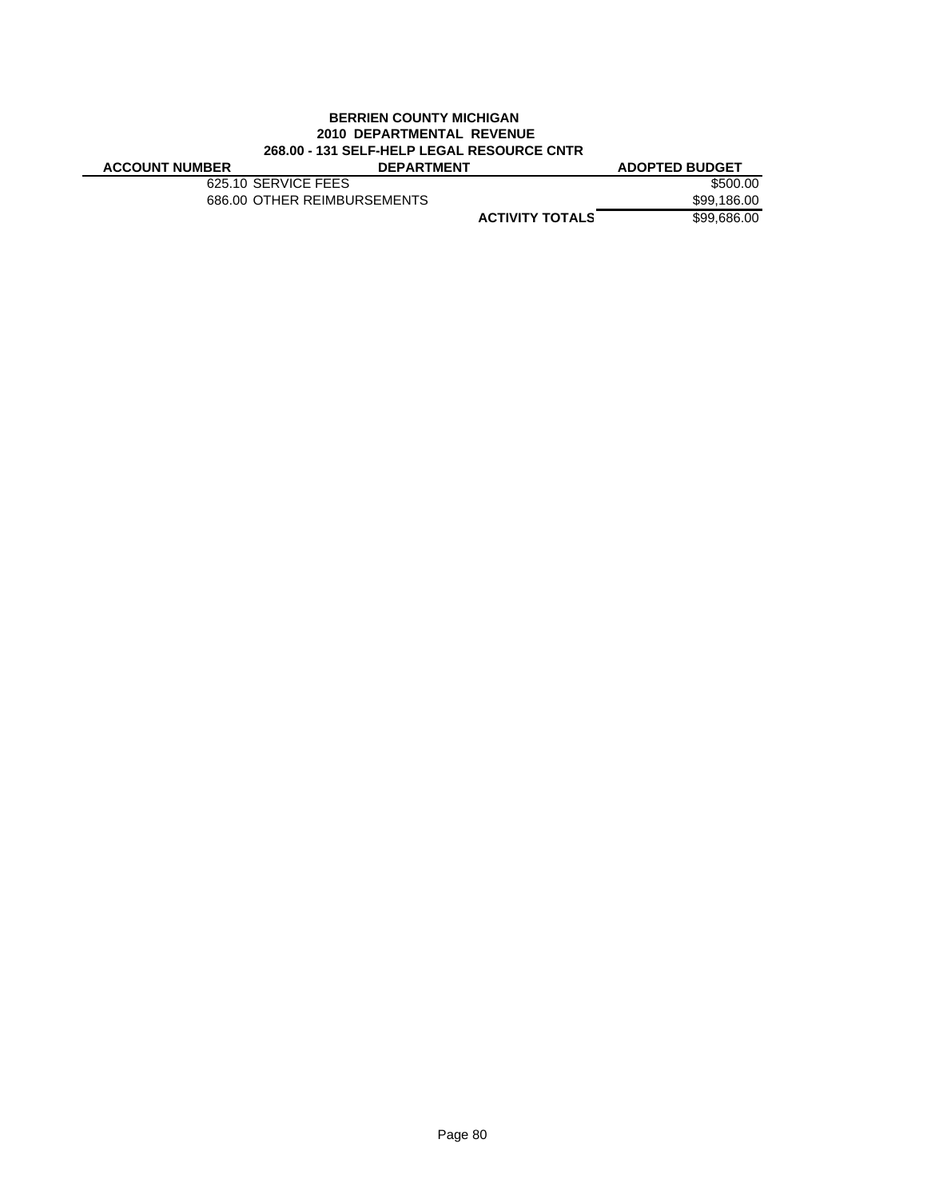### **BERRIEN COUNTY MICHIGAN 2010 DEPARTMENTAL REVENUE 268.00 - 131 SELF-HELP LEGAL RESOURCE CNTR**

| <b>ACCOUNT NUMBER</b> | <b>DEPARTMENT</b>           | <b>ADOPTED BUDGET</b> |  |  |
|-----------------------|-----------------------------|-----------------------|--|--|
|                       | 625.10 SERVICE FEES         | \$500.00              |  |  |
|                       | 686.00 OTHER REIMBURSEMENTS | \$99,186.00           |  |  |
|                       | <b>ACTIVITY TOTALS</b>      | \$99,686,00           |  |  |
|                       |                             |                       |  |  |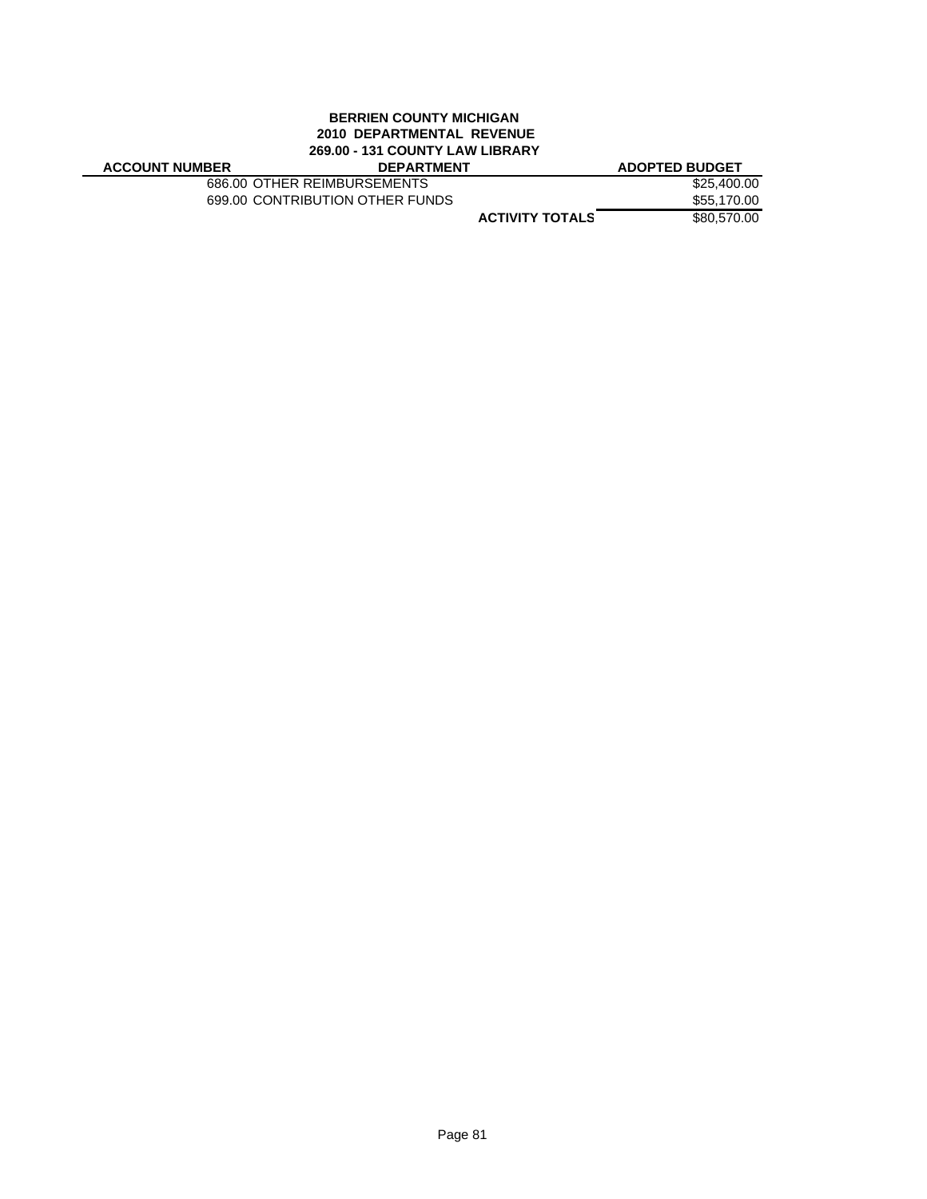# **BERRIEN COUNTY MICHIGAN 2010 DEPARTMENTAL REVENUE 269.00 - 131 COUNTY LAW LIBRARY**

686.00 OTHER REIMBURSEMENTS \$25,400.00<br>699.00 CONTRIBUTION OTHER FUNDS \$55,170.00 699.00 CONTRIBUTION OTHER FUNDS

**ACTIVITY TOTALS** \$80,570.00 **ACCOUNT NUMBER DEPARTMENT ADOPTED BUDGET**

Page 81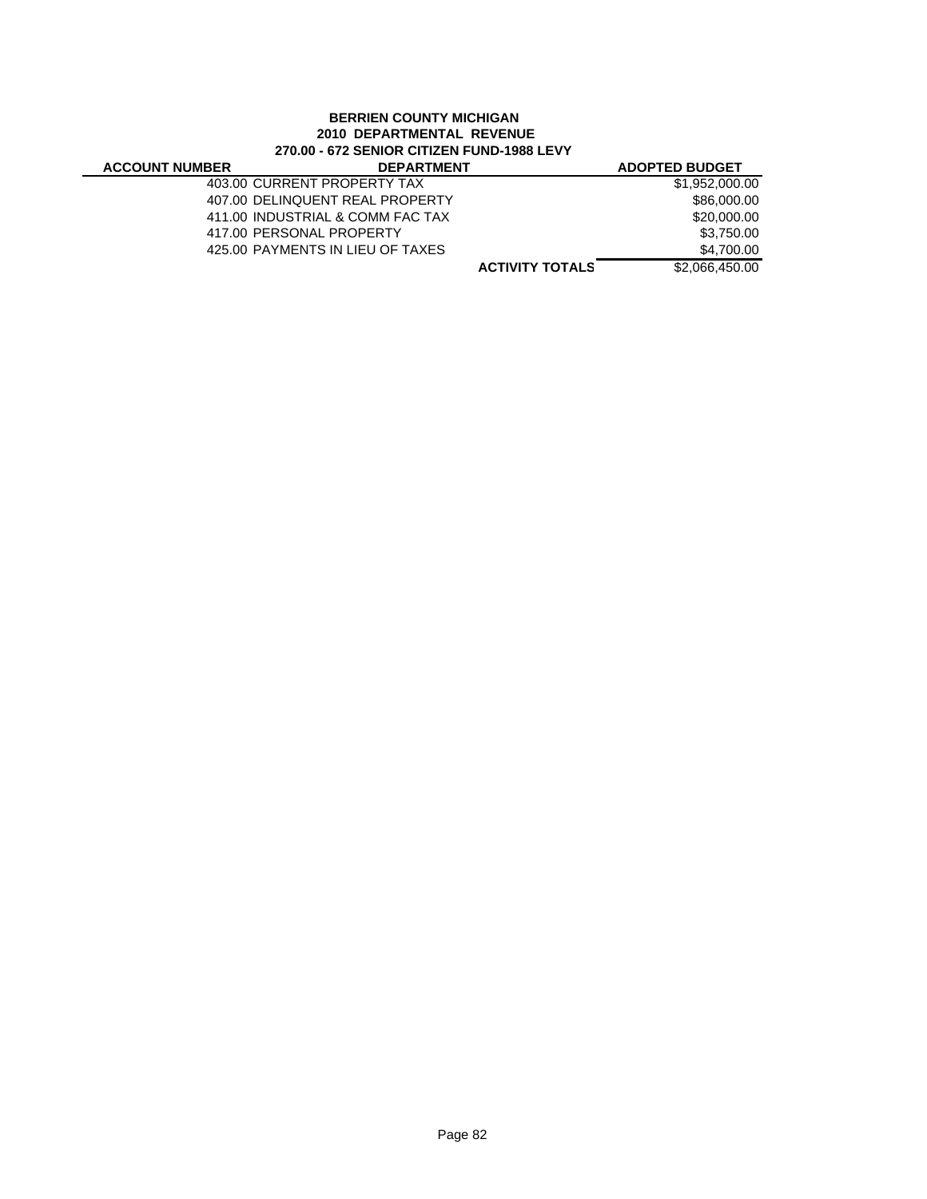# **BERRIEN COUNTY MICHIGAN 2010 DEPARTMENTAL REVENUE 270.00 - 672 SENIOR CITIZEN FUND-1988 LEVY**

÷,

| <b>ACCOUNT NUMBER</b> | <b>DEPARTMENT</b>                |                        | <b>ADOPTED BUDGET</b> |
|-----------------------|----------------------------------|------------------------|-----------------------|
|                       | 403.00 CURRENT PROPERTY TAX      |                        | \$1,952,000,00        |
|                       | 407.00 DELINQUENT REAL PROPERTY  |                        | \$86,000,00           |
|                       | 411.00 INDUSTRIAL & COMM FAC TAX |                        | \$20,000,00           |
|                       | 417.00 PERSONAL PROPERTY         |                        | \$3,750.00            |
|                       | 425.00 PAYMENTS IN LIEU OF TAXES |                        | \$4.700.00            |
|                       |                                  | <b>ACTIVITY TOTALS</b> | \$2,066,450.00        |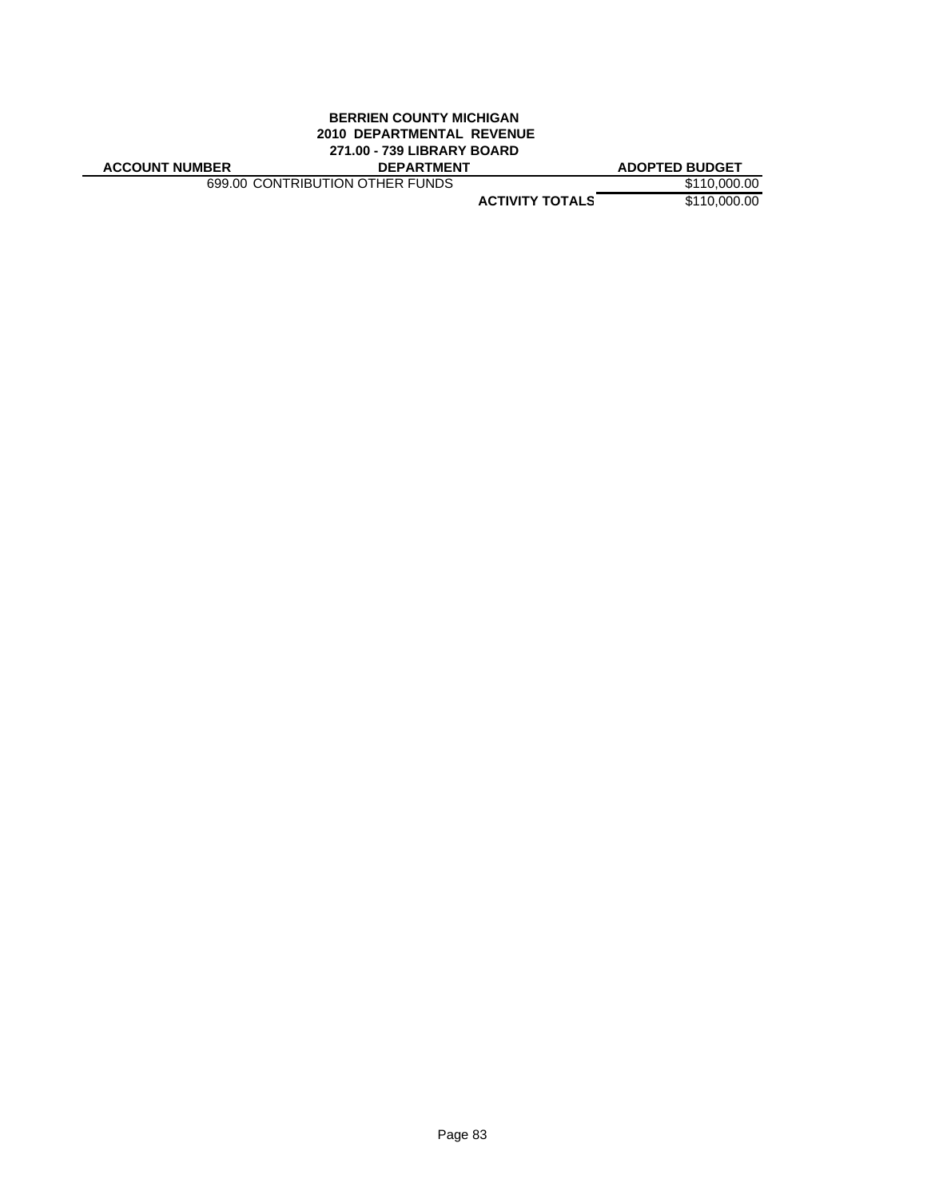# **BERRIEN COUNTY MICHIGAN 2010 DEPARTMENTAL REVENUE 271.00 - 739 LIBRARY BOARD**

| <b>ACCOUNT NUMBER</b> |  |
|-----------------------|--|
|-----------------------|--|

699.00 CONTRIBUTION OTHER FUNDS \$110,000.00

**ACCOUNT NUMBER DEPARTMENT ADOPTED BUDGET**

**ACTIVITY TOTALS** \$110,000.00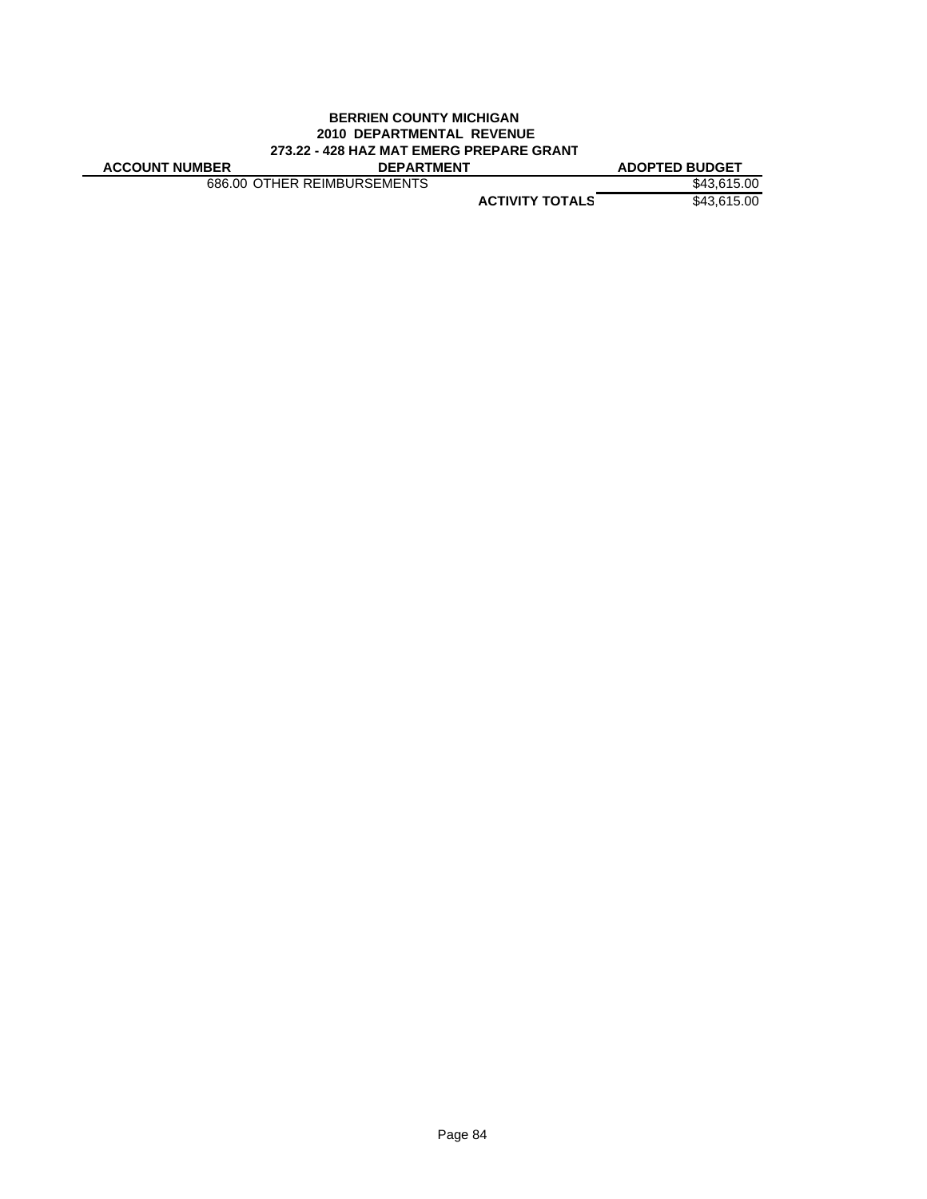### **BERRIEN COUNTY MICHIGAN 2010 DEPARTMENTAL REVENUE 273.22 - 428 HAZ MAT EMERG PREPARE GRANT**

| <b>ACCOUNT NUMBER</b> |  |  |  |
|-----------------------|--|--|--|
|                       |  |  |  |

**ACCOUNT NUMBER DEPARTMENT ADOPTED BUDGET** 686.00 OTHER REIMBURSEMENTS \$43,615.00

**ACTIVITY TOTALS** \$43,615.00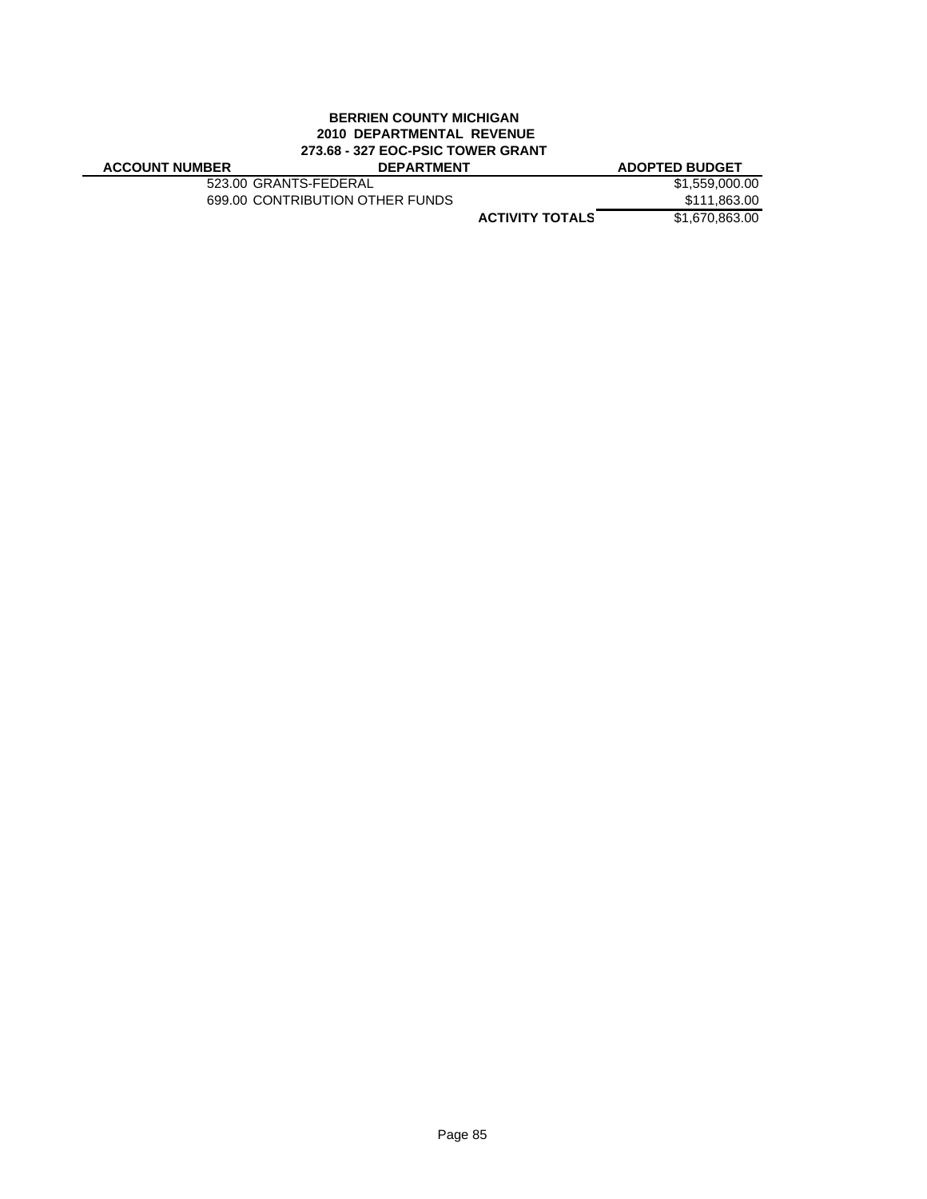### **BERRIEN COUNTY MICHIGAN 2010 DEPARTMENTAL REVENUE 273.68 - 327 EOC-PSIC TOWER GRANT ACCOUNT NUMBER DEPARTMENT ADOPTED BUDGET**

| <b>ACCOUNT NUMBER</b> |  |
|-----------------------|--|
|-----------------------|--|

523.00 GRANTS-FEDERAL \$1,559,000.00<br>699.00 CONTRIBUTION OTHER FUNDS \$111,863.00 699.00 CONTRIBUTION OTHER FUNDS

**S ACTIVITY TOTAL** \$1,670,863.00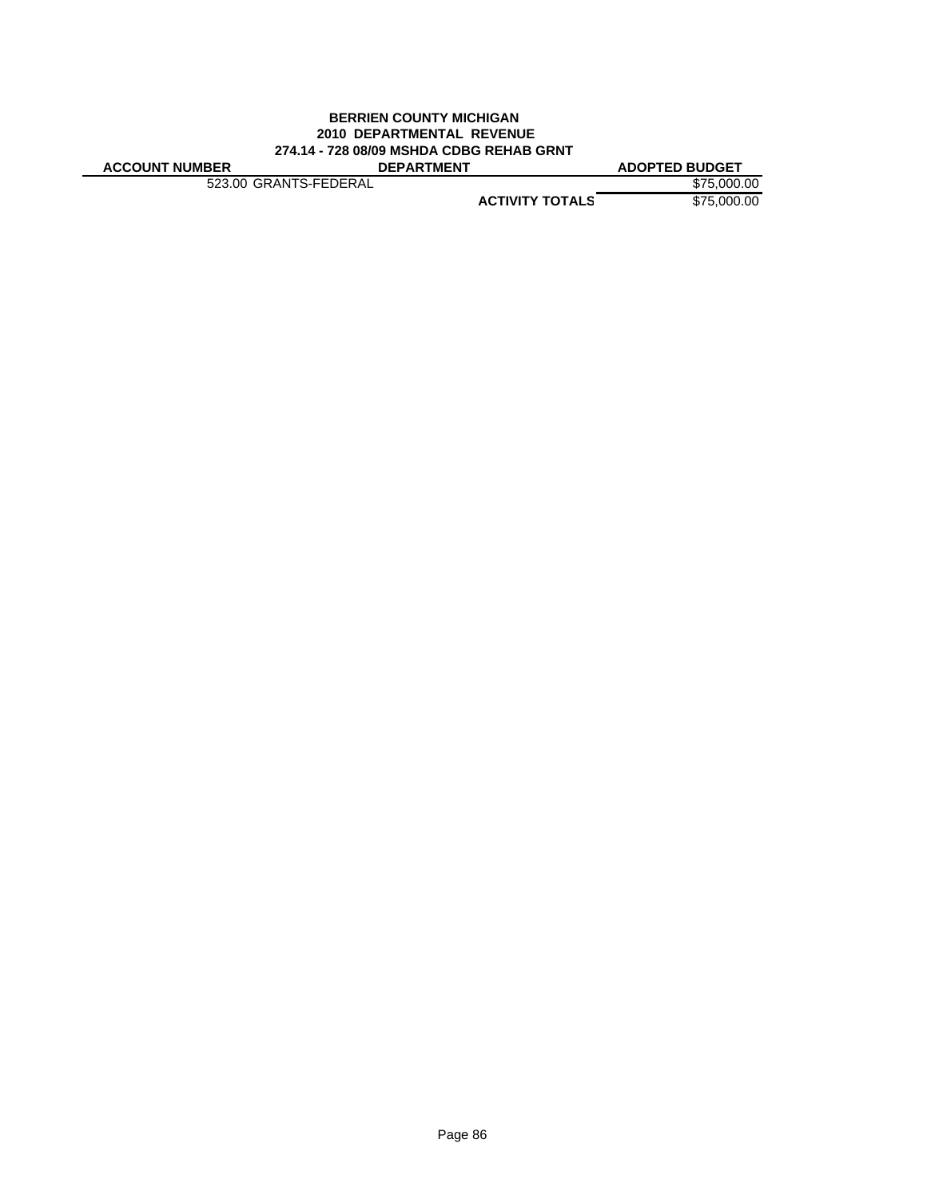### **BERRIEN COUNTY MICHIGAN 2010 DEPARTMENTAL REVENUE 274.14 - 728 08/09 MSHDA CDBG REHAB GRNT ACCOUNT NUMBER DEPARTMENT ADOPTED BUDGET**

523.00 GRANTS-FEDERAL \$75,000.00

**ACTIVITY TOTALS** \$75,000.00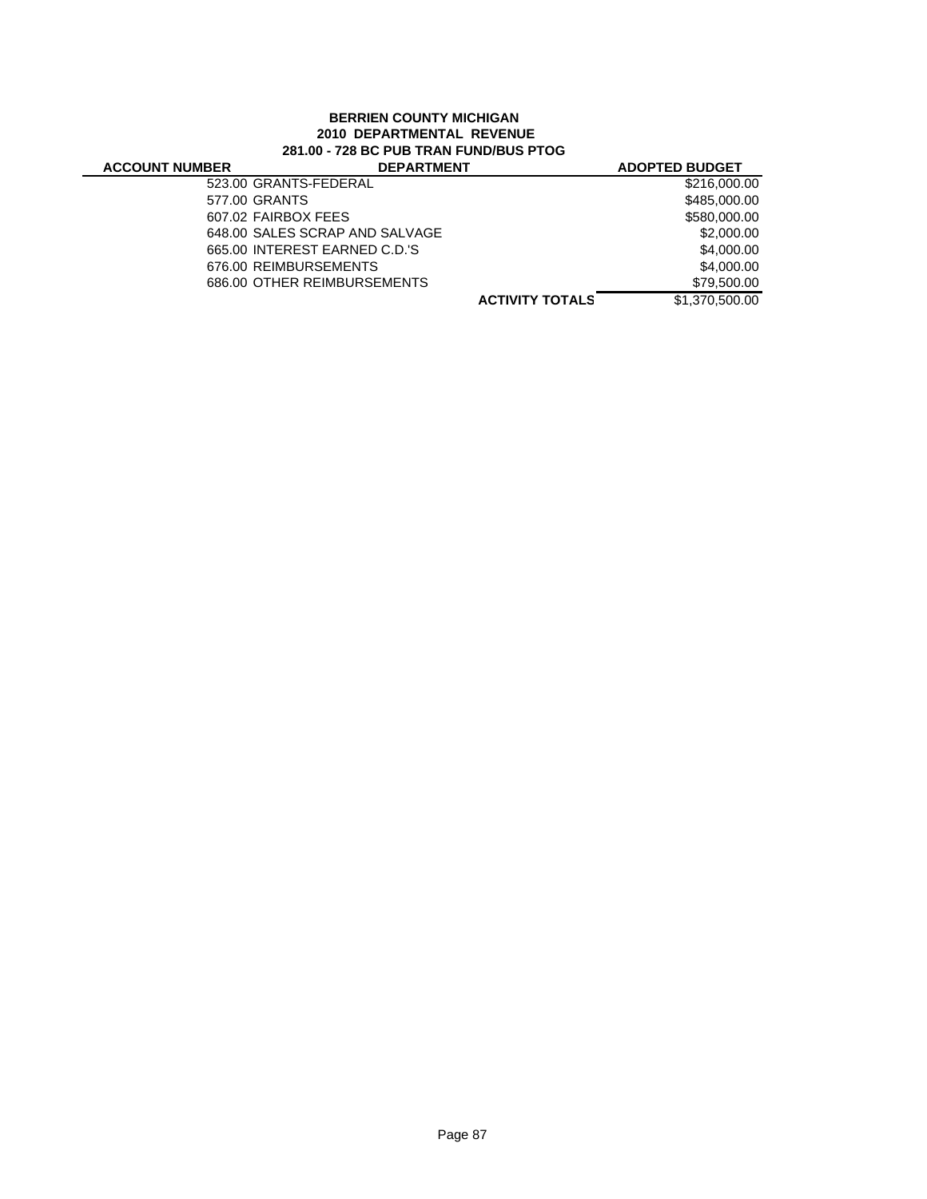# **BERRIEN COUNTY MICHIGAN 2010 DEPARTMENTAL REVENUE 281.00 - 728 BC PUB TRAN FUND/BUS PTOG**

| <b>ACCOUNT NUMBER</b> | <b>DEPARTMENT</b>              |                        | <b>ADOPTED BUDGET</b> |
|-----------------------|--------------------------------|------------------------|-----------------------|
|                       | 523.00 GRANTS-FEDERAL          |                        | \$216,000.00          |
|                       | 577.00 GRANTS                  |                        | \$485,000.00          |
|                       | 607.02 FAIRBOX FEES            |                        | \$580,000.00          |
|                       | 648.00 SALES SCRAP AND SALVAGE |                        | \$2,000.00            |
|                       | 665.00 INTEREST EARNED C.D.'S  |                        | \$4,000.00            |
|                       | 676.00 REIMBURSEMENTS          |                        | \$4,000.00            |
|                       | 686.00 OTHER REIMBURSEMENTS    |                        | \$79,500.00           |
|                       |                                | <b>ACTIVITY TOTALS</b> | \$1,370,500.00        |
|                       |                                |                        |                       |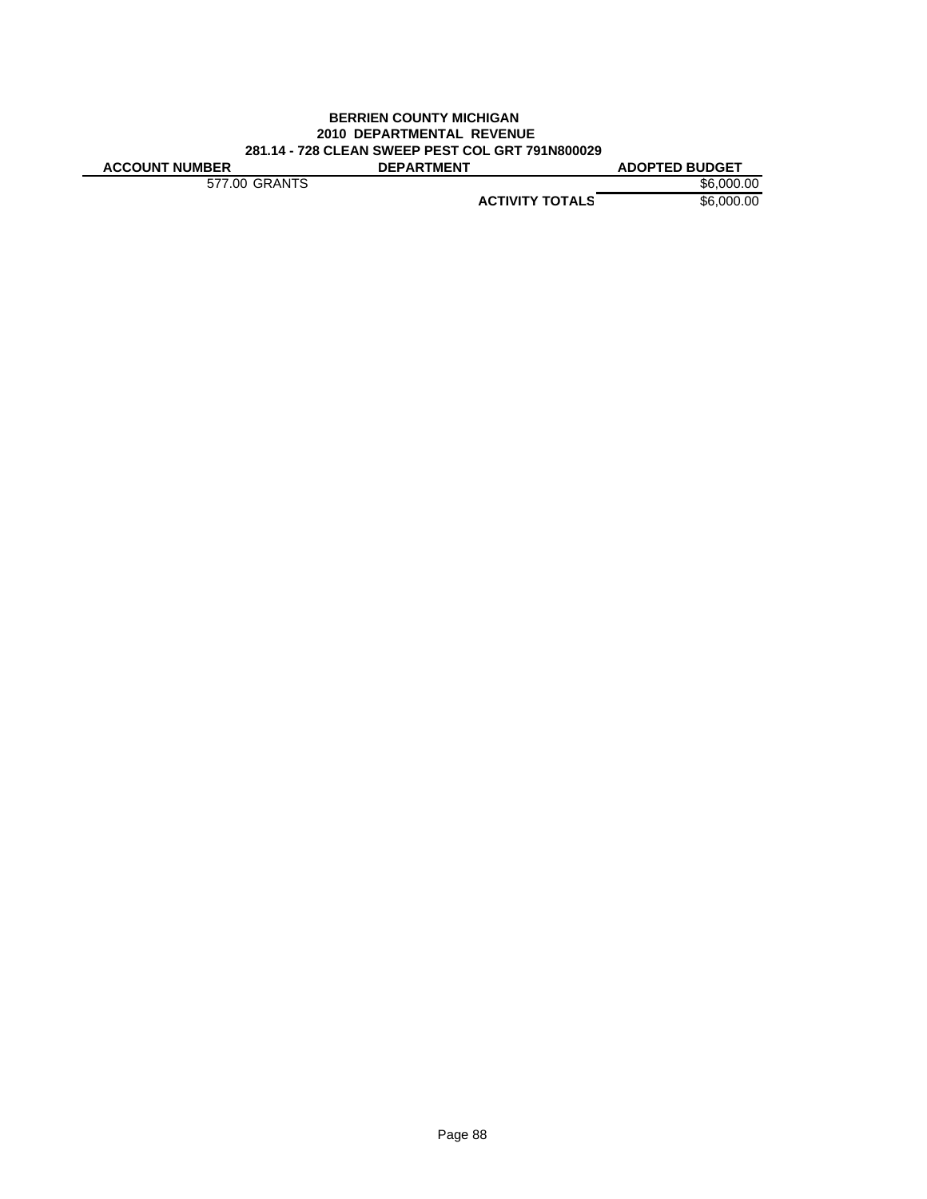### **BERRIEN COUNTY MICHIGAN 2010 DEPARTMENTAL REVENUE 281.14 - 728 CLEAN SWEEP PEST COL GRT 791N800029 ACCOUNT NUMBER DEPARTMENT ADOPTED BUDGET**

577.00 GRANTS \$6,000.00

**ACTIVITY TOTALS** \$6,000.00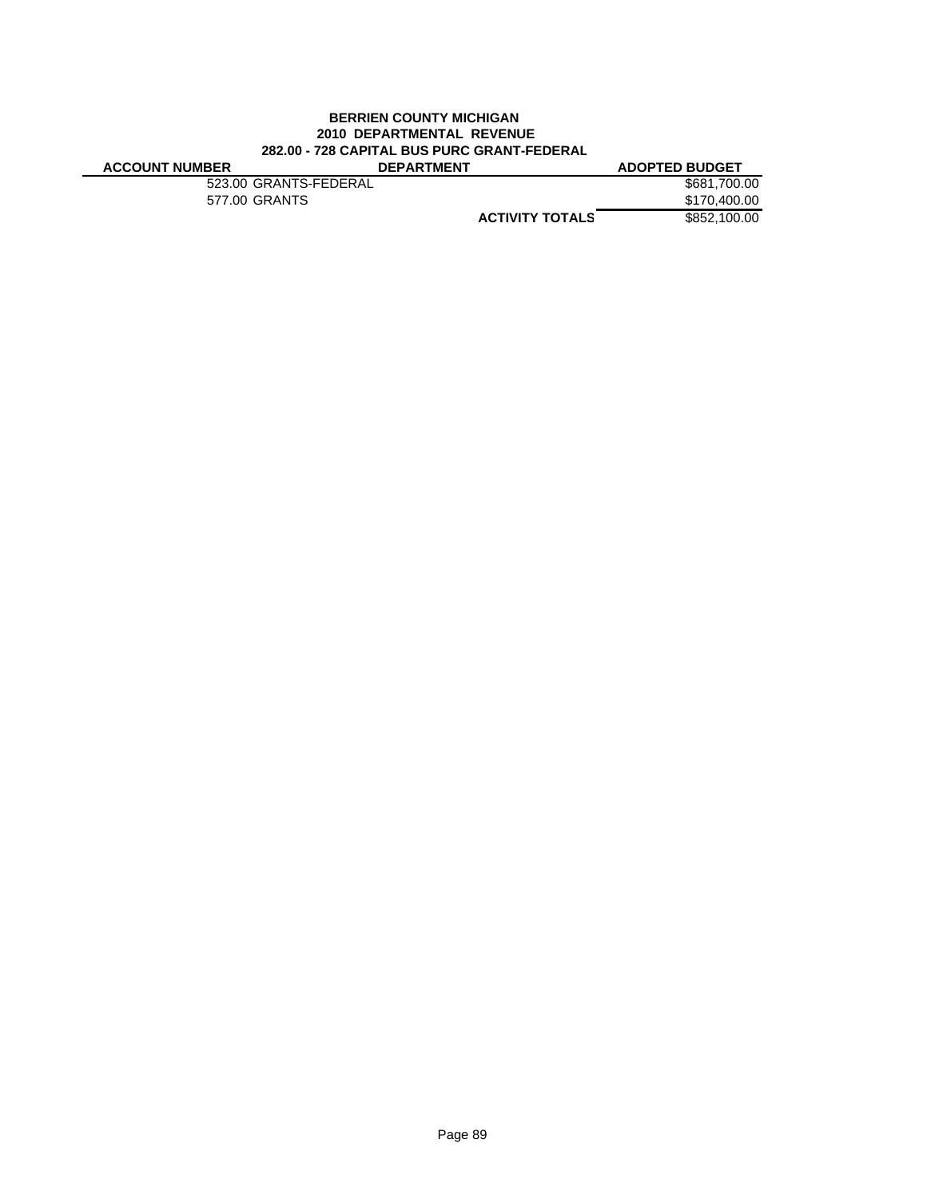# **BERRIEN COUNTY MICHIGAN 2010 DEPARTMENTAL REVENUE 282.00 - 728 CAPITAL BUS PURC GRANT-FEDERAL**

| <b>ACCOUNT NUMBER</b> | <b>DEPARTMENT</b>     |                        | <b>ADOPTED BUDGET</b> |
|-----------------------|-----------------------|------------------------|-----------------------|
|                       | 523.00 GRANTS-FEDERAL |                        | \$681,700,00          |
|                       | 577.00 GRANTS         |                        | \$170,400,00          |
|                       |                       | <b>ACTIVITY TOTALS</b> | \$852.100.00          |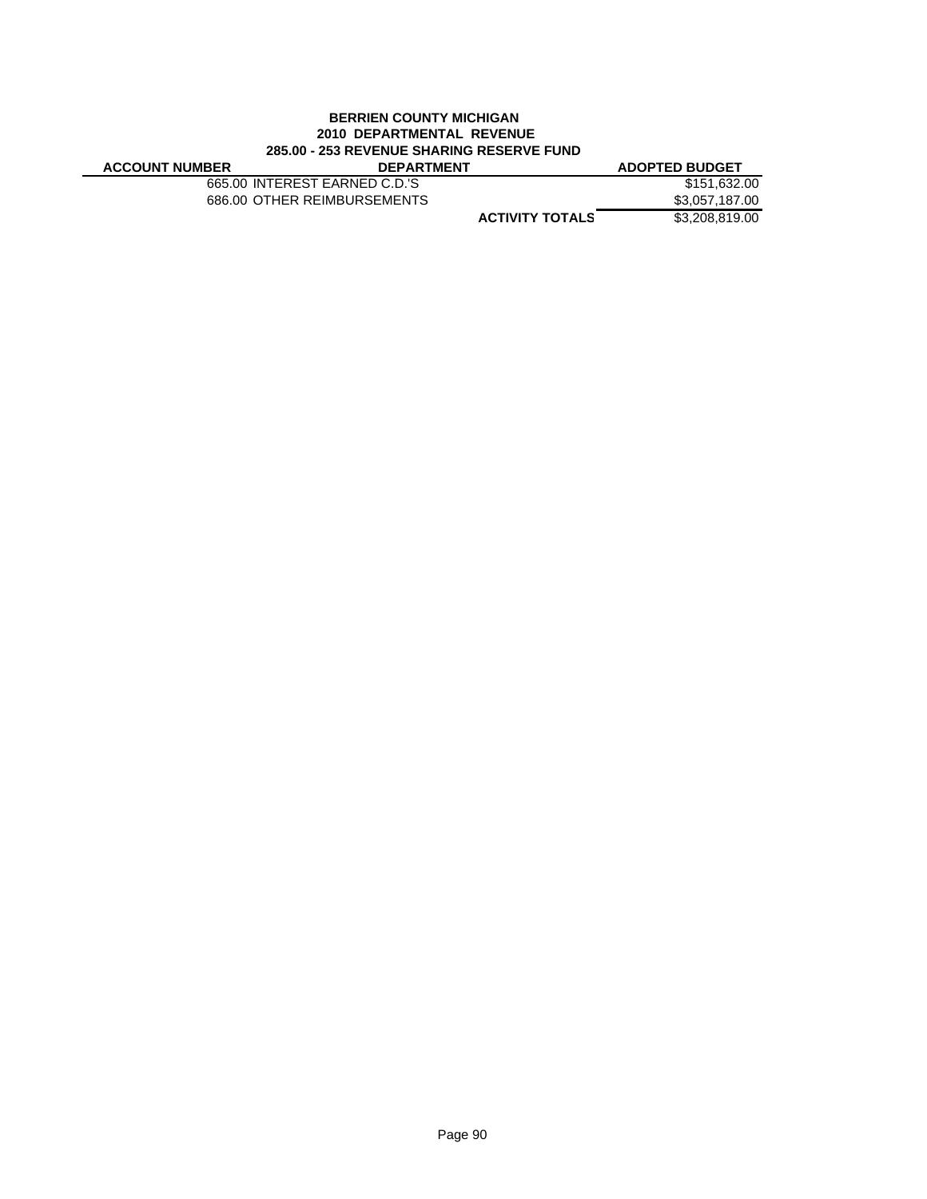# **BERRIEN COUNTY MICHIGAN 2010 DEPARTMENTAL REVENUE 285.00 - 253 REVENUE SHARING RESERVE FUND**

 $\overline{\phantom{0}}$ 

| <b>ACCOUNT NUMBER</b> | <b>DEPARTMENT</b>             | <b>ADOPTED BUDGET</b> |
|-----------------------|-------------------------------|-----------------------|
|                       | 665.00 INTEREST EARNED C.D.'S | \$151.632.00          |
|                       | 686.00 OTHER REIMBURSEMENTS   | \$3.057.187.00        |
|                       | <b>ACTIVITY TOTALS</b>        | \$3,208,819.00        |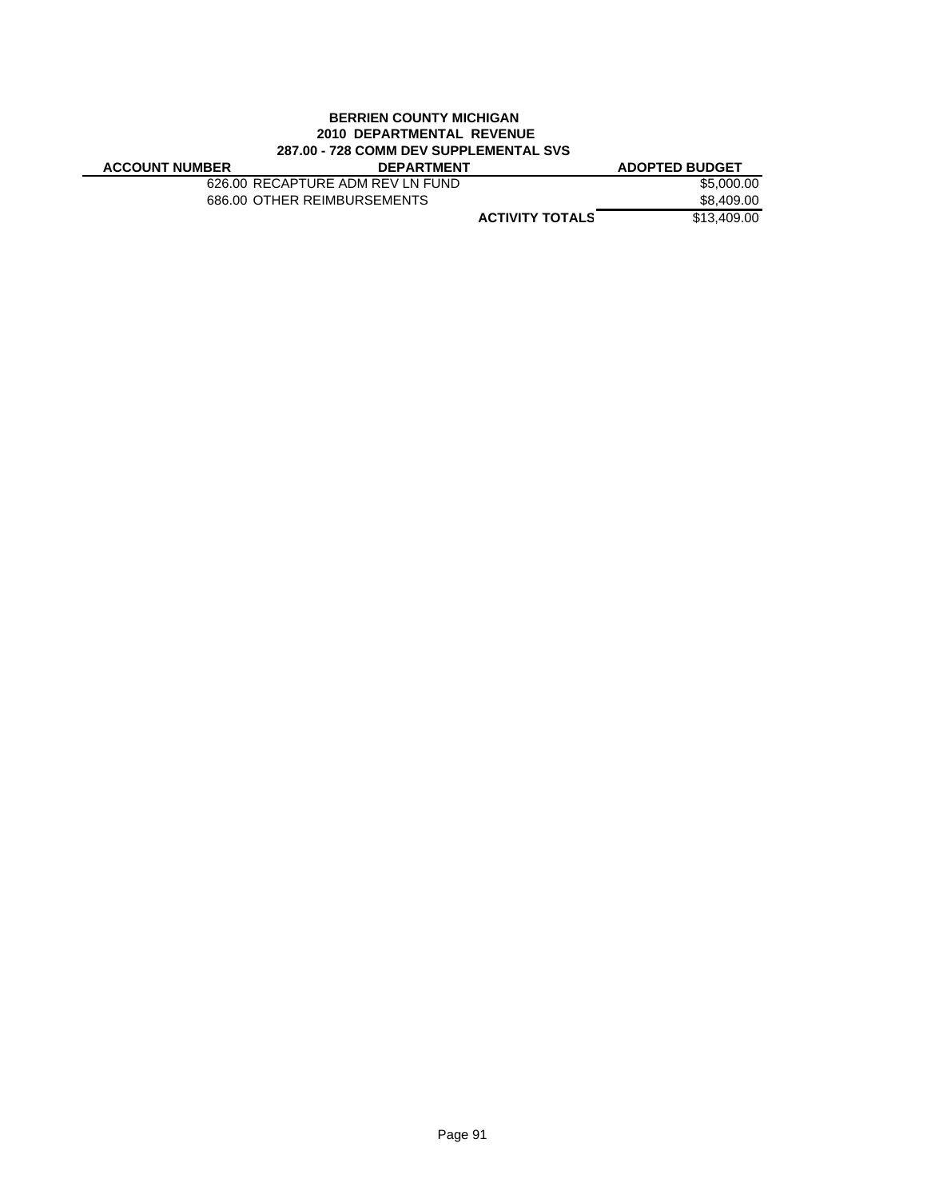### **BERRIEN COUNTY MICHIGAN 2010 DEPARTMENTAL REVENUE 287.00 - 728 COMM DEV SUPPLEMENTAL SVS**

| <b>ACCOUNT NUMBER</b> | <b>DEPARTMENT</b>                |                        | <b>ADOPTED BUDGET</b> |
|-----------------------|----------------------------------|------------------------|-----------------------|
|                       | 626.00 RECAPTURE ADM REV LN FUND |                        | \$5,000.00            |
|                       | 686.00 OTHER REIMBURSEMENTS      |                        | \$8,409.00            |
|                       |                                  | <b>ACTIVITY TOTALS</b> | \$13,409,00           |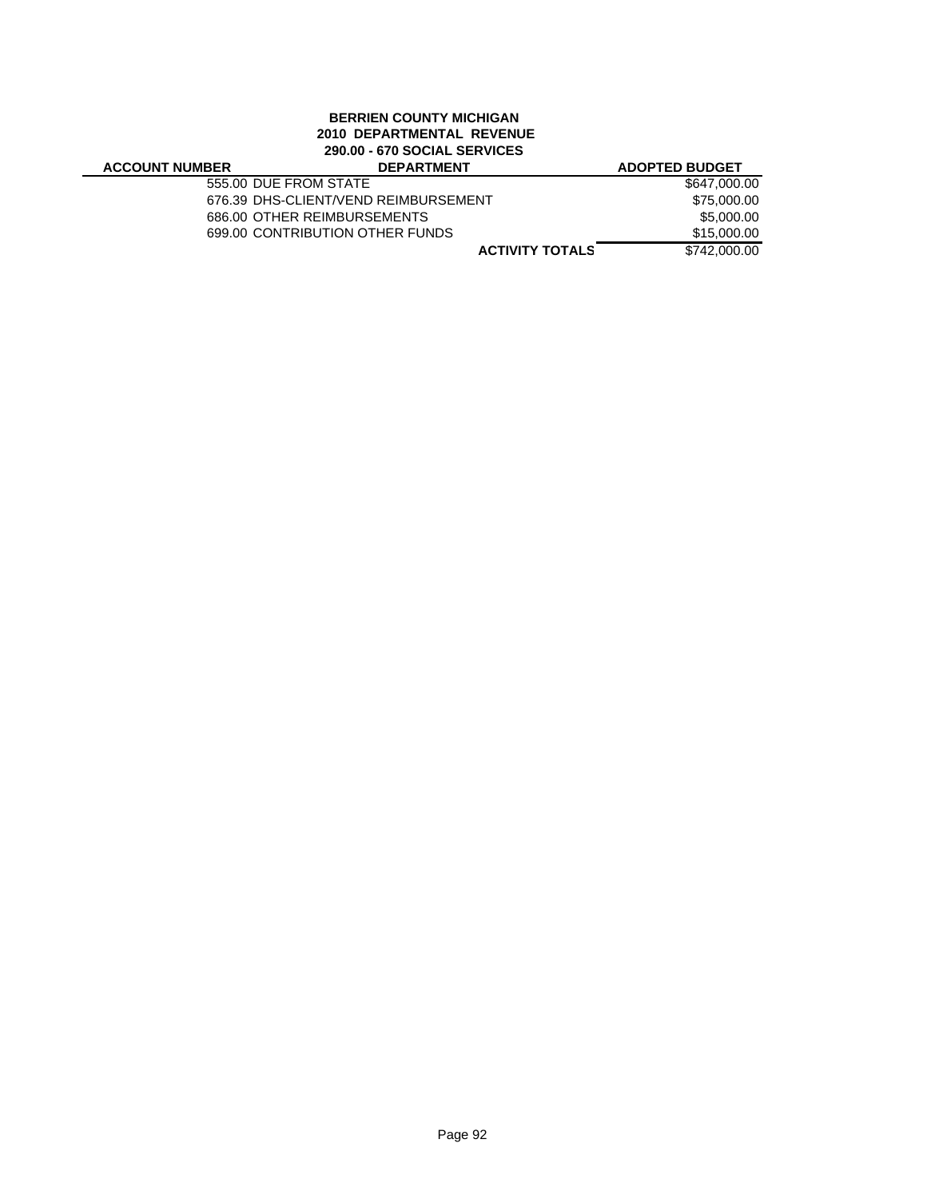# **BERRIEN COUNTY MICHIGAN 2010 DEPARTMENTAL REVENUE 290.00 - 670 SOCIAL SERVICES**

| 230.00 - 070 SOCIAL SERVICES |                                      |                       |  |
|------------------------------|--------------------------------------|-----------------------|--|
| <b>ACCOUNT NUMBER</b>        | <b>DEPARTMENT</b>                    | <b>ADOPTED BUDGET</b> |  |
| 555.00 DUE FROM STATE        |                                      | \$647,000.00          |  |
|                              | 676.39 DHS-CLIENT/VEND REIMBURSEMENT | \$75,000.00           |  |
|                              | 686.00 OTHER REIMBURSEMENTS          | \$5,000.00            |  |
|                              | 699.00 CONTRIBUTION OTHER FUNDS      | \$15,000.00           |  |
|                              | <b>ACTIVITY TOTALS</b>               | \$742,000.00          |  |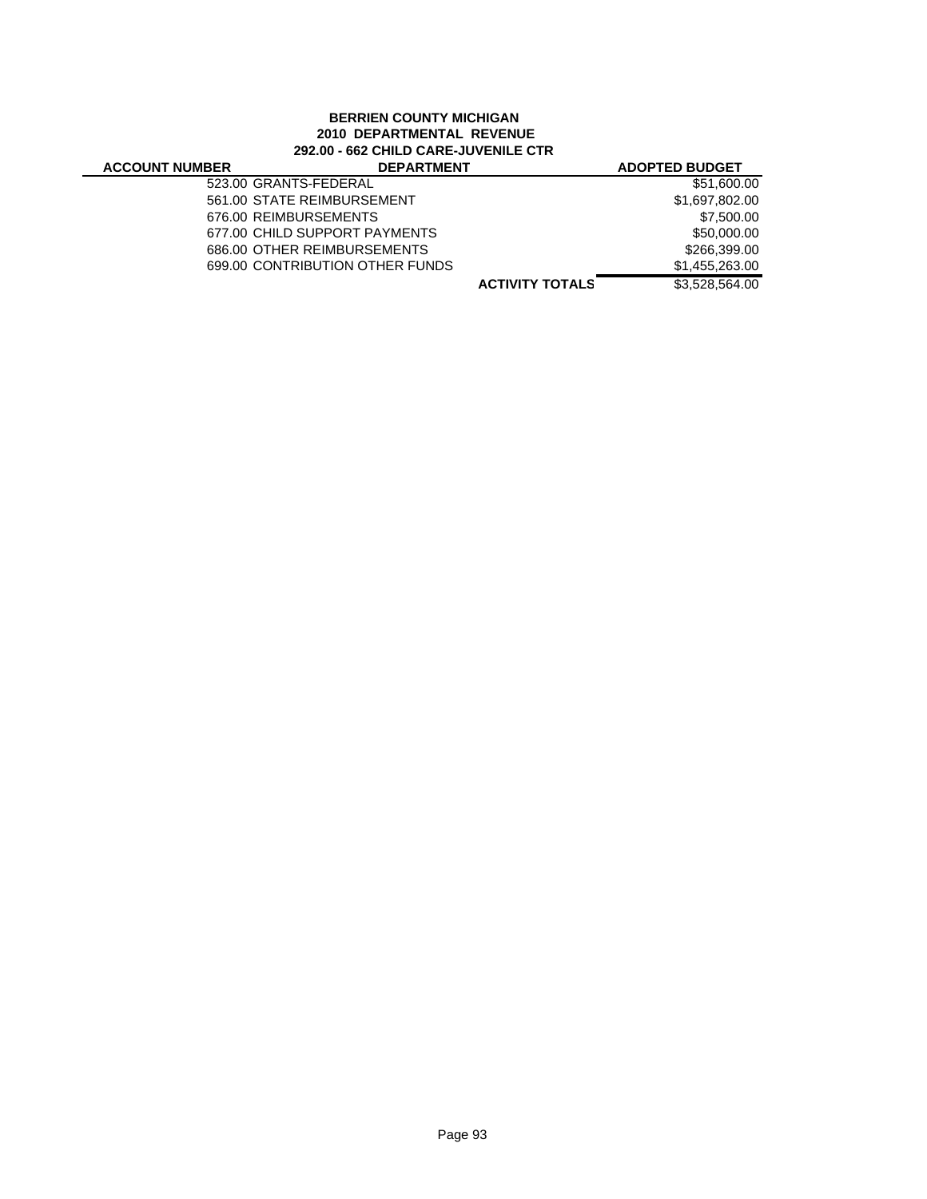# **BERRIEN COUNTY MICHIGAN 2010 DEPARTMENTAL REVENUE 292.00 - 662 CHILD CARE-JUVENILE CTR**

| \$51,600.00    |
|----------------|
| \$1,697,802.00 |
| \$7.500.00     |
| \$50,000.00    |
| \$266,399,00   |
| \$1,455,263.00 |
| \$3,528,564.00 |
|                |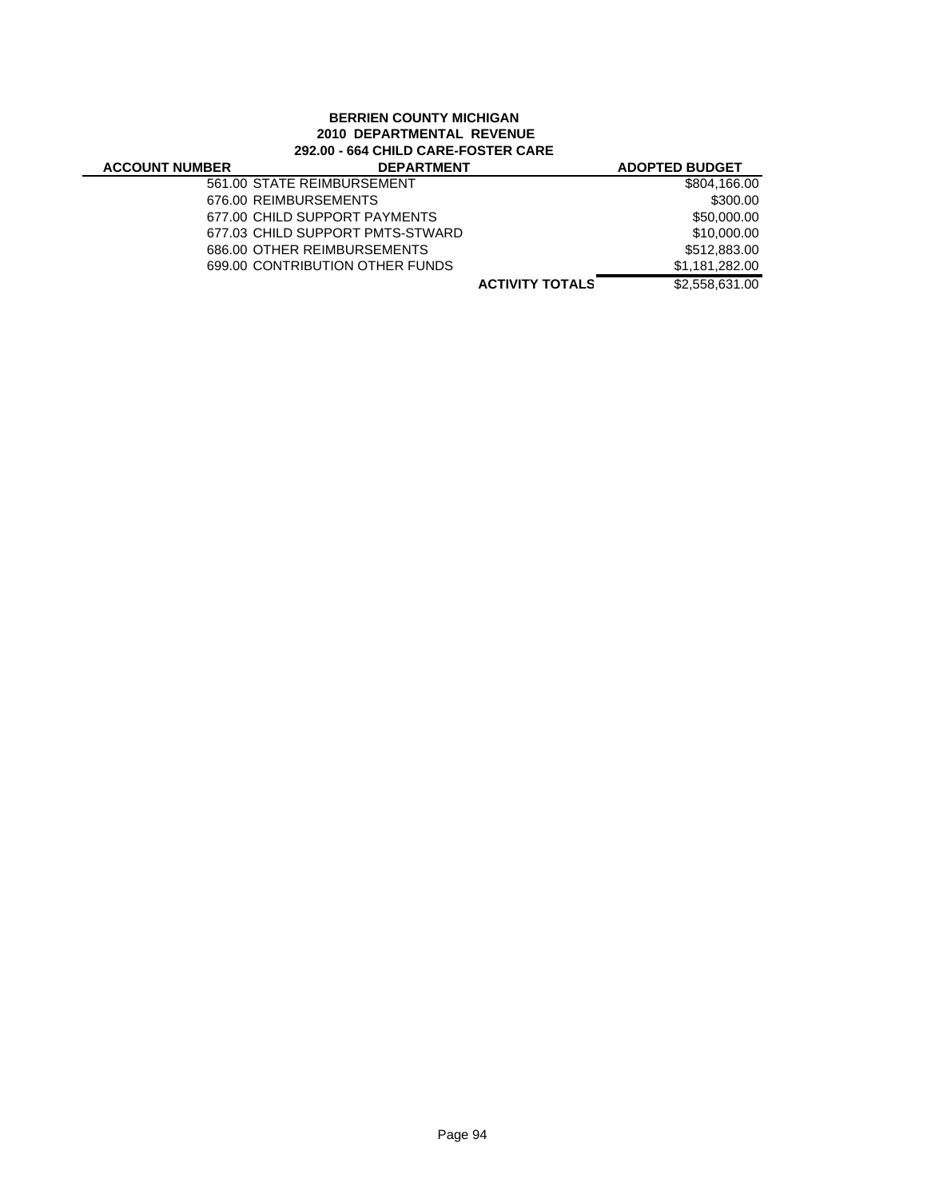# **BERRIEN COUNTY MICHIGAN 2010 DEPARTMENTAL REVENUE 292.00 - 664 CHILD CARE-FOSTER CARE**

| <b>ACCOUNT NUMBER</b> | <b>DEPARTMENT</b>                |                        | <b>ADOPTED BUDGET</b> |
|-----------------------|----------------------------------|------------------------|-----------------------|
|                       | 561.00 STATE REIMBURSEMENT       |                        | \$804,166.00          |
|                       | 676.00 REIMBURSEMENTS            |                        | \$300.00              |
|                       | 677.00 CHILD SUPPORT PAYMENTS    |                        | \$50,000.00           |
|                       | 677.03 CHILD SUPPORT PMTS-STWARD |                        | \$10,000.00           |
|                       | 686.00 OTHER REIMBURSEMENTS      |                        | \$512,883.00          |
|                       | 699.00 CONTRIBUTION OTHER FUNDS  |                        | \$1,181,282.00        |
|                       |                                  | <b>ACTIVITY TOTALS</b> | \$2,558,631.00        |
|                       |                                  |                        |                       |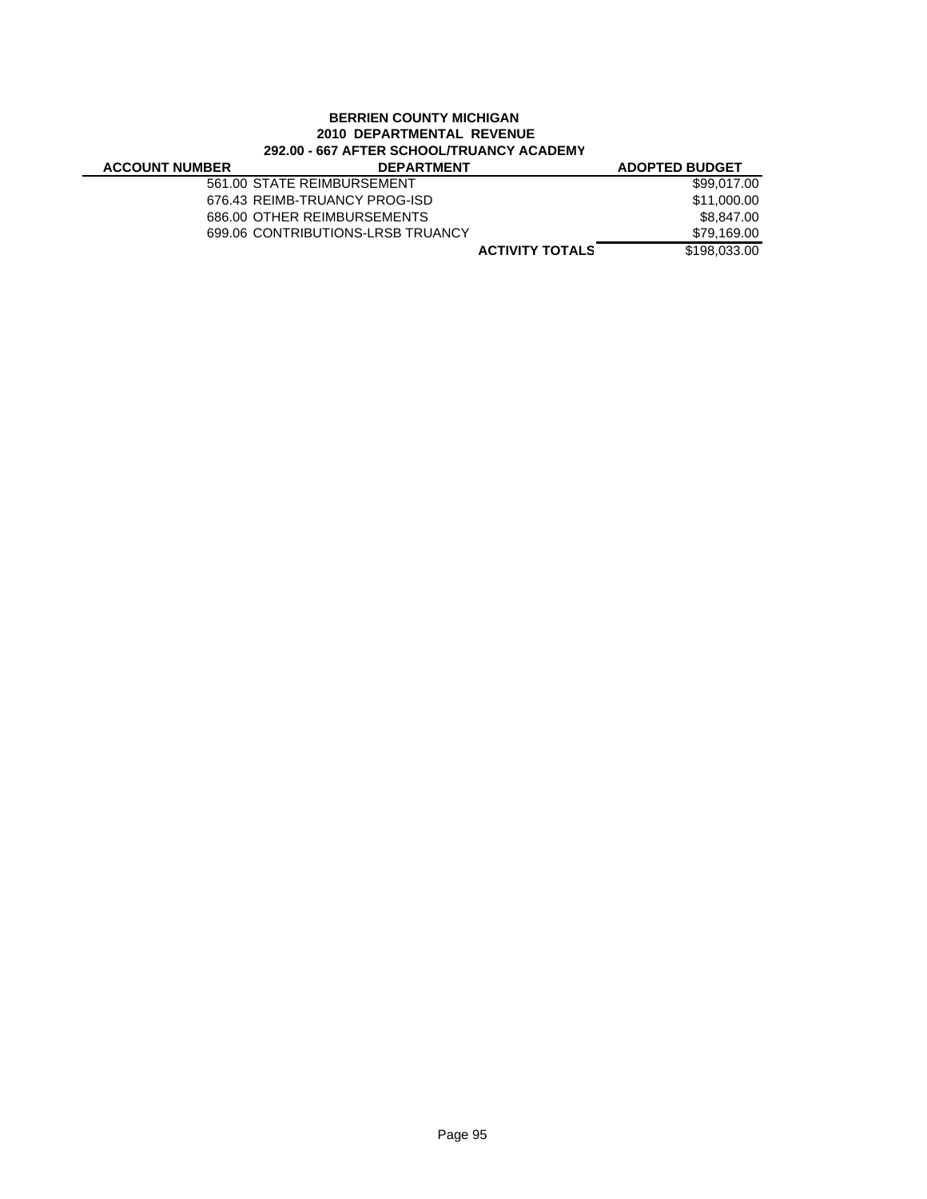# **BERRIEN COUNTY MICHIGAN 2010 DEPARTMENTAL REVENUE 292.00 - 667 AFTER SCHOOL/TRUANCY ACADEMY**

| <b>ACCOUNT NUMBER</b> | <b>DEPARTMENT</b>                 |                        | <b>ADOPTED BUDGET</b> |
|-----------------------|-----------------------------------|------------------------|-----------------------|
|                       | 561.00 STATE REIMBURSEMENT        |                        | \$99,017.00           |
|                       | 676.43 REIMB-TRUANCY PROG-ISD     |                        | \$11,000.00           |
|                       | 686.00 OTHER REIMBURSEMENTS       |                        | \$8.847.00            |
|                       | 699.06 CONTRIBUTIONS-LRSB TRUANCY |                        | \$79.169.00           |
|                       |                                   | <b>ACTIVITY TOTALS</b> | \$198,033,00          |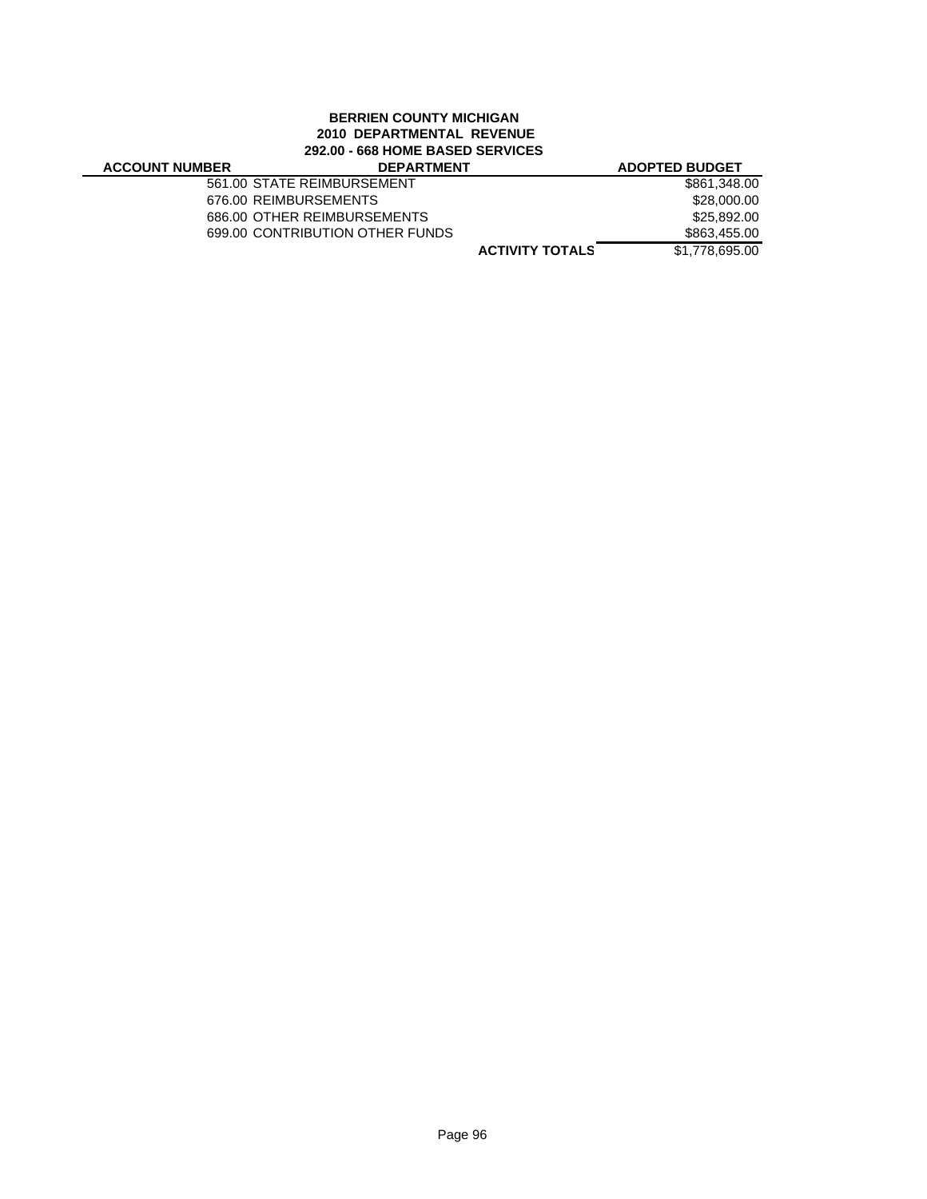# **BERRIEN COUNTY MICHIGAN 2010 DEPARTMENTAL REVENUE 292.00 - 668 HOME BASED SERVICES**

# **ACCOUNT NUMBE**

| 3ER | <b>DEPARTMENT</b>               |                        | <b>ADOPTED BUDGET</b> |
|-----|---------------------------------|------------------------|-----------------------|
|     | 561.00 STATE REIMBURSEMENT      |                        | \$861,348.00          |
|     | 676.00 REIMBURSEMENTS           |                        | \$28,000.00           |
|     | 686.00 OTHER REIMBURSEMENTS     |                        | \$25,892.00           |
|     | 699.00 CONTRIBUTION OTHER FUNDS |                        | \$863,455.00          |
|     |                                 | <b>ACTIVITY TOTALS</b> | \$1,778,695.00        |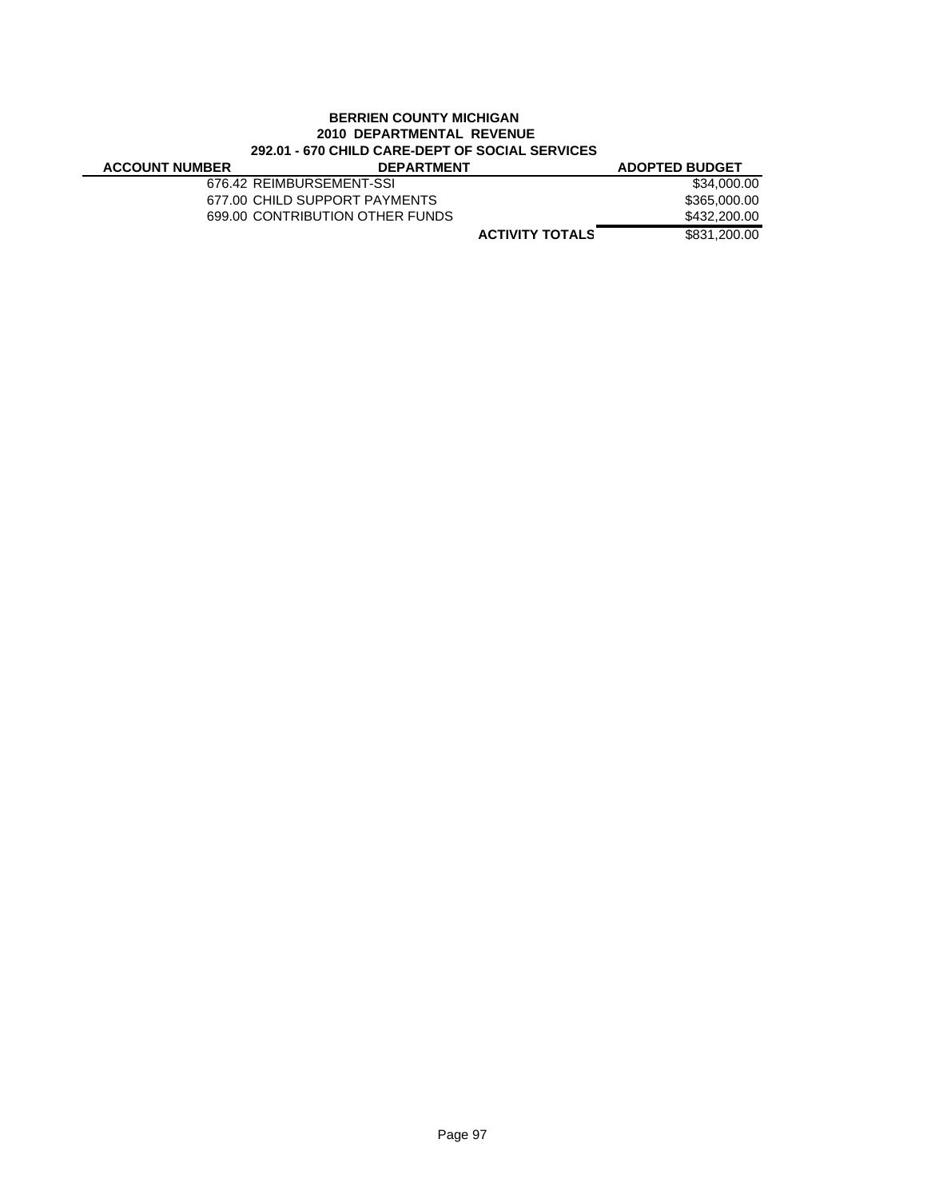# **BERRIEN COUNTY MICHIGAN 2010 DEPARTMENTAL REVENUE 292.01 - 670 CHILD CARE-DEPT OF SOCIAL SERVICES**

J.

| <b>ACCOUNT NUMBER</b> | <b>DEPARTMENT</b>               | <b>ADOPTED BUDGET</b> |
|-----------------------|---------------------------------|-----------------------|
|                       | 676.42 REIMBURSEMENT-SSI        | \$34,000,00           |
|                       | 677.00 CHILD SUPPORT PAYMENTS   | \$365.000.00          |
|                       | 699.00 CONTRIBUTION OTHER FUNDS | \$432,200.00          |
|                       | <b>ACTIVITY TOTALS</b>          | \$831,200,00          |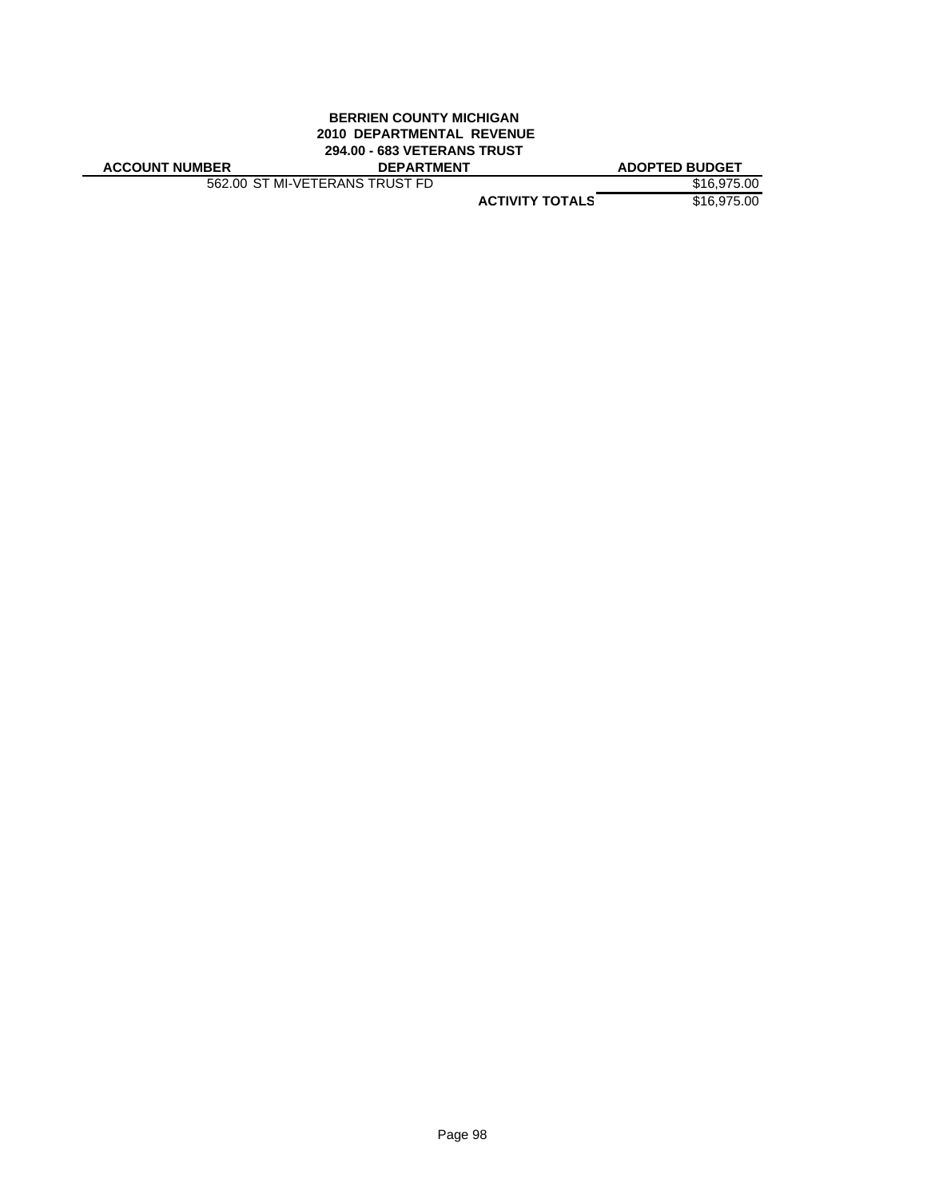# **BERRIEN COUNTY MICHIGAN 2010 DEPARTMENTAL REVENUE 294.00 - 683 VETERANS TRUST**

| <b>ACCOUNT NUMBER</b> |
|-----------------------|
|-----------------------|

562.00 ST MI-VETERANS TRUST FD \$16,975.00

**ACCOUNT NUMBER DEPARTMENT ADOPTED BUDGET**

**ACTIVITY TOTALS** \$16,975.00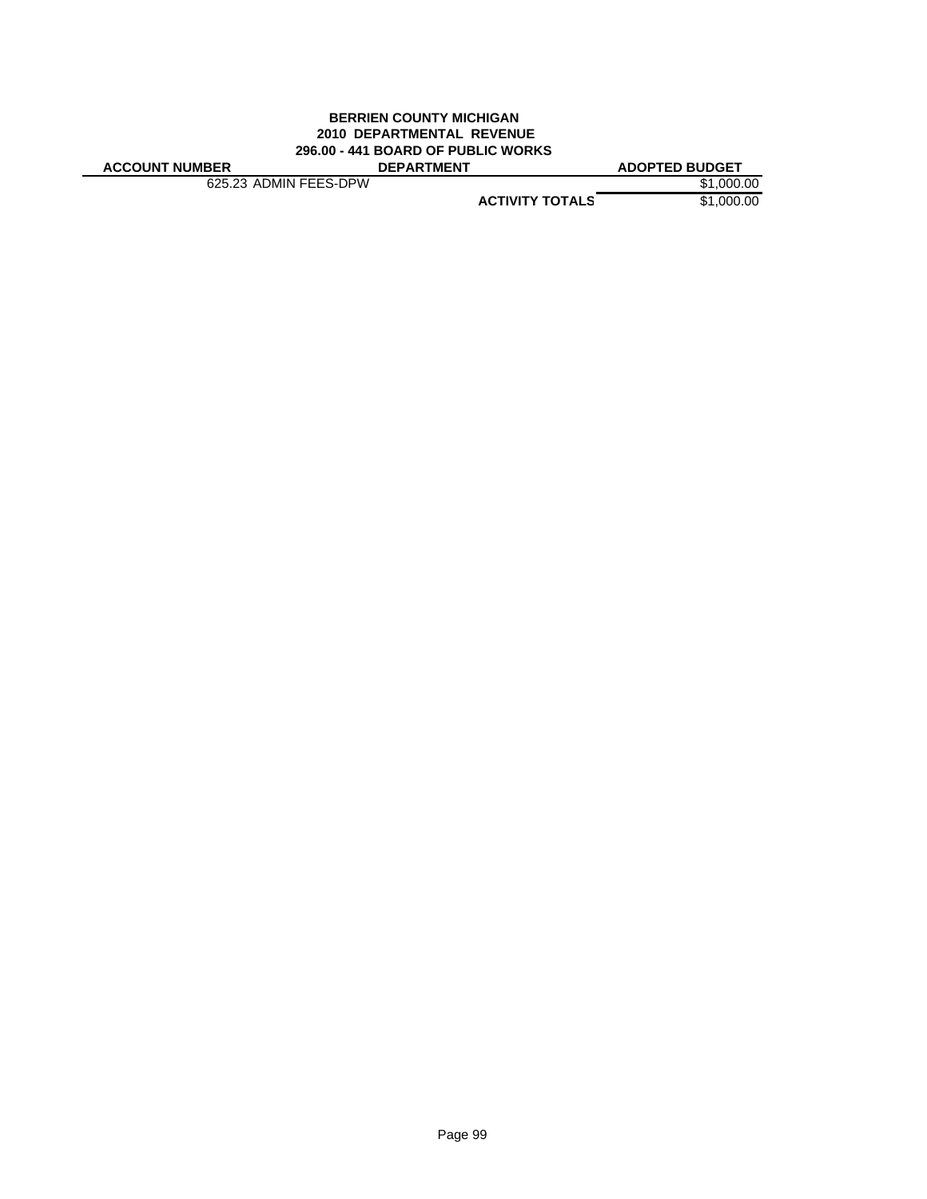### **BERRIEN COUNTY MICHIGAN 2010 DEPARTMENTAL REVENUE 296.00 - 441 BOARD OF PUBLIC WORKS ACCOUNT NUMBER DEPARTMENT ADOPTED BUDGET**

625.23 ADMIN FEES-DPW \$1,000.00

**ACTIVITY TOTALS** \$1,000.00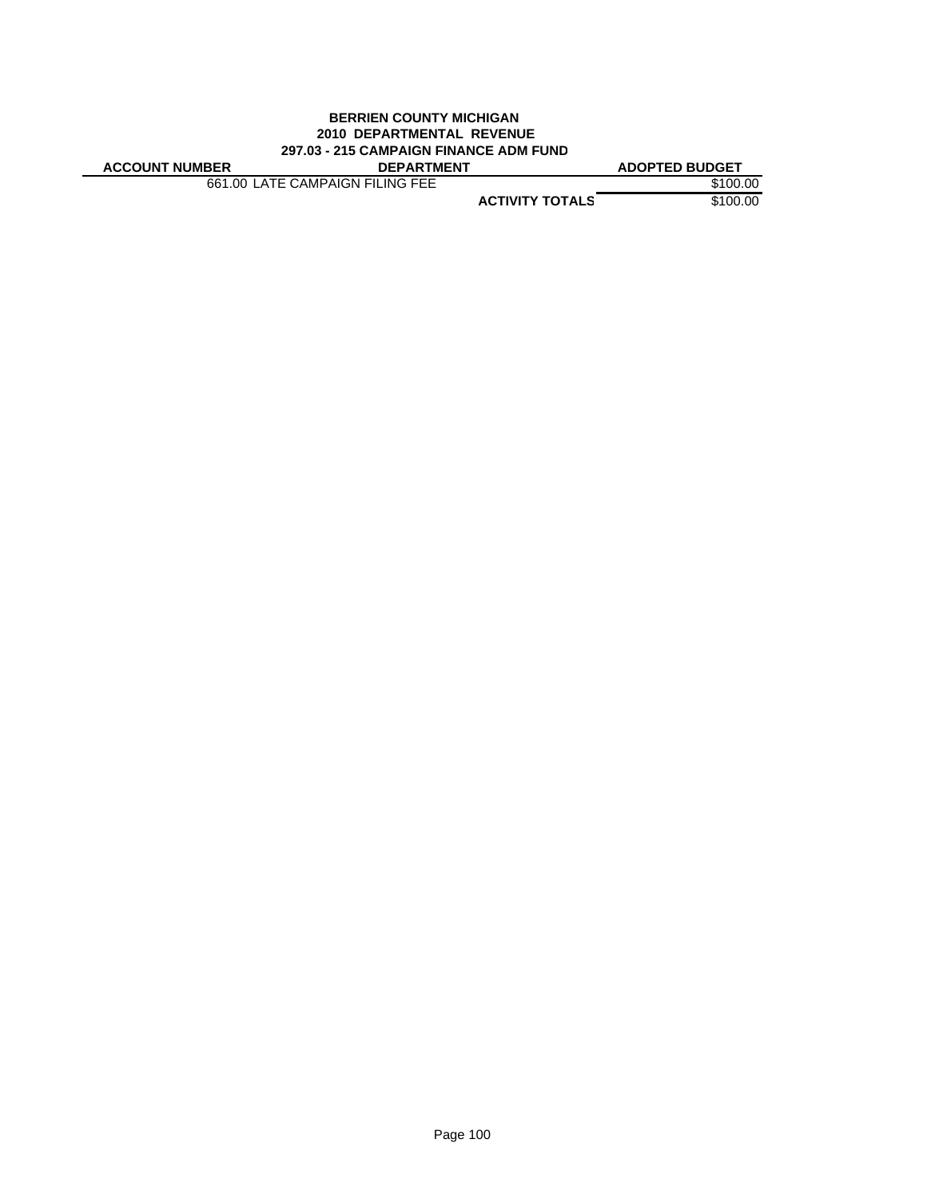### **BERRIEN COUNTY MICHIGAN 2010 DEPARTMENTAL REVENUE 297.03 - 215 CAMPAIGN FINANCE ADM FUND**

| <b>ACCOUNT NUMBER</b> | <b>DEPARTMENT</b> | <b>ADOPTED BUDGET</b> |
|-----------------------|-------------------|-----------------------|
|                       |                   |                       |

661.00 LATE CAMPAIGN FILING FEE \$100.00

**ACTIVITY TOTALS** \$100.00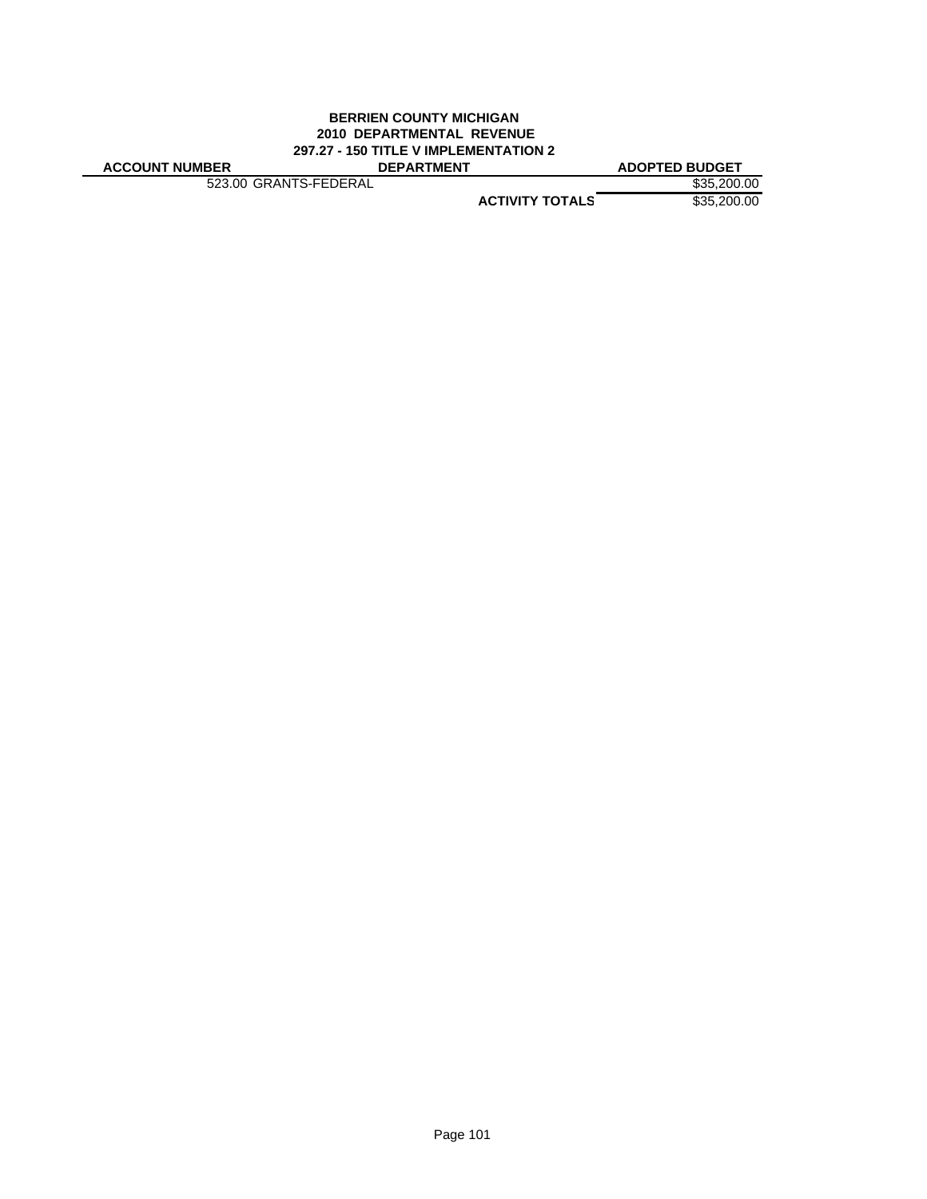### **BERRIEN COUNTY MICHIGAN 2010 DEPARTMENTAL REVENUE 297.27 - 150 TITLE V IMPLEMENTATION 2 ACCOUNT NUMBER DEPARTMENT ADOPTED BUDGET**

523.00 GRANTS-FEDERAL \$35,200.00

**ACTIVITY TOTALS** \$35,200.00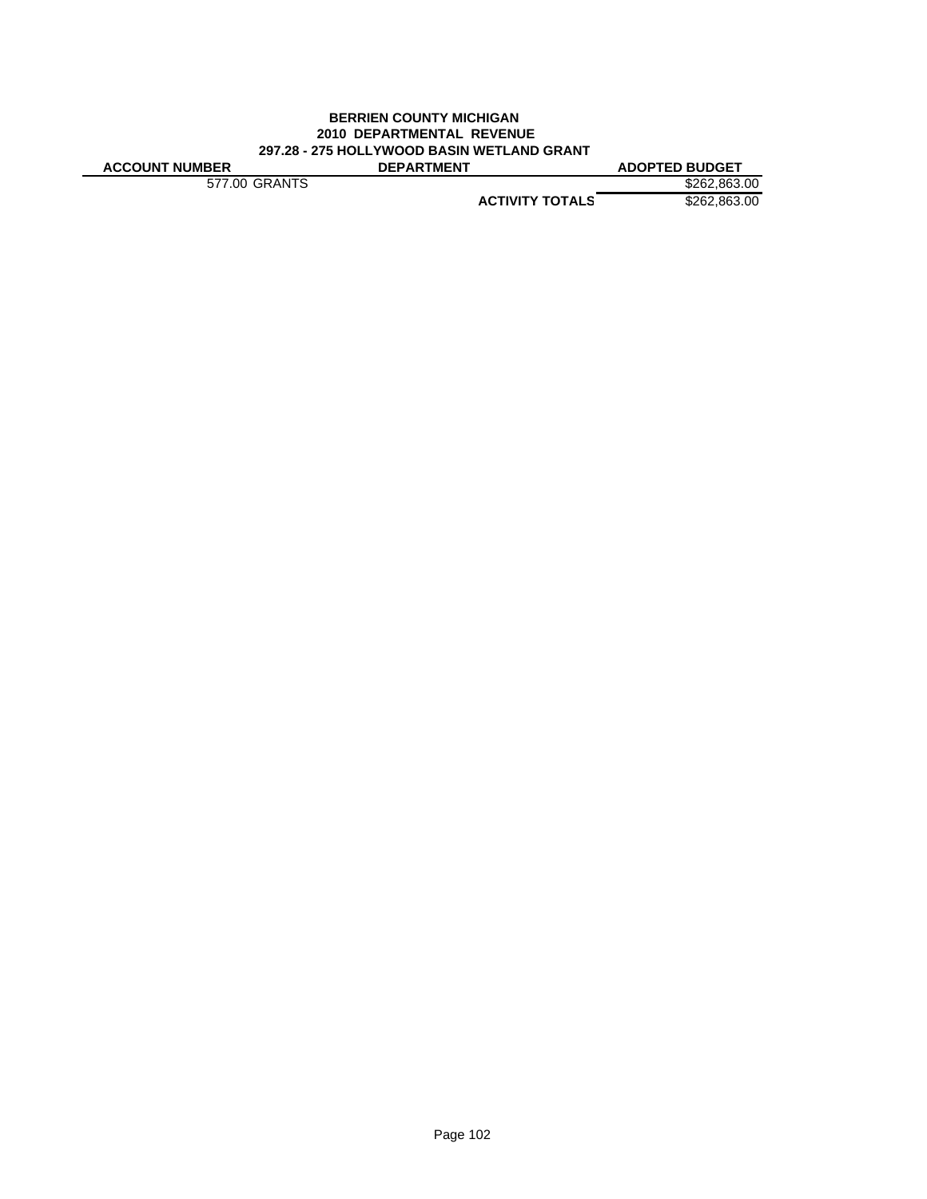### **BERRIEN COUNTY MICHIGAN 2010 DEPARTMENTAL REVENUE 297.28 - 275 HOLLYWOOD BASIN WETLAND GRANT ACCOUNT NUMBER DEPARTMENT ADOPTED BUDGET**

577.00 GRANTS \$262,863.00

**ACTIVITY TOTALS** \$262,863.00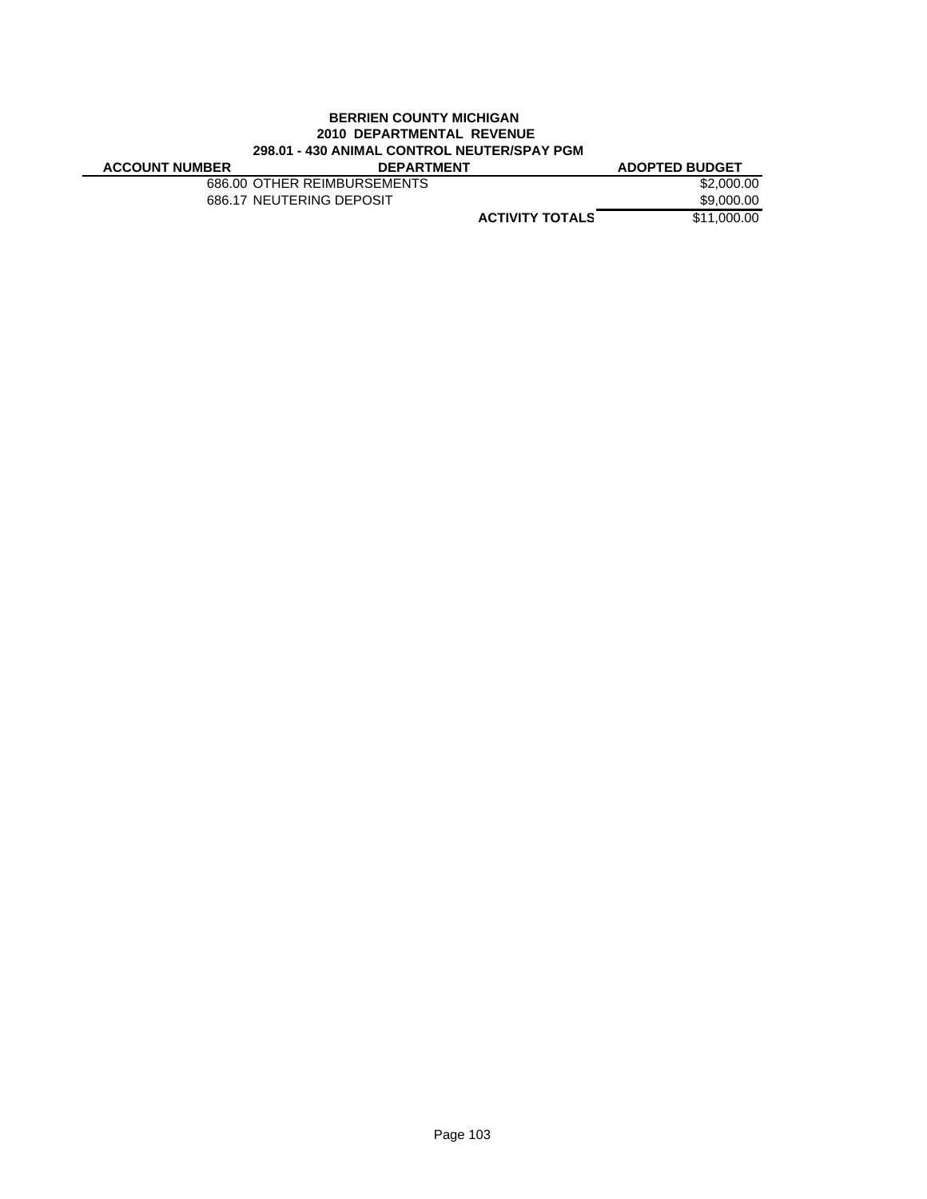# **BERRIEN COUNTY MICHIGAN 2010 DEPARTMENTAL REVENUE 298.01 - 430 ANIMAL CONTROL NEUTER/SPAY PGM**

| <b>ACCOUNT NUMBER</b> | <b>DEPARTMENT</b>           |                        | <b>ADOPTED BUDGET</b> |
|-----------------------|-----------------------------|------------------------|-----------------------|
|                       | 686.00 OTHER REIMBURSEMENTS |                        | \$2,000.00            |
|                       | 686.17 NEUTERING DEPOSIT    |                        | \$9,000.00            |
|                       |                             | <b>ACTIVITY TOTALS</b> | \$11.000.00           |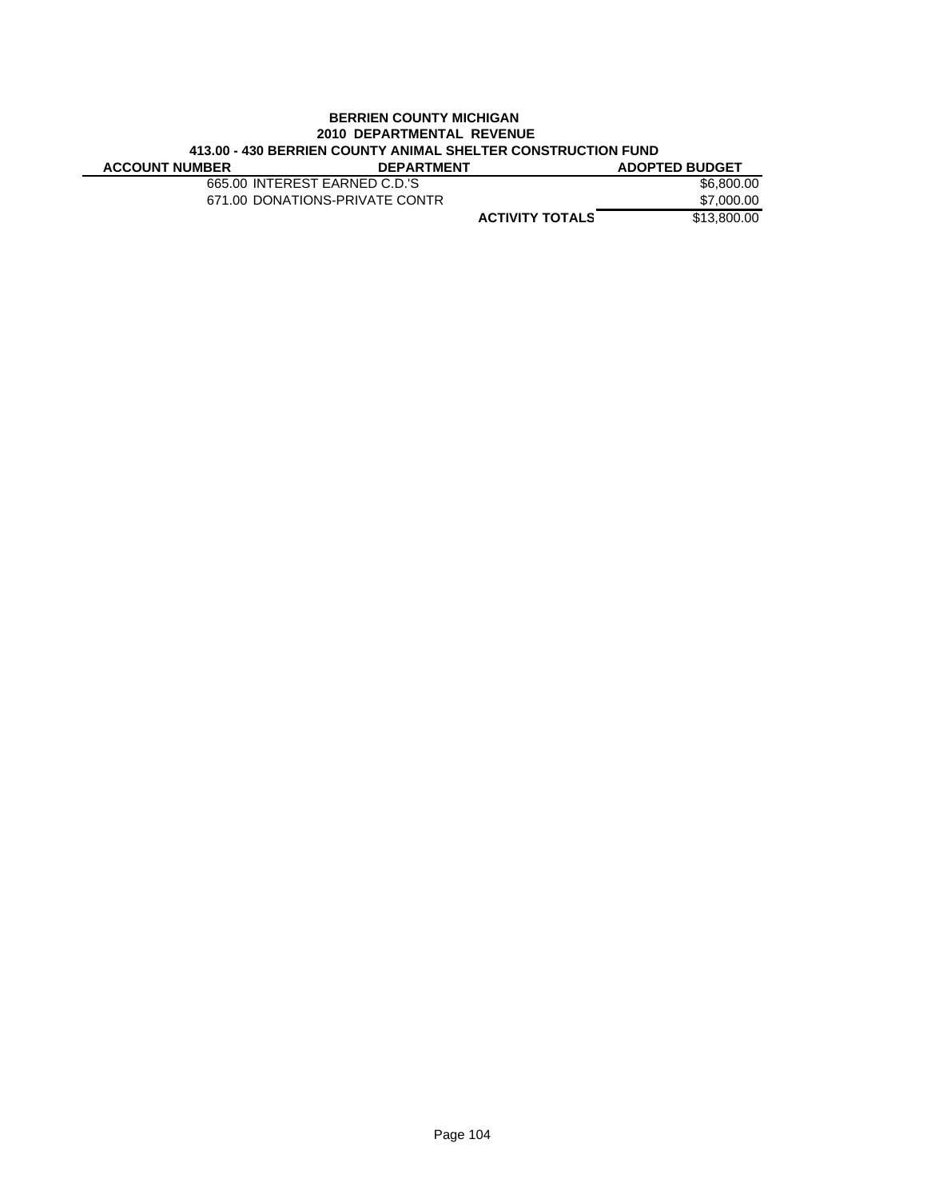### **BERRIEN COUNTY MICHIGAN 2010 DEPARTMENTAL REVENUE 413.00 - 430 BERRIEN COUNTY ANIMAL SHELTER CONSTRUCTION FUND ACCOUNT NUMBER**

| 665.00 INTEREST EARNED C.D.'S  | \$6,800,00             |
|--------------------------------|------------------------|
| 671.00 DONATIONS-PRIVATE CONTR | \$7,000.00             |
|                                | \$13,800,00            |
|                                | <b>ACTIVITY TOTALS</b> |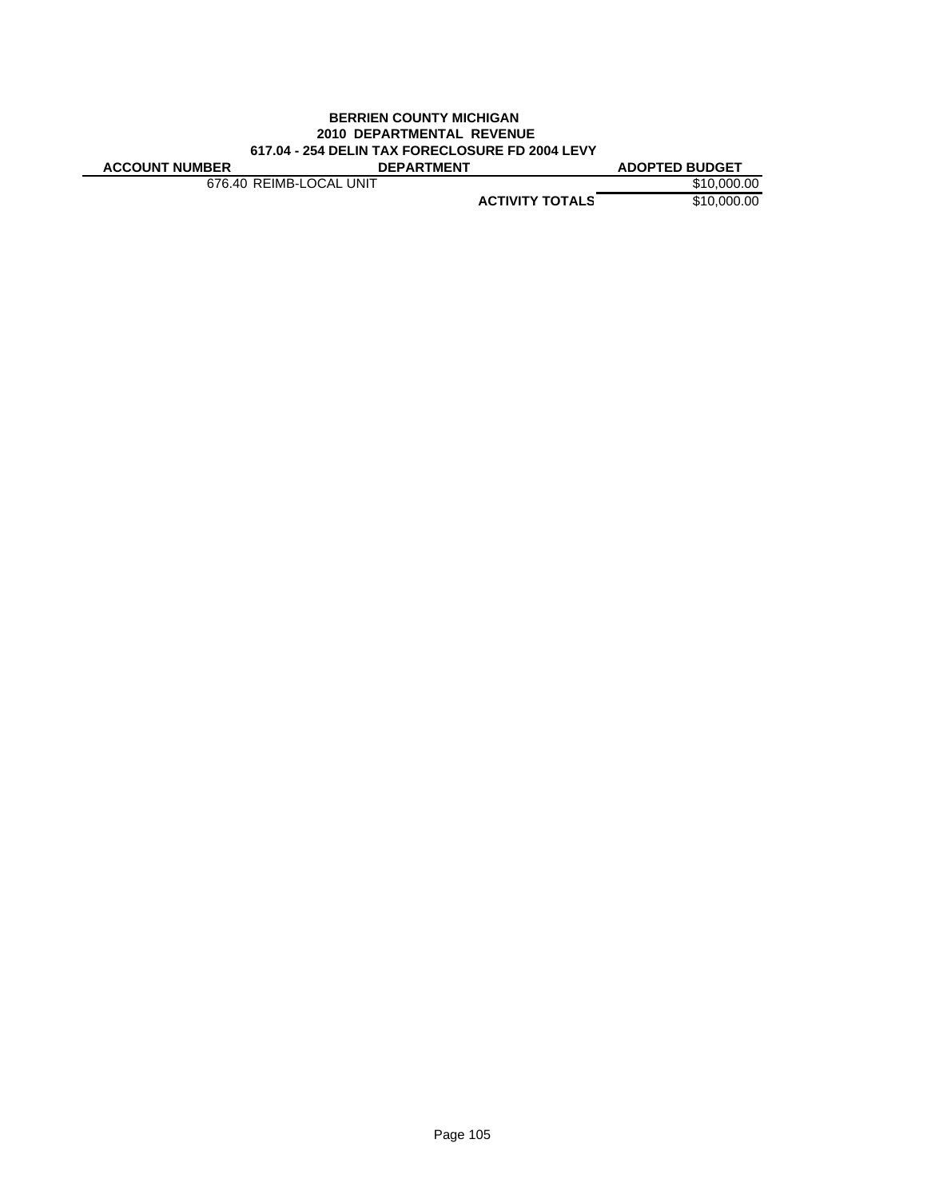### **BERRIEN COUNTY MICHIGAN 2010 DEPARTMENTAL REVENUE 617.04 - 254 DELIN TAX FORECLOSURE FD 2004 LEVY ACCOUNT NUMBER DEPARTMENT ADOPTED BUDGET**

676.40 REIMB-LOCAL UNIT \$10,000.00

**ACTIVITY TOTALS** \$10,000.00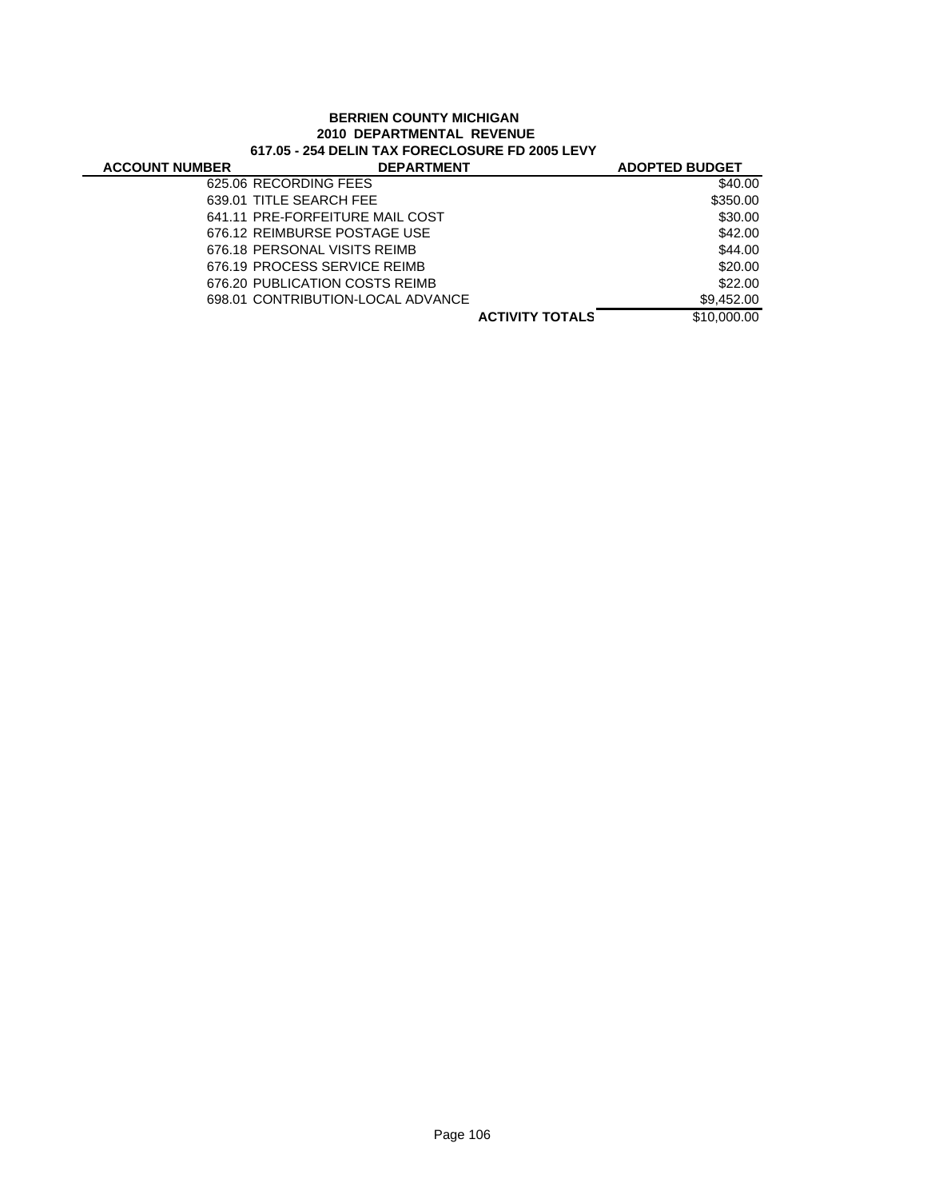# **BERRIEN COUNTY MICHIGAN 2010 DEPARTMENTAL REVENUE 617.05 - 254 DELIN TAX FORECLOSURE FD 2005 LEVY**

| <b>ACCOUNT NUMBER</b> | <b>DEPARTMENT</b>                 |                        | <b>ADOPTED BUDGET</b> |
|-----------------------|-----------------------------------|------------------------|-----------------------|
|                       | 625.06 RECORDING FEES             |                        | \$40.00               |
|                       | 639.01 TITLE SEARCH FEE           |                        | \$350.00              |
|                       | 641.11 PRE-FORFEITURE MAIL COST   |                        | \$30.00               |
|                       | 676.12 REIMBURSE POSTAGE USE      |                        | \$42.00               |
|                       | 676.18 PERSONAL VISITS REIMB      |                        | \$44.00               |
|                       | 676.19 PROCESS SERVICE REIMB      |                        | \$20.00               |
|                       | 676.20 PUBLICATION COSTS REIMB    |                        | \$22.00               |
|                       | 698.01 CONTRIBUTION-LOCAL ADVANCE |                        | \$9.452.00            |
|                       |                                   | <b>ACTIVITY TOTALS</b> | \$10,000.00           |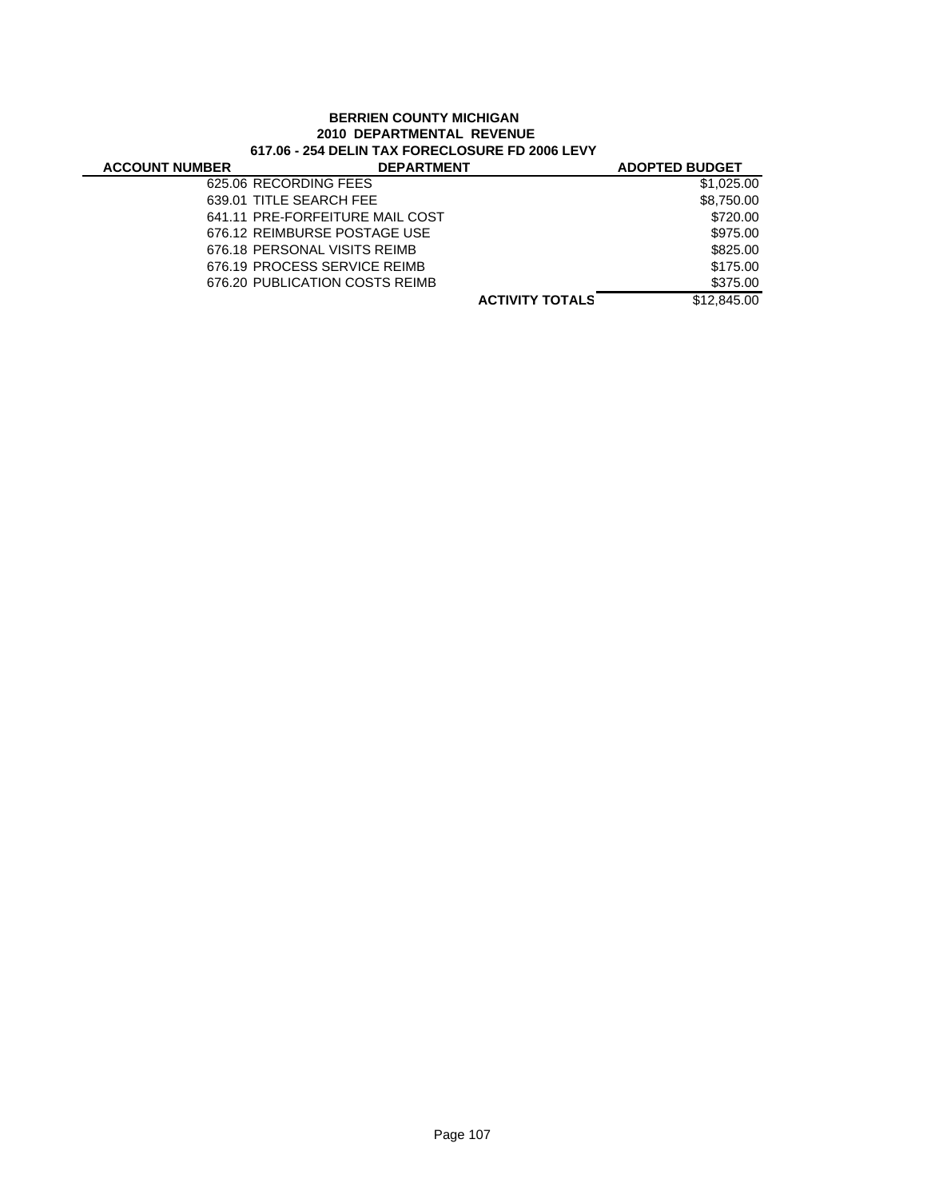# **BERRIEN COUNTY MICHIGAN 2010 DEPARTMENTAL REVENUE 617.06 - 254 DELIN TAX FORECLOSURE FD 2006 LEVY**

| <b>ACCOUNT NUMBER</b> | <b>DEPARTMENT</b>               |                        | <b>ADOPTED BUDGET</b> |
|-----------------------|---------------------------------|------------------------|-----------------------|
|                       | 625.06 RECORDING FEES           |                        | \$1,025,00            |
|                       | 639.01 TITLE SEARCH FEE         |                        | \$8,750.00            |
|                       | 641.11 PRE-FORFEITURE MAIL COST |                        | \$720.00              |
|                       | 676.12 REIMBURSE POSTAGE USE    |                        | \$975.00              |
|                       | 676.18 PERSONAL VISITS REIMB    |                        | \$825.00              |
|                       | 676.19 PROCESS SERVICE REIMB    |                        | \$175.00              |
|                       | 676.20 PUBLICATION COSTS REIMB  |                        | \$375.00              |
|                       |                                 | <b>ACTIVITY TOTALS</b> | \$12,845,00           |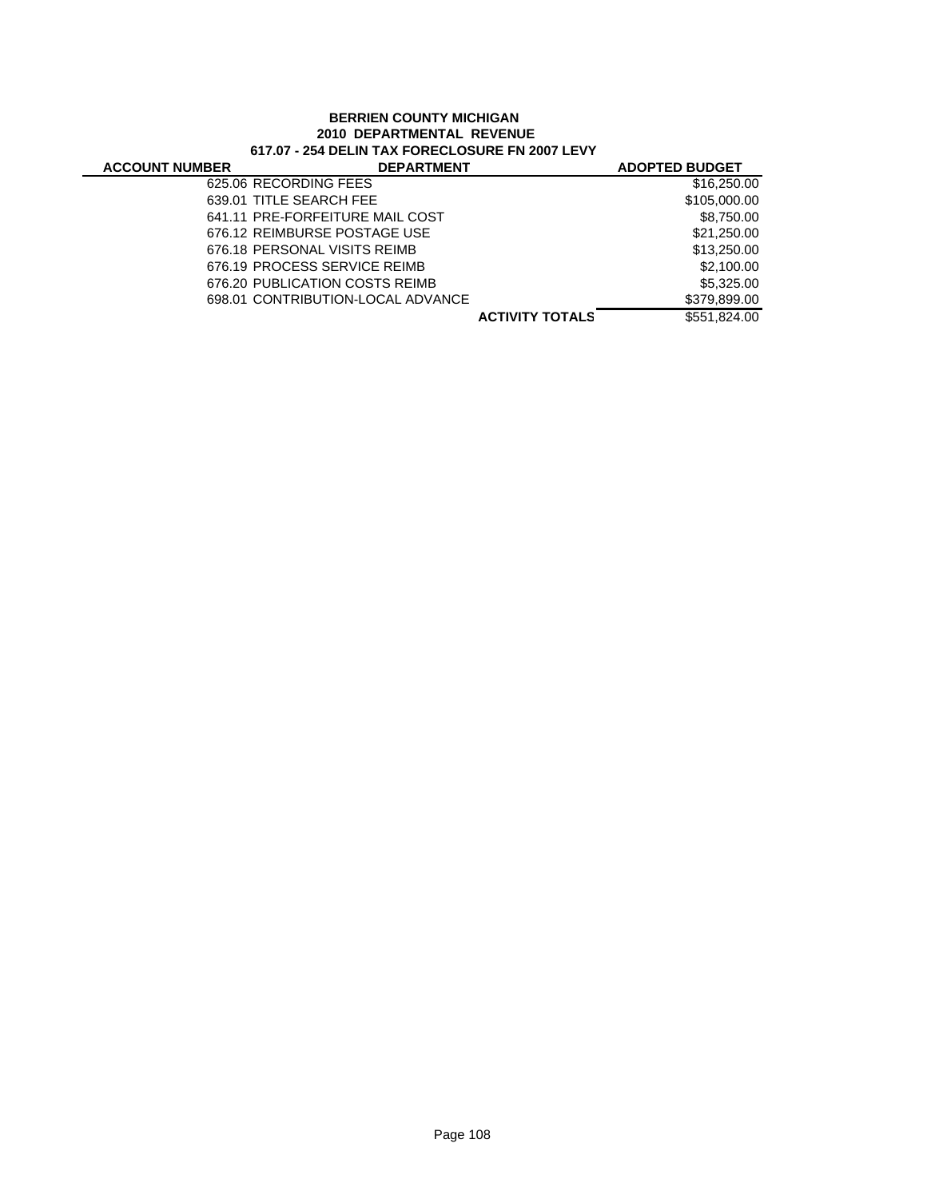# **BERRIEN COUNTY MICHIGAN 2010 DEPARTMENTAL REVENUE 617.07 - 254 DELIN TAX FORECLOSURE FN 2007 LEVY**

| <b>ACCOUNT NUMBER</b> | <b>DEPARTMENT</b>                 |                        | <b>ADOPTED BUDGET</b> |
|-----------------------|-----------------------------------|------------------------|-----------------------|
|                       | 625.06 RECORDING FEES             |                        | \$16,250,00           |
|                       | 639.01 TITLE SEARCH FEE           |                        | \$105,000.00          |
|                       | 641.11 PRE-FORFEITURE MAIL COST   |                        | \$8,750.00            |
|                       | 676.12 REIMBURSE POSTAGE USE      |                        | \$21,250.00           |
|                       | 676.18 PERSONAL VISITS REIMB      |                        | \$13,250.00           |
|                       | 676.19 PROCESS SERVICE REIMB      |                        | \$2,100.00            |
|                       | 676.20 PUBLICATION COSTS REIMB    |                        | \$5,325,00            |
|                       | 698.01 CONTRIBUTION-LOCAL ADVANCE |                        | \$379,899.00          |
|                       |                                   | <b>ACTIVITY TOTALS</b> | \$551,824,00          |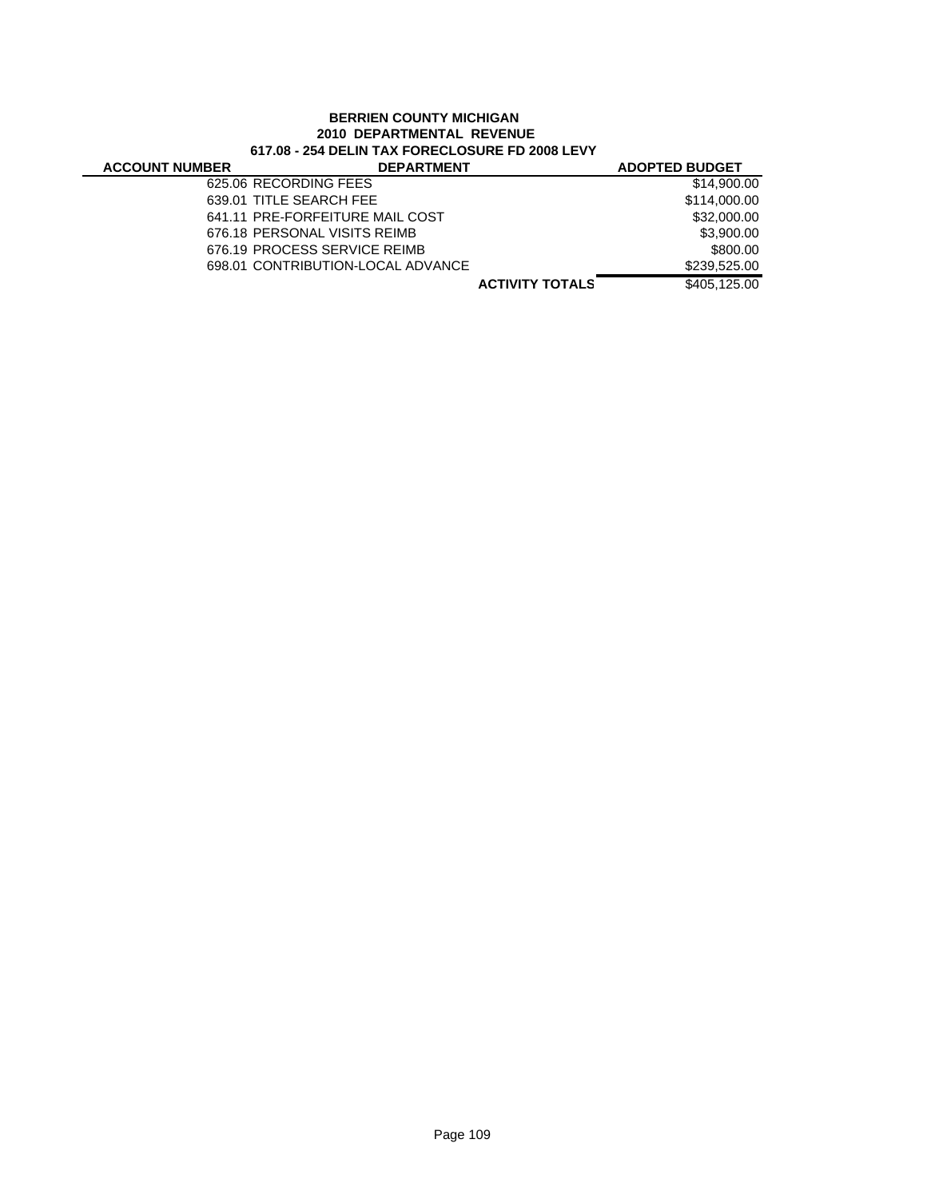|                       | <b>BERRIEN COUNTY MICHIGAN</b><br>2010 DEPARTMENTAL REVENUE<br>617.08 - 254 DELIN TAX FORECLOSURE FD 2008 LEVY |                       |
|-----------------------|----------------------------------------------------------------------------------------------------------------|-----------------------|
| <b>ACCOUNT NUMBER</b> | <b>DEPARTMENT</b>                                                                                              | <b>ADOPTED BUDGET</b> |
|                       | 625.06 RECORDING FEES                                                                                          | \$14,900.00           |
|                       | 639.01 TITLE SEARCH FEE                                                                                        | \$114,000.00          |
|                       | 641.11 PRE-FORFEITURE MAIL COST                                                                                | \$32,000.00           |
|                       | 676.18 PERSONAL VISITS REIMB                                                                                   | \$3,900.00            |
|                       | 676.19 PROCESS SERVICE REIMB                                                                                   | \$800.00              |
|                       | 698.01 CONTRIBUTION-LOCAL ADVANCE                                                                              | \$239,525.00          |
|                       | <b>ACTIVITY TOTALS</b>                                                                                         | \$405,125.00          |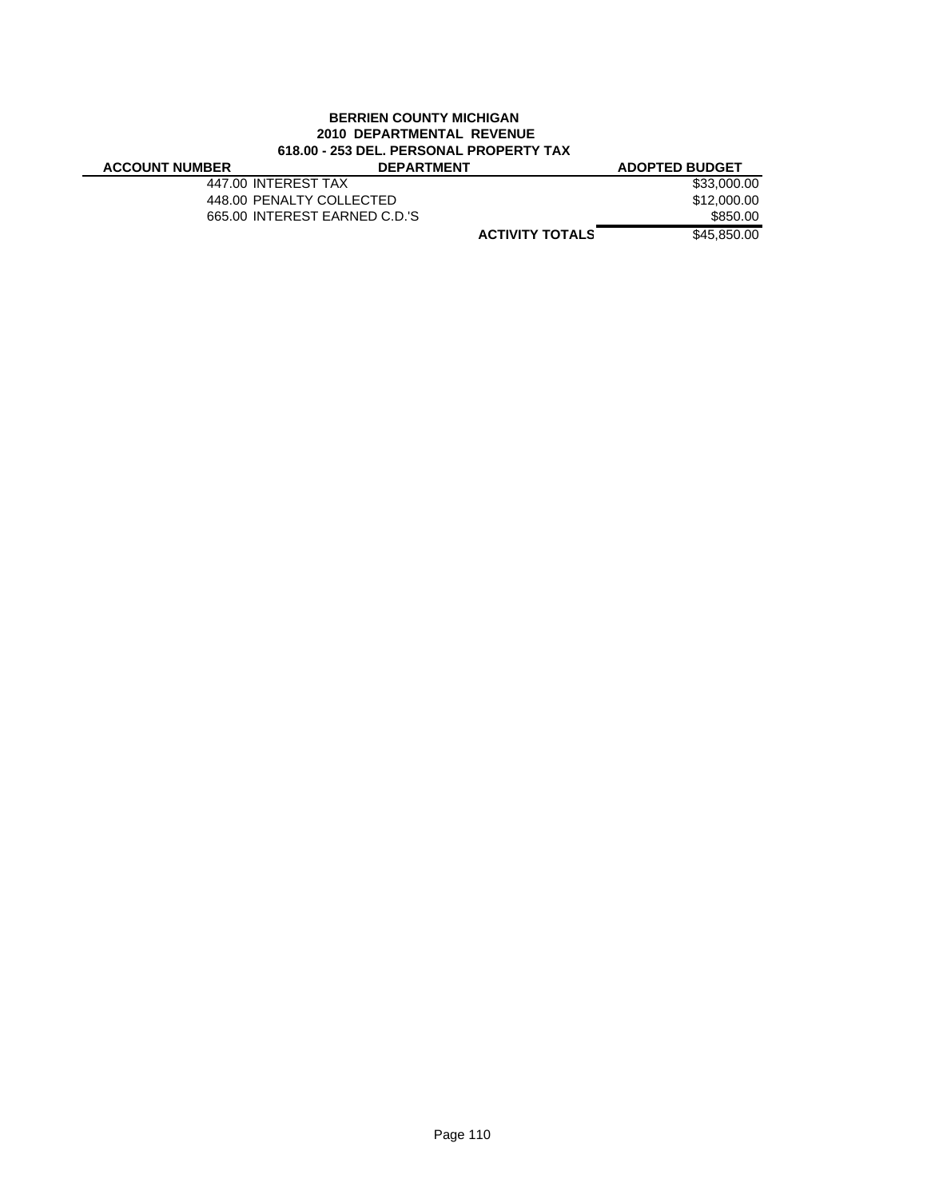# **BERRIEN COUNTY MICHIGAN 2010 DEPARTMENTAL REVENUE 618.00 - 253 DEL. PERSONAL PROPERTY TAX**

#### **ACCOUNT NUMBER DEPARTMENT ADOPTED BUDGET** 447.00 INTEREST TAX \$33,000.00 448.00 PENALTY COLLECTED \$12,000.00 665.00 INTEREST EARNED C.D.'S \$850.00

**ACTIVITY TOTALS** \$45,850.00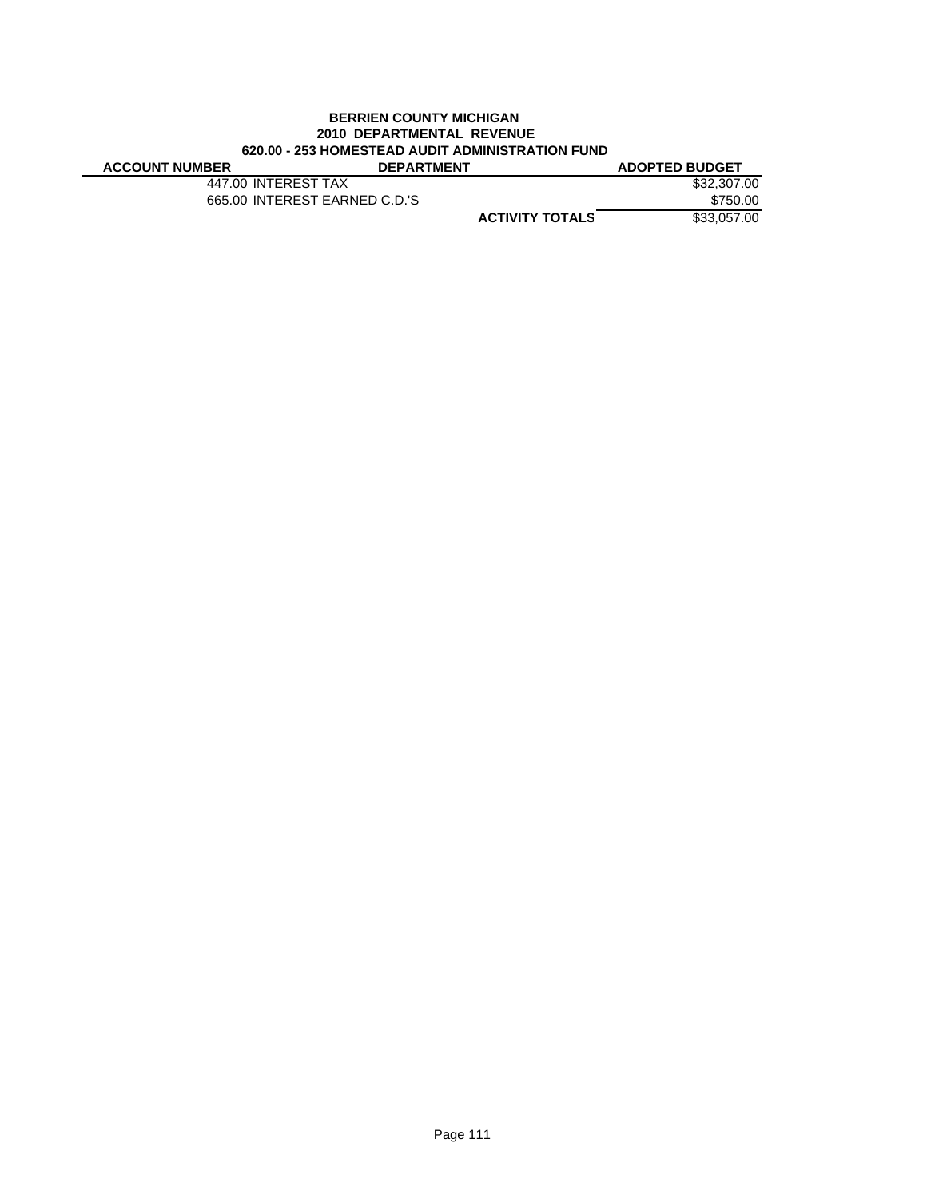# **BERRIEN COUNTY MICHIGAN 2010 DEPARTMENTAL REVENUE 620.00 - 253 HOMESTEAD AUDIT ADMINISTRATION FUND**

| <b>ACCOUNT NUMBER</b> | <b>DEPARTMENT</b>             |                        | <b>ADOPTED BUDGET</b> |
|-----------------------|-------------------------------|------------------------|-----------------------|
| 447.00 INTEREST TAX   |                               |                        | \$32,307,00           |
|                       | 665.00 INTEREST EARNED C.D.'S |                        | \$750.00              |
|                       |                               | <b>ACTIVITY TOTALS</b> | \$33,057,00           |
|                       |                               |                        |                       |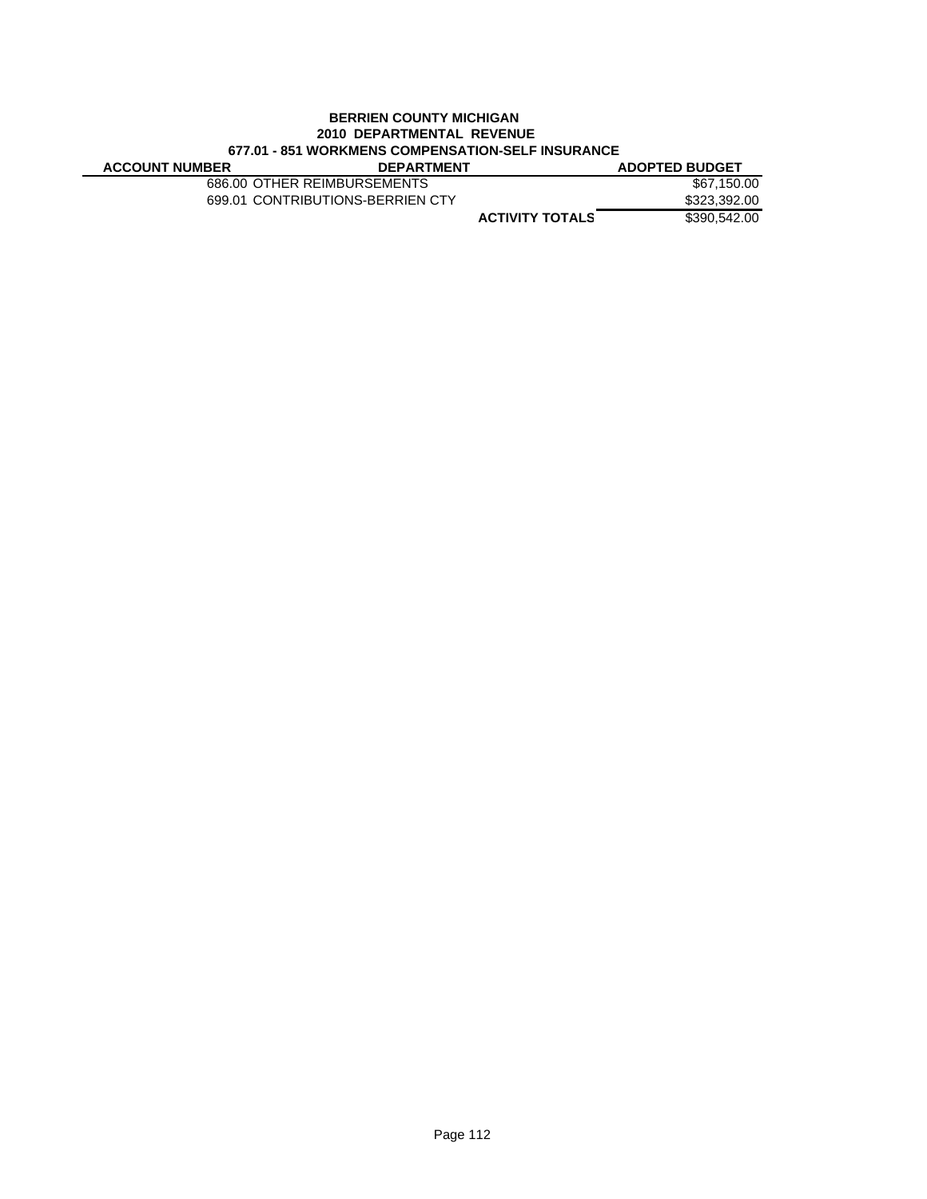# **BERRIEN COUNTY MICHIGAN 2010 DEPARTMENTAL REVENUE 677.01 - 851 WORKMENS COMPENSATION-SELF INSURANCE**

| <b>ACCOUNT NUMBER</b> | <b>DEPARTMENT</b>                |                        | <b>ADOPTED BUDGET</b> |
|-----------------------|----------------------------------|------------------------|-----------------------|
|                       | 686.00 OTHER REIMBURSEMENTS      |                        | \$67.150.00           |
|                       | 699.01 CONTRIBUTIONS-BERRIEN CTY |                        | \$323,392.00          |
|                       |                                  | <b>ACTIVITY TOTALS</b> | \$390,542,00          |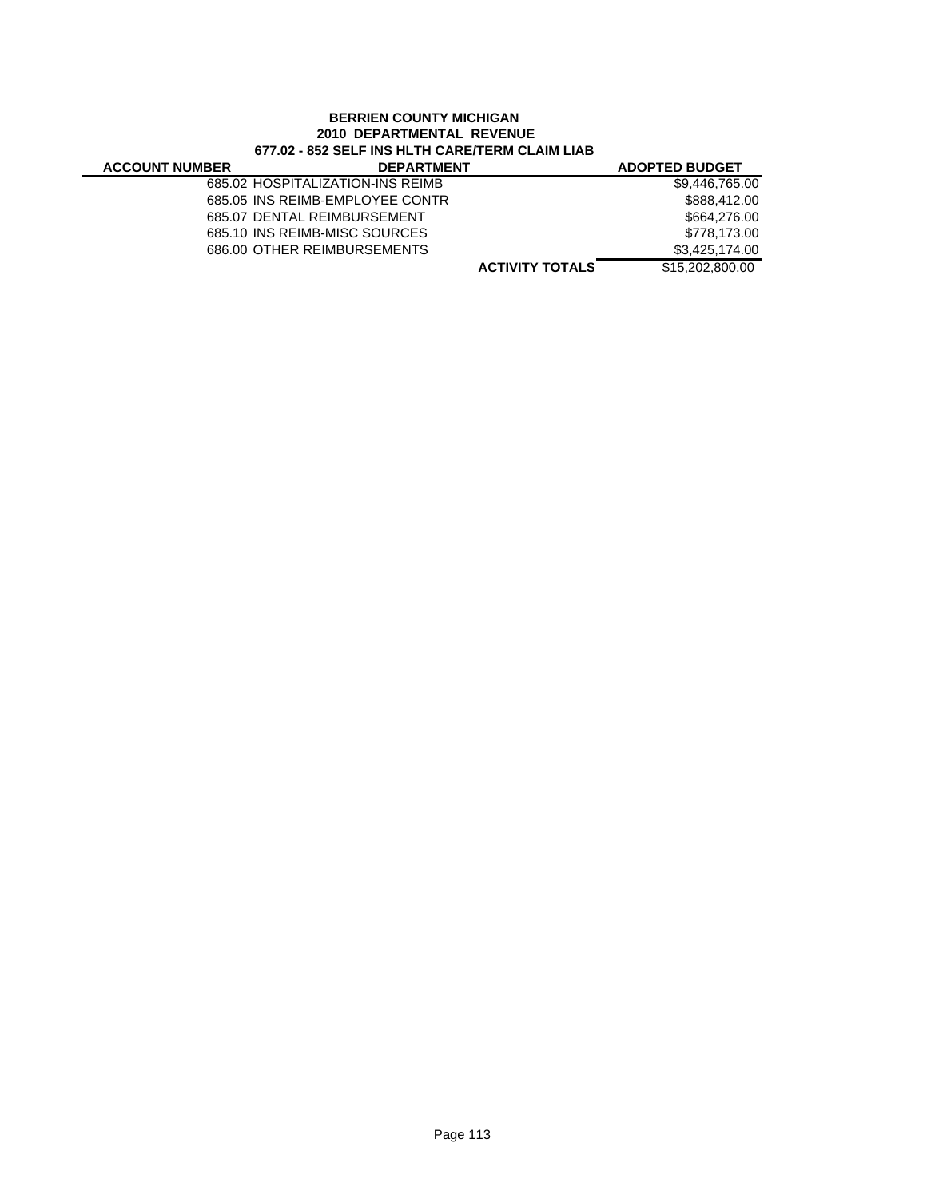#### **BERRIEN COUNTY MICHIGAN 2010 DEPARTMENTAL REVENUE 677.02 - 852 SELF INS HLTH CARE/TERM CLAIM LIAB DE ACCOUNT NUMBER DELL ING THE POLITICAL CONTROLLING AND ADOPTED BUDGET**

|                       |                                                                                                                                                                    | ADOPTED BUDGET    |
|-----------------------|--------------------------------------------------------------------------------------------------------------------------------------------------------------------|-------------------|
|                       |                                                                                                                                                                    | \$9,446,765.00    |
|                       |                                                                                                                                                                    | \$888,412,00      |
|                       |                                                                                                                                                                    | \$664,276.00      |
|                       |                                                                                                                                                                    | \$778.173.00      |
|                       |                                                                                                                                                                    | \$3.425.174.00    |
|                       | <b>ACTIVITY TOTALS</b>                                                                                                                                             | \$15,202,800,00   |
| <b>ACCOUNT NUMBER</b> | 685.02 HOSPITALIZATION-INS REIMB<br>685.05 INS REIMB-EMPLOYEE CONTR<br>685.07 DENTAL REIMBURSEMENT<br>685.10 INS REIMB-MISC SOURCES<br>686.00 OTHER REIMBURSEMENTS | <b>DEPARIMENI</b> |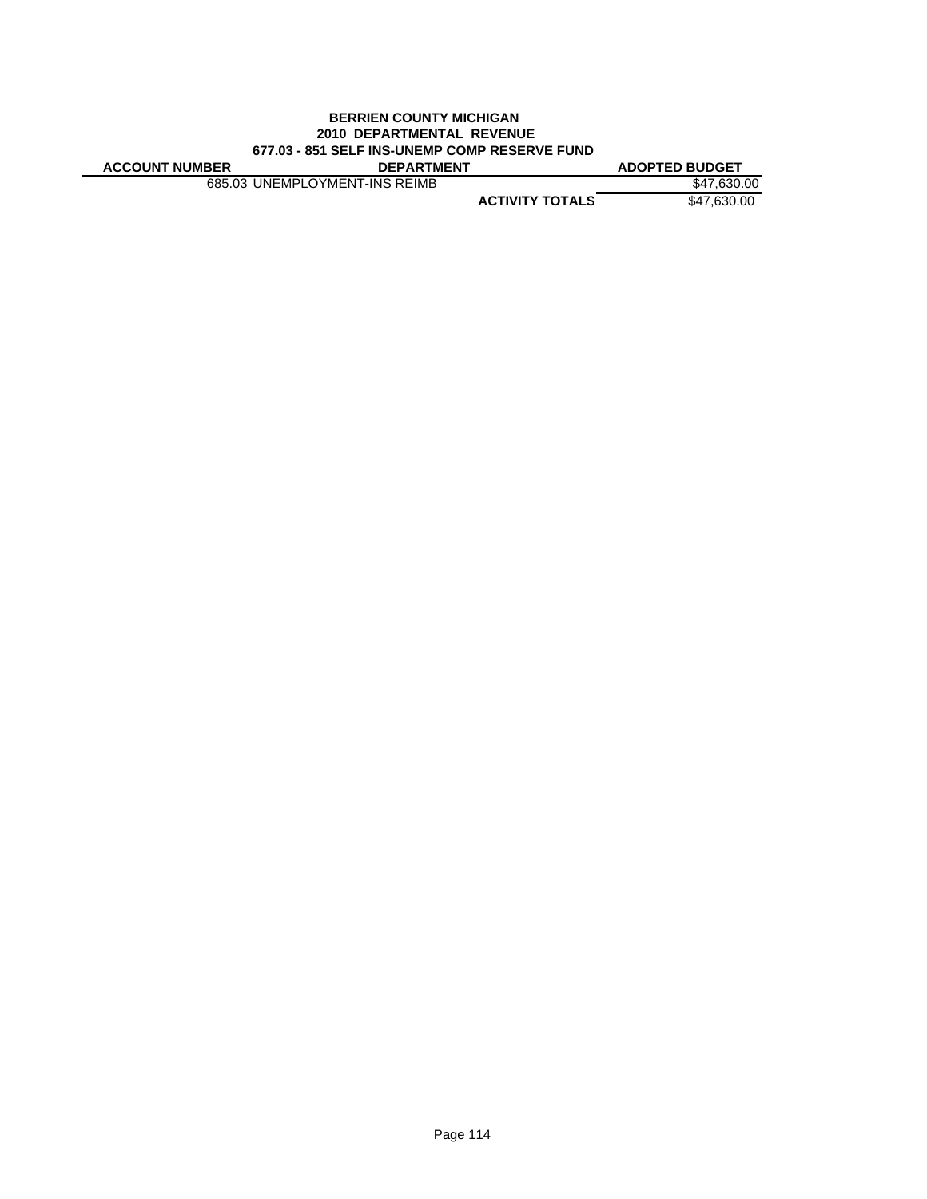#### **BERRIEN COUNTY MICHIGAN 2010 DEPARTMENTAL REVENUE 677.03 - 851 SELF INS-UNEMP COMP RESERVE FUND ACCOUNT NUMBER DEPARTMENT ADOPTED BUDGET**

685.03 UNEMPLOYMENT-INS REIMB \$47,630.00

**ACTIVITY TOTALS** \$47,630.00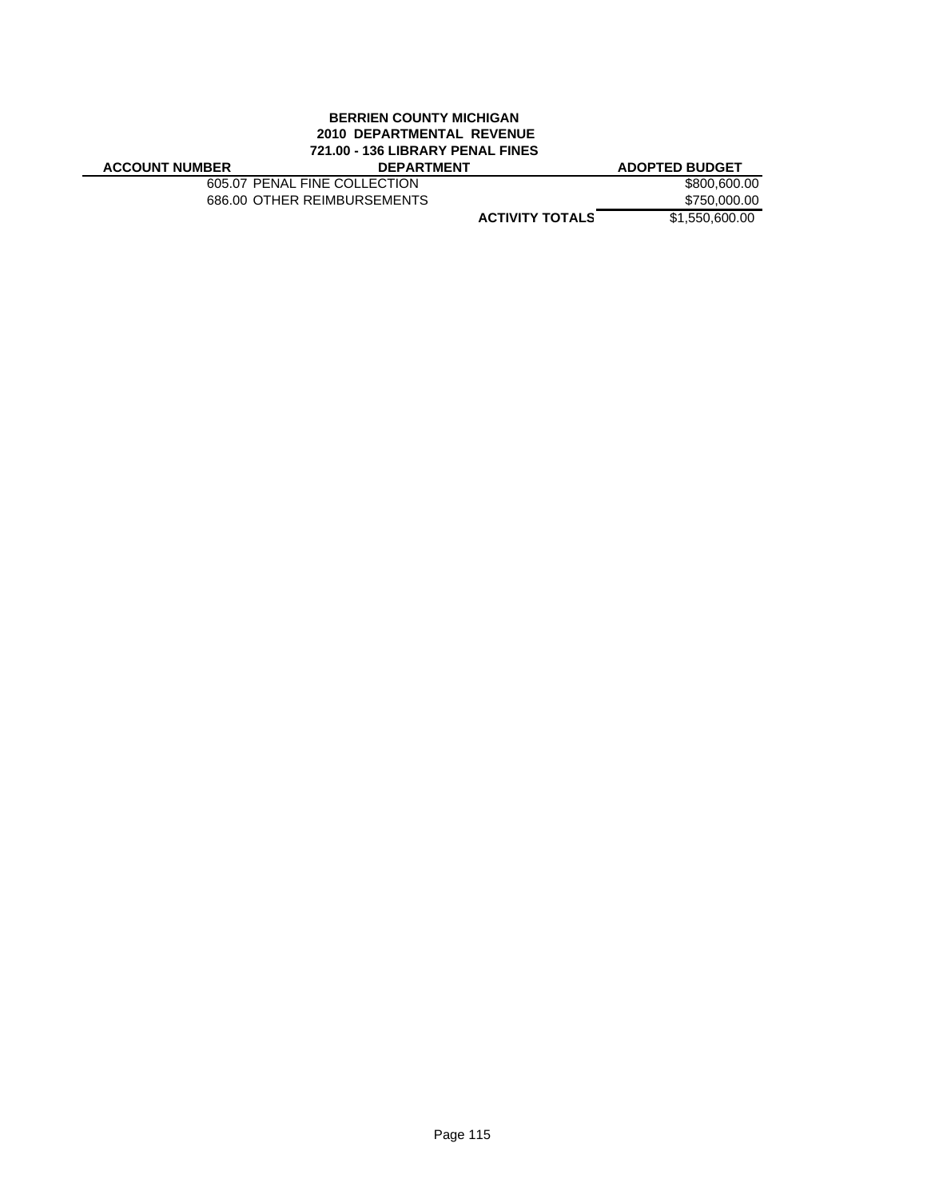#### **BERRIEN COUNTY MICHIGAN 2010 DEPARTMENTAL REVENUE 721.00 - 136 LIBRARY PENAL FINES ACCOUNT NUMBER DEPARTMENT ADOPTED BUDGET**

605.07 PENAL FINE COLLECTION \$800,600.00<br>686.00 OTHER REIMBURSEMENTS \$750,000.00 686.00 OTHER REIMBURSEMENTS

**ACTIVITY TOTALS** \$1,550,600.00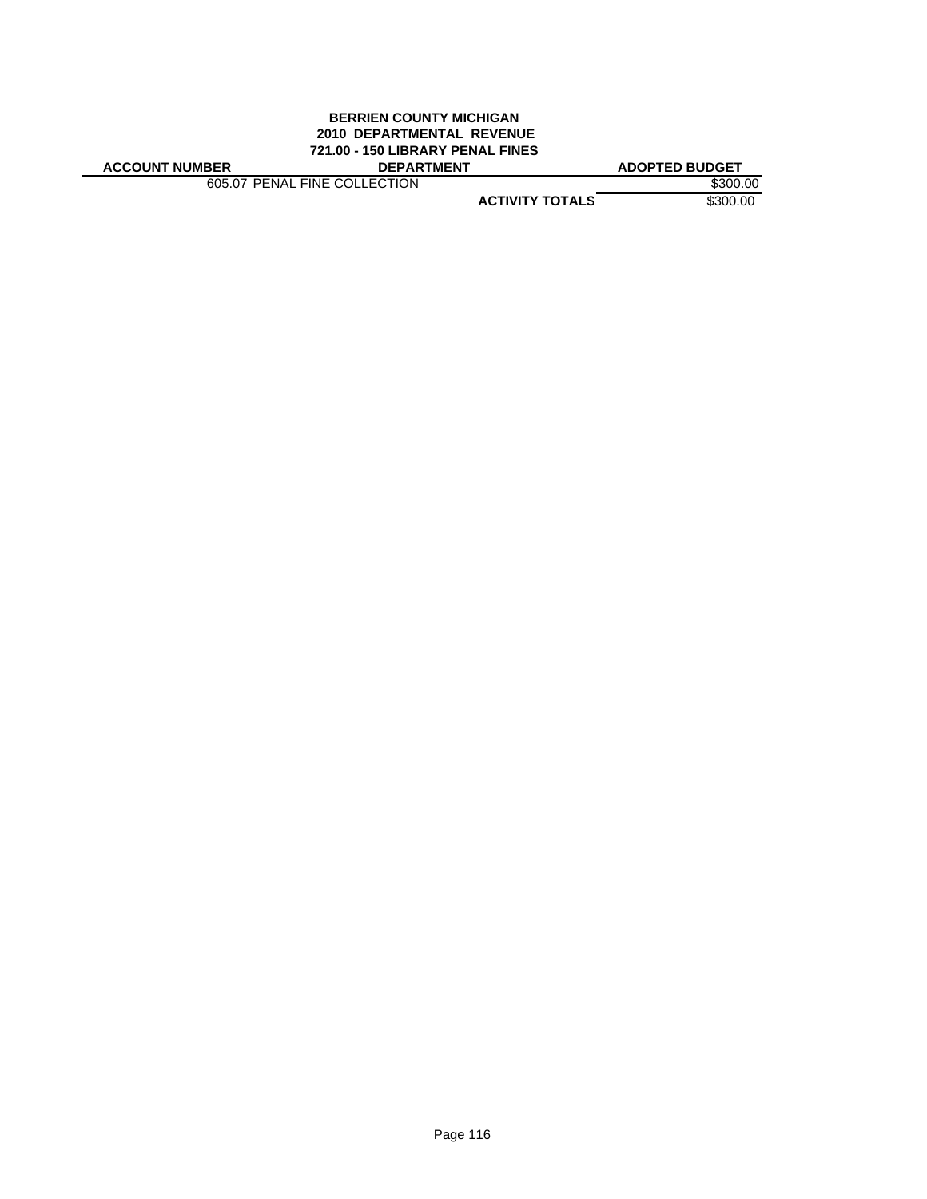#### **BERRIEN COUNTY MICHIGAN 2010 DEPARTMENTAL REVENUE 721.00 - 150 LIBRARY PENAL FINES ACCOUNT NUMBER DEPARTMENT ADOPTED BUDGET**

605.07 PENAL FINE COLLECTION \$300.00

**ACTIVITY TOTALS** \$300.00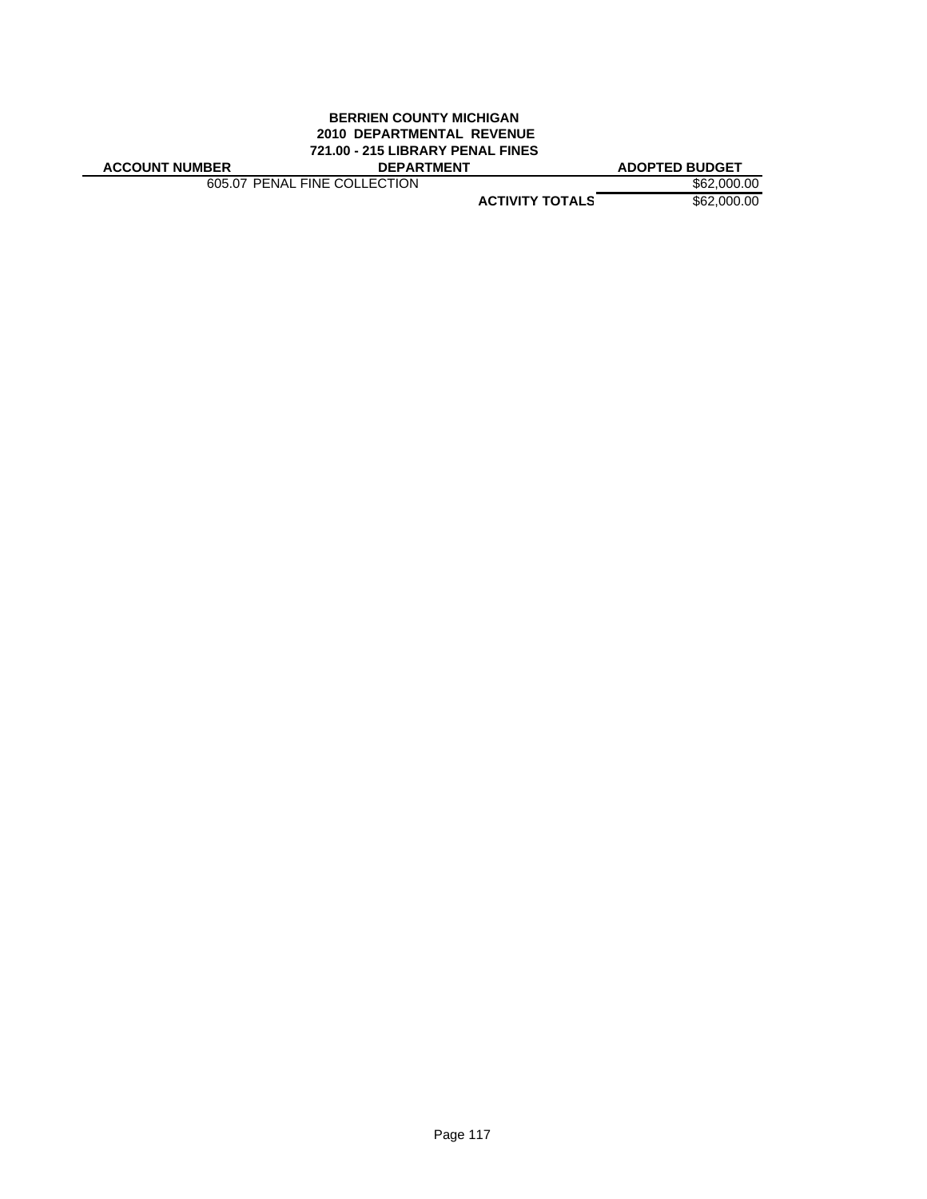#### **BERRIEN COUNTY MICHIGAN 2010 DEPARTMENTAL REVENUE 721.00 - 215 LIBRARY PENAL FINES ACCOUNT NUMBER DEPARTMENT ADOPTED BUDGET**

605.07 PENAL FINE COLLECTION \$62,000.00

**ACTIVITY TOTALS** \$62,000.00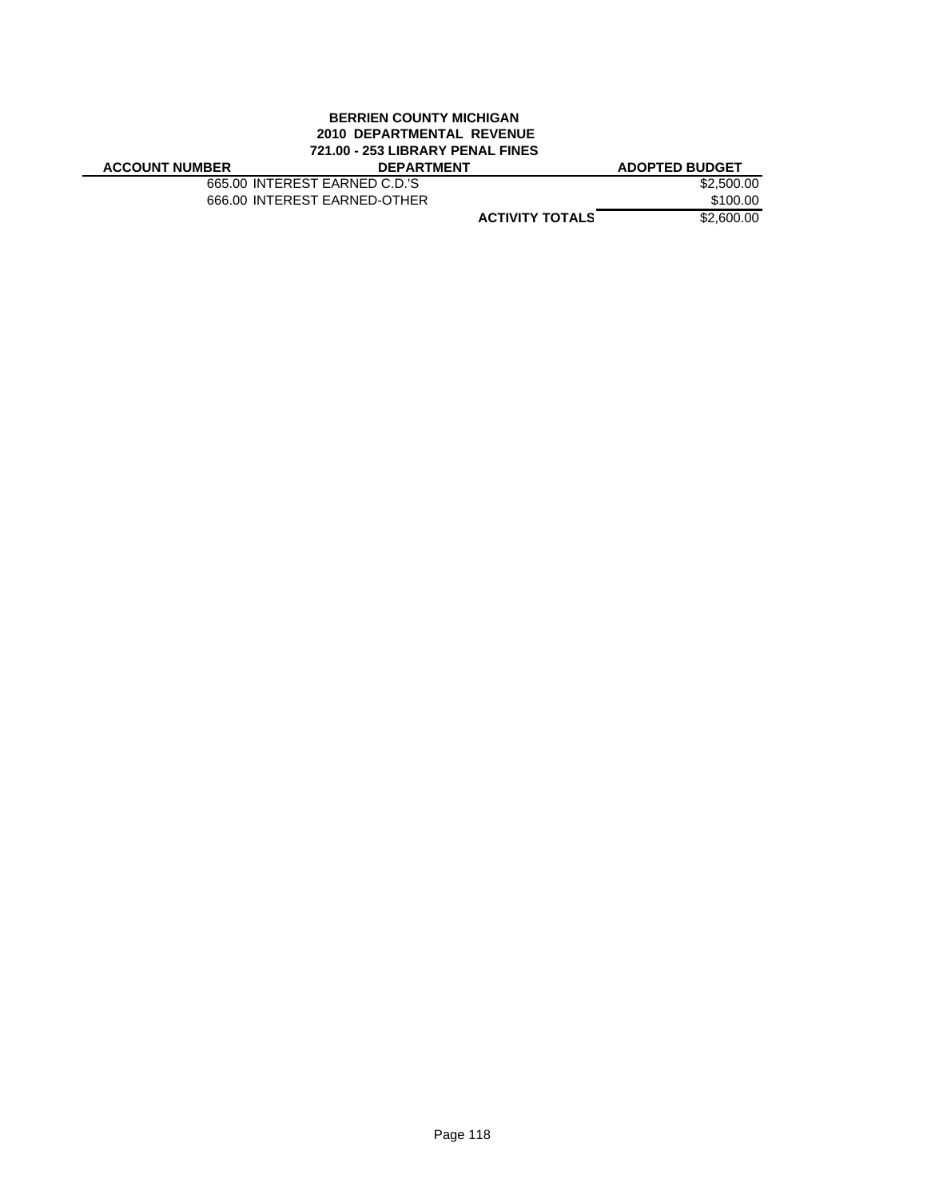#### **BERRIEN COUNTY MICHIGAN 2010 DEPARTMENTAL REVENUE 721.00 - 253 LIBRARY PENAL FINES ACCOUNT NUMBER DEPARTMENT ADOPTED BUDGET**

665.00 INTEREST EARNED C.D.'S<br>666.00 INTEREST EARNED-OTHER \$100.00 666.00 INTEREST EARNED-OTHER

**ACTIVITY TOTALS** \$2,600.00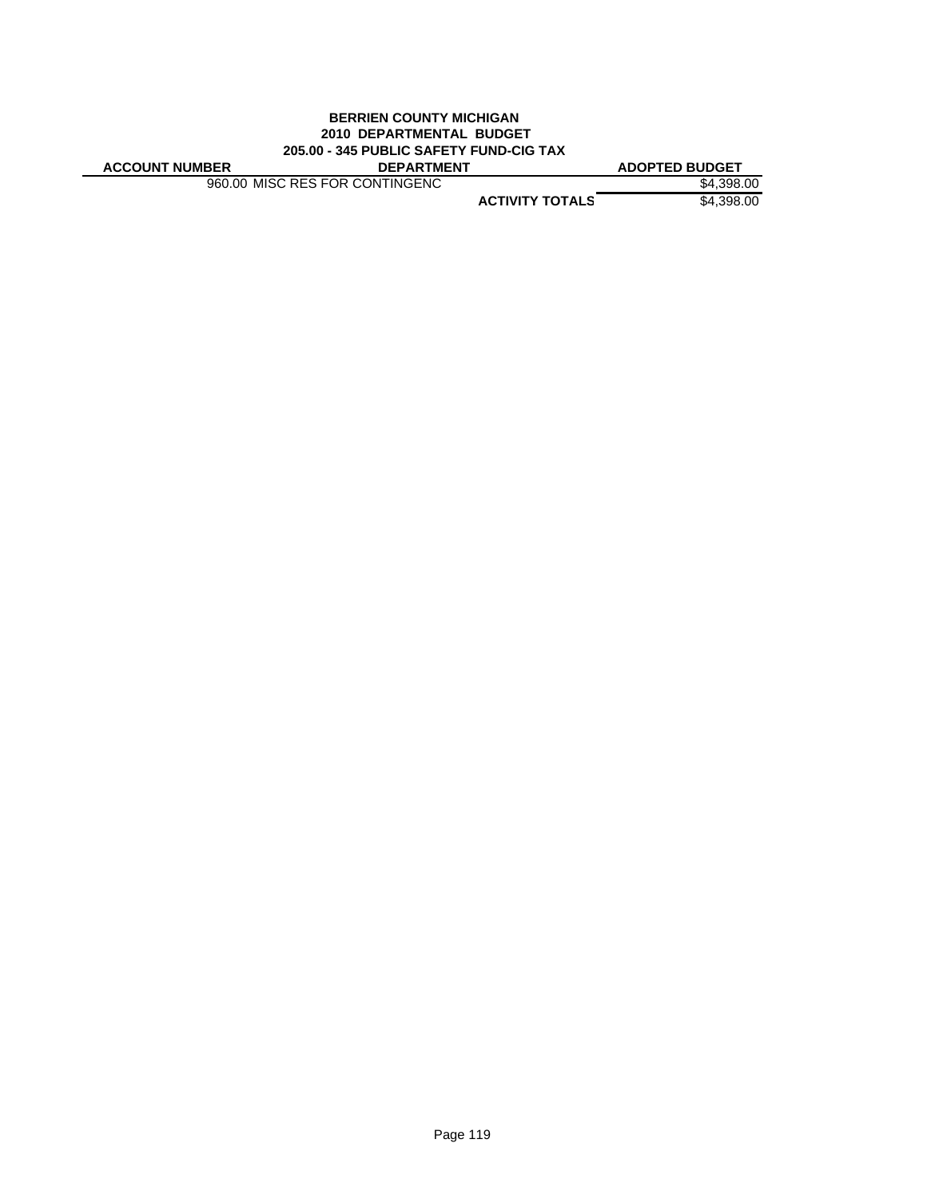## **BERRIEN COUNTY MICHIGAN 2010 DEPARTMENTAL BUDGET 205.00 - 345 PUBLIC SAFETY FUND-CIG TAX**

**ACCOUNT NUMBER DEPARTMENT ADOPTED BUDGET**

960.00 MISC RES FOR CONTINGENC \$4,398.00

**ACTIVITY TOTALS** \$4,398.00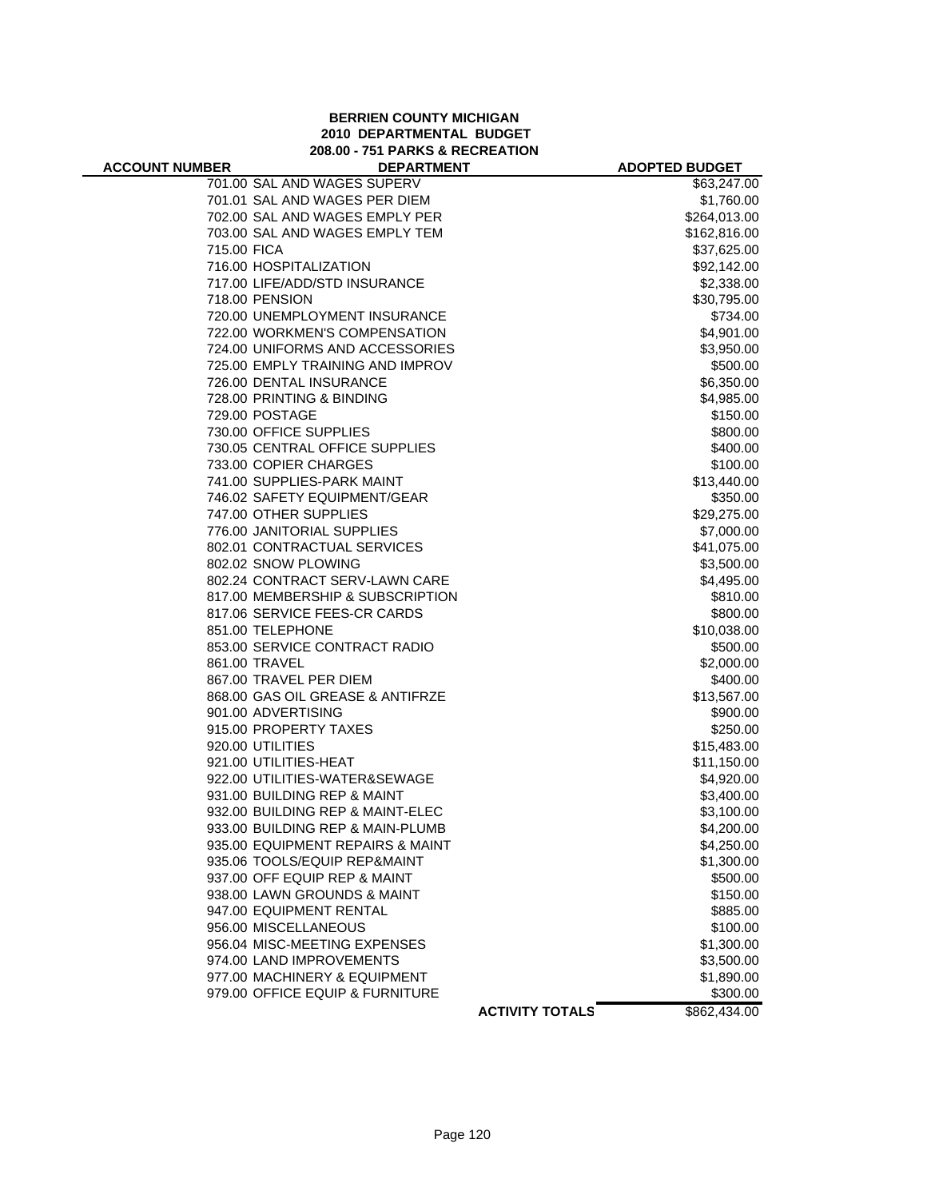# **BERRIEN COUNTY MICHIGAN 2010 DEPARTMENTAL BUDGET 208.00 - 751 PARKS & RECREATION**

| <b>ACCOUNT NUMBER</b> | <b>DEPARTMENT</b>                |                        | <b>ADOPTED BUDGET</b> |
|-----------------------|----------------------------------|------------------------|-----------------------|
|                       | 701.00 SAL AND WAGES SUPERV      |                        | \$63,247.00           |
|                       | 701.01 SAL AND WAGES PER DIEM    |                        | \$1,760.00            |
|                       | 702.00 SAL AND WAGES EMPLY PER   |                        | \$264,013.00          |
|                       | 703.00 SAL AND WAGES EMPLY TEM   |                        | \$162,816.00          |
| 715.00 FICA           |                                  |                        | \$37,625.00           |
|                       | 716.00 HOSPITALIZATION           |                        | \$92,142.00           |
|                       | 717.00 LIFE/ADD/STD INSURANCE    |                        | \$2,338.00            |
|                       | 718.00 PENSION                   |                        | \$30,795.00           |
|                       | 720.00 UNEMPLOYMENT INSURANCE    |                        | \$734.00              |
|                       | 722.00 WORKMEN'S COMPENSATION    |                        | \$4,901.00            |
|                       | 724.00 UNIFORMS AND ACCESSORIES  |                        | \$3,950.00            |
|                       | 725.00 EMPLY TRAINING AND IMPROV |                        | \$500.00              |
|                       | 726.00 DENTAL INSURANCE          |                        | \$6,350.00            |
|                       | 728.00 PRINTING & BINDING        |                        | \$4,985.00            |
|                       | 729.00 POSTAGE                   |                        | \$150.00              |
|                       | 730.00 OFFICE SUPPLIES           |                        | \$800.00              |
|                       | 730.05 CENTRAL OFFICE SUPPLIES   |                        | \$400.00              |
|                       | 733.00 COPIER CHARGES            |                        | \$100.00              |
|                       | 741.00 SUPPLIES-PARK MAINT       |                        | \$13,440.00           |
|                       | 746.02 SAFETY EQUIPMENT/GEAR     |                        | \$350.00              |
|                       | 747.00 OTHER SUPPLIES            |                        | \$29,275.00           |
|                       | 776.00 JANITORIAL SUPPLIES       |                        | \$7,000.00            |
|                       | 802.01 CONTRACTUAL SERVICES      |                        | \$41,075.00           |
|                       | 802.02 SNOW PLOWING              |                        | \$3,500.00            |
|                       | 802.24 CONTRACT SERV-LAWN CARE   |                        | \$4,495.00            |
|                       | 817.00 MEMBERSHIP & SUBSCRIPTION |                        | \$810.00              |
|                       | 817.06 SERVICE FEES-CR CARDS     |                        | \$800.00              |
|                       | 851.00 TELEPHONE                 |                        | \$10,038.00           |
|                       | 853.00 SERVICE CONTRACT RADIO    |                        | \$500.00              |
|                       | 861.00 TRAVEL                    |                        | \$2,000.00            |
|                       | 867.00 TRAVEL PER DIEM           |                        | \$400.00              |
|                       | 868.00 GAS OIL GREASE & ANTIFRZE |                        | \$13,567.00           |
|                       | 901.00 ADVERTISING               |                        | \$900.00              |
|                       | 915.00 PROPERTY TAXES            |                        | \$250.00              |
|                       | 920.00 UTILITIES                 |                        | \$15,483.00           |
|                       | 921.00 UTILITIES-HEAT            |                        | \$11,150.00           |
|                       | 922.00 UTILITIES-WATER&SEWAGE    |                        | \$4,920.00            |
|                       | 931.00 BUILDING REP & MAINT      |                        | \$3,400.00            |
|                       | 932.00 BUILDING REP & MAINT-ELEC |                        | \$3,100.00            |
|                       | 933.00 BUILDING REP & MAIN-PLUMB |                        | \$4,200.00            |
|                       | 935.00 EQUIPMENT REPAIRS & MAINT |                        | \$4,250.00            |
|                       | 935.06 TOOLS/EQUIP REP&MAINT     |                        | \$1,300.00            |
|                       | 937.00 OFF EQUIP REP & MAINT     |                        | \$500.00              |
|                       | 938.00 LAWN GROUNDS & MAINT      |                        | \$150.00              |
|                       | 947.00 EQUIPMENT RENTAL          |                        | \$885.00              |
|                       | 956.00 MISCELLANEOUS             |                        | \$100.00              |
|                       | 956.04 MISC-MEETING EXPENSES     |                        | \$1,300.00            |
|                       | 974.00 LAND IMPROVEMENTS         |                        | \$3,500.00            |
|                       | 977.00 MACHINERY & EQUIPMENT     |                        | \$1,890.00            |
|                       | 979.00 OFFICE EQUIP & FURNITURE  |                        | \$300.00              |
|                       |                                  | <b>ACTIVITY TOTALS</b> | \$862,434.00          |
|                       |                                  |                        |                       |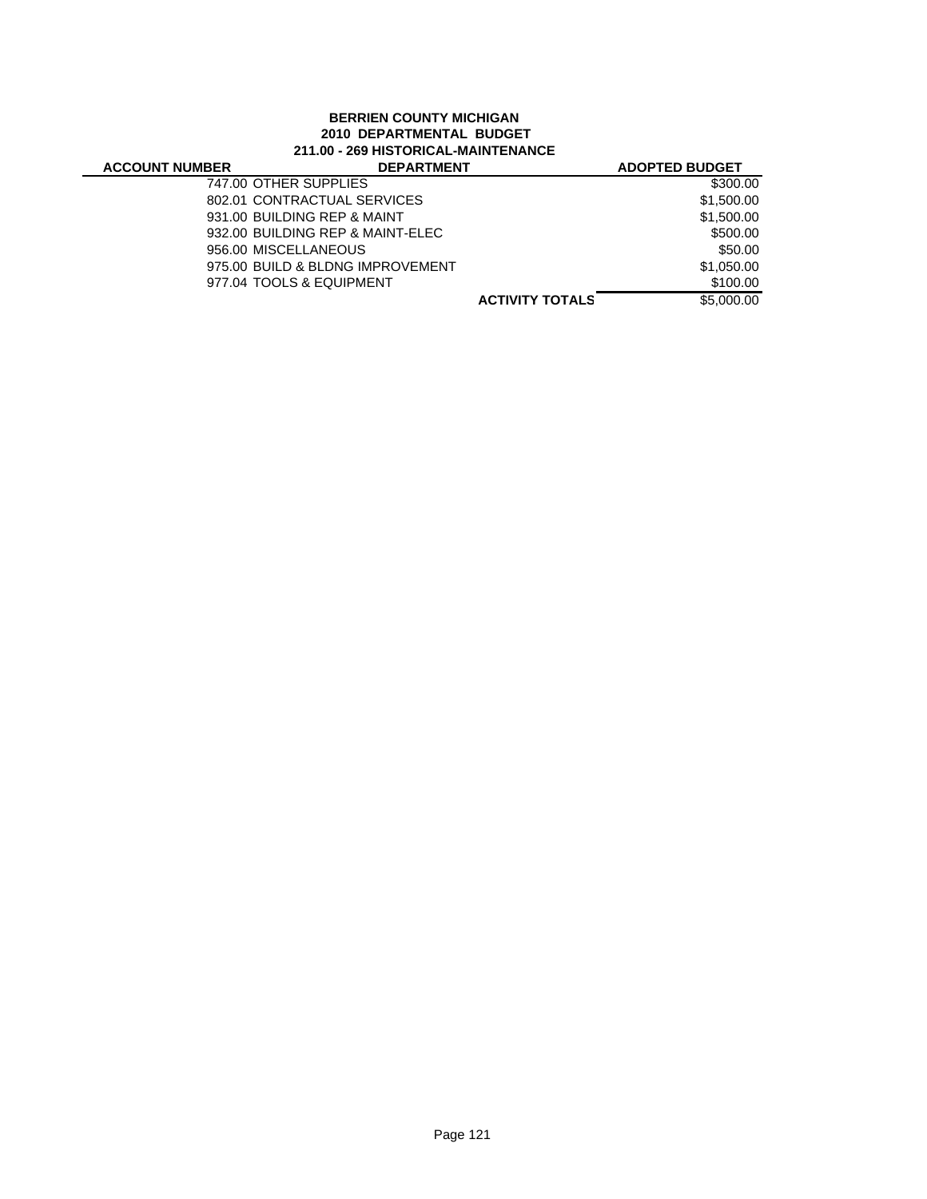# **BERRIEN COUNTY MICHIGAN 2010 DEPARTMENTAL BUDGET 211.00 - 269 HISTORICAL-MAINTENANCE**

| <b>ACCOUNT NUMBER</b> | <b>DEPARTMENT</b>                |                        | <b>ADOPTED BUDGET</b> |
|-----------------------|----------------------------------|------------------------|-----------------------|
|                       | 747.00 OTHER SUPPLIES            |                        | \$300.00              |
|                       | 802.01 CONTRACTUAL SERVICES      |                        | \$1,500.00            |
|                       | 931.00 BUILDING REP & MAINT      |                        | \$1,500.00            |
|                       | 932.00 BUILDING REP & MAINT-ELEC |                        | \$500.00              |
|                       | 956.00 MISCELLANEOUS             |                        | \$50.00               |
|                       | 975.00 BUILD & BLDNG IMPROVEMENT |                        | \$1.050.00            |
|                       | 977.04 TOOLS & EQUIPMENT         |                        | \$100.00              |
|                       |                                  | <b>ACTIVITY TOTALS</b> | \$5,000.00            |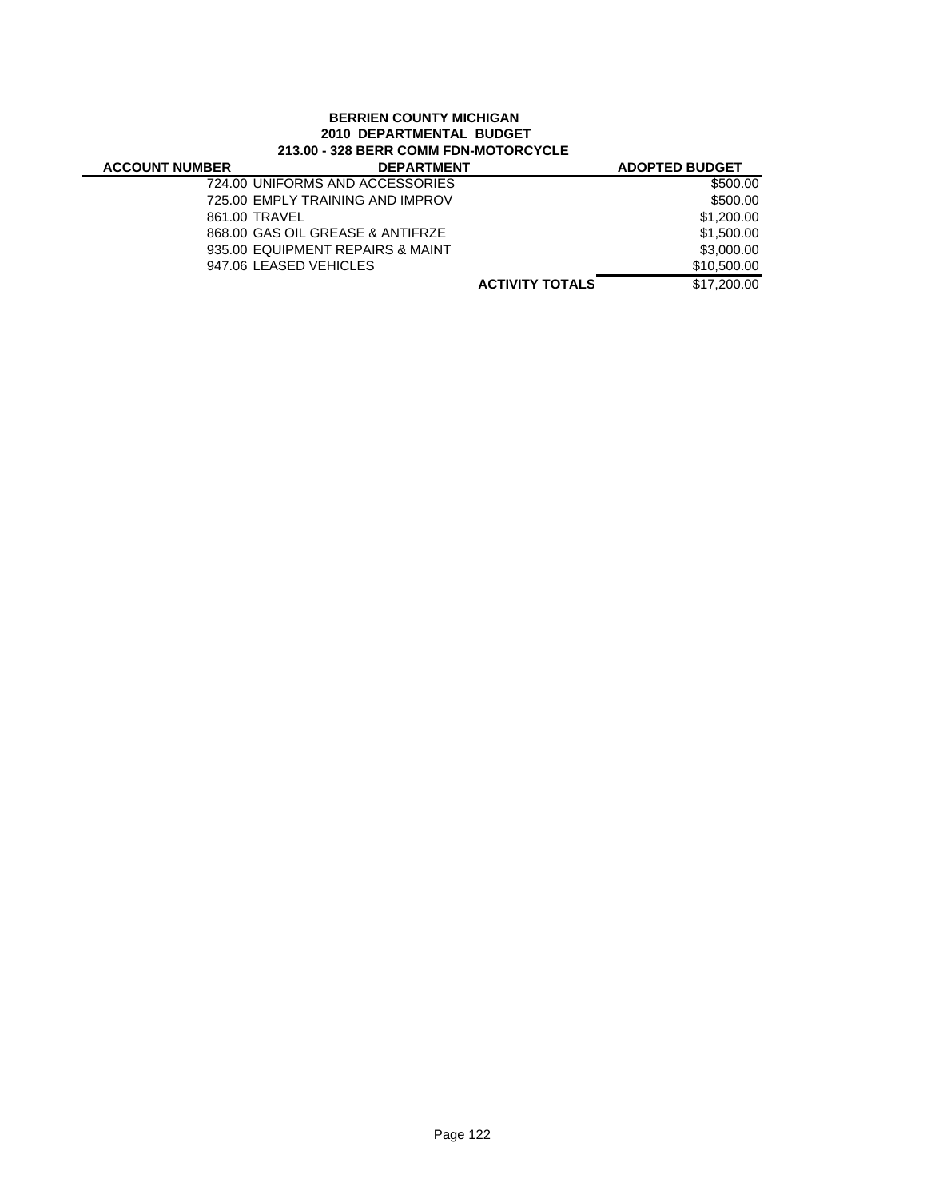# **BERRIEN COUNTY MICHIGAN 2010 DEPARTMENTAL BUDGET 213.00 - 328 BERR COMM FDN-MOTORCYCLE**

| <b>ACCOUNT NUMBER</b> | <b>DEPARTMENT</b>                |                        | <b>ADOPTED BUDGET</b> |
|-----------------------|----------------------------------|------------------------|-----------------------|
|                       | 724.00 UNIFORMS AND ACCESSORIES  |                        | \$500.00              |
|                       | 725.00 EMPLY TRAINING AND IMPROV |                        | \$500.00              |
|                       | 861.00 TRAVEL                    |                        | \$1,200.00            |
|                       | 868.00 GAS OIL GREASE & ANTIFRZE |                        | \$1,500.00            |
|                       | 935.00 EQUIPMENT REPAIRS & MAINT |                        | \$3,000,00            |
|                       | 947.06 LEASED VEHICLES           |                        | \$10,500,00           |
|                       |                                  | <b>ACTIVITY TOTALS</b> | \$17,200.00           |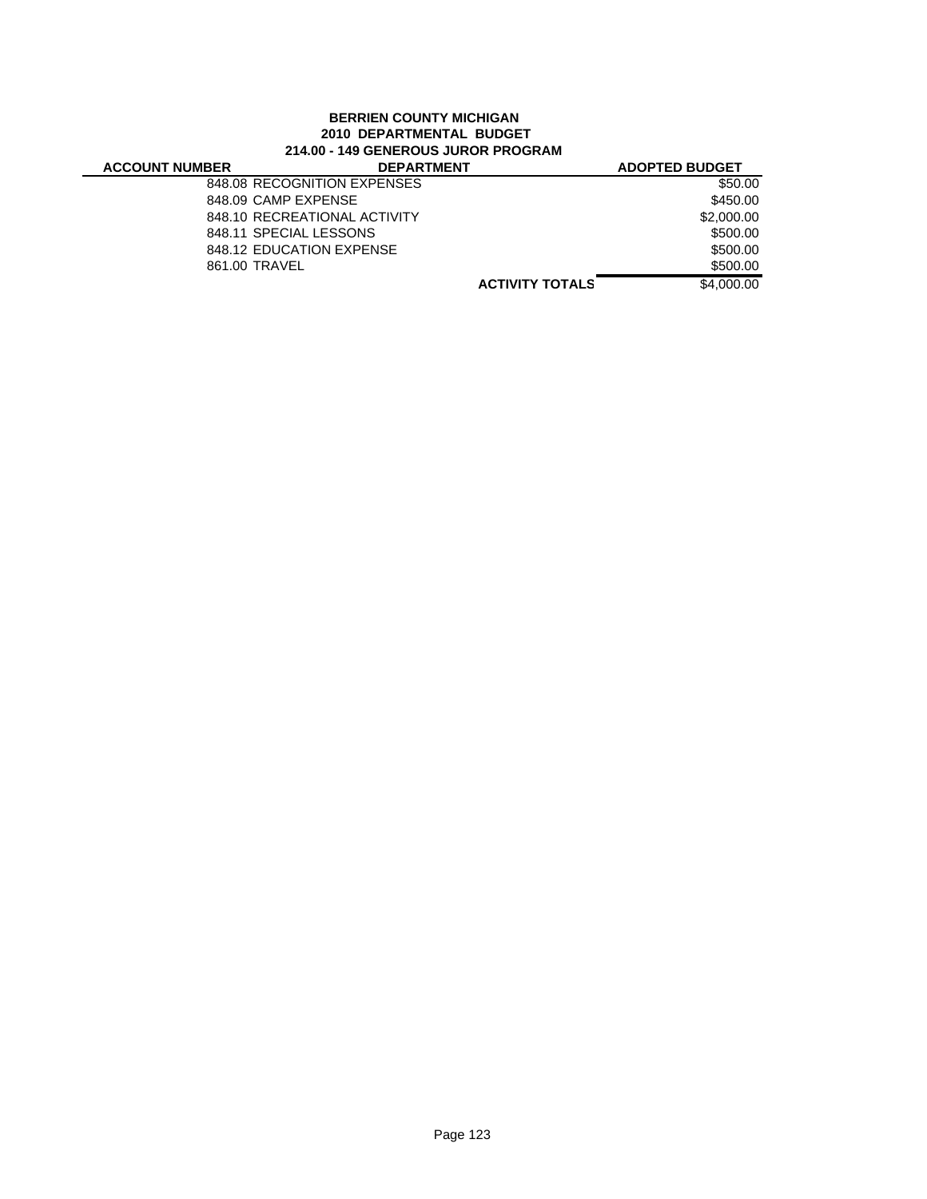# **BERRIEN COUNTY MICHIGAN 2010 DEPARTMENTAL BUDGET 214.00 - 149 GENEROUS JUROR PROGRAM**

| <b>ACCOUNT NUMBER</b> | <b>DEPARTMENT</b>            |                        | <b>ADOPTED BUDGET</b> |
|-----------------------|------------------------------|------------------------|-----------------------|
|                       | 848.08 RECOGNITION EXPENSES  |                        | \$50.00               |
|                       | 848.09 CAMP EXPENSE          |                        | \$450.00              |
|                       | 848.10 RECREATIONAL ACTIVITY |                        | \$2,000.00            |
|                       | 848.11 SPECIAL LESSONS       |                        | \$500.00              |
|                       | 848.12 EDUCATION EXPENSE     |                        | \$500.00              |
|                       | 861.00 TRAVEL                |                        | \$500.00              |
|                       |                              | <b>ACTIVITY TOTALS</b> | \$4,000,00            |
|                       |                              |                        |                       |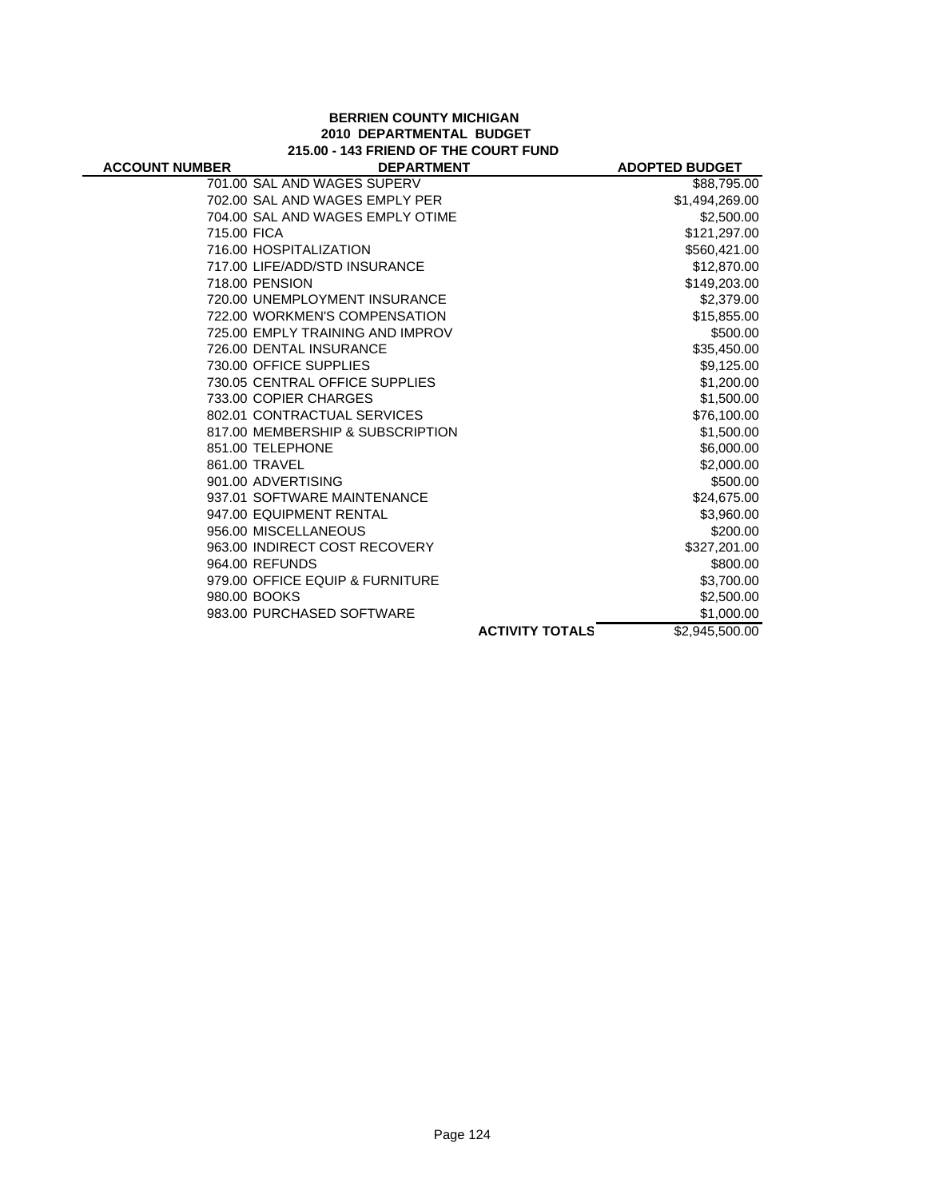#### **BERRIEN COUNTY MICHIGAN 2010 DEPARTMENTAL BUDGET 215.00 - 143 FRIEND OF THE COURT FUND**

| <b>ACCOUNT NUMBER</b> | <b>DEPARTMENT</b>                |                        | <b>ADOPTED BUDGET</b> |
|-----------------------|----------------------------------|------------------------|-----------------------|
|                       | 701.00 SAL AND WAGES SUPERV      |                        | \$88,795.00           |
|                       | 702.00 SAL AND WAGES EMPLY PER   |                        | \$1,494,269.00        |
|                       | 704.00 SAL AND WAGES EMPLY OTIME |                        | \$2,500.00            |
| 715.00 FICA           |                                  |                        | \$121,297.00          |
|                       | 716.00 HOSPITALIZATION           |                        | \$560,421.00          |
|                       | 717.00 LIFE/ADD/STD INSURANCE    |                        | \$12,870.00           |
|                       | 718.00 PENSION                   |                        | \$149,203.00          |
|                       | 720.00 UNEMPLOYMENT INSURANCE    |                        | \$2,379.00            |
|                       | 722.00 WORKMEN'S COMPENSATION    |                        | \$15,855.00           |
|                       | 725.00 EMPLY TRAINING AND IMPROV |                        | \$500.00              |
|                       | 726.00 DENTAL INSURANCE          |                        | \$35,450.00           |
|                       | 730.00 OFFICE SUPPLIES           |                        | \$9,125.00            |
|                       | 730.05 CENTRAL OFFICE SUPPLIES   |                        | \$1,200.00            |
|                       | 733.00 COPIER CHARGES            |                        | \$1,500.00            |
|                       | 802.01 CONTRACTUAL SERVICES      |                        | \$76,100.00           |
|                       | 817.00 MEMBERSHIP & SUBSCRIPTION |                        | \$1,500.00            |
|                       | 851.00 TELEPHONE                 |                        | \$6,000.00            |
|                       | 861.00 TRAVEL                    |                        | \$2,000.00            |
|                       | 901.00 ADVERTISING               |                        | \$500.00              |
|                       | 937.01 SOFTWARE MAINTENANCE      |                        | \$24,675.00           |
|                       | 947.00 EQUIPMENT RENTAL          |                        | \$3,960.00            |
|                       | 956.00 MISCELLANEOUS             |                        | \$200.00              |
|                       | 963.00 INDIRECT COST RECOVERY    |                        | \$327,201.00          |
|                       | 964.00 REFUNDS                   |                        | \$800.00              |
|                       | 979.00 OFFICE EQUIP & FURNITURE  |                        | \$3,700.00            |
|                       | 980.00 BOOKS                     |                        | \$2,500.00            |
|                       | 983.00 PURCHASED SOFTWARE        |                        | \$1,000.00            |
|                       |                                  | <b>ACTIVITY TOTALS</b> | \$2,945,500.00        |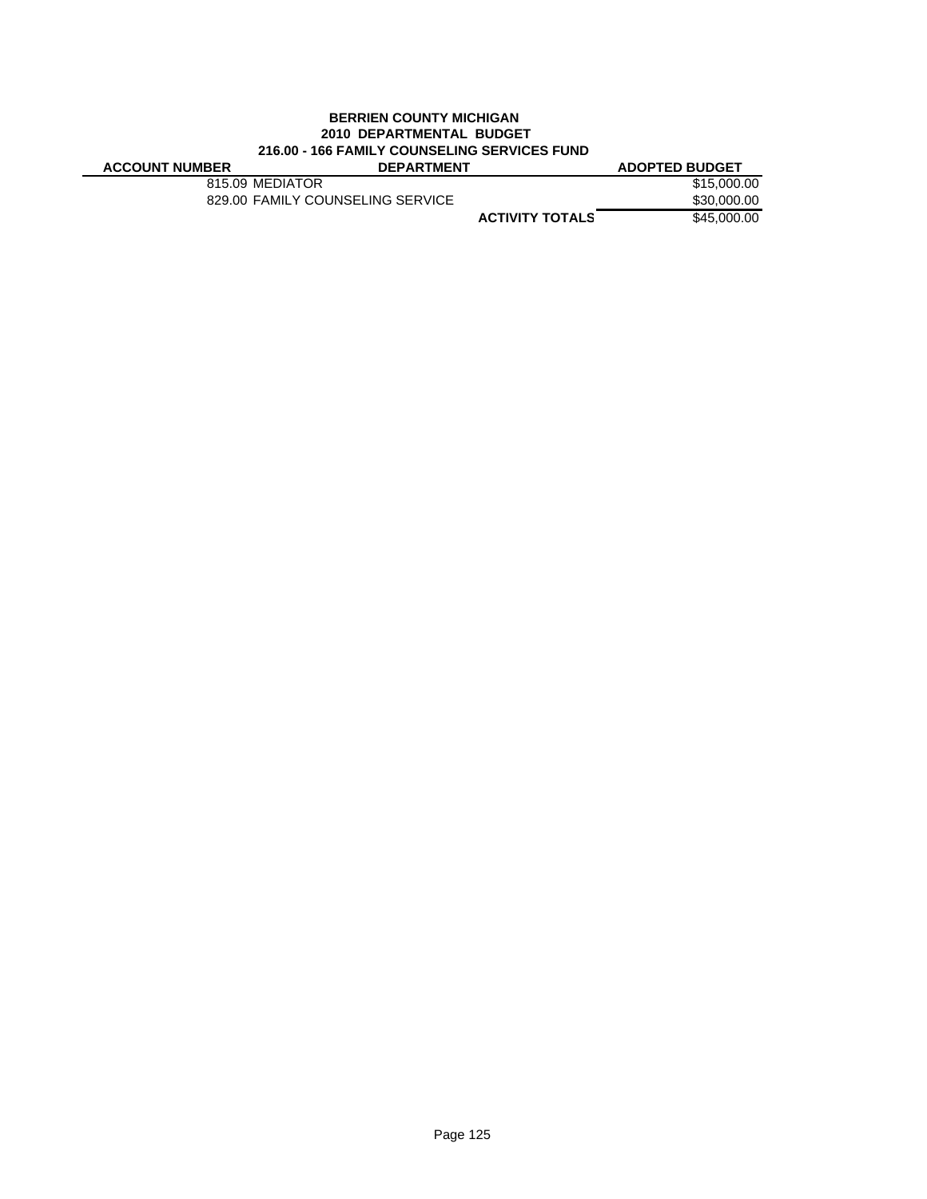# **BERRIEN COUNTY MICHIGAN 2010 DEPARTMENTAL BUDGET 216.00 - 166 FAMILY COUNSELING SERVICES FUND**

| <b>ACCOUNT NUMBER</b> | <b>DEPARTMENT</b>                |                        | <b>ADOPTED BUDGET</b> |
|-----------------------|----------------------------------|------------------------|-----------------------|
|                       | 815.09 MEDIATOR                  |                        | \$15,000,00           |
|                       | 829.00 FAMILY COUNSELING SERVICE |                        | \$30,000.00           |
|                       |                                  | <b>ACTIVITY TOTALS</b> | \$45,000,00           |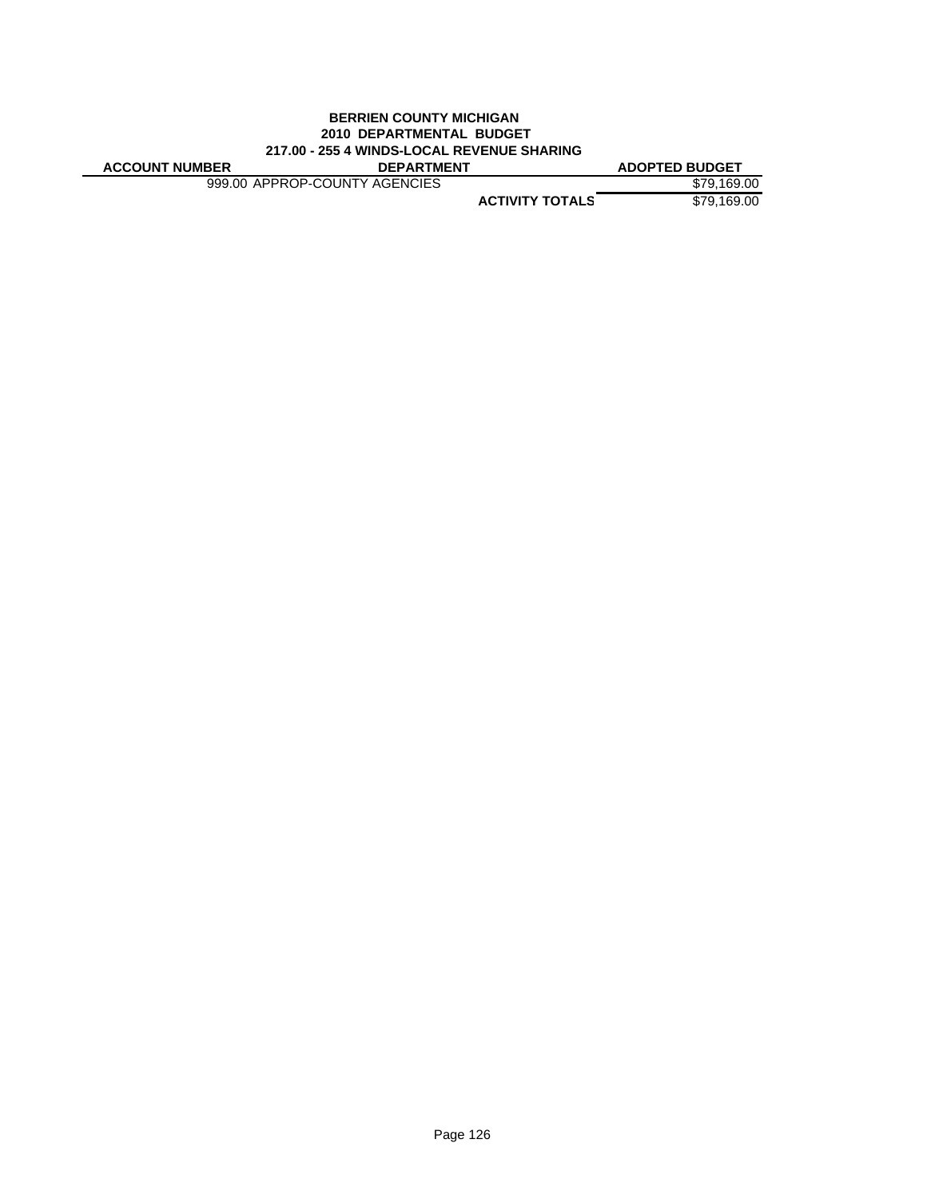### **BERRIEN COUNTY MICHIGAN 2010 DEPARTMENTAL BUDGET 217.00 - 255 4 WINDS-LOCAL REVENUE SHARING**

**ACCOUNT NUMBER DEPARTMENT ADOPTED BUDGET**

999.00 APPROP-COUNTY AGENCIES \$79,169.00

**ACTIVITY TOTALS** \$79,169.00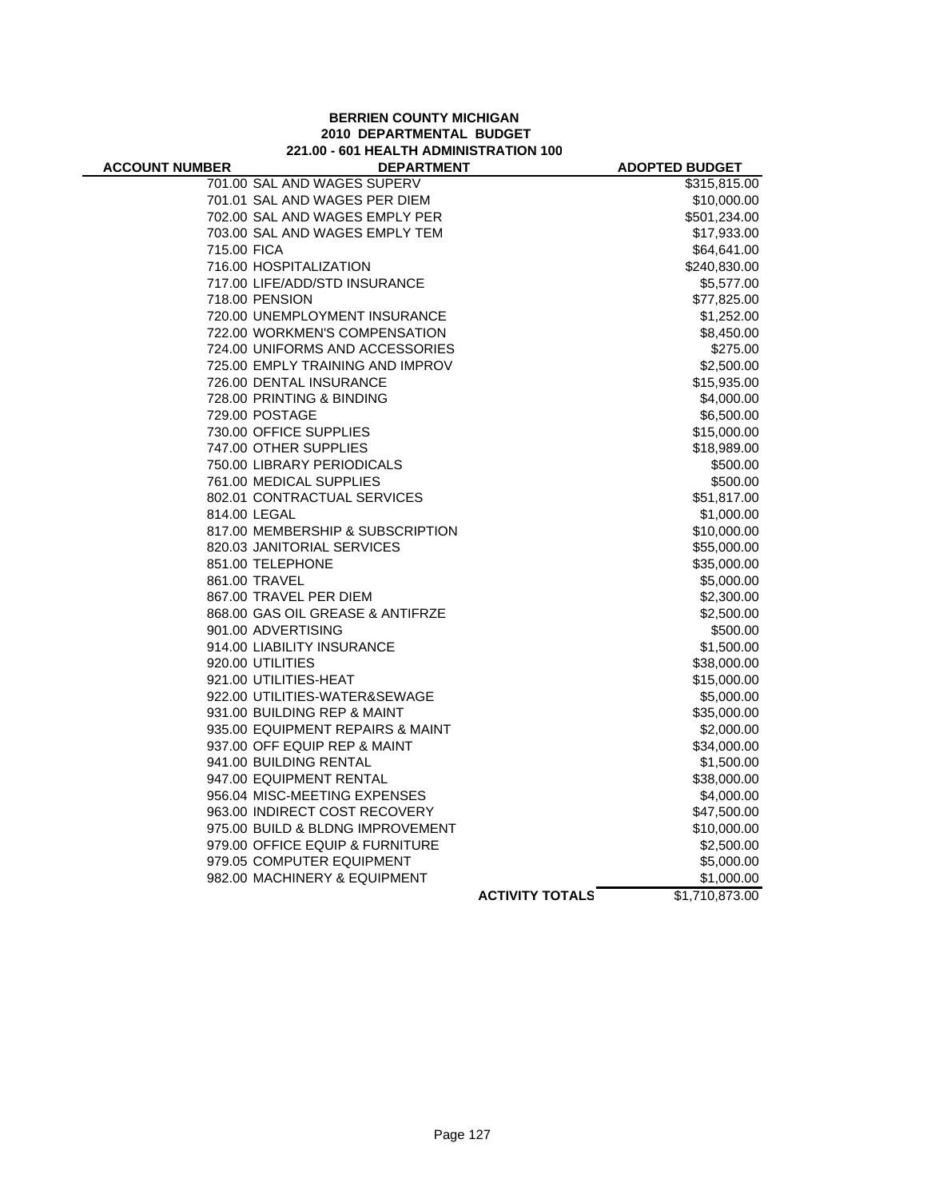#### **BERRIEN COUNTY MICHIGAN 2010 DEPARTMENTAL BUDGET 221.00 - 601 HEALTH ADMINISTRATION 100**

| <b>ACCOUNT NUMBER</b> | <b>DEPARTMENT</b>                                         |                        | <b>ADOPTED BUDGET</b> |
|-----------------------|-----------------------------------------------------------|------------------------|-----------------------|
|                       | 701.00 SAL AND WAGES SUPERV                               |                        | \$315,815.00          |
|                       | 701.01 SAL AND WAGES PER DIEM                             |                        | \$10,000.00           |
|                       | 702.00 SAL AND WAGES EMPLY PER                            |                        | \$501,234.00          |
|                       | 703.00 SAL AND WAGES EMPLY TEM                            |                        | \$17,933.00           |
| 715.00 FICA           |                                                           |                        | \$64,641.00           |
|                       | 716.00 HOSPITALIZATION                                    |                        | \$240,830.00          |
|                       | 717.00 LIFE/ADD/STD INSURANCE                             |                        | \$5,577.00            |
|                       | 718.00 PENSION                                            |                        | \$77,825.00           |
|                       | 720.00 UNEMPLOYMENT INSURANCE                             |                        | \$1,252.00            |
|                       | 722.00 WORKMEN'S COMPENSATION                             |                        | \$8,450.00            |
|                       | 724.00 UNIFORMS AND ACCESSORIES                           |                        | \$275.00              |
|                       | 725.00 EMPLY TRAINING AND IMPROV                          |                        | \$2,500.00            |
|                       | 726.00 DENTAL INSURANCE                                   |                        | \$15,935.00           |
|                       | 728.00 PRINTING & BINDING                                 |                        | \$4,000.00            |
|                       | 729.00 POSTAGE                                            |                        | \$6,500.00            |
|                       | 730.00 OFFICE SUPPLIES                                    |                        | \$15,000.00           |
|                       | 747.00 OTHER SUPPLIES                                     |                        | \$18,989.00           |
|                       | 750.00 LIBRARY PERIODICALS                                |                        | \$500.00              |
|                       | 761.00 MEDICAL SUPPLIES                                   |                        | \$500.00              |
|                       | 802.01 CONTRACTUAL SERVICES                               |                        | \$51,817.00           |
|                       | 814.00 LEGAL                                              |                        | \$1,000.00            |
|                       | 817.00 MEMBERSHIP & SUBSCRIPTION                          |                        | \$10,000.00           |
|                       | 820.03 JANITORIAL SERVICES                                |                        | \$55,000.00           |
|                       | 851.00 TELEPHONE                                          |                        | \$35,000.00           |
|                       | 861.00 TRAVEL                                             |                        | \$5,000.00            |
|                       | 867.00 TRAVEL PER DIEM                                    |                        | \$2,300.00            |
|                       | 868.00 GAS OIL GREASE & ANTIFRZE                          |                        | \$2,500.00            |
|                       | 901.00 ADVERTISING                                        |                        | \$500.00              |
|                       | 914.00 LIABILITY INSURANCE                                |                        | \$1,500.00            |
|                       | 920.00 UTILITIES                                          |                        | \$38,000.00           |
|                       | 921.00 UTILITIES-HEAT                                     |                        | \$15,000.00           |
|                       | 922.00 UTILITIES-WATER&SEWAGE                             |                        | \$5,000.00            |
|                       | 931.00 BUILDING REP & MAINT                               |                        | \$35,000.00           |
|                       | 935.00 EQUIPMENT REPAIRS & MAINT                          |                        | \$2,000.00            |
|                       | 937.00 OFF EQUIP REP & MAINT                              |                        | \$34,000.00           |
|                       | 941.00 BUILDING RENTAL                                    |                        | \$1,500.00            |
|                       | 947.00 EQUIPMENT RENTAL                                   |                        | \$38,000.00           |
|                       | 956.04 MISC-MEETING EXPENSES                              |                        | \$4,000.00            |
|                       | 963.00 INDIRECT COST RECOVERY                             |                        | \$47,500.00           |
|                       | 975.00 BUILD & BLDNG IMPROVEMENT                          |                        | \$10,000.00           |
|                       | 979.00 OFFICE EQUIP & FURNITURE                           |                        | \$2,500.00            |
|                       | 979.05 COMPUTER EQUIPMENT<br>982.00 MACHINERY & EQUIPMENT |                        | \$5,000.00            |
|                       |                                                           |                        | \$1,000.00            |
|                       |                                                           | <b>ACTIVITY TOTALS</b> | \$1,710,873.00        |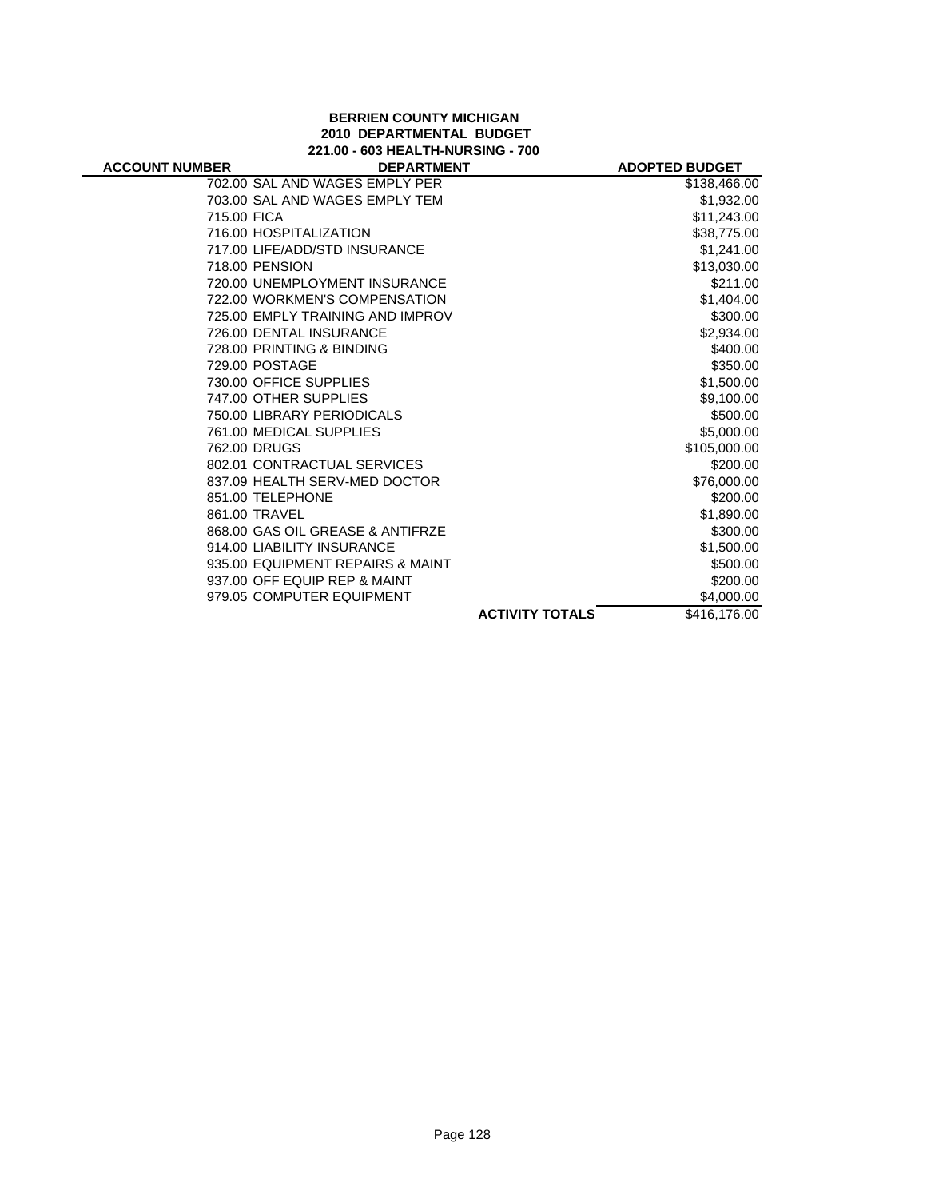# **BERRIEN COUNTY MICHIGAN 2010 DEPARTMENTAL BUDGET 221.00 - 603 HEALTH-NURSING - 700**

|                                  |                        | <b>ADOPTED BUDGET</b> |
|----------------------------------|------------------------|-----------------------|
| 702.00 SAL AND WAGES EMPLY PER   |                        | \$138,466.00          |
| 703.00 SAL AND WAGES EMPLY TEM   |                        | \$1,932.00            |
| 715.00 FICA                      |                        | \$11,243.00           |
| 716.00 HOSPITALIZATION           |                        | \$38,775.00           |
| 717.00 LIFE/ADD/STD INSURANCE    |                        | \$1,241.00            |
| 718.00 PENSION                   |                        | \$13,030.00           |
| 720.00 UNEMPLOYMENT INSURANCE    |                        | \$211.00              |
| 722.00 WORKMEN'S COMPENSATION    |                        | \$1,404.00            |
| 725.00 EMPLY TRAINING AND IMPROV |                        | \$300.00              |
| 726.00 DENTAL INSURANCE          |                        | \$2,934.00            |
| 728.00 PRINTING & BINDING        |                        | \$400.00              |
| 729.00 POSTAGE                   |                        | \$350.00              |
| 730.00 OFFICE SUPPLIES           |                        | \$1,500.00            |
| 747.00 OTHER SUPPLIES            |                        | \$9,100.00            |
| 750.00 LIBRARY PERIODICALS       |                        | \$500.00              |
| 761.00 MEDICAL SUPPLIES          |                        | \$5,000.00            |
| 762.00 DRUGS                     |                        | \$105,000.00          |
| 802.01 CONTRACTUAL SERVICES      |                        | \$200.00              |
| 837.09 HEALTH SERV-MED DOCTOR    |                        | \$76,000.00           |
| 851.00 TELEPHONE                 |                        | \$200.00              |
| 861.00 TRAVEL                    |                        | \$1,890.00            |
| 868.00 GAS OIL GREASE & ANTIFRZE |                        | \$300.00              |
| 914.00 LIABILITY INSURANCE       |                        | \$1,500.00            |
| 935.00 EQUIPMENT REPAIRS & MAINT |                        | \$500.00              |
| 937.00 OFF EQUIP REP & MAINT     |                        | \$200.00              |
| 979.05 COMPUTER EQUIPMENT        |                        | \$4,000.00            |
|                                  | <b>ACTIVITY TOTALS</b> | \$416,176.00          |
|                                  |                        | <b>DEPARTMENT</b>     |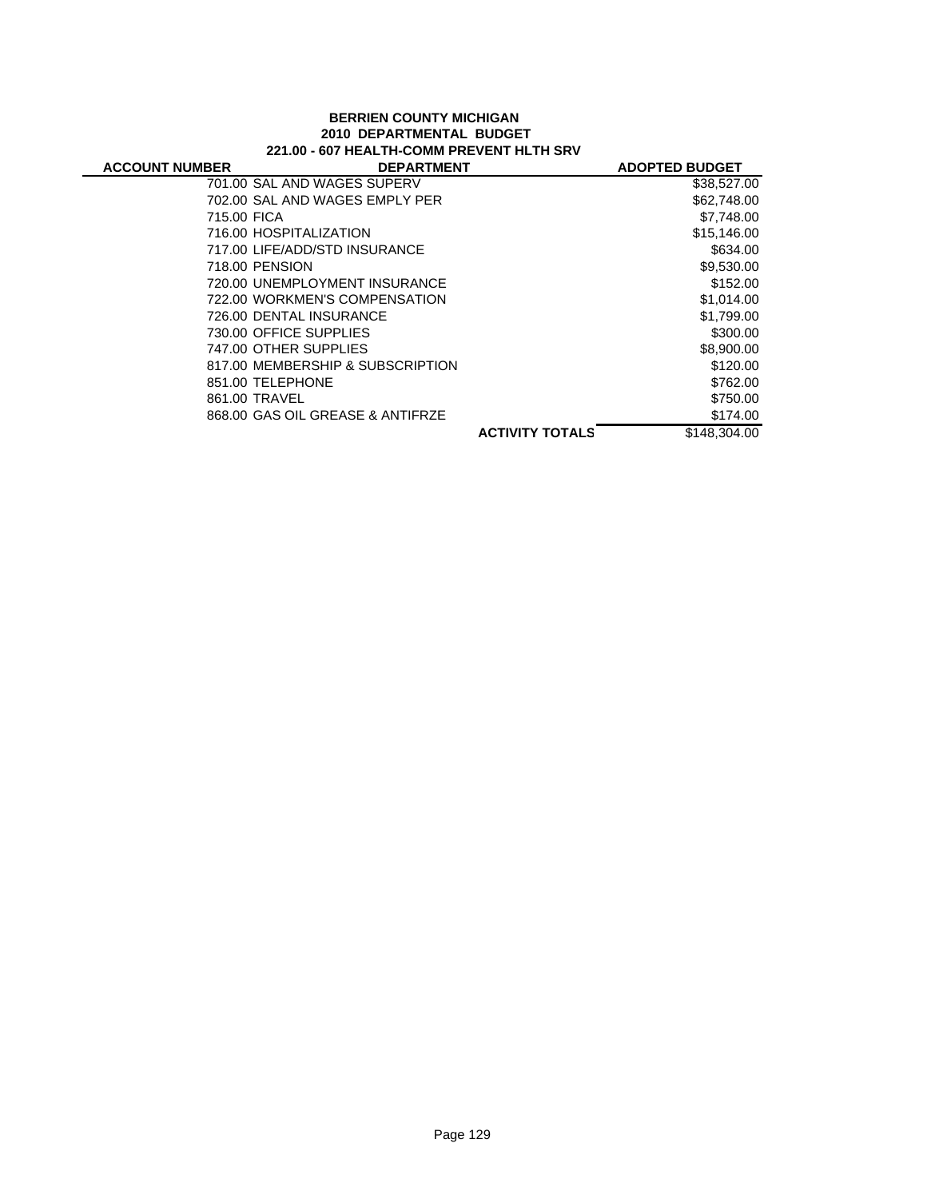#### **BERRIEN COUNTY MICHIGAN 2010 DEPARTMENTAL BUDGET 221.00 - 607 HEALTH-COMM PREVENT HLTH SRV**

| <b>ACCOUNT NUMBER</b> | <b>DEPARTMENT</b>                |                        | <b>ADOPTED BUDGET</b> |
|-----------------------|----------------------------------|------------------------|-----------------------|
|                       | 701.00 SAL AND WAGES SUPERV      |                        | \$38,527.00           |
|                       | 702.00 SAL AND WAGES EMPLY PER   |                        | \$62,748.00           |
| 715.00 FICA           |                                  |                        | \$7,748.00            |
|                       | 716.00 HOSPITALIZATION           |                        | \$15,146.00           |
|                       | 717.00 LIFE/ADD/STD INSURANCE    |                        | \$634.00              |
|                       | 718.00 PENSION                   |                        | \$9,530.00            |
|                       | 720.00 UNEMPLOYMENT INSURANCE    |                        | \$152.00              |
|                       | 722.00 WORKMEN'S COMPENSATION    |                        | \$1,014.00            |
|                       | 726.00 DENTAL INSURANCE          |                        | \$1,799.00            |
|                       | 730.00 OFFICE SUPPLIES           |                        | \$300.00              |
|                       | 747.00 OTHER SUPPLIES            |                        | \$8,900.00            |
|                       | 817.00 MEMBERSHIP & SUBSCRIPTION |                        | \$120.00              |
|                       | 851.00 TELEPHONE                 |                        | \$762.00              |
|                       | 861.00 TRAVEL                    |                        | \$750.00              |
|                       | 868.00 GAS OIL GREASE & ANTIFRZE |                        | \$174.00              |
|                       |                                  | <b>ACTIVITY TOTALS</b> | \$148,304.00          |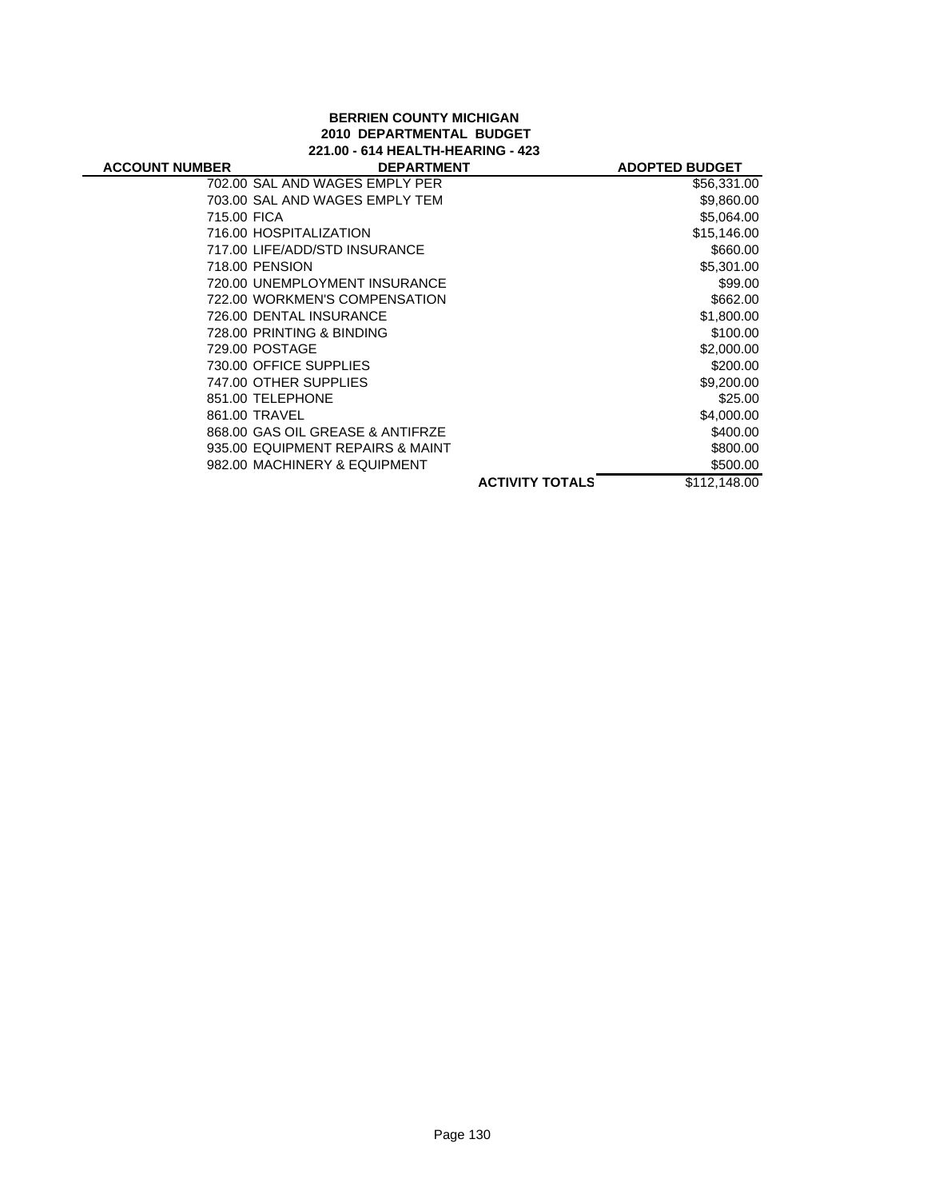# **BERRIEN COUNTY MICHIGAN 2010 DEPARTMENTAL BUDGET**

| <b>ACCOUNT NUMBER</b> |         |
|-----------------------|---------|
|                       | --- - - |

| 221.00 - 614 HEALTH-HEARING - 423 |  |
|-----------------------------------|--|
| <b>DEPARTMENT</b>                 |  |

| <b>MBER</b> | <b>DEPARTMENT</b>                |                        | <b>ADOPTED BUDGET</b> |
|-------------|----------------------------------|------------------------|-----------------------|
|             | 702.00 SAL AND WAGES EMPLY PER   |                        | \$56,331.00           |
|             | 703.00 SAL AND WAGES EMPLY TEM   |                        | \$9,860.00            |
| 715.00 FICA |                                  |                        | \$5,064.00            |
|             | 716.00 HOSPITALIZATION           |                        | \$15,146.00           |
|             | 717.00 LIFE/ADD/STD INSURANCE    |                        | \$660.00              |
|             | 718.00 PENSION                   |                        | \$5,301.00            |
|             | 720.00 UNEMPLOYMENT INSURANCE    |                        | \$99.00               |
|             | 722.00 WORKMEN'S COMPENSATION    |                        | \$662.00              |
|             | 726.00 DENTAL INSURANCE          |                        | \$1,800.00            |
|             | 728.00 PRINTING & BINDING        |                        | \$100.00              |
|             | 729.00 POSTAGE                   |                        | \$2,000.00            |
|             | 730.00 OFFICE SUPPLIES           |                        | \$200.00              |
|             | 747.00 OTHER SUPPLIES            |                        | \$9,200.00            |
|             | 851.00 TELEPHONE                 |                        | \$25.00               |
|             | 861.00 TRAVEL                    |                        | \$4,000.00            |
|             | 868.00 GAS OIL GREASE & ANTIFRZE |                        | \$400.00              |
|             | 935.00 EQUIPMENT REPAIRS & MAINT |                        | \$800.00              |
|             | 982.00 MACHINERY & EQUIPMENT     |                        | \$500.00              |
|             |                                  | <b>ACTIVITY TOTALS</b> | \$112,148.00          |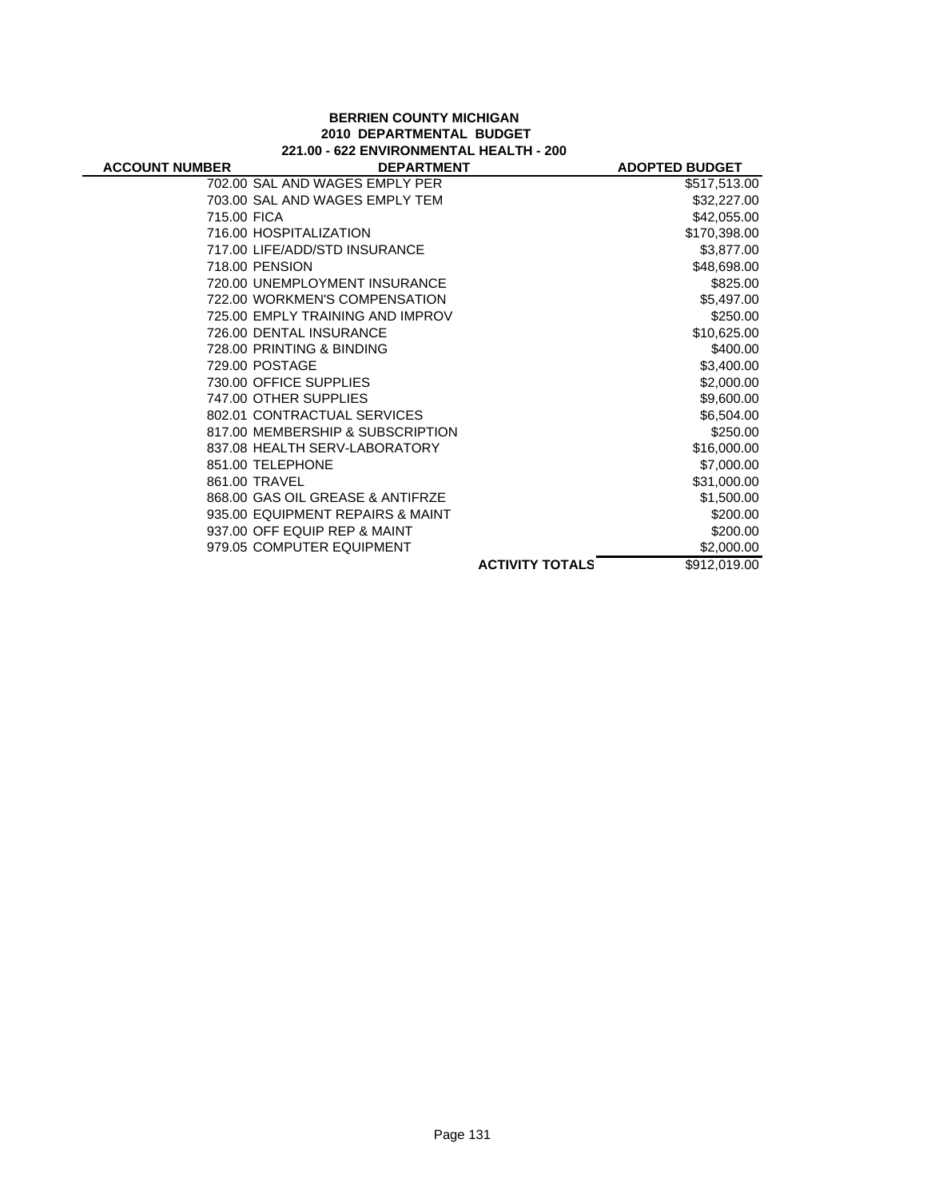#### **BERRIEN COUNTY MICHIGAN 2010 DEPARTMENTAL BUDGET 221.00 - 622 ENVIRONMENTAL HEALTH - 200**

|                                  |                           | <b>ADOPTED BUDGET</b> |
|----------------------------------|---------------------------|-----------------------|
| 702.00 SAL AND WAGES EMPLY PER   |                           | \$517,513.00          |
| 703.00 SAL AND WAGES EMPLY TEM   |                           | \$32,227.00           |
| 715.00 FICA                      |                           | \$42,055.00           |
| 716.00 HOSPITALIZATION           |                           | \$170,398.00          |
| 717.00 LIFE/ADD/STD INSURANCE    |                           | \$3,877.00            |
| 718.00 PENSION                   |                           | \$48,698.00           |
| 720.00 UNEMPLOYMENT INSURANCE    |                           | \$825.00              |
| 722.00 WORKMEN'S COMPENSATION    |                           | \$5,497.00            |
| 725.00 EMPLY TRAINING AND IMPROV |                           | \$250.00              |
| 726.00 DENTAL INSURANCE          |                           | \$10,625.00           |
| 728.00 PRINTING & BINDING        |                           | \$400.00              |
| 729.00 POSTAGE                   |                           | \$3,400.00            |
| 730.00 OFFICE SUPPLIES           |                           | \$2,000.00            |
| 747.00 OTHER SUPPLIES            |                           | \$9,600.00            |
| 802.01 CONTRACTUAL SERVICES      |                           | \$6,504.00            |
| 817.00 MEMBERSHIP & SUBSCRIPTION |                           | \$250.00              |
| 837.08 HEALTH SERV-LABORATORY    |                           | \$16,000.00           |
| 851.00 TELEPHONE                 |                           | \$7,000.00            |
| 861.00 TRAVEL                    |                           | \$31,000.00           |
| 868.00 GAS OIL GREASE & ANTIFRZE |                           | \$1,500.00            |
| 935.00 EQUIPMENT REPAIRS & MAINT |                           | \$200.00              |
| 937.00 OFF EQUIP REP & MAINT     |                           | \$200.00              |
|                                  |                           | \$2,000.00            |
|                                  | <b>ACTIVITY TOTALS</b>    | \$912,019.00          |
|                                  | 979.05 COMPUTER EQUIPMENT | <b>DEPARTMENT</b>     |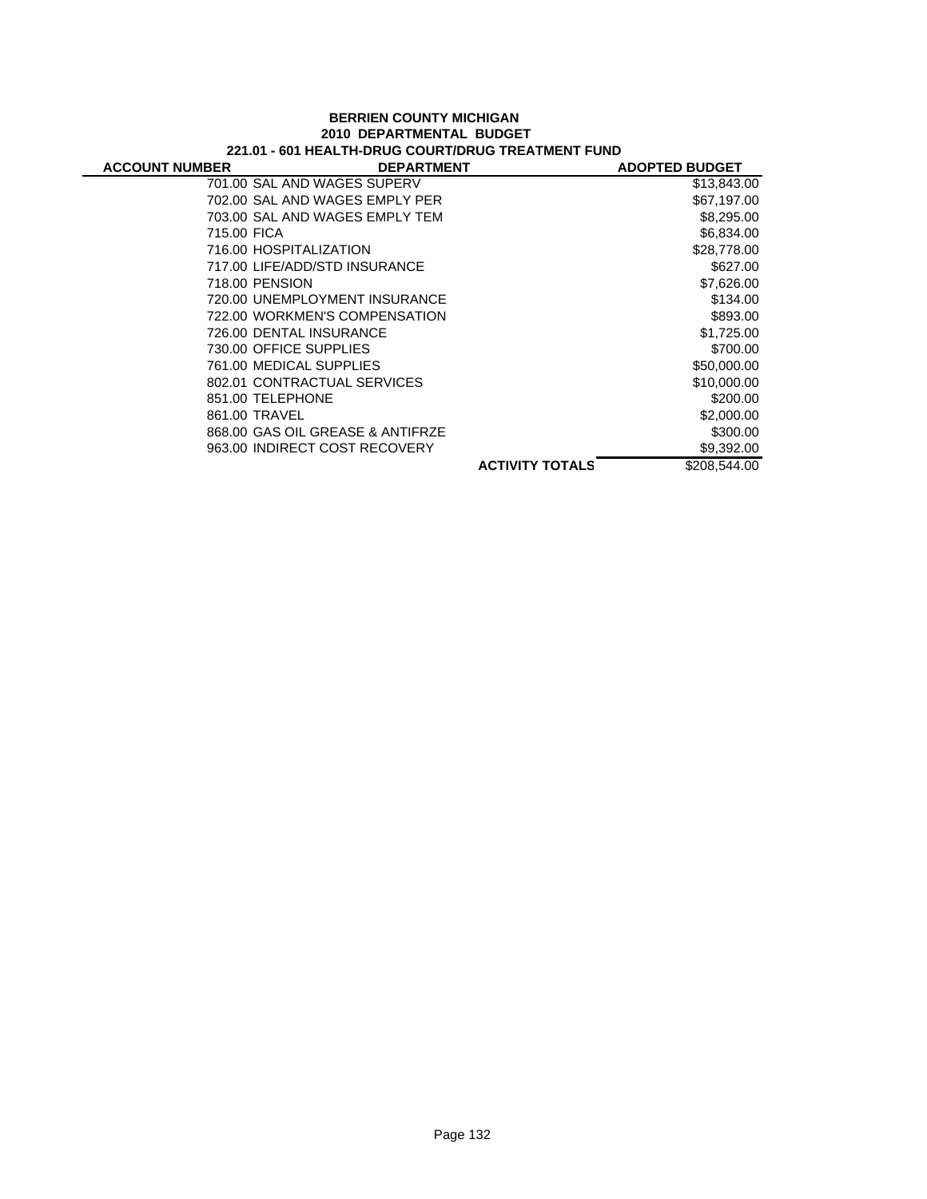#### **BERRIEN COUNTY MICHIGAN 2010 DEPARTMENTAL BUDGET 221.01 - 601 HEALTH-DRUG COURT/DRUG TREATMENT FUND**

| <b>ACCOUNT NUMBER</b> | <b>DEPARTMENT</b>                |                        | <b>ADOPTED BUDGET</b> |
|-----------------------|----------------------------------|------------------------|-----------------------|
|                       | 701.00 SAL AND WAGES SUPERV      |                        | \$13,843.00           |
|                       | 702.00 SAL AND WAGES EMPLY PER   |                        | \$67,197.00           |
|                       | 703.00 SAL AND WAGES EMPLY TEM   |                        | \$8,295.00            |
| 715.00 FICA           |                                  |                        | \$6,834.00            |
|                       | 716.00 HOSPITALIZATION           |                        | \$28,778.00           |
|                       | 717.00 LIFE/ADD/STD INSURANCE    |                        | \$627.00              |
| 718.00 PENSION        |                                  |                        | \$7,626.00            |
|                       | 720.00 UNEMPLOYMENT INSURANCE    |                        | \$134.00              |
|                       | 722.00 WORKMEN'S COMPENSATION    |                        | \$893.00              |
|                       | 726.00 DENTAL INSURANCE          |                        | \$1,725.00            |
|                       | 730.00 OFFICE SUPPLIES           |                        | \$700.00              |
|                       | 761.00 MEDICAL SUPPLIES          |                        | \$50,000.00           |
|                       | 802.01 CONTRACTUAL SERVICES      |                        | \$10,000.00           |
|                       | 851.00 TELEPHONE                 |                        | \$200.00              |
| 861.00 TRAVEL         |                                  |                        | \$2,000.00            |
|                       | 868.00 GAS OIL GREASE & ANTIFRZE |                        | \$300.00              |
|                       | 963.00 INDIRECT COST RECOVERY    |                        | \$9,392.00            |
|                       |                                  | <b>ACTIVITY TOTALS</b> | \$208,544.00          |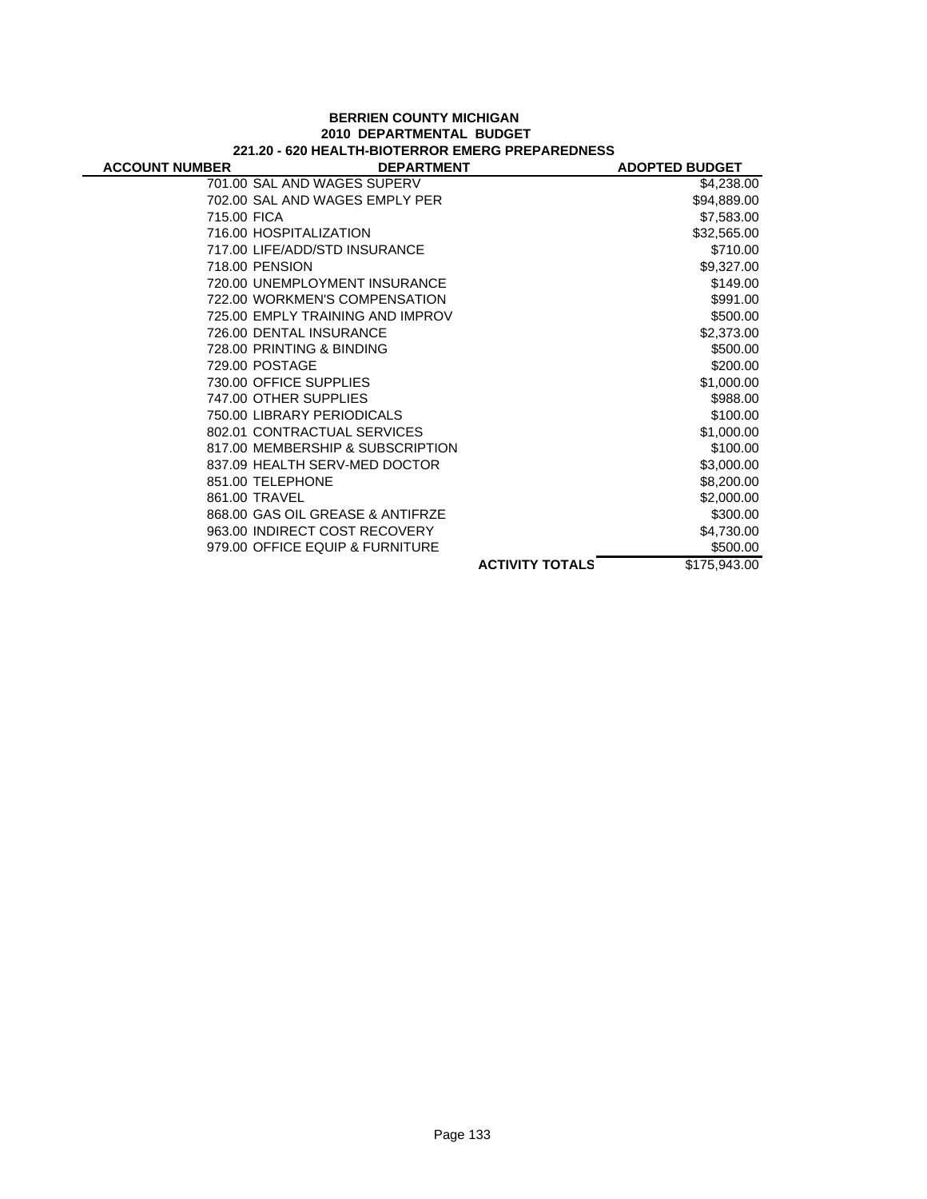#### **BERRIEN COUNTY MICHIGAN 2010 DEPARTMENTAL BUDGET 221.20 - 620 HEALTH-BIOTERROR EMERG PREPAREDNESS**

| <b>ACCOUNT NUMBER</b> | <b>DEPARTMENT</b>                |                        | <b>ADOPTED BUDGET</b> |
|-----------------------|----------------------------------|------------------------|-----------------------|
|                       | 701.00 SAL AND WAGES SUPERV      |                        | \$4,238.00            |
|                       | 702.00 SAL AND WAGES EMPLY PER   |                        | \$94,889.00           |
| 715.00 FICA           |                                  |                        | \$7,583.00            |
|                       | 716.00 HOSPITALIZATION           |                        | \$32,565.00           |
|                       | 717.00 LIFE/ADD/STD INSURANCE    |                        | \$710.00              |
|                       | 718.00 PENSION                   |                        | \$9,327.00            |
|                       | 720.00 UNEMPLOYMENT INSURANCE    |                        | \$149.00              |
|                       | 722.00 WORKMEN'S COMPENSATION    |                        | \$991.00              |
|                       | 725.00 EMPLY TRAINING AND IMPROV |                        | \$500.00              |
|                       | 726.00 DENTAL INSURANCE          |                        | \$2,373.00            |
|                       | 728.00 PRINTING & BINDING        |                        | \$500.00              |
|                       | 729.00 POSTAGE                   |                        | \$200.00              |
|                       | 730.00 OFFICE SUPPLIES           |                        | \$1,000.00            |
|                       | 747.00 OTHER SUPPLIES            |                        | \$988.00              |
|                       | 750.00 LIBRARY PERIODICALS       |                        | \$100.00              |
|                       | 802.01 CONTRACTUAL SERVICES      |                        | \$1,000.00            |
|                       | 817.00 MEMBERSHIP & SUBSCRIPTION |                        | \$100.00              |
|                       | 837.09 HEALTH SERV-MED DOCTOR    |                        | \$3,000.00            |
|                       | 851.00 TELEPHONE                 |                        | \$8,200.00            |
|                       | 861.00 TRAVEL                    |                        | \$2,000.00            |
|                       | 868.00 GAS OIL GREASE & ANTIFRZE |                        | \$300.00              |
|                       | 963.00 INDIRECT COST RECOVERY    |                        | \$4,730.00            |
|                       | 979.00 OFFICE EQUIP & FURNITURE  |                        | \$500.00              |
|                       |                                  | <b>ACTIVITY TOTALS</b> | \$175,943.00          |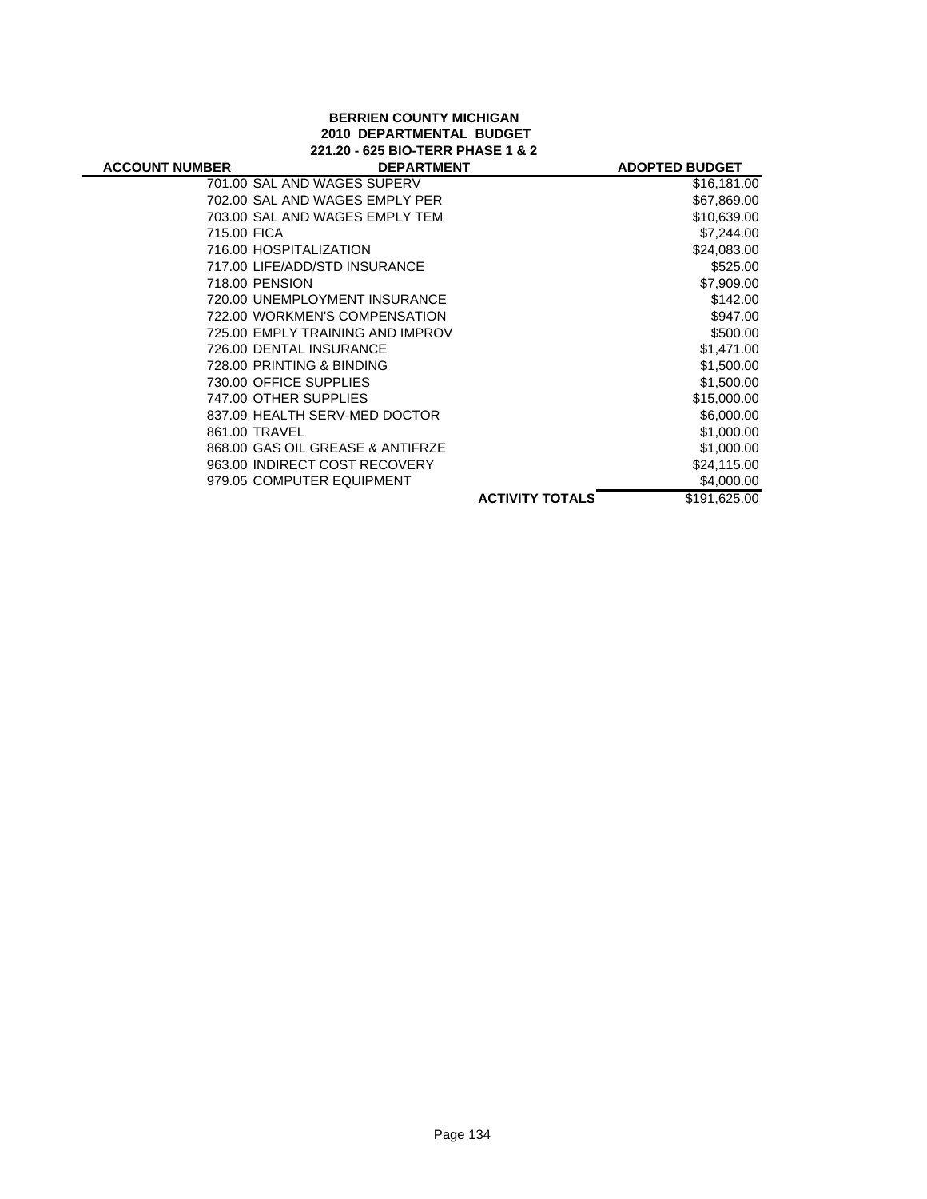#### **BERRIEN COUNTY MICHIGAN 2010 DEPARTMENTAL BUDGET 221.20 - 625 BIO-TERR PHASE 1 & 2**

| <b>ACCOUNT NUMBER</b> | <b>DEPARTMENT</b>                |                        | <b>ADOPTED BUDGET</b> |
|-----------------------|----------------------------------|------------------------|-----------------------|
|                       | 701.00 SAL AND WAGES SUPERV      |                        | \$16,181.00           |
|                       | 702.00 SAL AND WAGES EMPLY PER   |                        | \$67,869.00           |
|                       | 703.00 SAL AND WAGES EMPLY TEM   |                        | \$10,639.00           |
| 715.00 FICA           |                                  |                        | \$7,244.00            |
|                       | 716.00 HOSPITALIZATION           |                        | \$24,083.00           |
|                       | 717.00 LIFE/ADD/STD INSURANCE    |                        | \$525.00              |
|                       | 718.00 PENSION                   |                        | \$7,909.00            |
|                       | 720.00 UNEMPLOYMENT INSURANCE    |                        | \$142.00              |
|                       | 722.00 WORKMEN'S COMPENSATION    |                        | \$947.00              |
|                       | 725.00 EMPLY TRAINING AND IMPROV |                        | \$500.00              |
|                       | 726.00 DENTAL INSURANCE          |                        | \$1,471.00            |
|                       | 728.00 PRINTING & BINDING        |                        | \$1,500.00            |
|                       | 730.00 OFFICE SUPPLIES           |                        | \$1,500.00            |
|                       | 747.00 OTHER SUPPLIES            |                        | \$15,000.00           |
|                       | 837.09 HEALTH SERV-MED DOCTOR    |                        | \$6,000.00            |
|                       | 861.00 TRAVEL                    |                        | \$1,000.00            |
|                       | 868.00 GAS OIL GREASE & ANTIFRZE |                        | \$1,000.00            |
|                       | 963.00 INDIRECT COST RECOVERY    |                        | \$24,115.00           |
|                       | 979.05 COMPUTER EQUIPMENT        |                        | \$4,000.00            |
|                       |                                  | <b>ACTIVITY TOTALS</b> | \$191.625.00          |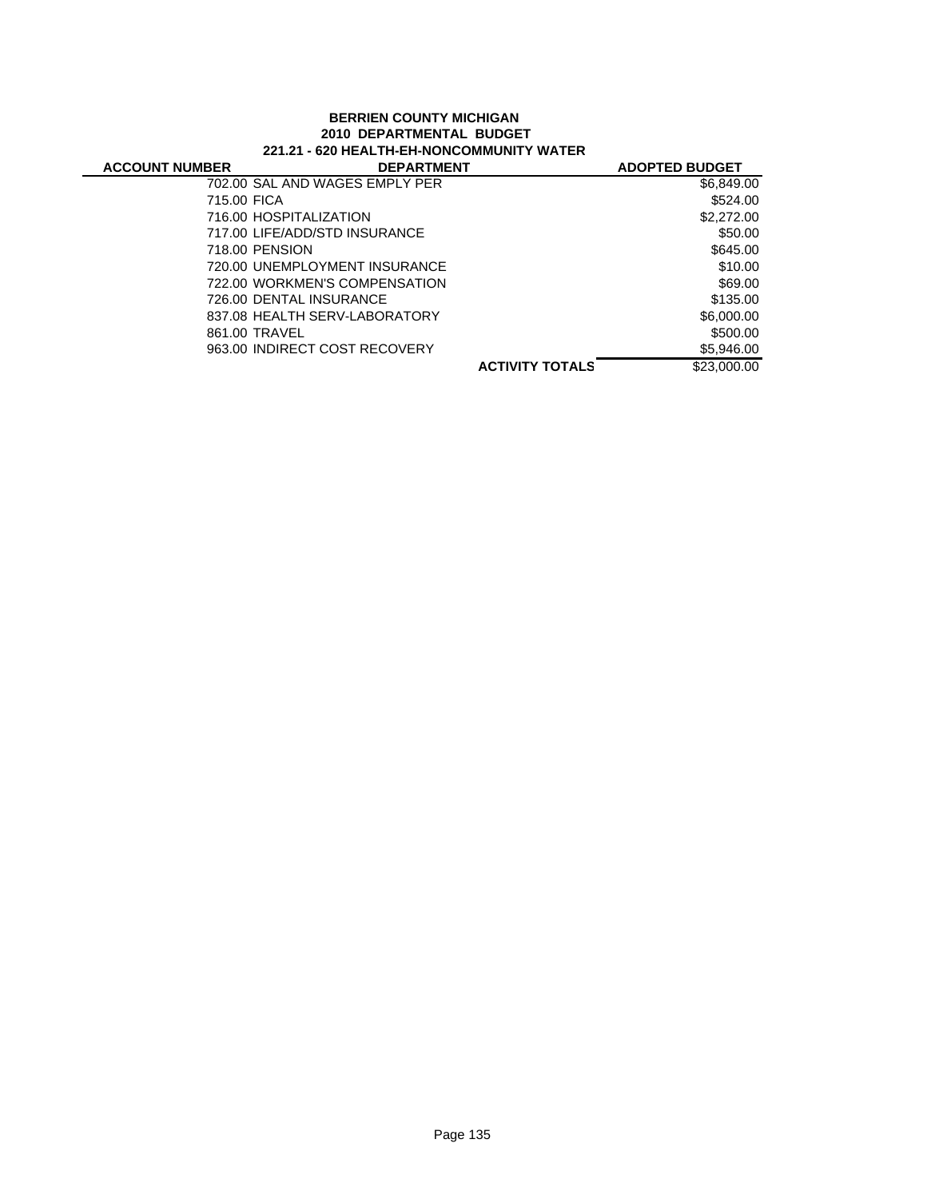# **BERRIEN COUNTY MICHIGAN 2010 DEPARTMENTAL BUDGET 221.21 - 620 HEALTH-EH-NONCOMMUNITY WATER**

| <b>ACCOUNT NUMBER</b> | <b>DEPARTMENT</b>              |                        | <b>ADOPTED BUDGET</b> |
|-----------------------|--------------------------------|------------------------|-----------------------|
|                       | 702.00 SAL AND WAGES EMPLY PER |                        | \$6,849.00            |
| 715.00 FICA           |                                |                        | \$524.00              |
|                       | 716.00 HOSPITALIZATION         |                        | \$2,272.00            |
|                       | 717.00 LIFE/ADD/STD INSURANCE  |                        | \$50.00               |
|                       | 718.00 PENSION                 |                        | \$645.00              |
|                       | 720.00 UNEMPLOYMENT INSURANCE  |                        | \$10.00               |
|                       | 722.00 WORKMEN'S COMPENSATION  |                        | \$69.00               |
|                       | 726.00 DENTAL INSURANCE        |                        | \$135.00              |
|                       | 837.08 HEALTH SERV-LABORATORY  |                        | \$6,000.00            |
|                       | 861.00 TRAVEL                  |                        | \$500.00              |
|                       | 963.00 INDIRECT COST RECOVERY  |                        | \$5,946.00            |
|                       |                                | <b>ACTIVITY TOTALS</b> | \$23,000.00           |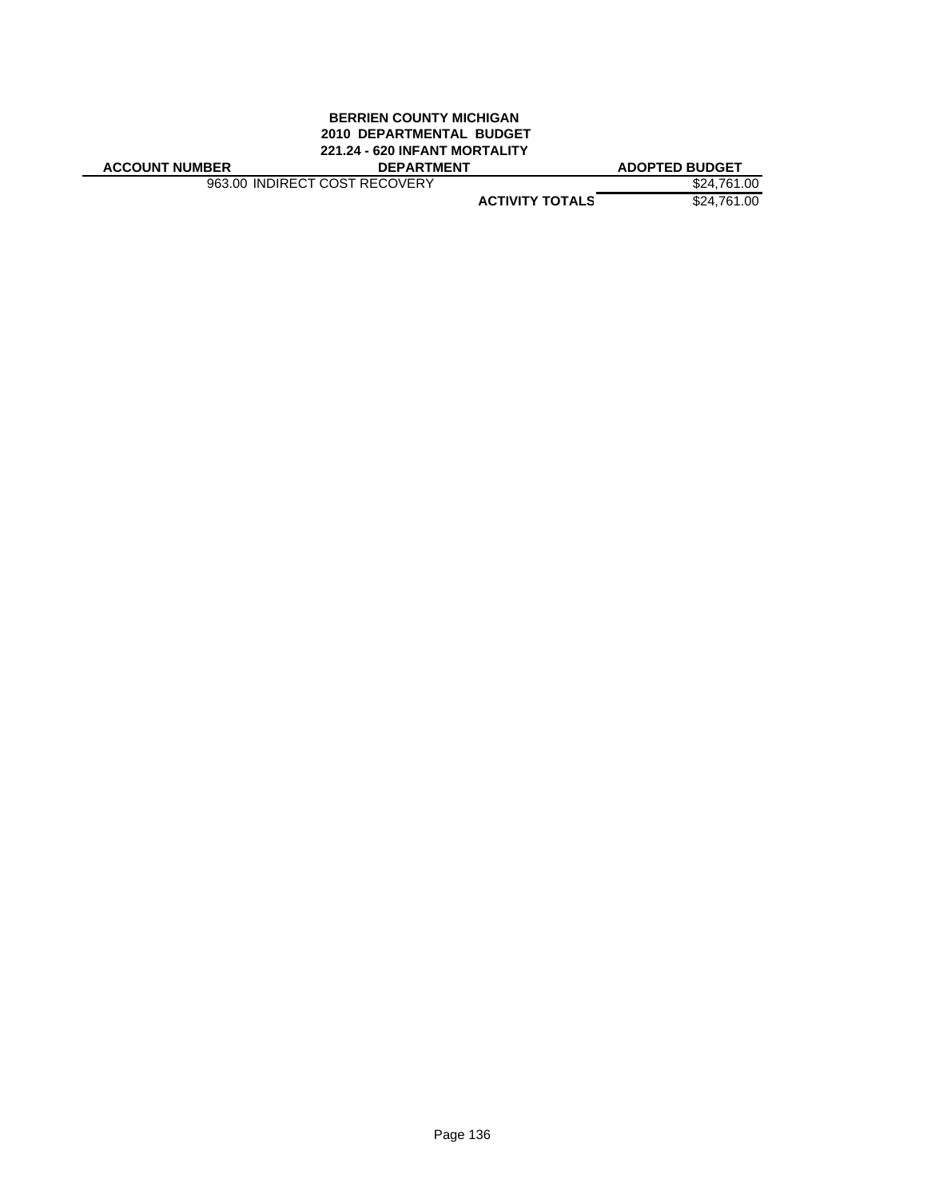#### **BERRIEN COUNTY MICHIGAN 2010 DEPARTMENTAL BUDGET 221.24 - 620 INFANT MORTALITY ACCOUNT NUMBER DEPARTMENT ADOPTED BUDGET**

963.00 INDIRECT COST RECOVERY \$24,761.00

**ACTIVITY TOTALS** \$24,761.00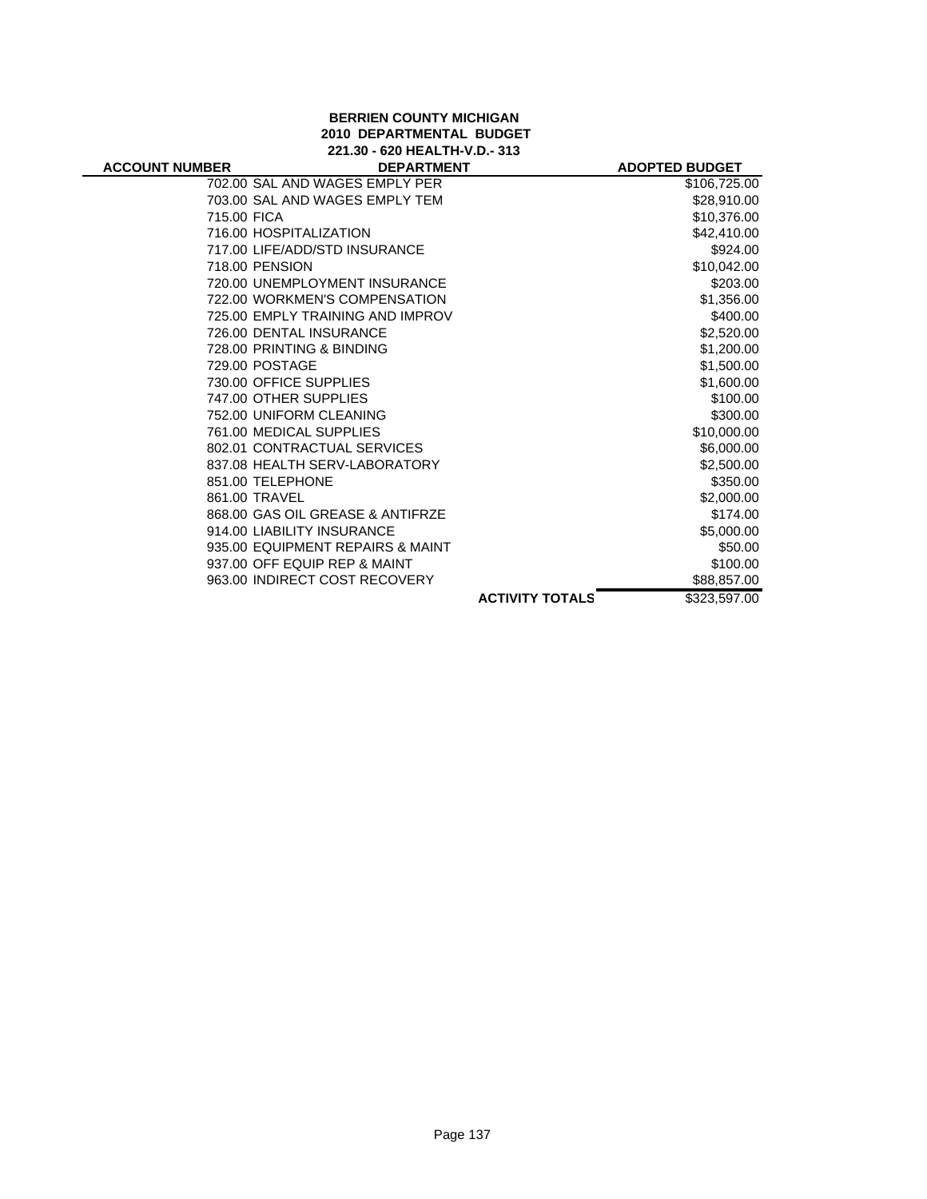#### **BERRIEN COUNTY MICHIGAN 2010 DEPARTMENTAL BUDGET 221.30 - 620 HEALTH-V.D.- 313**

| <b>ACCOUNT NUMBER</b> | <b>DEPARTMENT</b>                |                        | <b>ADOPTED BUDGET</b> |
|-----------------------|----------------------------------|------------------------|-----------------------|
|                       | 702.00 SAL AND WAGES EMPLY PER   |                        | \$106,725.00          |
|                       | 703.00 SAL AND WAGES EMPLY TEM   |                        | \$28,910.00           |
| 715.00 FICA           |                                  |                        | \$10,376.00           |
|                       | 716.00 HOSPITALIZATION           |                        | \$42,410.00           |
|                       | 717.00 LIFE/ADD/STD INSURANCE    |                        | \$924.00              |
|                       | 718.00 PENSION                   |                        | \$10,042.00           |
|                       | 720.00 UNEMPLOYMENT INSURANCE    |                        | \$203.00              |
|                       | 722.00 WORKMEN'S COMPENSATION    |                        | \$1,356.00            |
|                       | 725.00 EMPLY TRAINING AND IMPROV |                        | \$400.00              |
|                       | 726.00 DENTAL INSURANCE          |                        | \$2,520.00            |
|                       | 728.00 PRINTING & BINDING        |                        | \$1,200.00            |
|                       | 729.00 POSTAGE                   |                        | \$1,500.00            |
|                       | 730.00 OFFICE SUPPLIES           |                        | \$1,600.00            |
|                       | 747.00 OTHER SUPPLIES            |                        | \$100.00              |
|                       | 752.00 UNIFORM CLEANING          |                        | \$300.00              |
|                       | 761.00 MEDICAL SUPPLIES          |                        | \$10,000.00           |
|                       | 802.01 CONTRACTUAL SERVICES      |                        | \$6,000.00            |
|                       | 837.08 HEALTH SERV-LABORATORY    |                        | \$2,500.00            |
|                       | 851.00 TELEPHONE                 |                        | \$350.00              |
|                       | 861.00 TRAVEL                    |                        | \$2,000.00            |
|                       | 868.00 GAS OIL GREASE & ANTIFRZE |                        | \$174.00              |
|                       | 914.00 LIABILITY INSURANCE       |                        | \$5,000.00            |
|                       | 935.00 EQUIPMENT REPAIRS & MAINT |                        | \$50.00               |
|                       | 937.00 OFF EQUIP REP & MAINT     |                        | \$100.00              |
|                       | 963.00 INDIRECT COST RECOVERY    |                        | \$88,857.00           |
|                       |                                  | <b>ACTIVITY TOTALS</b> | \$323,597.00          |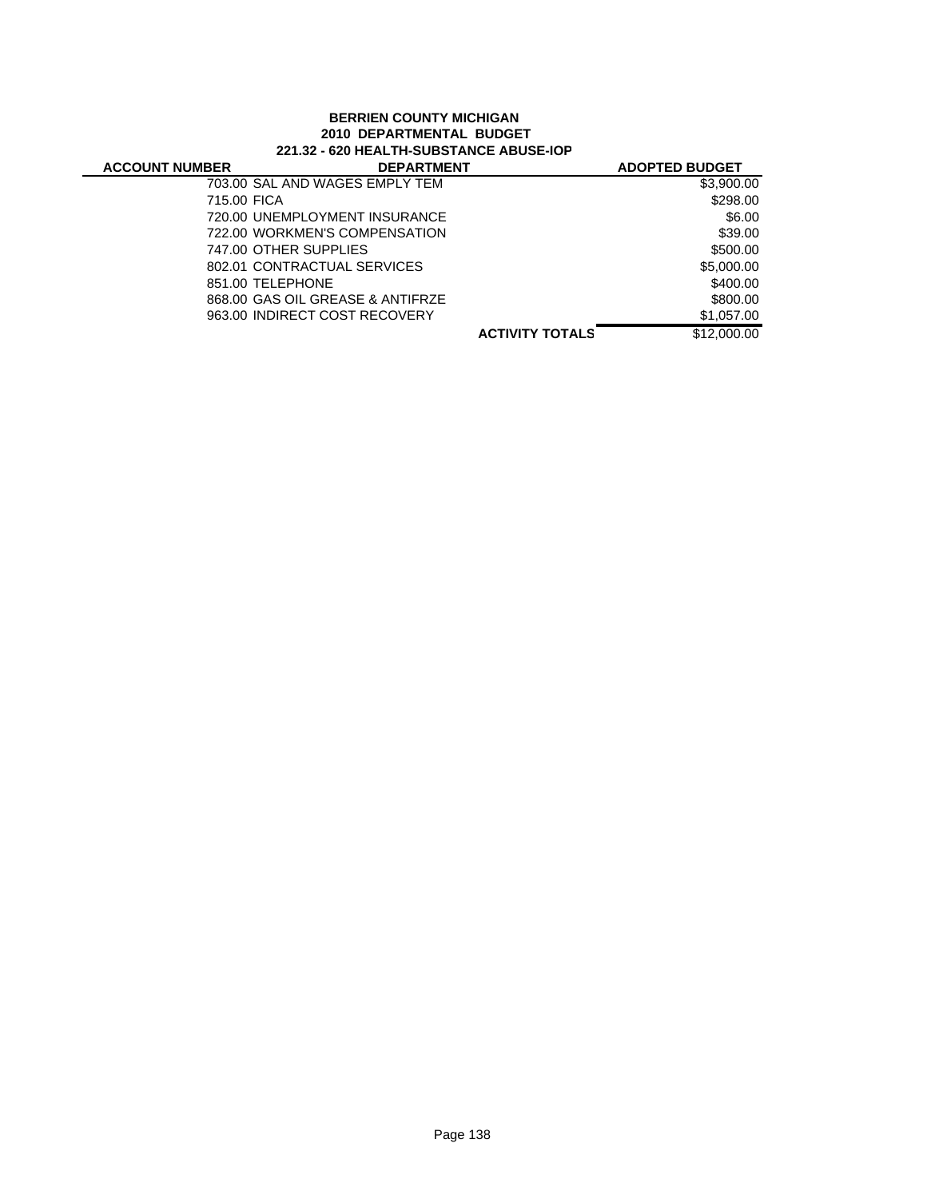# **BERRIEN COUNTY MICHIGAN 2010 DEPARTMENTAL BUDGET 221.32 - 620 HEALTH-SUBSTANCE ABUSE-IOP**

| <b>ACCOUNT NUMBER</b> | <b>DEPARTMENT</b>                |                        | <b>ADOPTED BUDGET</b> |
|-----------------------|----------------------------------|------------------------|-----------------------|
|                       | 703.00 SAL AND WAGES EMPLY TEM   |                        | \$3,900.00            |
| 715.00 FICA           |                                  |                        | \$298.00              |
|                       | 720.00 UNEMPLOYMENT INSURANCE    |                        | \$6.00                |
|                       | 722.00 WORKMEN'S COMPENSATION    |                        | \$39.00               |
|                       | 747.00 OTHER SUPPLIES            |                        | \$500.00              |
|                       | 802.01 CONTRACTUAL SERVICES      |                        | \$5,000.00            |
|                       | 851.00 TELEPHONE                 |                        | \$400.00              |
|                       | 868.00 GAS OIL GREASE & ANTIFRZE |                        | \$800.00              |
|                       | 963.00 INDIRECT COST RECOVERY    |                        | \$1,057.00            |
|                       |                                  | <b>ACTIVITY TOTALS</b> | \$12,000.00           |
|                       |                                  |                        |                       |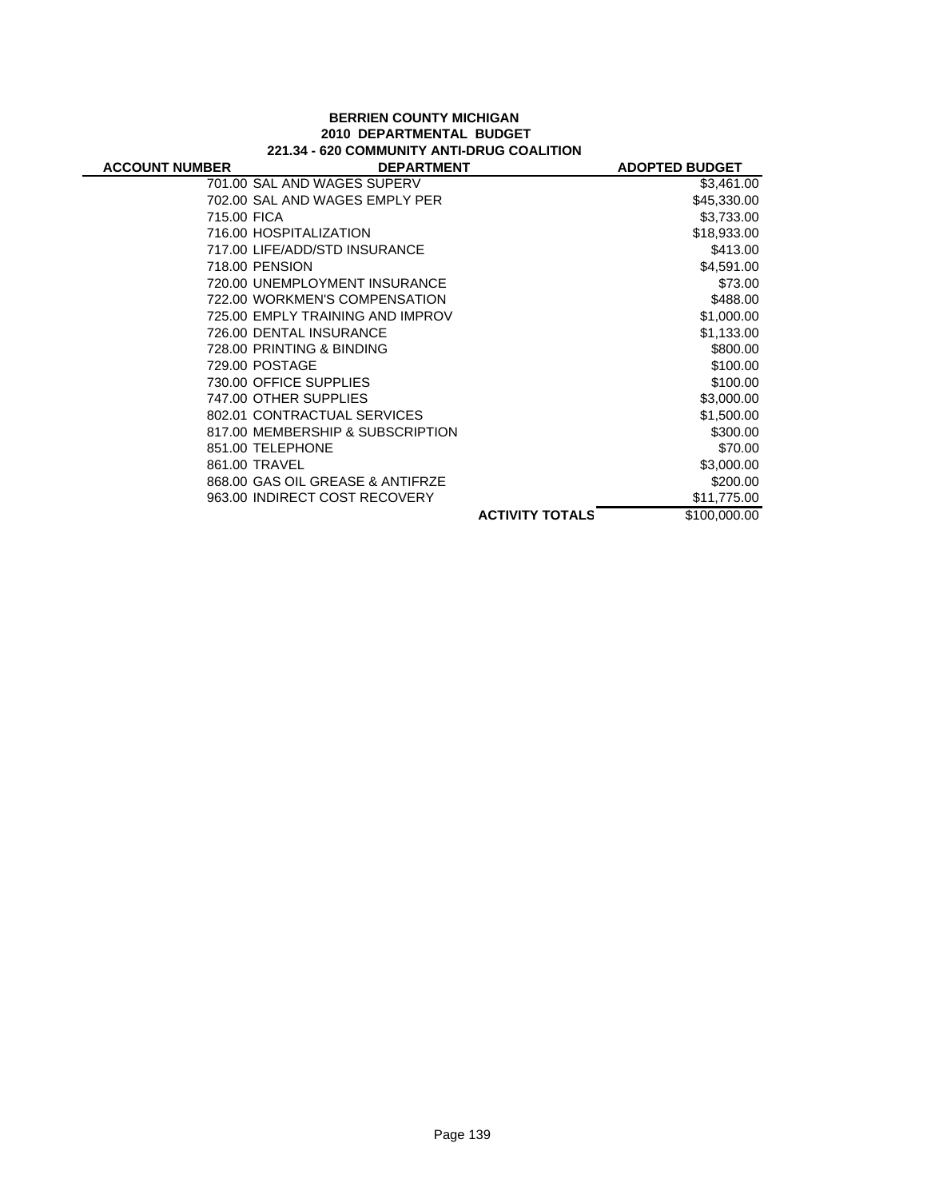# **BERRIEN COUNTY MICHIGAN 2010 DEPARTMENTAL BUDGET 221.34 - 620 COMMUNITY ANTI-DRUG COALITION**

| <b>ACCOUNT NUMBER</b> | <b>DEPARTMENT</b>                |                        | <b>ADOPTED BUDGET</b> |
|-----------------------|----------------------------------|------------------------|-----------------------|
|                       | 701.00 SAL AND WAGES SUPERV      |                        | \$3,461.00            |
|                       | 702.00 SAL AND WAGES EMPLY PER   |                        | \$45,330.00           |
| 715.00 FICA           |                                  |                        | \$3,733.00            |
|                       | 716.00 HOSPITALIZATION           |                        | \$18,933.00           |
|                       | 717.00 LIFE/ADD/STD INSURANCE    |                        | \$413.00              |
|                       | 718.00 PENSION                   |                        | \$4,591.00            |
|                       | 720.00 UNEMPLOYMENT INSURANCE    |                        | \$73.00               |
|                       | 722.00 WORKMEN'S COMPENSATION    |                        | \$488.00              |
|                       | 725.00 EMPLY TRAINING AND IMPROV |                        | \$1,000.00            |
|                       | 726.00 DENTAL INSURANCE          |                        | \$1,133.00            |
|                       | 728.00 PRINTING & BINDING        |                        | \$800.00              |
|                       | 729.00 POSTAGE                   |                        | \$100.00              |
|                       | 730.00 OFFICE SUPPLIES           |                        | \$100.00              |
|                       | 747.00 OTHER SUPPLIES            |                        | \$3,000.00            |
|                       | 802.01 CONTRACTUAL SERVICES      |                        | \$1,500.00            |
|                       | 817.00 MEMBERSHIP & SUBSCRIPTION |                        | \$300.00              |
|                       | 851.00 TELEPHONE                 |                        | \$70.00               |
|                       | 861.00 TRAVEL                    |                        | \$3,000.00            |
|                       | 868.00 GAS OIL GREASE & ANTIFRZE |                        | \$200.00              |
|                       | 963.00 INDIRECT COST RECOVERY    |                        | \$11,775.00           |
|                       |                                  | <b>ACTIVITY TOTALS</b> | \$100,000.00          |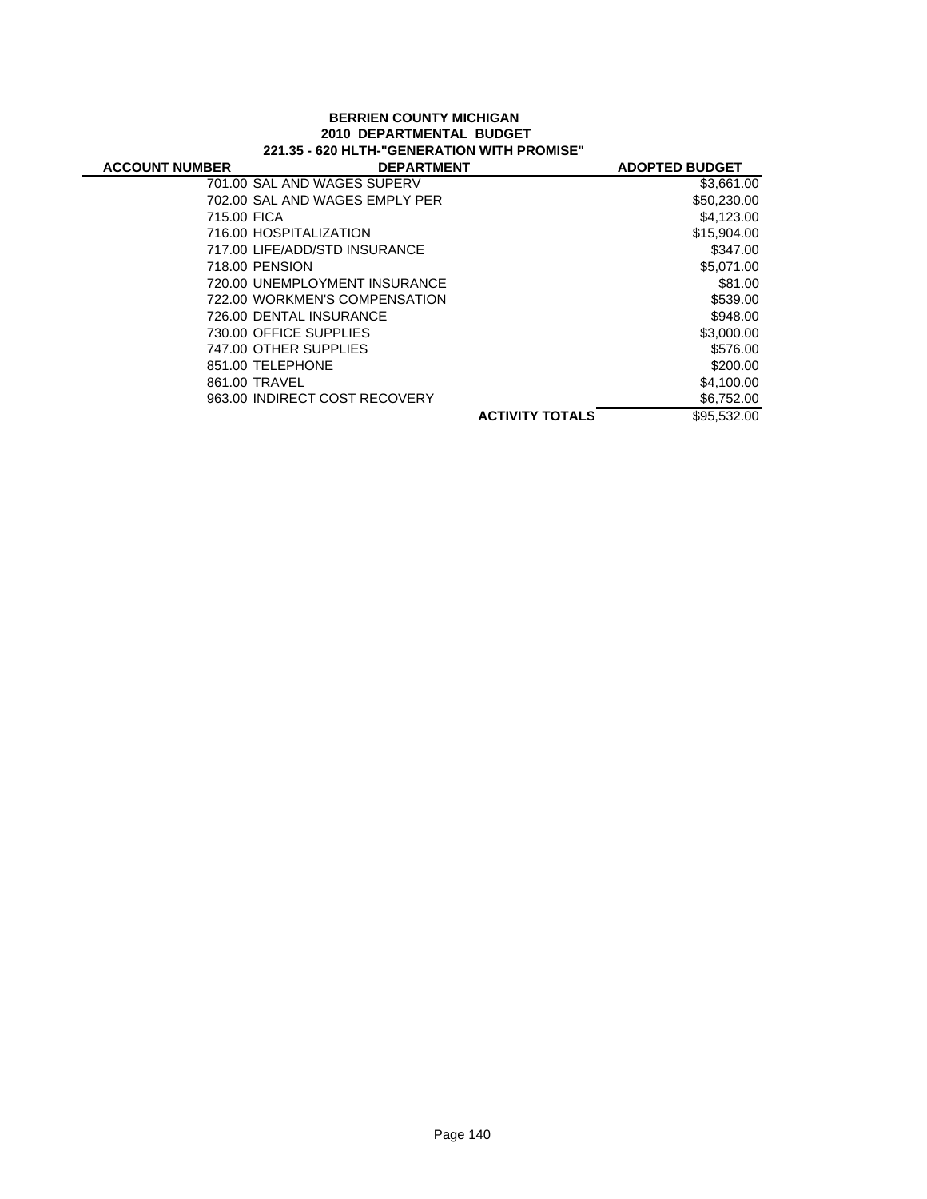## **BERRIEN COUNTY MICHIGAN 2010 DEPARTMENTAL BUDGET 221.35 - 620 HLTH-"GENERATION WITH PROMISE"**

| <b>ACCOUNT NUMBER</b> | <b>DEPARTMENT</b>              |                        | <b>ADOPTED BUDGET</b> |
|-----------------------|--------------------------------|------------------------|-----------------------|
|                       | 701.00 SAL AND WAGES SUPERV    |                        | \$3,661.00            |
|                       | 702.00 SAL AND WAGES EMPLY PER |                        | \$50,230.00           |
| 715.00 FICA           |                                |                        | \$4,123.00            |
|                       | 716.00 HOSPITALIZATION         |                        | \$15,904.00           |
|                       | 717.00 LIFE/ADD/STD INSURANCE  |                        | \$347.00              |
|                       | 718.00 PENSION                 |                        | \$5,071.00            |
|                       | 720.00 UNEMPLOYMENT INSURANCE  |                        | \$81.00               |
|                       | 722.00 WORKMEN'S COMPENSATION  |                        | \$539.00              |
|                       | 726.00 DENTAL INSURANCE        |                        | \$948.00              |
|                       | 730.00 OFFICE SUPPLIES         |                        | \$3,000.00            |
|                       | 747.00 OTHER SUPPLIES          |                        | \$576.00              |
|                       | 851.00 TELEPHONE               |                        | \$200.00              |
|                       | 861.00 TRAVEL                  |                        | \$4,100,00            |
|                       | 963.00 INDIRECT COST RECOVERY  |                        | \$6,752.00            |
|                       |                                | <b>ACTIVITY TOTALS</b> | \$95,532,00           |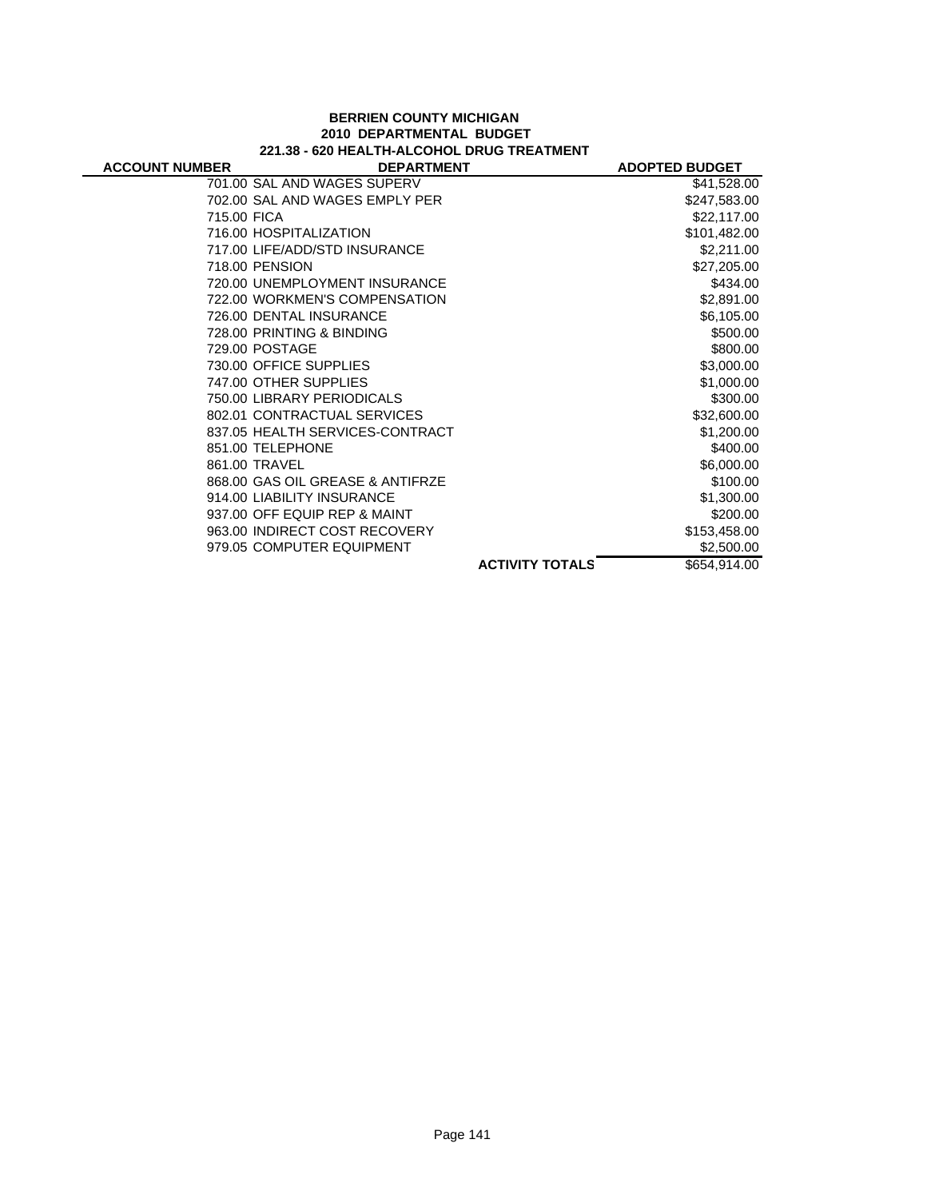#### **BERRIEN COUNTY MICHIGAN 2010 DEPARTMENTAL BUDGET 221.38 - 620 HEALTH-ALCOHOL DRUG TREATMENT**

| <b>ACCOUNT NUMBER</b> | <b>DEPARTMENT</b>                |                        | <b>ADOPTED BUDGET</b> |
|-----------------------|----------------------------------|------------------------|-----------------------|
|                       | 701.00 SAL AND WAGES SUPERV      |                        | \$41,528.00           |
|                       | 702.00 SAL AND WAGES EMPLY PER   |                        | \$247,583.00          |
| 715.00 FICA           |                                  |                        | \$22,117.00           |
|                       | 716.00 HOSPITALIZATION           |                        | \$101,482.00          |
|                       | 717.00 LIFE/ADD/STD INSURANCE    |                        | \$2,211.00            |
|                       | 718.00 PENSION                   |                        | \$27,205.00           |
|                       | 720.00 UNEMPLOYMENT INSURANCE    |                        | \$434.00              |
|                       | 722.00 WORKMEN'S COMPENSATION    |                        | \$2,891.00            |
|                       | 726.00 DENTAL INSURANCE          |                        | \$6,105.00            |
|                       | 728.00 PRINTING & BINDING        |                        | \$500.00              |
|                       | 729.00 POSTAGE                   |                        | \$800.00              |
|                       | 730.00 OFFICE SUPPLIES           |                        | \$3,000.00            |
|                       | 747.00 OTHER SUPPLIES            |                        | \$1,000.00            |
|                       | 750.00 LIBRARY PERIODICALS       |                        | \$300.00              |
|                       | 802.01 CONTRACTUAL SERVICES      |                        | \$32,600.00           |
|                       | 837.05 HEALTH SERVICES-CONTRACT  |                        | \$1,200.00            |
|                       | 851.00 TELEPHONE                 |                        | \$400.00              |
|                       | 861.00 TRAVEL                    |                        | \$6,000.00            |
|                       | 868.00 GAS OIL GREASE & ANTIFRZE |                        | \$100.00              |
|                       | 914.00 LIABILITY INSURANCE       |                        | \$1,300.00            |
|                       | 937.00 OFF EQUIP REP & MAINT     |                        | \$200.00              |
|                       | 963.00 INDIRECT COST RECOVERY    |                        | \$153,458.00          |
|                       | 979.05 COMPUTER EQUIPMENT        |                        | \$2,500.00            |
|                       |                                  | <b>ACTIVITY TOTALS</b> | \$654,914.00          |
|                       |                                  |                        |                       |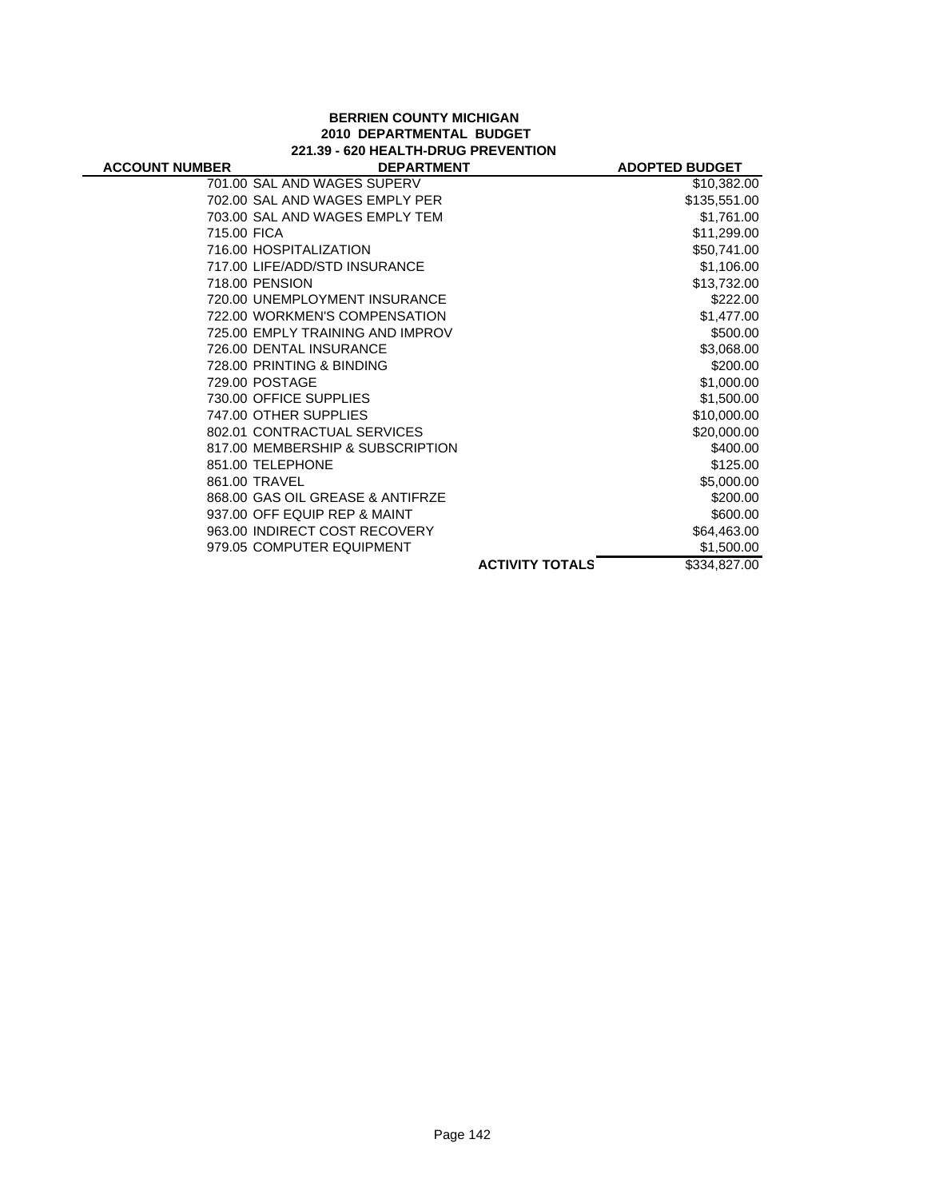#### **BERRIEN COUNTY MICHIGAN 2010 DEPARTMENTAL BUDGET 221.39 - 620 HEALTH-DRUG PREVENTION**

| <b>ACCOUNT NUMBER</b> | <b>DEPARTMENT</b>                |                        | <b>ADOPTED BUDGET</b> |
|-----------------------|----------------------------------|------------------------|-----------------------|
|                       | 701.00 SAL AND WAGES SUPERV      |                        | \$10,382.00           |
|                       | 702.00 SAL AND WAGES EMPLY PER   |                        | \$135,551.00          |
|                       | 703.00 SAL AND WAGES EMPLY TEM   |                        | \$1,761.00            |
| 715.00 FICA           |                                  |                        | \$11,299.00           |
|                       | 716.00 HOSPITALIZATION           |                        | \$50,741.00           |
|                       | 717.00 LIFE/ADD/STD INSURANCE    |                        | \$1,106.00            |
|                       | 718.00 PENSION                   |                        | \$13,732.00           |
|                       | 720.00 UNEMPLOYMENT INSURANCE    |                        | \$222.00              |
|                       | 722.00 WORKMEN'S COMPENSATION    |                        | \$1,477.00            |
|                       | 725.00 EMPLY TRAINING AND IMPROV |                        | \$500.00              |
|                       | 726.00 DENTAL INSURANCE          |                        | \$3,068.00            |
|                       | 728.00 PRINTING & BINDING        |                        | \$200.00              |
|                       | 729.00 POSTAGE                   |                        | \$1,000.00            |
|                       | 730.00 OFFICE SUPPLIES           |                        | \$1,500.00            |
|                       | 747.00 OTHER SUPPLIES            |                        | \$10,000.00           |
|                       | 802.01 CONTRACTUAL SERVICES      |                        | \$20,000.00           |
|                       | 817.00 MEMBERSHIP & SUBSCRIPTION |                        | \$400.00              |
|                       | 851.00 TELEPHONE                 |                        | \$125.00              |
|                       | 861.00 TRAVEL                    |                        | \$5,000.00            |
|                       | 868.00 GAS OIL GREASE & ANTIFRZE |                        | \$200.00              |
|                       | 937.00 OFF EQUIP REP & MAINT     |                        | \$600.00              |
|                       | 963.00 INDIRECT COST RECOVERY    |                        | \$64,463.00           |
|                       | 979.05 COMPUTER EQUIPMENT        |                        | \$1,500.00            |
|                       |                                  | <b>ACTIVITY TOTALS</b> | \$334,827.00          |
|                       |                                  |                        |                       |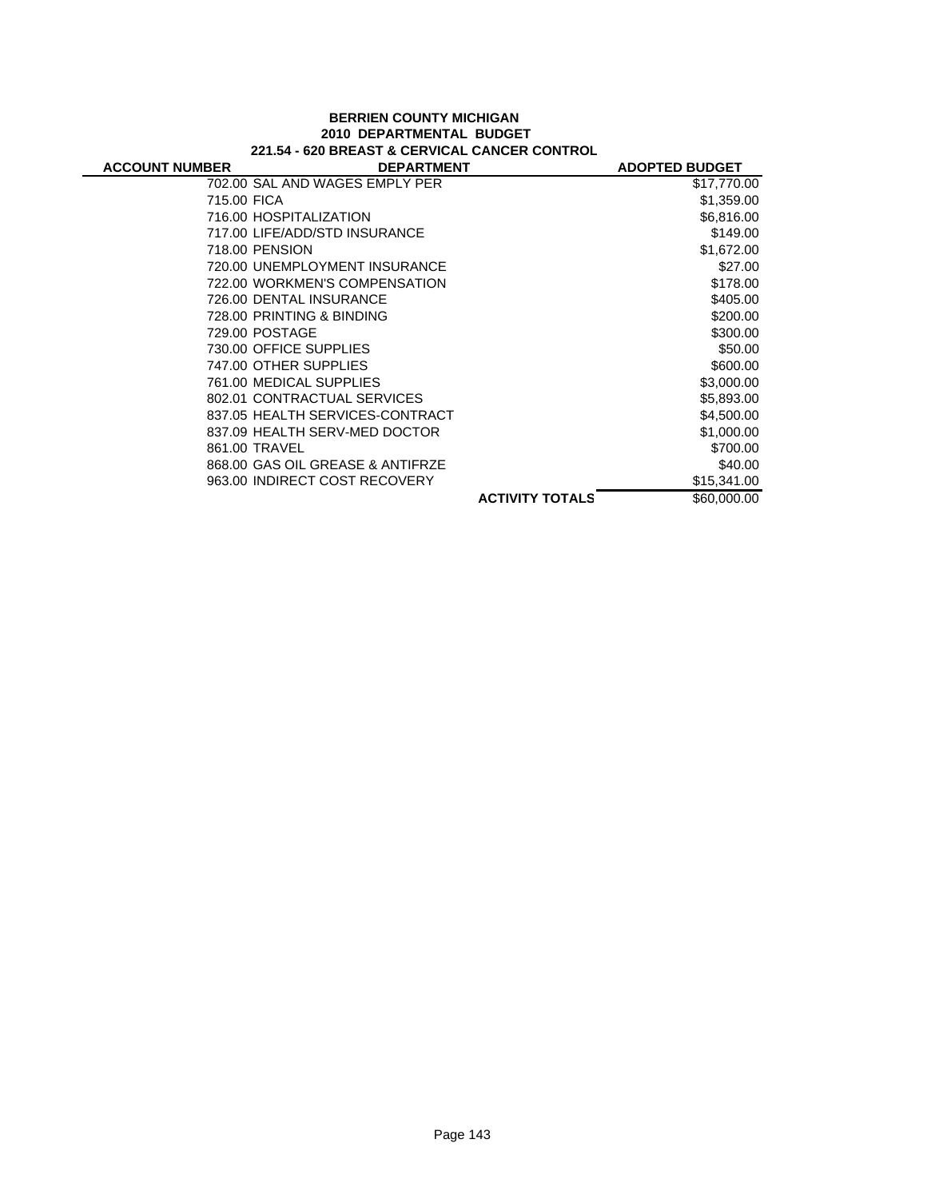#### **BERRIEN COUNTY MICHIGAN 2010 DEPARTMENTAL BUDGET 221.54 - 620 BREAST & CERVICAL CANCER CONTROL**

| <b>ACCOUNT NUMBER</b> | <b>DEPARTMENT</b>                |                        | <b>ADOPTED BUDGET</b> |
|-----------------------|----------------------------------|------------------------|-----------------------|
|                       | 702.00 SAL AND WAGES EMPLY PER   |                        | \$17,770.00           |
| 715.00 FICA           |                                  |                        | \$1,359.00            |
|                       | 716.00 HOSPITALIZATION           |                        | \$6,816.00            |
|                       | 717.00 LIFE/ADD/STD INSURANCE    |                        | \$149.00              |
|                       | 718.00 PENSION                   |                        | \$1,672.00            |
|                       | 720.00 UNEMPLOYMENT INSURANCE    |                        | \$27.00               |
|                       | 722.00 WORKMEN'S COMPENSATION    |                        | \$178.00              |
|                       | 726.00 DENTAL INSURANCE          |                        | \$405.00              |
|                       | 728.00 PRINTING & BINDING        |                        | \$200.00              |
|                       | 729.00 POSTAGE                   |                        | \$300.00              |
|                       | 730.00 OFFICE SUPPLIES           |                        | \$50.00               |
|                       | 747.00 OTHER SUPPLIES            |                        | \$600.00              |
|                       | 761.00 MEDICAL SUPPLIES          |                        | \$3,000.00            |
|                       | 802.01 CONTRACTUAL SERVICES      |                        | \$5,893.00            |
|                       | 837.05 HEALTH SERVICES-CONTRACT  |                        | \$4,500.00            |
|                       | 837.09 HEALTH SERV-MED DOCTOR    |                        | \$1,000.00            |
|                       | 861.00 TRAVEL                    |                        | \$700.00              |
|                       | 868.00 GAS OIL GREASE & ANTIFRZE |                        | \$40.00               |
|                       | 963.00 INDIRECT COST RECOVERY    |                        | \$15,341.00           |
|                       |                                  | <b>ACTIVITY TOTALS</b> | \$60,000,00           |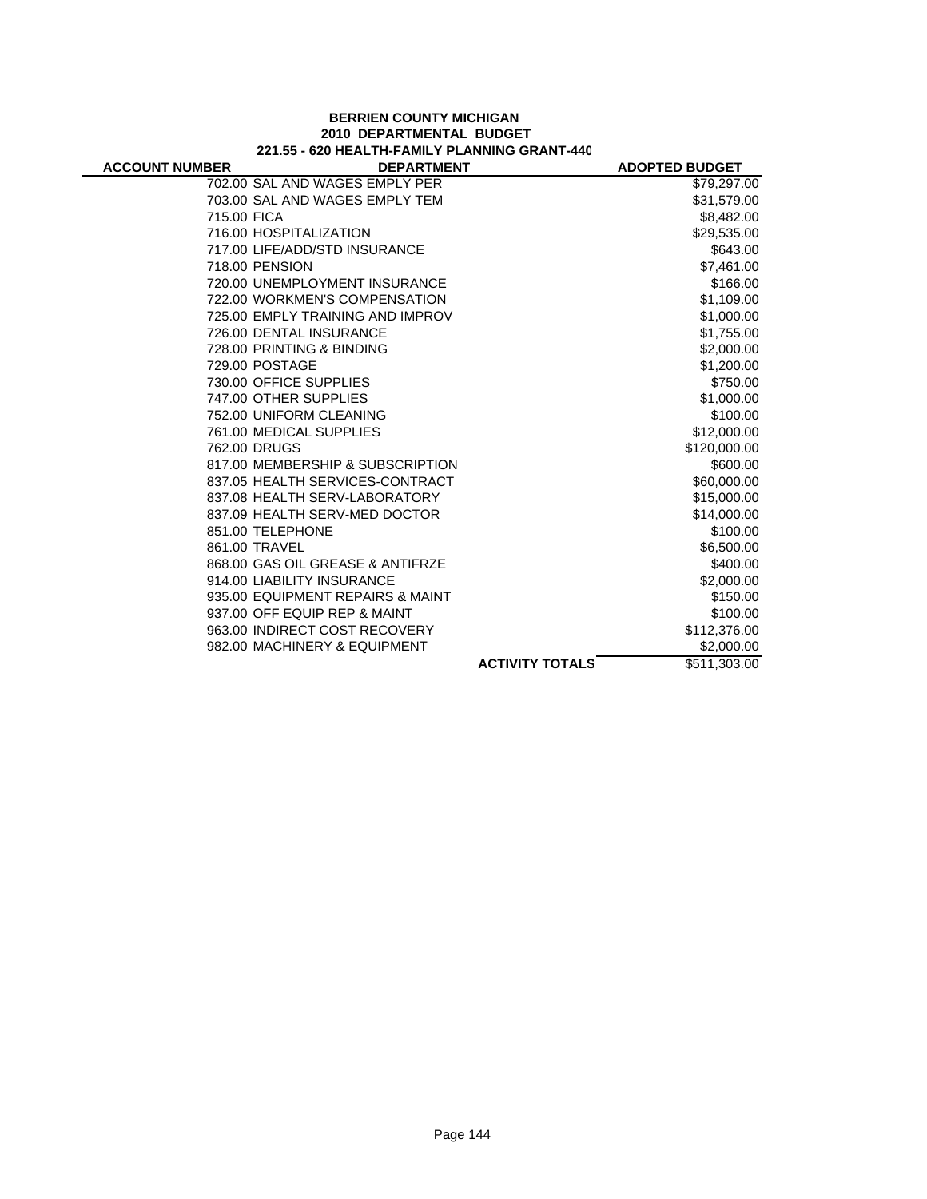|                       | 221.55 - 620 HEALTH-FAMILY PLANNING GRANT-440 |                        |                       |
|-----------------------|-----------------------------------------------|------------------------|-----------------------|
| <b>ACCOUNT NUMBER</b> | <b>DEPARTMENT</b>                             |                        | <b>ADOPTED BUDGET</b> |
|                       | 702.00 SAL AND WAGES EMPLY PER                |                        | \$79,297.00           |
|                       | 703.00 SAL AND WAGES EMPLY TEM                |                        | \$31,579.00           |
| 715.00 FICA           |                                               |                        | \$8,482.00            |
|                       | 716.00 HOSPITALIZATION                        |                        | \$29,535.00           |
|                       | 717.00 LIFE/ADD/STD INSURANCE                 |                        | \$643.00              |
|                       | 718.00 PENSION                                |                        | \$7,461.00            |
|                       | 720.00 UNEMPLOYMENT INSURANCE                 |                        | \$166.00              |
|                       | 722.00 WORKMEN'S COMPENSATION                 |                        | \$1,109.00            |
|                       | 725.00 EMPLY TRAINING AND IMPROV              |                        | \$1,000.00            |
|                       | 726.00 DENTAL INSURANCE                       |                        | \$1,755.00            |
|                       | 728.00 PRINTING & BINDING                     |                        | \$2,000.00            |
|                       | 729.00 POSTAGE                                |                        | \$1,200.00            |
|                       | 730.00 OFFICE SUPPLIES                        |                        | \$750.00              |
|                       | 747.00 OTHER SUPPLIES                         |                        | \$1,000.00            |
|                       | 752.00 UNIFORM CLEANING                       |                        | \$100.00              |
|                       | 761.00 MEDICAL SUPPLIES                       |                        | \$12,000.00           |
|                       | 762.00 DRUGS                                  |                        | \$120,000.00          |
|                       | 817.00 MEMBERSHIP & SUBSCRIPTION              |                        | \$600.00              |
|                       | 837.05 HEALTH SERVICES-CONTRACT               |                        | \$60,000.00           |
|                       | 837.08 HEALTH SERV-LABORATORY                 |                        | \$15,000.00           |
|                       | 837.09 HEALTH SERV-MED DOCTOR                 |                        | \$14,000.00           |
|                       | 851.00 TELEPHONE                              |                        | \$100.00              |
|                       | 861.00 TRAVEL                                 |                        | \$6,500.00            |
|                       | 868.00 GAS OIL GREASE & ANTIFRZE              |                        | \$400.00              |
|                       | 914.00 LIABILITY INSURANCE                    |                        | \$2,000.00            |
|                       | 935.00 EQUIPMENT REPAIRS & MAINT              |                        | \$150.00              |
|                       | 937.00 OFF EQUIP REP & MAINT                  |                        | \$100.00              |
|                       | 963.00 INDIRECT COST RECOVERY                 |                        | \$112,376.00          |
|                       | 982.00 MACHINERY & EQUIPMENT                  |                        | \$2,000.00            |
|                       |                                               | <b>ACTIVITY TOTALS</b> | \$511,303.00          |

# **BERRIEN COUNTY MICHIGAN 2010 DEPARTMENTAL BUDGET**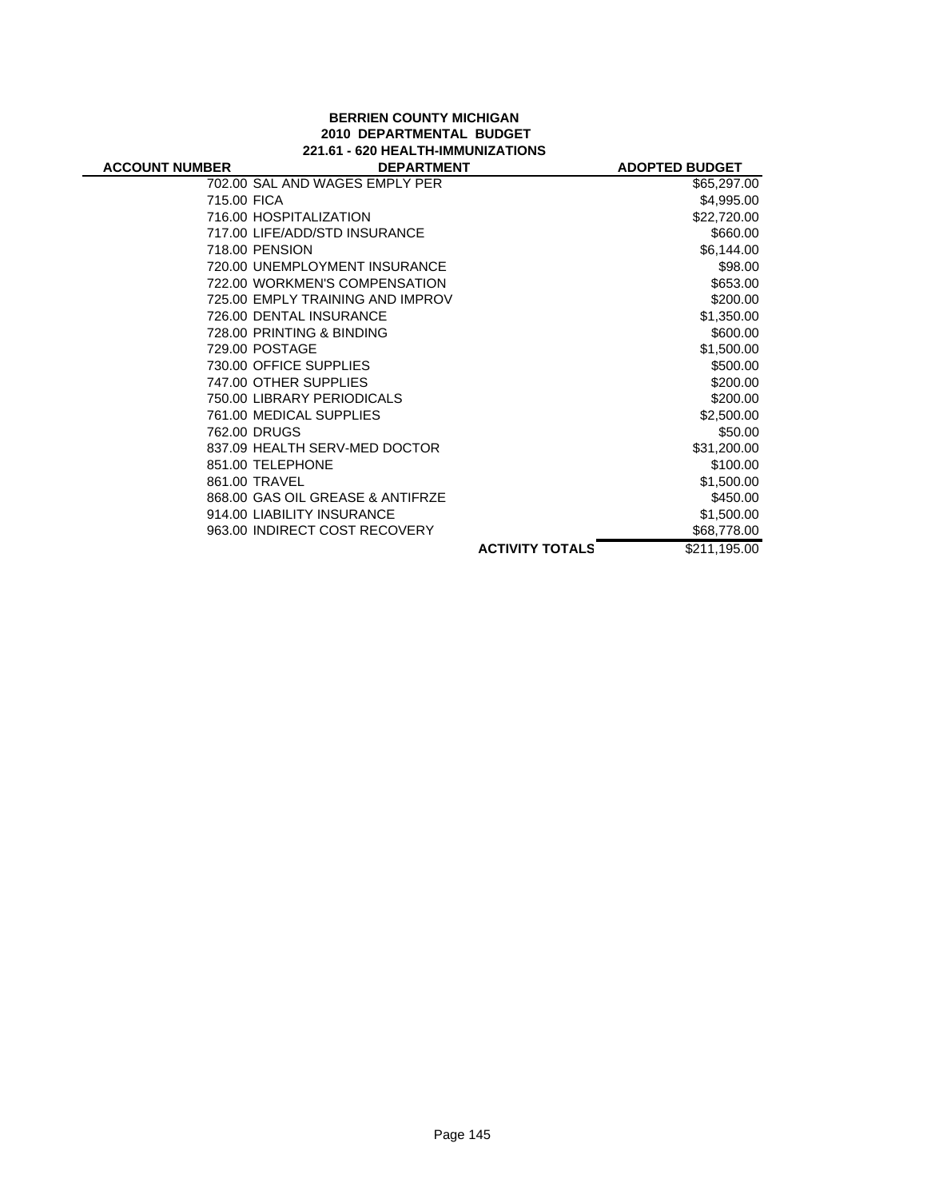## **BERRIEN COUNTY MICHIGAN 2010 DEPARTMENTAL BUDGET 221.61 - 620 HEALTH-IMMUNIZATIONS**

| <b>ACCOUNT NUMBER</b> | <b>DEPARTMENT</b>                |                        | <b>ADOPTED BUDGET</b> |
|-----------------------|----------------------------------|------------------------|-----------------------|
|                       | 702.00 SAL AND WAGES EMPLY PER   |                        | \$65,297.00           |
| 715.00 FICA           |                                  |                        | \$4,995.00            |
|                       | 716.00 HOSPITALIZATION           |                        | \$22,720.00           |
|                       | 717.00 LIFE/ADD/STD INSURANCE    |                        | \$660.00              |
|                       | 718.00 PENSION                   |                        | \$6,144.00            |
|                       | 720.00 UNEMPLOYMENT INSURANCE    |                        | \$98.00               |
|                       | 722.00 WORKMEN'S COMPENSATION    |                        | \$653.00              |
|                       | 725.00 EMPLY TRAINING AND IMPROV |                        | \$200.00              |
|                       | 726.00 DENTAL INSURANCE          |                        | \$1,350.00            |
|                       | 728.00 PRINTING & BINDING        |                        | \$600.00              |
|                       | 729.00 POSTAGE                   |                        | \$1,500.00            |
|                       | 730.00 OFFICE SUPPLIES           |                        | \$500.00              |
|                       | 747.00 OTHER SUPPLIES            |                        | \$200.00              |
|                       | 750.00 LIBRARY PERIODICALS       |                        | \$200.00              |
|                       | 761.00 MEDICAL SUPPLIES          |                        | \$2,500.00            |
|                       | 762.00 DRUGS                     |                        | \$50.00               |
|                       | 837.09 HEALTH SERV-MED DOCTOR    |                        | \$31,200.00           |
|                       | 851.00 TELEPHONE                 |                        | \$100.00              |
|                       | 861.00 TRAVEL                    |                        | \$1,500.00            |
|                       | 868.00 GAS OIL GREASE & ANTIFRZE |                        | \$450.00              |
|                       | 914.00 LIABILITY INSURANCE       |                        | \$1,500.00            |
|                       | 963.00 INDIRECT COST RECOVERY    |                        | \$68,778.00           |
|                       |                                  | <b>ACTIVITY TOTALS</b> | \$211,195.00          |
|                       |                                  |                        |                       |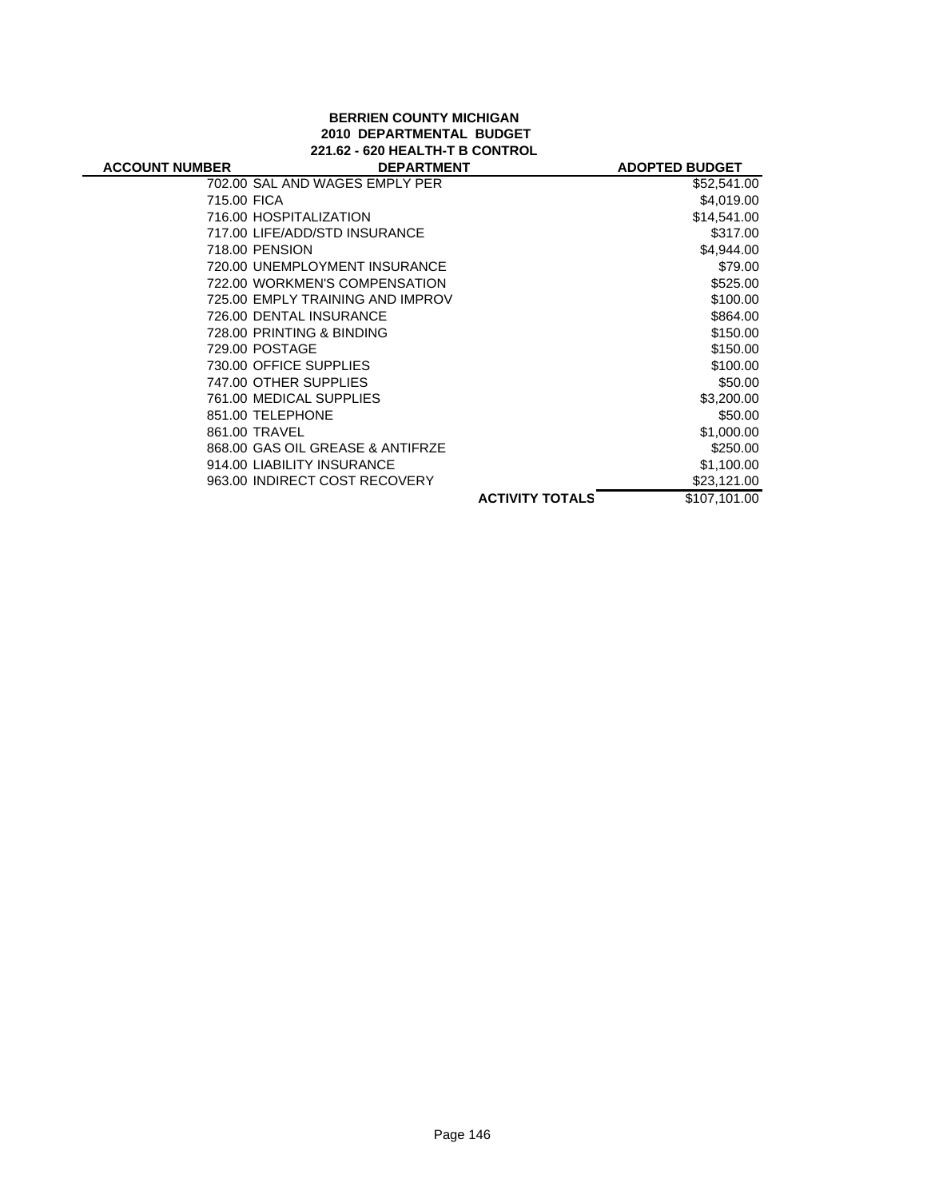# **BERRIEN COUNTY MICHIGAN 2010 DEPARTMENTAL BUDGET 221.62 - 620 HEALTH-T B CONTROL**

J.

| <b>ACCOUNT NUMBER</b> | <b>DEPARTMENT</b>                |                        | <b>ADOPTED BUDGET</b> |
|-----------------------|----------------------------------|------------------------|-----------------------|
|                       | 702.00 SAL AND WAGES EMPLY PER   |                        | \$52,541.00           |
| 715.00 FICA           |                                  |                        | \$4,019.00            |
|                       | 716.00 HOSPITALIZATION           |                        | \$14,541.00           |
|                       | 717.00 LIFE/ADD/STD INSURANCE    |                        | \$317.00              |
|                       | 718.00 PENSION                   |                        | \$4,944.00            |
|                       | 720.00 UNEMPLOYMENT INSURANCE    |                        | \$79.00               |
|                       | 722.00 WORKMEN'S COMPENSATION    |                        | \$525.00              |
|                       | 725.00 EMPLY TRAINING AND IMPROV |                        | \$100.00              |
|                       | 726.00 DENTAL INSURANCE          |                        | \$864.00              |
|                       | 728.00 PRINTING & BINDING        |                        | \$150.00              |
|                       | 729.00 POSTAGE                   |                        | \$150.00              |
|                       | 730.00 OFFICE SUPPLIES           |                        | \$100.00              |
|                       | 747.00 OTHER SUPPLIES            |                        | \$50.00               |
|                       | 761.00 MEDICAL SUPPLIES          |                        | \$3,200.00            |
|                       | 851.00 TELEPHONE                 |                        | \$50.00               |
|                       | 861.00 TRAVEL                    |                        | \$1,000.00            |
|                       | 868.00 GAS OIL GREASE & ANTIFRZE |                        | \$250.00              |
|                       | 914.00 LIABILITY INSURANCE       |                        | \$1,100.00            |
|                       | 963.00 INDIRECT COST RECOVERY    |                        | \$23,121.00           |
|                       |                                  | <b>ACTIVITY TOTALS</b> | \$107.101.00          |
|                       |                                  |                        |                       |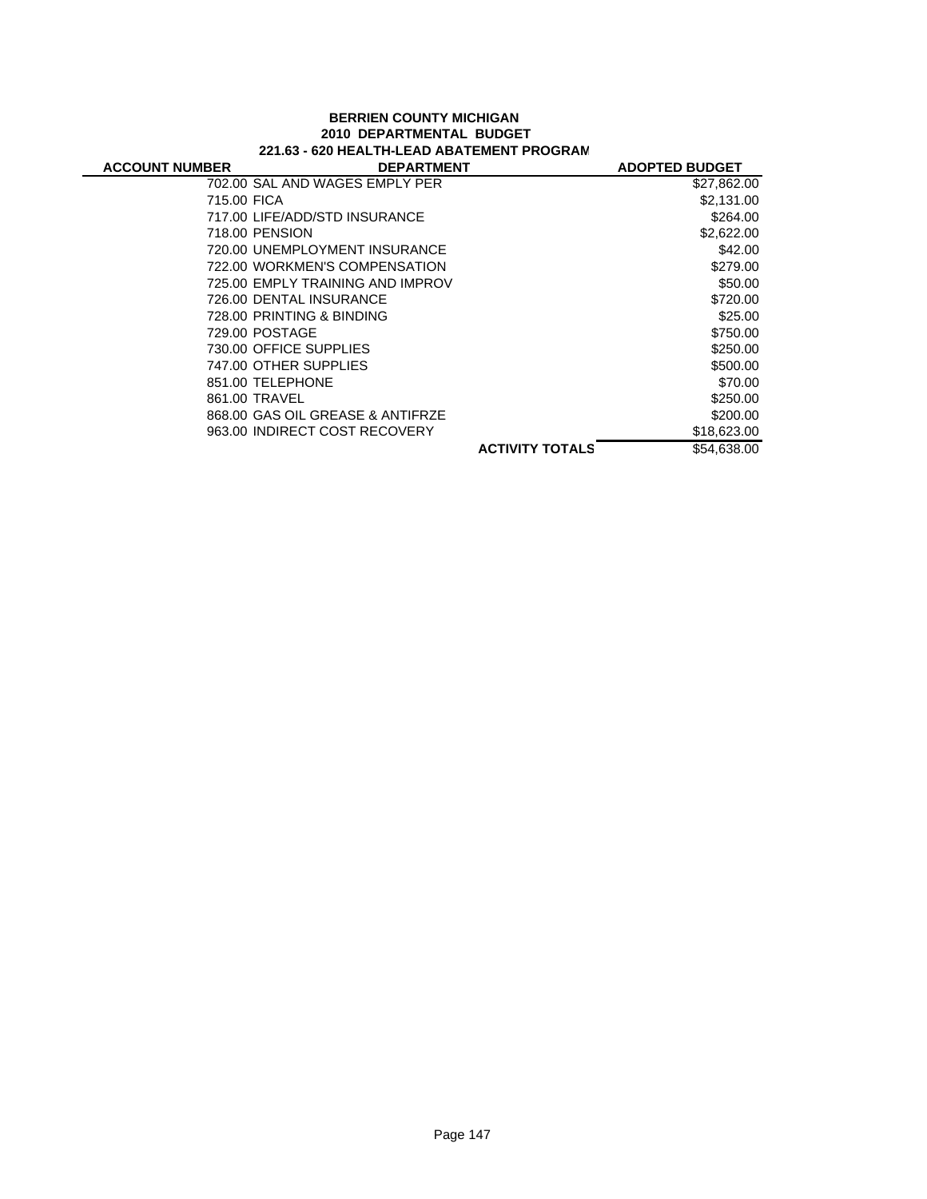#### **BERRIEN COUNTY MICHIGAN 2010 DEPARTMENTAL BUDGET 221.63 - 620 HEALTH-LEAD ABATEMENT PROGRAM**

| <b>ACCOUNT NUMBER</b> | <b>DEPARTMENT</b>                |                        | <b>ADOPTED BUDGET</b> |
|-----------------------|----------------------------------|------------------------|-----------------------|
|                       | 702.00 SAL AND WAGES EMPLY PER   |                        | \$27,862.00           |
| 715.00 FICA           |                                  |                        | \$2,131.00            |
|                       | 717.00 LIFE/ADD/STD INSURANCE    |                        | \$264.00              |
|                       | 718.00 PENSION                   |                        | \$2,622.00            |
|                       | 720.00 UNEMPLOYMENT INSURANCE    |                        | \$42.00               |
|                       | 722.00 WORKMEN'S COMPENSATION    |                        | \$279.00              |
|                       | 725.00 EMPLY TRAINING AND IMPROV |                        | \$50.00               |
|                       | 726.00 DENTAL INSURANCE          |                        | \$720.00              |
|                       | 728.00 PRINTING & BINDING        |                        | \$25.00               |
|                       | 729.00 POSTAGE                   |                        | \$750.00              |
|                       | 730.00 OFFICE SUPPLIES           |                        | \$250.00              |
|                       | 747.00 OTHER SUPPLIES            |                        | \$500.00              |
|                       | 851.00 TELEPHONE                 |                        | \$70.00               |
|                       | 861.00 TRAVEL                    |                        | \$250.00              |
|                       | 868.00 GAS OIL GREASE & ANTIFRZE |                        | \$200.00              |
|                       | 963.00 INDIRECT COST RECOVERY    |                        | \$18,623.00           |
|                       |                                  | <b>ACTIVITY TOTALS</b> | \$54,638.00           |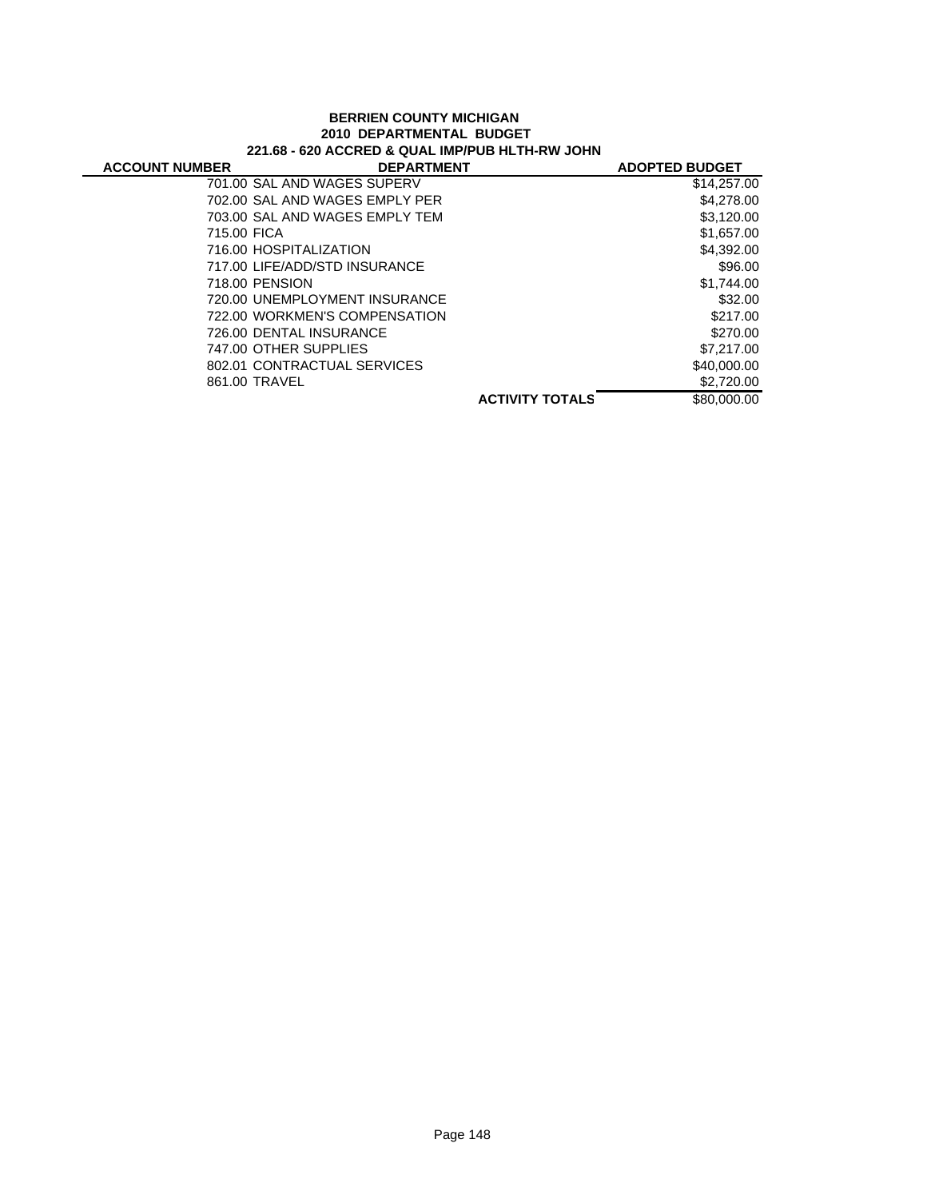#### **BERRIEN COUNTY MICHIGAN 2010 DEPARTMENTAL BUDGET 221.68 - 620 ACCRED & QUAL IMP/PUB HLTH-RW JOHN**

| <b>ACCOUNT NUMBER</b> | <b>DEPARTMENT</b>              |                        | <b>ADOPTED BUDGET</b> |
|-----------------------|--------------------------------|------------------------|-----------------------|
|                       | 701.00 SAL AND WAGES SUPERV    |                        | \$14,257.00           |
|                       | 702.00 SAL AND WAGES EMPLY PER |                        | \$4,278.00            |
|                       | 703.00 SAL AND WAGES EMPLY TEM |                        | \$3,120.00            |
| 715.00 FICA           |                                |                        | \$1,657.00            |
|                       | 716.00 HOSPITALIZATION         |                        | \$4,392.00            |
|                       | 717.00 LIFE/ADD/STD INSURANCE  |                        | \$96.00               |
|                       | 718.00 PENSION                 |                        | \$1,744.00            |
|                       | 720.00 UNEMPLOYMENT INSURANCE  |                        | \$32.00               |
|                       | 722.00 WORKMEN'S COMPENSATION  |                        | \$217.00              |
|                       | 726.00 DENTAL INSURANCE        |                        | \$270.00              |
|                       | 747.00 OTHER SUPPLIES          |                        | \$7,217.00            |
|                       | 802.01 CONTRACTUAL SERVICES    |                        | \$40,000.00           |
|                       | 861.00 TRAVEL                  |                        | \$2,720.00            |
|                       |                                | <b>ACTIVITY TOTALS</b> | \$80,000,00           |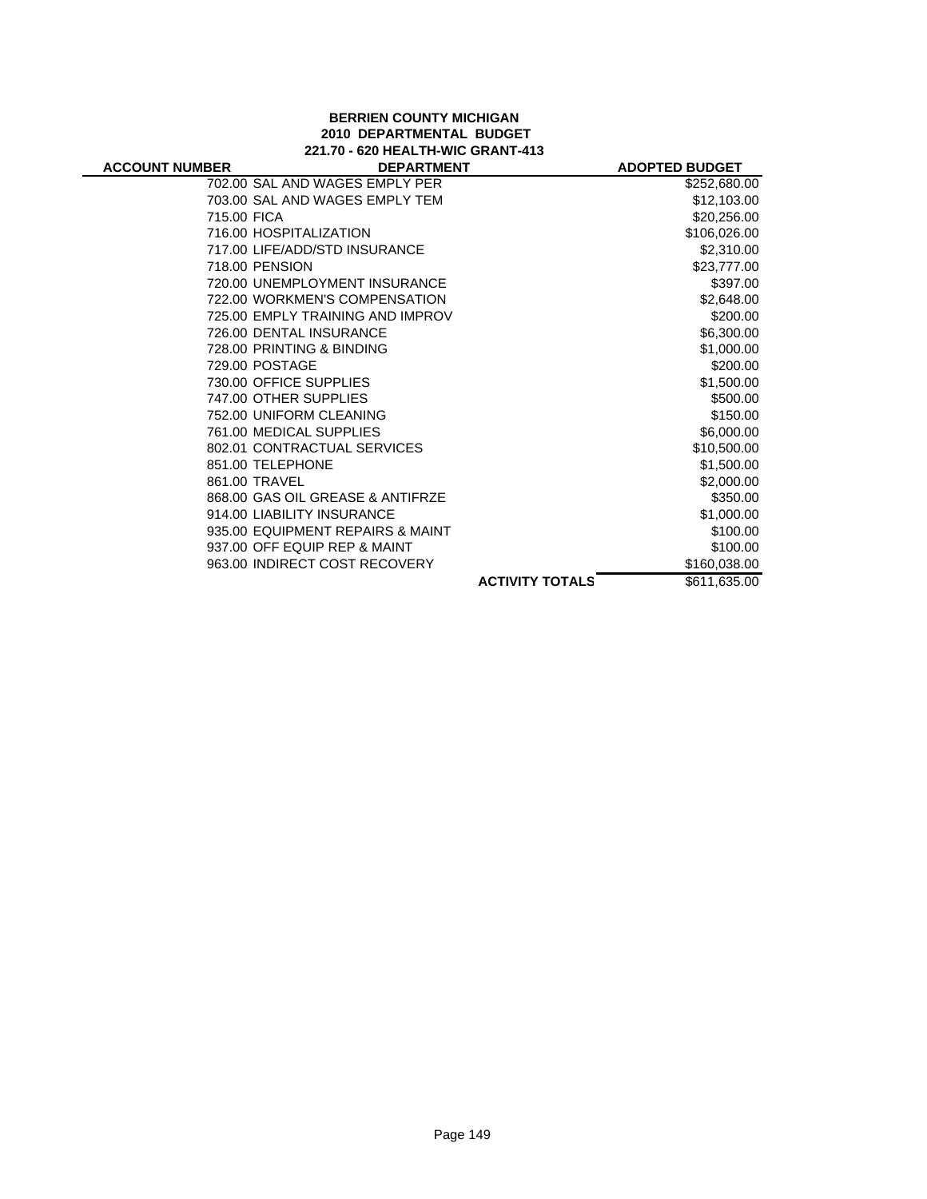## **BERRIEN COUNTY MICHIGAN 2010 DEPARTMENTAL BUDGET 221.70 - 620 HEALTH-WIC GRANT-413**

|                                  |                        | <b>ADOPTED BUDGET</b> |
|----------------------------------|------------------------|-----------------------|
| 702.00 SAL AND WAGES EMPLY PER   |                        | \$252,680.00          |
| 703.00 SAL AND WAGES EMPLY TEM   |                        | \$12,103.00           |
| 715.00 FICA                      |                        | \$20,256.00           |
| 716.00 HOSPITALIZATION           |                        | \$106,026.00          |
| 717.00 LIFE/ADD/STD INSURANCE    |                        | \$2,310.00            |
| 718.00 PENSION                   |                        | \$23,777.00           |
| 720.00 UNEMPLOYMENT INSURANCE    |                        | \$397.00              |
| 722.00 WORKMEN'S COMPENSATION    |                        | \$2,648.00            |
| 725.00 EMPLY TRAINING AND IMPROV |                        | \$200.00              |
| 726.00 DENTAL INSURANCE          |                        | \$6,300.00            |
| 728.00 PRINTING & BINDING        |                        | \$1,000.00            |
| 729.00 POSTAGE                   |                        | \$200.00              |
| 730.00 OFFICE SUPPLIES           |                        | \$1,500.00            |
| 747.00 OTHER SUPPLIES            |                        | \$500.00              |
| 752.00 UNIFORM CLEANING          |                        | \$150.00              |
| 761.00 MEDICAL SUPPLIES          |                        | \$6,000.00            |
| 802.01 CONTRACTUAL SERVICES      |                        | \$10,500.00           |
| 851.00 TELEPHONE                 |                        | \$1,500.00            |
| 861.00 TRAVEL                    |                        | \$2,000.00            |
| 868.00 GAS OIL GREASE & ANTIFRZE |                        | \$350.00              |
| 914.00 LIABILITY INSURANCE       |                        | \$1,000.00            |
| 935.00 EQUIPMENT REPAIRS & MAINT |                        | \$100.00              |
| 937.00 OFF EQUIP REP & MAINT     |                        | \$100.00              |
| 963.00 INDIRECT COST RECOVERY    |                        | \$160,038.00          |
|                                  | <b>ACTIVITY TOTALS</b> | \$611,635.00          |
|                                  |                        | <b>DEPARTMENT</b>     |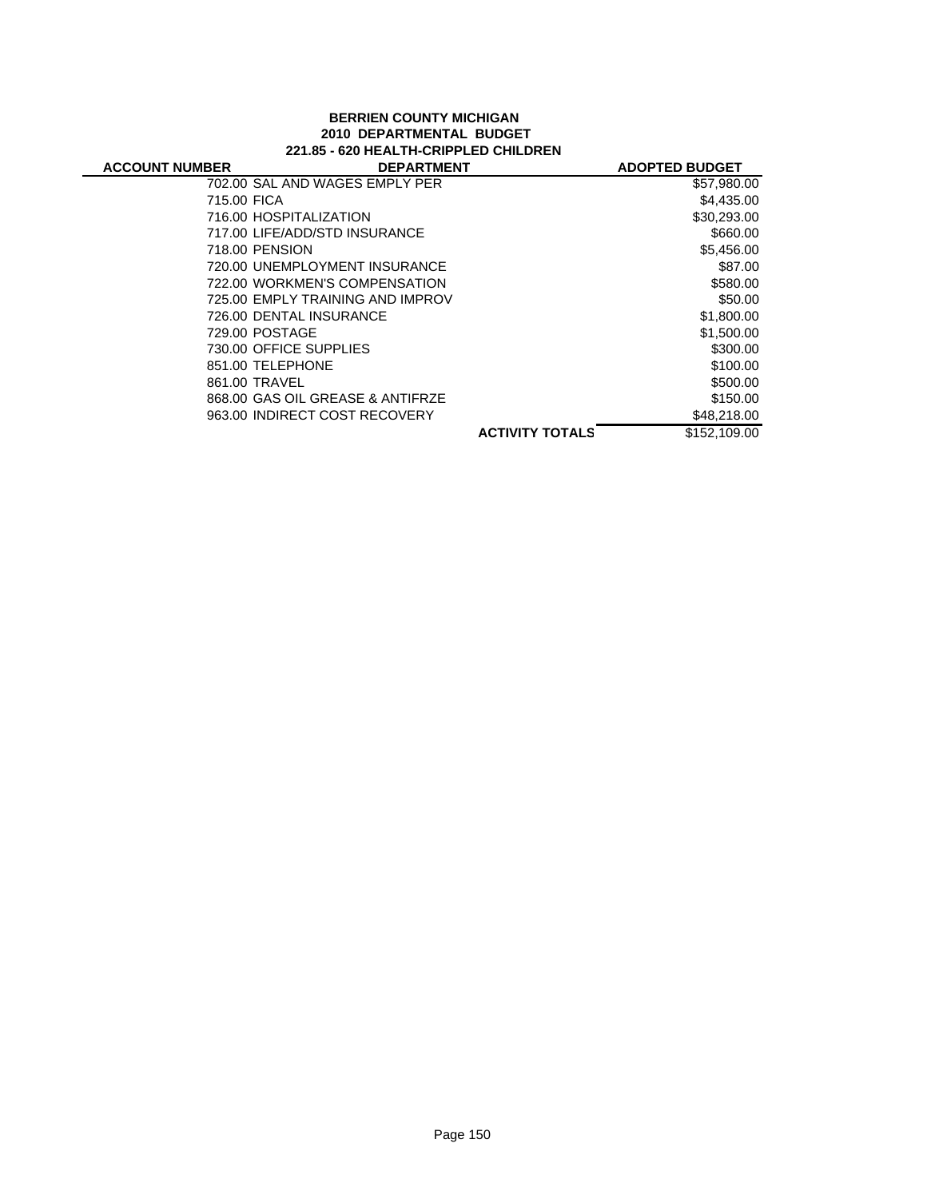## **BERRIEN COUNTY MICHIGAN 2010 DEPARTMENTAL BUDGET 221.85 - 620 HEALTH-CRIPPLED CHILDREN**

| <b>ACCOUNT NUMBER</b> | <b>DEPARTMENT</b>                |                        | <b>ADOPTED BUDGET</b> |
|-----------------------|----------------------------------|------------------------|-----------------------|
|                       | 702.00 SAL AND WAGES EMPLY PER   |                        | \$57,980.00           |
| 715.00 FICA           |                                  |                        | \$4,435.00            |
|                       | 716.00 HOSPITALIZATION           |                        | \$30,293.00           |
|                       | 717.00 LIFE/ADD/STD INSURANCE    |                        | \$660.00              |
|                       | 718.00 PENSION                   |                        | \$5,456.00            |
|                       | 720.00 UNEMPLOYMENT INSURANCE    |                        | \$87.00               |
|                       | 722.00 WORKMEN'S COMPENSATION    |                        | \$580.00              |
|                       | 725.00 EMPLY TRAINING AND IMPROV |                        | \$50.00               |
|                       | 726.00 DENTAL INSURANCE          |                        | \$1,800.00            |
|                       | 729.00 POSTAGE                   |                        | \$1,500.00            |
|                       | 730.00 OFFICE SUPPLIES           |                        | \$300.00              |
|                       | 851.00 TELEPHONE                 |                        | \$100.00              |
|                       | 861.00 TRAVEL                    |                        | \$500.00              |
|                       | 868.00 GAS OIL GREASE & ANTIFRZE |                        | \$150.00              |
|                       | 963.00 INDIRECT COST RECOVERY    |                        | \$48,218.00           |
|                       |                                  | <b>ACTIVITY TOTALS</b> | \$152,109.00          |
|                       |                                  |                        |                       |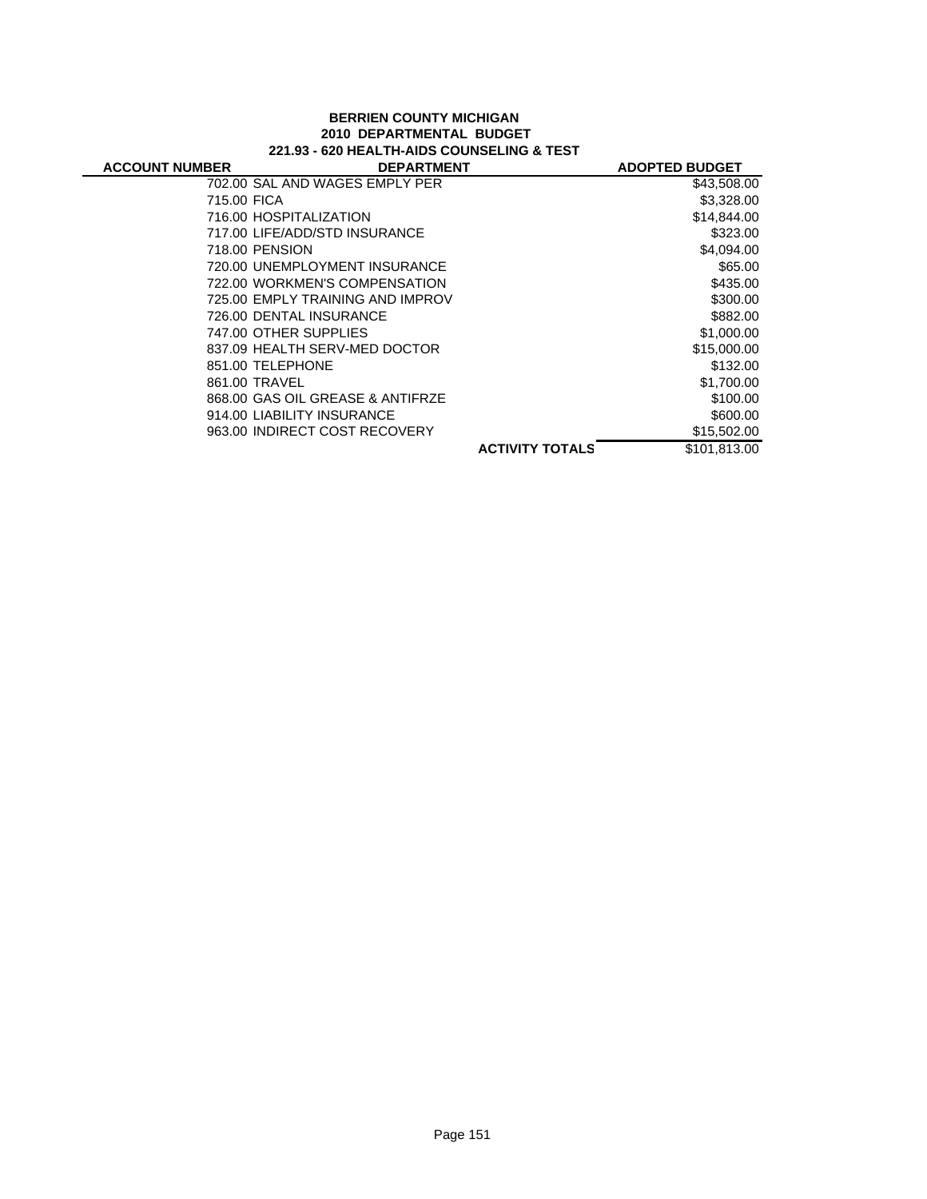## **BERRIEN COUNTY MICHIGAN 2010 DEPARTMENTAL BUDGET 221.93 - 620 HEALTH-AIDS COUNSELING & TEST**

| <b>ACCOUNT NUMBER</b> | <b>DEPARTMENT</b>                |                        | <b>ADOPTED BUDGET</b> |
|-----------------------|----------------------------------|------------------------|-----------------------|
|                       | 702.00 SAL AND WAGES EMPLY PER   |                        | \$43,508.00           |
| 715.00 FICA           |                                  |                        | \$3,328.00            |
|                       | 716.00 HOSPITALIZATION           |                        | \$14,844.00           |
|                       | 717.00 LIFE/ADD/STD INSURANCE    |                        | \$323.00              |
|                       | 718.00 PENSION                   |                        | \$4,094.00            |
|                       | 720.00 UNEMPLOYMENT INSURANCE    |                        | \$65.00               |
|                       | 722.00 WORKMEN'S COMPENSATION    |                        | \$435.00              |
|                       | 725.00 EMPLY TRAINING AND IMPROV |                        | \$300.00              |
|                       | 726.00 DENTAL INSURANCE          |                        | \$882.00              |
|                       | 747.00 OTHER SUPPLIES            |                        | \$1,000.00            |
|                       | 837.09 HEALTH SERV-MED DOCTOR    |                        | \$15,000.00           |
|                       | 851.00 TELEPHONE                 |                        | \$132.00              |
|                       | 861.00 TRAVEL                    |                        | \$1,700.00            |
|                       | 868.00 GAS OIL GREASE & ANTIFRZE |                        | \$100.00              |
|                       | 914.00 LIABILITY INSURANCE       |                        | \$600.00              |
|                       | 963.00 INDIRECT COST RECOVERY    |                        | \$15,502.00           |
|                       |                                  | <b>ACTIVITY TOTALS</b> | \$101,813.00          |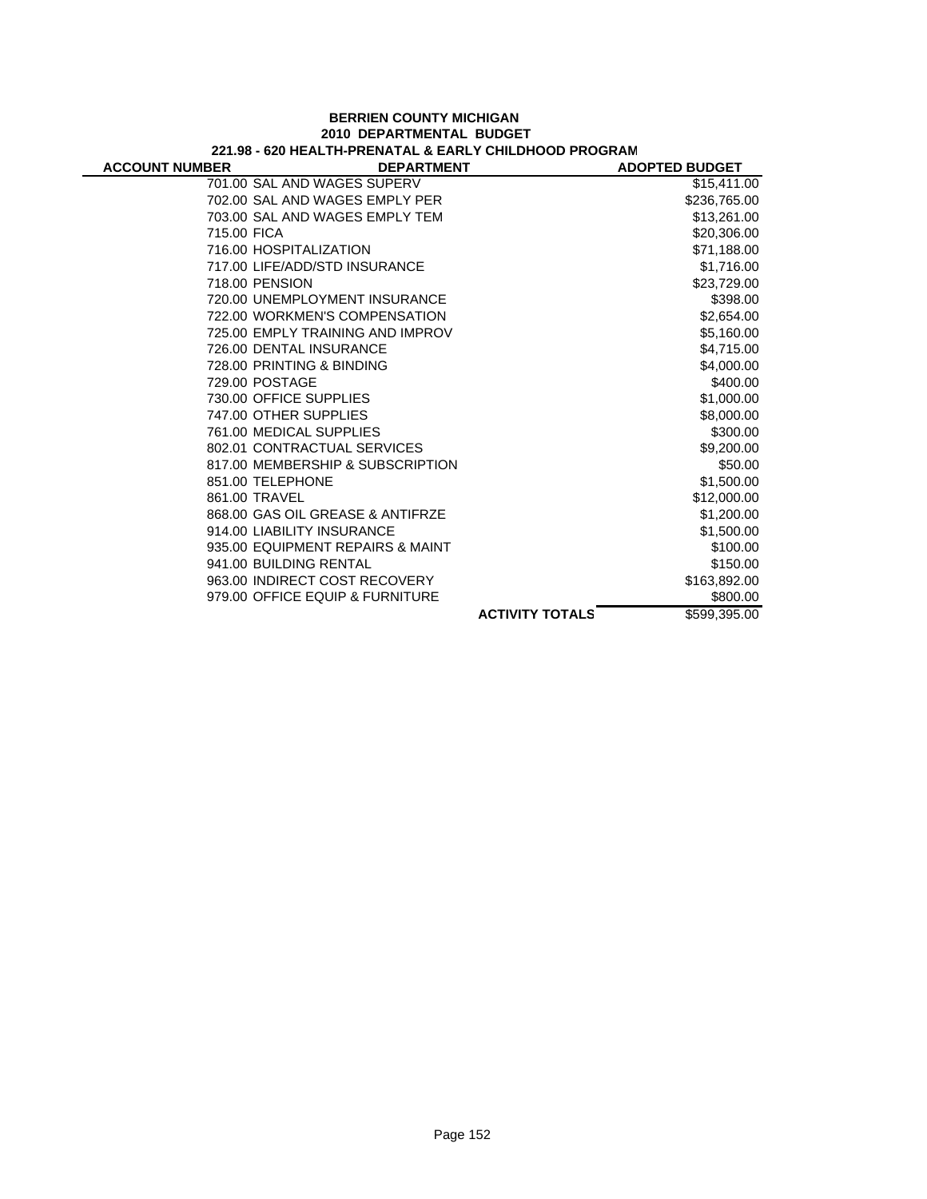#### **BERRIEN COUNTY MICHIGAN 2010 DEPARTMENTAL BUDGET 221.98 - 620 HEALTH-PRENATAL & EARLY CHILDHOOD PROGRAM**

÷,

| <b>ACCOUNT NUMBER</b> | <b>DEPARTMENT</b>                |                        | <b>ADOPTED BUDGET</b> |
|-----------------------|----------------------------------|------------------------|-----------------------|
|                       | 701.00 SAL AND WAGES SUPERV      |                        | \$15,411.00           |
|                       | 702.00 SAL AND WAGES EMPLY PER   |                        | \$236,765.00          |
|                       | 703.00 SAL AND WAGES EMPLY TEM   |                        | \$13,261.00           |
| 715.00 FICA           |                                  |                        | \$20,306.00           |
|                       | 716.00 HOSPITALIZATION           |                        | \$71,188.00           |
|                       | 717.00 LIFE/ADD/STD INSURANCE    |                        | \$1,716.00            |
|                       | 718.00 PENSION                   |                        | \$23,729.00           |
|                       | 720.00 UNEMPLOYMENT INSURANCE    |                        | \$398.00              |
|                       | 722.00 WORKMEN'S COMPENSATION    |                        | \$2,654.00            |
|                       | 725.00 EMPLY TRAINING AND IMPROV |                        | \$5,160.00            |
|                       | 726.00 DENTAL INSURANCE          |                        | \$4,715.00            |
|                       | 728.00 PRINTING & BINDING        |                        | \$4,000.00            |
|                       | 729.00 POSTAGE                   |                        | \$400.00              |
|                       | 730.00 OFFICE SUPPLIES           |                        | \$1,000.00            |
|                       | 747.00 OTHER SUPPLIES            |                        | \$8,000.00            |
|                       | 761.00 MEDICAL SUPPLIES          |                        | \$300.00              |
|                       | 802.01 CONTRACTUAL SERVICES      |                        | \$9,200.00            |
|                       | 817.00 MEMBERSHIP & SUBSCRIPTION |                        | \$50.00               |
|                       | 851.00 TELEPHONE                 |                        | \$1,500.00            |
|                       | 861.00 TRAVEL                    |                        | \$12,000.00           |
|                       | 868.00 GAS OIL GREASE & ANTIFRZE |                        | \$1,200.00            |
|                       | 914.00 LIABILITY INSURANCE       |                        | \$1,500.00            |
|                       | 935.00 EQUIPMENT REPAIRS & MAINT |                        | \$100.00              |
|                       | 941.00 BUILDING RENTAL           |                        | \$150.00              |
|                       | 963.00 INDIRECT COST RECOVERY    |                        | \$163,892.00          |
|                       | 979.00 OFFICE EQUIP & FURNITURE  |                        | \$800.00              |
|                       |                                  | <b>ACTIVITY TOTALS</b> | \$599,395.00          |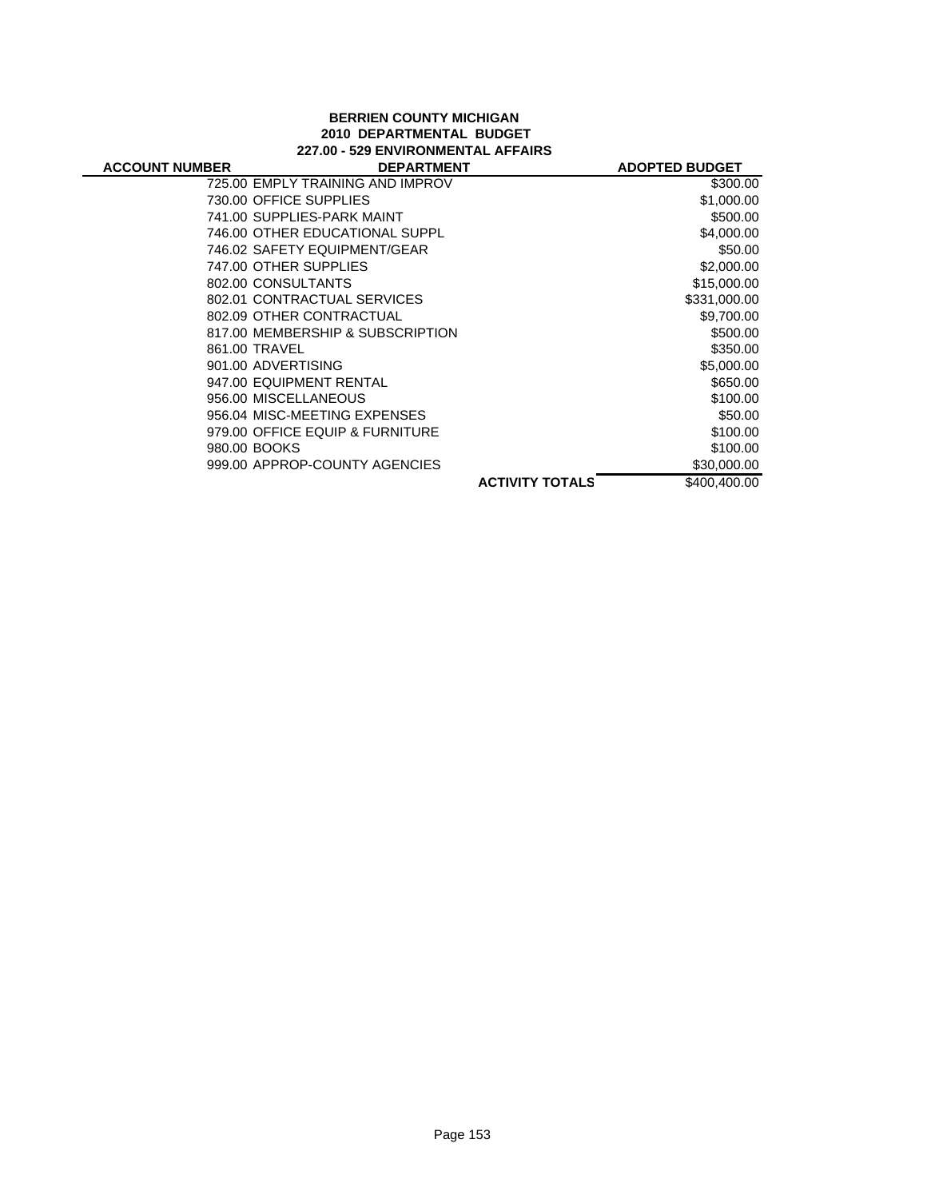## **BERRIEN COUNTY MICHIGAN 2010 DEPARTMENTAL BUDGET 227.00 - 529 ENVIRONMENTAL AFFAIRS**

| <b>ACCOUNT NUMBER</b> | <b>DEPARTMENT</b>                |                        | <b>ADOPTED BUDGET</b> |
|-----------------------|----------------------------------|------------------------|-----------------------|
|                       | 725.00 EMPLY TRAINING AND IMPROV |                        | \$300.00              |
|                       | 730.00 OFFICE SUPPLIES           |                        | \$1,000.00            |
|                       | 741.00 SUPPLIES-PARK MAINT       |                        | \$500.00              |
|                       | 746.00 OTHER EDUCATIONAL SUPPL   |                        | \$4,000.00            |
|                       | 746.02 SAFETY EQUIPMENT/GEAR     |                        | \$50.00               |
|                       | 747.00 OTHER SUPPLIES            |                        | \$2,000.00            |
|                       | 802.00 CONSULTANTS               |                        | \$15,000.00           |
|                       | 802.01 CONTRACTUAL SERVICES      |                        | \$331,000.00          |
|                       | 802.09 OTHER CONTRACTUAL         |                        | \$9,700.00            |
|                       | 817.00 MEMBERSHIP & SUBSCRIPTION |                        | \$500.00              |
|                       | 861.00 TRAVEL                    |                        | \$350.00              |
|                       | 901.00 ADVERTISING               |                        | \$5,000.00            |
|                       | 947.00 EQUIPMENT RENTAL          |                        | \$650.00              |
|                       | 956.00 MISCELLANEOUS             |                        | \$100.00              |
|                       | 956.04 MISC-MEETING EXPENSES     |                        | \$50.00               |
|                       | 979.00 OFFICE EQUIP & FURNITURE  |                        | \$100.00              |
|                       | 980.00 BOOKS                     |                        | \$100.00              |
|                       | 999.00 APPROP-COUNTY AGENCIES    |                        | \$30,000.00           |
|                       |                                  | <b>ACTIVITY TOTALS</b> | \$400,400.00          |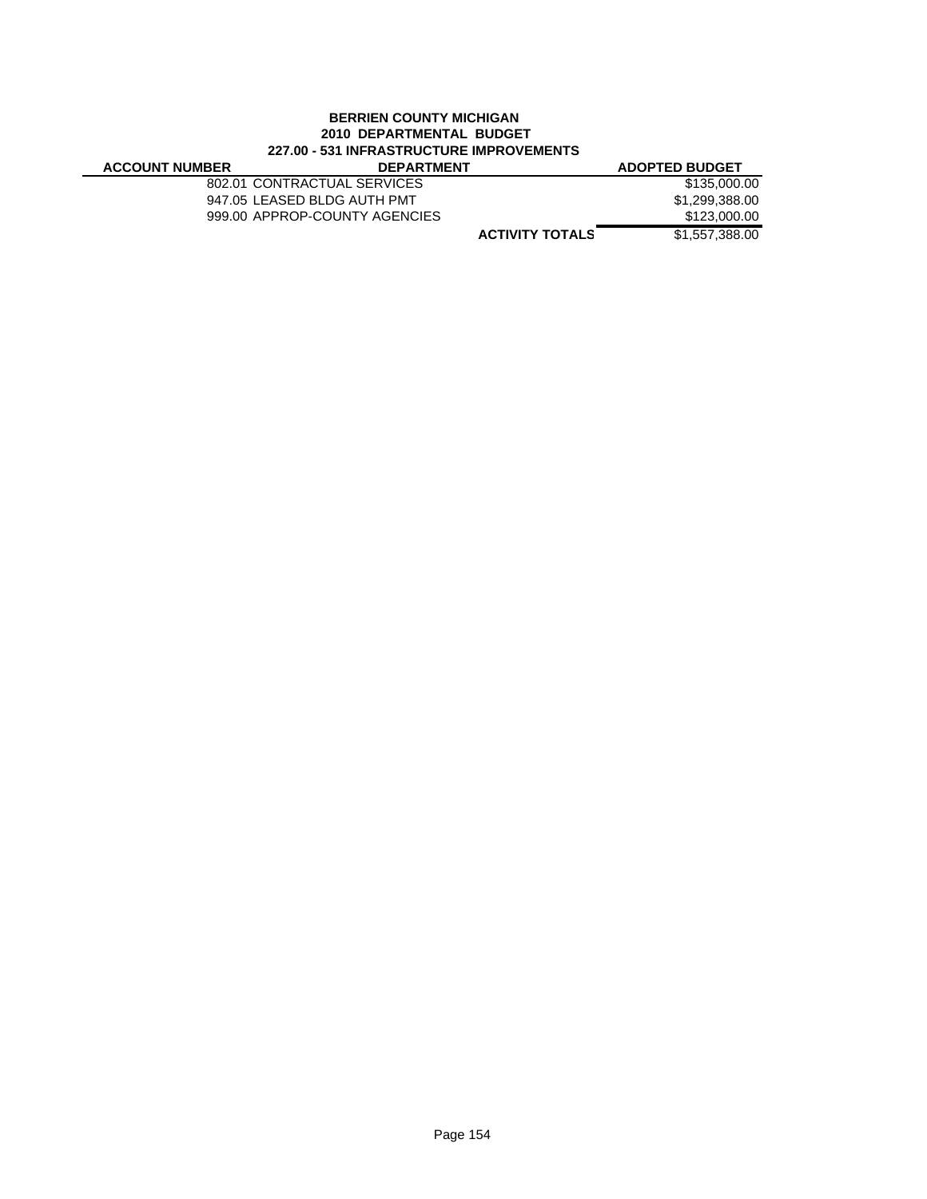## **BERRIEN COUNTY MICHIGAN 2010 DEPARTMENTAL BUDGET 227.00 - 531 INFRASTRUCTURE IMPROVEMENTS**

| ELIVY VYI INI INAVIINVYI VINE INII INV YEMEN I V |                               |                       |  |
|--------------------------------------------------|-------------------------------|-----------------------|--|
| <b>ACCOUNT NUMBER</b>                            | <b>DEPARTMENT</b>             | <b>ADOPTED BUDGET</b> |  |
|                                                  | 802.01 CONTRACTUAL SERVICES   | \$135,000.00          |  |
|                                                  | 947.05 LEASED BLDG AUTH PMT   | \$1,299,388.00        |  |
|                                                  | 999.00 APPROP-COUNTY AGENCIES | \$123,000.00          |  |
|                                                  | <b>ACTIVITY TOTALS</b>        | \$1,557,388,00        |  |
|                                                  |                               |                       |  |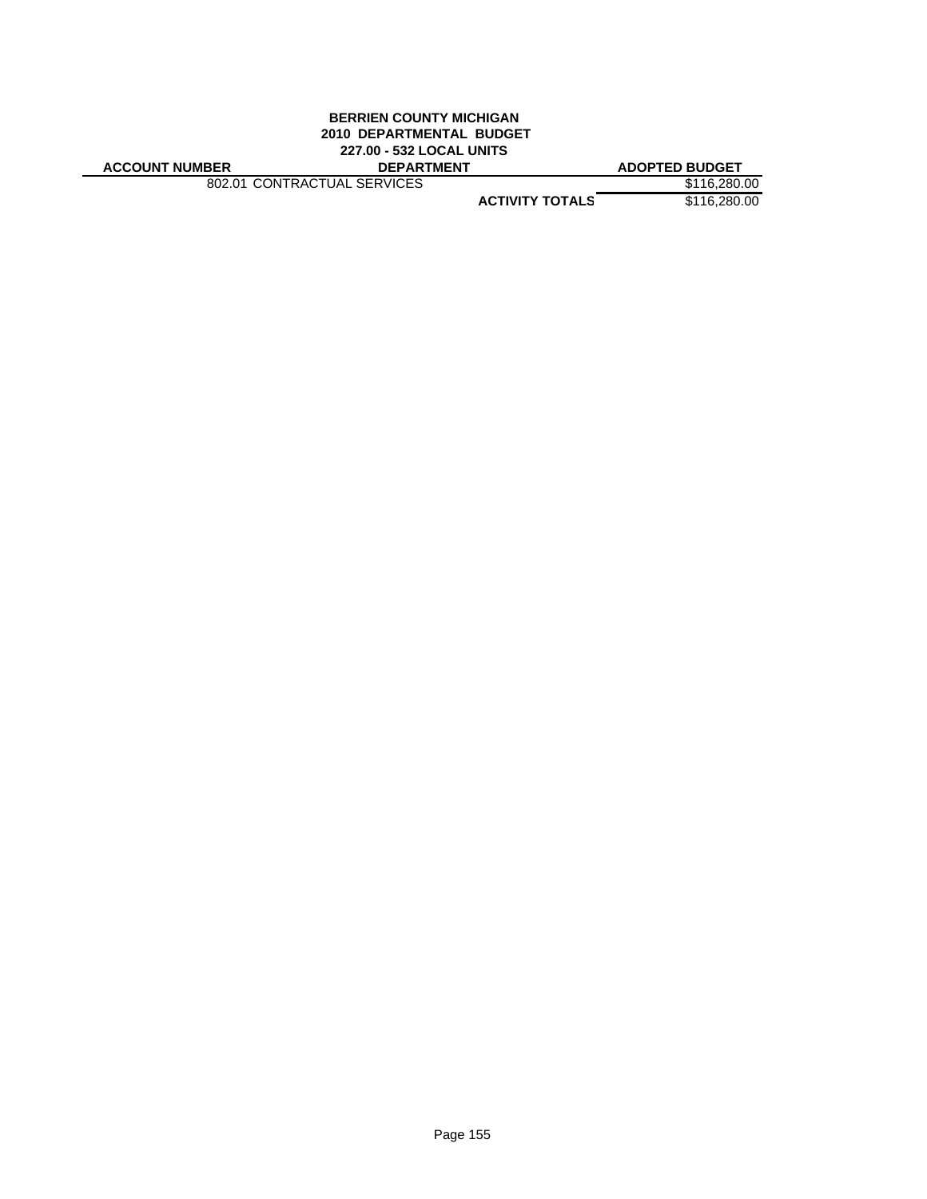#### **BERRIEN COUNTY MICHIGAN 2010 DEPARTMENTAL BUDGET 227.00 - 532 LOCAL UNITS ACCOUNT NUMBER DEPARTMENT ADOPTED BUDGET**

802.01 CONTRACTUAL SERVICES \$116,280.00

**ACTIVITY TOTALS** \$116,280.00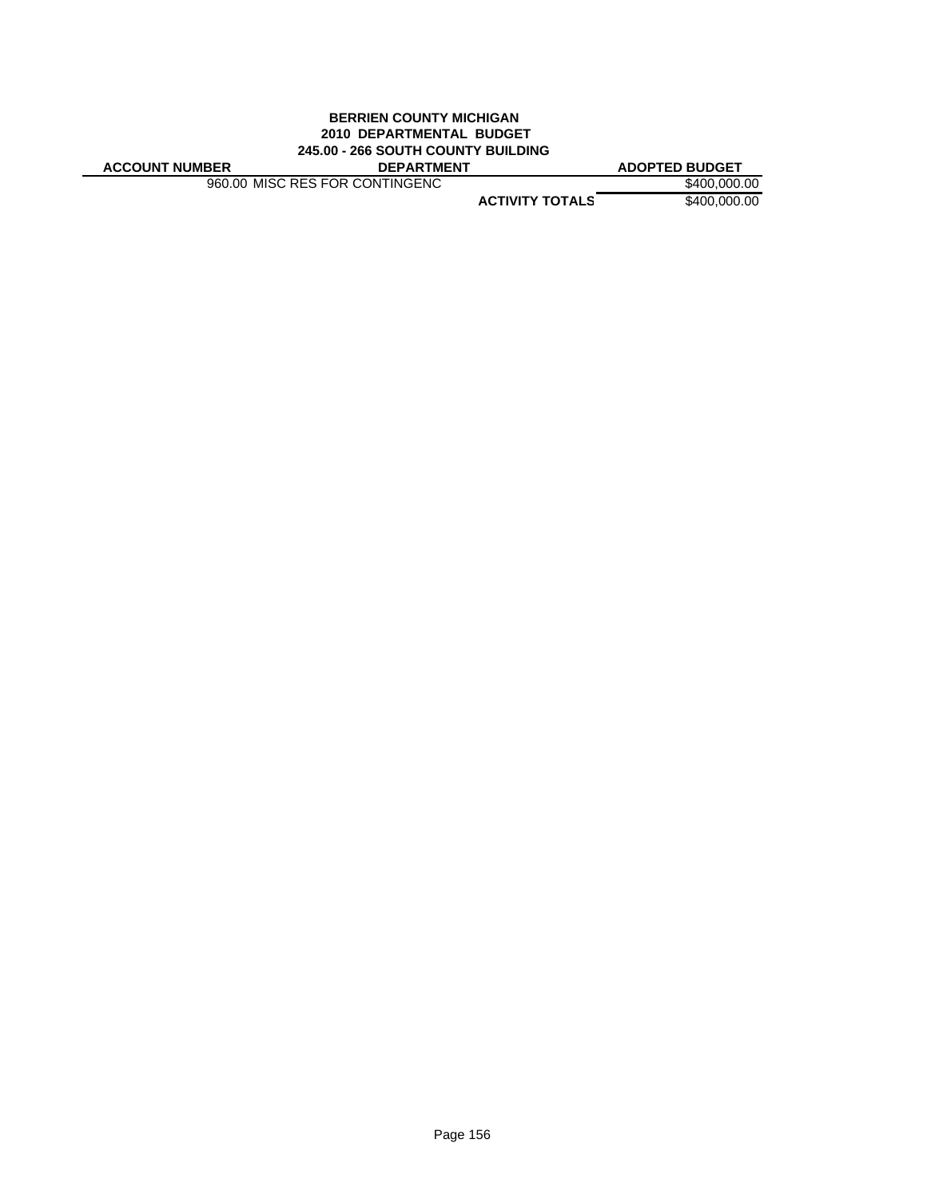## **BERRIEN COUNTY MICHIGAN 2010 DEPARTMENTAL BUDGET 245.00 - 266 SOUTH COUNTY BUILDING**

960.00 MISC RES FOR CONTINGENC \$400,000.00

**ACCOUNT NUMBER DEPARTMENT ADOPTED BUDGET**

**ACTIVITY TOTALS** \$400,000.00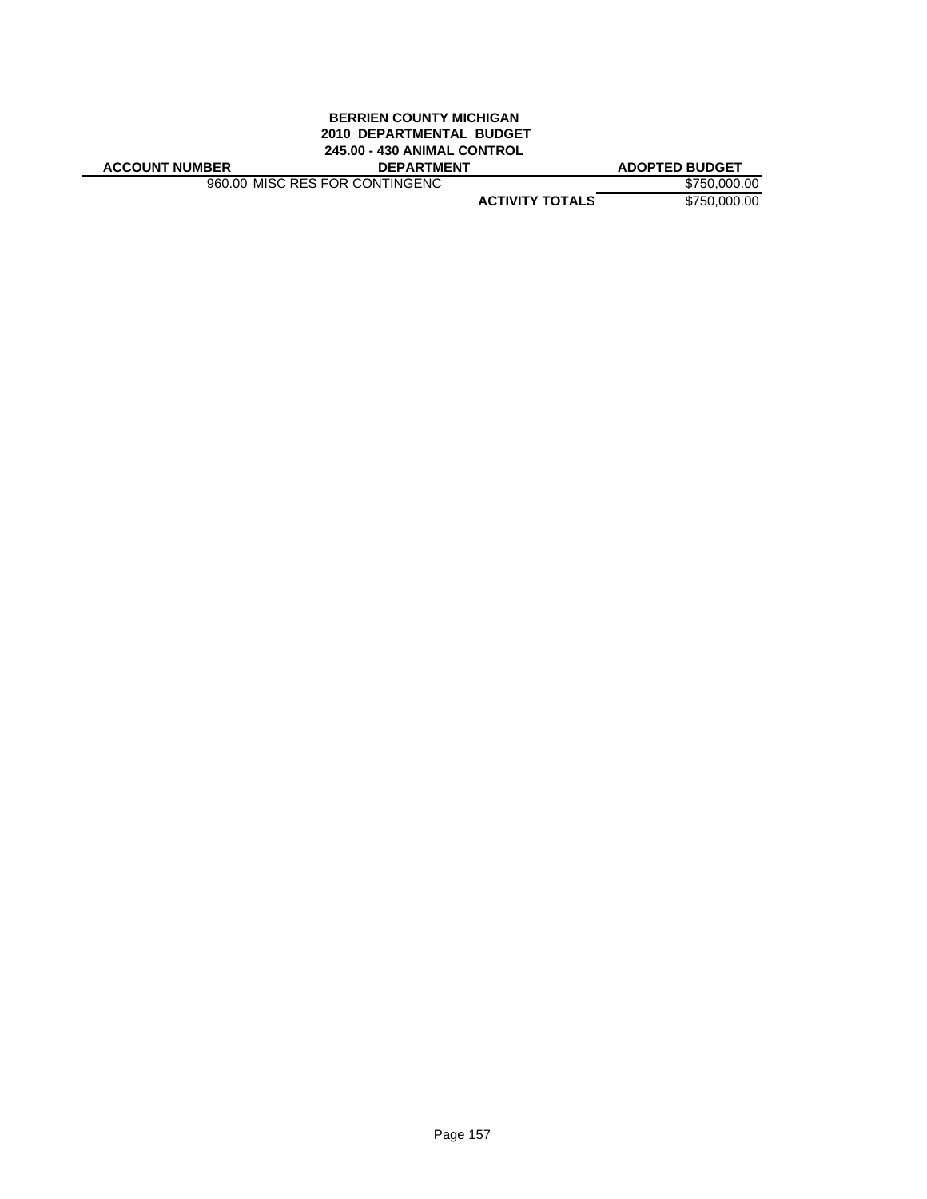## **BERRIEN COUNTY MICHIGAN 2010 DEPARTMENTAL BUDGET 245.00 - 430 ANIMAL CONTROL**

**ACCOUNT NUMBER DEPARTMENT ADOPTED BUDGET**

960.00 MISC RES FOR CONTINGENC \$750,000.00

**ACTIVITY TOTALS** \$750,000.00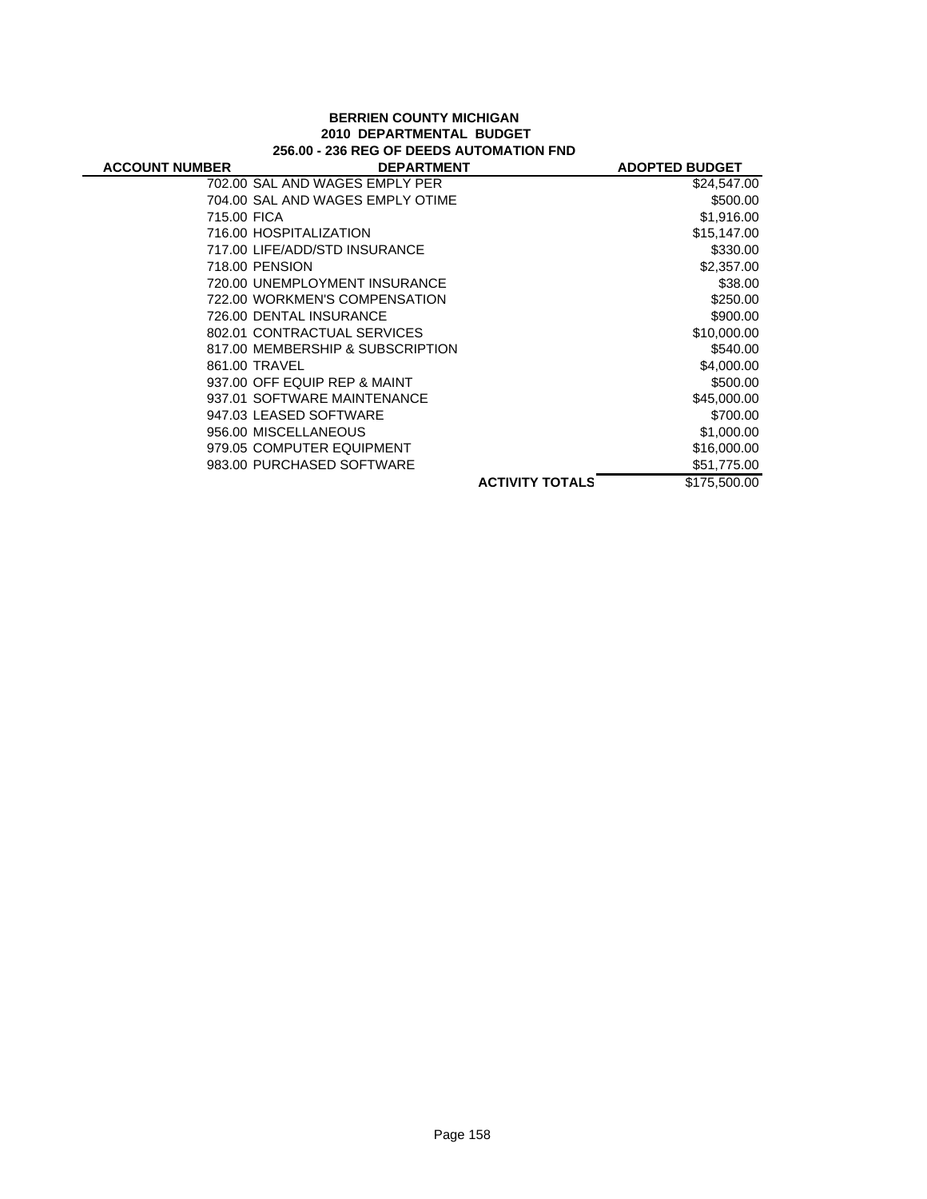#### **BERRIEN COUNTY MICHIGAN 2010 DEPARTMENTAL BUDGET 256.00 - 236 REG OF DEEDS AUTOMATION FND**

| <b>ACCOUNT NUMBER</b> | <b>DEPARTMENT</b>                |                        | <b>ADOPTED BUDGET</b> |
|-----------------------|----------------------------------|------------------------|-----------------------|
|                       | 702.00 SAL AND WAGES EMPLY PER   |                        | \$24,547.00           |
|                       | 704.00 SAL AND WAGES EMPLY OTIME |                        | \$500.00              |
| 715.00 FICA           |                                  |                        | \$1,916.00            |
|                       | 716.00 HOSPITALIZATION           |                        | \$15,147.00           |
|                       | 717.00 LIFE/ADD/STD INSURANCE    |                        | \$330.00              |
|                       | 718.00 PENSION                   |                        | \$2,357.00            |
|                       | 720.00 UNEMPLOYMENT INSURANCE    |                        | \$38.00               |
|                       | 722.00 WORKMEN'S COMPENSATION    |                        | \$250.00              |
|                       | 726.00 DENTAL INSURANCE          |                        | \$900.00              |
|                       | 802.01 CONTRACTUAL SERVICES      |                        | \$10,000.00           |
|                       | 817.00 MEMBERSHIP & SUBSCRIPTION |                        | \$540.00              |
|                       | 861.00 TRAVEL                    |                        | \$4,000.00            |
|                       | 937.00 OFF EQUIP REP & MAINT     |                        | \$500.00              |
|                       | 937.01 SOFTWARE MAINTENANCE      |                        | \$45,000.00           |
|                       | 947.03 LEASED SOFTWARE           |                        | \$700.00              |
|                       | 956.00 MISCELLANEOUS             |                        | \$1,000.00            |
|                       | 979.05 COMPUTER EQUIPMENT        |                        | \$16,000.00           |
|                       | 983.00 PURCHASED SOFTWARE        |                        | \$51,775.00           |
|                       |                                  | <b>ACTIVITY TOTALS</b> | \$175,500,00          |
|                       |                                  |                        |                       |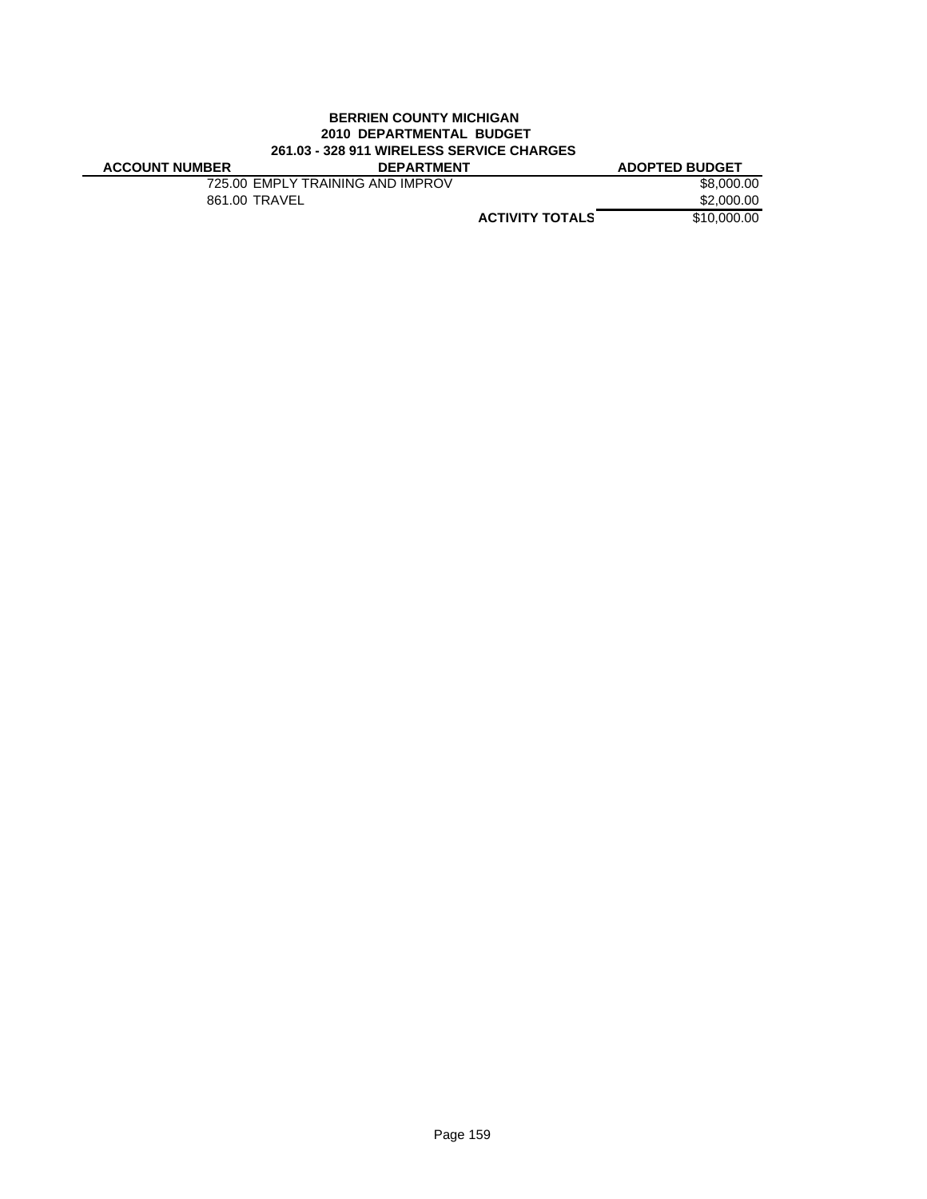## **BERRIEN COUNTY MICHIGAN 2010 DEPARTMENTAL BUDGET 261.03 - 328 911 WIRELESS SERVICE CHARGES**

| <b>ACCOUNT NUMBER</b> | <b>DEPARTMENT</b>                |                        | <b>ADOPTED BUDGET</b> |
|-----------------------|----------------------------------|------------------------|-----------------------|
|                       | 725.00 EMPLY TRAINING AND IMPROV |                        | \$8,000.00            |
|                       | 861.00 TRAVEL                    |                        | \$2,000.00            |
|                       |                                  | <b>ACTIVITY TOTALS</b> | \$10,000,00           |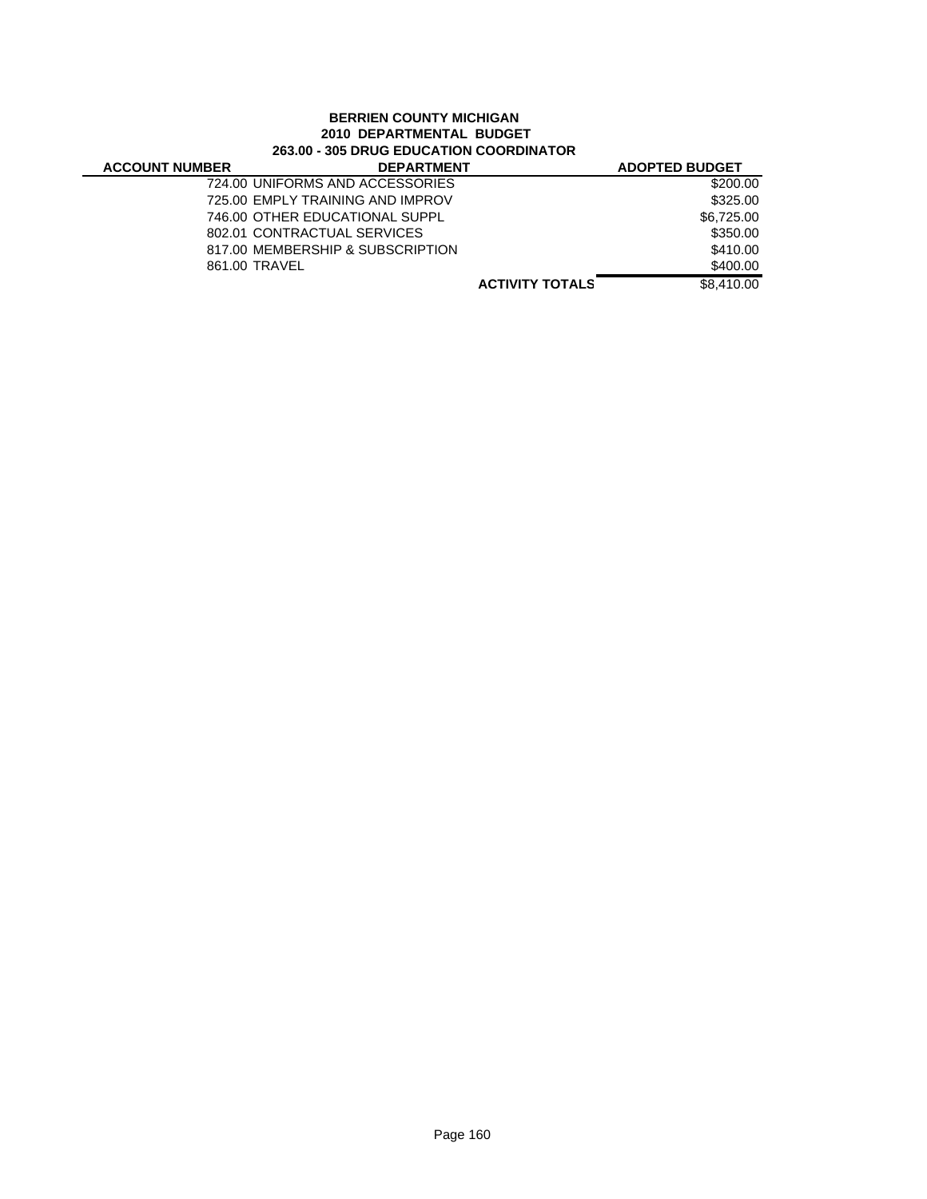## **BERRIEN COUNTY MICHIGAN 2010 DEPARTMENTAL BUDGET 263.00 - 305 DRUG EDUCATION COORDINATOR**

 $\overline{\phantom{0}}$ 

| <b>DEPARTMENT</b>                |                        | <b>ADOPTED BUDGET</b> |
|----------------------------------|------------------------|-----------------------|
| 724.00 UNIFORMS AND ACCESSORIES  |                        | \$200.00              |
| 725.00 EMPLY TRAINING AND IMPROV |                        | \$325.00              |
| 746.00 OTHER EDUCATIONAL SUPPL   |                        | \$6,725.00            |
| 802.01 CONTRACTUAL SERVICES      |                        | \$350.00              |
| 817.00 MEMBERSHIP & SUBSCRIPTION |                        | \$410.00              |
| 861.00 TRAVEL                    |                        | \$400.00              |
|                                  | <b>ACTIVITY TOTALS</b> | \$8,410,00            |
|                                  |                        |                       |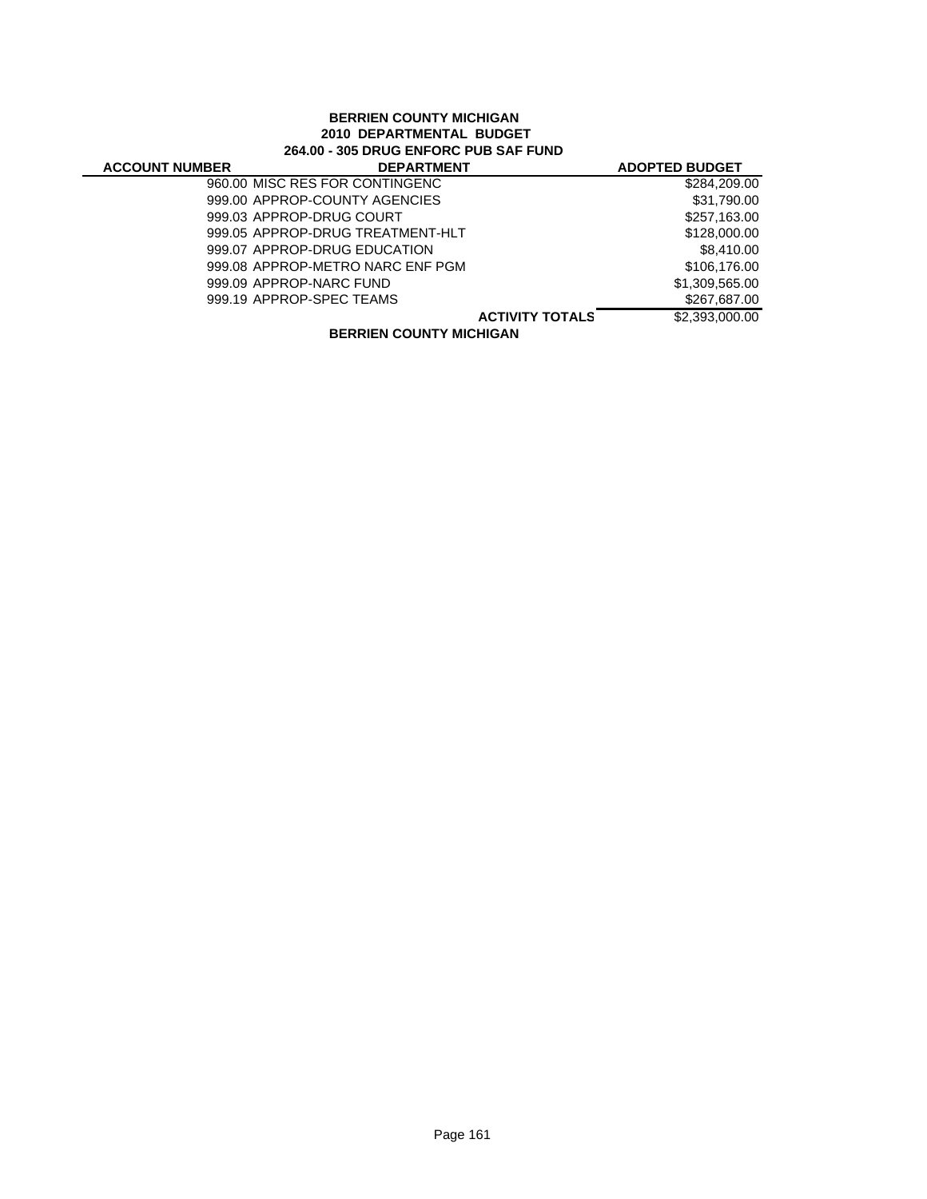## **BERRIEN COUNTY MICHIGAN 2010 DEPARTMENTAL BUDGET 264.00 - 305 DRUG ENFORC PUB SAF FUND**

 $\overline{a}$ 

| <b>ACCOUNT NUMBER</b> | <b>DEPARTMENT</b>                | <b>ADOPTED BUDGET</b>                    |
|-----------------------|----------------------------------|------------------------------------------|
|                       | 960.00 MISC RES FOR CONTINGENC   | \$284,209.00                             |
|                       | 999.00 APPROP-COUNTY AGENCIES    | \$31,790.00                              |
|                       | 999.03 APPROP-DRUG COURT         | \$257,163.00                             |
|                       | 999.05 APPROP-DRUG TREATMENT-HLT | \$128,000.00                             |
|                       | 999.07 APPROP-DRUG EDUCATION     | \$8,410.00                               |
|                       | 999.08 APPROP-METRO NARC ENF PGM | \$106,176,00                             |
|                       | 999.09 APPROP-NARC FUND          | \$1,309,565.00                           |
|                       | 999.19 APPROP-SPEC TEAMS         | \$267,687.00                             |
|                       |                                  | \$2,393,000.00<br><b>ACTIVITY TOTALS</b> |
|                       | <b>DEDDIEN COUNTY MICHICAN</b>   |                                          |

**BERRIEN COUNTY MICHIGAN**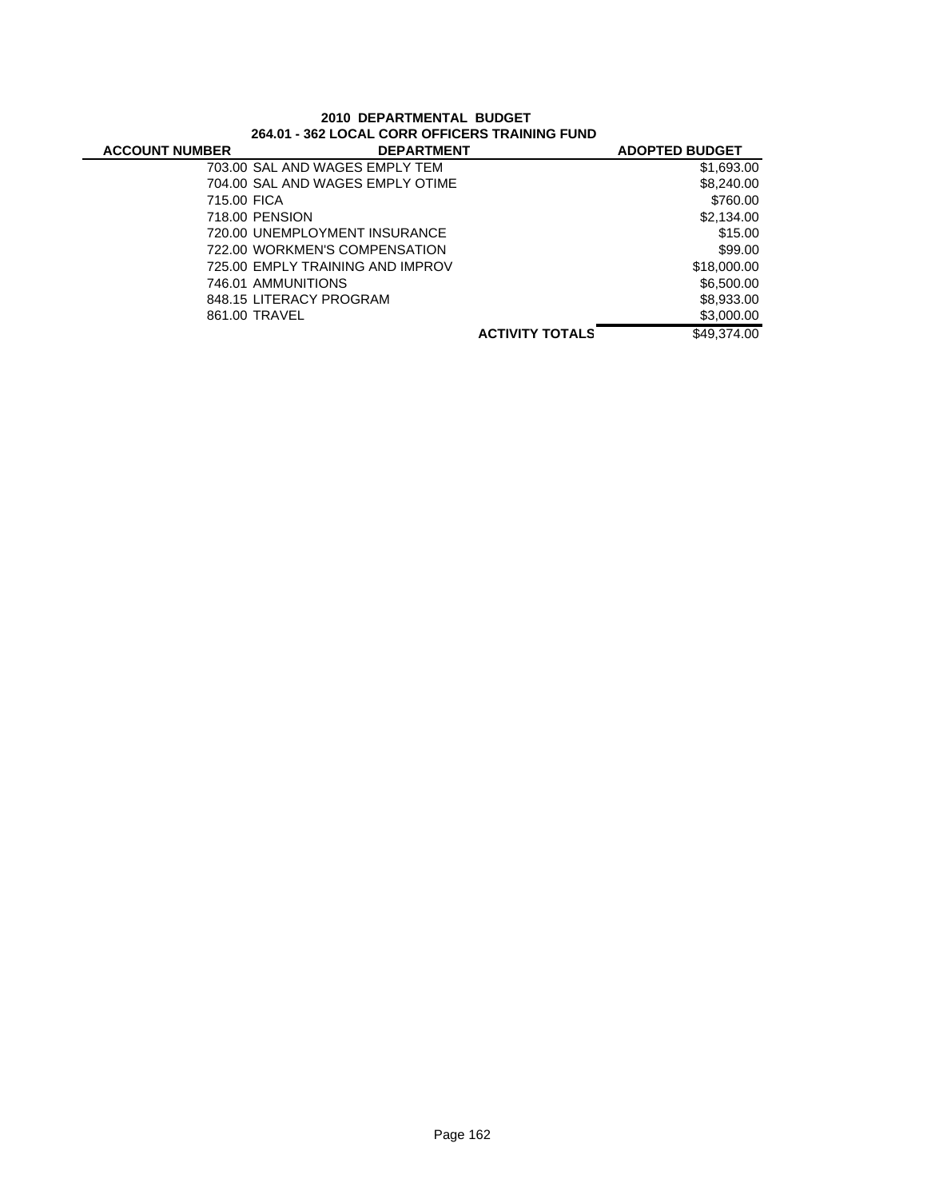| <b>ACCOUNT NUMBER</b> | <b>DEPARTMENT</b>                |                        | <b>ADOPTED BUDGET</b> |
|-----------------------|----------------------------------|------------------------|-----------------------|
|                       | 703.00 SAL AND WAGES EMPLY TEM   |                        | \$1,693.00            |
|                       | 704.00 SAL AND WAGES EMPLY OTIME |                        | \$8,240.00            |
| 715.00 FICA           |                                  |                        | \$760.00              |
|                       | 718.00 PENSION                   |                        | \$2,134.00            |
|                       | 720.00 UNEMPLOYMENT INSURANCE    |                        | \$15.00               |
|                       | 722.00 WORKMEN'S COMPENSATION    |                        | \$99.00               |
|                       | 725.00 EMPLY TRAINING AND IMPROV |                        | \$18,000.00           |
|                       | 746.01 AMMUNITIONS               |                        | \$6,500.00            |
|                       | 848.15 LITERACY PROGRAM          |                        | \$8,933.00            |
|                       | 861.00 TRAVEL                    |                        | \$3,000.00            |
|                       |                                  | <b>ACTIVITY TOTALS</b> | \$49,374.00           |

## **2010 DEPARTMENTAL BUDGET 264.01 - 362 LOCAL CORR OFFICERS TRAINING FUND**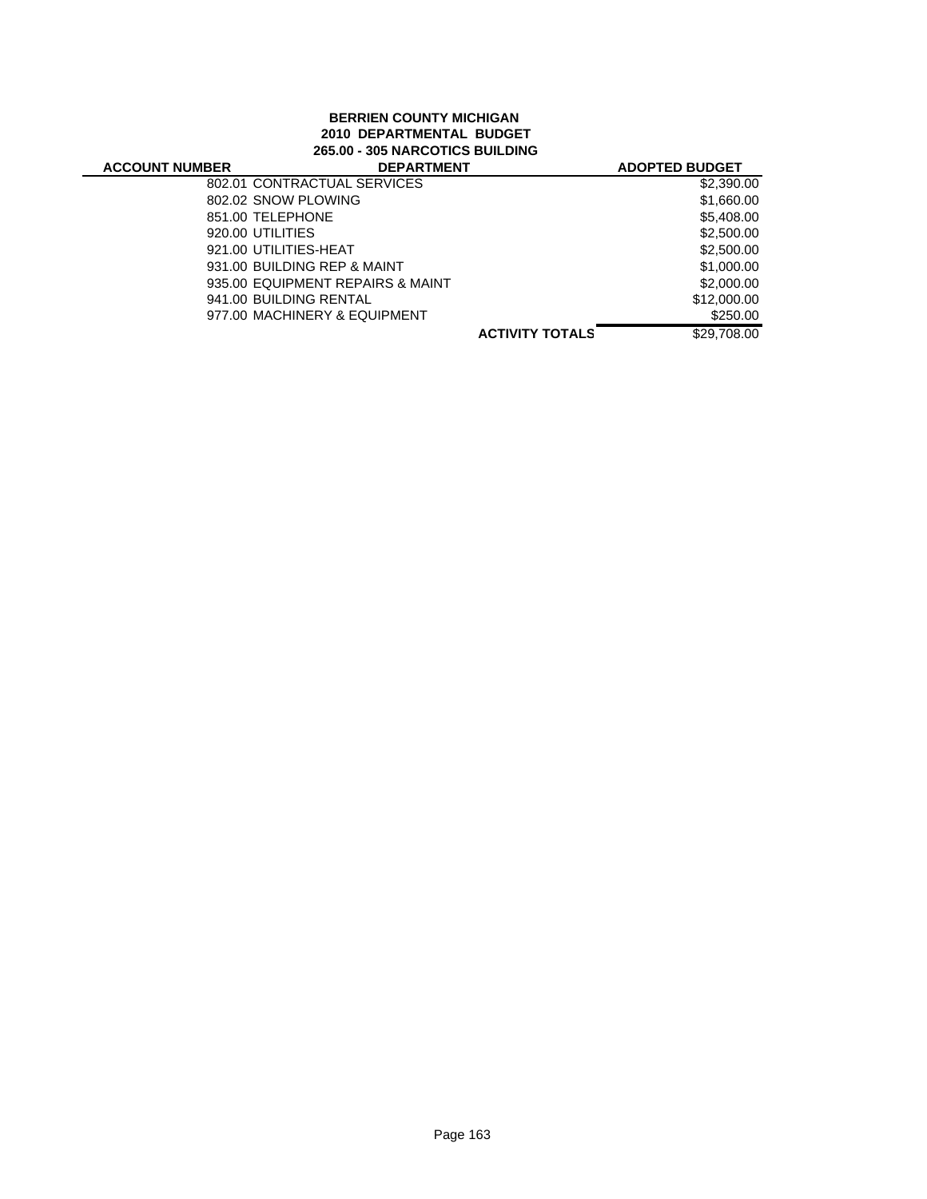## **BERRIEN COUNTY MICHIGAN 2010 DEPARTMENTAL BUDGET 265.00 - 305 NARCOTICS BUILDING**

#### **ACTIVITY TOTALS** \$29,708.00 **ACCOUNT NUMBER DEPARTMENT ADOPTED BUDGET** 802.01 CONTRACTUAL SERVICES \$2,390.00 802.02 SNOW PLOWING \$1,660.00 851.00 TELEPHONE \$5,408.00 920.00 UTILITIES \$2,500.00 921.00 UTILITIES-HEAT \$2,500.00 931.00 BUILDING REP & MAINT \$1,000.00 935.00 EQUIPMENT REPAIRS & MAINT \$2,000.00 941.00 BUILDING RENTAL \$12,000.00 977.00 MACHINERY & EQUIPMENT \$250.00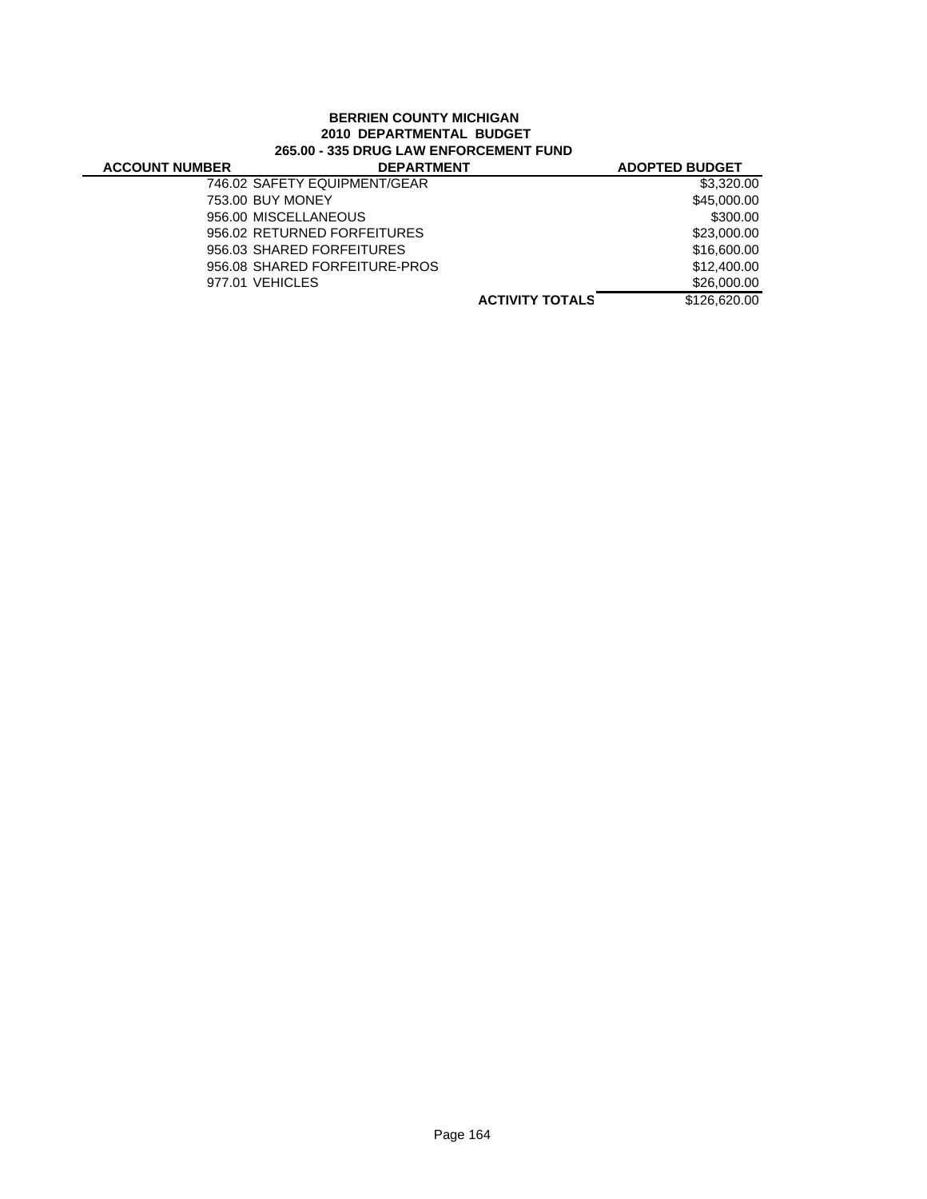## **BERRIEN COUNTY MICHIGAN 2010 DEPARTMENTAL BUDGET 265.00 - 335 DRUG LAW ENFORCEMENT FUND**

| <b>ACCOUNT NUMBER</b> | <b>DEPARTMENT</b>             |                        | <b>ADOPTED BUDGET</b> |
|-----------------------|-------------------------------|------------------------|-----------------------|
|                       | 746.02 SAFETY EQUIPMENT/GEAR  |                        | \$3,320.00            |
|                       | 753.00 BUY MONEY              |                        | \$45,000.00           |
|                       | 956.00 MISCELLANEOUS          |                        | \$300.00              |
|                       | 956.02 RETURNED FORFEITURES   |                        | \$23,000.00           |
|                       | 956.03 SHARED FORFEITURES     |                        | \$16,600,00           |
|                       | 956.08 SHARED FORFEITURE-PROS |                        | \$12,400.00           |
|                       | 977.01 VEHICLES               |                        | \$26,000,00           |
|                       |                               | <b>ACTIVITY TOTALS</b> | \$126,620,00          |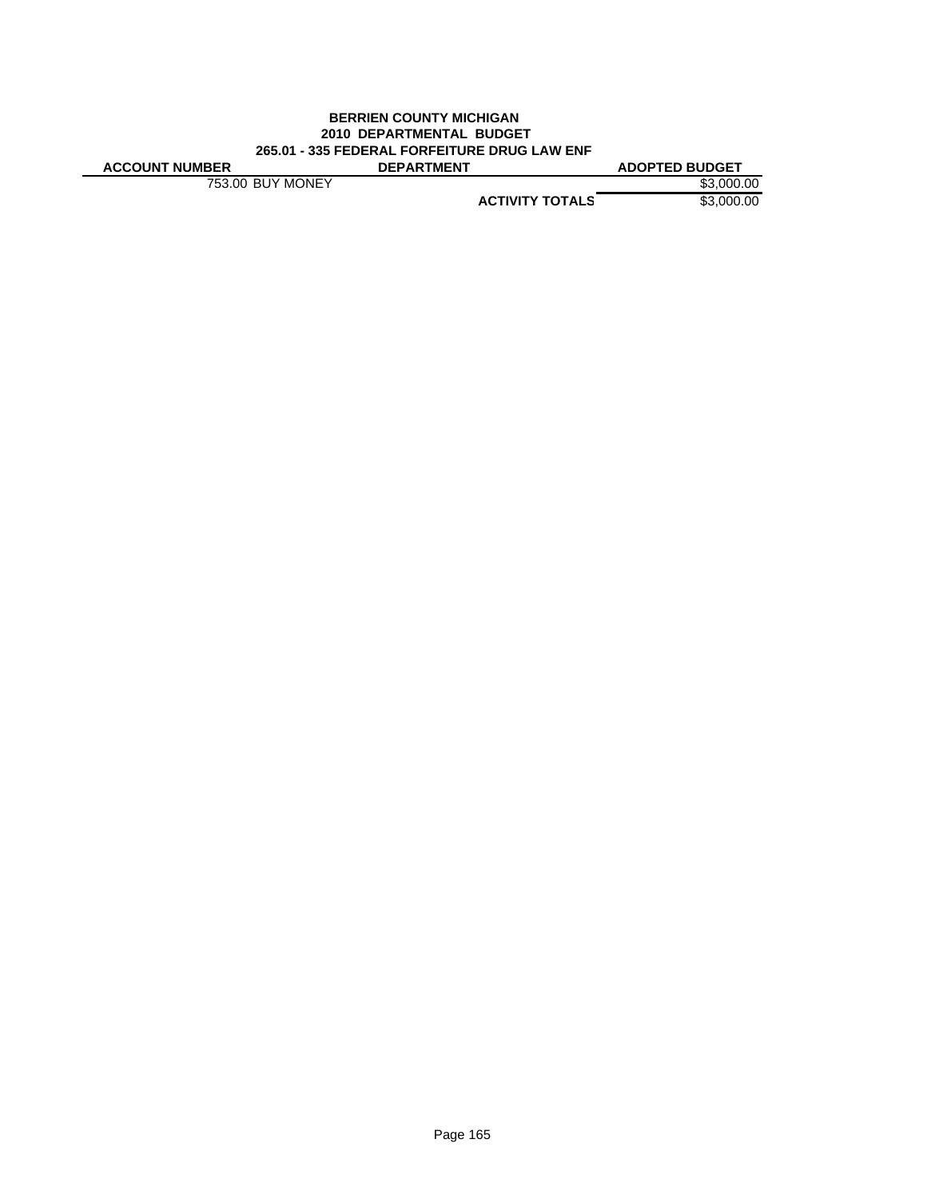#### **BERRIEN COUNTY MICHIGAN 2010 DEPARTMENTAL BUDGET 265.01 - 335 FEDERAL FORFEITURE DRUG LAW ENF ACCOUNT NUMBER DEPARTMENT ADOPTED BUDGET**

753.00 BUY MONEY \$3,000.00

**ACTIVITY TOTALS** \$3,000.00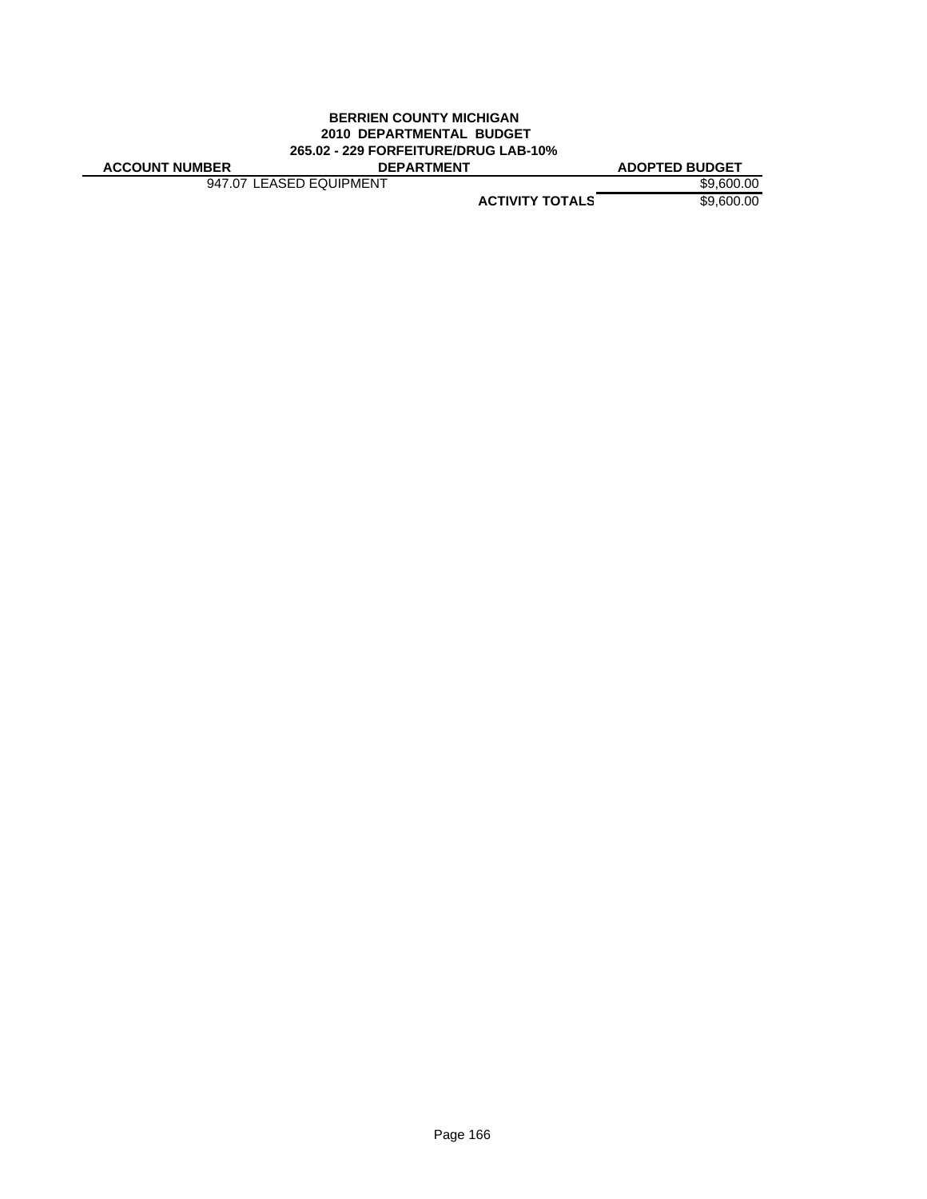## **BERRIEN COUNTY MICHIGAN 2010 DEPARTMENTAL BUDGET 265.02 - 229 FORFEITURE/DRUG LAB-10%**

947.07 LEASED EQUIPMENT \$9,600.00

**ACCOUNT NUMBER DEPARTMENT ADOPTED BUDGET**

**ACTIVITY TOTALS** \$9,600.00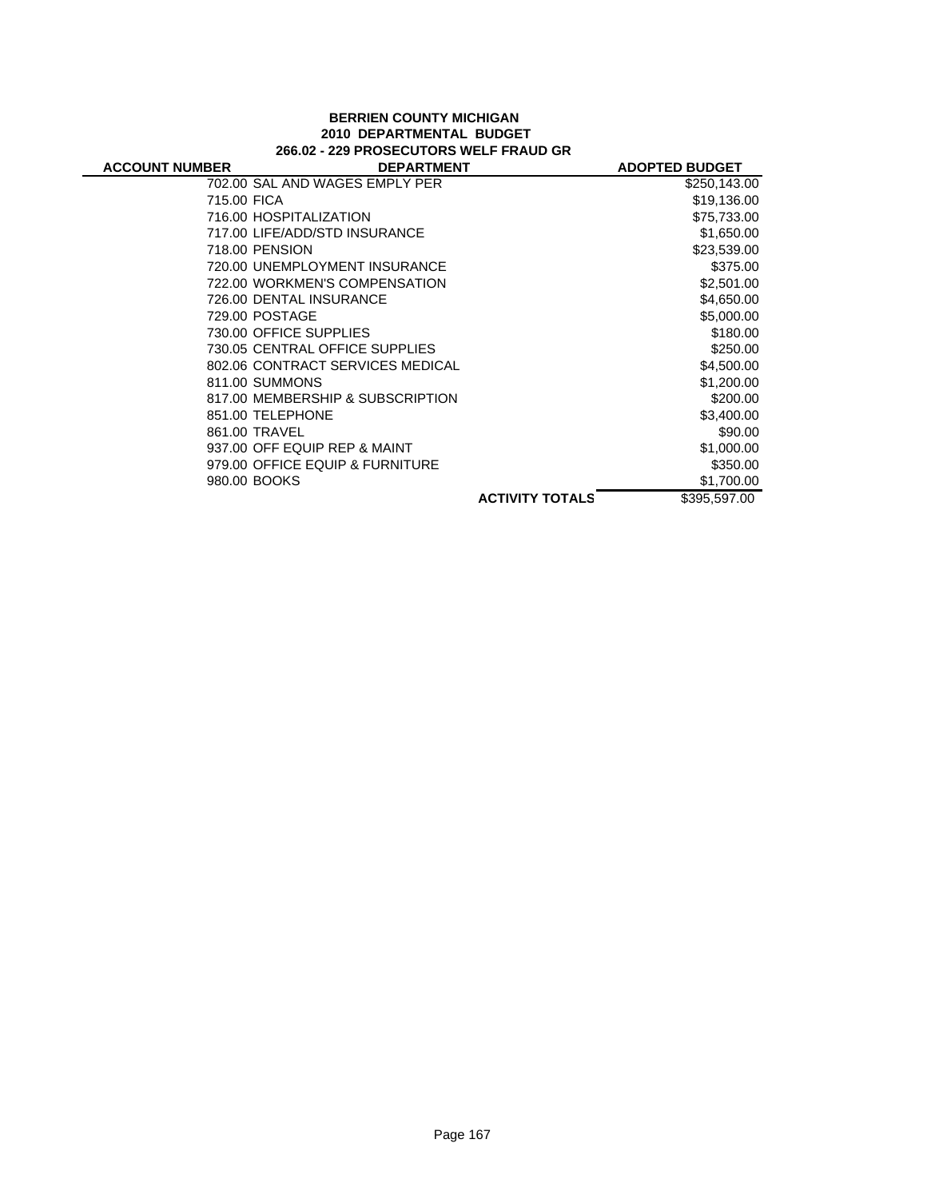### **BERRIEN COUNTY MICHIGAN 2010 DEPARTMENTAL BUDGET 266.02 - 229 PROSECUTORS WELF FRAUD GR**

| <b>ACCOUNT NUMBER</b> | <b>DEPARTMENT</b>                |                        | <b>ADOPTED BUDGET</b> |
|-----------------------|----------------------------------|------------------------|-----------------------|
|                       | 702.00 SAL AND WAGES EMPLY PER   |                        | \$250,143.00          |
| 715.00 FICA           |                                  |                        | \$19,136.00           |
|                       | 716.00 HOSPITALIZATION           |                        | \$75,733.00           |
|                       | 717.00 LIFE/ADD/STD INSURANCE    |                        | \$1,650.00            |
|                       | 718.00 PENSION                   |                        | \$23,539.00           |
|                       | 720.00 UNEMPLOYMENT INSURANCE    |                        | \$375.00              |
|                       | 722.00 WORKMEN'S COMPENSATION    |                        | \$2,501.00            |
|                       | 726.00 DENTAL INSURANCE          |                        | \$4,650.00            |
|                       | 729.00 POSTAGE                   |                        | \$5,000.00            |
|                       | 730.00 OFFICE SUPPLIES           |                        | \$180.00              |
|                       | 730.05 CENTRAL OFFICE SUPPLIES   |                        | \$250.00              |
|                       | 802.06 CONTRACT SERVICES MEDICAL |                        | \$4,500.00            |
|                       | 811.00 SUMMONS                   |                        | \$1,200.00            |
|                       | 817.00 MEMBERSHIP & SUBSCRIPTION |                        | \$200.00              |
|                       | 851.00 TELEPHONE                 |                        | \$3,400.00            |
|                       | 861.00 TRAVEL                    |                        | \$90.00               |
|                       | 937.00 OFF EQUIP REP & MAINT     |                        | \$1,000.00            |
|                       | 979.00 OFFICE EQUIP & FURNITURE  |                        | \$350.00              |
|                       | 980.00 BOOKS                     |                        | \$1,700.00            |
|                       |                                  | <b>ACTIVITY TOTALS</b> | \$395.597.00          |
|                       |                                  |                        |                       |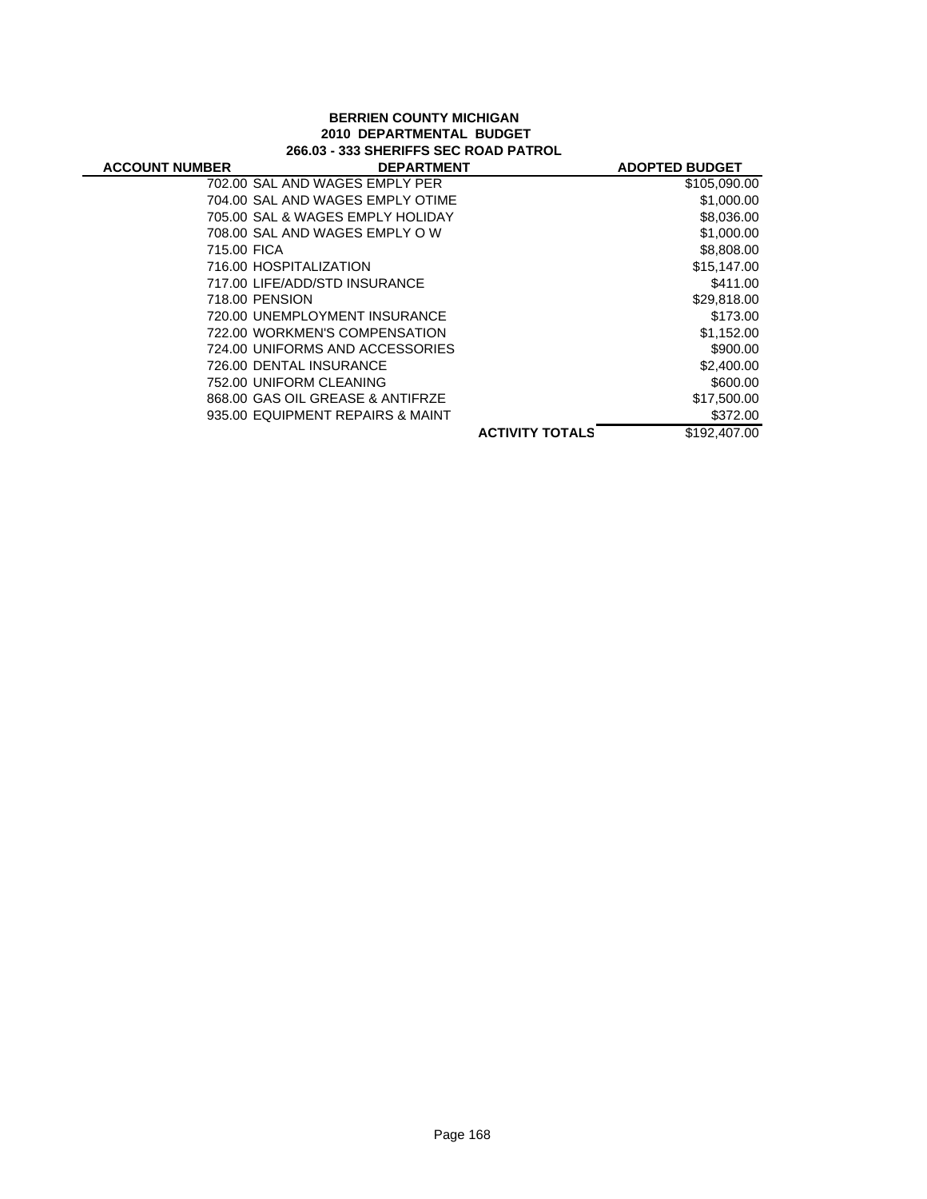#### **BERRIEN COUNTY MICHIGAN 2010 DEPARTMENTAL BUDGET 266.03 - 333 SHERIFFS SEC ROAD PATROL**

| <b>ACCOUNT NUMBER</b> | <b>DEPARTMENT</b>                |                        | <b>ADOPTED BUDGET</b> |
|-----------------------|----------------------------------|------------------------|-----------------------|
|                       | 702.00 SAL AND WAGES EMPLY PER   |                        | \$105,090.00          |
|                       | 704.00 SAL AND WAGES EMPLY OTIME |                        | \$1,000.00            |
|                       | 705.00 SAL & WAGES EMPLY HOLIDAY |                        | \$8,036.00            |
|                       | 708.00 SAL AND WAGES EMPLY OW    |                        | \$1,000.00            |
| 715.00 FICA           |                                  |                        | \$8,808.00            |
|                       | 716.00 HOSPITALIZATION           |                        | \$15,147.00           |
|                       | 717.00 LIFE/ADD/STD INSURANCE    |                        | \$411.00              |
|                       | 718.00 PENSION                   |                        | \$29,818.00           |
|                       | 720.00 UNEMPLOYMENT INSURANCE    |                        | \$173.00              |
|                       | 722.00 WORKMEN'S COMPENSATION    |                        | \$1,152.00            |
|                       | 724.00 UNIFORMS AND ACCESSORIES  |                        | \$900.00              |
|                       | 726.00 DENTAL INSURANCE          |                        | \$2,400.00            |
|                       | 752.00 UNIFORM CLEANING          |                        | \$600.00              |
|                       | 868.00 GAS OIL GREASE & ANTIFRZE |                        | \$17,500.00           |
|                       | 935.00 EQUIPMENT REPAIRS & MAINT |                        | \$372.00              |
|                       |                                  | <b>ACTIVITY TOTALS</b> | \$192,407.00          |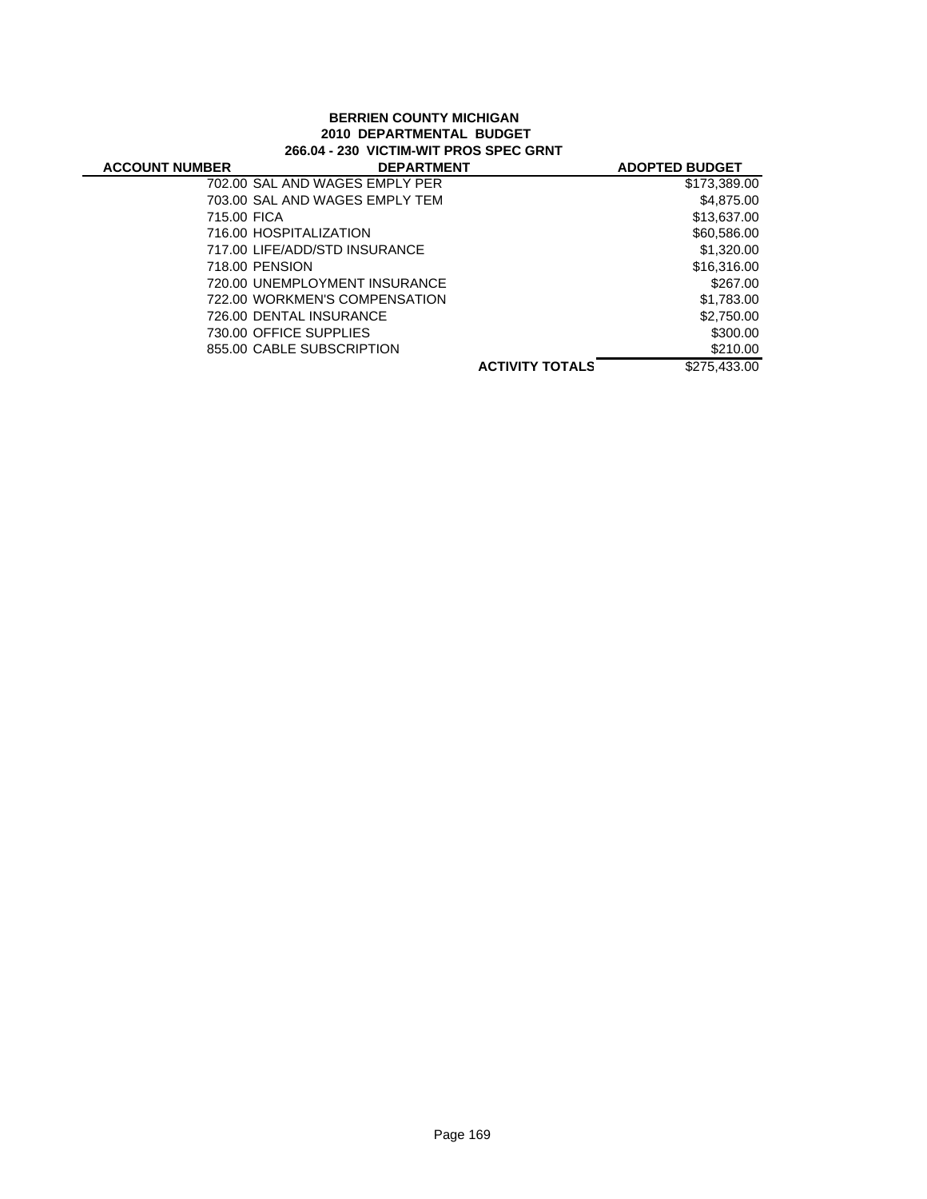### **BERRIEN COUNTY MICHIGAN 2010 DEPARTMENTAL BUDGET 266.04 - 230 VICTIM-WIT PROS SPEC GRNT**

|                                |                        | <b>ADOPTED BUDGET</b> |
|--------------------------------|------------------------|-----------------------|
| 702.00 SAL AND WAGES EMPLY PER |                        | \$173,389.00          |
| 703.00 SAL AND WAGES EMPLY TEM |                        | \$4,875.00            |
| 715.00 FICA                    |                        | \$13,637.00           |
| 716.00 HOSPITALIZATION         |                        | \$60,586.00           |
| 717.00 LIFE/ADD/STD INSURANCE  |                        | \$1,320,00            |
| 718.00 PENSION                 |                        | \$16,316.00           |
| 720.00 UNEMPLOYMENT INSURANCE  |                        | \$267.00              |
| 722.00 WORKMEN'S COMPENSATION  |                        | \$1,783.00            |
| 726.00 DENTAL INSURANCE        |                        | \$2,750.00            |
| 730.00 OFFICE SUPPLIES         |                        | \$300.00              |
| 855.00 CABLE SUBSCRIPTION      |                        | \$210.00              |
|                                | <b>ACTIVITY TOTALS</b> | \$275,433.00          |
|                                |                        | <b>DEPARTMENT</b>     |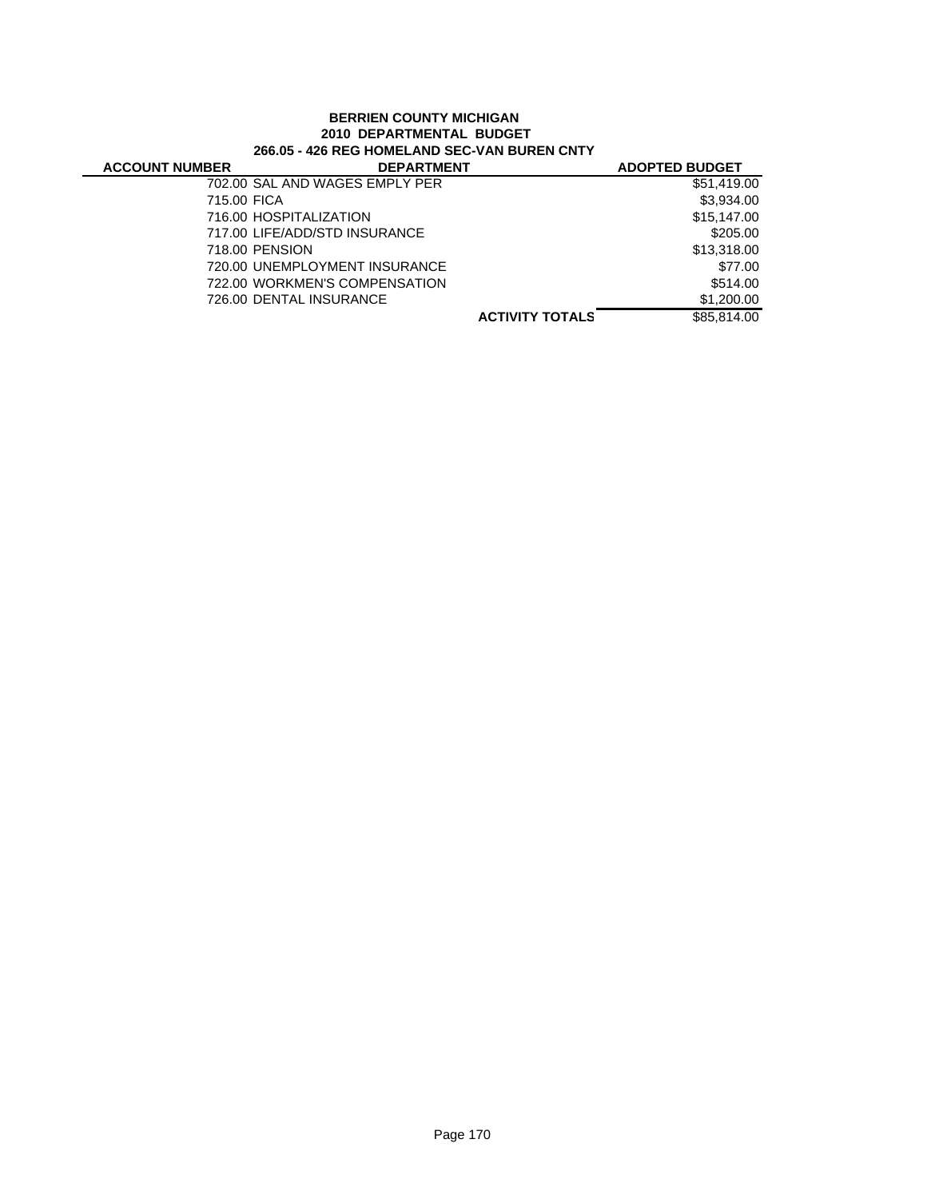## **BERRIEN COUNTY MICHIGAN 2010 DEPARTMENTAL BUDGET 266.05 - 426 REG HOMELAND SEC-VAN BUREN CNTY**

| <b>ACCOUNT NUMBER</b> | <b>DEPARTMENT</b>              |                        | <b>ADOPTED BUDGET</b> |
|-----------------------|--------------------------------|------------------------|-----------------------|
|                       | 702.00 SAL AND WAGES EMPLY PER |                        | \$51,419.00           |
| 715.00 FICA           |                                |                        | \$3.934.00            |
|                       | 716.00 HOSPITALIZATION         |                        | \$15,147.00           |
|                       | 717.00 LIFE/ADD/STD INSURANCE  |                        | \$205.00              |
|                       | 718.00 PENSION                 |                        | \$13,318.00           |
|                       | 720.00 UNEMPLOYMENT INSURANCE  |                        | \$77.00               |
|                       | 722.00 WORKMEN'S COMPENSATION  |                        | \$514.00              |
|                       | 726.00 DENTAL INSURANCE        |                        | \$1,200.00            |
|                       |                                | <b>ACTIVITY TOTALS</b> | \$85,814.00           |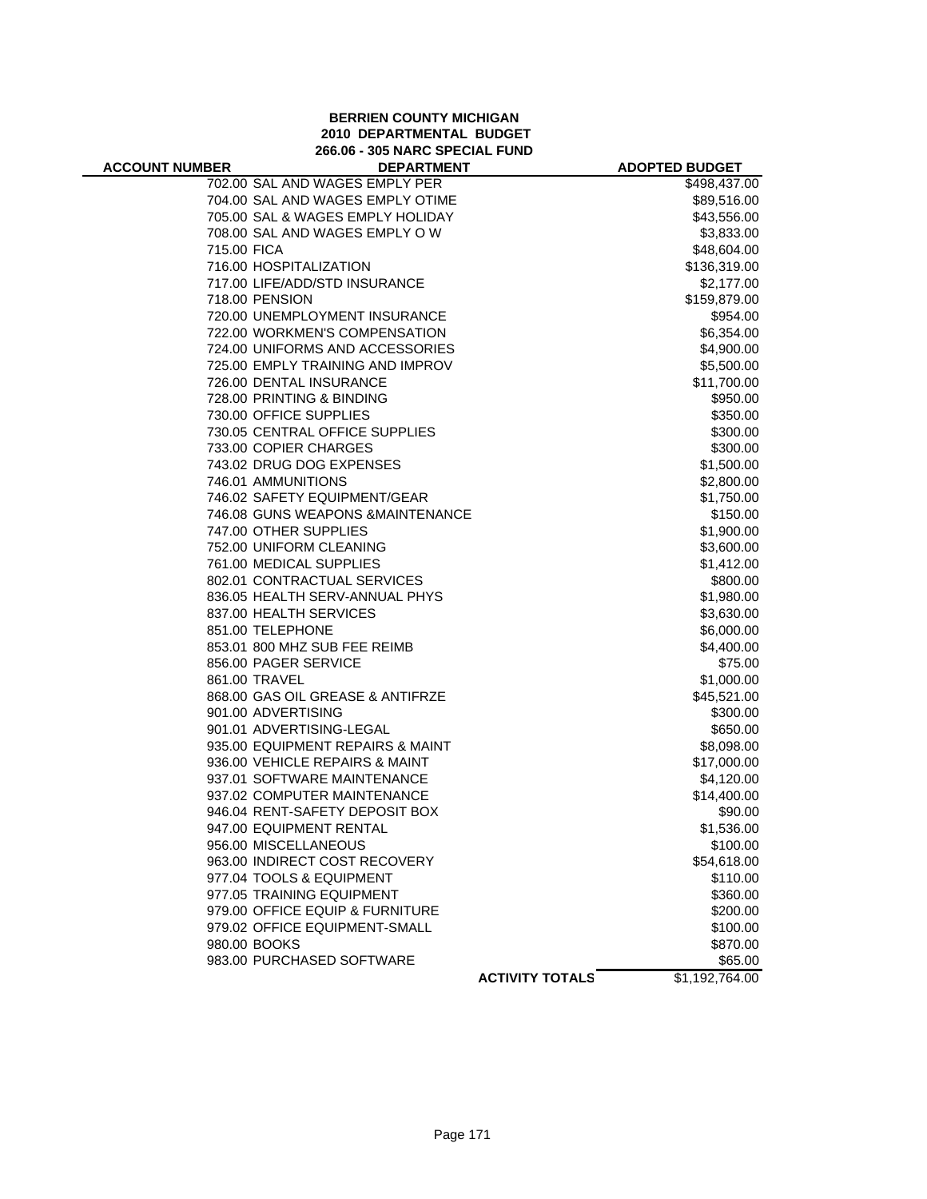### **BERRIEN COUNTY MICHIGAN 2010 DEPARTMENTAL BUDGET 266.06 - 305 NARC SPECIAL FUND**

| <b>ACCOUNT NUMBER</b> | <b>DEPARTMENT</b>                 |                        | <b>ADOPTED BUDGET</b> |
|-----------------------|-----------------------------------|------------------------|-----------------------|
|                       | 702.00 SAL AND WAGES EMPLY PER    |                        | \$498,437.00          |
|                       | 704.00 SAL AND WAGES EMPLY OTIME  |                        | \$89,516.00           |
|                       | 705.00 SAL & WAGES EMPLY HOLIDAY  |                        | \$43,556.00           |
|                       | 708.00 SAL AND WAGES EMPLY OW     |                        | \$3,833.00            |
| 715.00 FICA           |                                   |                        | \$48,604.00           |
|                       | 716.00 HOSPITALIZATION            |                        | \$136,319.00          |
|                       | 717.00 LIFE/ADD/STD INSURANCE     |                        | \$2,177.00            |
|                       | 718.00 PENSION                    |                        | \$159,879.00          |
|                       | 720.00 UNEMPLOYMENT INSURANCE     |                        | \$954.00              |
|                       | 722.00 WORKMEN'S COMPENSATION     |                        | \$6,354.00            |
|                       | 724.00 UNIFORMS AND ACCESSORIES   |                        | \$4,900.00            |
|                       | 725.00 EMPLY TRAINING AND IMPROV  |                        | \$5,500.00            |
|                       | 726.00 DENTAL INSURANCE           |                        | \$11,700.00           |
|                       | 728.00 PRINTING & BINDING         |                        | \$950.00              |
|                       | 730.00 OFFICE SUPPLIES            |                        | \$350.00              |
|                       | 730.05 CENTRAL OFFICE SUPPLIES    |                        | \$300.00              |
|                       | 733.00 COPIER CHARGES             |                        | \$300.00              |
|                       | 743.02 DRUG DOG EXPENSES          |                        | \$1,500.00            |
|                       | 746.01 AMMUNITIONS                |                        | \$2,800.00            |
|                       | 746.02 SAFETY EQUIPMENT/GEAR      |                        | \$1,750.00            |
|                       | 746.08 GUNS WEAPONS & MAINTENANCE |                        | \$150.00              |
|                       | 747.00 OTHER SUPPLIES             |                        | \$1,900.00            |
|                       | 752.00 UNIFORM CLEANING           |                        | \$3,600.00            |
|                       | 761.00 MEDICAL SUPPLIES           |                        | \$1,412.00            |
|                       | 802.01 CONTRACTUAL SERVICES       |                        | \$800.00              |
|                       | 836.05 HEALTH SERV-ANNUAL PHYS    |                        | \$1,980.00            |
|                       | 837.00 HEALTH SERVICES            |                        | \$3,630.00            |
|                       | 851.00 TELEPHONE                  |                        | \$6,000.00            |
|                       | 853.01 800 MHZ SUB FEE REIMB      |                        | \$4,400.00            |
|                       | 856.00 PAGER SERVICE              |                        | \$75.00               |
|                       | 861.00 TRAVEL                     |                        | \$1,000.00            |
|                       | 868.00 GAS OIL GREASE & ANTIFRZE  |                        | \$45,521.00           |
|                       | 901.00 ADVERTISING                |                        | \$300.00              |
|                       | 901.01 ADVERTISING-LEGAL          |                        | \$650.00              |
|                       | 935.00 EQUIPMENT REPAIRS & MAINT  |                        | \$8,098.00            |
|                       | 936.00 VEHICLE REPAIRS & MAINT    |                        | \$17,000.00           |
|                       | 937.01 SOFTWARE MAINTENANCE       |                        | \$4,120.00            |
|                       | 937.02 COMPUTER MAINTENANCE       |                        | \$14,400.00           |
|                       | 946.04 RENT-SAFETY DEPOSIT BOX    |                        | \$90.00               |
|                       | 947.00 EQUIPMENT RENTAL           |                        | \$1,536.00            |
|                       | 956.00 MISCELLANEOUS              |                        | \$100.00              |
|                       | 963.00 INDIRECT COST RECOVERY     |                        | \$54,618.00           |
|                       | 977.04 TOOLS & EQUIPMENT          |                        | \$110.00              |
|                       | 977.05 TRAINING EQUIPMENT         |                        | \$360.00              |
|                       | 979.00 OFFICE EQUIP & FURNITURE   |                        | \$200.00              |
|                       | 979.02 OFFICE EQUIPMENT-SMALL     |                        | \$100.00              |
|                       | 980.00 BOOKS                      |                        | \$870.00              |
|                       | 983.00 PURCHASED SOFTWARE         |                        | \$65.00               |
|                       |                                   | <b>ACTIVITY TOTALS</b> | \$1,192,764.00        |
|                       |                                   |                        |                       |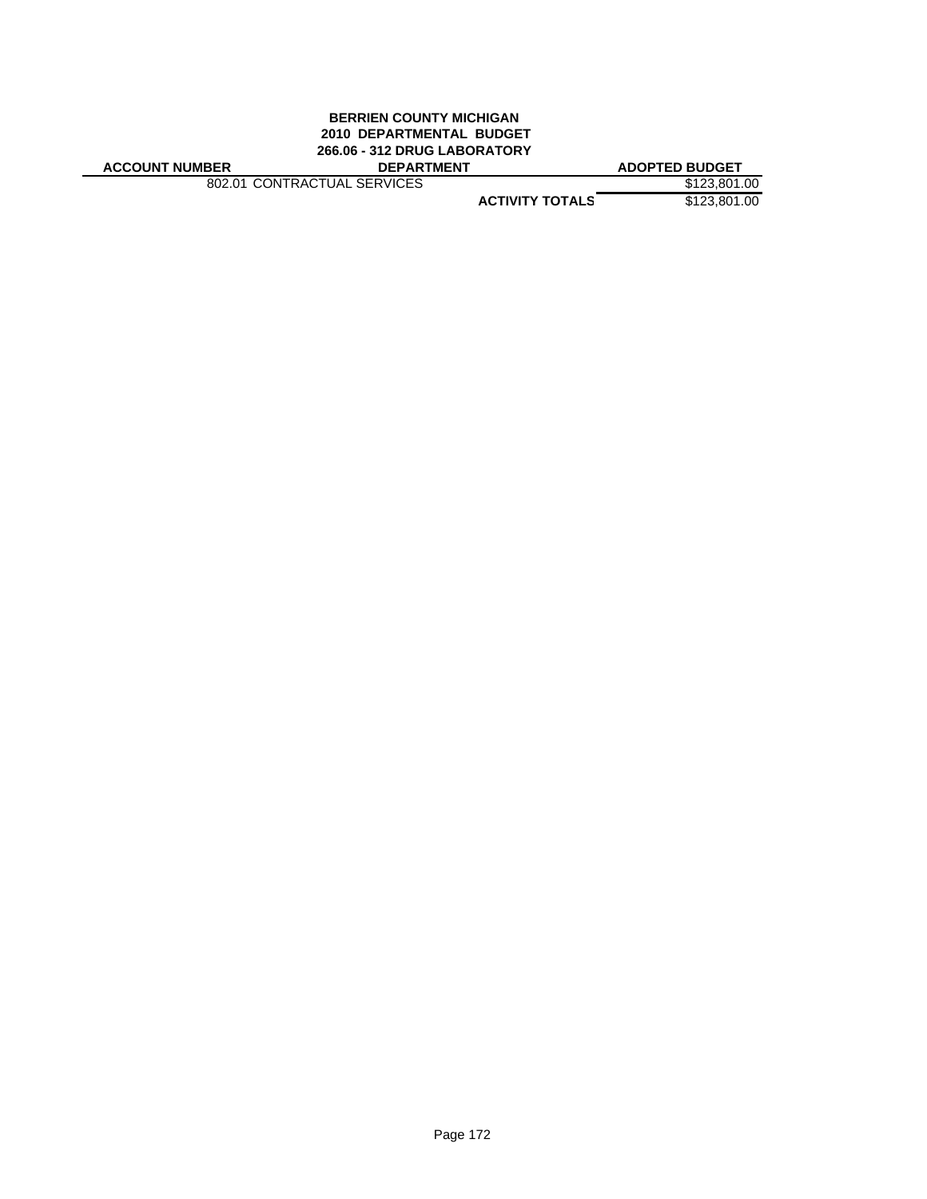#### **BERRIEN COUNTY MICHIGAN 2010 DEPARTMENTAL BUDGET 266.06 - 312 DRUG LABORATORY ACCOUNT NUMBER DEPARTMENT ADOPTED BUDGET**

802.01 CONTRACTUAL SERVICES \$123,801.00

**ACTIVITY TOTALS** \$123,801.00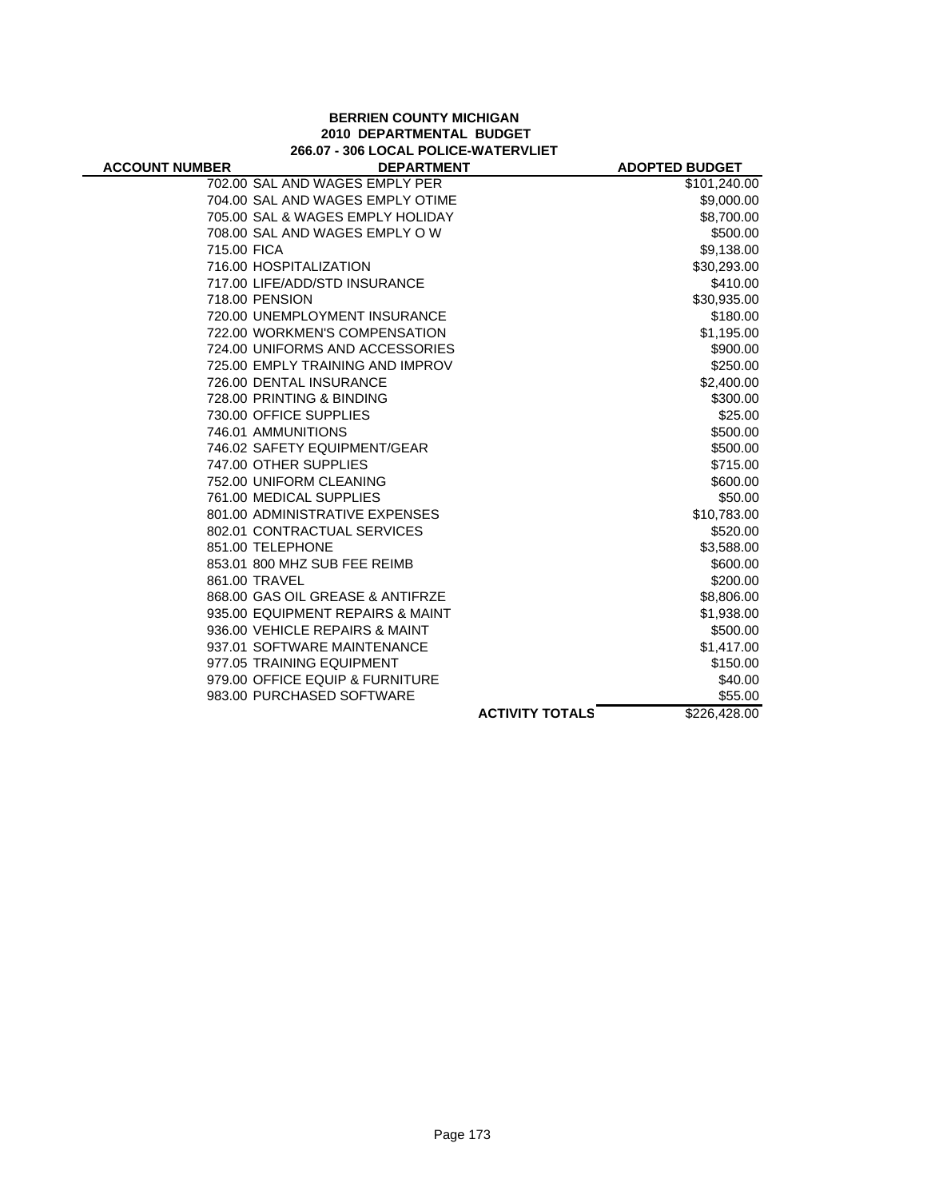## **BERRIEN COUNTY MICHIGAN 2010 DEPARTMENTAL BUDGET 266.07 - 306 LOCAL POLICE-WATERVLIET**

| <b>ACCOUNT NUMBER</b> | <b>DEPARTMENT</b>                |                        | <b>ADOPTED BUDGET</b> |
|-----------------------|----------------------------------|------------------------|-----------------------|
|                       | 702.00 SAL AND WAGES EMPLY PER   |                        | \$101,240.00          |
|                       | 704.00 SAL AND WAGES EMPLY OTIME |                        | \$9,000.00            |
|                       | 705.00 SAL & WAGES EMPLY HOLIDAY |                        | \$8,700.00            |
|                       | 708.00 SAL AND WAGES EMPLY OW    |                        | \$500.00              |
| 715.00 FICA           |                                  |                        | \$9,138.00            |
|                       | 716.00 HOSPITALIZATION           |                        | \$30,293.00           |
|                       | 717.00 LIFE/ADD/STD INSURANCE    |                        | \$410.00              |
|                       | 718.00 PENSION                   |                        | \$30,935.00           |
|                       | 720.00 UNEMPLOYMENT INSURANCE    |                        | \$180.00              |
|                       | 722.00 WORKMEN'S COMPENSATION    |                        | \$1,195.00            |
|                       | 724.00 UNIFORMS AND ACCESSORIES  |                        | \$900.00              |
|                       | 725.00 EMPLY TRAINING AND IMPROV |                        | \$250.00              |
|                       | 726.00 DENTAL INSURANCE          |                        | \$2,400.00            |
|                       | 728.00 PRINTING & BINDING        |                        | \$300.00              |
|                       | 730.00 OFFICE SUPPLIES           |                        | \$25.00               |
|                       | 746.01 AMMUNITIONS               |                        | \$500.00              |
|                       | 746.02 SAFETY EQUIPMENT/GEAR     |                        | \$500.00              |
|                       | 747.00 OTHER SUPPLIES            |                        | \$715.00              |
|                       | 752.00 UNIFORM CLEANING          |                        | \$600.00              |
|                       | 761.00 MEDICAL SUPPLIES          |                        | \$50.00               |
|                       | 801.00 ADMINISTRATIVE EXPENSES   |                        | \$10,783.00           |
|                       | 802.01 CONTRACTUAL SERVICES      |                        | \$520.00              |
|                       | 851.00 TELEPHONE                 |                        | \$3,588.00            |
|                       | 853.01 800 MHZ SUB FEE REIMB     |                        | \$600.00              |
|                       | 861.00 TRAVEL                    |                        | \$200.00              |
|                       | 868.00 GAS OIL GREASE & ANTIFRZE |                        | \$8,806.00            |
|                       | 935.00 EQUIPMENT REPAIRS & MAINT |                        | \$1,938.00            |
|                       | 936.00 VEHICLE REPAIRS & MAINT   |                        | \$500.00              |
|                       | 937.01 SOFTWARE MAINTENANCE      |                        | \$1,417.00            |
|                       | 977.05 TRAINING EQUIPMENT        |                        | \$150.00              |
|                       | 979.00 OFFICE EQUIP & FURNITURE  |                        | \$40.00               |
|                       | 983.00 PURCHASED SOFTWARE        |                        | \$55.00               |
|                       |                                  | <b>ACTIVITY TOTALS</b> | \$226,428.00          |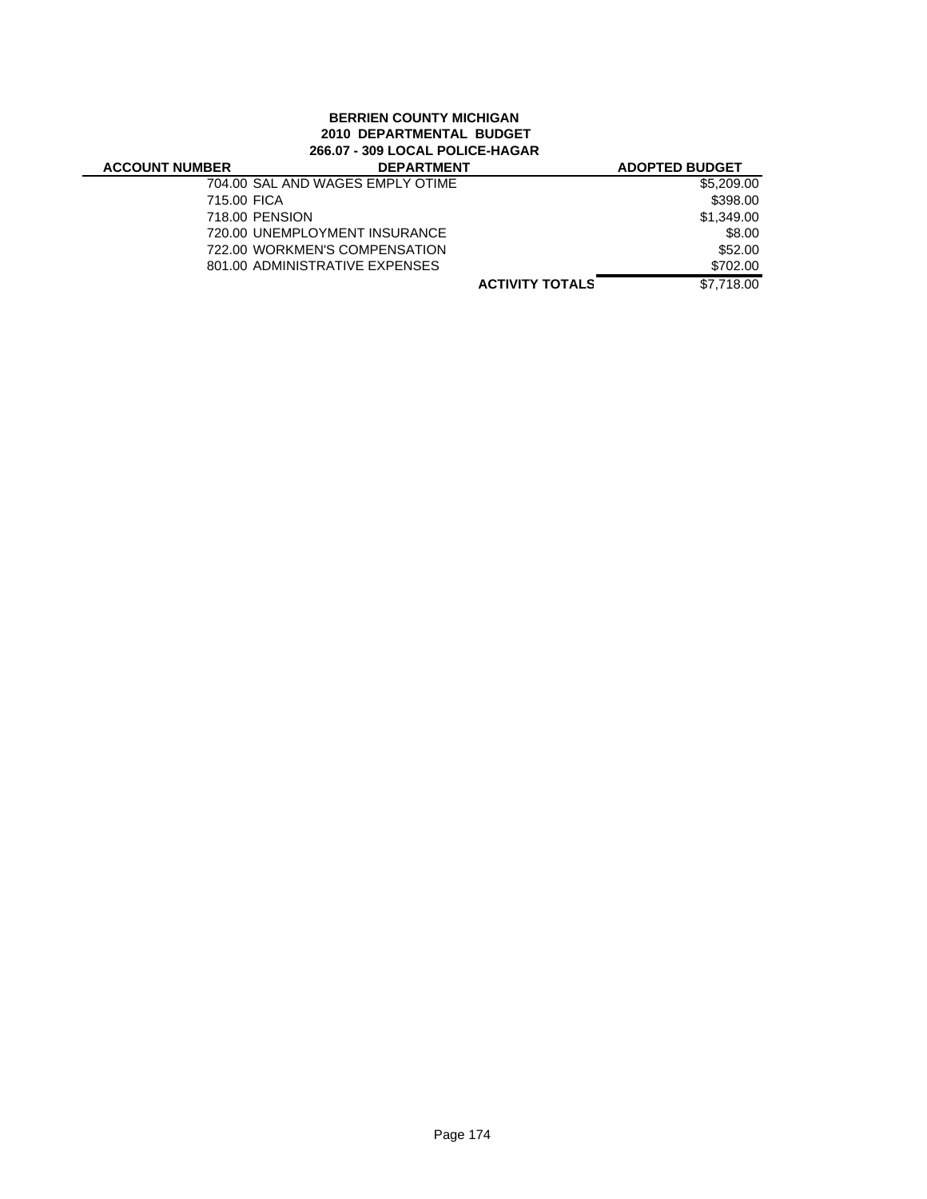# **BERRIEN COUNTY MICHIGAN 2010 DEPARTMENTAL BUDGET 266.07 - 309 LOCAL POLICE-HAGAR**

J.

| <b>ACCOUNT NUMBER</b> | <b>DEPARTMENT</b>                |                        | <b>ADOPTED BUDGET</b> |
|-----------------------|----------------------------------|------------------------|-----------------------|
|                       | 704.00 SAL AND WAGES EMPLY OTIME |                        | \$5,209,00            |
| 715.00 FICA           |                                  |                        | \$398.00              |
|                       | 718.00 PENSION                   |                        | \$1,349.00            |
|                       | 720.00 UNEMPLOYMENT INSURANCE    |                        | \$8.00                |
|                       | 722.00 WORKMEN'S COMPENSATION    |                        | \$52.00               |
|                       | 801.00 ADMINISTRATIVE EXPENSES   |                        | \$702.00              |
|                       |                                  | <b>ACTIVITY TOTALS</b> | \$7,718.00            |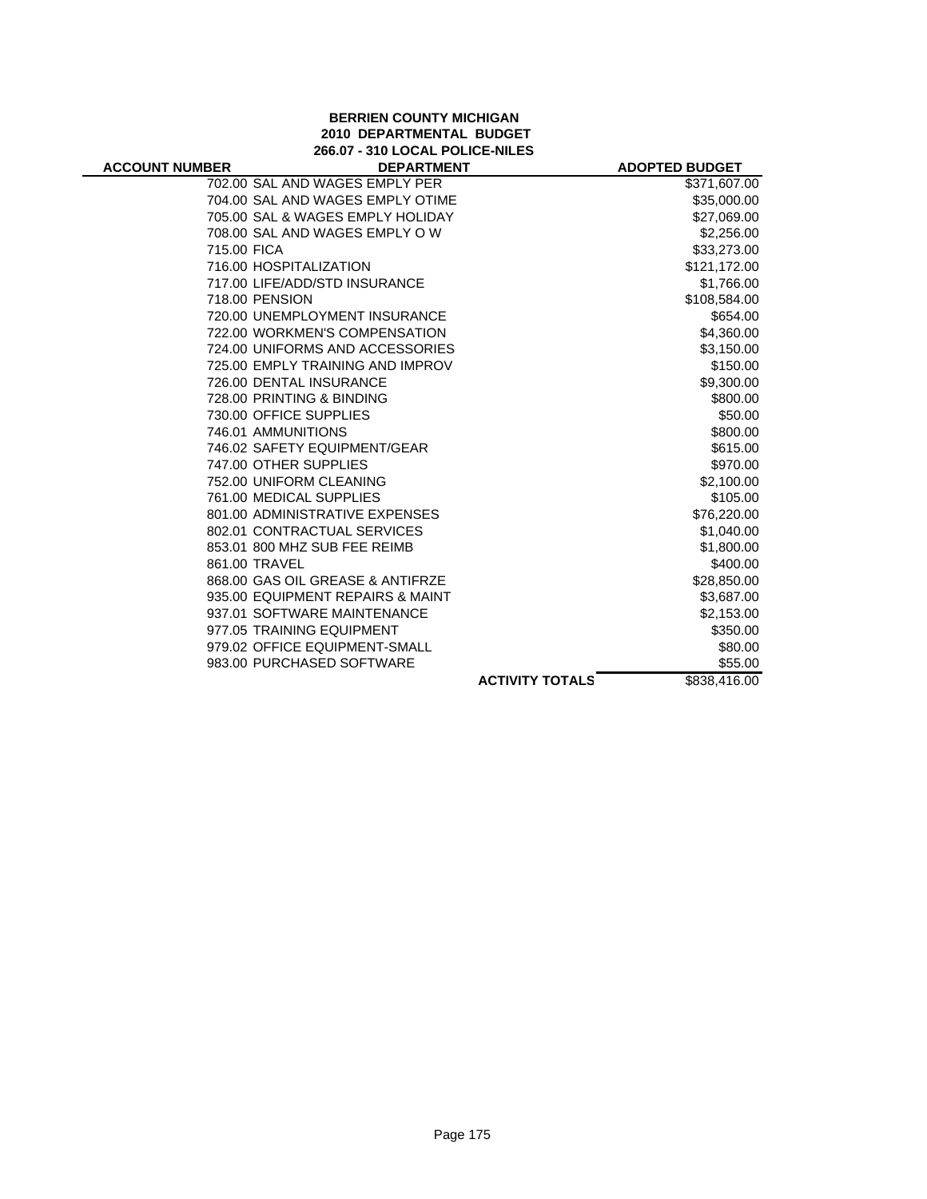### **BERRIEN COUNTY MICHIGAN 2010 DEPARTMENTAL BUDGET 266.07 - 310 LOCAL POLICE-NILES**

| <b>ACCOUNT NUMBER</b> | <b>DEPARTMENT</b>                |                        | <b>ADOPTED BUDGET</b> |
|-----------------------|----------------------------------|------------------------|-----------------------|
|                       | 702.00 SAL AND WAGES EMPLY PER   |                        | \$371,607.00          |
|                       | 704.00 SAL AND WAGES EMPLY OTIME |                        | \$35,000.00           |
|                       | 705.00 SAL & WAGES EMPLY HOLIDAY |                        | \$27,069.00           |
|                       | 708.00 SAL AND WAGES EMPLY OW    |                        | \$2,256.00            |
| 715.00 FICA           |                                  |                        | \$33,273.00           |
|                       | 716.00 HOSPITALIZATION           |                        | \$121,172.00          |
|                       | 717.00 LIFE/ADD/STD INSURANCE    |                        | \$1,766.00            |
|                       | 718.00 PENSION                   |                        | \$108,584.00          |
|                       | 720.00 UNEMPLOYMENT INSURANCE    |                        | \$654.00              |
|                       | 722.00 WORKMEN'S COMPENSATION    |                        | \$4,360.00            |
|                       | 724.00 UNIFORMS AND ACCESSORIES  |                        | \$3,150.00            |
|                       | 725.00 EMPLY TRAINING AND IMPROV |                        | \$150.00              |
|                       | 726.00 DENTAL INSURANCE          |                        | \$9,300.00            |
|                       | 728.00 PRINTING & BINDING        |                        | \$800.00              |
|                       | 730.00 OFFICE SUPPLIES           |                        | \$50.00               |
|                       | 746.01 AMMUNITIONS               |                        | \$800.00              |
|                       | 746.02 SAFETY EQUIPMENT/GEAR     |                        | \$615.00              |
|                       | 747.00 OTHER SUPPLIES            |                        | \$970.00              |
|                       | 752.00 UNIFORM CLEANING          |                        | \$2,100.00            |
|                       | 761.00 MEDICAL SUPPLIES          |                        | \$105.00              |
|                       | 801.00 ADMINISTRATIVE EXPENSES   |                        | \$76,220.00           |
|                       | 802.01 CONTRACTUAL SERVICES      |                        | \$1,040.00            |
|                       | 853.01 800 MHZ SUB FEE REIMB     |                        | \$1,800.00            |
|                       | 861.00 TRAVEL                    |                        | \$400.00              |
|                       | 868.00 GAS OIL GREASE & ANTIFRZE |                        | \$28,850.00           |
|                       | 935.00 EQUIPMENT REPAIRS & MAINT |                        | \$3,687.00            |
|                       | 937.01 SOFTWARE MAINTENANCE      |                        | \$2,153.00            |
|                       | 977.05 TRAINING EQUIPMENT        |                        | \$350.00              |
|                       | 979.02 OFFICE EQUIPMENT-SMALL    |                        | \$80.00               |
|                       | 983.00 PURCHASED SOFTWARE        |                        | \$55.00               |
|                       |                                  | <b>ACTIVITY TOTALS</b> | \$838,416.00          |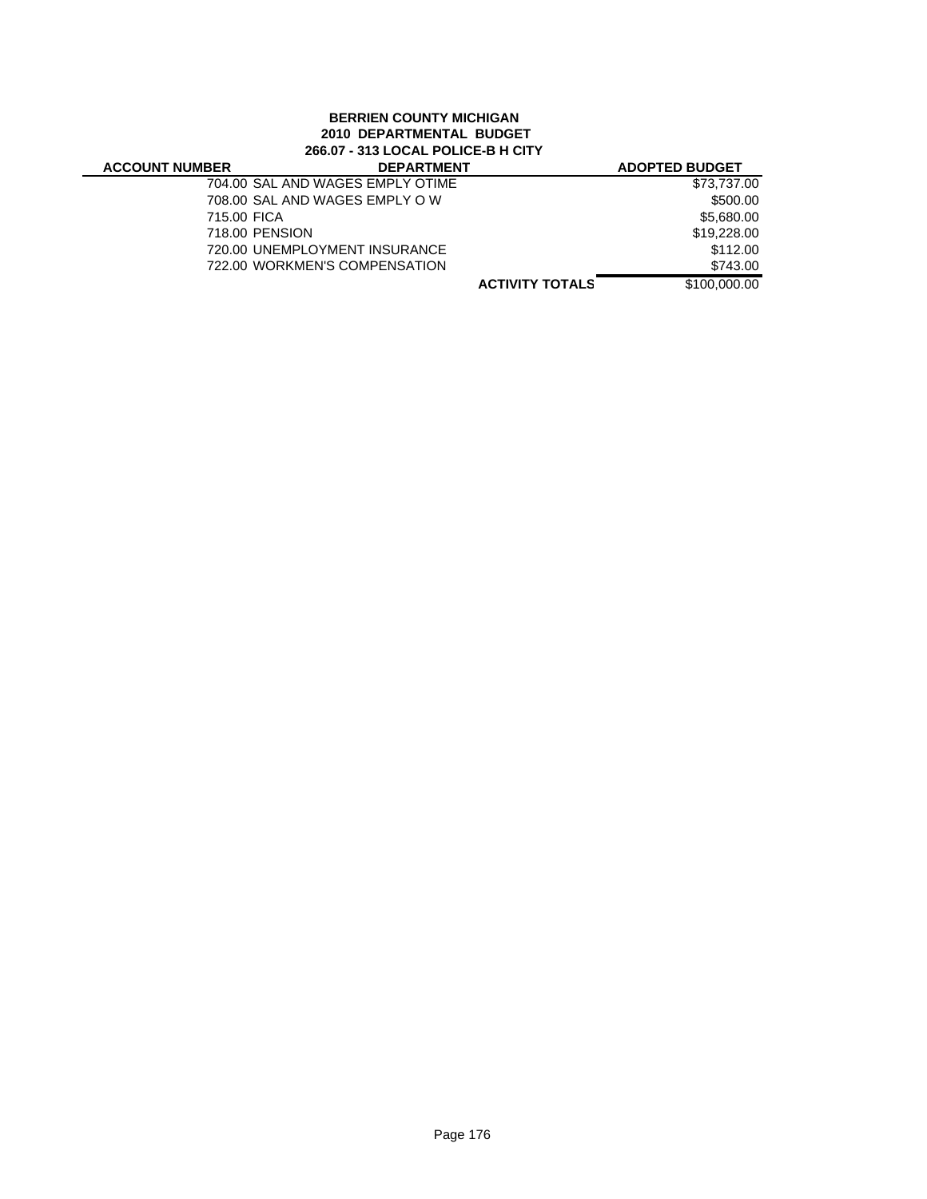# **BERRIEN COUNTY MICHIGAN 2010 DEPARTMENTAL BUDGET 266.07 - 313 LOCAL POLICE-B H CITY**

| <b>ACCOUNT NUMBER</b> | <b>DEPARTMENT</b>                |                        | <b>ADOPTED BUDGET</b> |
|-----------------------|----------------------------------|------------------------|-----------------------|
|                       | 704.00 SAL AND WAGES EMPLY OTIME |                        | \$73,737.00           |
|                       | 708.00 SAL AND WAGES EMPLY OW    |                        | \$500.00              |
| 715.00 FICA           |                                  |                        | \$5,680.00            |
|                       | 718.00 PENSION                   |                        | \$19,228,00           |
|                       | 720.00 UNEMPLOYMENT INSURANCE    |                        | \$112.00              |
|                       | 722.00 WORKMEN'S COMPENSATION    |                        | \$743.00              |
|                       |                                  | <b>ACTIVITY TOTALS</b> | \$100,000.00          |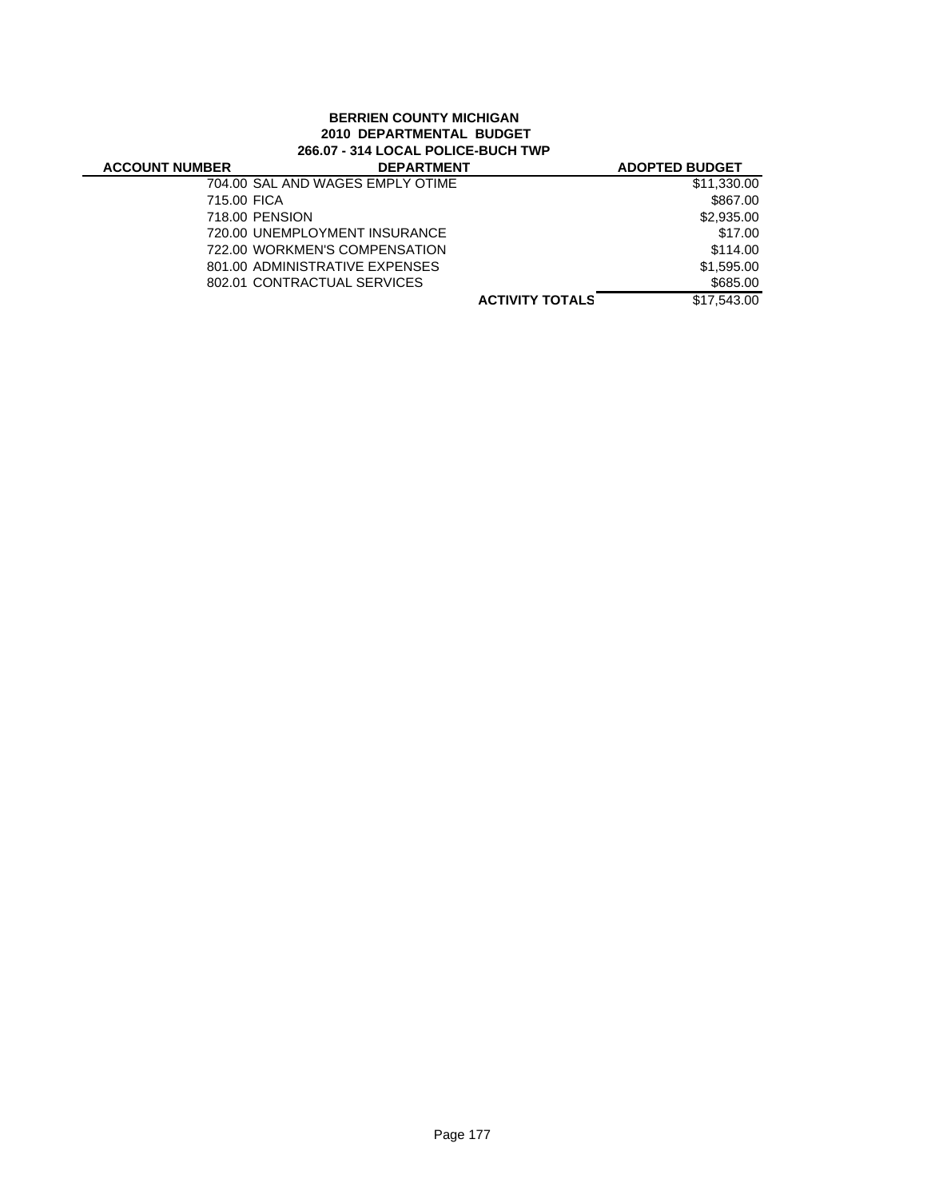# **BERRIEN COUNTY MICHIGAN 2010 DEPARTMENTAL BUDGET 266.07 - 314 LOCAL POLICE-BUCH TWP**

| <b>ACCOUNT NUMBER</b> | <b>DEPARTMENT</b>                |                        | <b>ADOPTED BUDGET</b> |
|-----------------------|----------------------------------|------------------------|-----------------------|
|                       | 704.00 SAL AND WAGES EMPLY OTIME |                        | \$11,330.00           |
| 715.00 FICA           |                                  |                        | \$867.00              |
|                       | 718.00 PENSION                   |                        | \$2,935.00            |
|                       | 720.00 UNEMPLOYMENT INSURANCE    |                        | \$17.00               |
|                       | 722.00 WORKMEN'S COMPENSATION    |                        | \$114.00              |
|                       | 801.00 ADMINISTRATIVE EXPENSES   |                        | \$1.595.00            |
|                       | 802.01 CONTRACTUAL SERVICES      |                        | \$685.00              |
|                       |                                  | <b>ACTIVITY TOTALS</b> | \$17.543.00           |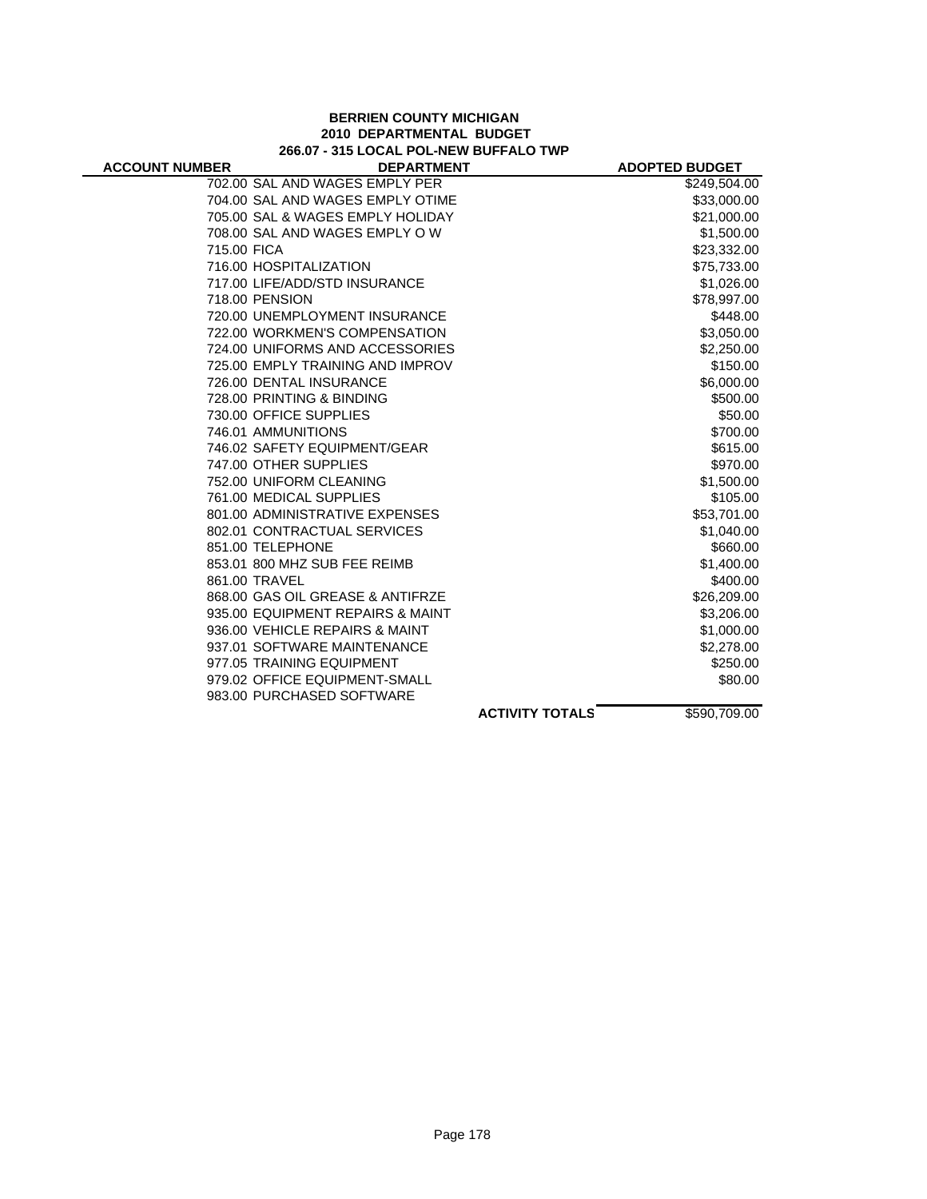#### **BERRIEN COUNTY MICHIGAN 2010 DEPARTMENTAL BUDGET 266.07 - 315 LOCAL POL-NEW BUFFALO TWP**

| <b>ACCOUNT NUMBER</b> | <b>DEPARTMENT</b>                |                        | <b>ADOPTED BUDGET</b> |
|-----------------------|----------------------------------|------------------------|-----------------------|
|                       | 702.00 SAL AND WAGES EMPLY PER   |                        | \$249,504.00          |
|                       | 704.00 SAL AND WAGES EMPLY OTIME |                        | \$33,000.00           |
|                       | 705.00 SAL & WAGES EMPLY HOLIDAY |                        | \$21,000.00           |
|                       | 708.00 SAL AND WAGES EMPLY OW    |                        | \$1,500.00            |
| 715.00 FICA           |                                  |                        | \$23,332.00           |
|                       | 716.00 HOSPITALIZATION           |                        | \$75,733.00           |
|                       | 717.00 LIFE/ADD/STD INSURANCE    |                        | \$1,026.00            |
|                       | 718.00 PENSION                   |                        | \$78,997.00           |
|                       | 720.00 UNEMPLOYMENT INSURANCE    |                        | \$448.00              |
|                       | 722.00 WORKMEN'S COMPENSATION    |                        | \$3,050.00            |
|                       | 724.00 UNIFORMS AND ACCESSORIES  |                        | \$2,250.00            |
|                       | 725.00 EMPLY TRAINING AND IMPROV |                        | \$150.00              |
|                       | 726.00 DENTAL INSURANCE          |                        | \$6,000.00            |
|                       | 728.00 PRINTING & BINDING        |                        | \$500.00              |
|                       | 730.00 OFFICE SUPPLIES           |                        | \$50.00               |
|                       | 746.01 AMMUNITIONS               |                        | \$700.00              |
|                       | 746.02 SAFETY EQUIPMENT/GEAR     |                        | \$615.00              |
|                       | 747.00 OTHER SUPPLIES            |                        | \$970.00              |
|                       | 752.00 UNIFORM CLEANING          |                        | \$1,500.00            |
|                       | 761.00 MEDICAL SUPPLIES          |                        | \$105.00              |
|                       | 801.00 ADMINISTRATIVE EXPENSES   |                        | \$53,701.00           |
|                       | 802.01 CONTRACTUAL SERVICES      |                        | \$1,040.00            |
|                       | 851.00 TELEPHONE                 |                        | \$660.00              |
|                       | 853.01 800 MHZ SUB FEE REIMB     |                        | \$1,400.00            |
|                       | 861.00 TRAVEL                    |                        | \$400.00              |
|                       | 868.00 GAS OIL GREASE & ANTIFRZE |                        | \$26,209.00           |
|                       | 935.00 EQUIPMENT REPAIRS & MAINT |                        | \$3,206.00            |
|                       | 936.00 VEHICLE REPAIRS & MAINT   |                        | \$1,000.00            |
|                       | 937.01 SOFTWARE MAINTENANCE      |                        | \$2,278.00            |
|                       | 977.05 TRAINING EQUIPMENT        |                        | \$250.00              |
|                       | 979.02 OFFICE EQUIPMENT-SMALL    |                        | \$80.00               |
|                       | 983.00 PURCHASED SOFTWARE        |                        |                       |
|                       |                                  | <b>ACTIVITY TOTALS</b> | \$590,709.00          |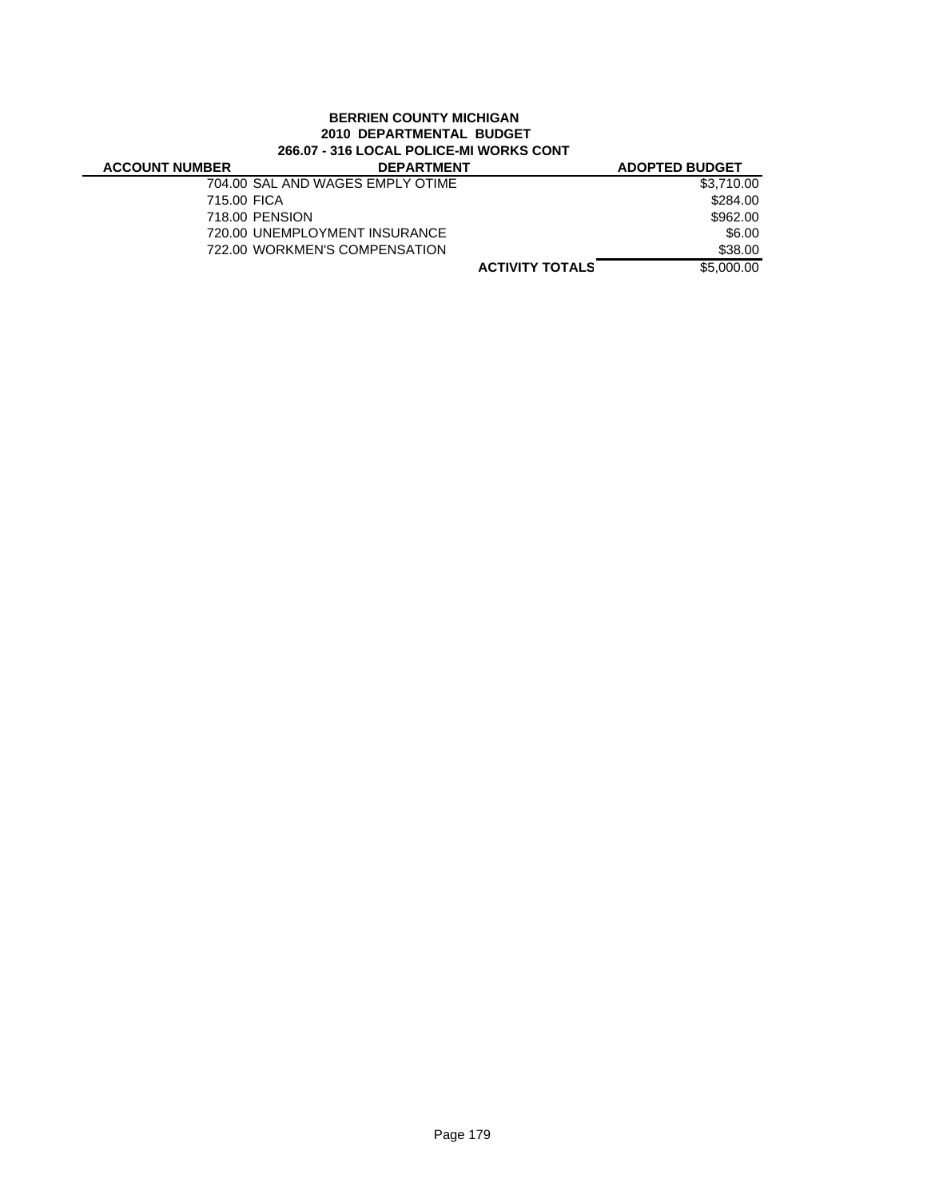## **BERRIEN COUNTY MICHIGAN 2010 DEPARTMENTAL BUDGET 266.07 - 316 LOCAL POLICE-MI WORKS CONT**

| <b>ACCOUNT NUMBER</b> | <b>DEPARTMENT</b>                | <b>ADOPTED BUDGET</b>                |
|-----------------------|----------------------------------|--------------------------------------|
|                       | 704.00 SAL AND WAGES EMPLY OTIME | \$3.710.00                           |
| 715.00 FICA           |                                  | \$284.00                             |
|                       | 718.00 PENSION                   | \$962.00                             |
|                       | 720.00 UNEMPLOYMENT INSURANCE    | \$6.00                               |
|                       | 722.00 WORKMEN'S COMPENSATION    | \$38.00                              |
|                       |                                  | \$5,000.00<br><b>ACTIVITY TOTALS</b> |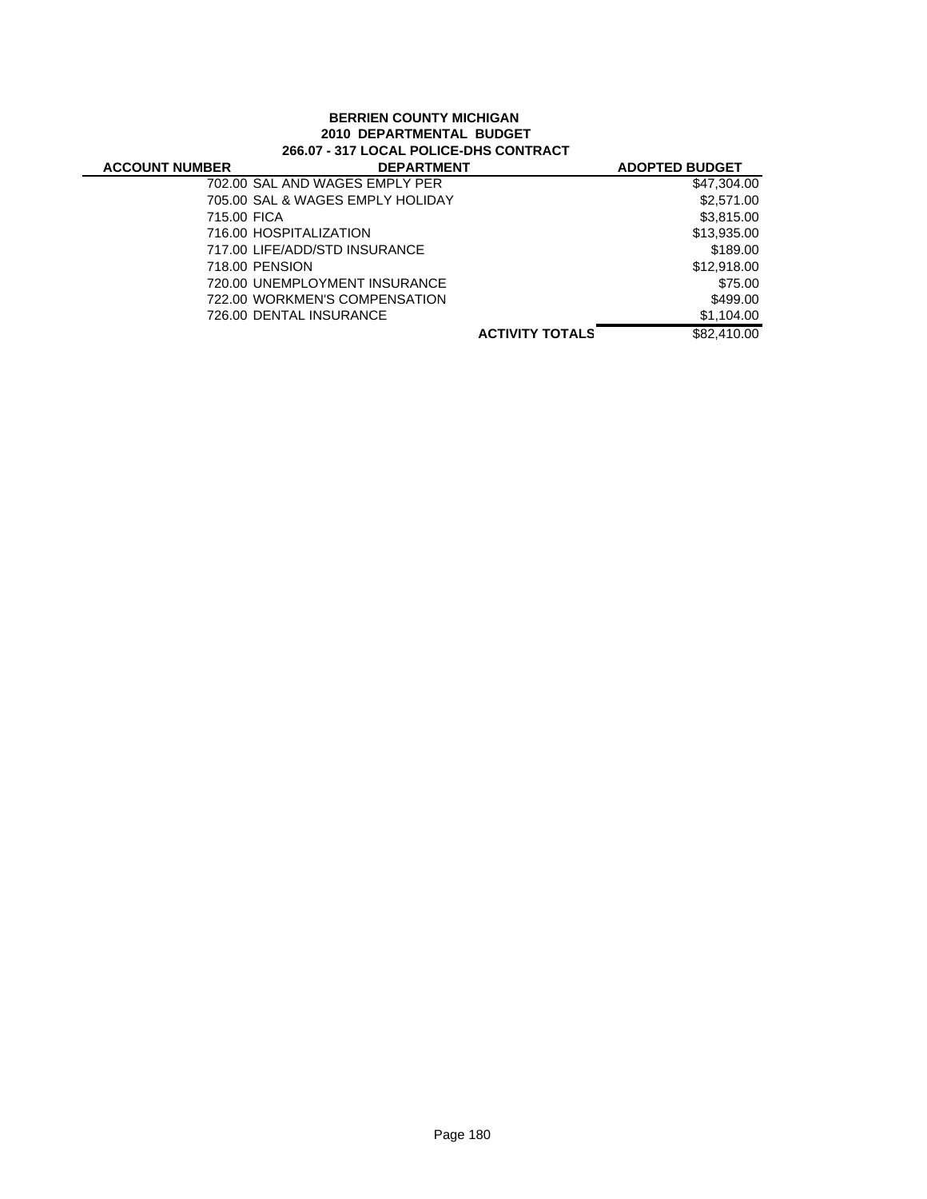## **BERRIEN COUNTY MICHIGAN 2010 DEPARTMENTAL BUDGET 266.07 - 317 LOCAL POLICE-DHS CONTRACT**

| <b>ACCOUNT NUMBER</b> | <b>DEPARTMENT</b>                |                        | <b>ADOPTED BUDGET</b> |
|-----------------------|----------------------------------|------------------------|-----------------------|
|                       | 702.00 SAL AND WAGES EMPLY PER   |                        | \$47.304.00           |
|                       | 705.00 SAL & WAGES EMPLY HOLIDAY |                        | \$2,571.00            |
| 715.00 FICA           |                                  |                        | \$3,815.00            |
|                       | 716.00 HOSPITALIZATION           |                        | \$13,935.00           |
|                       | 717.00 LIFE/ADD/STD INSURANCE    |                        | \$189.00              |
|                       | 718.00 PENSION                   |                        | \$12,918.00           |
|                       | 720.00 UNEMPLOYMENT INSURANCE    |                        | \$75.00               |
|                       | 722.00 WORKMEN'S COMPENSATION    |                        | \$499.00              |
|                       | 726.00 DENTAL INSURANCE          |                        | \$1,104.00            |
|                       |                                  | <b>ACTIVITY TOTALS</b> | \$82,410.00           |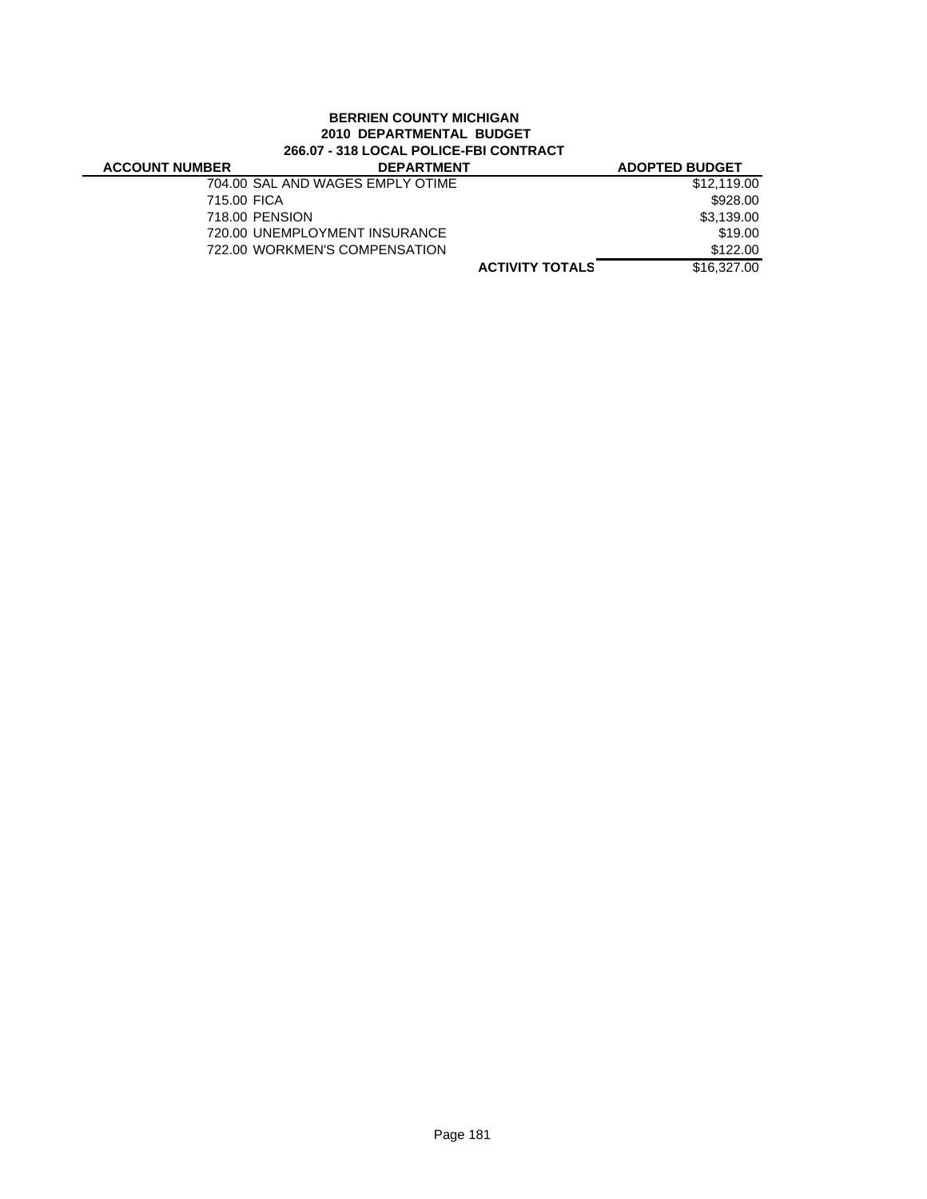#### **BERRIEN COUNTY MICHIGAN 2010 DEPARTMENTAL BUDGET 266.07 - 318 LOCAL POLICE-FBI CONTRACT**

J.

| <b>ACCOUNT NUMBER</b> | <b>DEPARTMENT</b>                |                        | <b>ADOPTED BUDGET</b> |
|-----------------------|----------------------------------|------------------------|-----------------------|
|                       | 704.00 SAL AND WAGES EMPLY OTIME |                        | \$12,119.00           |
| 715.00 FICA           |                                  |                        | \$928.00              |
|                       | 718.00 PENSION                   |                        | \$3,139.00            |
|                       | 720.00 UNEMPLOYMENT INSURANCE    |                        | \$19.00               |
|                       | 722.00 WORKMEN'S COMPENSATION    |                        | \$122.00              |
|                       |                                  | <b>ACTIVITY TOTALS</b> | \$16,327,00           |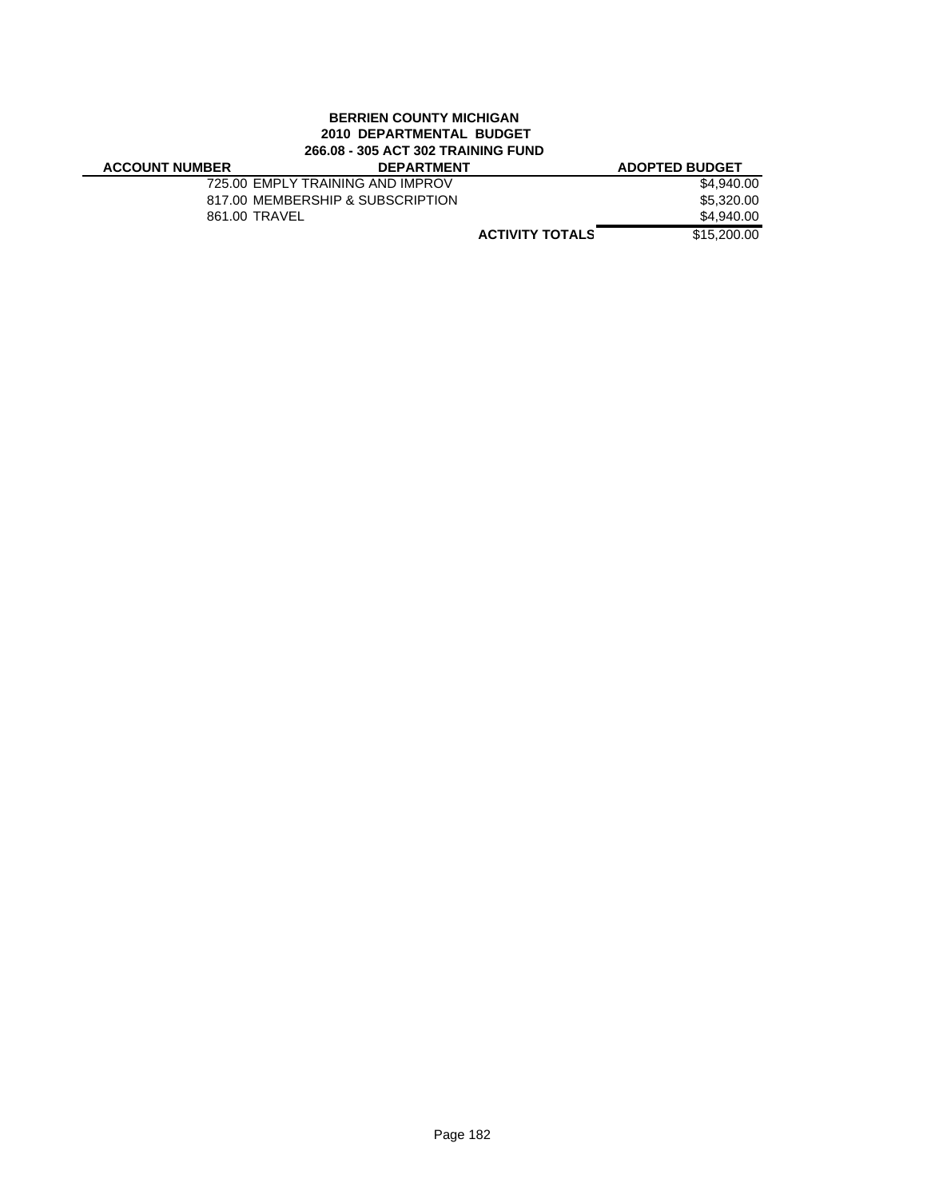#### **BERRIEN COUNTY MICHIGAN 2010 DEPARTMENTAL BUDGET 266.08 - 305 ACT 302 TRAINING FUND**

# **ACCOUNT NUMBER**

| 3ER | <b>DEPARTMENT</b>                |                        | <b>ADOPTED BUDGET</b> |
|-----|----------------------------------|------------------------|-----------------------|
|     | 725.00 EMPLY TRAINING AND IMPROV |                        | \$4,940.00            |
|     | 817.00 MEMBERSHIP & SUBSCRIPTION |                        | \$5,320.00            |
|     | 861.00 TRAVEL                    |                        | \$4,940.00            |
|     |                                  | <b>ACTIVITY TOTALS</b> | \$15,200.00           |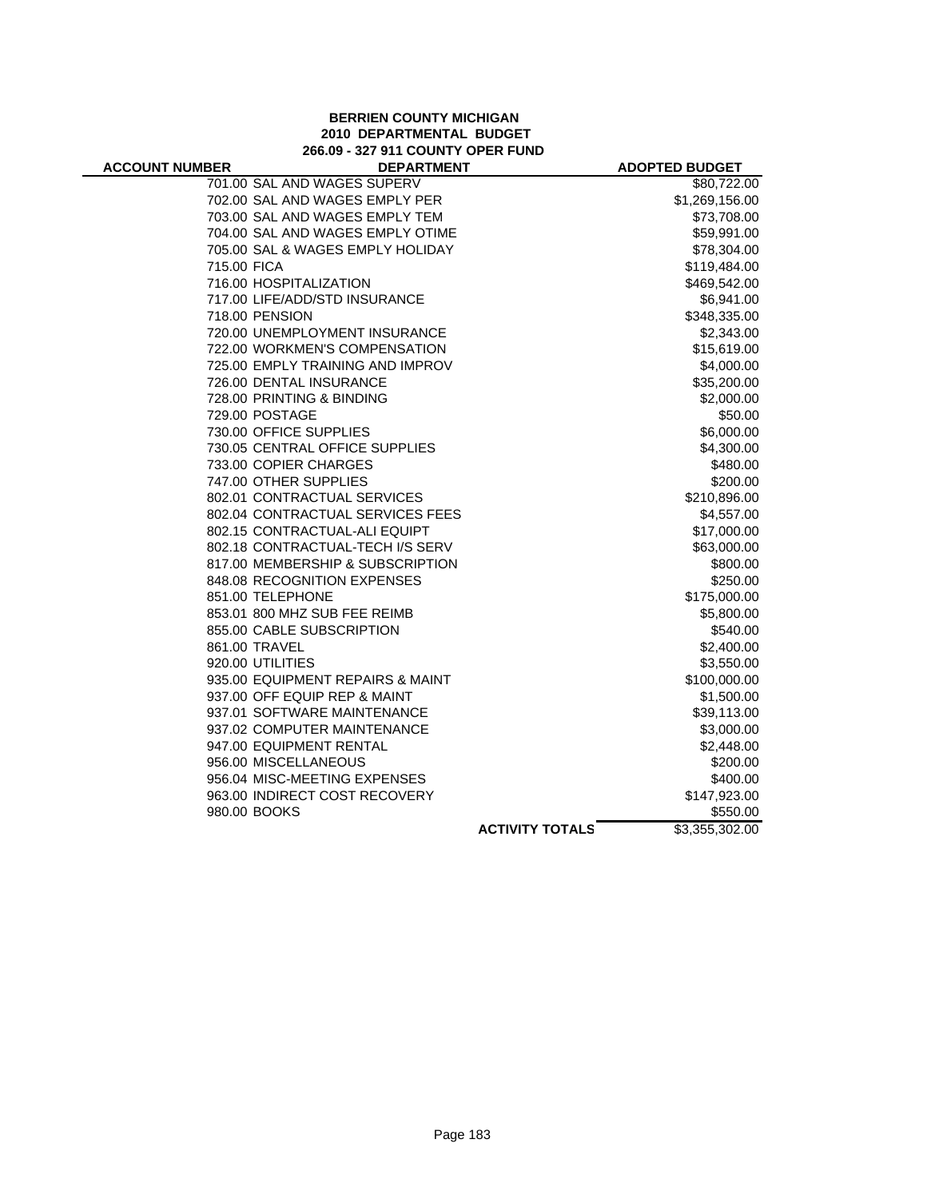#### **BERRIEN COUNTY MICHIGAN 2010 DEPARTMENTAL BUDGET 266.09 - 327 911 COUNTY OPER FUND**

| <b>ACCOUNT NUMBER</b> | <b>DEPARTMENT</b>                |                        | <b>ADOPTED BUDGET</b> |
|-----------------------|----------------------------------|------------------------|-----------------------|
|                       | 701.00 SAL AND WAGES SUPERV      |                        | \$80,722.00           |
|                       | 702.00 SAL AND WAGES EMPLY PER   |                        | \$1,269,156.00        |
|                       | 703.00 SAL AND WAGES EMPLY TEM   |                        | \$73,708.00           |
|                       | 704.00 SAL AND WAGES EMPLY OTIME |                        | \$59,991.00           |
|                       | 705.00 SAL & WAGES EMPLY HOLIDAY |                        | \$78,304.00           |
| 715.00 FICA           |                                  |                        | \$119,484.00          |
|                       | 716.00 HOSPITALIZATION           |                        | \$469,542.00          |
|                       | 717.00 LIFE/ADD/STD INSURANCE    |                        | \$6,941.00            |
|                       | 718.00 PENSION                   |                        | \$348,335.00          |
|                       | 720.00 UNEMPLOYMENT INSURANCE    |                        | \$2,343.00            |
|                       | 722.00 WORKMEN'S COMPENSATION    |                        | \$15,619.00           |
|                       | 725.00 EMPLY TRAINING AND IMPROV |                        | \$4,000.00            |
|                       | 726.00 DENTAL INSURANCE          |                        | \$35,200.00           |
|                       | 728.00 PRINTING & BINDING        |                        | \$2,000.00            |
|                       | 729.00 POSTAGE                   |                        | \$50.00               |
|                       | 730.00 OFFICE SUPPLIES           |                        | \$6,000.00            |
|                       | 730.05 CENTRAL OFFICE SUPPLIES   |                        | \$4,300.00            |
|                       | 733.00 COPIER CHARGES            |                        | \$480.00              |
|                       | 747.00 OTHER SUPPLIES            |                        | \$200.00              |
|                       | 802.01 CONTRACTUAL SERVICES      |                        | \$210,896.00          |
|                       | 802.04 CONTRACTUAL SERVICES FEES |                        | \$4,557.00            |
|                       | 802.15 CONTRACTUAL-ALI EQUIPT    |                        | \$17,000.00           |
|                       | 802.18 CONTRACTUAL-TECH I/S SERV |                        | \$63,000.00           |
|                       | 817.00 MEMBERSHIP & SUBSCRIPTION |                        | \$800.00              |
|                       | 848.08 RECOGNITION EXPENSES      |                        | \$250.00              |
|                       | 851.00 TELEPHONE                 |                        | \$175,000.00          |
|                       | 853.01 800 MHZ SUB FEE REIMB     |                        | \$5,800.00            |
|                       | 855.00 CABLE SUBSCRIPTION        |                        | \$540.00              |
|                       | 861.00 TRAVEL                    |                        | \$2,400.00            |
|                       | 920.00 UTILITIES                 |                        | \$3,550.00            |
|                       | 935.00 EQUIPMENT REPAIRS & MAINT |                        | \$100,000.00          |
|                       | 937.00 OFF EQUIP REP & MAINT     |                        | \$1,500.00            |
|                       | 937.01 SOFTWARE MAINTENANCE      |                        | \$39,113.00           |
|                       | 937.02 COMPUTER MAINTENANCE      |                        | \$3,000.00            |
|                       | 947.00 EQUIPMENT RENTAL          |                        | \$2,448.00            |
|                       | 956.00 MISCELLANEOUS             |                        | \$200.00              |
|                       | 956.04 MISC-MEETING EXPENSES     |                        | \$400.00              |
|                       | 963.00 INDIRECT COST RECOVERY    |                        | \$147,923.00          |
|                       | 980.00 BOOKS                     |                        | \$550.00              |
|                       |                                  | <b>ACTIVITY TOTALS</b> | \$3,355,302.00        |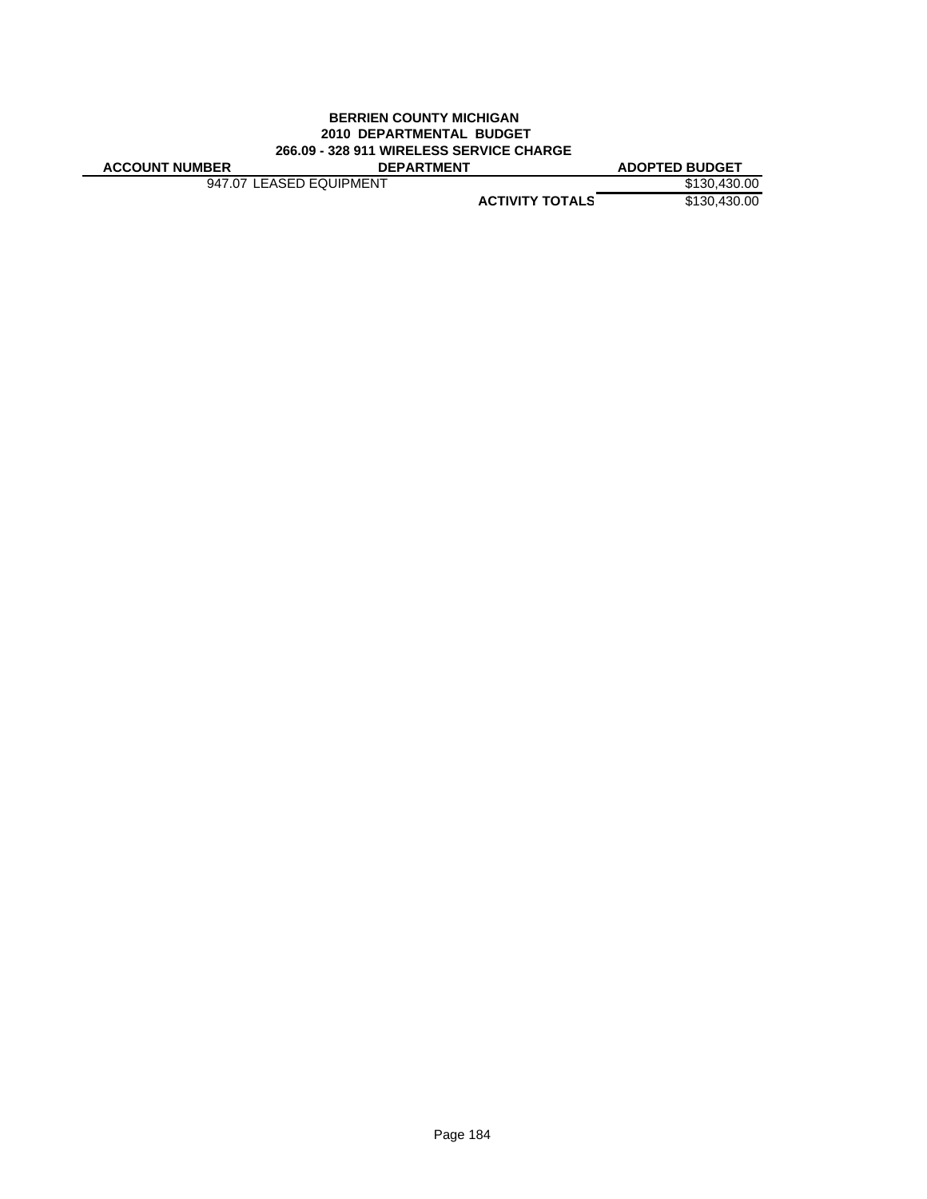#### **BERRIEN COUNTY MICHIGAN 2010 DEPARTMENTAL BUDGET 266.09 - 328 911 WIRELESS SERVICE CHARGE ACCOUNT NUMBER DEPARTMENT ADOPTED BUDGET**

947.07 LEASED EQUIPMENT \$130,430.00

**ACTIVITY TOTALS** \$130,430.00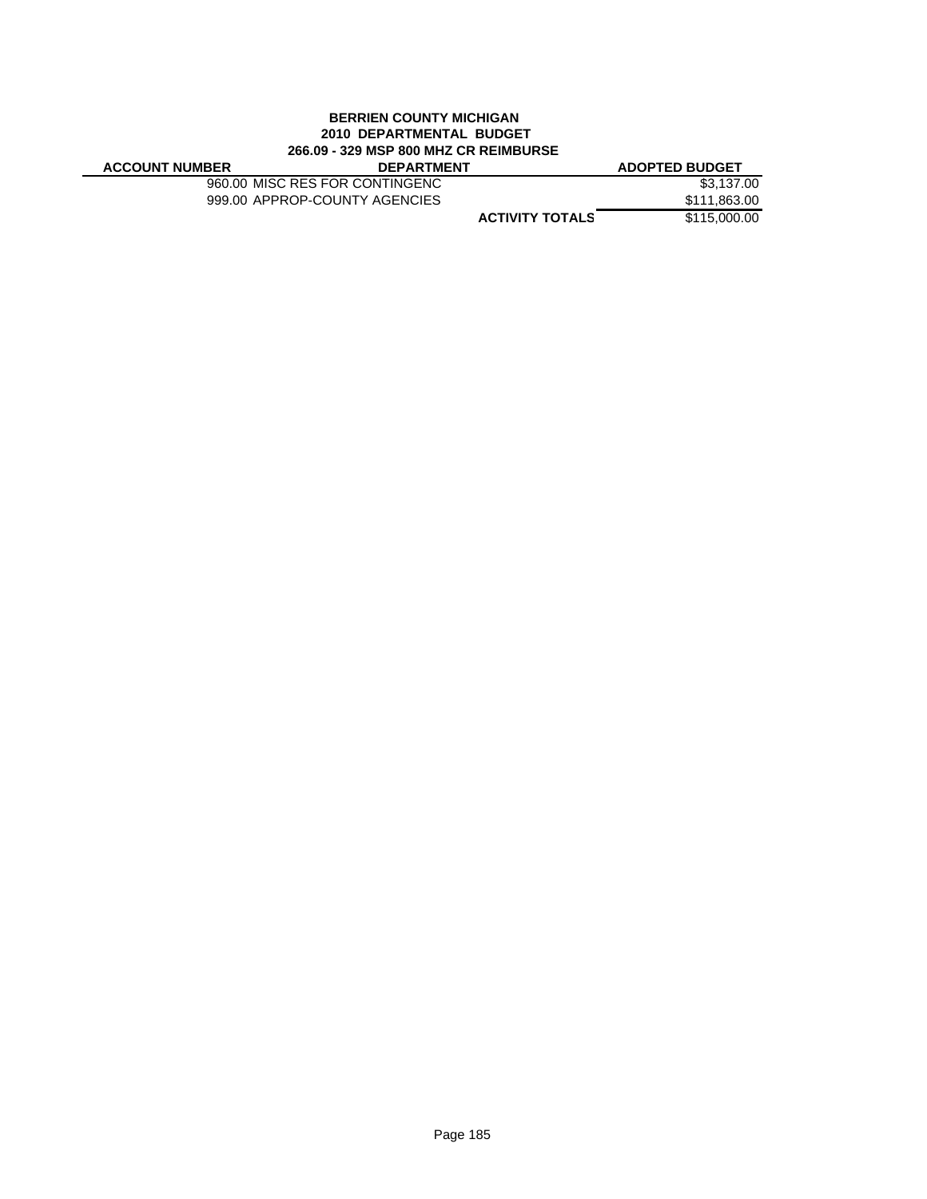#### **BERRIEN COUNTY MICHIGAN 2010 DEPARTMENTAL BUDGET 266.09 - 329 MSP 800 MHZ CR REIMBURSE**

| <b>ACCOUNT NUMBER</b> | <b>DEPARTMENT</b>              | <b>ADOPTED BUDGET</b>                  |
|-----------------------|--------------------------------|----------------------------------------|
|                       | 960.00 MISC RES FOR CONTINGENC | \$3.137.00                             |
|                       | 999.00 APPROP-COUNTY AGENCIES  | \$111,863.00                           |
|                       |                                | \$115,000.00<br><b>ACTIVITY TOTALS</b> |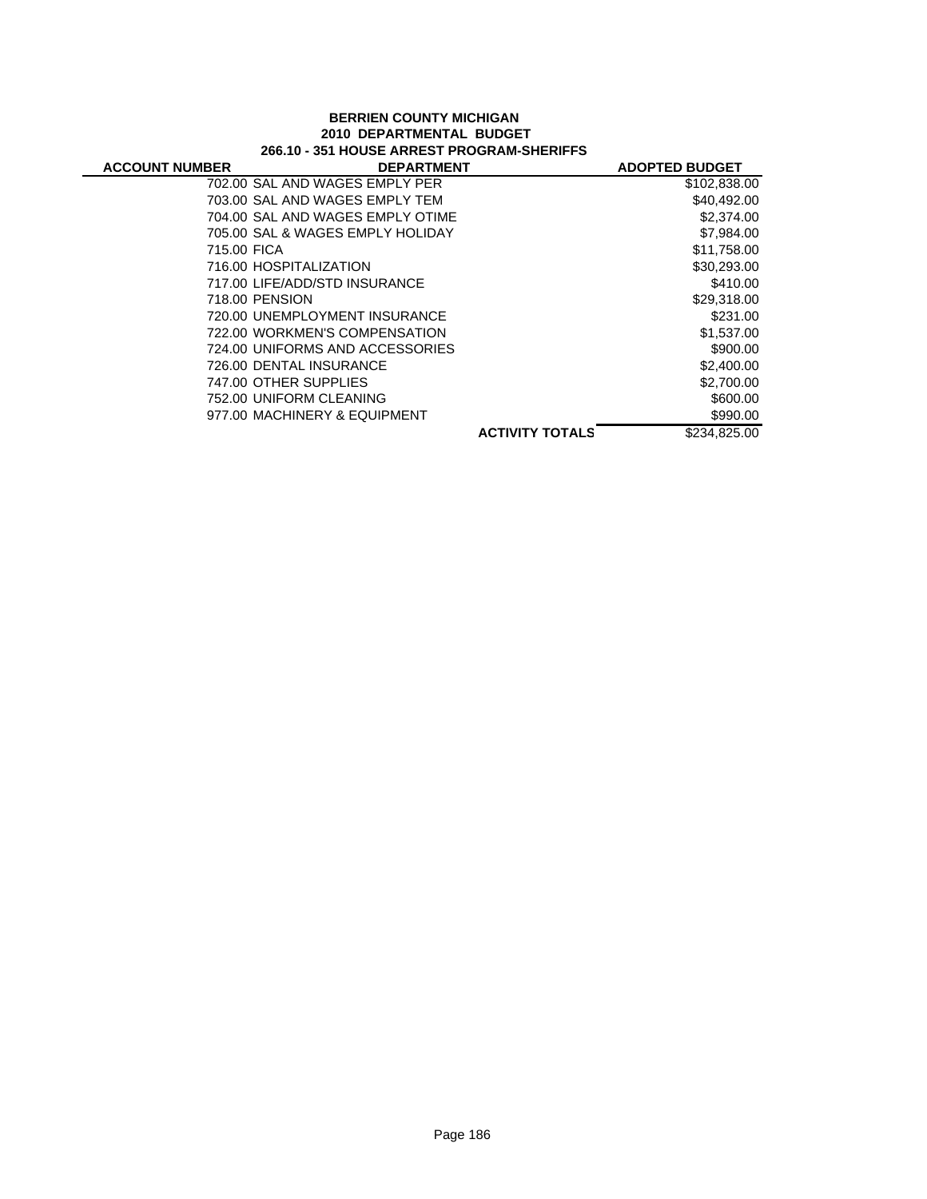#### **BERRIEN COUNTY MICHIGAN 2010 DEPARTMENTAL BUDGET 266.10 - 351 HOUSE ARREST PROGRAM-SHERIFFS**

| <b>ACCOUNT NUMBER</b> | <b>DEPARTMENT</b>                |                        | <b>ADOPTED BUDGET</b> |
|-----------------------|----------------------------------|------------------------|-----------------------|
|                       | 702.00 SAL AND WAGES EMPLY PER   |                        | \$102,838.00          |
|                       | 703.00 SAL AND WAGES EMPLY TEM   |                        | \$40,492.00           |
|                       | 704.00 SAL AND WAGES EMPLY OTIME |                        | \$2,374.00            |
|                       | 705.00 SAL & WAGES EMPLY HOLIDAY |                        | \$7,984.00            |
| 715.00 FICA           |                                  |                        | \$11,758.00           |
|                       | 716.00 HOSPITALIZATION           |                        | \$30,293.00           |
|                       | 717.00 LIFE/ADD/STD INSURANCE    |                        | \$410.00              |
|                       | 718.00 PENSION                   |                        | \$29,318.00           |
|                       | 720.00 UNEMPLOYMENT INSURANCE    |                        | \$231.00              |
|                       | 722.00 WORKMEN'S COMPENSATION    |                        | \$1,537.00            |
|                       | 724.00 UNIFORMS AND ACCESSORIES  |                        | \$900.00              |
|                       | 726.00 DENTAL INSURANCE          |                        | \$2,400.00            |
|                       | 747.00 OTHER SUPPLIES            |                        | \$2,700.00            |
|                       | 752.00 UNIFORM CLEANING          |                        | \$600.00              |
|                       | 977.00 MACHINERY & EQUIPMENT     |                        | \$990.00              |
|                       |                                  | <b>ACTIVITY TOTALS</b> | \$234,825,00          |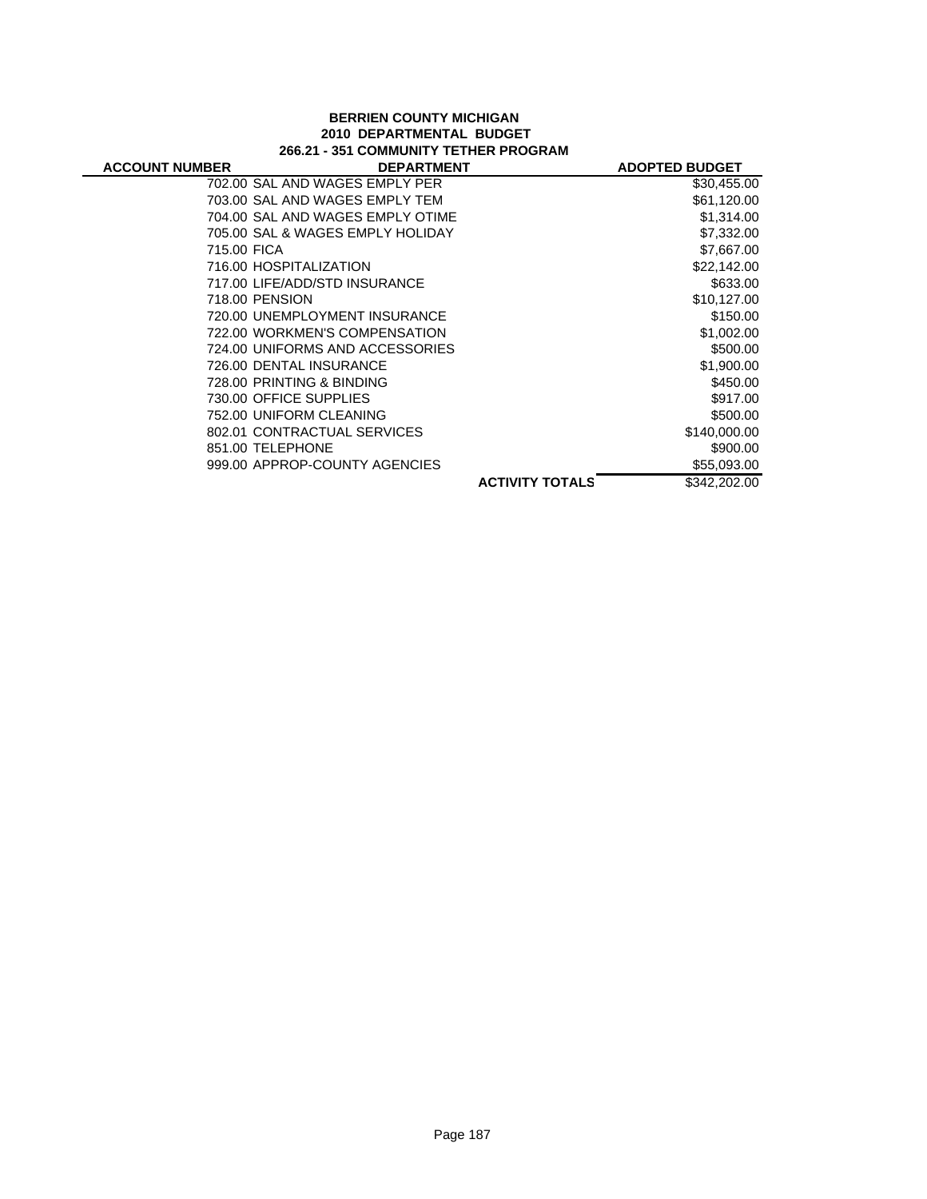#### **BERRIEN COUNTY MICHIGAN 2010 DEPARTMENTAL BUDGET 266.21 - 351 COMMUNITY TETHER PROGRAM**

| <b>ACCOUNT NUMBER</b> | <b>DEPARTMENT</b>                |                        | <b>ADOPTED BUDGET</b> |
|-----------------------|----------------------------------|------------------------|-----------------------|
|                       | 702.00 SAL AND WAGES EMPLY PER   |                        | \$30,455.00           |
|                       | 703.00 SAL AND WAGES EMPLY TEM   |                        | \$61,120.00           |
|                       | 704.00 SAL AND WAGES EMPLY OTIME |                        | \$1,314.00            |
|                       | 705.00 SAL & WAGES EMPLY HOLIDAY |                        | \$7,332.00            |
| 715.00 FICA           |                                  |                        | \$7,667.00            |
|                       | 716.00 HOSPITALIZATION           |                        | \$22,142.00           |
|                       | 717.00 LIFE/ADD/STD INSURANCE    |                        | \$633.00              |
| 718.00 PENSION        |                                  |                        | \$10,127.00           |
|                       | 720.00 UNEMPLOYMENT INSURANCE    |                        | \$150.00              |
|                       | 722.00 WORKMEN'S COMPENSATION    |                        | \$1,002.00            |
|                       | 724.00 UNIFORMS AND ACCESSORIES  |                        | \$500.00              |
|                       | 726.00 DENTAL INSURANCE          |                        | \$1,900.00            |
|                       | 728.00 PRINTING & BINDING        |                        | \$450.00              |
|                       | 730.00 OFFICE SUPPLIES           |                        | \$917.00              |
|                       | 752.00 UNIFORM CLEANING          |                        | \$500.00              |
|                       | 802.01 CONTRACTUAL SERVICES      |                        | \$140,000.00          |
| 851.00 TELEPHONE      |                                  |                        | \$900.00              |
|                       | 999.00 APPROP-COUNTY AGENCIES    |                        | \$55,093.00           |
|                       |                                  | <b>ACTIVITY TOTALS</b> | \$342,202.00          |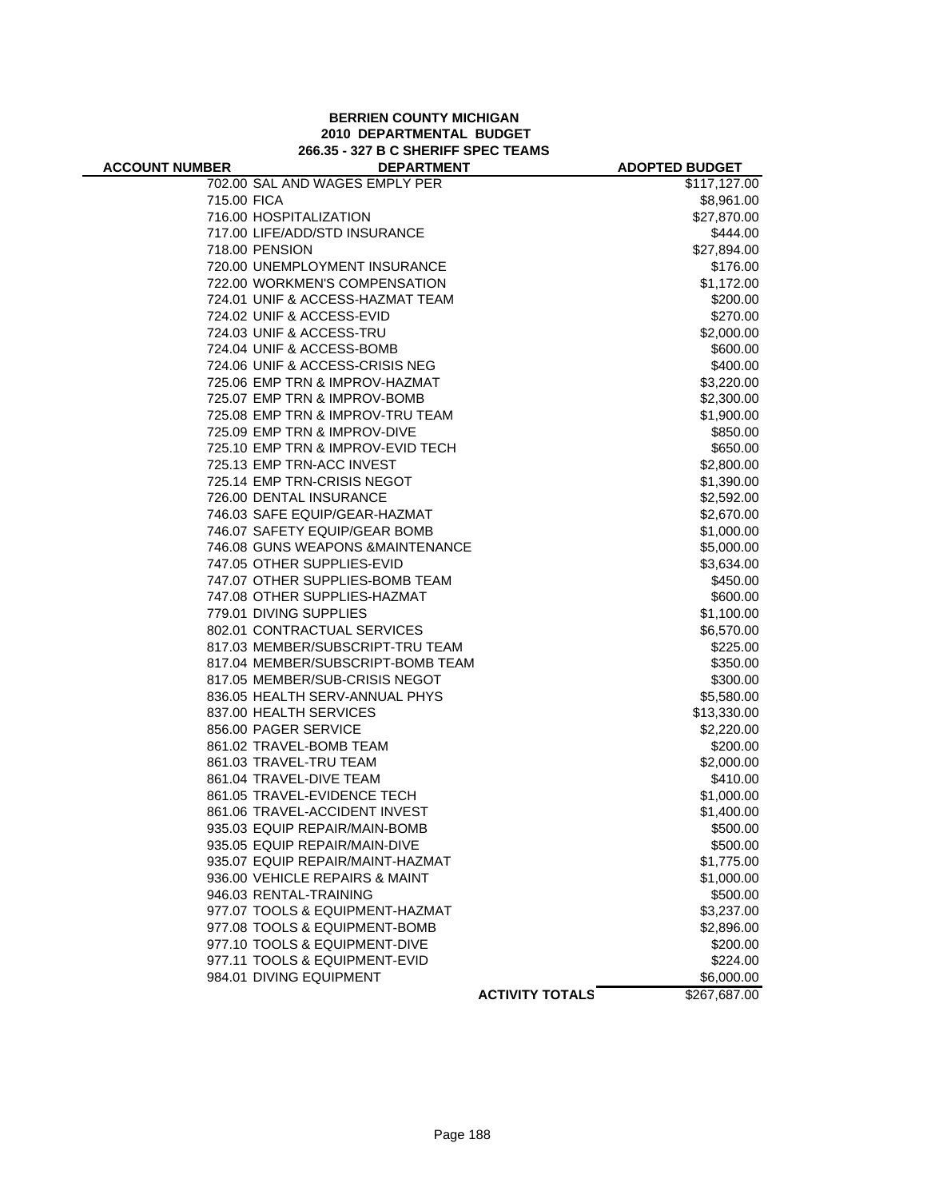#### **BERRIEN COUNTY MICHIGAN 2010 DEPARTMENTAL BUDGET 266.35 - 327 B C SHERIFF SPEC TEAMS**

| <b>ACCOUNT NUMBER</b> | <b>DEPARTMENT</b>                 |                        | <b>ADOPTED BUDGET</b> |
|-----------------------|-----------------------------------|------------------------|-----------------------|
|                       | 702.00 SAL AND WAGES EMPLY PER    |                        | \$117,127.00          |
| 715.00 FICA           |                                   |                        | \$8,961.00            |
|                       | 716.00 HOSPITALIZATION            |                        | \$27,870.00           |
|                       | 717.00 LIFE/ADD/STD INSURANCE     |                        | \$444.00              |
|                       | 718.00 PENSION                    |                        | \$27,894.00           |
|                       | 720.00 UNEMPLOYMENT INSURANCE     |                        | \$176.00              |
|                       | 722.00 WORKMEN'S COMPENSATION     |                        | \$1,172.00            |
|                       | 724.01 UNIF & ACCESS-HAZMAT TEAM  |                        | \$200.00              |
|                       | 724.02 UNIF & ACCESS-EVID         |                        | \$270.00              |
|                       | 724.03 UNIF & ACCESS-TRU          |                        | \$2,000.00            |
|                       | 724.04 UNIF & ACCESS-BOMB         |                        | \$600.00              |
|                       | 724.06 UNIF & ACCESS-CRISIS NEG   |                        | \$400.00              |
|                       | 725.06 EMP TRN & IMPROV-HAZMAT    |                        | \$3,220.00            |
|                       | 725.07 EMP TRN & IMPROV-BOMB      |                        | \$2,300.00            |
|                       | 725.08 EMP TRN & IMPROV-TRU TEAM  |                        | \$1,900.00            |
|                       | 725.09 EMP TRN & IMPROV-DIVE      |                        | \$850.00              |
|                       | 725.10 EMP TRN & IMPROV-EVID TECH |                        | \$650.00              |
|                       | 725.13 EMP TRN-ACC INVEST         |                        | \$2,800.00            |
|                       | 725.14 EMP TRN-CRISIS NEGOT       |                        | \$1,390.00            |
|                       | 726.00 DENTAL INSURANCE           |                        | \$2,592.00            |
|                       | 746.03 SAFE EQUIP/GEAR-HAZMAT     |                        | \$2,670.00            |
|                       | 746.07 SAFETY EQUIP/GEAR BOMB     |                        | \$1,000.00            |
|                       | 746.08 GUNS WEAPONS & MAINTENANCE |                        | \$5,000.00            |
|                       | 747.05 OTHER SUPPLIES-EVID        |                        | \$3,634.00            |
|                       | 747.07 OTHER SUPPLIES-BOMB TEAM   |                        | \$450.00              |
|                       | 747.08 OTHER SUPPLIES-HAZMAT      |                        | \$600.00              |
|                       | 779.01 DIVING SUPPLIES            |                        | \$1,100.00            |
|                       | 802.01 CONTRACTUAL SERVICES       |                        | \$6,570.00            |
|                       | 817.03 MEMBER/SUBSCRIPT-TRU TEAM  |                        | \$225.00              |
|                       | 817.04 MEMBER/SUBSCRIPT-BOMB TEAM |                        | \$350.00              |
|                       | 817.05 MEMBER/SUB-CRISIS NEGOT    |                        | \$300.00              |
|                       | 836.05 HEALTH SERV-ANNUAL PHYS    |                        | \$5,580.00            |
|                       | 837.00 HEALTH SERVICES            |                        | \$13,330.00           |
|                       | 856.00 PAGER SERVICE              |                        | \$2,220.00            |
|                       | 861.02 TRAVEL-BOMB TEAM           |                        | \$200.00              |
|                       | 861.03 TRAVEL-TRU TEAM            |                        | \$2,000.00            |
|                       | 861.04 TRAVEL-DIVE TEAM           |                        | \$410.00              |
|                       | 861.05 TRAVEL-EVIDENCE TECH       |                        | \$1,000.00            |
|                       | 861.06 TRAVEL-ACCIDENT INVEST     |                        | \$1,400.00            |
|                       | 935.03 EQUIP REPAIR/MAIN-BOMB     |                        | \$500.00              |
|                       | 935.05 EQUIP REPAIR/MAIN-DIVE     |                        | \$500.00              |
|                       | 935.07 EQUIP REPAIR/MAINT-HAZMAT  |                        | \$1,775.00            |
|                       | 936.00 VEHICLE REPAIRS & MAINT    |                        | \$1,000.00            |
|                       | 946.03 RENTAL-TRAINING            |                        | \$500.00              |
|                       | 977.07 TOOLS & EQUIPMENT-HAZMAT   |                        | \$3,237.00            |
|                       | 977.08 TOOLS & EQUIPMENT-BOMB     |                        | \$2,896.00            |
|                       | 977.10 TOOLS & EQUIPMENT-DIVE     |                        | \$200.00              |
|                       | 977.11 TOOLS & EQUIPMENT-EVID     |                        | \$224.00              |
|                       | 984.01 DIVING EQUIPMENT           |                        | \$6,000.00            |
|                       |                                   | <b>ACTIVITY TOTALS</b> | \$267,687.00          |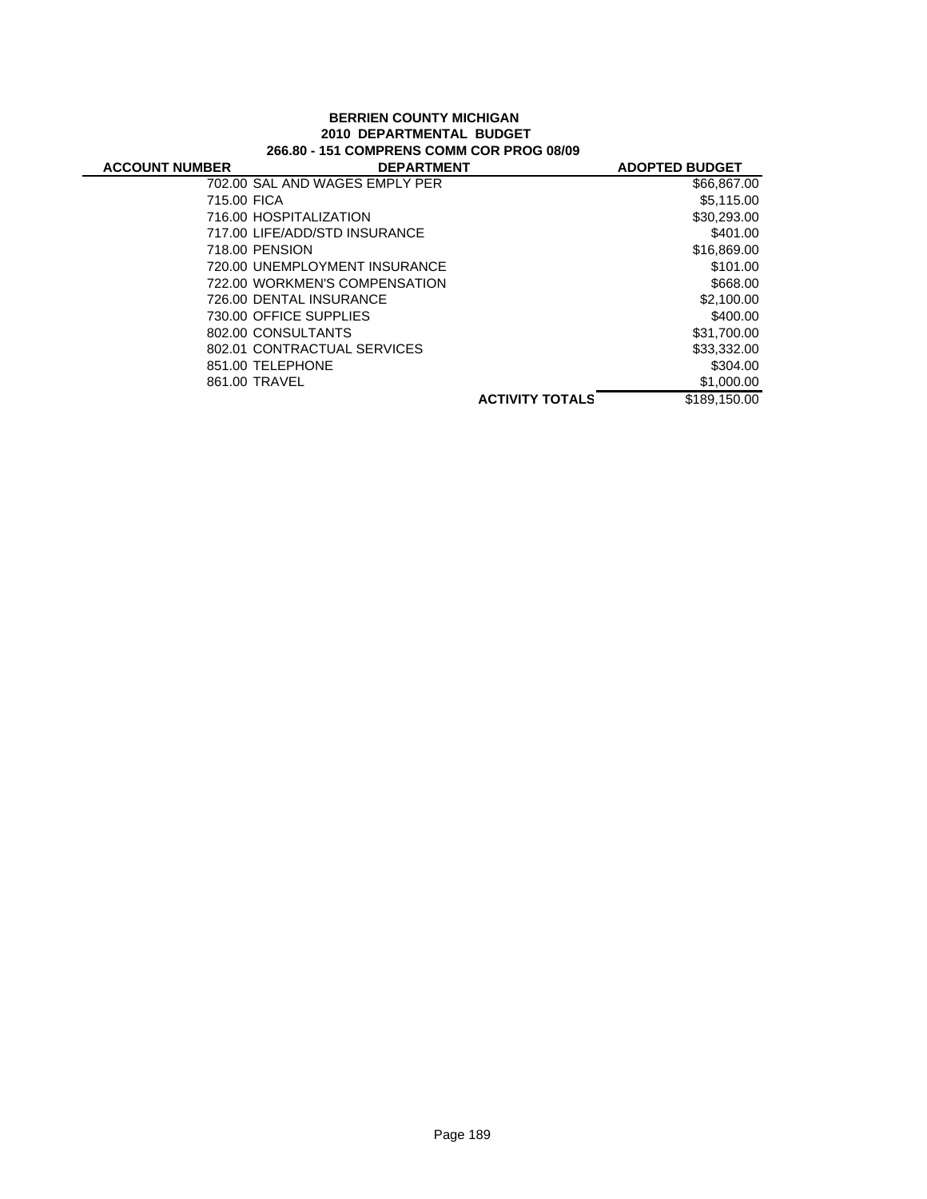#### **BERRIEN COUNTY MICHIGAN 2010 DEPARTMENTAL BUDGET 266.80 - 151 COMPRENS COMM COR PROG 08/09**

| <b>ACCOUNT NUMBER</b> | <b>DEPARTMENT</b>              |                        | <b>ADOPTED BUDGET</b> |
|-----------------------|--------------------------------|------------------------|-----------------------|
|                       | 702.00 SAL AND WAGES EMPLY PER |                        | \$66,867.00           |
| 715.00 FICA           |                                |                        | \$5,115.00            |
|                       | 716.00 HOSPITALIZATION         |                        | \$30,293.00           |
|                       | 717.00 LIFE/ADD/STD INSURANCE  |                        | \$401.00              |
|                       | 718.00 PENSION                 |                        | \$16,869.00           |
|                       | 720.00 UNEMPLOYMENT INSURANCE  |                        | \$101.00              |
|                       | 722.00 WORKMEN'S COMPENSATION  |                        | \$668.00              |
|                       | 726.00 DENTAL INSURANCE        |                        | \$2,100.00            |
|                       | 730.00 OFFICE SUPPLIES         |                        | \$400.00              |
|                       | 802.00 CONSULTANTS             |                        | \$31,700.00           |
|                       | 802.01 CONTRACTUAL SERVICES    |                        | \$33,332.00           |
|                       | 851.00 TELEPHONE               |                        | \$304.00              |
|                       | 861.00 TRAVEL                  |                        | \$1,000.00            |
|                       |                                | <b>ACTIVITY TOTALS</b> | \$189.150.00          |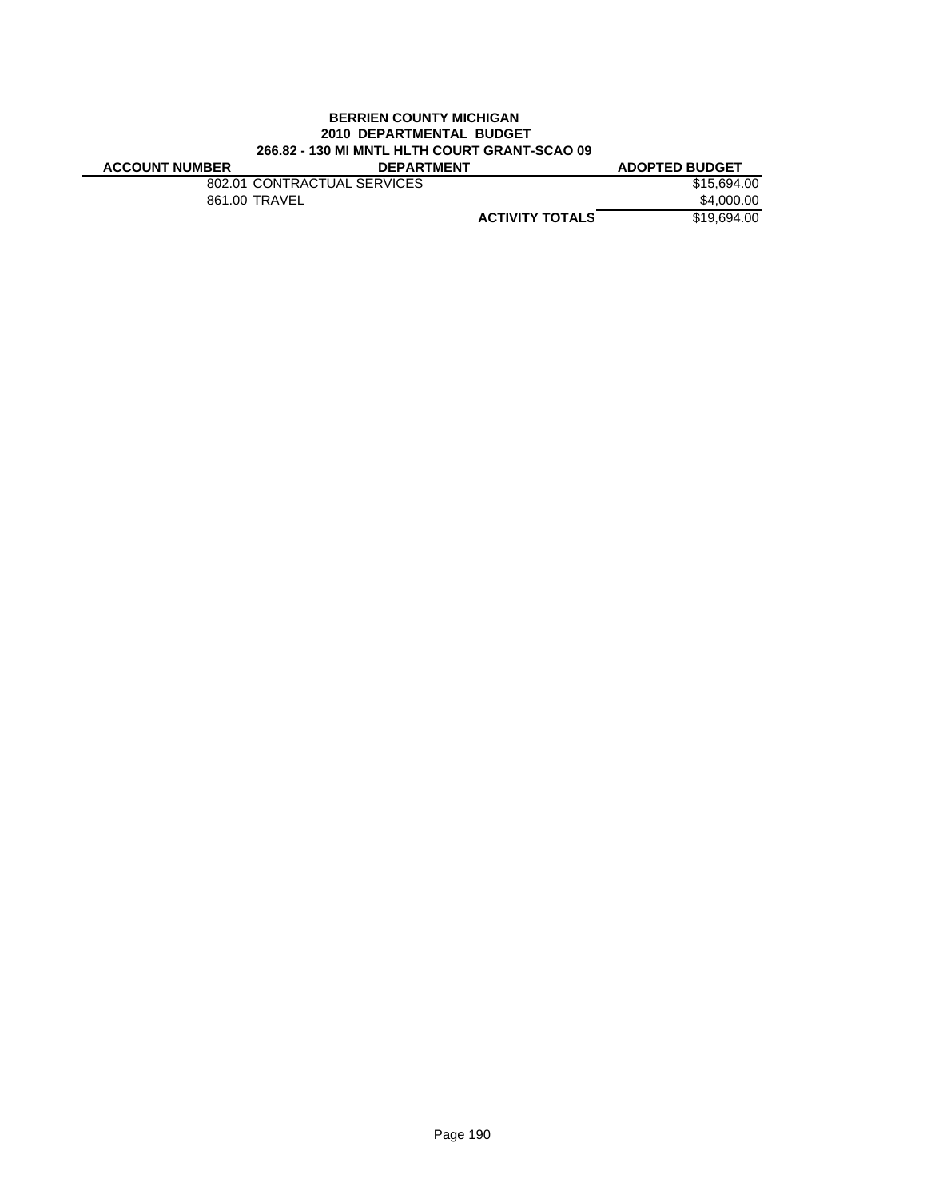#### **BERRIEN COUNTY MICHIGAN 2010 DEPARTMENTAL BUDGET 266.82 - 130 MI MNTL HLTH COURT GRANT-SCAO 09**

| <b>ACCOUNT NUMBER</b> | <b>DEPARTMENT</b>           |                        | <b>ADOPTED BUDGET</b> |
|-----------------------|-----------------------------|------------------------|-----------------------|
|                       | 802.01 CONTRACTUAL SERVICES |                        | \$15.694.00           |
|                       | 861.00 TRAVEL               |                        | \$4,000.00            |
|                       |                             | <b>ACTIVITY TOTALS</b> | \$19,694,00           |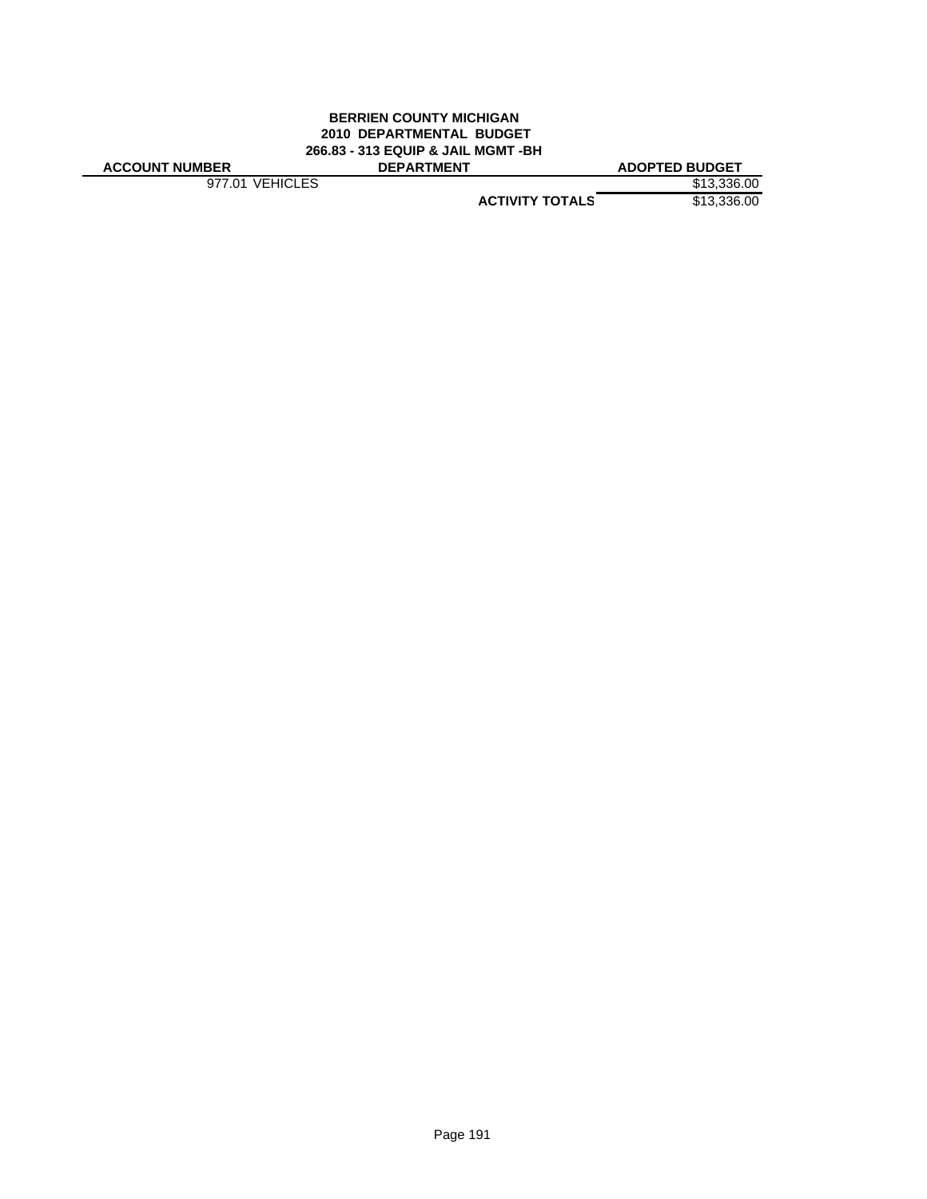#### **BERRIEN COUNTY MICHIGAN 2010 DEPARTMENTAL BUDGET 266.83 - 313 EQUIP & JAIL MGMT -BH ACCOUNT NUMBER DEPARTMENT ADOPTED BUDGET**

977.01 VEHICLES \$13,336.00

**ACTIVITY TOTALS** \$13,336.00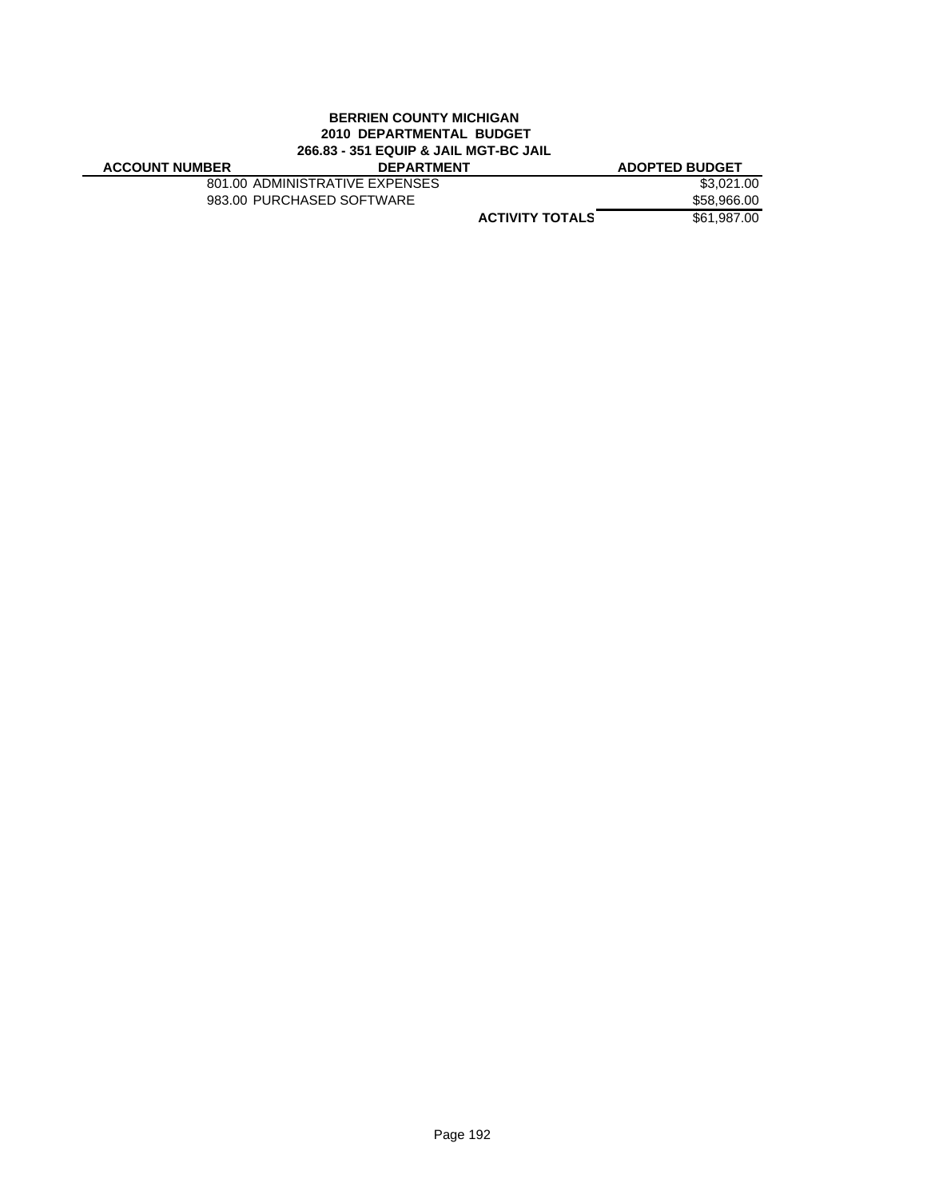#### **BERRIEN COUNTY MICHIGAN 2010 DEPARTMENTAL BUDGET 266.83 - 351 EQUIP & JAIL MGT-BC JAIL ACCOUNT NUMBER DEPARTMENT ADOPTED BUDGET**

801.00 ADMINISTRATIVE EXPENSES \$3,021.00<br>983.00 PURCHASED SOFTWARE \$58,966.00 983.00 PURCHASED SOFTWARE

**ACTIVITY TOTALS** \$61,987.00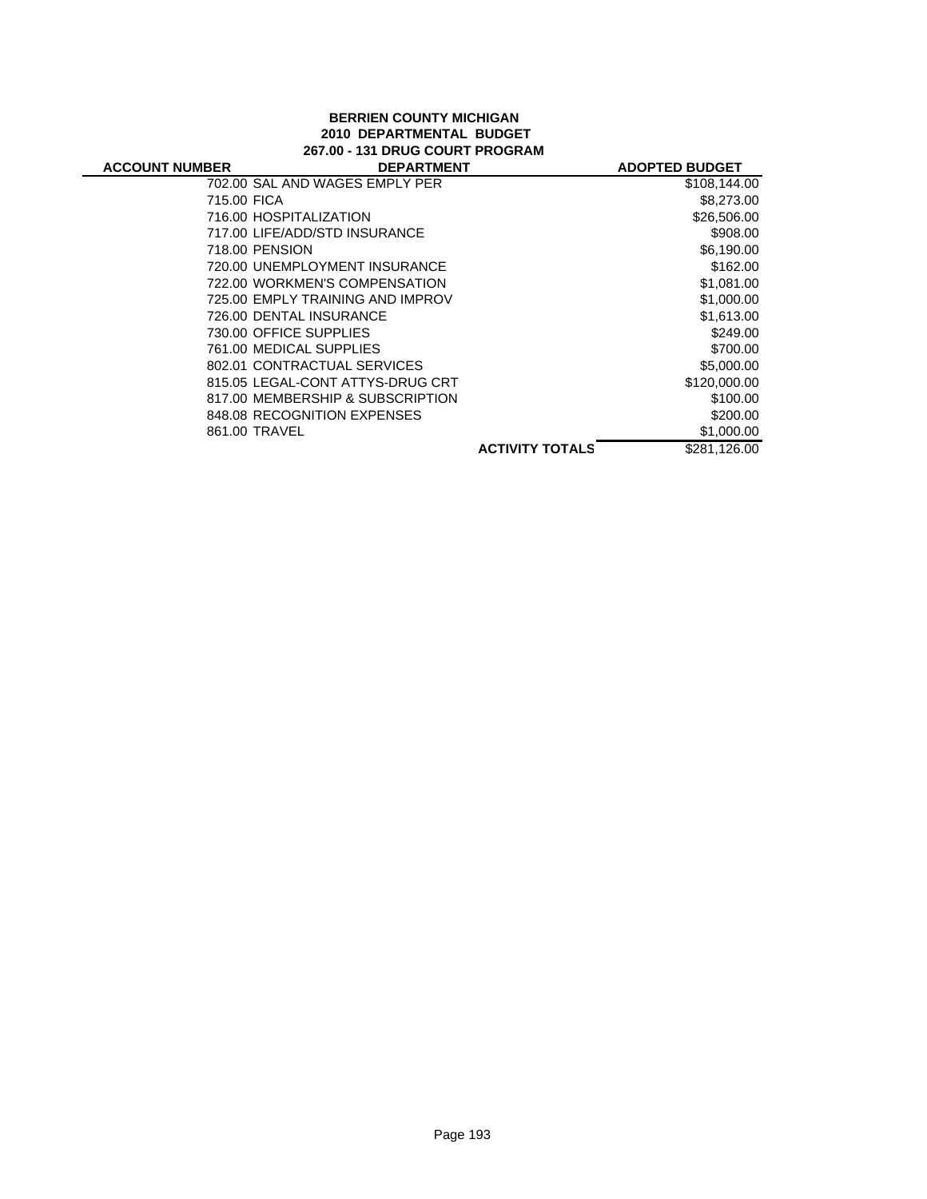#### **BERRIEN COUNTY MICHIGAN 2010 DEPARTMENTAL BUDGET 267.00 - 131 DRUG COURT PROGRAM**

| <b>ACCOUNT NUMBER</b> | <b>DEPARTMENT</b>                |                        | <b>ADOPTED BUDGET</b> |
|-----------------------|----------------------------------|------------------------|-----------------------|
|                       | 702.00 SAL AND WAGES EMPLY PER   |                        | \$108,144.00          |
| 715.00 FICA           |                                  |                        | \$8,273.00            |
|                       | 716.00 HOSPITALIZATION           |                        | \$26,506.00           |
|                       | 717.00 LIFE/ADD/STD INSURANCE    |                        | \$908.00              |
|                       | 718.00 PENSION                   |                        | \$6,190.00            |
|                       | 720.00 UNEMPLOYMENT INSURANCE    |                        | \$162.00              |
|                       | 722.00 WORKMEN'S COMPENSATION    |                        | \$1,081.00            |
|                       | 725.00 EMPLY TRAINING AND IMPROV |                        | \$1,000.00            |
|                       | 726.00 DENTAL INSURANCE          |                        | \$1.613.00            |
|                       | 730.00 OFFICE SUPPLIES           |                        | \$249.00              |
|                       | 761.00 MEDICAL SUPPLIES          |                        | \$700.00              |
|                       | 802.01 CONTRACTUAL SERVICES      |                        | \$5,000.00            |
|                       | 815.05 LEGAL-CONT ATTYS-DRUG CRT |                        | \$120,000.00          |
|                       | 817.00 MEMBERSHIP & SUBSCRIPTION |                        | \$100.00              |
|                       | 848.08 RECOGNITION EXPENSES      |                        | \$200.00              |
|                       | 861.00 TRAVEL                    |                        | \$1,000.00            |
|                       |                                  | <b>ACTIVITY TOTALS</b> | \$281.126.00          |
|                       |                                  |                        |                       |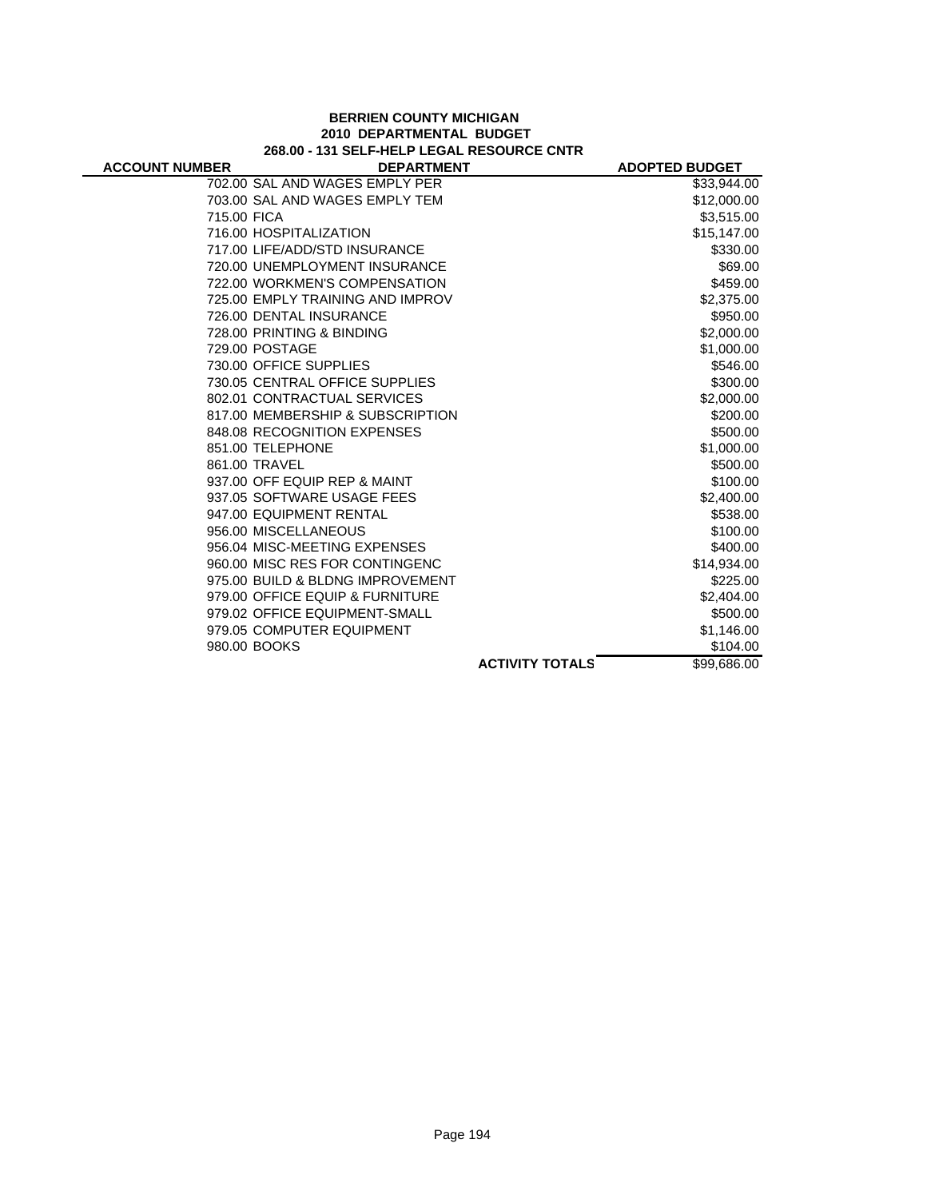|                       | 268.00 - 131 SELF-HELP LEGAL RESOURCE CNTR |                        |                       |
|-----------------------|--------------------------------------------|------------------------|-----------------------|
| <b>ACCOUNT NUMBER</b> | <b>DEPARTMENT</b>                          |                        | <b>ADOPTED BUDGET</b> |
|                       | 702.00 SAL AND WAGES EMPLY PER             |                        | \$33,944.00           |
|                       | 703.00 SAL AND WAGES EMPLY TEM             |                        | \$12,000.00           |
| 715.00 FICA           |                                            |                        | \$3,515.00            |
|                       | 716.00 HOSPITALIZATION                     |                        | \$15,147.00           |
|                       | 717.00 LIFE/ADD/STD INSURANCE              |                        | \$330.00              |
|                       | 720.00 UNEMPLOYMENT INSURANCE              |                        | \$69.00               |
|                       | 722.00 WORKMEN'S COMPENSATION              |                        | \$459.00              |
|                       | 725.00 EMPLY TRAINING AND IMPROV           |                        | \$2,375.00            |
|                       | 726.00 DENTAL INSURANCE                    |                        | \$950.00              |
|                       | 728.00 PRINTING & BINDING                  |                        | \$2,000.00            |
|                       | 729.00 POSTAGE                             |                        | \$1,000.00            |
|                       | 730.00 OFFICE SUPPLIES                     |                        | \$546.00              |
|                       | 730.05 CENTRAL OFFICE SUPPLIES             |                        | \$300.00              |
|                       | 802.01 CONTRACTUAL SERVICES                |                        | \$2,000.00            |
|                       | 817.00 MEMBERSHIP & SUBSCRIPTION           |                        | \$200.00              |
|                       | 848.08 RECOGNITION EXPENSES                |                        | \$500.00              |
|                       | 851.00 TELEPHONE                           |                        | \$1,000.00            |
|                       | 861.00 TRAVEL                              |                        | \$500.00              |
|                       | 937.00 OFF EQUIP REP & MAINT               |                        | \$100.00              |
|                       | 937.05 SOFTWARE USAGE FEES                 |                        | \$2,400.00            |
|                       | 947.00 EQUIPMENT RENTAL                    |                        | \$538.00              |
|                       | 956.00 MISCELLANEOUS                       |                        | \$100.00              |
|                       | 956.04 MISC-MEETING EXPENSES               |                        | \$400.00              |
|                       | 960.00 MISC RES FOR CONTINGENC             |                        | \$14,934.00           |
|                       | 975.00 BUILD & BLDNG IMPROVEMENT           |                        | \$225.00              |
|                       | 979.00 OFFICE EQUIP & FURNITURE            |                        | \$2,404.00            |
|                       | 979.02 OFFICE EQUIPMENT-SMALL              |                        | \$500.00              |
|                       | 979.05 COMPUTER EQUIPMENT                  |                        | \$1,146.00            |
|                       | 980.00 BOOKS                               |                        | \$104.00              |
|                       |                                            | <b>ACTIVITY TOTALS</b> | \$99,686.00           |

## **BERRIEN COUNTY MICHIGAN 2010 DEPARTMENTAL BUDGET**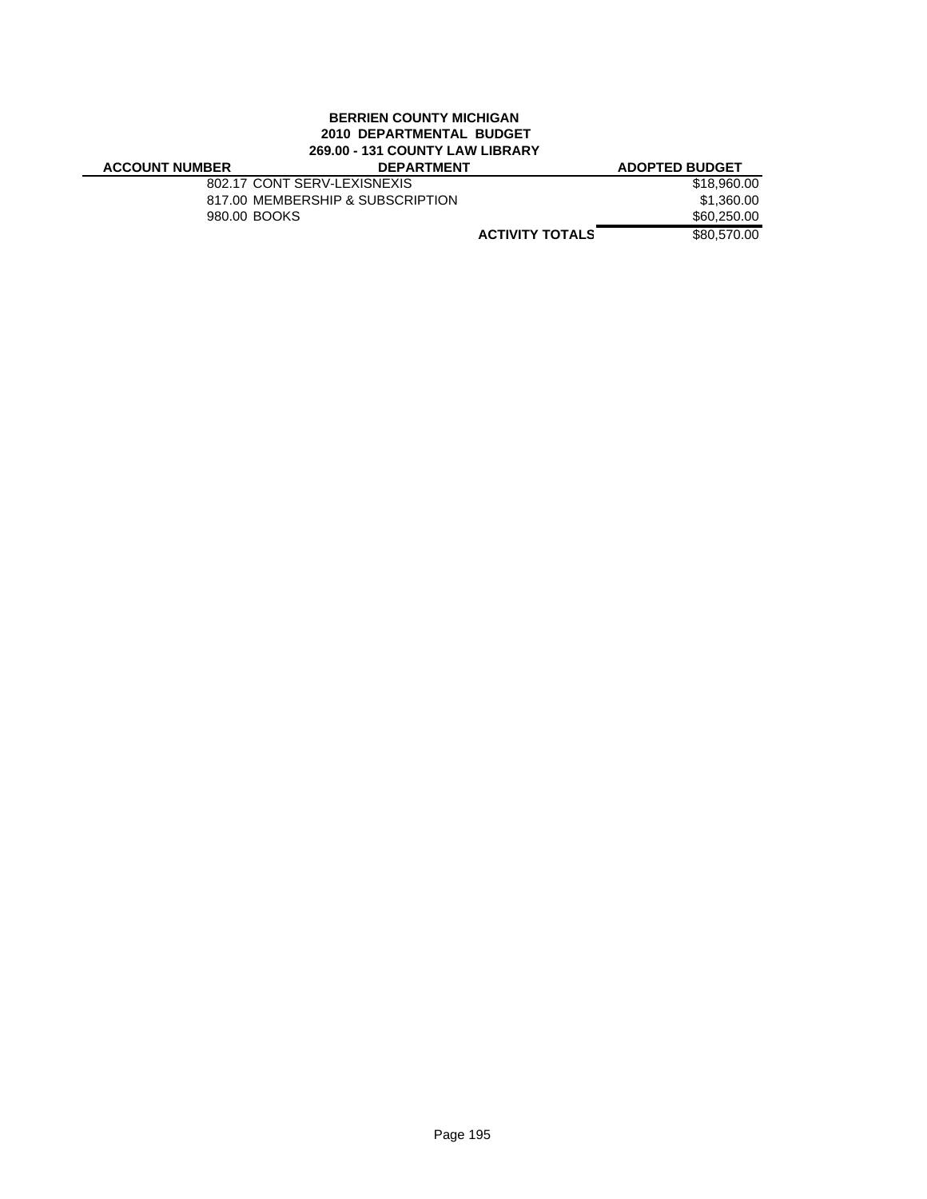#### **BERRIEN COUNTY MICHIGAN 2010 DEPARTMENTAL BUDGET 269.00 - 131 COUNTY LAW LIBRARY**

| LUJ.UV - IJI UUUNII LAN LIDI\AI\I |                                  |                       |  |
|-----------------------------------|----------------------------------|-----------------------|--|
| <b>ACCOUNT NUMBER</b>             | <b>DEPARTMENT</b>                | <b>ADOPTED BUDGET</b> |  |
|                                   | 802.17 CONT SERV-LEXISNEXIS      | \$18,960.00           |  |
|                                   | 817.00 MEMBERSHIP & SUBSCRIPTION | \$1,360.00            |  |
| 980.00 BOOKS                      |                                  | \$60,250.00           |  |
|                                   | <b>ACTIVITY TOTALS</b>           | \$80,570.00           |  |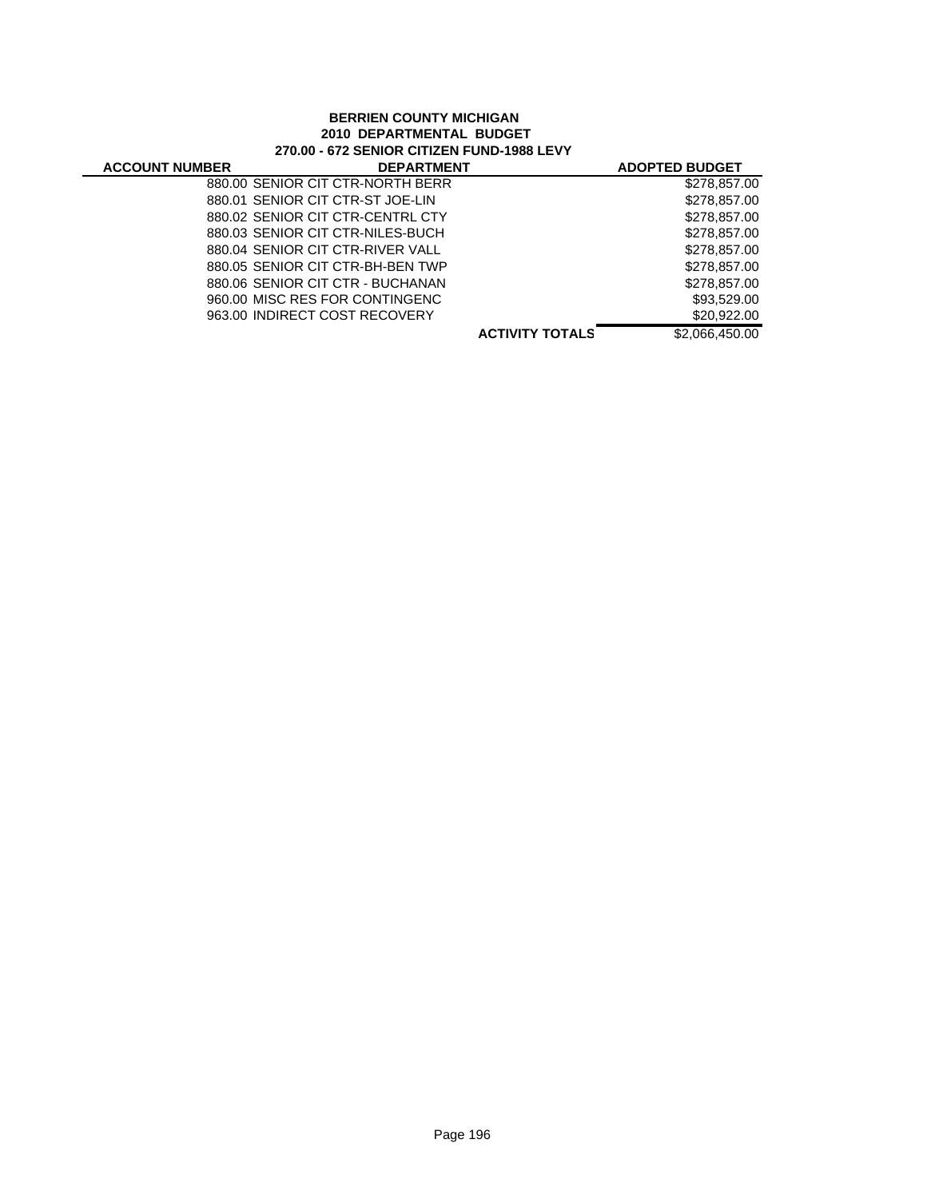#### **BERRIEN COUNTY MICHIGAN 2010 DEPARTMENTAL BUDGET 270.00 - 672 SENIOR CITIZEN FUND-1988 LEVY**

| <b>ACCOUNT NUMBER</b> | <b>DEPARTMENT</b>                |                        | <b>ADOPTED BUDGET</b> |
|-----------------------|----------------------------------|------------------------|-----------------------|
|                       | 880.00 SENIOR CIT CTR-NORTH BERR |                        | \$278,857.00          |
|                       | 880.01 SENIOR CIT CTR-ST JOE-LIN |                        | \$278,857.00          |
|                       | 880.02 SENIOR CIT CTR-CENTRL CTY |                        | \$278,857.00          |
|                       | 880.03 SENIOR CIT CTR-NILES-BUCH |                        | \$278,857,00          |
|                       | 880.04 SENIOR CIT CTR-RIVER VALL |                        | \$278,857.00          |
|                       | 880.05 SENIOR CIT CTR-BH-BEN TWP |                        | \$278,857.00          |
|                       | 880.06 SENIOR CIT CTR - BUCHANAN |                        | \$278,857,00          |
|                       | 960.00 MISC RES FOR CONTINGENC   |                        | \$93,529.00           |
|                       | 963.00 INDIRECT COST RECOVERY    |                        | \$20,922,00           |
|                       |                                  | <b>ACTIVITY TOTALS</b> | \$2,066,450,00        |
|                       |                                  |                        |                       |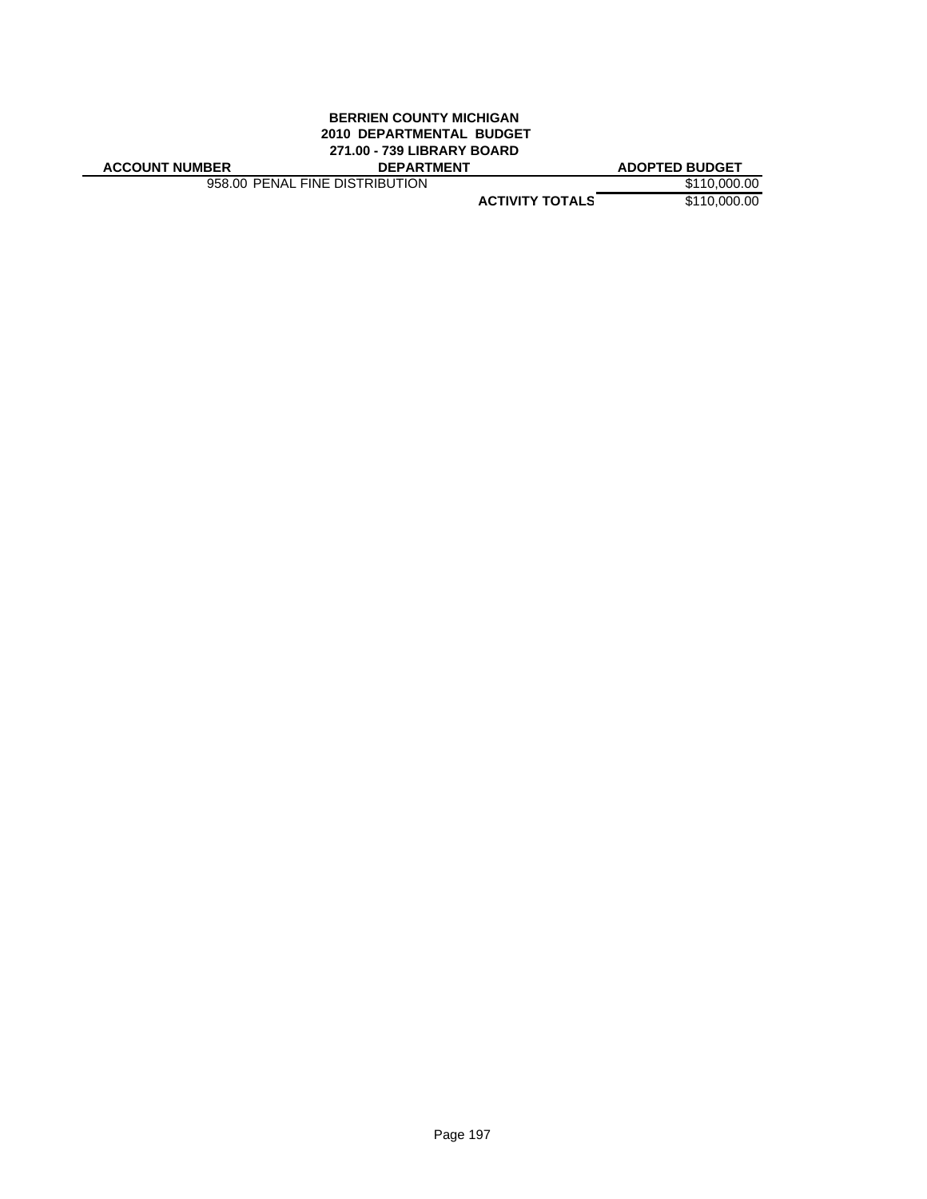#### **BERRIEN COUNTY MICHIGAN 2010 DEPARTMENTAL BUDGET 271.00 - 739 LIBRARY BOARD ACCOUNT NUMBER DEPARTMENT ADOPTED BUDGET**

958.00 PENAL FINE DISTRIBUTION \$110,000.00

**ACTIVITY TOTALS** \$110,000.00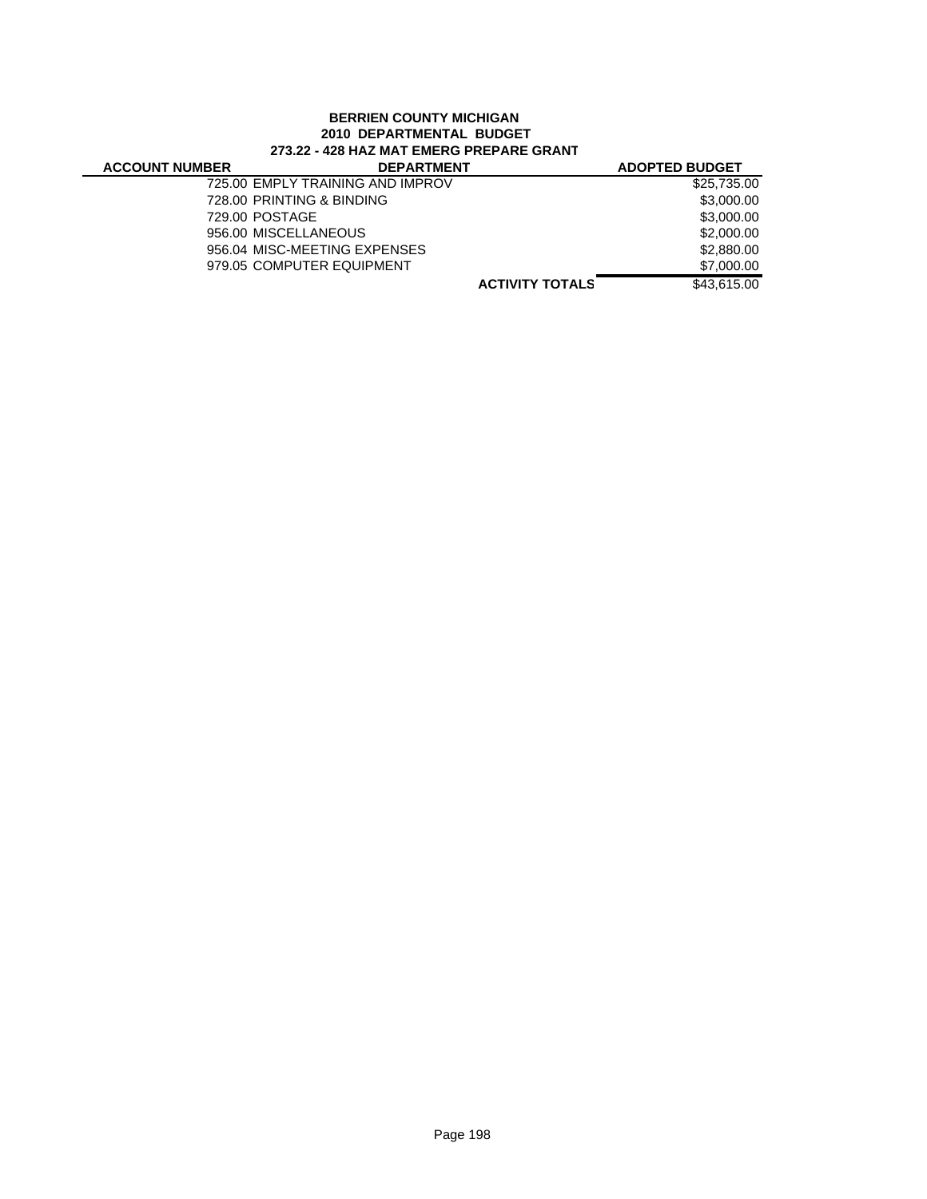#### **BERRIEN COUNTY MICHIGAN 2010 DEPARTMENTAL BUDGET 273.22 - 428 HAZ MAT EMERG PREPARE GRANT**

| <b>ACCOUNT NUMBER</b> | <b>DEPARTMENT</b>                |                        | <b>ADOPTED BUDGET</b> |
|-----------------------|----------------------------------|------------------------|-----------------------|
|                       | 725.00 EMPLY TRAINING AND IMPROV |                        | \$25,735.00           |
|                       | 728.00 PRINTING & BINDING        |                        | \$3,000.00            |
|                       | 729.00 POSTAGE                   |                        | \$3,000.00            |
|                       | 956.00 MISCELLANEOUS             |                        | \$2,000.00            |
|                       | 956.04 MISC-MEETING EXPENSES     |                        | \$2,880,00            |
|                       | 979.05 COMPUTER EQUIPMENT        |                        | \$7,000.00            |
|                       |                                  | <b>ACTIVITY TOTALS</b> | \$43,615,00           |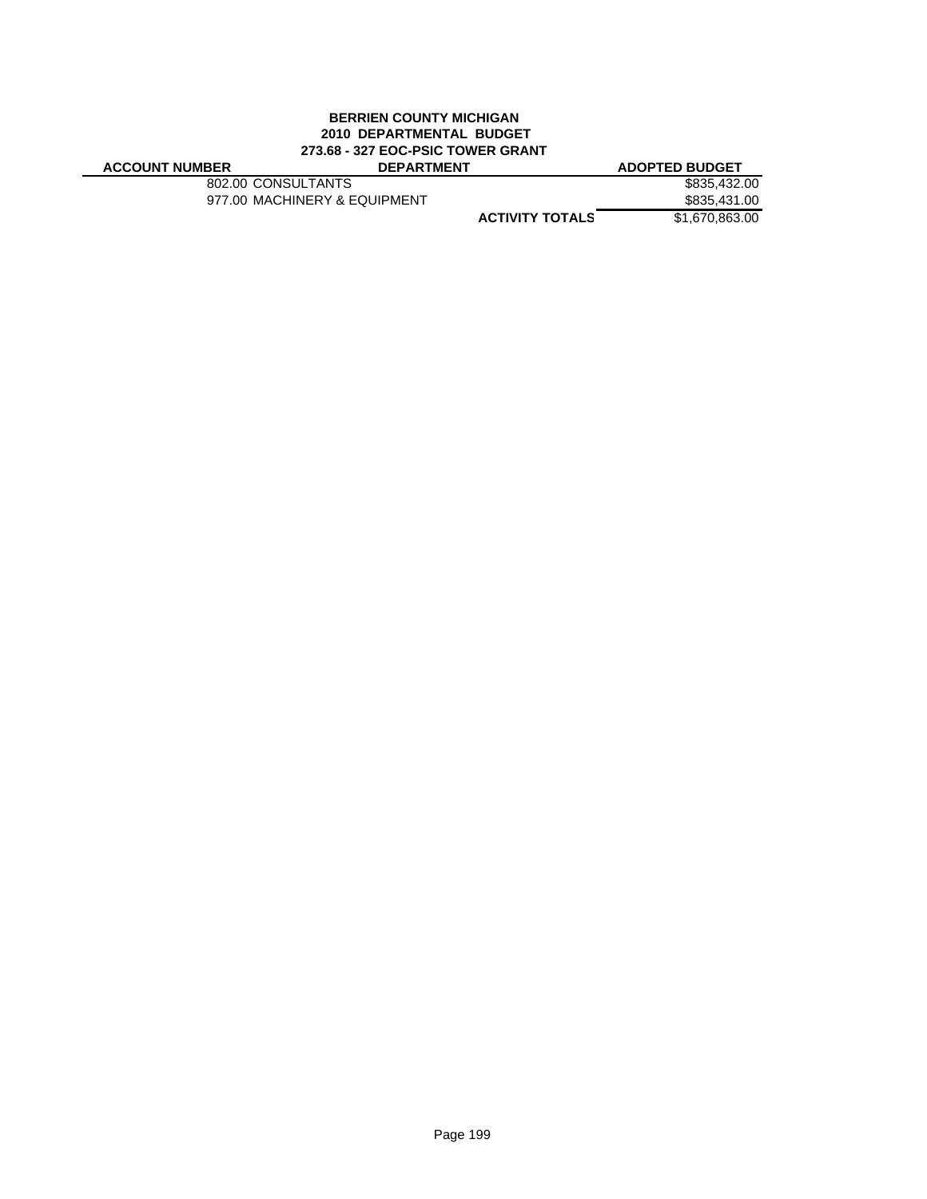#### **BERRIEN COUNTY MICHIGAN 2010 DEPARTMENTAL BUDGET 273.68 - 327 EOC-PSIC TOWER GRANT ACCOUNT NUMBER DEPARTMENT ADOPTED BUDGET**

802.00 CONSULTANTS \$835,432.00<br>977.00 MACHINERY & EQUIPMENT \$835,431.00 977.00 MACHINERY & EQUIPMENT

**S ACTIVITY TOTAL** \$1,670,863.00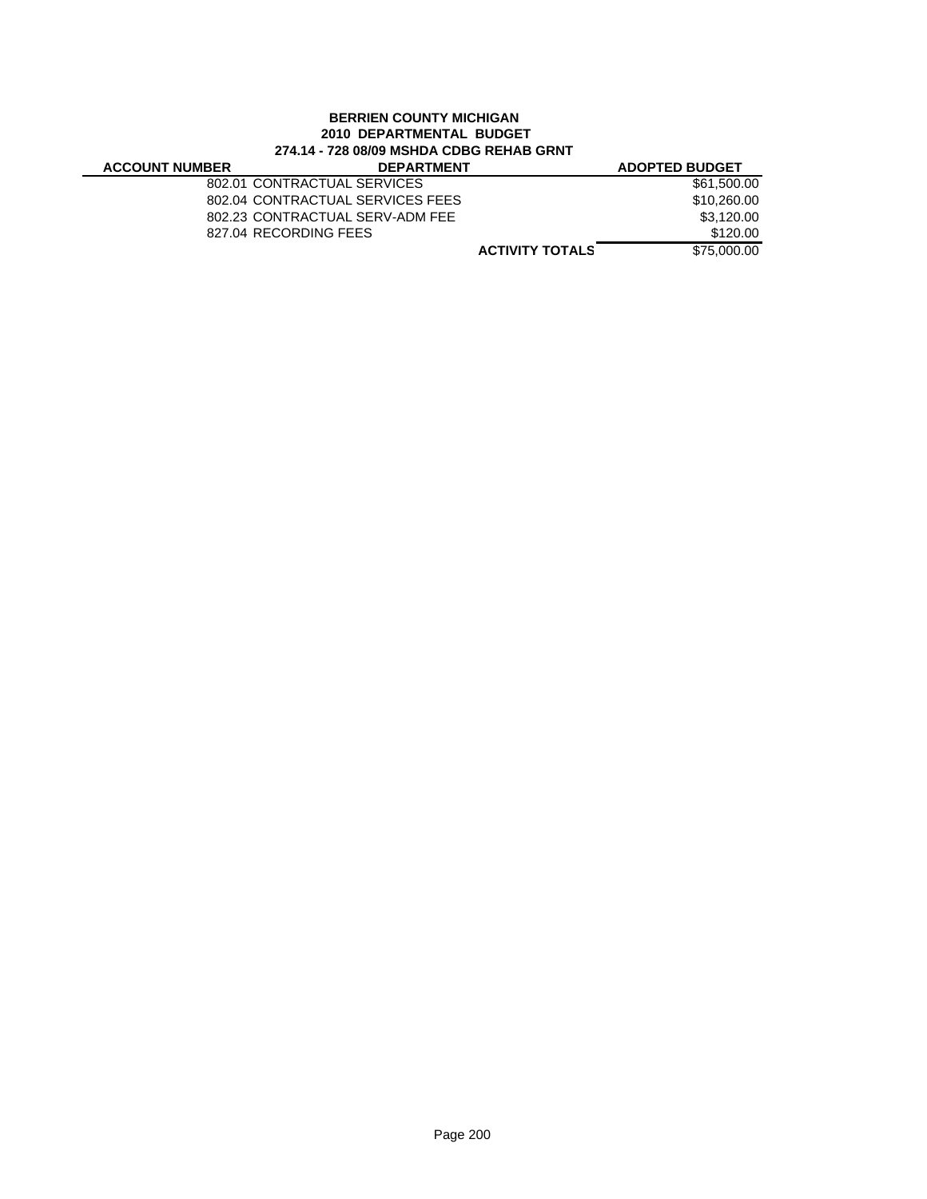#### **BERRIEN COUNTY MICHIGAN 2010 DEPARTMENTAL BUDGET 274.14 - 728 08/09 MSHDA CDBG REHAB GRNT**

J.

| <b>ACCOUNT NUMBER</b> | <b>DEPARTMENT</b>                |                        | <b>ADOPTED BUDGET</b> |
|-----------------------|----------------------------------|------------------------|-----------------------|
|                       | 802.01 CONTRACTUAL SERVICES      |                        | \$61,500.00           |
|                       | 802.04 CONTRACTUAL SERVICES FEES |                        | \$10,260,00           |
|                       | 802.23 CONTRACTUAL SERV-ADM FEE  |                        | \$3,120.00            |
|                       | 827.04 RECORDING FEES            |                        | \$120.00              |
|                       |                                  | <b>ACTIVITY TOTALS</b> | \$75,000,00           |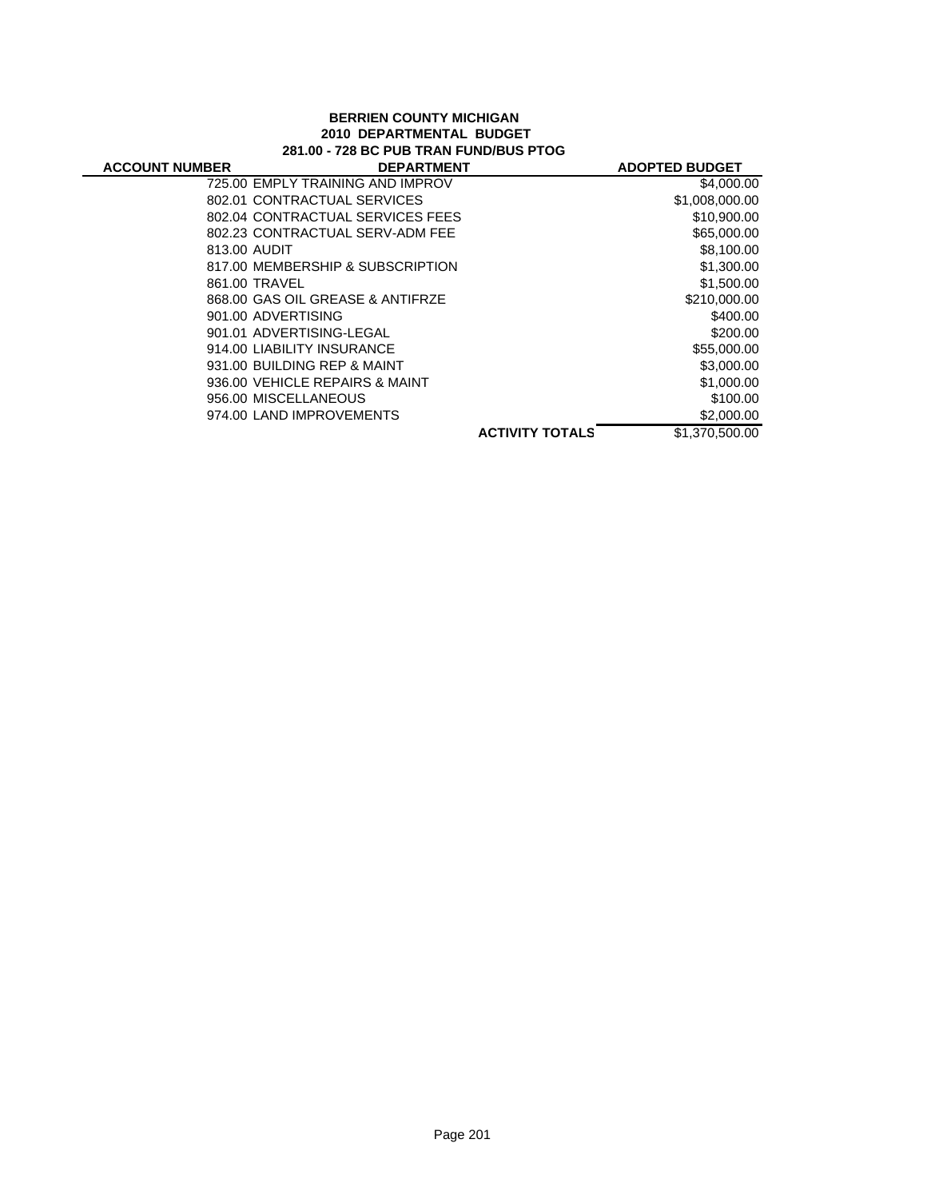#### **BERRIEN COUNTY MICHIGAN 2010 DEPARTMENTAL BUDGET 281.00 - 728 BC PUB TRAN FUND/BUS PTOG**

| <b>ACCOUNT NUMBER</b> | <b>DEPARTMENT</b>                |                        | <b>ADOPTED BUDGET</b> |
|-----------------------|----------------------------------|------------------------|-----------------------|
|                       | 725.00 EMPLY TRAINING AND IMPROV |                        | \$4,000.00            |
|                       | 802.01 CONTRACTUAL SERVICES      |                        | \$1,008,000.00        |
|                       | 802.04 CONTRACTUAL SERVICES FEES |                        | \$10,900.00           |
|                       | 802.23 CONTRACTUAL SERV-ADM FEE  |                        | \$65,000.00           |
| 813.00 AUDIT          |                                  |                        | \$8,100.00            |
|                       | 817.00 MEMBERSHIP & SUBSCRIPTION |                        | \$1,300.00            |
|                       | 861.00 TRAVEL                    |                        | \$1,500.00            |
|                       | 868.00 GAS OIL GREASE & ANTIFRZE |                        | \$210,000.00          |
|                       | 901.00 ADVERTISING               |                        | \$400.00              |
|                       | 901.01 ADVERTISING-LEGAL         |                        | \$200.00              |
|                       | 914.00 LIABILITY INSURANCE       |                        | \$55,000.00           |
|                       | 931.00 BUILDING REP & MAINT      |                        | \$3,000.00            |
|                       | 936.00 VEHICLE REPAIRS & MAINT   |                        | \$1,000.00            |
|                       | 956.00 MISCELLANEOUS             |                        | \$100.00              |
|                       | 974.00 LAND IMPROVEMENTS         |                        | \$2,000.00            |
|                       |                                  | <b>ACTIVITY TOTALS</b> | \$1.370,500.00        |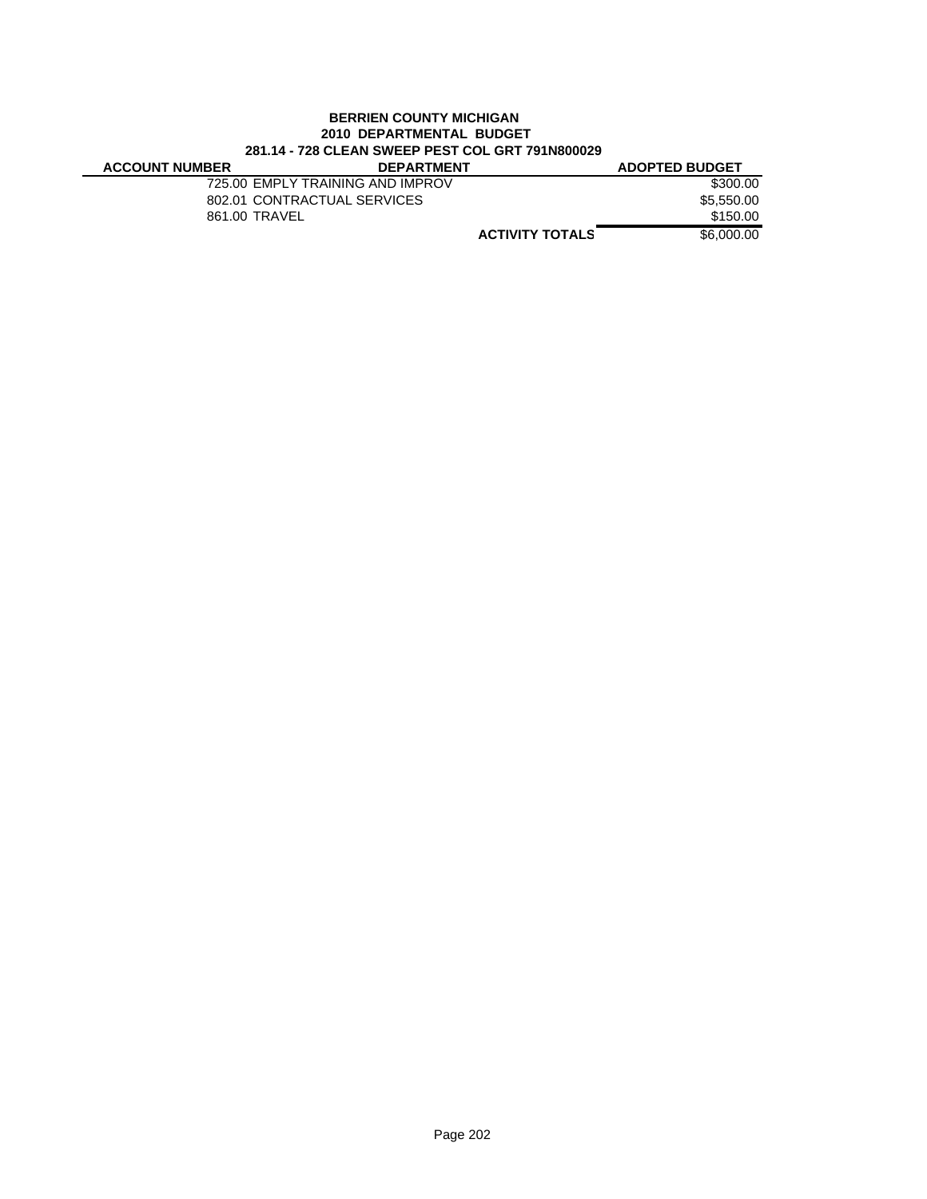#### **BERRIEN COUNTY MICHIGAN 2010 DEPARTMENTAL BUDGET 281.14 - 728 CLEAN SWEEP PEST COL GRT 791N800029**

| <b>ACCOUNT NUMBER</b> | <b>DEPARTMENT</b>                |                        | <b>ADOPTED BUDGET</b> |
|-----------------------|----------------------------------|------------------------|-----------------------|
|                       | 725.00 EMPLY TRAINING AND IMPROV |                        | \$300.00              |
|                       | 802.01 CONTRACTUAL SERVICES      |                        | \$5.550.00            |
|                       | 861.00 TRAVEL                    |                        | \$150.00              |
|                       |                                  | <b>ACTIVITY TOTALS</b> | \$6,000,00            |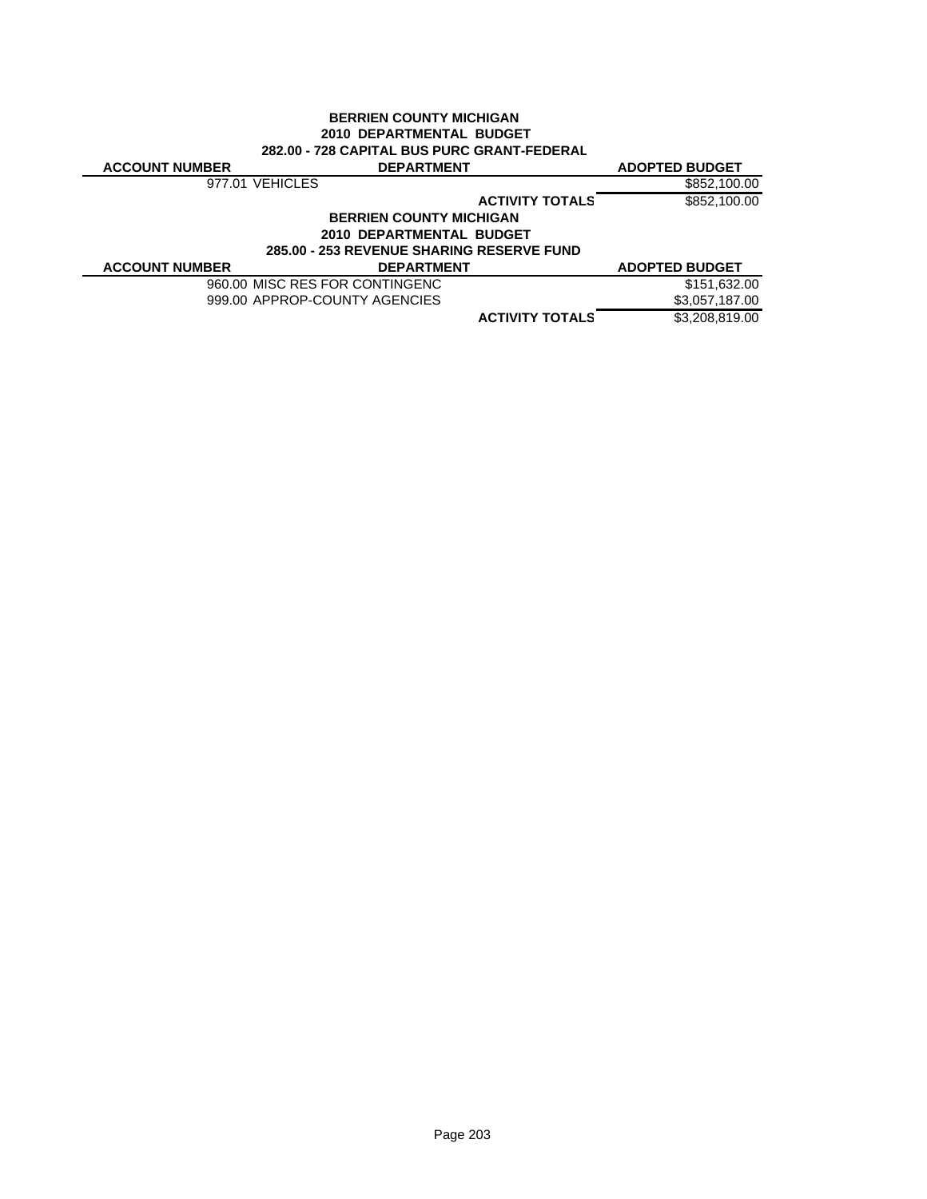| <b>BERRIEN COUNTY MICHIGAN</b> |                                                    |                        |                       |  |
|--------------------------------|----------------------------------------------------|------------------------|-----------------------|--|
|                                | 2010 DEPARTMENTAL BUDGET                           |                        |                       |  |
|                                | <b>282.00 - 728 CAPITAL BUS PURC GRANT-FEDERAL</b> |                        |                       |  |
| <b>ACCOUNT NUMBER</b>          | <b>DEPARTMENT</b>                                  |                        | <b>ADOPTED BUDGET</b> |  |
|                                | 977.01 VEHICLES                                    |                        | \$852,100.00          |  |
|                                |                                                    | <b>ACTIVITY TOTALS</b> | \$852,100.00          |  |
|                                | <b>BERRIEN COUNTY MICHIGAN</b>                     |                        |                       |  |
|                                | 2010 DEPARTMENTAL BUDGET                           |                        |                       |  |
|                                | <b>285.00 - 253 REVENUE SHARING RESERVE FUND</b>   |                        |                       |  |
| <b>ACCOUNT NUMBER</b>          | <b>DEPARTMENT</b>                                  |                        | <b>ADOPTED BUDGET</b> |  |
|                                | 960.00 MISC RES FOR CONTINGENC                     |                        | \$151,632.00          |  |
|                                | 999.00 APPROP-COUNTY AGENCIES                      |                        | \$3,057,187.00        |  |
|                                |                                                    | <b>ACTIVITY TOTALS</b> | \$3,208,819.00        |  |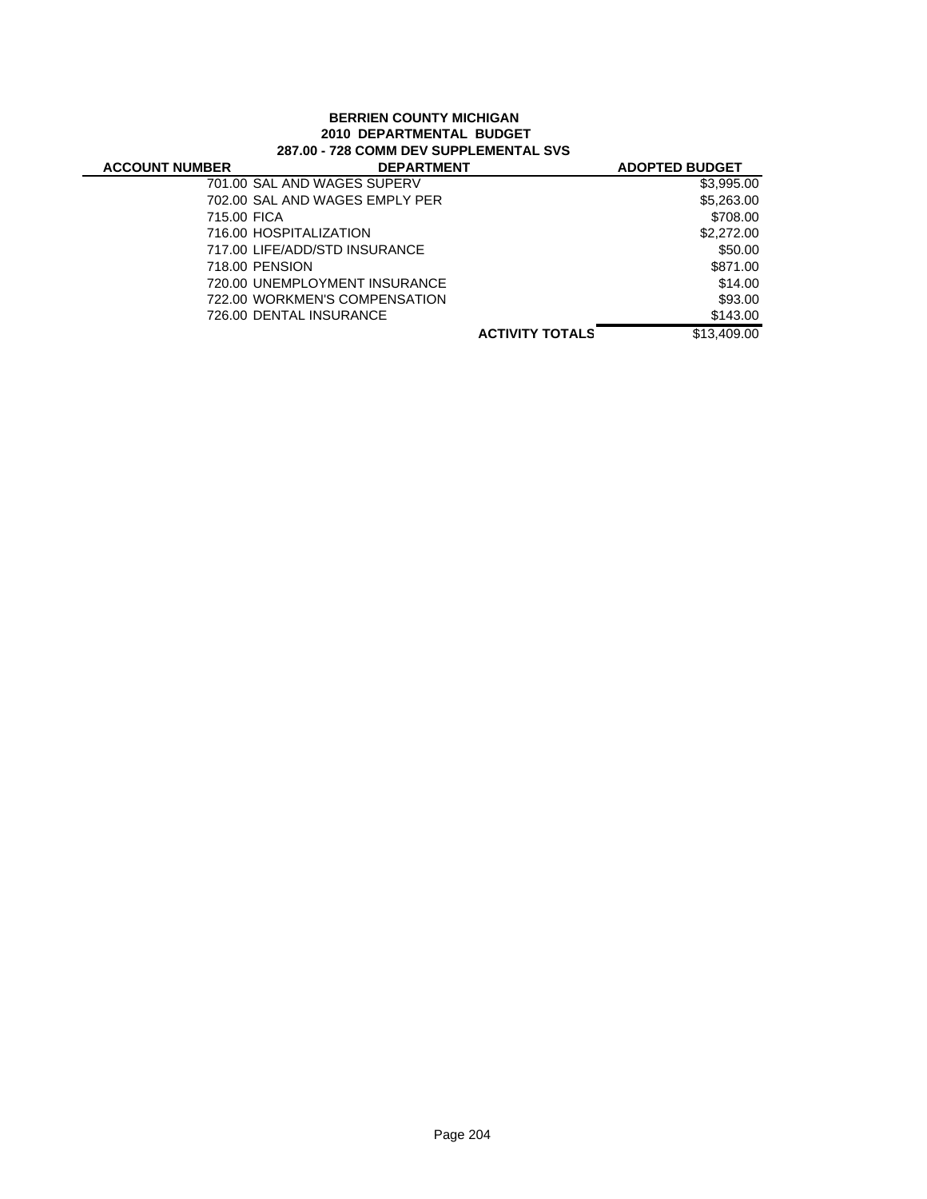#### **BERRIEN COUNTY MICHIGAN 2010 DEPARTMENTAL BUDGET 287.00 - 728 COMM DEV SUPPLEMENTAL SVS**

| <b>ACCOUNT NUMBER</b> | <b>DEPARTMENT</b>              |                        | <b>ADOPTED BUDGET</b> |
|-----------------------|--------------------------------|------------------------|-----------------------|
|                       | 701.00 SAL AND WAGES SUPERV    |                        | \$3,995.00            |
|                       | 702.00 SAL AND WAGES EMPLY PER |                        | \$5,263.00            |
| 715.00 FICA           |                                |                        | \$708.00              |
|                       | 716.00 HOSPITALIZATION         |                        | \$2,272.00            |
|                       | 717.00 LIFE/ADD/STD INSURANCE  |                        | \$50.00               |
|                       | 718.00 PENSION                 |                        | \$871.00              |
|                       | 720.00 UNEMPLOYMENT INSURANCE  |                        | \$14.00               |
|                       | 722.00 WORKMEN'S COMPENSATION  |                        | \$93.00               |
|                       | 726.00 DENTAL INSURANCE        |                        | \$143.00              |
|                       |                                | <b>ACTIVITY TOTALS</b> | \$13,409,00           |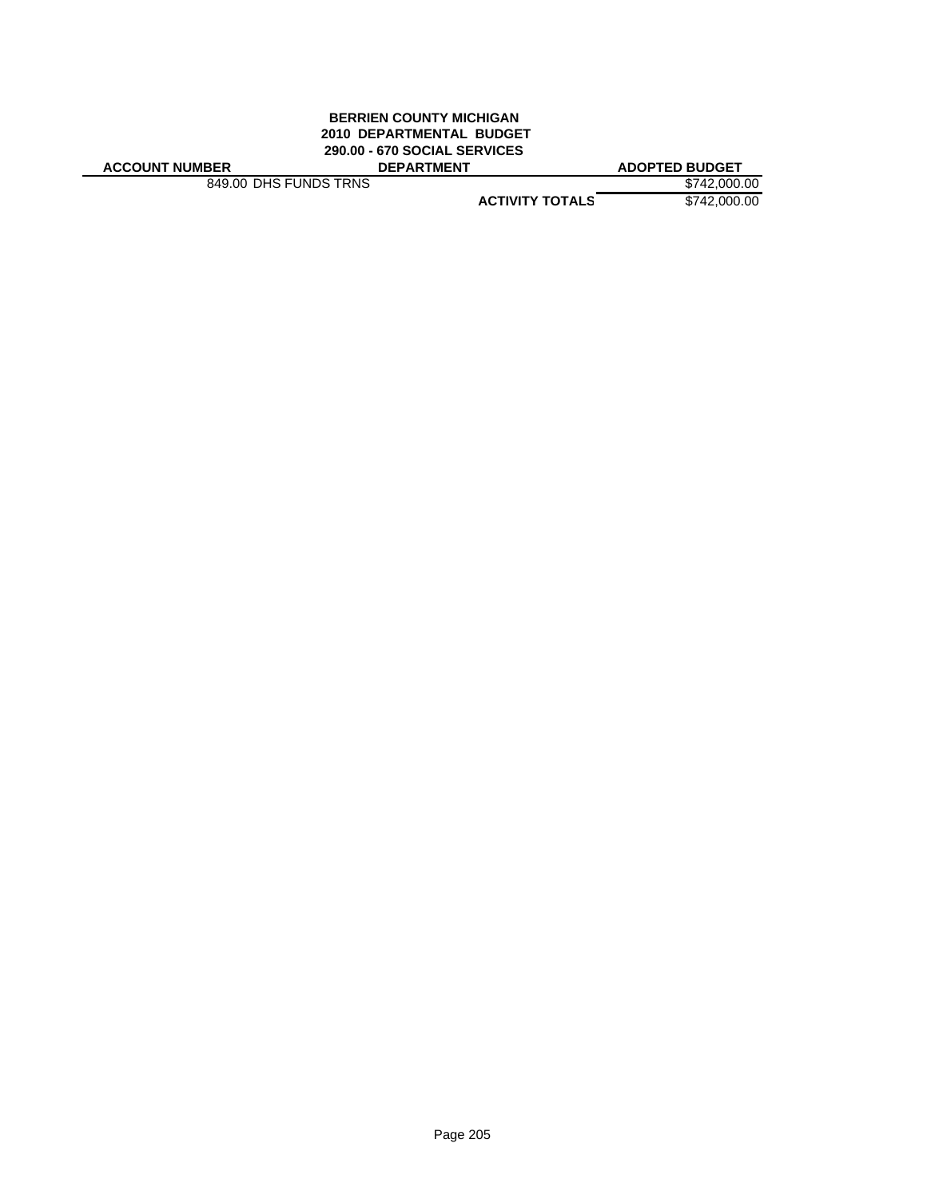#### **BERRIEN COUNTY MICHIGAN 2010 DEPARTMENTAL BUDGET 290.00 - 670 SOCIAL SERVICES ACCOUNT NUMBER DEPARTMENT ADOPTED BUDGET**

849.00 DHS FUNDS TRNS \$742,000.00

**ACTIVITY TOTALS** \$742,000.00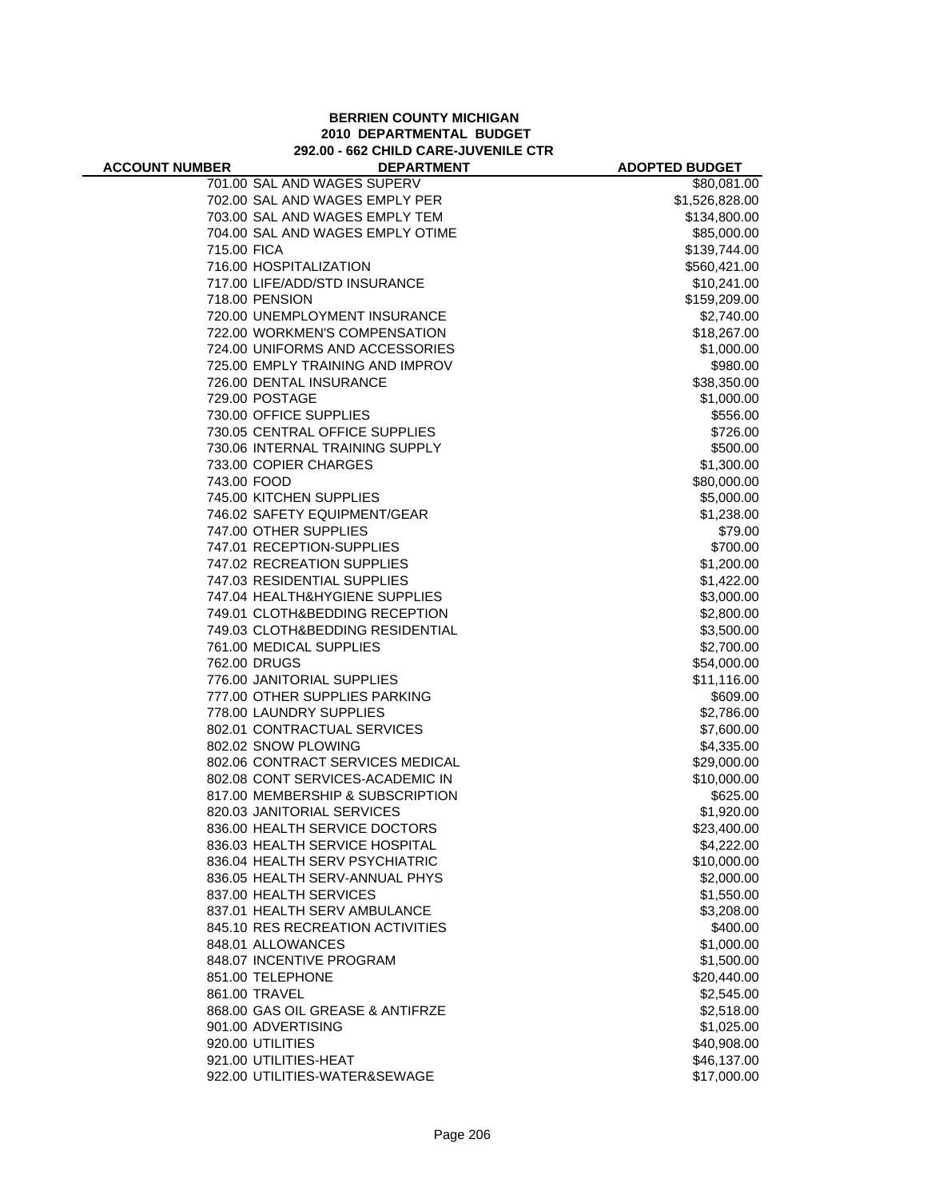#### **BERRIEN COUNTY MICHIGAN 2010 DEPARTMENTAL BUDGET 292.00 - 662 CHILD CARE-JUVENILE CTR**

| <b>ACCOUNT NUMBER</b> | <b>DEPARTMENT</b>                | <b>ADOPTED BUDGET</b> |
|-----------------------|----------------------------------|-----------------------|
|                       | 701.00 SAL AND WAGES SUPERV      | \$80,081.00           |
|                       | 702.00 SAL AND WAGES EMPLY PER   | \$1,526,828.00        |
|                       | 703.00 SAL AND WAGES EMPLY TEM   | \$134,800.00          |
|                       | 704.00 SAL AND WAGES EMPLY OTIME | \$85,000.00           |
| 715.00 FICA           |                                  | \$139,744.00          |
|                       | 716.00 HOSPITALIZATION           | \$560,421.00          |
|                       | 717.00 LIFE/ADD/STD INSURANCE    | \$10,241.00           |
|                       | 718.00 PENSION                   | \$159,209.00          |
|                       | 720.00 UNEMPLOYMENT INSURANCE    | \$2,740.00            |
|                       | 722.00 WORKMEN'S COMPENSATION    | \$18,267.00           |
|                       | 724.00 UNIFORMS AND ACCESSORIES  | \$1,000.00            |
|                       | 725.00 EMPLY TRAINING AND IMPROV | \$980.00              |
|                       | 726.00 DENTAL INSURANCE          | \$38,350.00           |
|                       | 729.00 POSTAGE                   | \$1,000.00            |
|                       | 730.00 OFFICE SUPPLIES           | \$556.00              |
|                       | 730.05 CENTRAL OFFICE SUPPLIES   | \$726.00              |
|                       | 730.06 INTERNAL TRAINING SUPPLY  | \$500.00              |
|                       | 733.00 COPIER CHARGES            | \$1,300.00            |
| 743.00 FOOD           |                                  | \$80,000.00           |
|                       | 745.00 KITCHEN SUPPLIES          | \$5,000.00            |
|                       | 746.02 SAFETY EQUIPMENT/GEAR     | \$1,238.00            |
|                       | 747.00 OTHER SUPPLIES            | \$79.00               |
|                       | 747.01 RECEPTION-SUPPLIES        | \$700.00              |
|                       | 747.02 RECREATION SUPPLIES       | \$1,200.00            |
|                       | 747.03 RESIDENTIAL SUPPLIES      | \$1,422.00            |
|                       | 747.04 HEALTH&HYGIENE SUPPLIES   | \$3,000.00            |
|                       | 749.01 CLOTH&BEDDING RECEPTION   | \$2,800.00            |
|                       | 749.03 CLOTH&BEDDING RESIDENTIAL | \$3,500.00            |
|                       | 761.00 MEDICAL SUPPLIES          | \$2,700.00            |
|                       | 762.00 DRUGS                     | \$54,000.00           |
|                       | 776.00 JANITORIAL SUPPLIES       | \$11,116.00           |
|                       | 777.00 OTHER SUPPLIES PARKING    | \$609.00              |
|                       | 778.00 LAUNDRY SUPPLIES          | \$2,786.00            |
|                       | 802.01 CONTRACTUAL SERVICES      | \$7,600.00            |
|                       | 802.02 SNOW PLOWING              | \$4,335.00            |
|                       | 802.06 CONTRACT SERVICES MEDICAL | \$29,000.00           |
|                       | 802.08 CONT SERVICES-ACADEMIC IN | \$10,000.00           |
|                       | 817.00 MEMBERSHIP & SUBSCRIPTION | \$625.00              |
|                       | 820.03 JANITORIAL SERVICES       | \$1,920.00            |
|                       | 836.00 HEALTH SERVICE DOCTORS    | \$23,400.00           |
|                       | 836.03 HEALTH SERVICE HOSPITAL   | \$4,222.00            |
|                       | 836.04 HEALTH SERV PSYCHIATRIC   | \$10,000.00           |
|                       | 836.05 HEALTH SERV-ANNUAL PHYS   | \$2,000.00            |
|                       | 837.00 HEALTH SERVICES           | \$1,550.00            |
|                       | 837.01 HEALTH SERV AMBULANCE     | \$3,208.00            |
|                       | 845.10 RES RECREATION ACTIVITIES | \$400.00              |
|                       | 848.01 ALLOWANCES                | \$1,000.00            |
|                       | 848.07 INCENTIVE PROGRAM         | \$1,500.00            |
|                       | 851.00 TELEPHONE                 | \$20,440.00           |
|                       | 861.00 TRAVEL                    | \$2,545.00            |
|                       | 868.00 GAS OIL GREASE & ANTIFRZE | \$2,518.00            |
|                       | 901.00 ADVERTISING               | \$1,025.00            |
|                       | 920.00 UTILITIES                 | \$40,908.00           |
|                       | 921.00 UTILITIES-HEAT            | \$46,137.00           |
|                       | 922.00 UTILITIES-WATER&SEWAGE    | \$17,000.00           |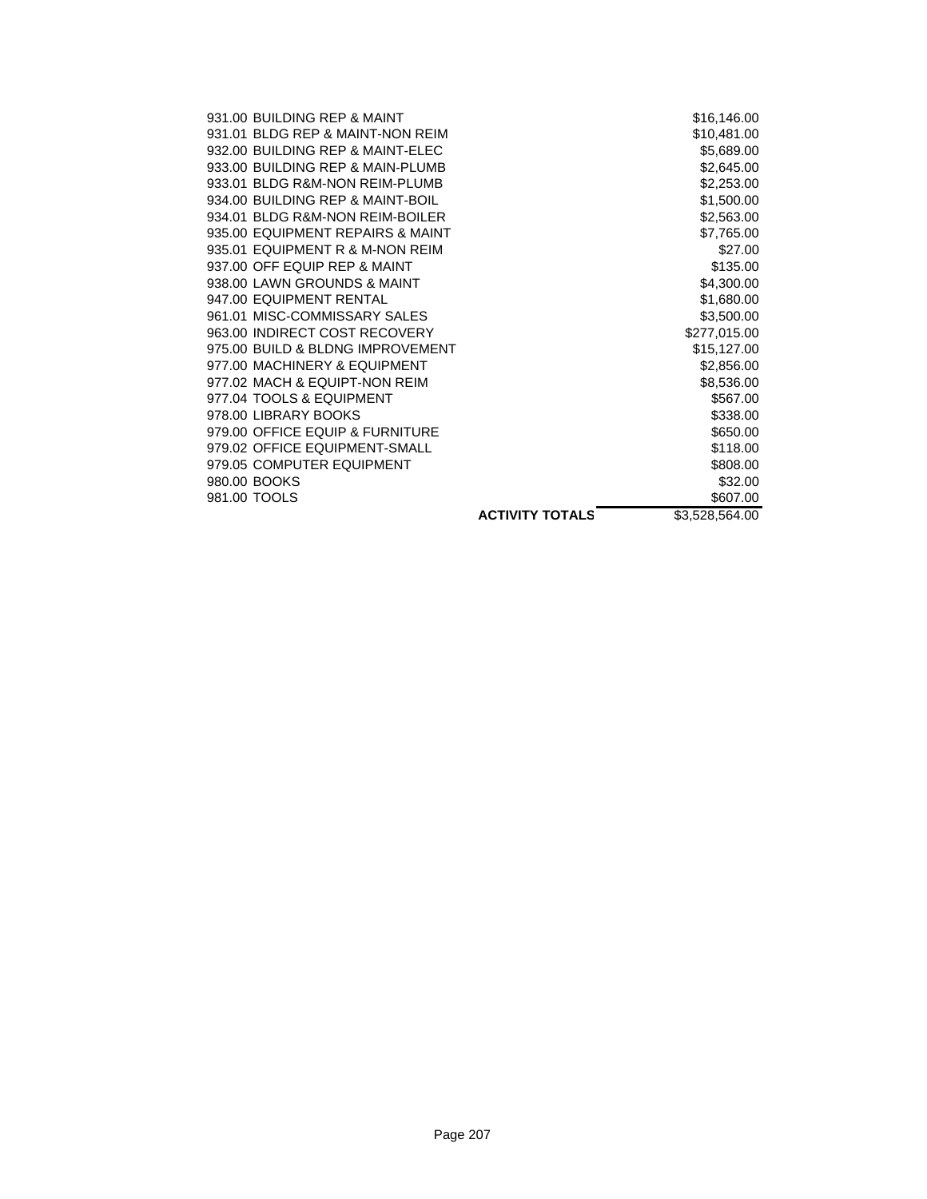| 931.00 BUILDING REP & MAINT      |                        | \$16,146.00    |
|----------------------------------|------------------------|----------------|
| 931.01 BLDG REP & MAINT-NON REIM |                        | \$10,481.00    |
| 932.00 BUILDING REP & MAINT-ELEC |                        | \$5,689.00     |
| 933.00 BUILDING REP & MAIN-PLUMB |                        | \$2,645.00     |
| 933.01 BLDG R&M-NON REIM-PLUMB   |                        | \$2,253.00     |
| 934.00 BUILDING REP & MAINT-BOIL |                        | \$1,500.00     |
| 934.01 BLDG R&M-NON REIM-BOILER  |                        | \$2,563.00     |
| 935.00 EQUIPMENT REPAIRS & MAINT |                        | \$7,765.00     |
| 935.01 EQUIPMENT R & M-NON REIM  |                        | \$27.00        |
| 937.00 OFF EQUIP REP & MAINT     |                        | \$135.00       |
| 938.00 LAWN GROUNDS & MAINT      |                        | \$4,300.00     |
| 947.00 EQUIPMENT RENTAL          |                        | \$1,680.00     |
| 961.01 MISC-COMMISSARY SALES     |                        | \$3,500.00     |
| 963.00 INDIRECT COST RECOVERY    |                        | \$277,015.00   |
| 975.00 BUILD & BLDNG IMPROVEMENT |                        | \$15,127.00    |
| 977.00 MACHINERY & EQUIPMENT     |                        | \$2,856.00     |
| 977.02 MACH & EQUIPT-NON REIM    |                        | \$8,536.00     |
| 977.04 TOOLS & EQUIPMENT         |                        | \$567.00       |
| 978.00 LIBRARY BOOKS             |                        | \$338.00       |
| 979.00 OFFICE EQUIP & FURNITURE  |                        | \$650.00       |
| 979.02 OFFICE EQUIPMENT-SMALL    |                        | \$118.00       |
| 979.05 COMPUTER EQUIPMENT        |                        | \$808.00       |
| 980.00 BOOKS                     |                        | \$32.00        |
| 981.00 TOOLS                     |                        | \$607.00       |
|                                  | <b>ACTIVITY TOTALS</b> | \$3,528,564.00 |
|                                  |                        |                |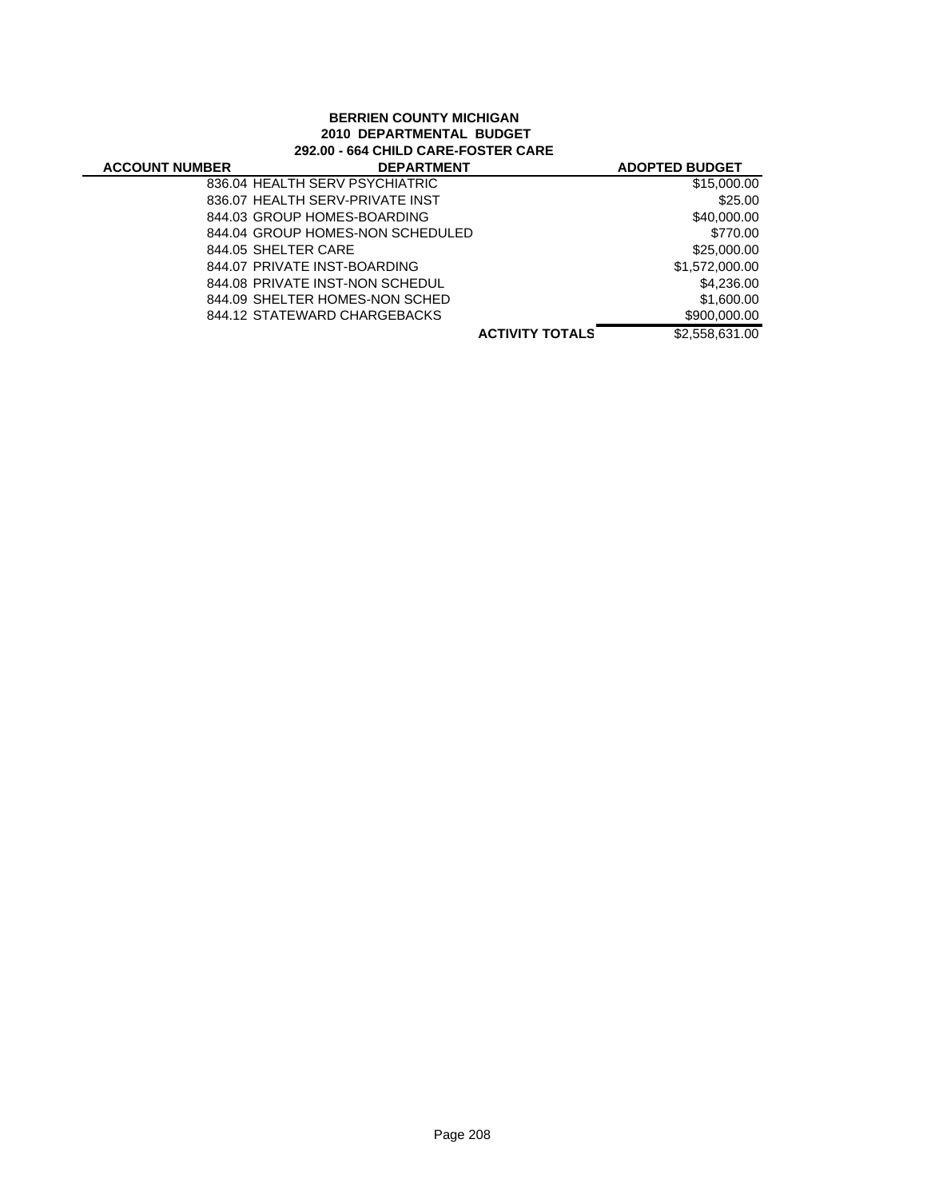#### **BERRIEN COUNTY MICHIGAN 2010 DEPARTMENTAL BUDGET 292.00 - 664 CHILD CARE-FOSTER CARE**

| <b>ACCOUNT NUMBER</b> | <b>DEPARTMENT</b>                |                        | <b>ADOPTED BUDGET</b> |
|-----------------------|----------------------------------|------------------------|-----------------------|
|                       | 836.04 HEALTH SERV PSYCHIATRIC   |                        | \$15,000.00           |
|                       | 836.07 HEALTH SERV-PRIVATE INST  |                        | \$25.00               |
|                       | 844.03 GROUP HOMES-BOARDING      |                        | \$40,000.00           |
|                       | 844.04 GROUP HOMES-NON SCHEDULED |                        | \$770.00              |
|                       | 844.05 SHELTER CARE              |                        | \$25,000.00           |
|                       | 844.07 PRIVATE INST-BOARDING     |                        | \$1,572,000.00        |
|                       | 844.08 PRIVATE INST-NON SCHEDUL  |                        | \$4,236,00            |
|                       | 844.09 SHELTER HOMES-NON SCHED   |                        | \$1,600.00            |
|                       | 844.12 STATEWARD CHARGEBACKS     |                        | \$900,000.00          |
|                       |                                  | <b>ACTIVITY TOTALS</b> | \$2,558,631.00        |
|                       |                                  |                        |                       |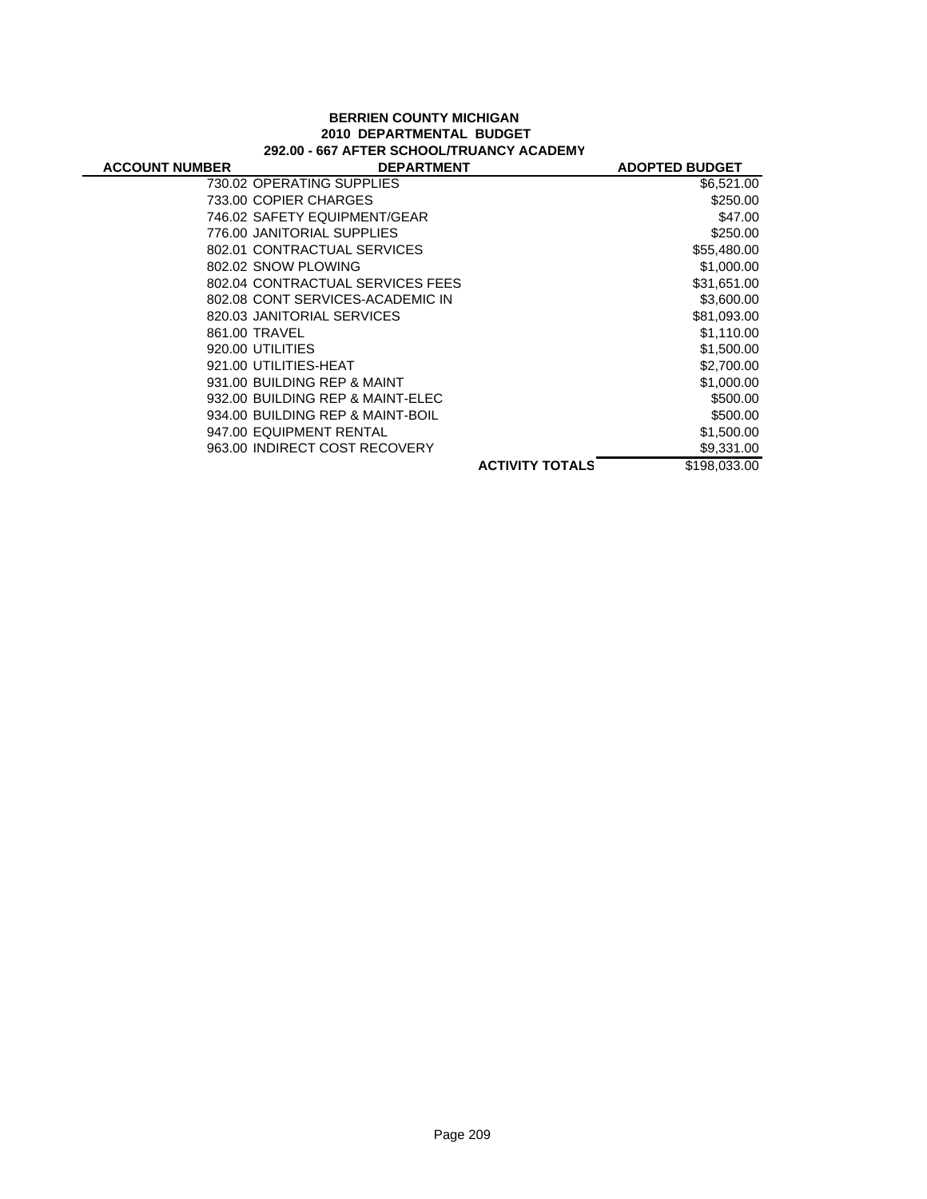#### **BERRIEN COUNTY MICHIGAN 2010 DEPARTMENTAL BUDGET 292.00 - 667 AFTER SCHOOL/TRUANCY ACADEMY**

| <b>ACCOUNT NUMBER</b> | <b>DEPARTMENT</b>                |                        | <b>ADOPTED BUDGET</b> |
|-----------------------|----------------------------------|------------------------|-----------------------|
|                       | 730.02 OPERATING SUPPLIES        |                        | \$6,521.00            |
|                       | 733.00 COPIER CHARGES            |                        | \$250.00              |
|                       | 746.02 SAFETY EQUIPMENT/GEAR     |                        | \$47.00               |
|                       | 776.00 JANITORIAL SUPPLIES       |                        | \$250.00              |
|                       | 802.01 CONTRACTUAL SERVICES      |                        | \$55,480.00           |
|                       | 802.02 SNOW PLOWING              |                        | \$1,000.00            |
|                       | 802.04 CONTRACTUAL SERVICES FEES |                        | \$31,651.00           |
|                       | 802.08 CONT SERVICES-ACADEMIC IN |                        | \$3,600.00            |
|                       | 820.03 JANITORIAL SERVICES       |                        | \$81,093.00           |
|                       | 861.00 TRAVEL                    |                        | \$1,110.00            |
|                       | 920.00 UTILITIES                 |                        | \$1,500.00            |
|                       | 921.00 UTILITIES-HEAT            |                        | \$2,700.00            |
|                       | 931.00 BUILDING REP & MAINT      |                        | \$1,000.00            |
|                       | 932.00 BUILDING REP & MAINT-ELEC |                        | \$500.00              |
|                       | 934.00 BUILDING REP & MAINT-BOIL |                        | \$500.00              |
|                       | 947.00 EQUIPMENT RENTAL          |                        | \$1,500.00            |
|                       | 963.00 INDIRECT COST RECOVERY    |                        | \$9,331.00            |
|                       |                                  | <b>ACTIVITY TOTALS</b> | \$198,033.00          |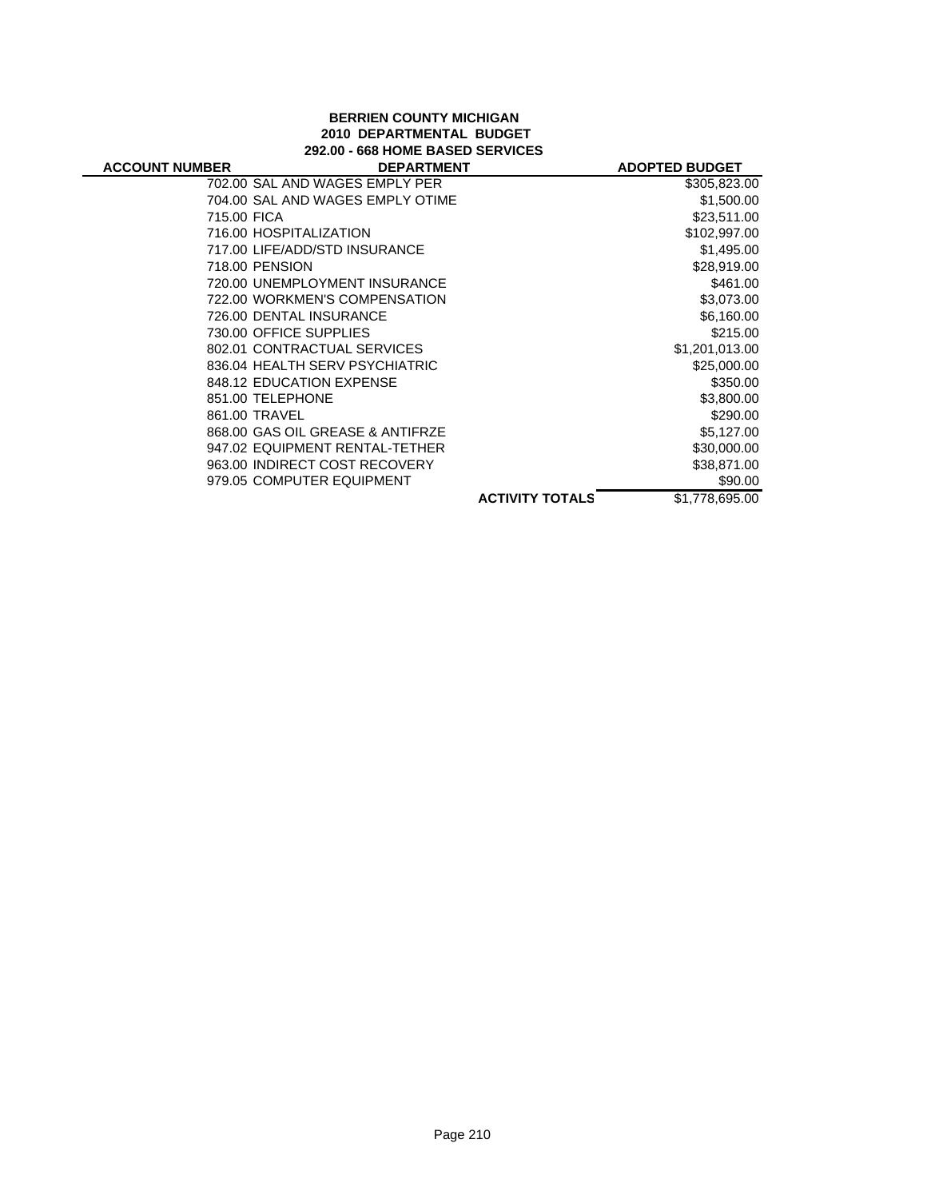#### **BERRIEN COUNTY MICHIGAN 2010 DEPARTMENTAL BUDGET 292.00 - 668 HOME BASED SERVICES**

| 292.00 - 668 HUME BASED SERVICES |                                  |                       |  |  |
|----------------------------------|----------------------------------|-----------------------|--|--|
| <b>ACCOUNT NUMBER</b>            | <b>DEPARTMENT</b>                | <b>ADOPTED BUDGET</b> |  |  |
|                                  | 702.00 SAL AND WAGES EMPLY PER   | \$305,823.00          |  |  |
|                                  | 704.00 SAL AND WAGES EMPLY OTIME | \$1,500.00            |  |  |
| 715.00 FICA                      |                                  | \$23.511.00           |  |  |
|                                  | 716.00 HOSPITALIZATION           | \$102.997.00          |  |  |
|                                  | 717.00 LIFE/ADD/STD INSURANCE    | \$1,495,00            |  |  |
|                                  | 718.00 PENSION                   | \$28,919.00           |  |  |
|                                  | 720.00 UNEMPLOYMENT INSURANCE    | \$461.00              |  |  |
|                                  | 722.00 WORKMEN'S COMPENSATION    | \$3,073,00            |  |  |
|                                  | 726.00 DENTAL INSURANCE          | \$6,160.00            |  |  |
|                                  | 730.00 OFFICE SUPPLIES           | \$215.00              |  |  |
|                                  | 802.01 CONTRACTUAL SERVICES      | \$1,201,013.00        |  |  |
|                                  | 836.04 HEALTH SERV PSYCHIATRIC   | \$25,000.00           |  |  |
|                                  | 848.12 EDUCATION EXPENSE         | \$350.00              |  |  |

**S ACTIVITY TOTAL** \$1,778,695.00 851.00 TELEPHONE \$3,800.00 861.00 TRAVEL \$290.00 868.00 GAS OIL GREASE & ANTIFRZE \$5,127.00 947.02 EQUIPMENT RENTAL-TETHER \$30,000.00 963.00 INDIRECT COST RECOVERY \$38,871.00 979.05 COMPUTER EQUIPMENT \$90.00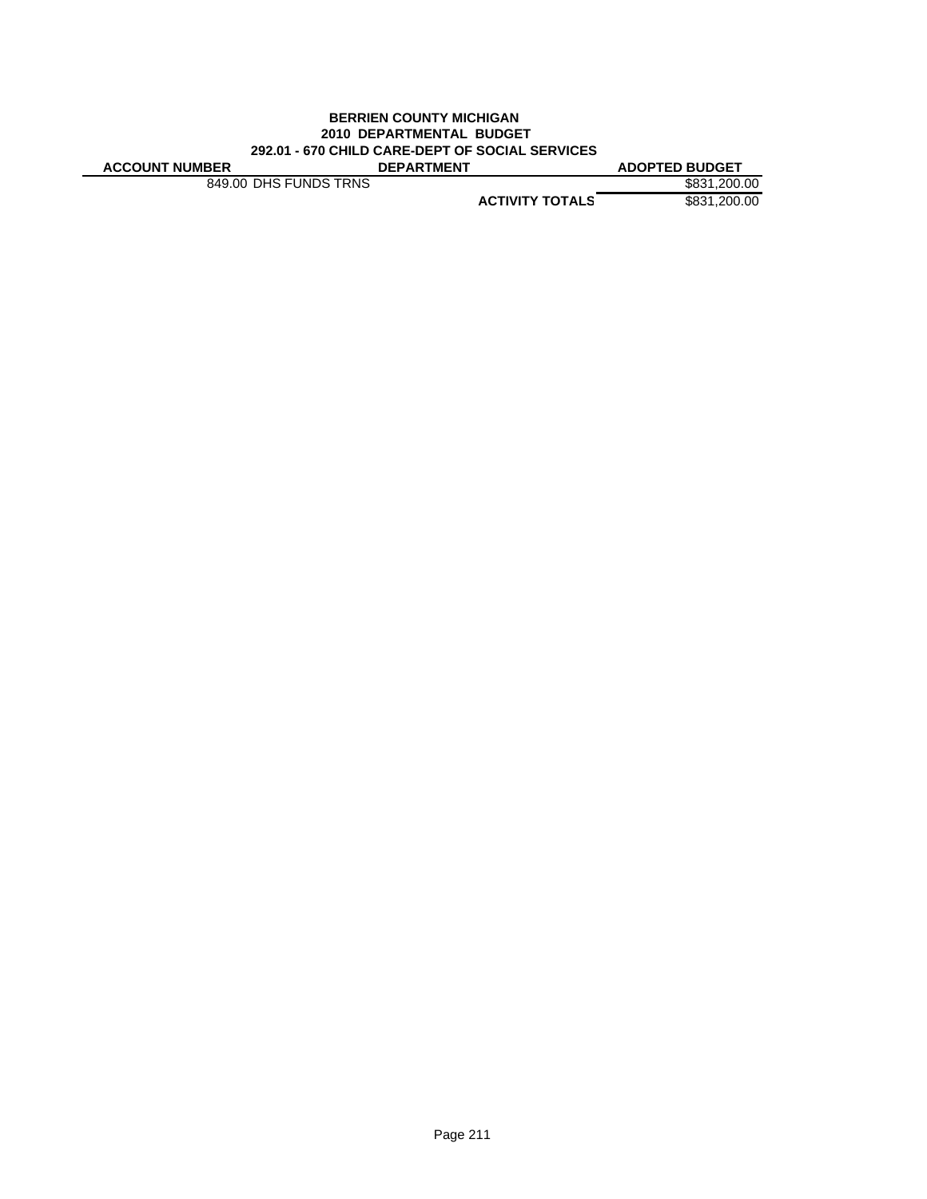#### **BERRIEN COUNTY MICHIGAN 2010 DEPARTMENTAL BUDGET 292.01 - 670 CHILD CARE-DEPT OF SOCIAL SERVICES ACCOUNT NUMBER DEPARTMENT ADOPTED BUDGET**

849.00 DHS FUNDS TRNS \$831,200.00

**ACTIVITY TOTALS** \$831,200.00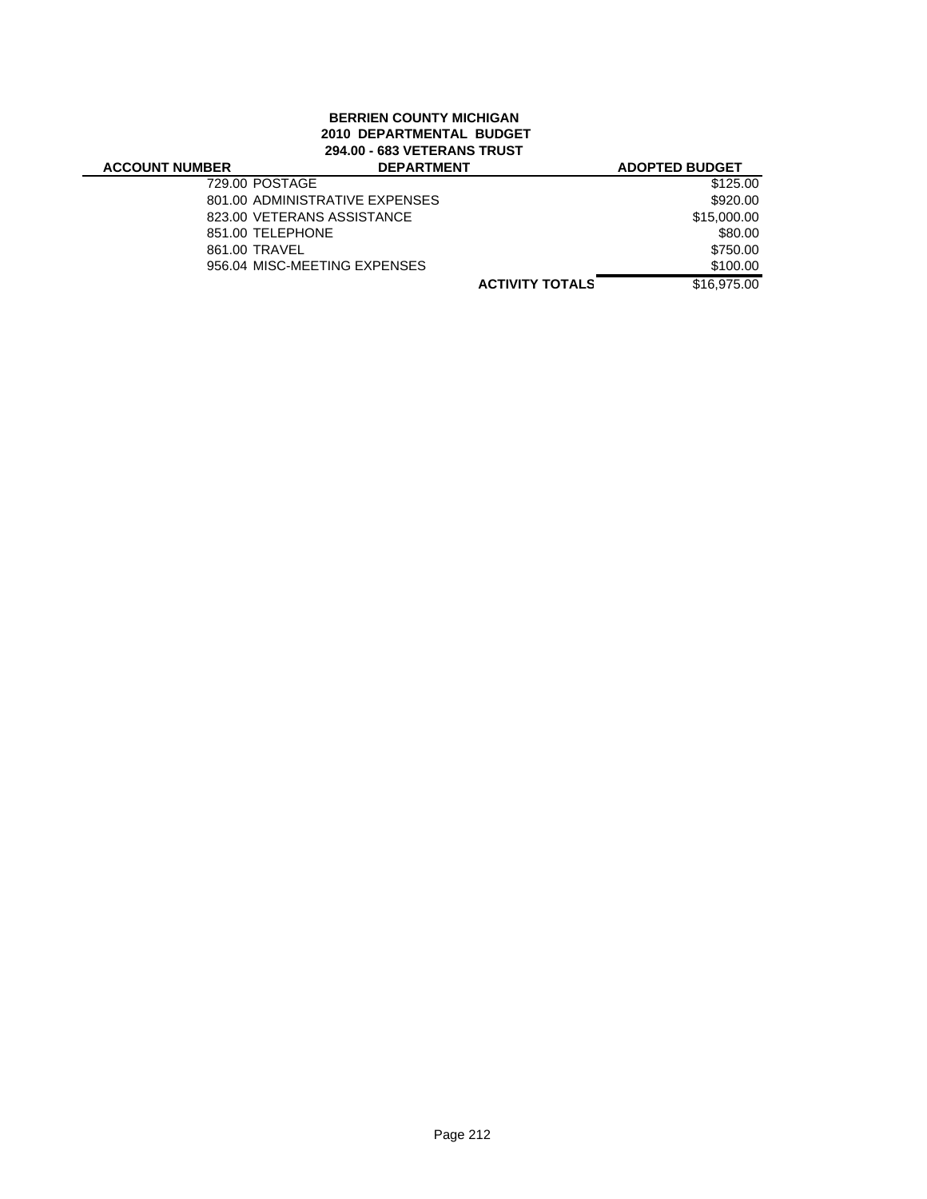### **BERRIEN COUNTY MICHIGAN 2010 DEPARTMENTAL BUDGET 294.00 - 683 VETERANS TRUST**

| <b>ACCOUNT NUMBER</b> | <b>DEPARTMENT</b>              | <b>ADOPTED BUDGET</b>                 |
|-----------------------|--------------------------------|---------------------------------------|
| 729.00 POSTAGE        |                                | \$125.00                              |
|                       | 801.00 ADMINISTRATIVE EXPENSES | \$920.00                              |
|                       | 823.00 VETERANS ASSISTANCE     | \$15,000.00                           |
| 851.00 TELEPHONE      |                                | \$80.00                               |
| 861.00 TRAVEL         |                                | \$750.00                              |
|                       | 956.04 MISC-MEETING EXPENSES   | \$100.00                              |
|                       |                                | \$16,975,00<br><b>ACTIVITY TOTALS</b> |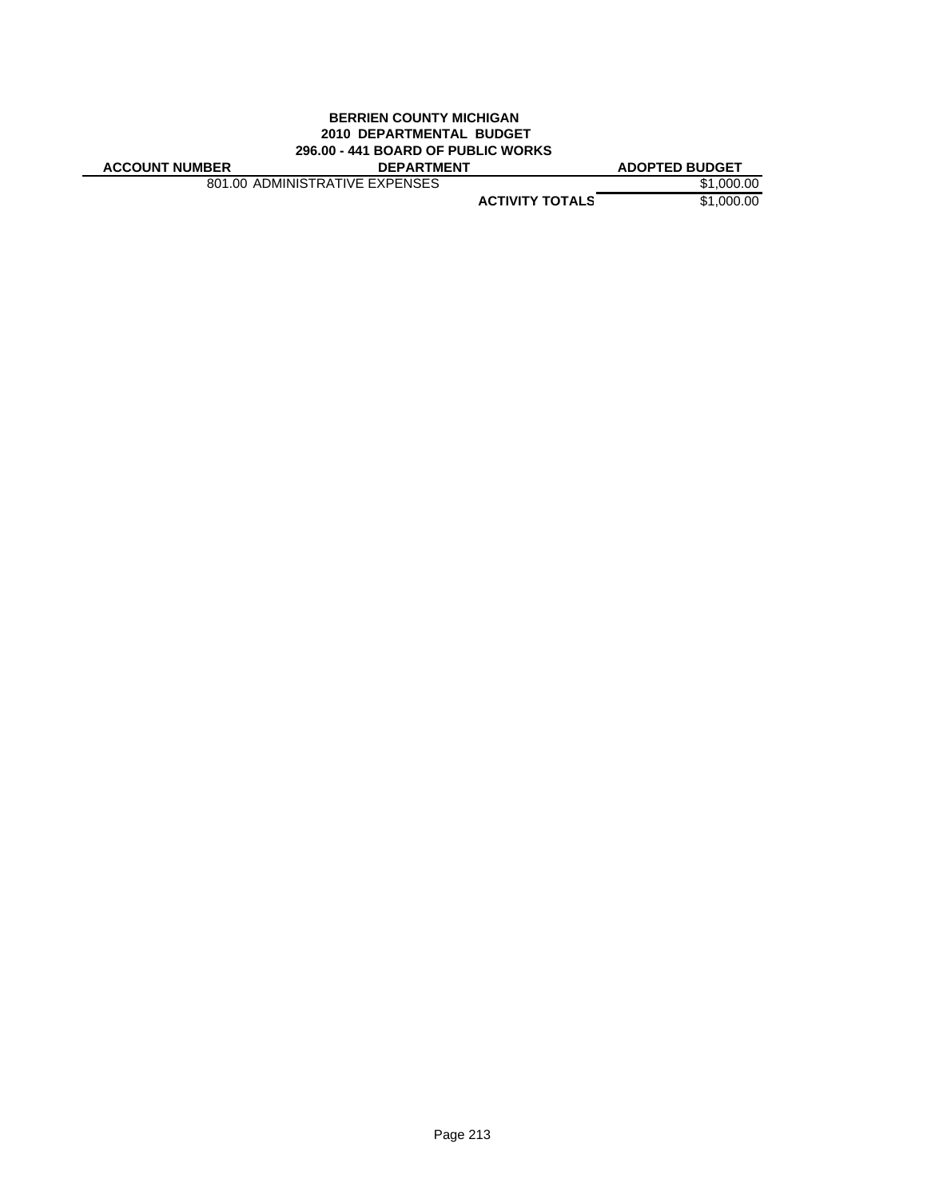#### **BERRIEN COUNTY MICHIGAN 2010 DEPARTMENTAL BUDGET 296.00 - 441 BOARD OF PUBLIC WORKS**

801.00 ADMINISTRATIVE EXPENSES \$1,000.00

**ACCOUNT NUMBER DEPARTMENT ADOPTED BUDGET**

**ACTIVITY TOTALS** \$1,000.00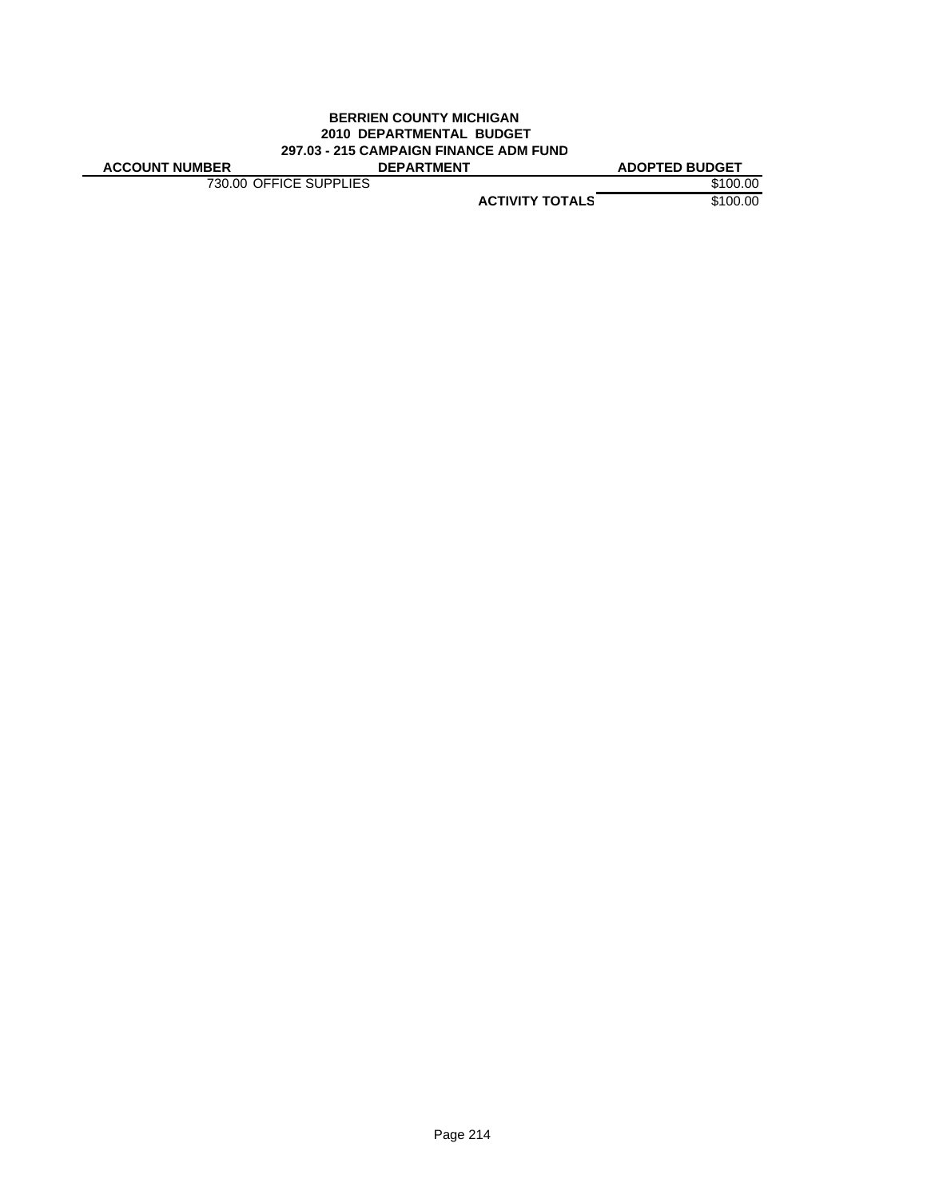#### **BERRIEN COUNTY MICHIGAN 2010 DEPARTMENTAL BUDGET 297.03 - 215 CAMPAIGN FINANCE ADM FUND ACCOUNT NUMBER DEPARTMENT ADOPTED BUDGET**

**730.00 OFFICE SUPPLIES** \$100.00

**ACTIVITY TOTALS** \$100.00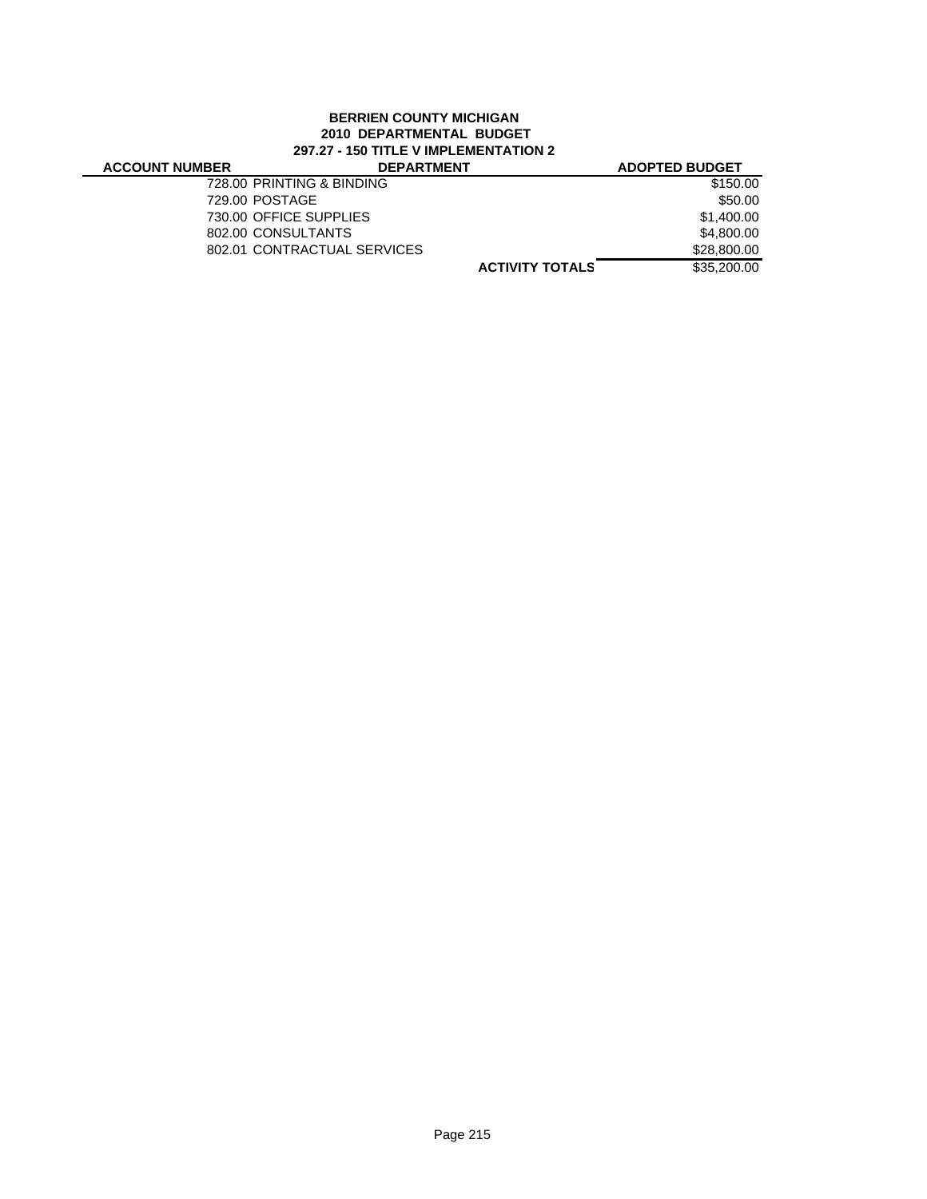#### **BERRIEN COUNTY MICHIGAN 2010 DEPARTMENTAL BUDGET 297.27 - 150 TITLE V IMPLEMENTATION 2**

| <b>ACCOUNT NUMBER</b> | <b>DEPARTMENT</b>           | <b>ADOPTED BUDGET</b> |
|-----------------------|-----------------------------|-----------------------|
|                       | 728.00 PRINTING & BINDING   | \$150.00              |
|                       | 729.00 POSTAGE              | \$50.00               |
|                       | 730.00 OFFICE SUPPLIES      | \$1,400.00            |
|                       | 802.00 CONSULTANTS          | \$4,800,00            |
|                       | 802.01 CONTRACTUAL SERVICES | \$28,800,00           |
|                       | <b>ACTIVITY TOTALS</b>      | \$35,200,00           |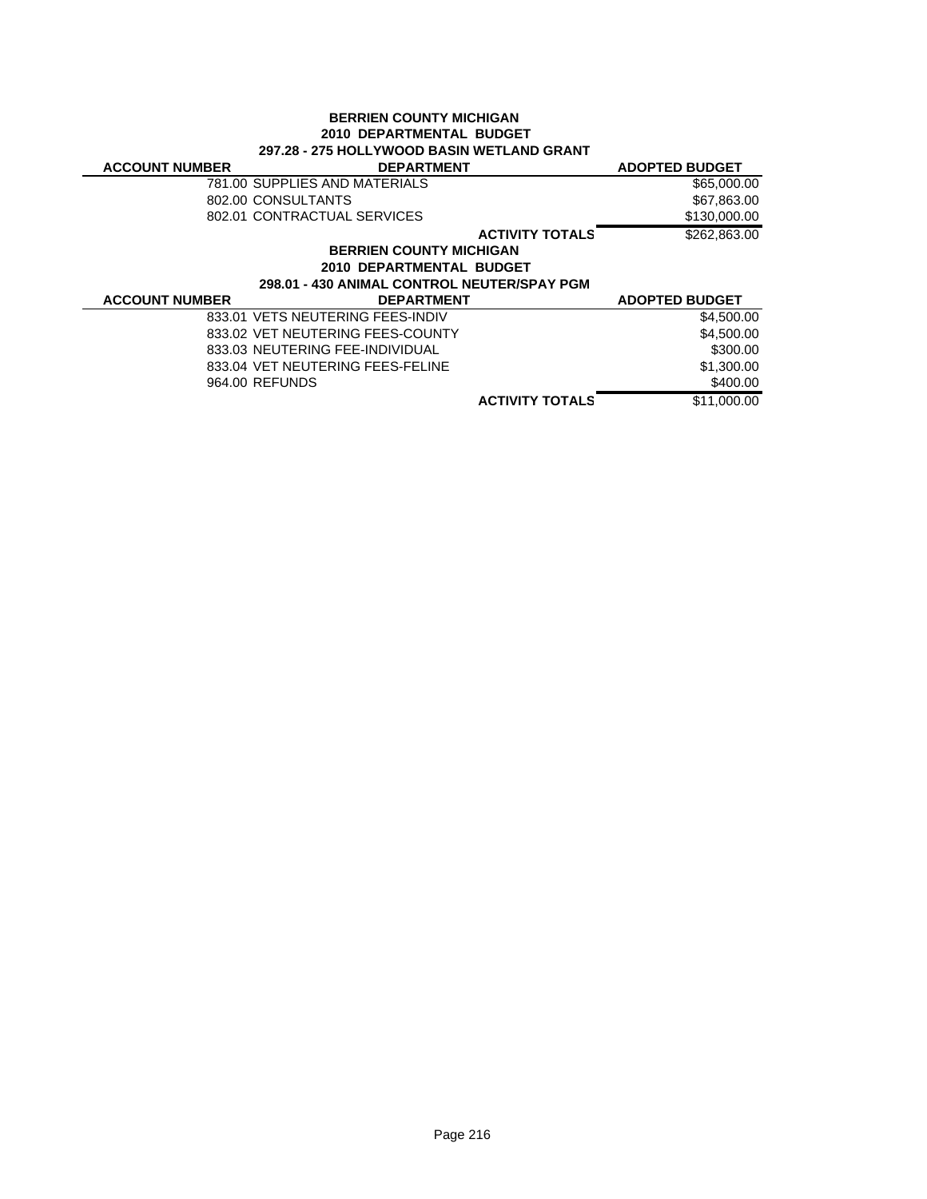| <b>BERRIEN COUNTY MICHIGAN</b><br>2010 DEPARTMENTAL BUDGET<br><b>297.28 - 275 HOLLYWOOD BASIN WETLAND GRANT</b> |                                  |                       |  |  |
|-----------------------------------------------------------------------------------------------------------------|----------------------------------|-----------------------|--|--|
| <b>ACCOUNT NUMBER</b>                                                                                           | <b>DEPARTMENT</b>                | <b>ADOPTED BUDGET</b> |  |  |
|                                                                                                                 | 781.00 SUPPLIES AND MATERIALS    | \$65,000.00           |  |  |
|                                                                                                                 | 802.00 CONSULTANTS               | \$67,863.00           |  |  |
|                                                                                                                 | 802.01 CONTRACTUAL SERVICES      | \$130,000.00          |  |  |
|                                                                                                                 | <b>ACTIVITY TOTALS</b>           | \$262,863,00          |  |  |
| <b>BERRIEN COUNTY MICHIGAN</b>                                                                                  |                                  |                       |  |  |
| 2010 DEPARTMENTAL BUDGET                                                                                        |                                  |                       |  |  |
| 298.01 - 430 ANIMAL CONTROL NEUTER/SPAY PGM                                                                     |                                  |                       |  |  |
| <b>ACCOUNT NUMBER</b>                                                                                           | <b>DEPARTMENT</b>                | <b>ADOPTED BUDGET</b> |  |  |
|                                                                                                                 | 833.01 VETS NEUTERING FEES-INDIV | \$4,500.00            |  |  |
|                                                                                                                 | 833.02 VET NEUTERING FEES-COUNTY | \$4,500.00            |  |  |
|                                                                                                                 | 833.03 NEUTERING FEE-INDIVIDUAL  | \$300.00              |  |  |
|                                                                                                                 | 833.04 VET NEUTERING FEES-FELINE | \$1,300.00            |  |  |
|                                                                                                                 | 964.00 REFUNDS                   | \$400.00              |  |  |
|                                                                                                                 |                                  |                       |  |  |

**ACTIVITY TOTALS** \$11,000.00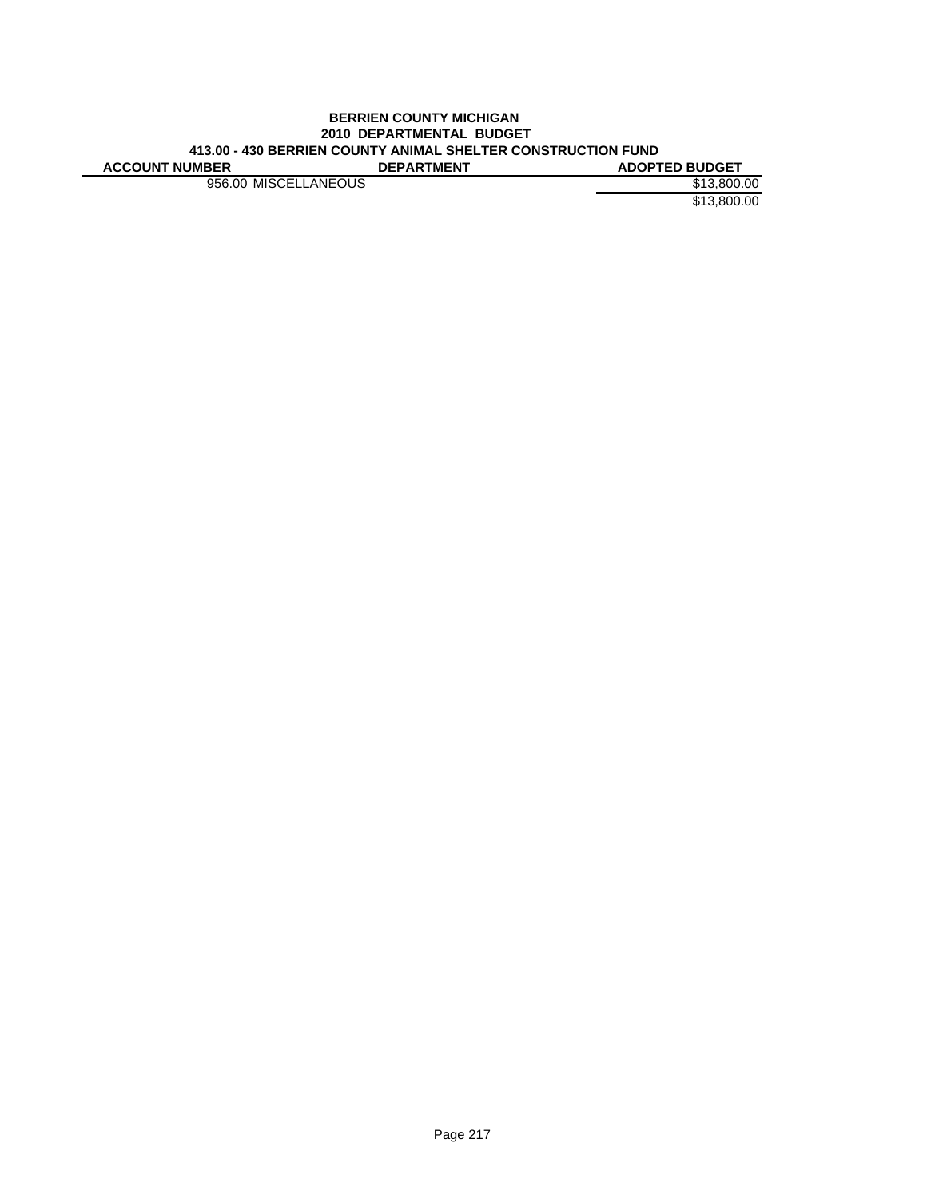#### **BERRIEN COUNTY MICHIGAN 2010 DEPARTMENTAL BUDGET 413.00 - 430 BERRIEN COUNTY ANIMAL SHELTER CONSTRUCTION FUND ACCOUNT NUMBER**

956.00 MISCELLANEOUS \$13,800.00

\$13,800.00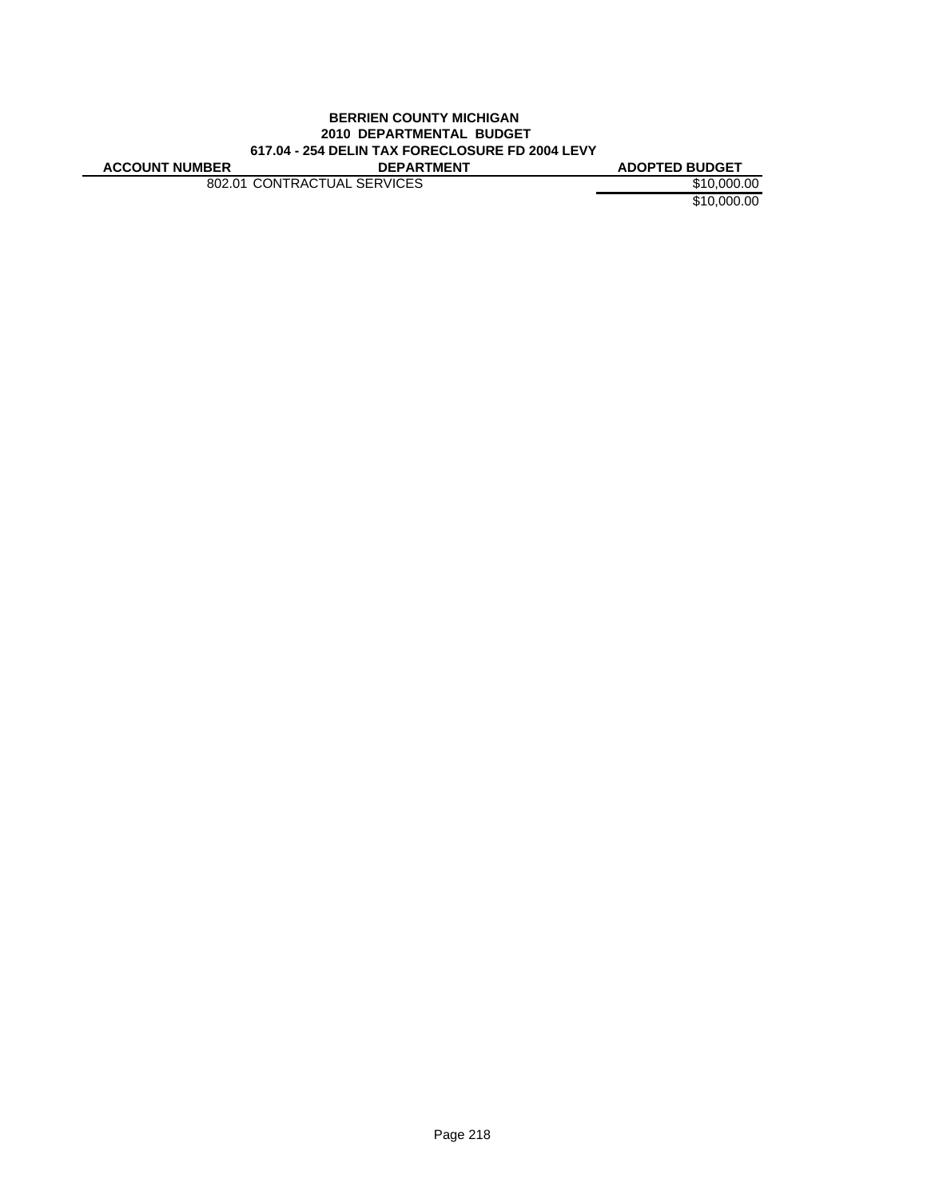### **BERRIEN COUNTY MICHIGAN 2010 DEPARTMENTAL BUDGET 617.04 - 254 DELIN TAX FORECLOSURE FD 2004 LEVY ACCOUNT NUMBER DEPARTMENT ADOPTED BUDGET**

802.01 CONTRACTUAL SERVICES \$10,000.00

\$10,000.00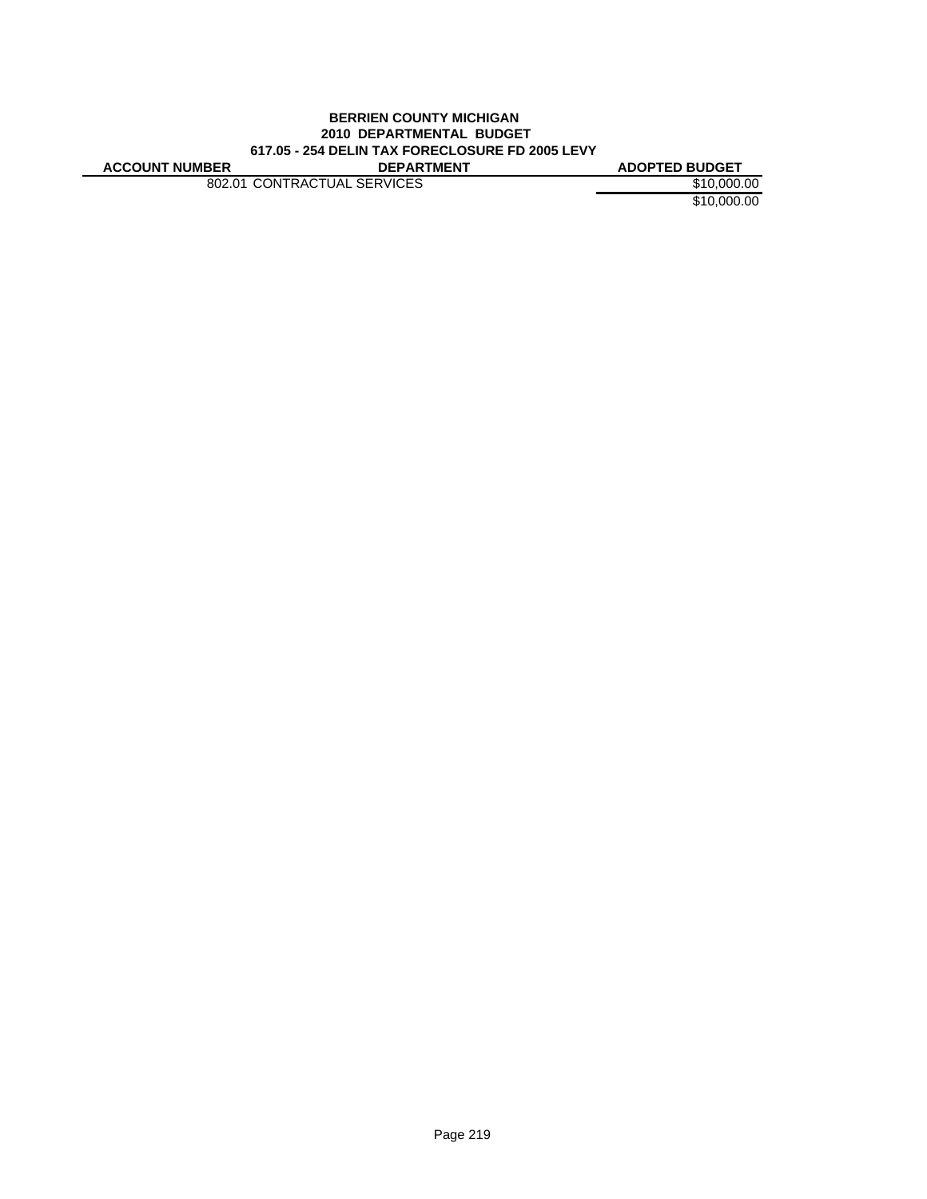### **BERRIEN COUNTY MICHIGAN 2010 DEPARTMENTAL BUDGET 617.05 - 254 DELIN TAX FORECLOSURE FD 2005 LEVY ACCOUNT NUMBER DEPARTMENT ADOPTED BUDGET**

802.01 CONTRACTUAL SERVICES \$10,000.00

\$10,000.00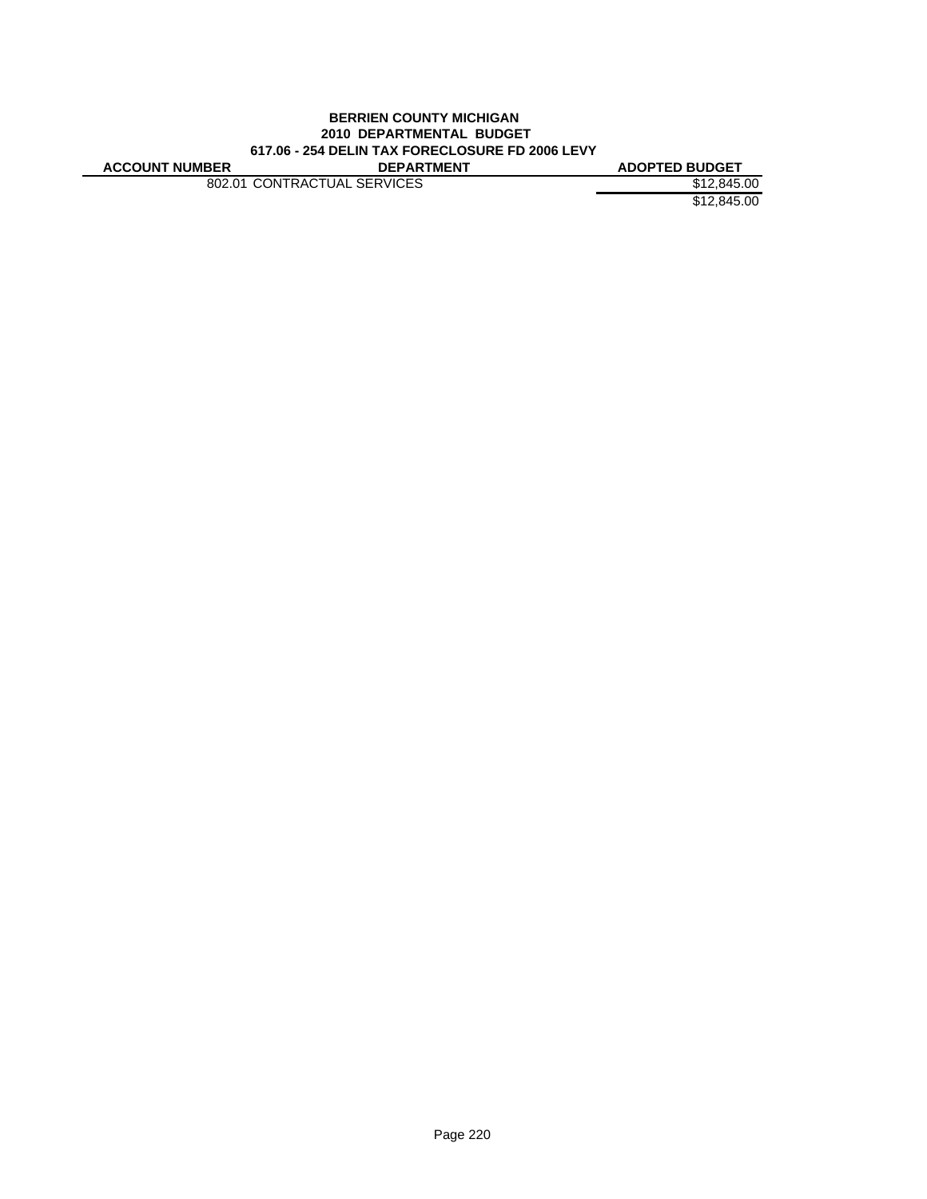### **BERRIEN COUNTY MICHIGAN 2010 DEPARTMENTAL BUDGET 617.06 - 254 DELIN TAX FORECLOSURE FD 2006 LEVY ACCOUNT NUMBER DEPARTMENT ADOPTED BUDGET**

802.01 CONTRACTUAL SERVICES \$12,845.00

\$12,845.00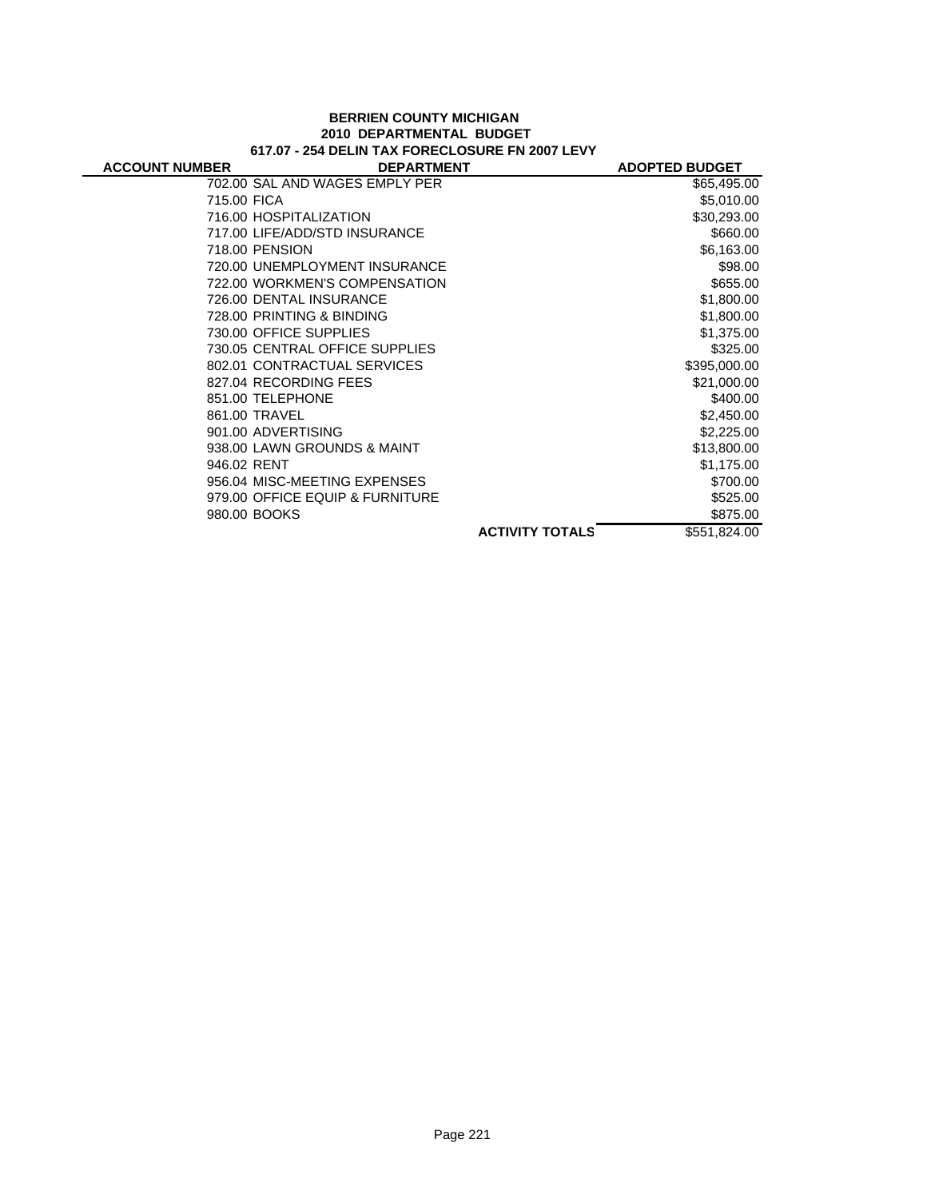### **BERRIEN COUNTY MICHIGAN 2010 DEPARTMENTAL BUDGET 617.07 - 254 DELIN TAX FORECLOSURE FN 2007 LEVY**

| <b>ACCOUNT NUMBER</b> | <b>DEPARTMENT</b>               |                        | <b>ADOPTED BUDGET</b> |
|-----------------------|---------------------------------|------------------------|-----------------------|
|                       | 702.00 SAL AND WAGES EMPLY PER  |                        | \$65,495.00           |
| 715.00 FICA           |                                 |                        | \$5,010.00            |
|                       | 716.00 HOSPITALIZATION          |                        | \$30,293.00           |
|                       | 717.00 LIFE/ADD/STD INSURANCE   |                        | \$660.00              |
|                       | 718.00 PENSION                  |                        | \$6,163.00            |
|                       | 720.00 UNEMPLOYMENT INSURANCE   |                        | \$98.00               |
|                       | 722.00 WORKMEN'S COMPENSATION   |                        | \$655.00              |
|                       | 726.00 DENTAL INSURANCE         |                        | \$1,800.00            |
|                       | 728.00 PRINTING & BINDING       |                        | \$1,800.00            |
|                       | 730.00 OFFICE SUPPLIES          |                        | \$1,375.00            |
|                       | 730.05 CENTRAL OFFICE SUPPLIES  |                        | \$325.00              |
|                       | 802.01 CONTRACTUAL SERVICES     |                        | \$395,000.00          |
|                       | 827.04 RECORDING FEES           |                        | \$21,000.00           |
|                       | 851.00 TELEPHONE                |                        | \$400.00              |
|                       | 861.00 TRAVEL                   |                        | \$2,450.00            |
|                       | 901.00 ADVERTISING              |                        | \$2,225.00            |
|                       | 938.00 LAWN GROUNDS & MAINT     |                        | \$13,800.00           |
| 946.02 RENT           |                                 |                        | \$1,175.00            |
|                       | 956.04 MISC-MEETING EXPENSES    |                        | \$700.00              |
|                       | 979.00 OFFICE EQUIP & FURNITURE |                        | \$525.00              |
|                       | 980.00 BOOKS                    |                        | \$875.00              |
|                       |                                 | <b>ACTIVITY TOTALS</b> | \$551,824.00          |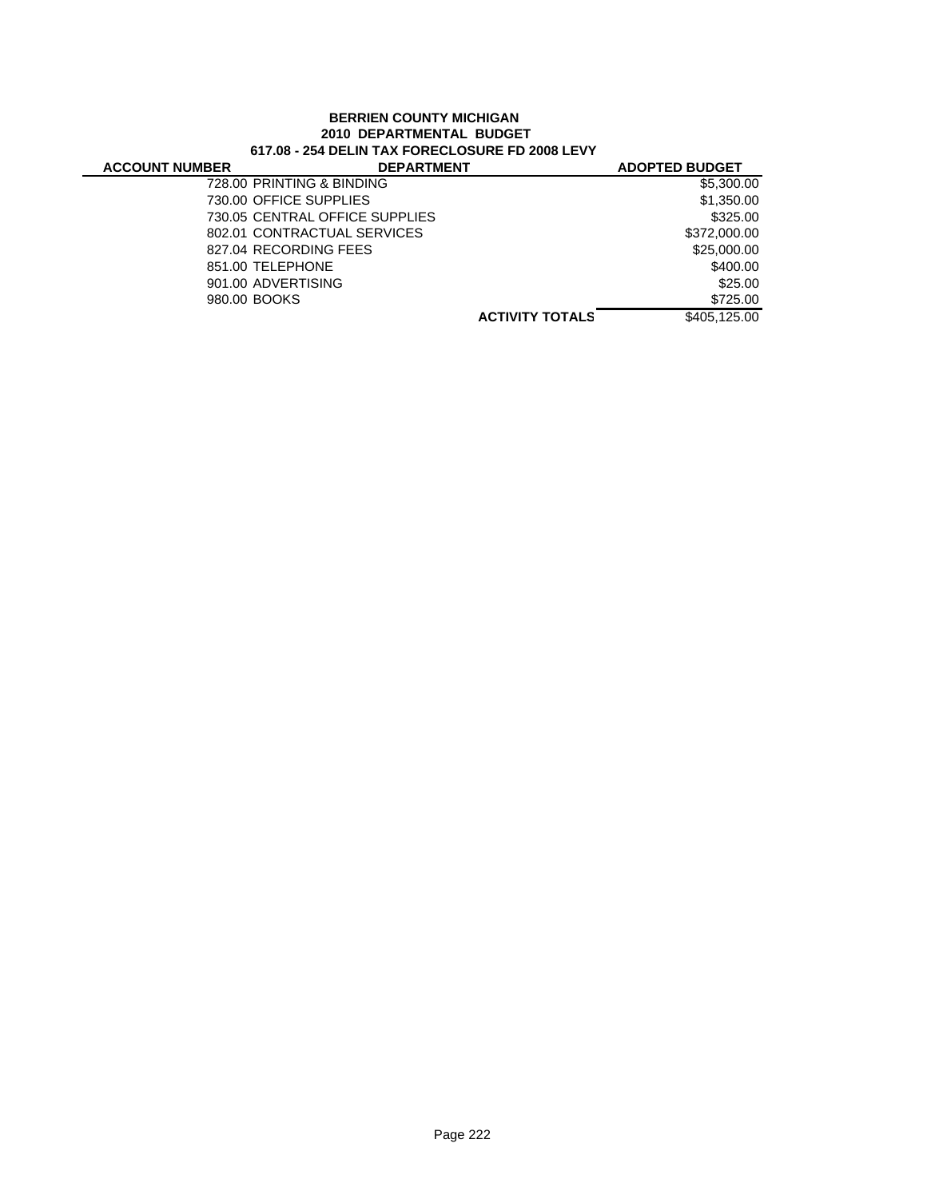# **BERRIEN COUNTY MICHIGAN 2010 DEPARTMENTAL BUDGET 617.08 - 254 DELIN TAX FORECLOSURE FD 2008 LEVY**

 $\overline{\phantom{0}}$ 

| <b>ACCOUNT NUMBER</b> | <b>DEPARTMENT</b>              |                        | <b>ADOPTED BUDGET</b> |
|-----------------------|--------------------------------|------------------------|-----------------------|
|                       | 728.00 PRINTING & BINDING      |                        | \$5,300.00            |
|                       | 730.00 OFFICE SUPPLIES         |                        | \$1,350.00            |
|                       | 730.05 CENTRAL OFFICE SUPPLIES |                        | \$325.00              |
|                       | 802.01 CONTRACTUAL SERVICES    |                        | \$372,000.00          |
|                       | 827.04 RECORDING FEES          |                        | \$25,000.00           |
|                       | 851.00 TELEPHONE               |                        | \$400.00              |
|                       | 901.00 ADVERTISING             |                        | \$25.00               |
|                       | 980.00 BOOKS                   |                        | \$725.00              |
|                       |                                | <b>ACTIVITY TOTALS</b> | \$405.125.00          |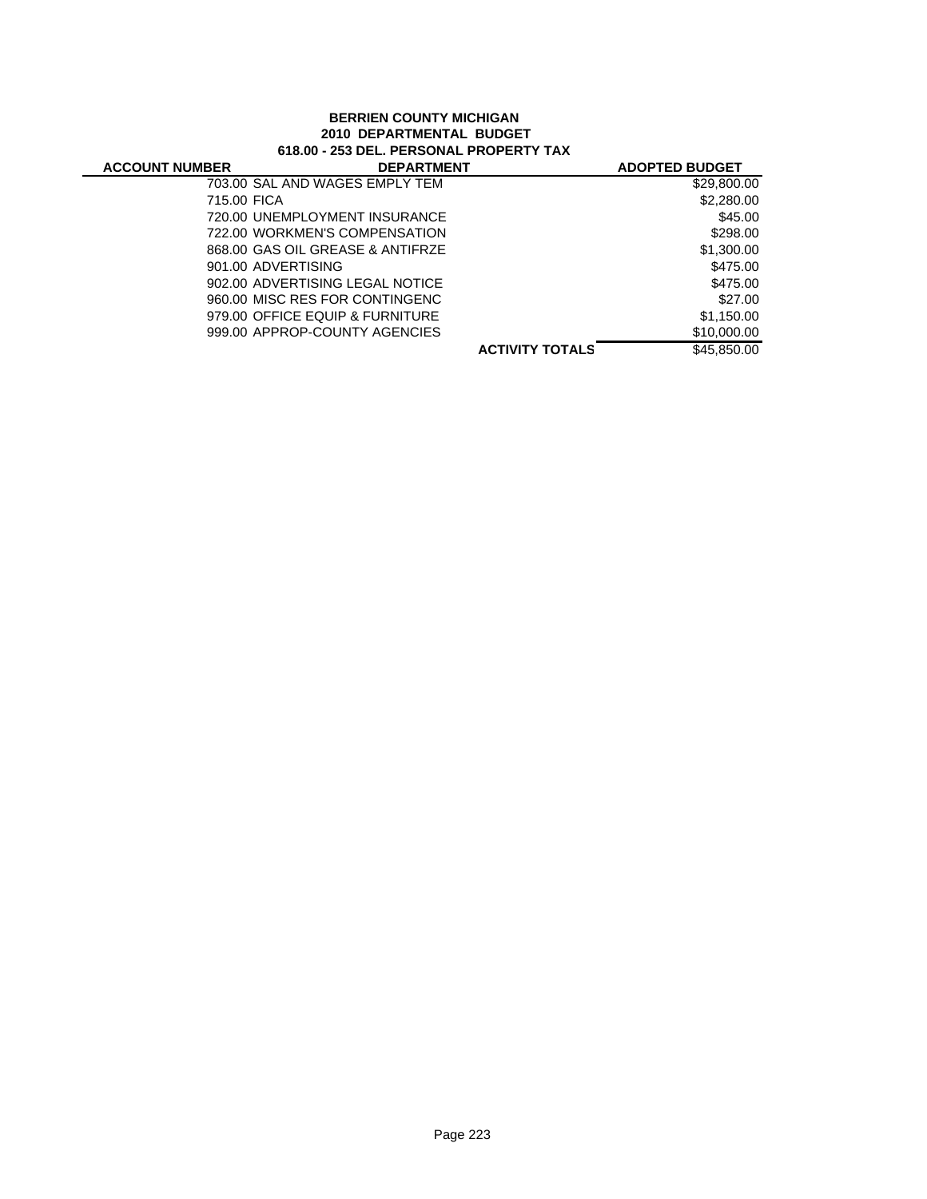## **BERRIEN COUNTY MICHIGAN 2010 DEPARTMENTAL BUDGET 618.00 - 253 DEL. PERSONAL PROPERTY TAX**

|                                                                                                                                                                                                                                                                                                                    | <b>ADOPTED BUDGET</b> |
|--------------------------------------------------------------------------------------------------------------------------------------------------------------------------------------------------------------------------------------------------------------------------------------------------------------------|-----------------------|
|                                                                                                                                                                                                                                                                                                                    | \$29,800.00           |
|                                                                                                                                                                                                                                                                                                                    | \$2,280.00            |
|                                                                                                                                                                                                                                                                                                                    | \$45.00               |
|                                                                                                                                                                                                                                                                                                                    | \$298.00              |
|                                                                                                                                                                                                                                                                                                                    | \$1,300.00            |
|                                                                                                                                                                                                                                                                                                                    | \$475.00              |
|                                                                                                                                                                                                                                                                                                                    | \$475.00              |
|                                                                                                                                                                                                                                                                                                                    | \$27.00               |
|                                                                                                                                                                                                                                                                                                                    | \$1,150.00            |
|                                                                                                                                                                                                                                                                                                                    | \$10,000.00           |
| <b>ACTIVITY TOTALS</b>                                                                                                                                                                                                                                                                                             | \$45,850,00           |
| 703.00 SAL AND WAGES EMPLY TEM<br>715.00 FICA<br>720.00 UNEMPLOYMENT INSURANCE<br>722.00 WORKMEN'S COMPENSATION<br>868.00 GAS OIL GREASE & ANTIFRZE<br>901.00 ADVERTISING<br>902.00 ADVERTISING LEGAL NOTICE<br>960.00 MISC RES FOR CONTINGENC<br>979.00 OFFICE EQUIP & FURNITURE<br>999.00 APPROP-COUNTY AGENCIES | <b>DEPARTMENT</b>     |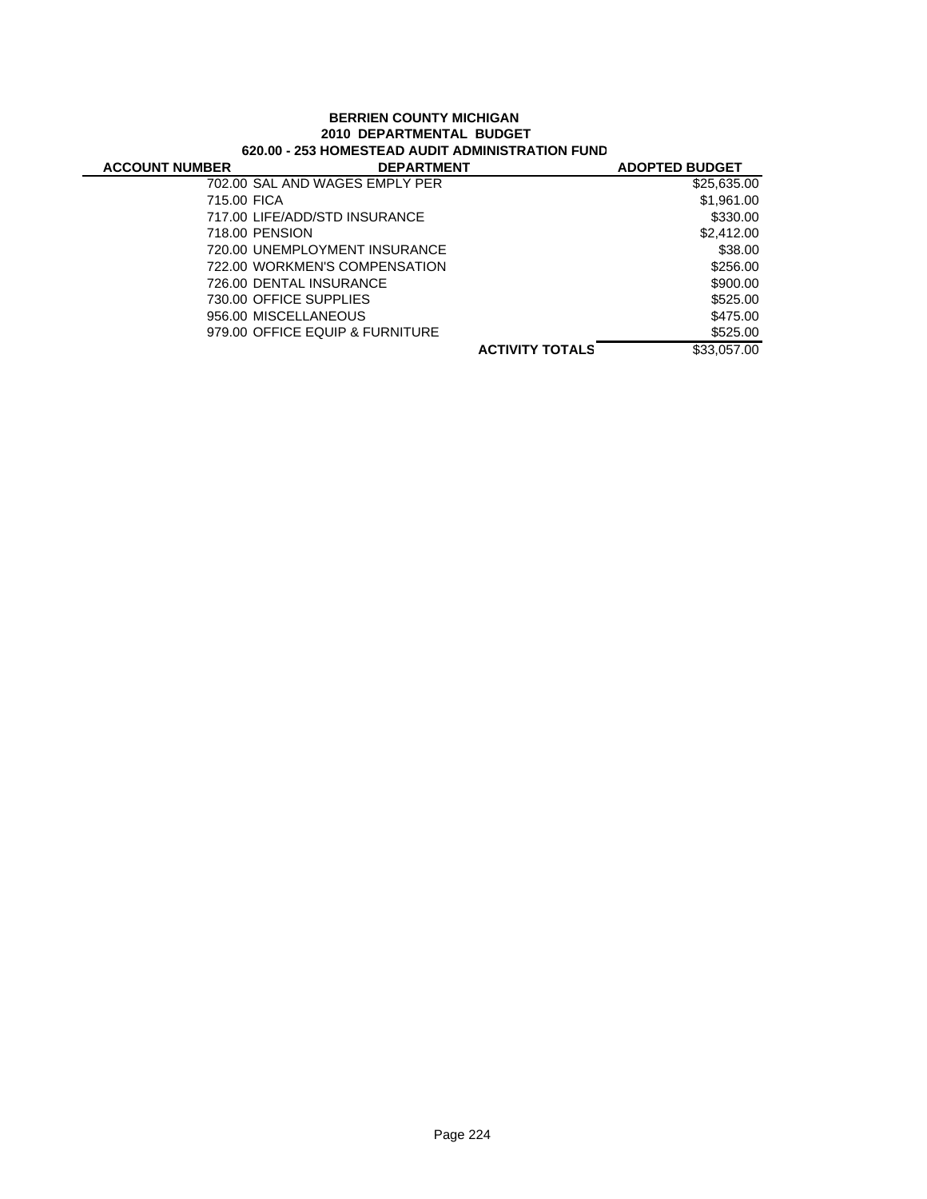## **BERRIEN COUNTY MICHIGAN 2010 DEPARTMENTAL BUDGET 620.00 - 253 HOMESTEAD AUDIT ADMINISTRATION FUND**

| <b>ACCOUNT NUMBER</b> | <b>DEPARTMENT</b>               |                        | <b>ADOPTED BUDGET</b> |
|-----------------------|---------------------------------|------------------------|-----------------------|
|                       | 702.00 SAL AND WAGES EMPLY PER  |                        | \$25,635.00           |
| 715.00 FICA           |                                 |                        | \$1,961.00            |
|                       | 717.00 LIFE/ADD/STD INSURANCE   |                        | \$330.00              |
|                       | 718.00 PENSION                  |                        | \$2,412.00            |
|                       | 720.00 UNEMPLOYMENT INSURANCE   |                        | \$38.00               |
|                       | 722.00 WORKMEN'S COMPENSATION   |                        | \$256.00              |
|                       | 726.00 DENTAL INSURANCE         |                        | \$900.00              |
|                       | 730.00 OFFICE SUPPLIES          |                        | \$525.00              |
|                       | 956.00 MISCELLANEOUS            |                        | \$475.00              |
|                       | 979.00 OFFICE EQUIP & FURNITURE |                        | \$525.00              |
|                       |                                 | <b>ACTIVITY TOTALS</b> | \$33,057,00           |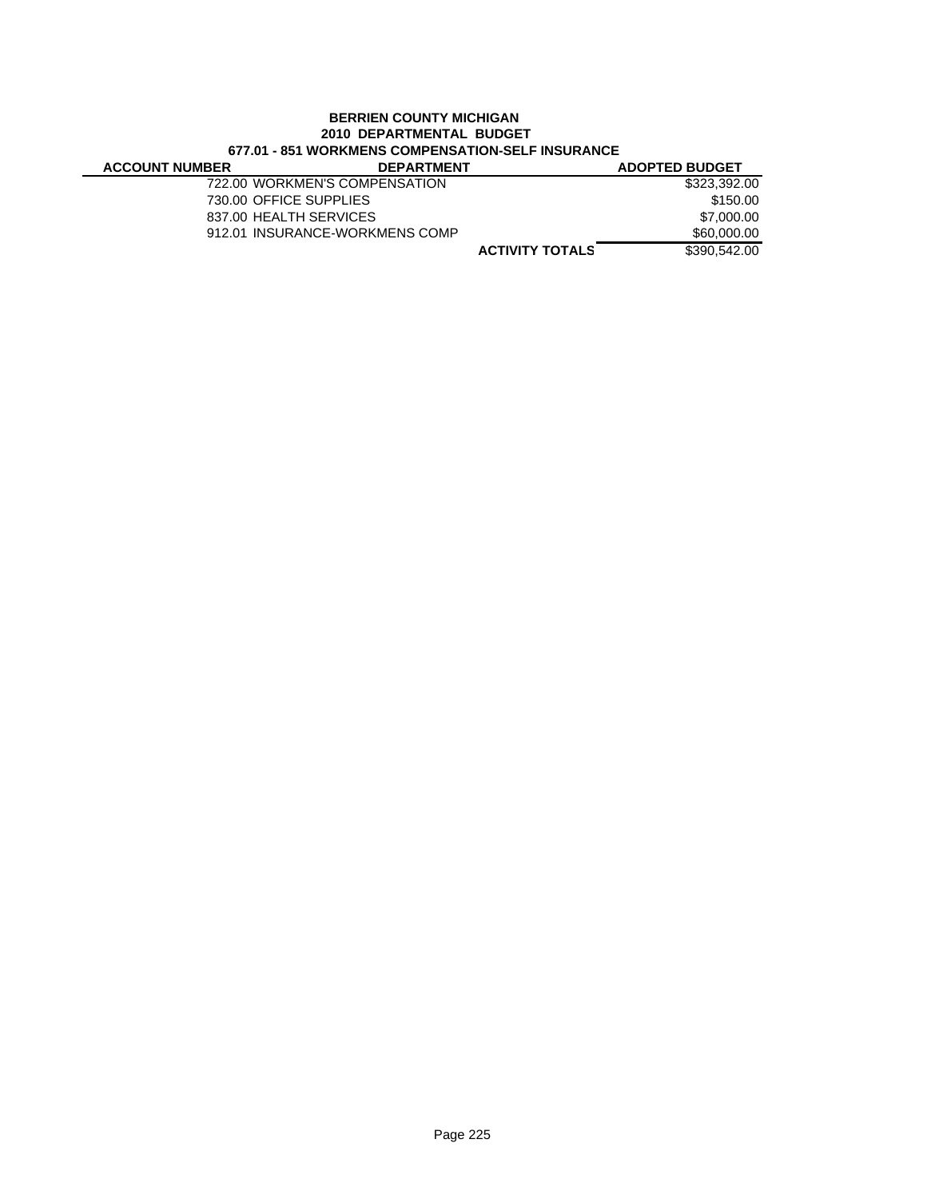# **BERRIEN COUNTY MICHIGAN 2010 DEPARTMENTAL BUDGET 677.01 - 851 WORKMENS COMPENSATION-SELF INSURANCE**

| <b>ACCOUNT NUMBER</b> | <b>DEPARTMENT</b>              |                        | <b>ADOPTED BUDGET</b> |
|-----------------------|--------------------------------|------------------------|-----------------------|
|                       | 722.00 WORKMEN'S COMPENSATION  |                        | \$323,392,00          |
|                       | 730.00 OFFICE SUPPLIES         |                        | \$150.00              |
|                       | 837.00 HEALTH SERVICES         |                        | \$7,000.00            |
|                       | 912.01 INSURANCE-WORKMENS COMP |                        | \$60,000.00           |
|                       |                                | <b>ACTIVITY TOTALS</b> | \$390,542,00          |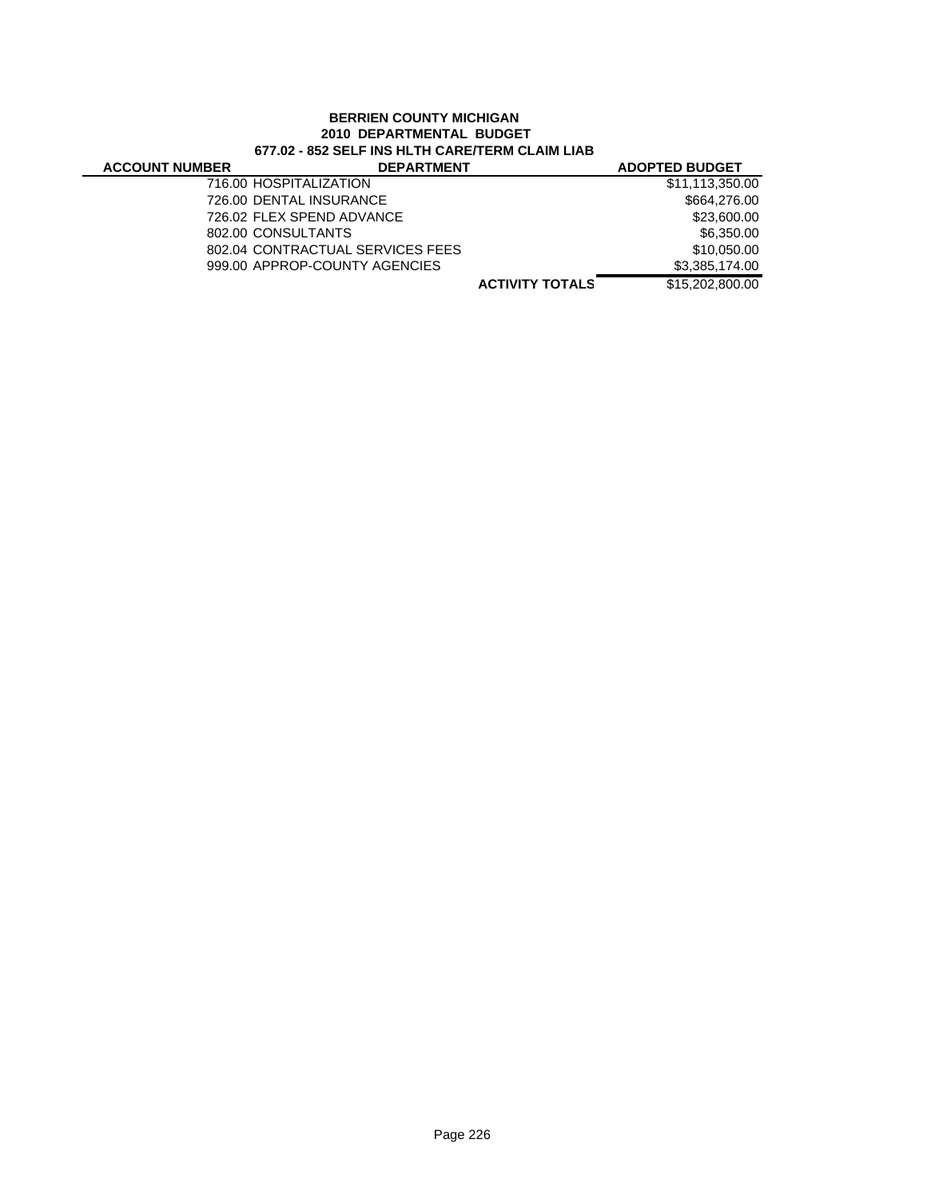# **BERRIEN COUNTY MICHIGAN 2010 DEPARTMENTAL BUDGET 677.02 - 852 SELF INS HLTH CARE/TERM CLAIM LIAB**

| <b>ACCOUNT NUMBER</b> | <b>DEPARTMENT</b>                |                        | <b>ADOPTED BUDGET</b> |
|-----------------------|----------------------------------|------------------------|-----------------------|
|                       | 716.00 HOSPITALIZATION           |                        | \$11,113,350.00       |
|                       | 726.00 DENTAL INSURANCE          |                        | \$664,276.00          |
|                       | 726.02 FLEX SPEND ADVANCE        |                        | \$23,600.00           |
|                       | 802.00 CONSULTANTS               |                        | \$6,350.00            |
|                       | 802.04 CONTRACTUAL SERVICES FEES |                        | \$10,050,00           |
|                       | 999.00 APPROP-COUNTY AGENCIES    |                        | \$3,385,174.00        |
|                       |                                  | <b>ACTIVITY TOTALS</b> | \$15,202,800,00       |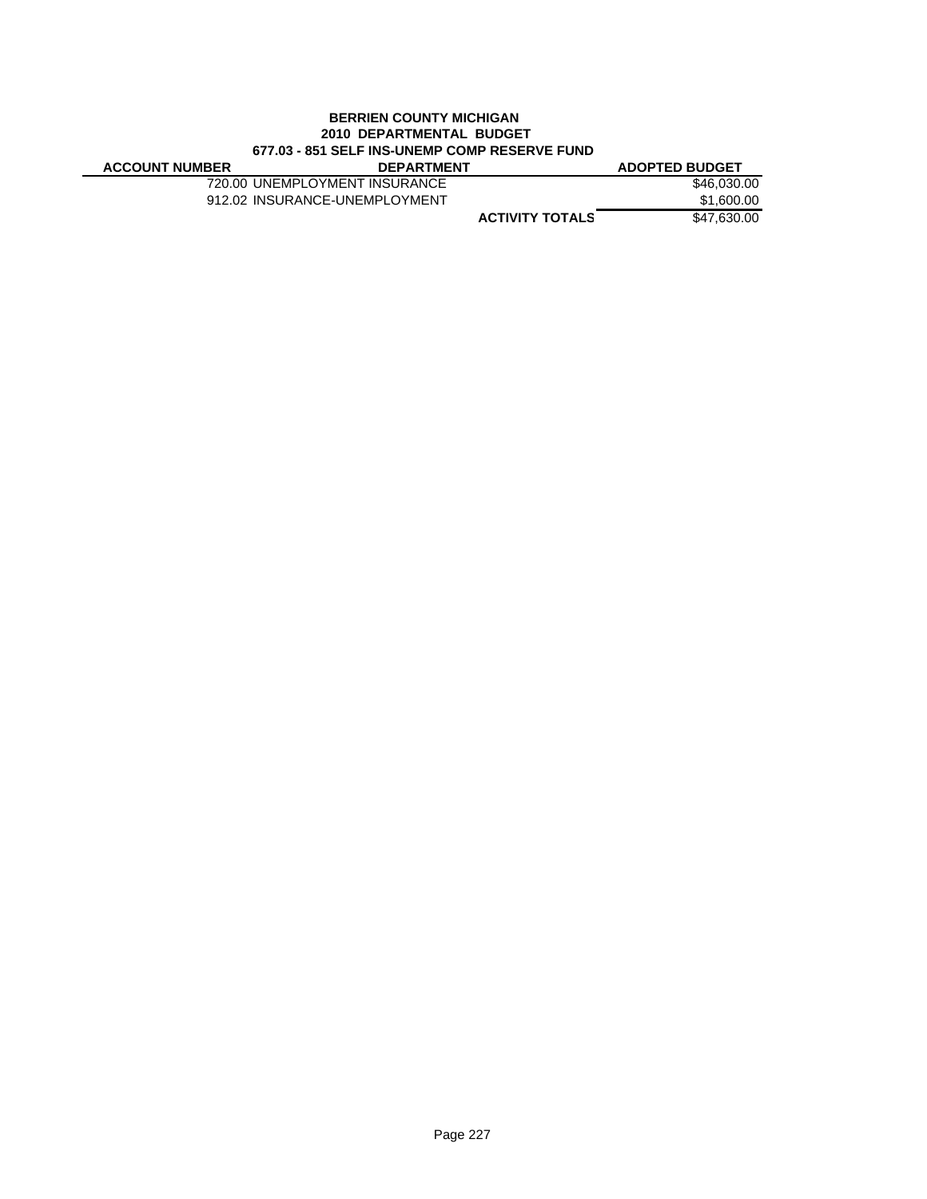### **BERRIEN COUNTY MICHIGAN 2010 DEPARTMENTAL BUDGET 677.03 - 851 SELF INS-UNEMP COMP RESERVE FUND**

| <b>ACCOUNT NUMBER</b> | <b>DEPARTMENT</b>             | <b>ADOPTED BUDGET</b> |
|-----------------------|-------------------------------|-----------------------|
|                       | 720.00 UNEMPLOYMENT INSURANCE | \$46,030,00           |
|                       | 912.02 INSURANCE-UNEMPLOYMENT | \$1,600.00            |
|                       | <b>ACTIVITY TOTALS</b>        | \$47,630.00           |